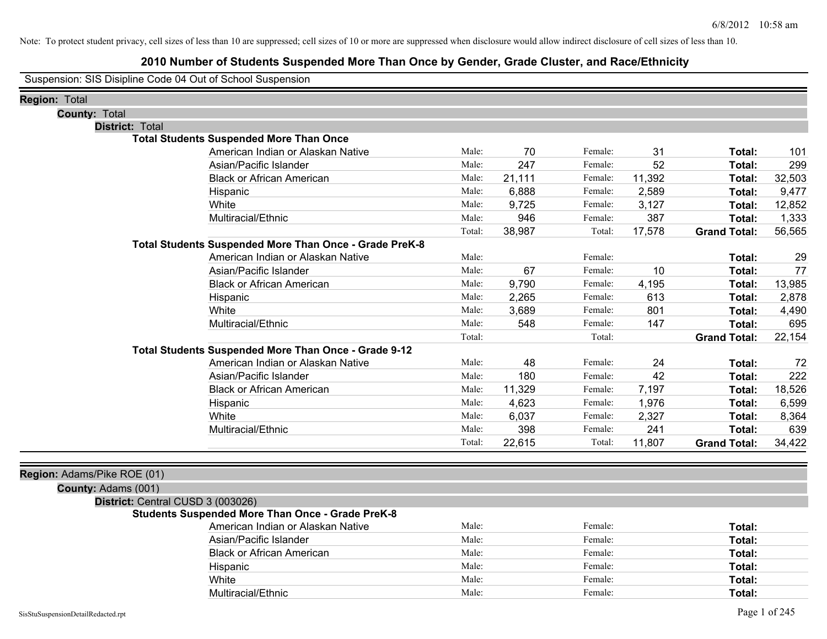## **2010 Number of Students Suspended More Than Once by Gender, Grade Cluster, and Race/Ethnicity**

Suspension: SIS Disipline Code 04 Out of School Suspension

| Region: Total                     |                                                               |        |        |         |        |                     |        |
|-----------------------------------|---------------------------------------------------------------|--------|--------|---------|--------|---------------------|--------|
| <b>County: Total</b>              |                                                               |        |        |         |        |                     |        |
| <b>District: Total</b>            |                                                               |        |        |         |        |                     |        |
|                                   | <b>Total Students Suspended More Than Once</b>                |        |        |         |        |                     |        |
|                                   | American Indian or Alaskan Native                             | Male:  | 70     | Female: | 31     | Total:              | 101    |
|                                   | Asian/Pacific Islander                                        | Male:  | 247    | Female: | 52     | Total:              | 299    |
|                                   | <b>Black or African American</b>                              | Male:  | 21,111 | Female: | 11,392 | Total:              | 32,503 |
|                                   | Hispanic                                                      | Male:  | 6,888  | Female: | 2,589  | Total:              | 9,477  |
|                                   | White                                                         | Male:  | 9,725  | Female: | 3,127  | Total:              | 12,852 |
|                                   | Multiracial/Ethnic                                            | Male:  | 946    | Female: | 387    | Total:              | 1,333  |
|                                   |                                                               | Total: | 38,987 | Total:  | 17,578 | <b>Grand Total:</b> | 56,565 |
|                                   | <b>Total Students Suspended More Than Once - Grade PreK-8</b> |        |        |         |        |                     |        |
|                                   | American Indian or Alaskan Native                             | Male:  |        | Female: |        | Total:              | 29     |
|                                   | Asian/Pacific Islander                                        | Male:  | 67     | Female: | 10     | Total:              | 77     |
|                                   | <b>Black or African American</b>                              | Male:  | 9,790  | Female: | 4,195  | Total:              | 13,985 |
|                                   | Hispanic                                                      | Male:  | 2,265  | Female: | 613    | Total:              | 2,878  |
|                                   | White                                                         | Male:  | 3,689  | Female: | 801    | Total:              | 4,490  |
|                                   | Multiracial/Ethnic                                            | Male:  | 548    | Female: | 147    | Total:              | 695    |
|                                   |                                                               | Total: |        | Total:  |        | <b>Grand Total:</b> | 22,154 |
|                                   | Total Students Suspended More Than Once - Grade 9-12          |        |        |         |        |                     |        |
|                                   | American Indian or Alaskan Native                             | Male:  | 48     | Female: | 24     | Total:              | 72     |
|                                   | Asian/Pacific Islander                                        | Male:  | 180    | Female: | 42     | Total:              | 222    |
|                                   | <b>Black or African American</b>                              | Male:  | 11,329 | Female: | 7,197  | Total:              | 18,526 |
|                                   | Hispanic                                                      | Male:  | 4,623  | Female: | 1,976  | Total:              | 6,599  |
|                                   | White                                                         | Male:  | 6,037  | Female: | 2,327  | Total:              | 8,364  |
|                                   | Multiracial/Ethnic                                            | Male:  | 398    | Female: | 241    | Total:              | 639    |
|                                   |                                                               | Total: | 22,615 | Total:  | 11,807 | <b>Grand Total:</b> | 34,422 |
|                                   |                                                               |        |        |         |        |                     |        |
| Region: Adams/Pike ROE (01)       |                                                               |        |        |         |        |                     |        |
| County: Adams (001)               |                                                               |        |        |         |        |                     |        |
| District: Central CUSD 3 (003026) |                                                               |        |        |         |        |                     |        |
|                                   | <b>Students Suspended More Than Once - Grade PreK-8</b>       |        |        |         |        |                     |        |

| American Indian or Alaskan Native | Male: | Female: | Total: |
|-----------------------------------|-------|---------|--------|
| Asian/Pacific Islander            | Male: | Female: | Total: |
| <b>Black or African American</b>  | Male: | Female: | Total: |
| Hispanic                          | Male: | Female: | Total: |
| White                             | Male: | Female: | Total: |
| Multiracial/Ethnic                | Male: | Female: | Total: |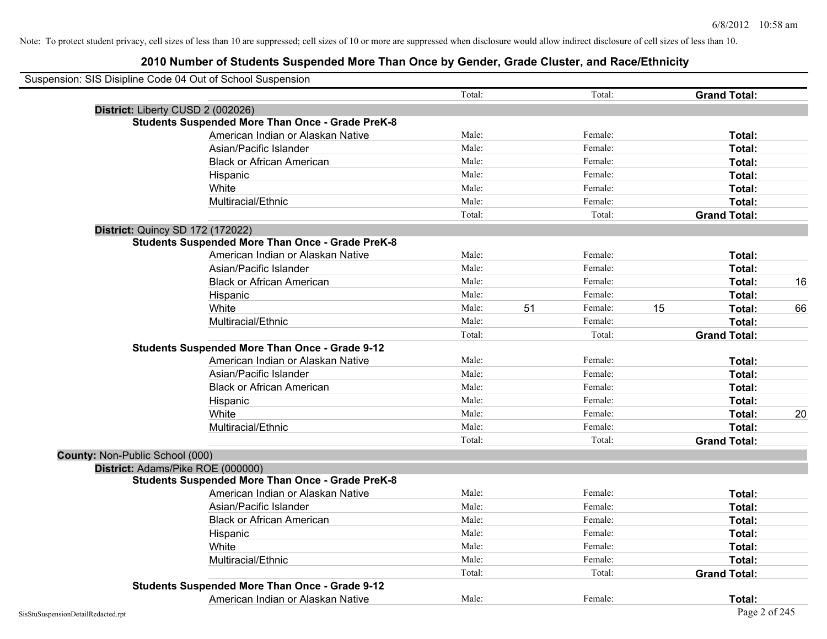|                                 | Suspension: SIS Disipline Code 04 Out of School Suspension |        |    |         |    |                     |    |
|---------------------------------|------------------------------------------------------------|--------|----|---------|----|---------------------|----|
|                                 |                                                            | Total: |    | Total:  |    | <b>Grand Total:</b> |    |
|                                 | District: Liberty CUSD 2 (002026)                          |        |    |         |    |                     |    |
|                                 | <b>Students Suspended More Than Once - Grade PreK-8</b>    |        |    |         |    |                     |    |
|                                 | American Indian or Alaskan Native                          | Male:  |    | Female: |    | Total:              |    |
|                                 | Asian/Pacific Islander                                     | Male:  |    | Female: |    | Total:              |    |
|                                 | <b>Black or African American</b>                           | Male:  |    | Female: |    | Total:              |    |
|                                 | Hispanic                                                   | Male:  |    | Female: |    | Total:              |    |
|                                 | White                                                      | Male:  |    | Female: |    | Total:              |    |
|                                 | Multiracial/Ethnic                                         | Male:  |    | Female: |    | Total:              |    |
|                                 |                                                            | Total: |    | Total:  |    | <b>Grand Total:</b> |    |
|                                 | <b>District: Quincy SD 172 (172022)</b>                    |        |    |         |    |                     |    |
|                                 | <b>Students Suspended More Than Once - Grade PreK-8</b>    |        |    |         |    |                     |    |
|                                 | American Indian or Alaskan Native                          | Male:  |    | Female: |    | Total:              |    |
|                                 | Asian/Pacific Islander                                     | Male:  |    | Female: |    | Total:              |    |
|                                 | <b>Black or African American</b>                           | Male:  |    | Female: |    | Total:              | 16 |
|                                 | Hispanic                                                   | Male:  |    | Female: |    | Total:              |    |
|                                 | White                                                      | Male:  | 51 | Female: | 15 | Total:              | 66 |
|                                 | Multiracial/Ethnic                                         | Male:  |    | Female: |    | Total:              |    |
|                                 |                                                            | Total: |    | Total:  |    | <b>Grand Total:</b> |    |
|                                 | <b>Students Suspended More Than Once - Grade 9-12</b>      |        |    |         |    |                     |    |
|                                 | American Indian or Alaskan Native                          | Male:  |    | Female: |    | Total:              |    |
|                                 | Asian/Pacific Islander                                     | Male:  |    | Female: |    | Total:              |    |
|                                 | <b>Black or African American</b>                           | Male:  |    | Female: |    | Total:              |    |
|                                 | Hispanic                                                   | Male:  |    | Female: |    | Total:              |    |
|                                 | White                                                      | Male:  |    | Female: |    | Total:              | 20 |
|                                 | Multiracial/Ethnic                                         | Male:  |    | Female: |    | Total:              |    |
|                                 |                                                            | Total: |    | Total:  |    | <b>Grand Total:</b> |    |
| County: Non-Public School (000) |                                                            |        |    |         |    |                     |    |
|                                 | District: Adams/Pike ROE (000000)                          |        |    |         |    |                     |    |
|                                 | <b>Students Suspended More Than Once - Grade PreK-8</b>    |        |    |         |    |                     |    |
|                                 | American Indian or Alaskan Native                          | Male:  |    | Female: |    | Total:              |    |
|                                 | Asian/Pacific Islander                                     | Male:  |    | Female: |    | Total:              |    |
|                                 | <b>Black or African American</b>                           | Male:  |    | Female: |    | Total:              |    |
|                                 | Hispanic                                                   | Male:  |    | Female: |    | Total:              |    |
|                                 | White                                                      | Male:  |    | Female: |    | Total:              |    |
|                                 | Multiracial/Ethnic                                         | Male:  |    | Female: |    | Total:              |    |
|                                 |                                                            | Total: |    | Total:  |    | <b>Grand Total:</b> |    |
|                                 | <b>Students Suspended More Than Once - Grade 9-12</b>      |        |    |         |    |                     |    |
|                                 | American Indian or Alaskan Native                          | Male:  |    | Female: |    | Total:              |    |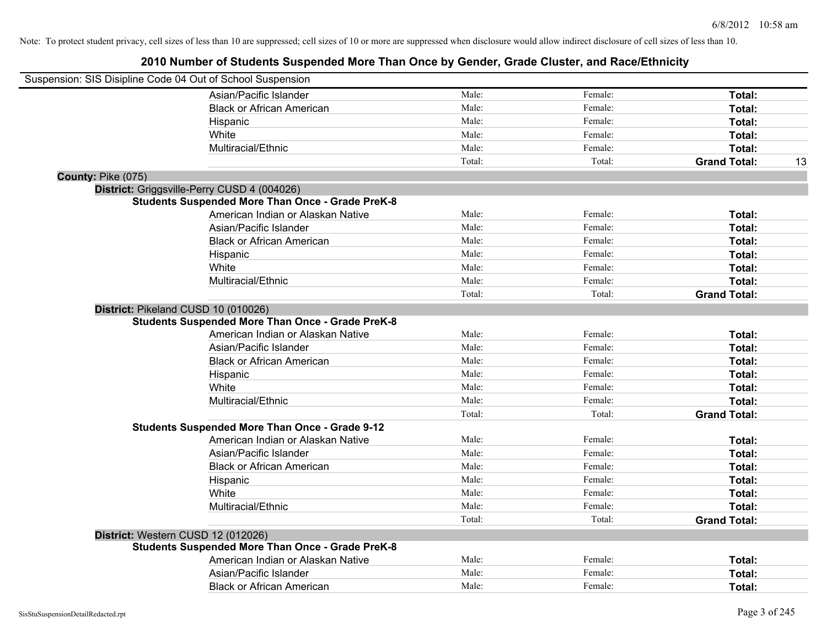| Suspension: SIS Disipline Code 04 Out of School Suspension |                                                         |        |         |                     |    |
|------------------------------------------------------------|---------------------------------------------------------|--------|---------|---------------------|----|
|                                                            | Asian/Pacific Islander                                  | Male:  | Female: | Total:              |    |
|                                                            | <b>Black or African American</b>                        | Male:  | Female: | Total:              |    |
|                                                            | Hispanic                                                | Male:  | Female: | Total:              |    |
|                                                            | White                                                   | Male:  | Female: | Total:              |    |
|                                                            | Multiracial/Ethnic                                      | Male:  | Female: | Total:              |    |
|                                                            |                                                         | Total: | Total:  | <b>Grand Total:</b> | 13 |
| County: Pike (075)                                         |                                                         |        |         |                     |    |
|                                                            | District: Griggsville-Perry CUSD 4 (004026)             |        |         |                     |    |
|                                                            | <b>Students Suspended More Than Once - Grade PreK-8</b> |        |         |                     |    |
|                                                            | American Indian or Alaskan Native                       | Male:  | Female: | Total:              |    |
|                                                            | Asian/Pacific Islander                                  | Male:  | Female: | Total:              |    |
|                                                            | <b>Black or African American</b>                        | Male:  | Female: | Total:              |    |
|                                                            | Hispanic                                                | Male:  | Female: | Total:              |    |
|                                                            | White                                                   | Male:  | Female: | Total:              |    |
|                                                            | Multiracial/Ethnic                                      | Male:  | Female: | Total:              |    |
|                                                            |                                                         | Total: | Total:  | <b>Grand Total:</b> |    |
| District: Pikeland CUSD 10 (010026)                        |                                                         |        |         |                     |    |
|                                                            | <b>Students Suspended More Than Once - Grade PreK-8</b> |        |         |                     |    |
|                                                            | American Indian or Alaskan Native                       | Male:  | Female: | Total:              |    |
|                                                            | Asian/Pacific Islander                                  | Male:  | Female: | Total:              |    |
|                                                            | <b>Black or African American</b>                        | Male:  | Female: | Total:              |    |
|                                                            | Hispanic                                                | Male:  | Female: | Total:              |    |
|                                                            | White                                                   | Male:  | Female: | Total:              |    |
|                                                            | Multiracial/Ethnic                                      | Male:  | Female: | Total:              |    |
|                                                            |                                                         | Total: | Total:  | <b>Grand Total:</b> |    |
|                                                            | <b>Students Suspended More Than Once - Grade 9-12</b>   |        |         |                     |    |
|                                                            | American Indian or Alaskan Native                       | Male:  | Female: | Total:              |    |
|                                                            | Asian/Pacific Islander                                  | Male:  | Female: | Total:              |    |
|                                                            | <b>Black or African American</b>                        | Male:  | Female: | Total:              |    |
|                                                            | Hispanic                                                | Male:  | Female: | Total:              |    |
|                                                            | White                                                   | Male:  | Female: | Total:              |    |
|                                                            | Multiracial/Ethnic                                      | Male:  | Female: | Total:              |    |
|                                                            |                                                         | Total: | Total:  | <b>Grand Total:</b> |    |
| District: Western CUSD 12 (012026)                         |                                                         |        |         |                     |    |
|                                                            | <b>Students Suspended More Than Once - Grade PreK-8</b> |        |         |                     |    |
|                                                            | American Indian or Alaskan Native                       | Male:  | Female: | Total:              |    |
|                                                            | Asian/Pacific Islander                                  | Male:  | Female: | Total:              |    |
|                                                            | <b>Black or African American</b>                        | Male:  | Female: | Total:              |    |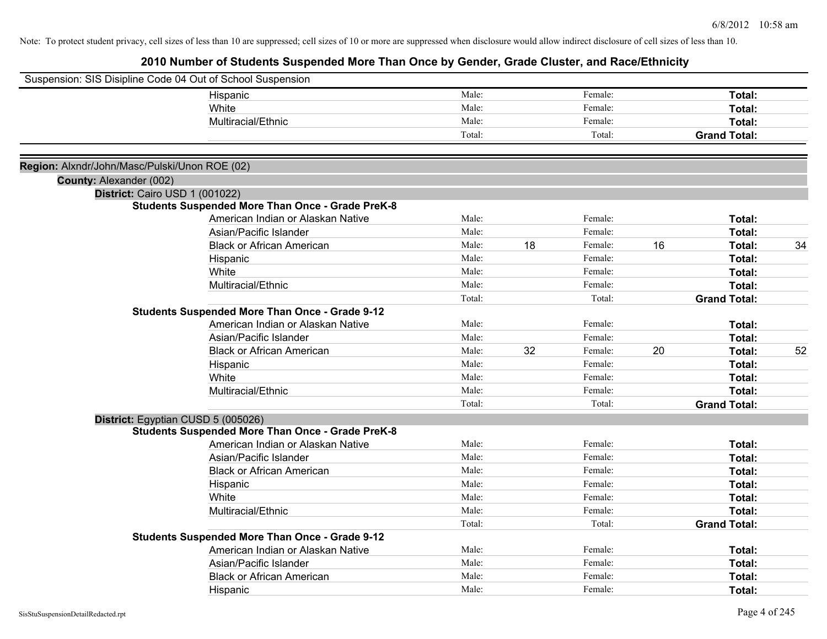| Suspension: SIS Disipline Code 04 Out of School Suspension |                                                         |        |    |         |    |                     |    |
|------------------------------------------------------------|---------------------------------------------------------|--------|----|---------|----|---------------------|----|
|                                                            | Hispanic                                                | Male:  |    | Female: |    | Total:              |    |
|                                                            | White                                                   | Male:  |    | Female: |    | Total:              |    |
|                                                            | Multiracial/Ethnic                                      | Male:  |    | Female: |    | Total:              |    |
|                                                            |                                                         | Total: |    | Total:  |    | <b>Grand Total:</b> |    |
|                                                            |                                                         |        |    |         |    |                     |    |
| Region: Alxndr/John/Masc/Pulski/Unon ROE (02)              |                                                         |        |    |         |    |                     |    |
| County: Alexander (002)                                    |                                                         |        |    |         |    |                     |    |
| District: Cairo USD 1 (001022)                             |                                                         |        |    |         |    |                     |    |
|                                                            | <b>Students Suspended More Than Once - Grade PreK-8</b> |        |    |         |    |                     |    |
|                                                            | American Indian or Alaskan Native                       | Male:  |    | Female: |    | Total:              |    |
|                                                            | Asian/Pacific Islander                                  | Male:  |    | Female: |    | Total:              |    |
|                                                            | <b>Black or African American</b>                        | Male:  | 18 | Female: | 16 | Total:              | 34 |
|                                                            | Hispanic                                                | Male:  |    | Female: |    | Total:              |    |
|                                                            | White                                                   | Male:  |    | Female: |    | Total:              |    |
|                                                            | Multiracial/Ethnic                                      | Male:  |    | Female: |    | Total:              |    |
|                                                            |                                                         | Total: |    | Total:  |    | <b>Grand Total:</b> |    |
|                                                            | <b>Students Suspended More Than Once - Grade 9-12</b>   |        |    |         |    |                     |    |
|                                                            | American Indian or Alaskan Native                       | Male:  |    | Female: |    | Total:              |    |
|                                                            | Asian/Pacific Islander                                  | Male:  |    | Female: |    | Total:              |    |
|                                                            | <b>Black or African American</b>                        | Male:  | 32 | Female: | 20 | Total:              | 52 |
|                                                            | Hispanic                                                | Male:  |    | Female: |    | Total:              |    |
|                                                            | White                                                   | Male:  |    | Female: |    | Total:              |    |
|                                                            | Multiracial/Ethnic                                      | Male:  |    | Female: |    | Total:              |    |
|                                                            |                                                         | Total: |    | Total:  |    | <b>Grand Total:</b> |    |
|                                                            | District: Egyptian CUSD 5 (005026)                      |        |    |         |    |                     |    |
|                                                            | <b>Students Suspended More Than Once - Grade PreK-8</b> |        |    |         |    |                     |    |
|                                                            | American Indian or Alaskan Native                       | Male:  |    | Female: |    | Total:              |    |
|                                                            | Asian/Pacific Islander                                  | Male:  |    | Female: |    | Total:              |    |
|                                                            | <b>Black or African American</b>                        | Male:  |    | Female: |    | Total:              |    |
|                                                            | Hispanic                                                | Male:  |    | Female: |    | Total:              |    |
|                                                            | White                                                   | Male:  |    | Female: |    | Total:              |    |
|                                                            | Multiracial/Ethnic                                      | Male:  |    | Female: |    | Total:              |    |
|                                                            |                                                         | Total: |    | Total:  |    | <b>Grand Total:</b> |    |
|                                                            | <b>Students Suspended More Than Once - Grade 9-12</b>   |        |    |         |    |                     |    |
|                                                            | American Indian or Alaskan Native                       | Male:  |    | Female: |    | Total:              |    |
|                                                            | Asian/Pacific Islander                                  | Male:  |    | Female: |    | Total:              |    |
|                                                            | <b>Black or African American</b>                        | Male:  |    | Female: |    | Total:              |    |
|                                                            | Hispanic                                                | Male:  |    | Female: |    | Total:              |    |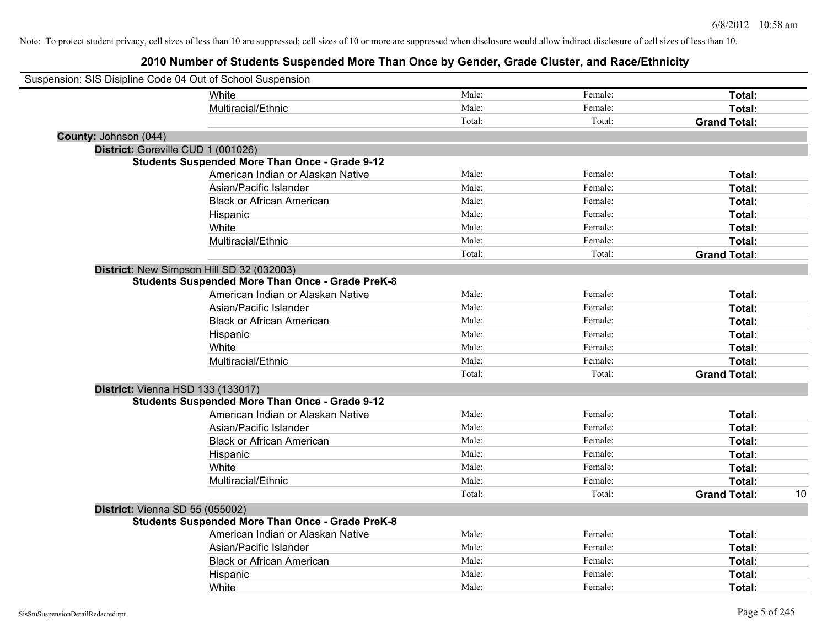| Suspension: SIS Disipline Code 04 Out of School Suspension |                                                         |        |         |                     |    |
|------------------------------------------------------------|---------------------------------------------------------|--------|---------|---------------------|----|
|                                                            | White                                                   | Male:  | Female: | Total:              |    |
|                                                            | Multiracial/Ethnic                                      | Male:  | Female: | Total:              |    |
|                                                            |                                                         | Total: | Total:  | <b>Grand Total:</b> |    |
| County: Johnson (044)                                      |                                                         |        |         |                     |    |
| District: Goreville CUD 1 (001026)                         |                                                         |        |         |                     |    |
|                                                            | <b>Students Suspended More Than Once - Grade 9-12</b>   |        |         |                     |    |
|                                                            | American Indian or Alaskan Native                       | Male:  | Female: | Total:              |    |
|                                                            | Asian/Pacific Islander                                  | Male:  | Female: | Total:              |    |
|                                                            | <b>Black or African American</b>                        | Male:  | Female: | Total:              |    |
|                                                            | Hispanic                                                | Male:  | Female: | Total:              |    |
|                                                            | White                                                   | Male:  | Female: | Total:              |    |
|                                                            | Multiracial/Ethnic                                      | Male:  | Female: | Total:              |    |
|                                                            |                                                         | Total: | Total:  | <b>Grand Total:</b> |    |
| District: New Simpson Hill SD 32 (032003)                  |                                                         |        |         |                     |    |
|                                                            | <b>Students Suspended More Than Once - Grade PreK-8</b> |        |         |                     |    |
|                                                            | American Indian or Alaskan Native                       | Male:  | Female: | Total:              |    |
|                                                            | Asian/Pacific Islander                                  | Male:  | Female: | Total:              |    |
|                                                            | <b>Black or African American</b>                        | Male:  | Female: | Total:              |    |
|                                                            | Hispanic                                                | Male:  | Female: | Total:              |    |
|                                                            | White                                                   | Male:  | Female: | Total:              |    |
|                                                            | Multiracial/Ethnic                                      | Male:  | Female: | Total:              |    |
|                                                            |                                                         | Total: | Total:  | <b>Grand Total:</b> |    |
| District: Vienna HSD 133 (133017)                          |                                                         |        |         |                     |    |
|                                                            | <b>Students Suspended More Than Once - Grade 9-12</b>   |        |         |                     |    |
|                                                            | American Indian or Alaskan Native                       | Male:  | Female: | Total:              |    |
|                                                            | Asian/Pacific Islander                                  | Male:  | Female: | Total:              |    |
|                                                            | <b>Black or African American</b>                        | Male:  | Female: | Total:              |    |
|                                                            | Hispanic                                                | Male:  | Female: | Total:              |    |
|                                                            | White                                                   | Male:  | Female: | Total:              |    |
|                                                            | Multiracial/Ethnic                                      | Male:  | Female: | Total:              |    |
|                                                            |                                                         | Total: | Total:  | <b>Grand Total:</b> | 10 |
| District: Vienna SD 55 (055002)                            |                                                         |        |         |                     |    |
|                                                            | <b>Students Suspended More Than Once - Grade PreK-8</b> |        |         |                     |    |
|                                                            | American Indian or Alaskan Native                       | Male:  | Female: | Total:              |    |
|                                                            | Asian/Pacific Islander                                  | Male:  | Female: | Total:              |    |
|                                                            | <b>Black or African American</b>                        | Male:  | Female: | Total:              |    |
|                                                            | Hispanic                                                | Male:  | Female: | Total:              |    |
|                                                            | White                                                   | Male:  | Female: | Total:              |    |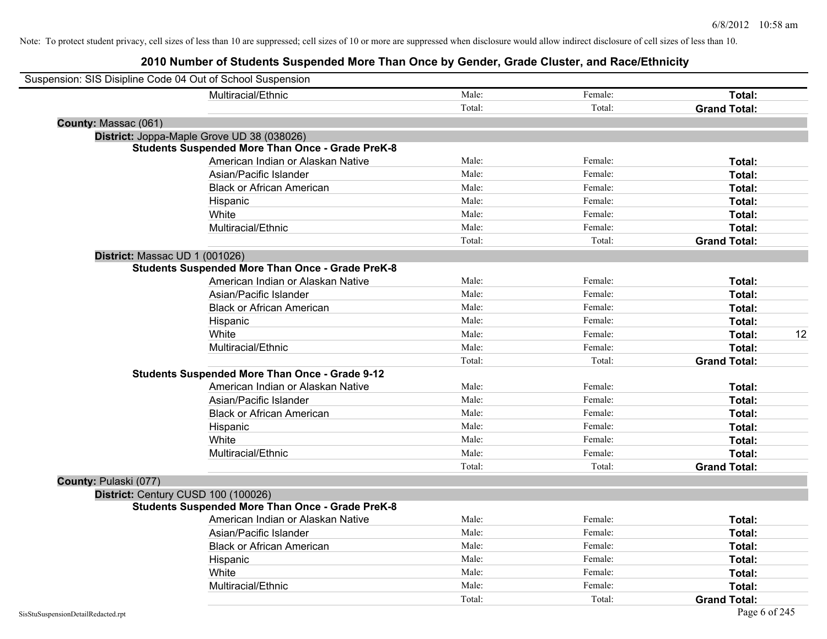|                                | Suspension: SIS Disipline Code 04 Out of School Suspension |        |         |                     |    |
|--------------------------------|------------------------------------------------------------|--------|---------|---------------------|----|
|                                | Multiracial/Ethnic                                         | Male:  | Female: | Total:              |    |
|                                |                                                            | Total: | Total:  | <b>Grand Total:</b> |    |
| County: Massac (061)           |                                                            |        |         |                     |    |
|                                | District: Joppa-Maple Grove UD 38 (038026)                 |        |         |                     |    |
|                                | <b>Students Suspended More Than Once - Grade PreK-8</b>    |        |         |                     |    |
|                                | American Indian or Alaskan Native                          | Male:  | Female: | Total:              |    |
|                                | Asian/Pacific Islander                                     | Male:  | Female: | Total:              |    |
|                                | <b>Black or African American</b>                           | Male:  | Female: | Total:              |    |
|                                | Hispanic                                                   | Male:  | Female: | Total:              |    |
|                                | White                                                      | Male:  | Female: | Total:              |    |
|                                | Multiracial/Ethnic                                         | Male:  | Female: | Total:              |    |
|                                |                                                            | Total: | Total:  | <b>Grand Total:</b> |    |
| District: Massac UD 1 (001026) |                                                            |        |         |                     |    |
|                                | <b>Students Suspended More Than Once - Grade PreK-8</b>    |        |         |                     |    |
|                                | American Indian or Alaskan Native                          | Male:  | Female: | Total:              |    |
|                                | Asian/Pacific Islander                                     | Male:  | Female: | Total:              |    |
|                                | <b>Black or African American</b>                           | Male:  | Female: | Total:              |    |
|                                | Hispanic                                                   | Male:  | Female: | Total:              |    |
|                                | White                                                      | Male:  | Female: | Total:              | 12 |
|                                | Multiracial/Ethnic                                         | Male:  | Female: | Total:              |    |
|                                |                                                            | Total: | Total:  | <b>Grand Total:</b> |    |
|                                | <b>Students Suspended More Than Once - Grade 9-12</b>      |        |         |                     |    |
|                                | American Indian or Alaskan Native                          | Male:  | Female: | Total:              |    |
|                                | Asian/Pacific Islander                                     | Male:  | Female: | Total:              |    |
|                                | <b>Black or African American</b>                           | Male:  | Female: | Total:              |    |
|                                | Hispanic                                                   | Male:  | Female: | Total:              |    |
|                                | White                                                      | Male:  | Female: | Total:              |    |
|                                | Multiracial/Ethnic                                         | Male:  | Female: | Total:              |    |
|                                |                                                            | Total: | Total:  | <b>Grand Total:</b> |    |
| County: Pulaski (077)          |                                                            |        |         |                     |    |
|                                | District: Century CUSD 100 (100026)                        |        |         |                     |    |
|                                | <b>Students Suspended More Than Once - Grade PreK-8</b>    |        |         |                     |    |
|                                | American Indian or Alaskan Native                          | Male:  | Female: | Total:              |    |
|                                | Asian/Pacific Islander                                     | Male:  | Female: | Total:              |    |
|                                | <b>Black or African American</b>                           | Male:  | Female: | Total:              |    |
|                                | Hispanic                                                   | Male:  | Female: | Total:              |    |
|                                | White                                                      | Male:  | Female: | Total:              |    |
|                                | Multiracial/Ethnic                                         | Male:  | Female: | Total:              |    |
|                                |                                                            | Total: | Total:  | <b>Grand Total:</b> |    |
|                                |                                                            |        |         |                     |    |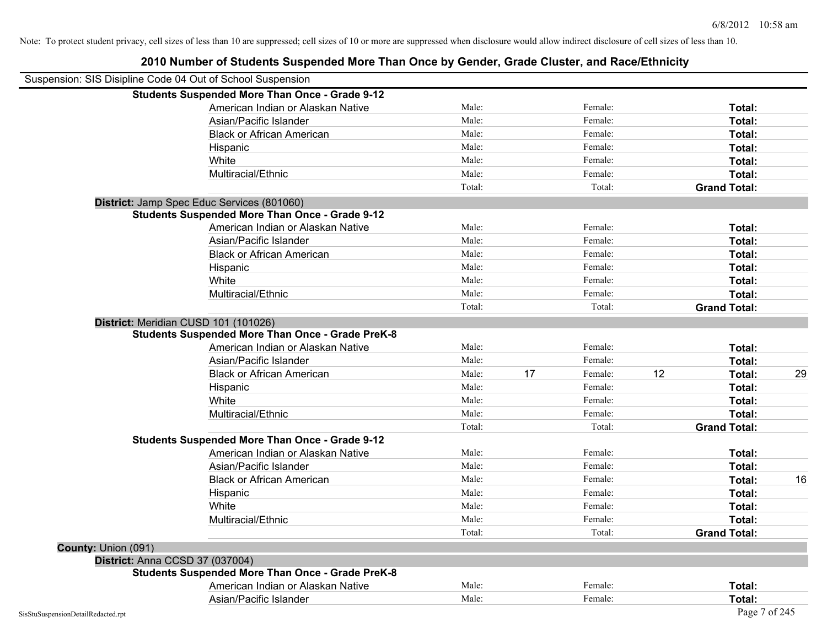|                                 | Suspension: SIS Disipline Code 04 Out of School Suspension |        |    |         |    |                     |    |
|---------------------------------|------------------------------------------------------------|--------|----|---------|----|---------------------|----|
|                                 | <b>Students Suspended More Than Once - Grade 9-12</b>      |        |    |         |    |                     |    |
|                                 | American Indian or Alaskan Native                          | Male:  |    | Female: |    | Total:              |    |
|                                 | Asian/Pacific Islander                                     | Male:  |    | Female: |    | Total:              |    |
|                                 | <b>Black or African American</b>                           | Male:  |    | Female: |    | Total:              |    |
|                                 | Hispanic                                                   | Male:  |    | Female: |    | Total:              |    |
|                                 | White                                                      | Male:  |    | Female: |    | Total:              |    |
|                                 | Multiracial/Ethnic                                         | Male:  |    | Female: |    | Total:              |    |
|                                 |                                                            | Total: |    | Total:  |    | <b>Grand Total:</b> |    |
|                                 | District: Jamp Spec Educ Services (801060)                 |        |    |         |    |                     |    |
|                                 | <b>Students Suspended More Than Once - Grade 9-12</b>      |        |    |         |    |                     |    |
|                                 | American Indian or Alaskan Native                          | Male:  |    | Female: |    | Total:              |    |
|                                 | Asian/Pacific Islander                                     | Male:  |    | Female: |    | Total:              |    |
|                                 | <b>Black or African American</b>                           | Male:  |    | Female: |    | Total:              |    |
|                                 | Hispanic                                                   | Male:  |    | Female: |    | Total:              |    |
|                                 | White                                                      | Male:  |    | Female: |    | Total:              |    |
|                                 | Multiracial/Ethnic                                         | Male:  |    | Female: |    | Total:              |    |
|                                 |                                                            | Total: |    | Total:  |    | <b>Grand Total:</b> |    |
|                                 | District: Meridian CUSD 101 (101026)                       |        |    |         |    |                     |    |
|                                 | <b>Students Suspended More Than Once - Grade PreK-8</b>    |        |    |         |    |                     |    |
|                                 | American Indian or Alaskan Native                          | Male:  |    | Female: |    | Total:              |    |
|                                 | Asian/Pacific Islander                                     | Male:  |    | Female: |    | Total:              |    |
|                                 | <b>Black or African American</b>                           | Male:  | 17 | Female: | 12 | Total:              | 29 |
|                                 | Hispanic                                                   | Male:  |    | Female: |    | Total:              |    |
|                                 | White                                                      | Male:  |    | Female: |    | Total:              |    |
|                                 | Multiracial/Ethnic                                         | Male:  |    | Female: |    | Total:              |    |
|                                 |                                                            | Total: |    | Total:  |    | <b>Grand Total:</b> |    |
|                                 | <b>Students Suspended More Than Once - Grade 9-12</b>      |        |    |         |    |                     |    |
|                                 | American Indian or Alaskan Native                          | Male:  |    | Female: |    | Total:              |    |
|                                 | Asian/Pacific Islander                                     | Male:  |    | Female: |    | Total:              |    |
|                                 | <b>Black or African American</b>                           | Male:  |    | Female: |    | Total:              | 16 |
|                                 | Hispanic                                                   | Male:  |    | Female: |    | Total:              |    |
|                                 | White                                                      | Male:  |    | Female: |    | Total:              |    |
|                                 | Multiracial/Ethnic                                         | Male:  |    | Female: |    | Total:              |    |
|                                 |                                                            | Total: |    | Total:  |    | <b>Grand Total:</b> |    |
| County: Union (091)             |                                                            |        |    |         |    |                     |    |
| District: Anna CCSD 37 (037004) |                                                            |        |    |         |    |                     |    |
|                                 | <b>Students Suspended More Than Once - Grade PreK-8</b>    |        |    |         |    |                     |    |
|                                 | American Indian or Alaskan Native                          | Male:  |    | Female: |    | Total:              |    |
|                                 | Asian/Pacific Islander                                     | Male:  |    | Female: |    | Total:              |    |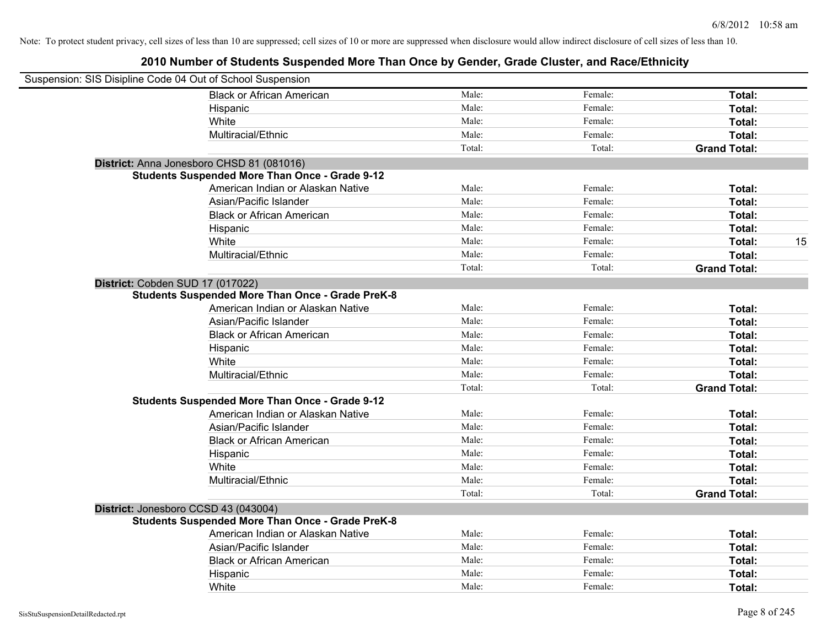| Suspension: SIS Disipline Code 04 Out of School Suspension |                                                         |        |         |                     |    |
|------------------------------------------------------------|---------------------------------------------------------|--------|---------|---------------------|----|
|                                                            | <b>Black or African American</b>                        | Male:  | Female: | Total:              |    |
|                                                            | Hispanic                                                | Male:  | Female: | Total:              |    |
|                                                            | White                                                   | Male:  | Female: | Total:              |    |
|                                                            | Multiracial/Ethnic                                      | Male:  | Female: | Total:              |    |
|                                                            |                                                         | Total: | Total:  | <b>Grand Total:</b> |    |
|                                                            | District: Anna Jonesboro CHSD 81 (081016)               |        |         |                     |    |
|                                                            | <b>Students Suspended More Than Once - Grade 9-12</b>   |        |         |                     |    |
|                                                            | American Indian or Alaskan Native                       | Male:  | Female: | Total:              |    |
|                                                            | Asian/Pacific Islander                                  | Male:  | Female: | Total:              |    |
|                                                            | <b>Black or African American</b>                        | Male:  | Female: | Total:              |    |
|                                                            | Hispanic                                                | Male:  | Female: | Total:              |    |
|                                                            | White                                                   | Male:  | Female: | Total:              | 15 |
|                                                            | Multiracial/Ethnic                                      | Male:  | Female: | Total:              |    |
|                                                            |                                                         | Total: | Total:  | <b>Grand Total:</b> |    |
| District: Cobden SUD 17 (017022)                           |                                                         |        |         |                     |    |
|                                                            | <b>Students Suspended More Than Once - Grade PreK-8</b> |        |         |                     |    |
|                                                            | American Indian or Alaskan Native                       | Male:  | Female: | Total:              |    |
|                                                            | Asian/Pacific Islander                                  | Male:  | Female: | Total:              |    |
|                                                            | <b>Black or African American</b>                        | Male:  | Female: | Total:              |    |
|                                                            | Hispanic                                                | Male:  | Female: | Total:              |    |
|                                                            | White                                                   | Male:  | Female: | Total:              |    |
|                                                            | Multiracial/Ethnic                                      | Male:  | Female: | Total:              |    |
|                                                            |                                                         | Total: | Total:  | <b>Grand Total:</b> |    |
|                                                            | <b>Students Suspended More Than Once - Grade 9-12</b>   |        |         |                     |    |
|                                                            | American Indian or Alaskan Native                       | Male:  | Female: | Total:              |    |
|                                                            | Asian/Pacific Islander                                  | Male:  | Female: | Total:              |    |
|                                                            | <b>Black or African American</b>                        | Male:  | Female: | Total:              |    |
|                                                            | Hispanic                                                | Male:  | Female: | Total:              |    |
|                                                            | White                                                   | Male:  | Female: | Total:              |    |
|                                                            | Multiracial/Ethnic                                      | Male:  | Female: | Total:              |    |
|                                                            |                                                         | Total: | Total:  | <b>Grand Total:</b> |    |
| District: Jonesboro CCSD 43 (043004)                       |                                                         |        |         |                     |    |
|                                                            | <b>Students Suspended More Than Once - Grade PreK-8</b> |        |         |                     |    |
|                                                            | American Indian or Alaskan Native                       | Male:  | Female: | Total:              |    |
|                                                            | Asian/Pacific Islander                                  | Male:  | Female: | Total:              |    |
|                                                            | <b>Black or African American</b>                        | Male:  | Female: | Total:              |    |
|                                                            | Hispanic                                                | Male:  | Female: | Total:              |    |
|                                                            | White                                                   | Male:  | Female: | Total:              |    |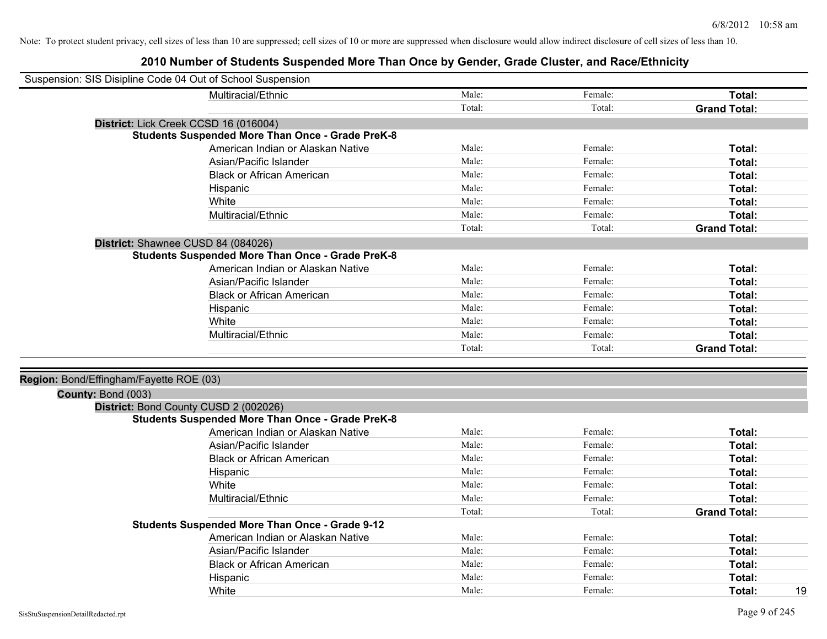| Suspension: SIS Disipline Code 04 Out of School Suspension |                                                         |        |         |                     |
|------------------------------------------------------------|---------------------------------------------------------|--------|---------|---------------------|
|                                                            | Multiracial/Ethnic                                      | Male:  | Female: | Total:              |
|                                                            |                                                         | Total: | Total:  | <b>Grand Total:</b> |
|                                                            | District: Lick Creek CCSD 16 (016004)                   |        |         |                     |
|                                                            | <b>Students Suspended More Than Once - Grade PreK-8</b> |        |         |                     |
|                                                            | American Indian or Alaskan Native                       | Male:  | Female: | Total:              |
|                                                            | Asian/Pacific Islander                                  | Male:  | Female: | Total:              |
|                                                            | <b>Black or African American</b>                        | Male:  | Female: | Total:              |
|                                                            | Hispanic                                                | Male:  | Female: | Total:              |
|                                                            | White                                                   | Male:  | Female: | Total:              |
|                                                            | Multiracial/Ethnic                                      | Male:  | Female: | Total:              |
|                                                            |                                                         | Total: | Total:  | <b>Grand Total:</b> |
|                                                            | District: Shawnee CUSD 84 (084026)                      |        |         |                     |
|                                                            | <b>Students Suspended More Than Once - Grade PreK-8</b> |        |         |                     |
|                                                            | American Indian or Alaskan Native                       | Male:  | Female: | Total:              |
|                                                            | Asian/Pacific Islander                                  | Male:  | Female: | Total:              |
|                                                            | <b>Black or African American</b>                        | Male:  | Female: | Total:              |
|                                                            | Hispanic                                                | Male:  | Female: | Total:              |
|                                                            | White                                                   | Male:  | Female: | Total:              |
|                                                            | Multiracial/Ethnic                                      | Male:  | Female: | Total:              |
|                                                            |                                                         | Total: | Total:  | <b>Grand Total:</b> |
|                                                            |                                                         |        |         |                     |
| Region: Bond/Effingham/Fayette ROE (03)                    |                                                         |        |         |                     |
| County: Bond (003)                                         |                                                         |        |         |                     |
|                                                            | District: Bond County CUSD 2 (002026)                   |        |         |                     |
|                                                            | <b>Students Suspended More Than Once - Grade PreK-8</b> |        |         |                     |
|                                                            | American Indian or Alaskan Native                       | Male:  | Female: | Total:              |
|                                                            | Asian/Pacific Islander                                  | Male:  | Female: | Total:              |
|                                                            | <b>Black or African American</b>                        | Male:  | Female: | Total:              |
|                                                            | Hispanic                                                | Male:  | Female: | Total:              |
|                                                            | White                                                   | Male:  | Female: | Total:              |
|                                                            | Multiracial/Ethnic                                      | Male:  | Female: | Total:              |
|                                                            |                                                         | Total: | Total:  | <b>Grand Total:</b> |
|                                                            | <b>Students Suspended More Than Once - Grade 9-12</b>   |        |         |                     |
|                                                            | American Indian or Alaskan Native                       | Male:  | Female: | Total:              |
|                                                            | Asian/Pacific Islander                                  | Male:  | Female: | Total:              |
|                                                            | <b>Black or African American</b>                        | Male:  | Female: | Total:              |
|                                                            | Hispanic                                                | Male:  | Female: | Total:              |
|                                                            | White                                                   | Male:  | Female: | 19<br>Total:        |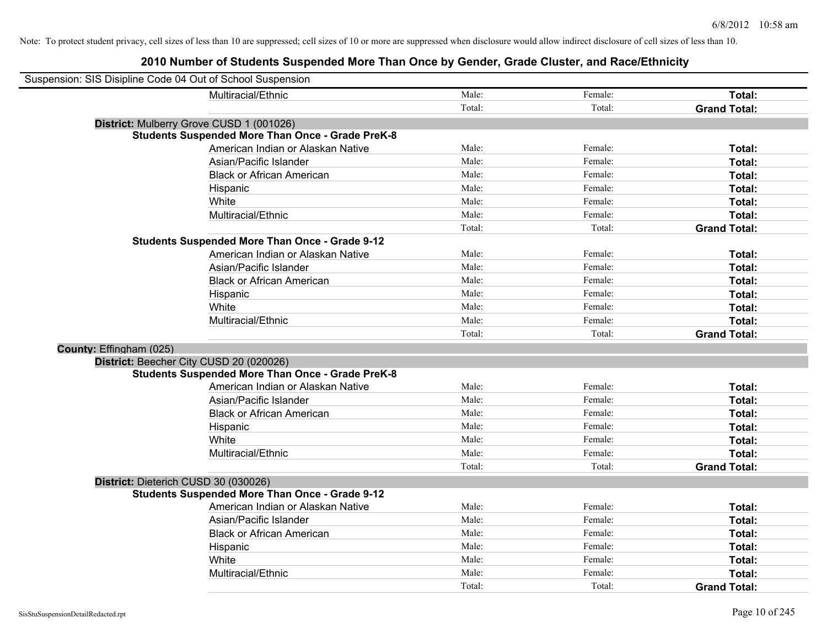| Suspension: SIS Disipline Code 04 Out of School Suspension |                                                         |        |         |                     |
|------------------------------------------------------------|---------------------------------------------------------|--------|---------|---------------------|
|                                                            | Multiracial/Ethnic                                      | Male:  | Female: | Total:              |
|                                                            |                                                         | Total: | Total:  | <b>Grand Total:</b> |
| District: Mulberry Grove CUSD 1 (001026)                   |                                                         |        |         |                     |
|                                                            | <b>Students Suspended More Than Once - Grade PreK-8</b> |        |         |                     |
|                                                            | American Indian or Alaskan Native                       | Male:  | Female: | Total:              |
|                                                            | Asian/Pacific Islander                                  | Male:  | Female: | Total:              |
|                                                            | <b>Black or African American</b>                        | Male:  | Female: | Total:              |
|                                                            | Hispanic                                                | Male:  | Female: | Total:              |
|                                                            | White                                                   | Male:  | Female: | Total:              |
|                                                            | Multiracial/Ethnic                                      | Male:  | Female: | Total:              |
|                                                            |                                                         | Total: | Total:  | <b>Grand Total:</b> |
|                                                            | <b>Students Suspended More Than Once - Grade 9-12</b>   |        |         |                     |
|                                                            | American Indian or Alaskan Native                       | Male:  | Female: | Total:              |
|                                                            | Asian/Pacific Islander                                  | Male:  | Female: | Total:              |
|                                                            | <b>Black or African American</b>                        | Male:  | Female: | Total:              |
|                                                            | Hispanic                                                | Male:  | Female: | Total:              |
|                                                            | White                                                   | Male:  | Female: | Total:              |
|                                                            | Multiracial/Ethnic                                      | Male:  | Female: | Total:              |
|                                                            |                                                         | Total: | Total:  | <b>Grand Total:</b> |
| County: Effingham (025)                                    |                                                         |        |         |                     |
| District: Beecher City CUSD 20 (020026)                    |                                                         |        |         |                     |
|                                                            | <b>Students Suspended More Than Once - Grade PreK-8</b> |        |         |                     |
|                                                            | American Indian or Alaskan Native                       | Male:  | Female: | Total:              |
|                                                            | Asian/Pacific Islander                                  | Male:  | Female: | Total:              |
|                                                            | <b>Black or African American</b>                        | Male:  | Female: | Total:              |
|                                                            | Hispanic                                                | Male:  | Female: | Total:              |
|                                                            | White                                                   | Male:  | Female: | Total:              |
|                                                            | Multiracial/Ethnic                                      | Male:  | Female: | Total:              |
|                                                            |                                                         | Total: | Total:  | <b>Grand Total:</b> |
| District: Dieterich CUSD 30 (030026)                       |                                                         |        |         |                     |
|                                                            | <b>Students Suspended More Than Once - Grade 9-12</b>   |        |         |                     |
|                                                            | American Indian or Alaskan Native                       | Male:  | Female: | Total:              |
|                                                            | Asian/Pacific Islander                                  | Male:  | Female: | Total:              |
|                                                            | <b>Black or African American</b>                        | Male:  | Female: | Total:              |
|                                                            | Hispanic                                                | Male:  | Female: | Total:              |
|                                                            | White                                                   | Male:  | Female: | Total:              |
|                                                            | Multiracial/Ethnic                                      | Male:  | Female: | Total:              |
|                                                            |                                                         | Total: | Total:  | <b>Grand Total:</b> |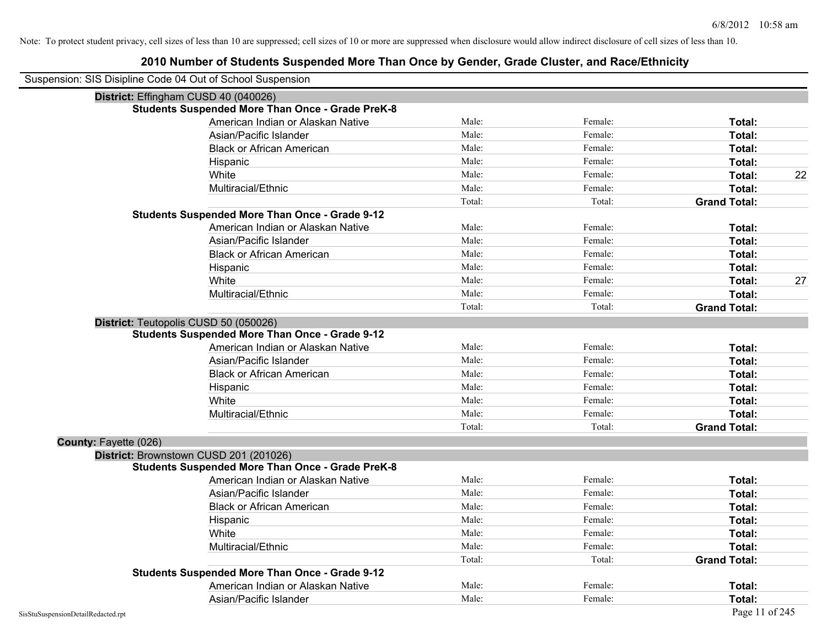| Suspension: SIS Disipline Code 04 Out of School Suspension |                                                         |        |         |                     |    |
|------------------------------------------------------------|---------------------------------------------------------|--------|---------|---------------------|----|
| District: Effingham CUSD 40 (040026)                       |                                                         |        |         |                     |    |
|                                                            | <b>Students Suspended More Than Once - Grade PreK-8</b> |        |         |                     |    |
|                                                            | American Indian or Alaskan Native                       | Male:  | Female: | Total:              |    |
|                                                            | Asian/Pacific Islander                                  | Male:  | Female: | Total:              |    |
|                                                            | <b>Black or African American</b>                        | Male:  | Female: | Total:              |    |
|                                                            | Hispanic                                                | Male:  | Female: | Total:              |    |
|                                                            | White                                                   | Male:  | Female: | Total:              | 22 |
|                                                            | Multiracial/Ethnic                                      | Male:  | Female: | Total:              |    |
|                                                            |                                                         | Total: | Total:  | <b>Grand Total:</b> |    |
|                                                            | <b>Students Suspended More Than Once - Grade 9-12</b>   |        |         |                     |    |
|                                                            | American Indian or Alaskan Native                       | Male:  | Female: | Total:              |    |
|                                                            | Asian/Pacific Islander                                  | Male:  | Female: | Total:              |    |
|                                                            | <b>Black or African American</b>                        | Male:  | Female: | Total:              |    |
|                                                            | Hispanic                                                | Male:  | Female: | Total:              |    |
|                                                            | White                                                   | Male:  | Female: | Total:              | 27 |
|                                                            | Multiracial/Ethnic                                      | Male:  | Female: | Total:              |    |
|                                                            |                                                         | Total: | Total:  | <b>Grand Total:</b> |    |
| District: Teutopolis CUSD 50 (050026)                      |                                                         |        |         |                     |    |
|                                                            | <b>Students Suspended More Than Once - Grade 9-12</b>   |        |         |                     |    |
|                                                            | American Indian or Alaskan Native                       | Male:  | Female: | Total:              |    |
|                                                            | Asian/Pacific Islander                                  | Male:  | Female: | Total:              |    |
|                                                            | <b>Black or African American</b>                        | Male:  | Female: | Total:              |    |
|                                                            | Hispanic                                                | Male:  | Female: | Total:              |    |
|                                                            | White                                                   | Male:  | Female: | Total:              |    |
|                                                            | Multiracial/Ethnic                                      | Male:  | Female: | Total:              |    |
|                                                            |                                                         | Total: | Total:  | <b>Grand Total:</b> |    |
| County: Fayette (026)                                      |                                                         |        |         |                     |    |
| District: Brownstown CUSD 201 (201026)                     |                                                         |        |         |                     |    |
|                                                            | <b>Students Suspended More Than Once - Grade PreK-8</b> |        |         |                     |    |
|                                                            | American Indian or Alaskan Native                       | Male:  | Female: | Total:              |    |
|                                                            | Asian/Pacific Islander                                  | Male:  | Female: | Total:              |    |
|                                                            | <b>Black or African American</b>                        | Male:  | Female: | Total:              |    |
|                                                            | Hispanic                                                | Male:  | Female: | Total:              |    |
|                                                            | White                                                   | Male:  | Female: | Total:              |    |
|                                                            | Multiracial/Ethnic                                      | Male:  | Female: | Total:              |    |
|                                                            |                                                         | Total: | Total:  | <b>Grand Total:</b> |    |
|                                                            | <b>Students Suspended More Than Once - Grade 9-12</b>   |        |         |                     |    |
|                                                            | American Indian or Alaskan Native                       | Male:  | Female: | Total:              |    |
|                                                            | Asian/Pacific Islander                                  | Male:  | Female: | Total:              |    |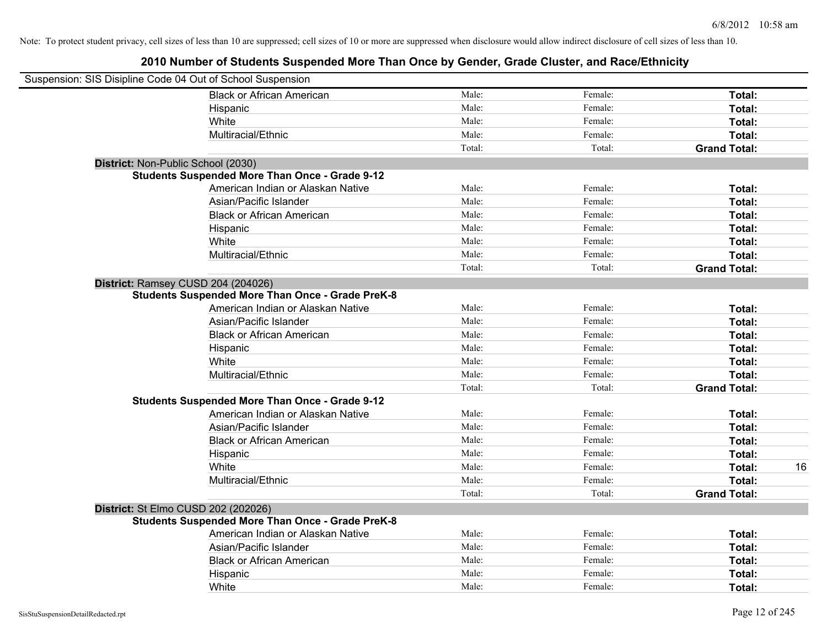| Suspension: SIS Disipline Code 04 Out of School Suspension |                                                         |        |         |                     |    |
|------------------------------------------------------------|---------------------------------------------------------|--------|---------|---------------------|----|
|                                                            | <b>Black or African American</b>                        | Male:  | Female: | Total:              |    |
|                                                            | Hispanic                                                | Male:  | Female: | Total:              |    |
|                                                            | White                                                   | Male:  | Female: | Total:              |    |
|                                                            | Multiracial/Ethnic                                      | Male:  | Female: | Total:              |    |
|                                                            |                                                         | Total: | Total:  | <b>Grand Total:</b> |    |
| District: Non-Public School (2030)                         |                                                         |        |         |                     |    |
|                                                            | <b>Students Suspended More Than Once - Grade 9-12</b>   |        |         |                     |    |
|                                                            | American Indian or Alaskan Native                       | Male:  | Female: | Total:              |    |
|                                                            | Asian/Pacific Islander                                  | Male:  | Female: | Total:              |    |
|                                                            | <b>Black or African American</b>                        | Male:  | Female: | Total:              |    |
|                                                            | Hispanic                                                | Male:  | Female: | Total:              |    |
|                                                            | White                                                   | Male:  | Female: | Total:              |    |
|                                                            | Multiracial/Ethnic                                      | Male:  | Female: | Total:              |    |
|                                                            |                                                         | Total: | Total:  | <b>Grand Total:</b> |    |
| District: Ramsey CUSD 204 (204026)                         |                                                         |        |         |                     |    |
|                                                            | <b>Students Suspended More Than Once - Grade PreK-8</b> |        |         |                     |    |
|                                                            | American Indian or Alaskan Native                       | Male:  | Female: | Total:              |    |
|                                                            | Asian/Pacific Islander                                  | Male:  | Female: | Total:              |    |
|                                                            | <b>Black or African American</b>                        | Male:  | Female: | Total:              |    |
|                                                            | Hispanic                                                | Male:  | Female: | Total:              |    |
|                                                            | White                                                   | Male:  | Female: | Total:              |    |
|                                                            | Multiracial/Ethnic                                      | Male:  | Female: | Total:              |    |
|                                                            |                                                         | Total: | Total:  | <b>Grand Total:</b> |    |
|                                                            | <b>Students Suspended More Than Once - Grade 9-12</b>   |        |         |                     |    |
|                                                            | American Indian or Alaskan Native                       | Male:  | Female: | Total:              |    |
|                                                            | Asian/Pacific Islander                                  | Male:  | Female: | Total:              |    |
|                                                            | <b>Black or African American</b>                        | Male:  | Female: | Total:              |    |
|                                                            | Hispanic                                                | Male:  | Female: | Total:              |    |
|                                                            | White                                                   | Male:  | Female: | Total:              | 16 |
|                                                            | Multiracial/Ethnic                                      | Male:  | Female: | Total:              |    |
|                                                            |                                                         | Total: | Total:  | <b>Grand Total:</b> |    |
| District: St Elmo CUSD 202 (202026)                        |                                                         |        |         |                     |    |
|                                                            | <b>Students Suspended More Than Once - Grade PreK-8</b> |        |         |                     |    |
|                                                            | American Indian or Alaskan Native                       | Male:  | Female: | Total:              |    |
|                                                            | Asian/Pacific Islander                                  | Male:  | Female: | Total:              |    |
|                                                            | <b>Black or African American</b>                        | Male:  | Female: | Total:              |    |
|                                                            | Hispanic                                                | Male:  | Female: | Total:              |    |
|                                                            | White                                                   | Male:  | Female: | Total:              |    |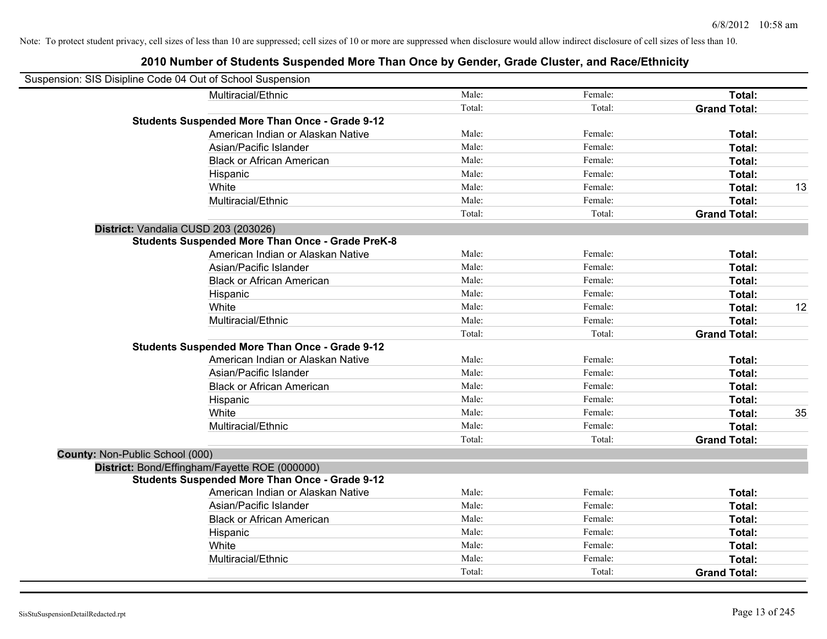| Suspension: SIS Disipline Code 04 Out of School Suspension |                                                         |        |         |                     |    |
|------------------------------------------------------------|---------------------------------------------------------|--------|---------|---------------------|----|
|                                                            | Multiracial/Ethnic                                      | Male:  | Female: | Total:              |    |
|                                                            |                                                         | Total: | Total:  | <b>Grand Total:</b> |    |
|                                                            | <b>Students Suspended More Than Once - Grade 9-12</b>   |        |         |                     |    |
|                                                            | American Indian or Alaskan Native                       | Male:  | Female: | Total:              |    |
|                                                            | Asian/Pacific Islander                                  | Male:  | Female: | Total:              |    |
|                                                            | <b>Black or African American</b>                        | Male:  | Female: | <b>Total:</b>       |    |
|                                                            | Hispanic                                                | Male:  | Female: | Total:              |    |
|                                                            | White                                                   | Male:  | Female: | Total:              | 13 |
|                                                            | Multiracial/Ethnic                                      | Male:  | Female: | Total:              |    |
|                                                            |                                                         | Total: | Total:  | <b>Grand Total:</b> |    |
| District: Vandalia CUSD 203 (203026)                       |                                                         |        |         |                     |    |
|                                                            | <b>Students Suspended More Than Once - Grade PreK-8</b> |        |         |                     |    |
|                                                            | American Indian or Alaskan Native                       | Male:  | Female: | Total:              |    |
|                                                            | Asian/Pacific Islander                                  | Male:  | Female: | Total:              |    |
|                                                            | <b>Black or African American</b>                        | Male:  | Female: | Total:              |    |
|                                                            | Hispanic                                                | Male:  | Female: | Total:              |    |
|                                                            | White                                                   | Male:  | Female: | Total:              | 12 |
|                                                            | Multiracial/Ethnic                                      | Male:  | Female: | Total:              |    |
|                                                            |                                                         | Total: | Total:  | <b>Grand Total:</b> |    |
|                                                            | <b>Students Suspended More Than Once - Grade 9-12</b>   |        |         |                     |    |
|                                                            | American Indian or Alaskan Native                       | Male:  | Female: | Total:              |    |
|                                                            | Asian/Pacific Islander                                  | Male:  | Female: | <b>Total:</b>       |    |
|                                                            | <b>Black or African American</b>                        | Male:  | Female: | Total:              |    |
|                                                            | Hispanic                                                | Male:  | Female: | Total:              |    |
|                                                            | White                                                   | Male:  | Female: | Total:              | 35 |
|                                                            | Multiracial/Ethnic                                      | Male:  | Female: | Total:              |    |
|                                                            |                                                         | Total: | Total:  | <b>Grand Total:</b> |    |
| County: Non-Public School (000)                            |                                                         |        |         |                     |    |
|                                                            | District: Bond/Effingham/Fayette ROE (000000)           |        |         |                     |    |
|                                                            | <b>Students Suspended More Than Once - Grade 9-12</b>   |        |         |                     |    |
|                                                            | American Indian or Alaskan Native                       | Male:  | Female: | Total:              |    |
|                                                            | Asian/Pacific Islander                                  | Male:  | Female: | Total:              |    |
|                                                            | <b>Black or African American</b>                        | Male:  | Female: | Total:              |    |
|                                                            | Hispanic                                                | Male:  | Female: | Total:              |    |
|                                                            | White                                                   | Male:  | Female: | Total:              |    |
|                                                            | Multiracial/Ethnic                                      | Male:  | Female: | Total:              |    |
|                                                            |                                                         | Total: | Total:  | <b>Grand Total:</b> |    |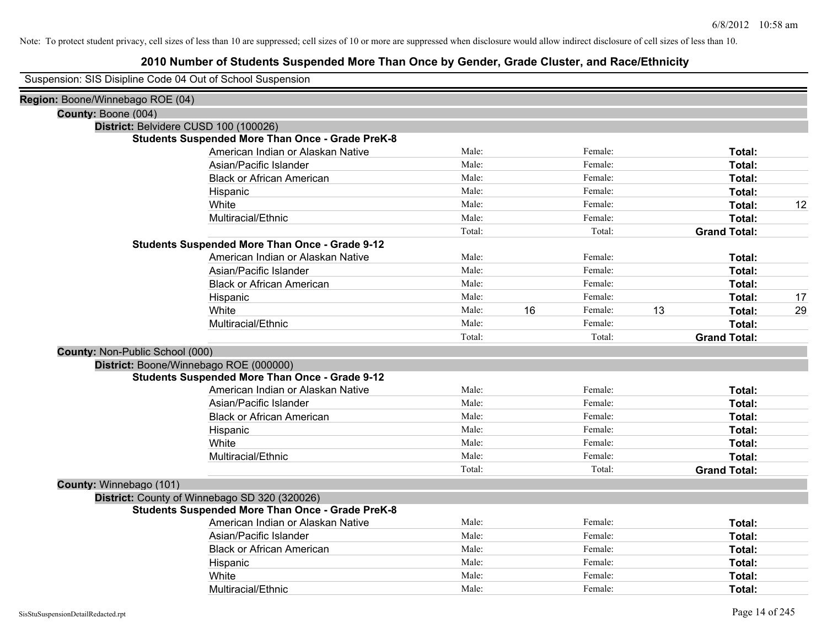| Suspension: SIS Disipline Code 04 Out of School Suspension |                                                         |        |    |         |    |                     |    |
|------------------------------------------------------------|---------------------------------------------------------|--------|----|---------|----|---------------------|----|
| Region: Boone/Winnebago ROE (04)                           |                                                         |        |    |         |    |                     |    |
| County: Boone (004)                                        |                                                         |        |    |         |    |                     |    |
| District: Belvidere CUSD 100 (100026)                      |                                                         |        |    |         |    |                     |    |
|                                                            | <b>Students Suspended More Than Once - Grade PreK-8</b> |        |    |         |    |                     |    |
|                                                            | American Indian or Alaskan Native                       | Male:  |    | Female: |    | Total:              |    |
|                                                            | Asian/Pacific Islander                                  | Male:  |    | Female: |    | Total:              |    |
|                                                            | <b>Black or African American</b>                        | Male:  |    | Female: |    | Total:              |    |
|                                                            | Hispanic                                                | Male:  |    | Female: |    | <b>Total:</b>       |    |
|                                                            | White                                                   | Male:  |    | Female: |    | Total:              | 12 |
|                                                            | Multiracial/Ethnic                                      | Male:  |    | Female: |    | <b>Total:</b>       |    |
|                                                            |                                                         | Total: |    | Total:  |    | <b>Grand Total:</b> |    |
|                                                            | <b>Students Suspended More Than Once - Grade 9-12</b>   |        |    |         |    |                     |    |
|                                                            | American Indian or Alaskan Native                       | Male:  |    | Female: |    | Total:              |    |
|                                                            | Asian/Pacific Islander                                  | Male:  |    | Female: |    | <b>Total:</b>       |    |
|                                                            | <b>Black or African American</b>                        | Male:  |    | Female: |    | Total:              |    |
|                                                            | Hispanic                                                | Male:  |    | Female: |    | Total:              | 17 |
|                                                            | White                                                   | Male:  | 16 | Female: | 13 | <b>Total:</b>       | 29 |
|                                                            | Multiracial/Ethnic                                      | Male:  |    | Female: |    | <b>Total:</b>       |    |
|                                                            |                                                         | Total: |    | Total:  |    | <b>Grand Total:</b> |    |
| County: Non-Public School (000)                            |                                                         |        |    |         |    |                     |    |
|                                                            | District: Boone/Winnebago ROE (000000)                  |        |    |         |    |                     |    |
|                                                            | <b>Students Suspended More Than Once - Grade 9-12</b>   |        |    |         |    |                     |    |
|                                                            | American Indian or Alaskan Native                       | Male:  |    | Female: |    | Total:              |    |
|                                                            | Asian/Pacific Islander                                  | Male:  |    | Female: |    | <b>Total:</b>       |    |
|                                                            | <b>Black or African American</b>                        | Male:  |    | Female: |    | <b>Total:</b>       |    |
|                                                            | Hispanic                                                | Male:  |    | Female: |    | Total:              |    |
|                                                            | White                                                   | Male:  |    | Female: |    | Total:              |    |
|                                                            | Multiracial/Ethnic                                      | Male:  |    | Female: |    | Total:              |    |
|                                                            |                                                         | Total: |    | Total:  |    | <b>Grand Total:</b> |    |
| County: Winnebago (101)                                    |                                                         |        |    |         |    |                     |    |
|                                                            | District: County of Winnebago SD 320 (320026)           |        |    |         |    |                     |    |
|                                                            | <b>Students Suspended More Than Once - Grade PreK-8</b> |        |    |         |    |                     |    |
|                                                            | American Indian or Alaskan Native                       | Male:  |    | Female: |    | Total:              |    |
|                                                            | Asian/Pacific Islander                                  | Male:  |    | Female: |    | Total:              |    |
|                                                            | <b>Black or African American</b>                        | Male:  |    | Female: |    | Total:              |    |
|                                                            | Hispanic                                                | Male:  |    | Female: |    | <b>Total:</b>       |    |
|                                                            | White                                                   | Male:  |    | Female: |    | Total:              |    |
|                                                            | Multiracial/Ethnic                                      | Male:  |    | Female: |    | Total:              |    |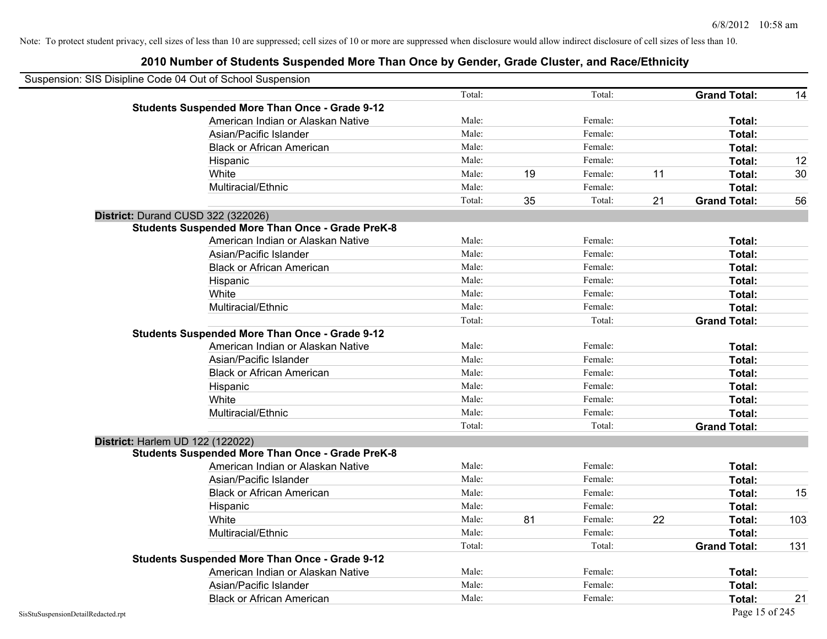| Suspension: SIS Disipline Code 04 Out of School Suspension |                                                         |        |    |         |    |                     |     |
|------------------------------------------------------------|---------------------------------------------------------|--------|----|---------|----|---------------------|-----|
|                                                            |                                                         | Total: |    | Total:  |    | <b>Grand Total:</b> | 14  |
|                                                            | <b>Students Suspended More Than Once - Grade 9-12</b>   |        |    |         |    |                     |     |
|                                                            | American Indian or Alaskan Native                       | Male:  |    | Female: |    | Total:              |     |
|                                                            | Asian/Pacific Islander                                  | Male:  |    | Female: |    | Total:              |     |
|                                                            | <b>Black or African American</b>                        | Male:  |    | Female: |    | Total:              |     |
|                                                            | Hispanic                                                | Male:  |    | Female: |    | Total:              | 12  |
|                                                            | White                                                   | Male:  | 19 | Female: | 11 | Total:              | 30  |
|                                                            | Multiracial/Ethnic                                      | Male:  |    | Female: |    | Total:              |     |
|                                                            |                                                         | Total: | 35 | Total:  | 21 | <b>Grand Total:</b> | 56  |
|                                                            | District: Durand CUSD 322 (322026)                      |        |    |         |    |                     |     |
|                                                            | <b>Students Suspended More Than Once - Grade PreK-8</b> |        |    |         |    |                     |     |
|                                                            | American Indian or Alaskan Native                       | Male:  |    | Female: |    | Total:              |     |
|                                                            | Asian/Pacific Islander                                  | Male:  |    | Female: |    | Total:              |     |
|                                                            | <b>Black or African American</b>                        | Male:  |    | Female: |    | Total:              |     |
|                                                            | Hispanic                                                | Male:  |    | Female: |    | Total:              |     |
|                                                            | White                                                   | Male:  |    | Female: |    | Total:              |     |
|                                                            | Multiracial/Ethnic                                      | Male:  |    | Female: |    | Total:              |     |
|                                                            |                                                         | Total: |    | Total:  |    | <b>Grand Total:</b> |     |
|                                                            | <b>Students Suspended More Than Once - Grade 9-12</b>   |        |    |         |    |                     |     |
|                                                            | American Indian or Alaskan Native                       | Male:  |    | Female: |    | Total:              |     |
|                                                            | Asian/Pacific Islander                                  | Male:  |    | Female: |    | Total:              |     |
|                                                            | <b>Black or African American</b>                        | Male:  |    | Female: |    | Total:              |     |
|                                                            | Hispanic                                                | Male:  |    | Female: |    | Total:              |     |
|                                                            | White                                                   | Male:  |    | Female: |    | Total:              |     |
|                                                            | Multiracial/Ethnic                                      | Male:  |    | Female: |    | Total:              |     |
|                                                            |                                                         | Total: |    | Total:  |    | <b>Grand Total:</b> |     |
| District: Harlem UD 122 (122022)                           |                                                         |        |    |         |    |                     |     |
|                                                            | <b>Students Suspended More Than Once - Grade PreK-8</b> |        |    |         |    |                     |     |
|                                                            | American Indian or Alaskan Native                       | Male:  |    | Female: |    | Total:              |     |
|                                                            | Asian/Pacific Islander                                  | Male:  |    | Female: |    | Total:              |     |
|                                                            | <b>Black or African American</b>                        | Male:  |    | Female: |    | Total:              | 15  |
|                                                            | Hispanic                                                | Male:  |    | Female: |    | Total:              |     |
|                                                            | White                                                   | Male:  | 81 | Female: | 22 | Total:              | 103 |
|                                                            | Multiracial/Ethnic                                      | Male:  |    | Female: |    | Total:              |     |
|                                                            |                                                         | Total: |    | Total:  |    | <b>Grand Total:</b> | 131 |
|                                                            | <b>Students Suspended More Than Once - Grade 9-12</b>   |        |    |         |    |                     |     |
|                                                            | American Indian or Alaskan Native                       | Male:  |    | Female: |    | Total:              |     |
|                                                            | Asian/Pacific Islander                                  | Male:  |    | Female: |    | Total:              |     |
|                                                            | <b>Black or African American</b>                        | Male:  |    | Female: |    | Total:              | 21  |
| SisStuSuspensionDetailRedacted.rpt                         |                                                         |        |    |         |    | Page 15 of 245      |     |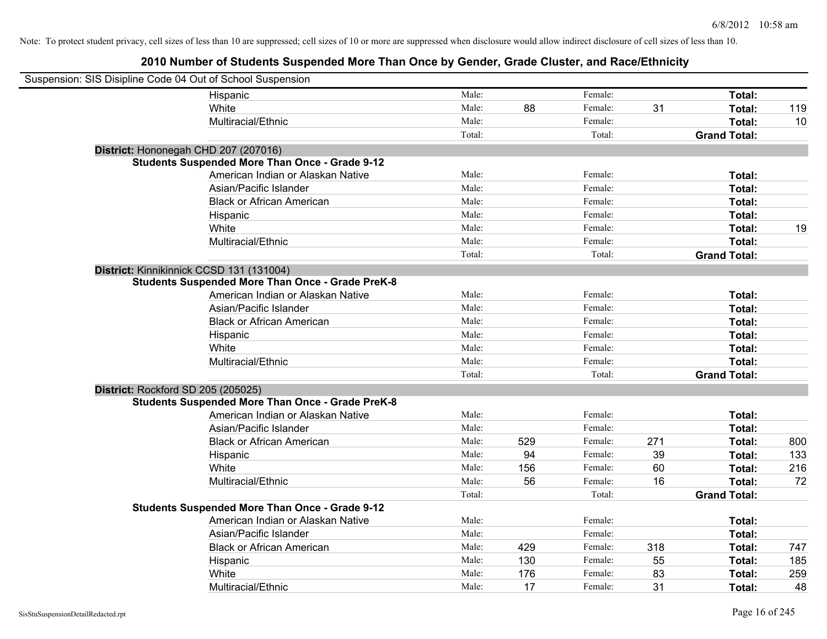| Suspension: SIS Disipline Code 04 Out of School Suspension |                                                         |        |     |         |     |                     |     |
|------------------------------------------------------------|---------------------------------------------------------|--------|-----|---------|-----|---------------------|-----|
|                                                            | Hispanic                                                | Male:  |     | Female: |     | Total:              |     |
|                                                            | White                                                   | Male:  | 88  | Female: | 31  | Total:              | 119 |
|                                                            | Multiracial/Ethnic                                      | Male:  |     | Female: |     | Total:              | 10  |
|                                                            |                                                         | Total: |     | Total:  |     | <b>Grand Total:</b> |     |
| District: Hononegah CHD 207 (207016)                       |                                                         |        |     |         |     |                     |     |
|                                                            | <b>Students Suspended More Than Once - Grade 9-12</b>   |        |     |         |     |                     |     |
|                                                            | American Indian or Alaskan Native                       | Male:  |     | Female: |     | Total:              |     |
|                                                            | Asian/Pacific Islander                                  | Male:  |     | Female: |     | Total:              |     |
|                                                            | <b>Black or African American</b>                        | Male:  |     | Female: |     | Total:              |     |
|                                                            | Hispanic                                                | Male:  |     | Female: |     | Total:              |     |
|                                                            | White                                                   | Male:  |     | Female: |     | Total:              | 19  |
|                                                            | Multiracial/Ethnic                                      | Male:  |     | Female: |     | Total:              |     |
|                                                            |                                                         | Total: |     | Total:  |     | <b>Grand Total:</b> |     |
| District: Kinnikinnick CCSD 131 (131004)                   |                                                         |        |     |         |     |                     |     |
|                                                            | <b>Students Suspended More Than Once - Grade PreK-8</b> |        |     |         |     |                     |     |
|                                                            | American Indian or Alaskan Native                       | Male:  |     | Female: |     | Total:              |     |
|                                                            | Asian/Pacific Islander                                  | Male:  |     | Female: |     | Total:              |     |
|                                                            | <b>Black or African American</b>                        | Male:  |     | Female: |     | Total:              |     |
|                                                            | Hispanic                                                | Male:  |     | Female: |     | Total:              |     |
|                                                            | White                                                   | Male:  |     | Female: |     | Total:              |     |
|                                                            | Multiracial/Ethnic                                      | Male:  |     | Female: |     | Total:              |     |
|                                                            |                                                         | Total: |     | Total:  |     | <b>Grand Total:</b> |     |
| District: Rockford SD 205 (205025)                         |                                                         |        |     |         |     |                     |     |
|                                                            | <b>Students Suspended More Than Once - Grade PreK-8</b> |        |     |         |     |                     |     |
|                                                            | American Indian or Alaskan Native                       | Male:  |     | Female: |     | Total:              |     |
|                                                            | Asian/Pacific Islander                                  | Male:  |     | Female: |     | Total:              |     |
|                                                            | <b>Black or African American</b>                        | Male:  | 529 | Female: | 271 | Total:              | 800 |
|                                                            | Hispanic                                                | Male:  | 94  | Female: | 39  | Total:              | 133 |
|                                                            | White                                                   | Male:  | 156 | Female: | 60  | Total:              | 216 |
|                                                            | Multiracial/Ethnic                                      | Male:  | 56  | Female: | 16  | Total:              | 72  |
|                                                            |                                                         | Total: |     | Total:  |     | <b>Grand Total:</b> |     |
|                                                            | <b>Students Suspended More Than Once - Grade 9-12</b>   |        |     |         |     |                     |     |
|                                                            | American Indian or Alaskan Native                       | Male:  |     | Female: |     | Total:              |     |
|                                                            | Asian/Pacific Islander                                  | Male:  |     | Female: |     | Total:              |     |
|                                                            | <b>Black or African American</b>                        | Male:  | 429 | Female: | 318 | Total:              | 747 |
|                                                            | Hispanic                                                | Male:  | 130 | Female: | 55  | Total:              | 185 |
|                                                            | White                                                   | Male:  | 176 | Female: | 83  | Total:              | 259 |
|                                                            | Multiracial/Ethnic                                      | Male:  | 17  | Female: | 31  | Total:              | 48  |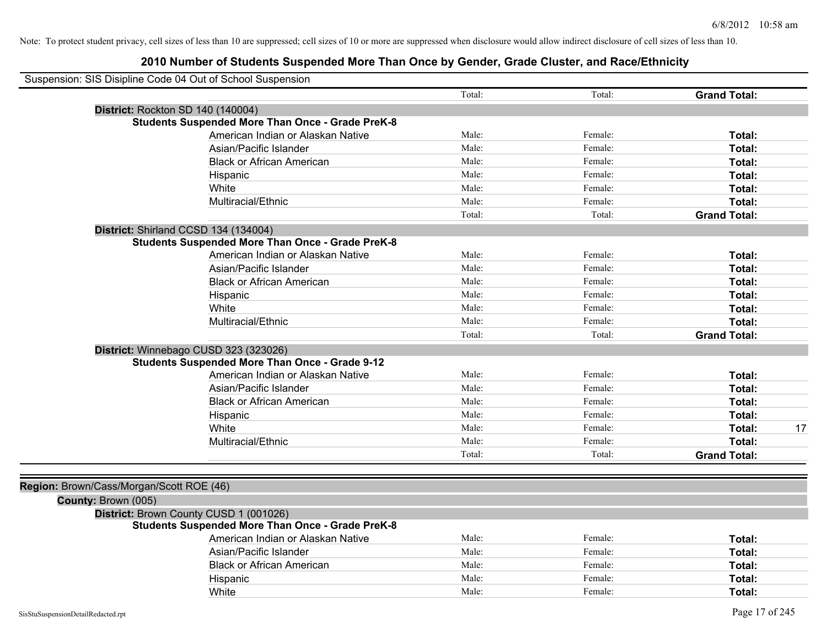| Suspension: SIS Disipline Code 04 Out of School Suspension |                                                         |        |         |                     |    |
|------------------------------------------------------------|---------------------------------------------------------|--------|---------|---------------------|----|
|                                                            |                                                         | Total: | Total:  | <b>Grand Total:</b> |    |
| District: Rockton SD 140 (140004)                          |                                                         |        |         |                     |    |
|                                                            | <b>Students Suspended More Than Once - Grade PreK-8</b> |        |         |                     |    |
|                                                            | American Indian or Alaskan Native                       | Male:  | Female: | Total:              |    |
| Asian/Pacific Islander                                     |                                                         | Male:  | Female: | Total:              |    |
|                                                            | <b>Black or African American</b>                        | Male:  | Female: | Total:              |    |
| Hispanic                                                   |                                                         | Male:  | Female: | Total:              |    |
| White                                                      |                                                         | Male:  | Female: | Total:              |    |
| Multiracial/Ethnic                                         |                                                         | Male:  | Female: | Total:              |    |
|                                                            |                                                         | Total: | Total:  | <b>Grand Total:</b> |    |
| District: Shirland CCSD 134 (134004)                       |                                                         |        |         |                     |    |
|                                                            | <b>Students Suspended More Than Once - Grade PreK-8</b> |        |         |                     |    |
|                                                            | American Indian or Alaskan Native                       | Male:  | Female: | Total:              |    |
| Asian/Pacific Islander                                     |                                                         | Male:  | Female: | Total:              |    |
|                                                            | <b>Black or African American</b>                        | Male:  | Female: | Total:              |    |
| Hispanic                                                   |                                                         | Male:  | Female: | Total:              |    |
| White                                                      |                                                         | Male:  | Female: | Total:              |    |
| Multiracial/Ethnic                                         |                                                         | Male:  | Female: | Total:              |    |
|                                                            |                                                         | Total: | Total:  | <b>Grand Total:</b> |    |
| District: Winnebago CUSD 323 (323026)                      |                                                         |        |         |                     |    |
| <b>Students Suspended More Than Once - Grade 9-12</b>      |                                                         |        |         |                     |    |
|                                                            | American Indian or Alaskan Native                       | Male:  | Female: | Total:              |    |
| Asian/Pacific Islander                                     |                                                         | Male:  | Female: | Total:              |    |
|                                                            | <b>Black or African American</b>                        | Male:  | Female: | Total:              |    |
| Hispanic                                                   |                                                         | Male:  | Female: | Total:              |    |
| White                                                      |                                                         | Male:  | Female: | Total:              | 17 |
| Multiracial/Ethnic                                         |                                                         | Male:  | Female: | Total:              |    |
|                                                            |                                                         | Total: | Total:  | <b>Grand Total:</b> |    |
|                                                            |                                                         |        |         |                     |    |
| Region: Brown/Cass/Morgan/Scott ROE (46)                   |                                                         |        |         |                     |    |
| County: Brown (005)                                        |                                                         |        |         |                     |    |
| District: Brown County CUSD 1 (001026)                     |                                                         |        |         |                     |    |
|                                                            | <b>Students Suspended More Than Once - Grade PreK-8</b> |        |         |                     |    |
|                                                            | American Indian or Alaskan Native                       | Male:  | Female: | Total:              |    |
| Asian/Pacific Islander                                     |                                                         | Male:  | Female: | Total:              |    |
|                                                            | <b>Black or African American</b>                        | Male:  | Female: | Total:              |    |
| Hispanic                                                   |                                                         | Male:  | Female: | Total:              |    |
| White                                                      |                                                         | Male:  | Female: | Total:              |    |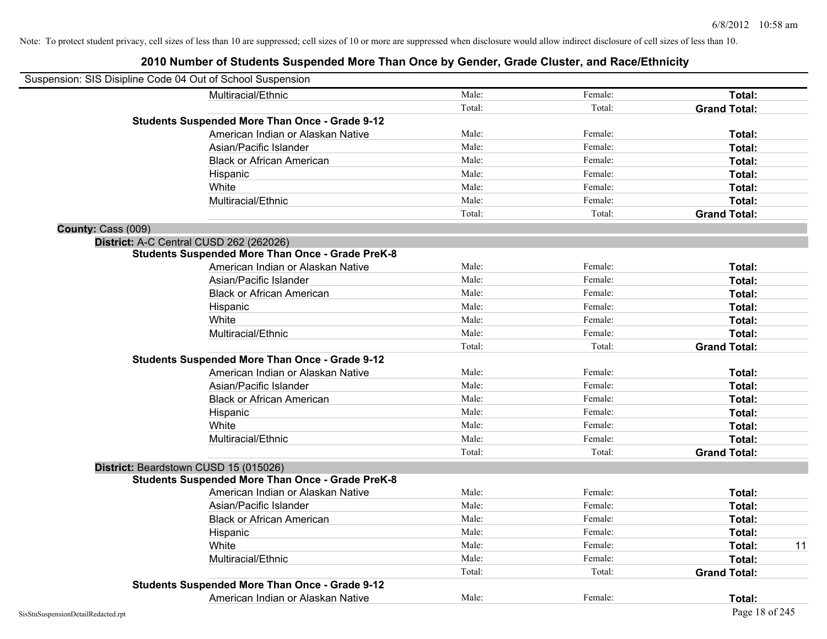| Suspension: SIS Disipline Code 04 Out of School Suspension |                                                         |        |         |                     |    |
|------------------------------------------------------------|---------------------------------------------------------|--------|---------|---------------------|----|
|                                                            | Multiracial/Ethnic                                      | Male:  | Female: | <b>Total:</b>       |    |
|                                                            |                                                         | Total: | Total:  | <b>Grand Total:</b> |    |
|                                                            | <b>Students Suspended More Than Once - Grade 9-12</b>   |        |         |                     |    |
|                                                            | American Indian or Alaskan Native                       | Male:  | Female: | Total:              |    |
|                                                            | Asian/Pacific Islander                                  | Male:  | Female: | Total:              |    |
|                                                            | <b>Black or African American</b>                        | Male:  | Female: | Total:              |    |
| Hispanic                                                   |                                                         | Male:  | Female: | Total:              |    |
| White                                                      |                                                         | Male:  | Female: | Total:              |    |
|                                                            | Multiracial/Ethnic                                      | Male:  | Female: | Total:              |    |
|                                                            |                                                         | Total: | Total:  | <b>Grand Total:</b> |    |
| County: Cass (009)                                         |                                                         |        |         |                     |    |
| District: A-C Central CUSD 262 (262026)                    |                                                         |        |         |                     |    |
|                                                            | <b>Students Suspended More Than Once - Grade PreK-8</b> |        |         |                     |    |
|                                                            | American Indian or Alaskan Native                       | Male:  | Female: | Total:              |    |
|                                                            | Asian/Pacific Islander                                  | Male:  | Female: | Total:              |    |
|                                                            | <b>Black or African American</b>                        | Male:  | Female: | Total:              |    |
| Hispanic                                                   |                                                         | Male:  | Female: | Total:              |    |
| White                                                      |                                                         | Male:  | Female: | Total:              |    |
|                                                            | Multiracial/Ethnic                                      | Male:  | Female: | Total:              |    |
|                                                            |                                                         | Total: | Total:  | <b>Grand Total:</b> |    |
|                                                            | <b>Students Suspended More Than Once - Grade 9-12</b>   |        |         |                     |    |
|                                                            | American Indian or Alaskan Native                       | Male:  | Female: | Total:              |    |
|                                                            | Asian/Pacific Islander                                  | Male:  | Female: | Total:              |    |
|                                                            | <b>Black or African American</b>                        | Male:  | Female: | Total:              |    |
| Hispanic                                                   |                                                         | Male:  | Female: | Total:              |    |
| White                                                      |                                                         | Male:  | Female: | Total:              |    |
|                                                            | Multiracial/Ethnic                                      | Male:  | Female: | Total:              |    |
|                                                            |                                                         | Total: | Total:  | <b>Grand Total:</b> |    |
| District: Beardstown CUSD 15 (015026)                      |                                                         |        |         |                     |    |
|                                                            | <b>Students Suspended More Than Once - Grade PreK-8</b> |        |         |                     |    |
|                                                            | American Indian or Alaskan Native                       | Male:  | Female: | Total:              |    |
|                                                            | Asian/Pacific Islander                                  | Male:  | Female: | Total:              |    |
|                                                            | <b>Black or African American</b>                        | Male:  | Female: | Total:              |    |
| Hispanic                                                   |                                                         | Male:  | Female: | Total:              |    |
| White                                                      |                                                         | Male:  | Female: | Total:              | 11 |
|                                                            | Multiracial/Ethnic                                      | Male:  | Female: | Total:              |    |
|                                                            |                                                         | Total: | Total:  | <b>Grand Total:</b> |    |
|                                                            | <b>Students Suspended More Than Once - Grade 9-12</b>   |        |         |                     |    |
|                                                            | American Indian or Alaskan Native                       | Male:  | Female: | Total:              |    |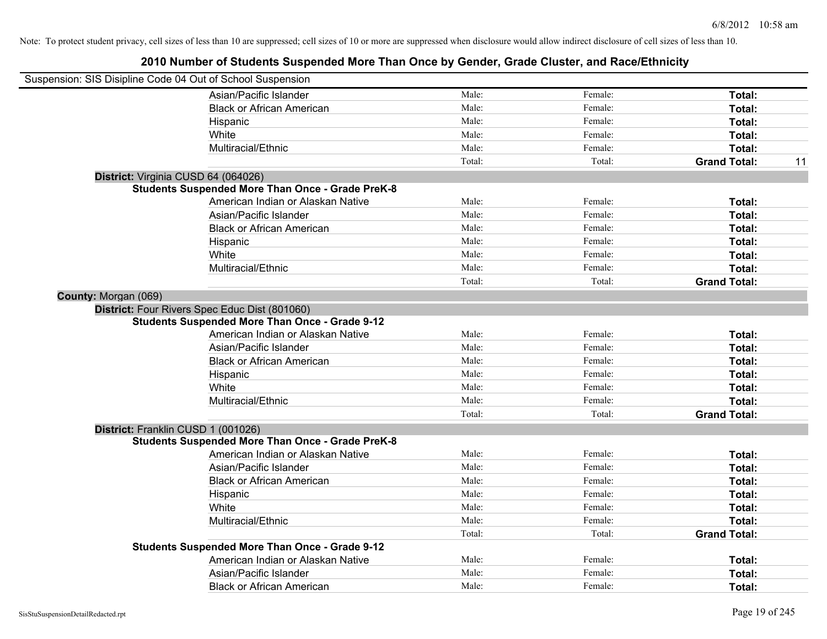| Suspension: SIS Disipline Code 04 Out of School Suspension |                                                         |        |         |                     |    |
|------------------------------------------------------------|---------------------------------------------------------|--------|---------|---------------------|----|
|                                                            | Asian/Pacific Islander                                  | Male:  | Female: | Total:              |    |
|                                                            | <b>Black or African American</b>                        | Male:  | Female: | Total:              |    |
|                                                            | Hispanic                                                | Male:  | Female: | Total:              |    |
|                                                            | White                                                   | Male:  | Female: | Total:              |    |
|                                                            | Multiracial/Ethnic                                      | Male:  | Female: | Total:              |    |
|                                                            |                                                         | Total: | Total:  | <b>Grand Total:</b> | 11 |
| District: Virginia CUSD 64 (064026)                        |                                                         |        |         |                     |    |
|                                                            | <b>Students Suspended More Than Once - Grade PreK-8</b> |        |         |                     |    |
|                                                            | American Indian or Alaskan Native                       | Male:  | Female: | Total:              |    |
|                                                            | Asian/Pacific Islander                                  | Male:  | Female: | Total:              |    |
|                                                            | <b>Black or African American</b>                        | Male:  | Female: | Total:              |    |
|                                                            | Hispanic                                                | Male:  | Female: | Total:              |    |
|                                                            | White                                                   | Male:  | Female: | Total:              |    |
|                                                            | Multiracial/Ethnic                                      | Male:  | Female: | Total:              |    |
|                                                            |                                                         | Total: | Total:  | <b>Grand Total:</b> |    |
| County: Morgan (069)                                       |                                                         |        |         |                     |    |
|                                                            | District: Four Rivers Spec Educ Dist (801060)           |        |         |                     |    |
|                                                            | <b>Students Suspended More Than Once - Grade 9-12</b>   |        |         |                     |    |
|                                                            | American Indian or Alaskan Native                       | Male:  | Female: | Total:              |    |
|                                                            | Asian/Pacific Islander                                  | Male:  | Female: | Total:              |    |
|                                                            | <b>Black or African American</b>                        | Male:  | Female: | Total:              |    |
|                                                            | Hispanic                                                | Male:  | Female: | Total:              |    |
|                                                            | White                                                   | Male:  | Female: | Total:              |    |
|                                                            | Multiracial/Ethnic                                      | Male:  | Female: | Total:              |    |
|                                                            |                                                         | Total: | Total:  | <b>Grand Total:</b> |    |
| District: Franklin CUSD 1 (001026)                         |                                                         |        |         |                     |    |
|                                                            | <b>Students Suspended More Than Once - Grade PreK-8</b> |        |         |                     |    |
|                                                            | American Indian or Alaskan Native                       | Male:  | Female: | Total:              |    |
|                                                            | Asian/Pacific Islander                                  | Male:  | Female: | Total:              |    |
|                                                            | <b>Black or African American</b>                        | Male:  | Female: | Total:              |    |
|                                                            | Hispanic                                                | Male:  | Female: | Total:              |    |
|                                                            | White                                                   | Male:  | Female: | Total:              |    |
|                                                            | Multiracial/Ethnic                                      | Male:  | Female: | Total:              |    |
|                                                            |                                                         | Total: | Total:  | <b>Grand Total:</b> |    |
|                                                            | <b>Students Suspended More Than Once - Grade 9-12</b>   |        |         |                     |    |
|                                                            | American Indian or Alaskan Native                       | Male:  | Female: | Total:              |    |
|                                                            | Asian/Pacific Islander                                  | Male:  | Female: | Total:              |    |
|                                                            | <b>Black or African American</b>                        | Male:  | Female: | Total:              |    |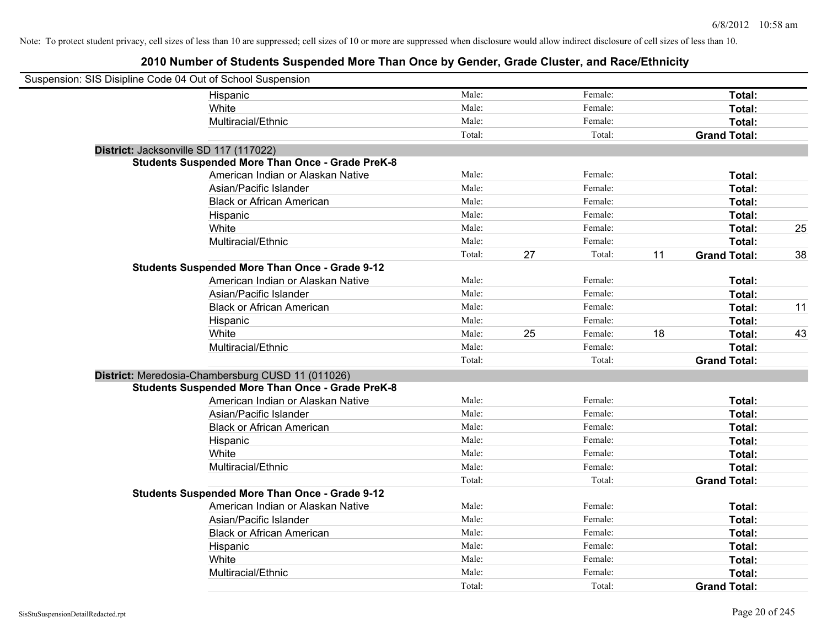| Suspension: SIS Disipline Code 04 Out of School Suspension |                                                         |        |    |         |    |                     |    |
|------------------------------------------------------------|---------------------------------------------------------|--------|----|---------|----|---------------------|----|
|                                                            | Hispanic                                                | Male:  |    | Female: |    | Total:              |    |
|                                                            | White                                                   | Male:  |    | Female: |    | Total:              |    |
|                                                            | Multiracial/Ethnic                                      | Male:  |    | Female: |    | Total:              |    |
|                                                            |                                                         | Total: |    | Total:  |    | <b>Grand Total:</b> |    |
| District: Jacksonville SD 117 (117022)                     |                                                         |        |    |         |    |                     |    |
|                                                            | <b>Students Suspended More Than Once - Grade PreK-8</b> |        |    |         |    |                     |    |
|                                                            | American Indian or Alaskan Native                       | Male:  |    | Female: |    | Total:              |    |
|                                                            | Asian/Pacific Islander                                  | Male:  |    | Female: |    | Total:              |    |
|                                                            | <b>Black or African American</b>                        | Male:  |    | Female: |    | Total:              |    |
|                                                            | Hispanic                                                | Male:  |    | Female: |    | Total:              |    |
|                                                            | White                                                   | Male:  |    | Female: |    | Total:              | 25 |
|                                                            | Multiracial/Ethnic                                      | Male:  |    | Female: |    | Total:              |    |
|                                                            |                                                         | Total: | 27 | Total:  | 11 | <b>Grand Total:</b> | 38 |
|                                                            | <b>Students Suspended More Than Once - Grade 9-12</b>   |        |    |         |    |                     |    |
|                                                            | American Indian or Alaskan Native                       | Male:  |    | Female: |    | Total:              |    |
|                                                            | Asian/Pacific Islander                                  | Male:  |    | Female: |    | Total:              |    |
|                                                            | <b>Black or African American</b>                        | Male:  |    | Female: |    | Total:              | 11 |
|                                                            | Hispanic                                                | Male:  |    | Female: |    | Total:              |    |
|                                                            | White                                                   | Male:  | 25 | Female: | 18 | Total:              | 43 |
|                                                            | Multiracial/Ethnic                                      | Male:  |    | Female: |    | Total:              |    |
|                                                            |                                                         | Total: |    | Total:  |    | <b>Grand Total:</b> |    |
|                                                            | District: Meredosia-Chambersburg CUSD 11 (011026)       |        |    |         |    |                     |    |
|                                                            | <b>Students Suspended More Than Once - Grade PreK-8</b> |        |    |         |    |                     |    |
|                                                            | American Indian or Alaskan Native                       | Male:  |    | Female: |    | Total:              |    |
|                                                            | Asian/Pacific Islander                                  | Male:  |    | Female: |    | Total:              |    |
|                                                            | <b>Black or African American</b>                        | Male:  |    | Female: |    | Total:              |    |
|                                                            | Hispanic                                                | Male:  |    | Female: |    | Total:              |    |
|                                                            | White                                                   | Male:  |    | Female: |    | Total:              |    |
|                                                            | Multiracial/Ethnic                                      | Male:  |    | Female: |    | Total:              |    |
|                                                            |                                                         | Total: |    | Total:  |    | <b>Grand Total:</b> |    |
|                                                            | <b>Students Suspended More Than Once - Grade 9-12</b>   |        |    |         |    |                     |    |
|                                                            | American Indian or Alaskan Native                       | Male:  |    | Female: |    | Total:              |    |
|                                                            | Asian/Pacific Islander                                  | Male:  |    | Female: |    | Total:              |    |
|                                                            | <b>Black or African American</b>                        | Male:  |    | Female: |    | Total:              |    |
|                                                            | Hispanic                                                | Male:  |    | Female: |    | Total:              |    |
|                                                            | White                                                   | Male:  |    | Female: |    | Total:              |    |
|                                                            | Multiracial/Ethnic                                      | Male:  |    | Female: |    | Total:              |    |
|                                                            |                                                         | Total: |    | Total:  |    | <b>Grand Total:</b> |    |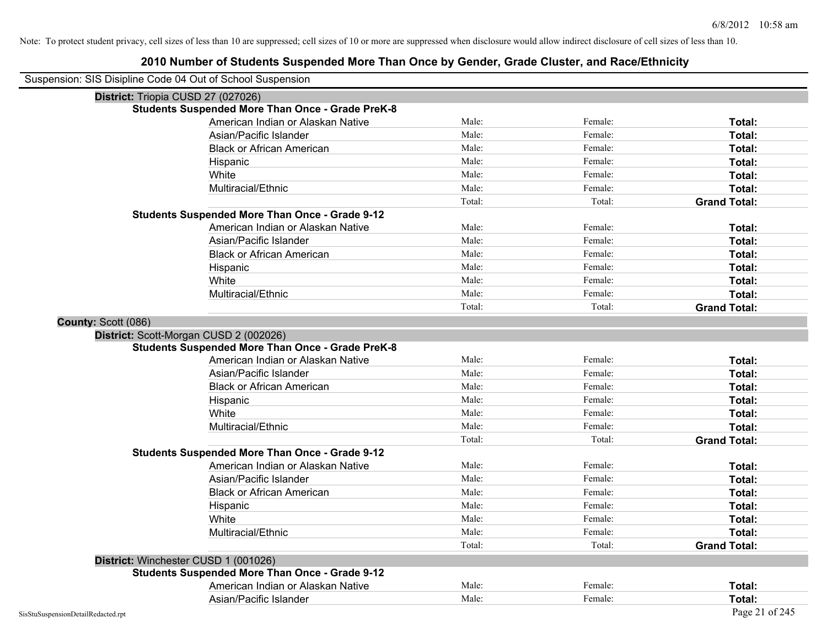| Suspension: SIS Disipline Code 04 Out of School Suspension |                                                         |        |         |                     |
|------------------------------------------------------------|---------------------------------------------------------|--------|---------|---------------------|
|                                                            | District: Triopia CUSD 27 (027026)                      |        |         |                     |
|                                                            | <b>Students Suspended More Than Once - Grade PreK-8</b> |        |         |                     |
|                                                            | American Indian or Alaskan Native                       | Male:  | Female: | Total:              |
|                                                            | Asian/Pacific Islander                                  | Male:  | Female: | Total:              |
|                                                            | <b>Black or African American</b>                        | Male:  | Female: | Total:              |
|                                                            | Hispanic                                                | Male:  | Female: | Total:              |
|                                                            | White                                                   | Male:  | Female: | Total:              |
|                                                            | Multiracial/Ethnic                                      | Male:  | Female: | Total:              |
|                                                            |                                                         | Total: | Total:  | <b>Grand Total:</b> |
|                                                            | <b>Students Suspended More Than Once - Grade 9-12</b>   |        |         |                     |
|                                                            | American Indian or Alaskan Native                       | Male:  | Female: | Total:              |
|                                                            | Asian/Pacific Islander                                  | Male:  | Female: | Total:              |
|                                                            | <b>Black or African American</b>                        | Male:  | Female: | Total:              |
|                                                            | Hispanic                                                | Male:  | Female: | Total:              |
|                                                            | White                                                   | Male:  | Female: | Total:              |
|                                                            | Multiracial/Ethnic                                      | Male:  | Female: | Total:              |
|                                                            |                                                         | Total: | Total:  | <b>Grand Total:</b> |
| County: Scott (086)                                        |                                                         |        |         |                     |
|                                                            | District: Scott-Morgan CUSD 2 (002026)                  |        |         |                     |
|                                                            | <b>Students Suspended More Than Once - Grade PreK-8</b> |        |         |                     |
|                                                            | American Indian or Alaskan Native                       | Male:  | Female: | Total:              |
|                                                            | Asian/Pacific Islander                                  | Male:  | Female: | Total:              |
|                                                            | <b>Black or African American</b>                        | Male:  | Female: | Total:              |
|                                                            | Hispanic                                                | Male:  | Female: | Total:              |
|                                                            | White                                                   | Male:  | Female: | Total:              |
|                                                            | Multiracial/Ethnic                                      | Male:  | Female: | Total:              |
|                                                            |                                                         | Total: | Total:  | <b>Grand Total:</b> |
|                                                            | <b>Students Suspended More Than Once - Grade 9-12</b>   |        |         |                     |
|                                                            | American Indian or Alaskan Native                       | Male:  | Female: | Total:              |
|                                                            | Asian/Pacific Islander                                  | Male:  | Female: | Total:              |
|                                                            | <b>Black or African American</b>                        | Male:  | Female: | Total:              |
|                                                            | Hispanic                                                | Male:  | Female: | Total:              |
|                                                            | White                                                   | Male:  | Female: | Total:              |
|                                                            | Multiracial/Ethnic                                      | Male:  | Female: | Total:              |
|                                                            |                                                         | Total: | Total:  | <b>Grand Total:</b> |
|                                                            | District: Winchester CUSD 1 (001026)                    |        |         |                     |
|                                                            | <b>Students Suspended More Than Once - Grade 9-12</b>   |        |         |                     |
|                                                            | American Indian or Alaskan Native                       | Male:  | Female: | Total:              |
|                                                            | Asian/Pacific Islander                                  | Male:  | Female: | Total:              |
| SisStuSuspensionDetailRedacted.rpt                         |                                                         |        |         | Page 21 of 245      |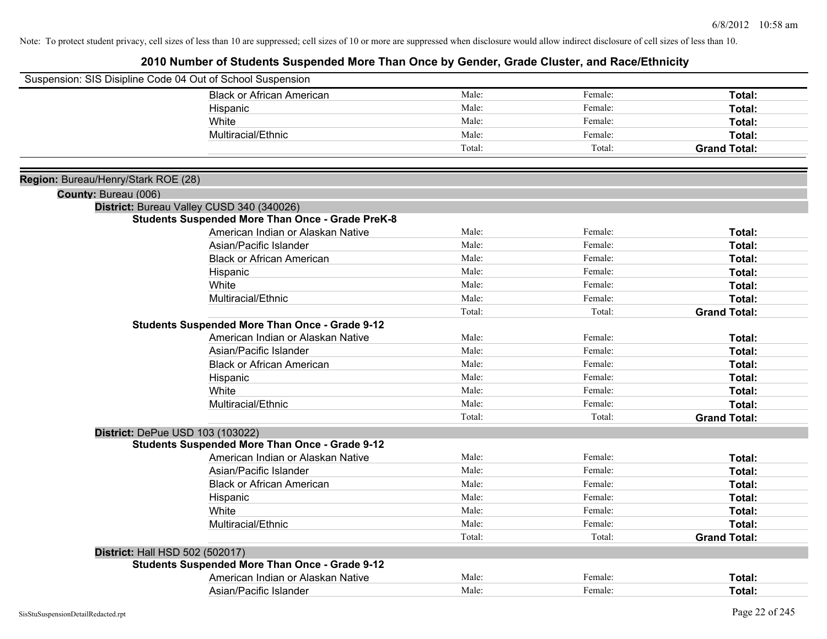|                                     | Suspension: SIS Disipline Code 04 Out of School Suspension |        |         |                     |
|-------------------------------------|------------------------------------------------------------|--------|---------|---------------------|
|                                     | <b>Black or African American</b>                           | Male:  | Female: | Total:              |
|                                     | Hispanic                                                   | Male:  | Female: | Total:              |
|                                     | White                                                      | Male:  | Female: | Total:              |
|                                     | Multiracial/Ethnic                                         | Male:  | Female: | Total:              |
|                                     |                                                            | Total: | Total:  | <b>Grand Total:</b> |
|                                     |                                                            |        |         |                     |
| Region: Bureau/Henry/Stark ROE (28) |                                                            |        |         |                     |
| County: Bureau (006)                |                                                            |        |         |                     |
|                                     | District: Bureau Valley CUSD 340 (340026)                  |        |         |                     |
|                                     | <b>Students Suspended More Than Once - Grade PreK-8</b>    |        |         |                     |
|                                     | American Indian or Alaskan Native                          | Male:  | Female: | Total:              |
|                                     | Asian/Pacific Islander                                     | Male:  | Female: | Total:              |
|                                     | <b>Black or African American</b>                           | Male:  | Female: | Total:              |
|                                     | Hispanic                                                   | Male:  | Female: | Total:              |
|                                     | White                                                      | Male:  | Female: | Total:              |
|                                     | Multiracial/Ethnic                                         | Male:  | Female: | Total:              |
|                                     |                                                            | Total: | Total:  | <b>Grand Total:</b> |
|                                     | <b>Students Suspended More Than Once - Grade 9-12</b>      |        |         |                     |
|                                     | American Indian or Alaskan Native                          | Male:  | Female: | Total:              |
|                                     | Asian/Pacific Islander                                     | Male:  | Female: | Total:              |
|                                     | <b>Black or African American</b>                           | Male:  | Female: | Total:              |
|                                     | Hispanic                                                   | Male:  | Female: | Total:              |
|                                     | White                                                      | Male:  | Female: | Total:              |
|                                     | Multiracial/Ethnic                                         | Male:  | Female: | Total:              |
|                                     |                                                            | Total: | Total:  | <b>Grand Total:</b> |
|                                     | District: DePue USD 103 (103022)                           |        |         |                     |
|                                     | <b>Students Suspended More Than Once - Grade 9-12</b>      |        |         |                     |
|                                     | American Indian or Alaskan Native                          | Male:  | Female: | Total:              |
|                                     | Asian/Pacific Islander                                     | Male:  | Female: | Total:              |
|                                     | <b>Black or African American</b>                           | Male:  | Female: | Total:              |
|                                     | Hispanic                                                   | Male:  | Female: | Total:              |
|                                     | White                                                      | Male:  | Female: | Total:              |
|                                     | Multiracial/Ethnic                                         | Male:  | Female: | Total:              |
|                                     |                                                            | Total: | Total:  | <b>Grand Total:</b> |
|                                     | District: Hall HSD 502 (502017)                            |        |         |                     |
|                                     | <b>Students Suspended More Than Once - Grade 9-12</b>      |        |         |                     |
|                                     | American Indian or Alaskan Native                          | Male:  | Female: | Total:              |
|                                     | Asian/Pacific Islander                                     | Male:  | Female: | Total:              |
|                                     |                                                            |        |         |                     |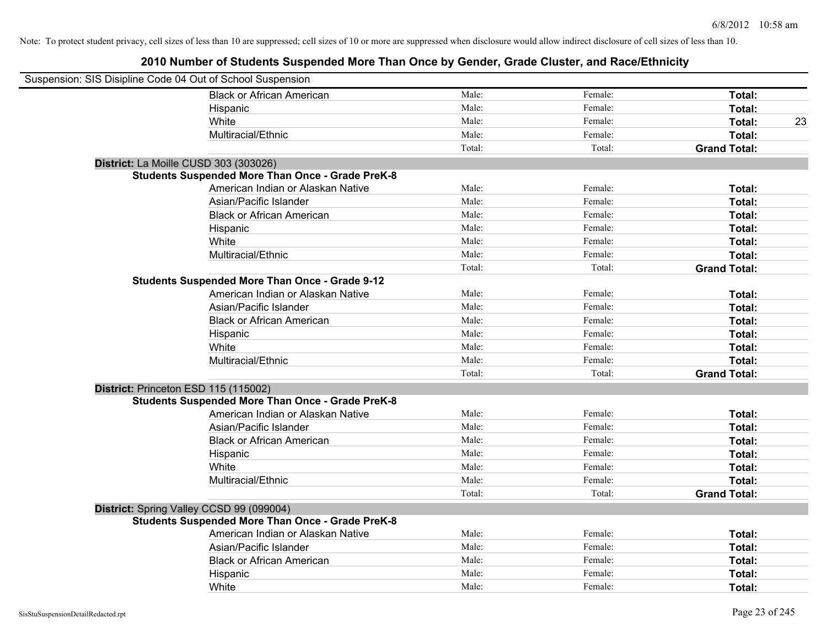| Suspension: SIS Disipline Code 04 Out of School Suspension |                                                         |        |         |                     |    |
|------------------------------------------------------------|---------------------------------------------------------|--------|---------|---------------------|----|
|                                                            | <b>Black or African American</b>                        | Male:  | Female: | Total:              |    |
|                                                            | Hispanic                                                | Male:  | Female: | Total:              |    |
|                                                            | White                                                   | Male:  | Female: | Total:              | 23 |
|                                                            | Multiracial/Ethnic                                      | Male:  | Female: | Total:              |    |
|                                                            |                                                         | Total: | Total:  | <b>Grand Total:</b> |    |
| District: La Moille CUSD 303 (303026)                      |                                                         |        |         |                     |    |
|                                                            | <b>Students Suspended More Than Once - Grade PreK-8</b> |        |         |                     |    |
|                                                            | American Indian or Alaskan Native                       | Male:  | Female: | Total:              |    |
|                                                            | Asian/Pacific Islander                                  | Male:  | Female: | Total:              |    |
|                                                            | <b>Black or African American</b>                        | Male:  | Female: | Total:              |    |
|                                                            | Hispanic                                                | Male:  | Female: | Total:              |    |
|                                                            | White                                                   | Male:  | Female: | Total:              |    |
|                                                            | Multiracial/Ethnic                                      | Male:  | Female: | Total:              |    |
|                                                            |                                                         | Total: | Total:  | <b>Grand Total:</b> |    |
|                                                            | <b>Students Suspended More Than Once - Grade 9-12</b>   |        |         |                     |    |
|                                                            | American Indian or Alaskan Native                       | Male:  | Female: | Total:              |    |
|                                                            | Asian/Pacific Islander                                  | Male:  | Female: | Total:              |    |
|                                                            | <b>Black or African American</b>                        | Male:  | Female: | Total:              |    |
|                                                            | Hispanic                                                | Male:  | Female: | Total:              |    |
|                                                            | White                                                   | Male:  | Female: | Total:              |    |
|                                                            | Multiracial/Ethnic                                      | Male:  | Female: | Total:              |    |
|                                                            |                                                         | Total: | Total:  | <b>Grand Total:</b> |    |
| District: Princeton ESD 115 (115002)                       |                                                         |        |         |                     |    |
|                                                            | <b>Students Suspended More Than Once - Grade PreK-8</b> |        |         |                     |    |
|                                                            | American Indian or Alaskan Native                       | Male:  | Female: | Total:              |    |
|                                                            | Asian/Pacific Islander                                  | Male:  | Female: | Total:              |    |
|                                                            | <b>Black or African American</b>                        | Male:  | Female: | Total:              |    |
|                                                            | Hispanic                                                | Male:  | Female: | Total:              |    |
|                                                            | White                                                   | Male:  | Female: | Total:              |    |
|                                                            | Multiracial/Ethnic                                      | Male:  | Female: | Total:              |    |
|                                                            |                                                         | Total: | Total:  | <b>Grand Total:</b> |    |
|                                                            | District: Spring Valley CCSD 99 (099004)                |        |         |                     |    |
|                                                            | <b>Students Suspended More Than Once - Grade PreK-8</b> |        |         |                     |    |
|                                                            | American Indian or Alaskan Native                       | Male:  | Female: | Total:              |    |
|                                                            | Asian/Pacific Islander                                  | Male:  | Female: | Total:              |    |
|                                                            | <b>Black or African American</b>                        | Male:  | Female: | Total:              |    |
|                                                            | Hispanic                                                | Male:  | Female: | Total:              |    |
|                                                            | White                                                   | Male:  | Female: | Total:              |    |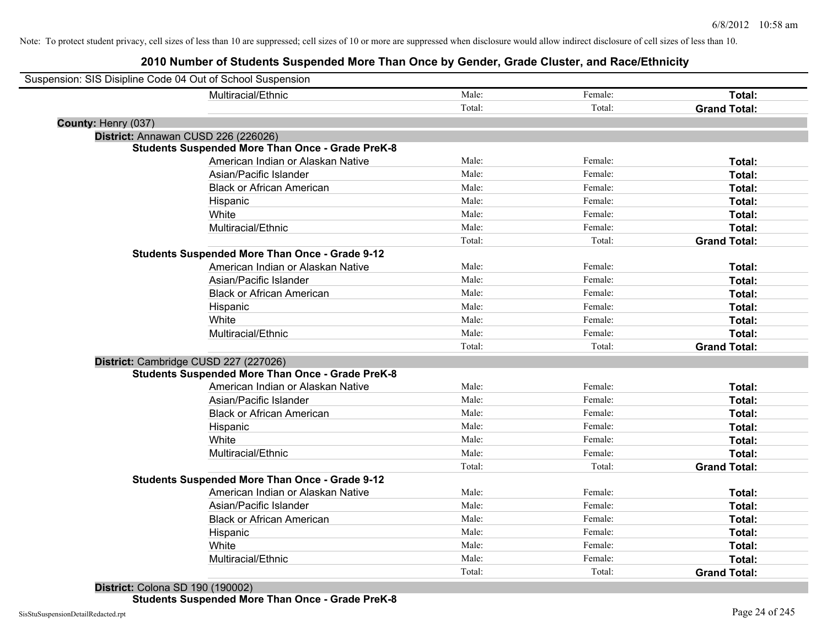| Suspension: SIS Disipline Code 04 Out of School Suspension |                                                         |        |         |                     |
|------------------------------------------------------------|---------------------------------------------------------|--------|---------|---------------------|
|                                                            | Multiracial/Ethnic                                      | Male:  | Female: | Total:              |
|                                                            |                                                         | Total: | Total:  | <b>Grand Total:</b> |
| County: Henry (037)                                        |                                                         |        |         |                     |
| District: Annawan CUSD 226 (226026)                        |                                                         |        |         |                     |
|                                                            | <b>Students Suspended More Than Once - Grade PreK-8</b> |        |         |                     |
|                                                            | American Indian or Alaskan Native                       | Male:  | Female: | Total:              |
|                                                            | Asian/Pacific Islander                                  | Male:  | Female: | Total:              |
|                                                            | <b>Black or African American</b>                        | Male:  | Female: | Total:              |
|                                                            | Hispanic                                                | Male:  | Female: | Total:              |
|                                                            | White                                                   | Male:  | Female: | Total:              |
|                                                            | Multiracial/Ethnic                                      | Male:  | Female: | Total:              |
|                                                            |                                                         | Total: | Total:  | <b>Grand Total:</b> |
|                                                            | <b>Students Suspended More Than Once - Grade 9-12</b>   |        |         |                     |
|                                                            | American Indian or Alaskan Native                       | Male:  | Female: | Total:              |
|                                                            | Asian/Pacific Islander                                  | Male:  | Female: | Total:              |
|                                                            | <b>Black or African American</b>                        | Male:  | Female: | Total:              |
|                                                            | Hispanic                                                | Male:  | Female: | Total:              |
|                                                            | White                                                   | Male:  | Female: | Total:              |
|                                                            | Multiracial/Ethnic                                      | Male:  | Female: | <b>Total:</b>       |
|                                                            |                                                         | Total: | Total:  | <b>Grand Total:</b> |
| District: Cambridge CUSD 227 (227026)                      |                                                         |        |         |                     |
|                                                            | <b>Students Suspended More Than Once - Grade PreK-8</b> |        |         |                     |
|                                                            | American Indian or Alaskan Native                       | Male:  | Female: | Total:              |
|                                                            | Asian/Pacific Islander                                  | Male:  | Female: | Total:              |
|                                                            | <b>Black or African American</b>                        | Male:  | Female: | Total:              |
|                                                            | Hispanic                                                | Male:  | Female: | Total:              |
|                                                            | White                                                   | Male:  | Female: | Total:              |
|                                                            | Multiracial/Ethnic                                      | Male:  | Female: | Total:              |
|                                                            |                                                         | Total: | Total:  | <b>Grand Total:</b> |
|                                                            | <b>Students Suspended More Than Once - Grade 9-12</b>   |        |         |                     |
|                                                            | American Indian or Alaskan Native                       | Male:  | Female: | Total:              |
|                                                            | Asian/Pacific Islander                                  | Male:  | Female: | Total:              |
|                                                            | <b>Black or African American</b>                        | Male:  | Female: | Total:              |
|                                                            | Hispanic                                                | Male:  | Female: | Total:              |
|                                                            | White                                                   | Male:  | Female: | Total:              |
|                                                            | Multiracial/Ethnic                                      | Male:  | Female: | Total:              |
|                                                            |                                                         | Total: | Total:  | <b>Grand Total:</b> |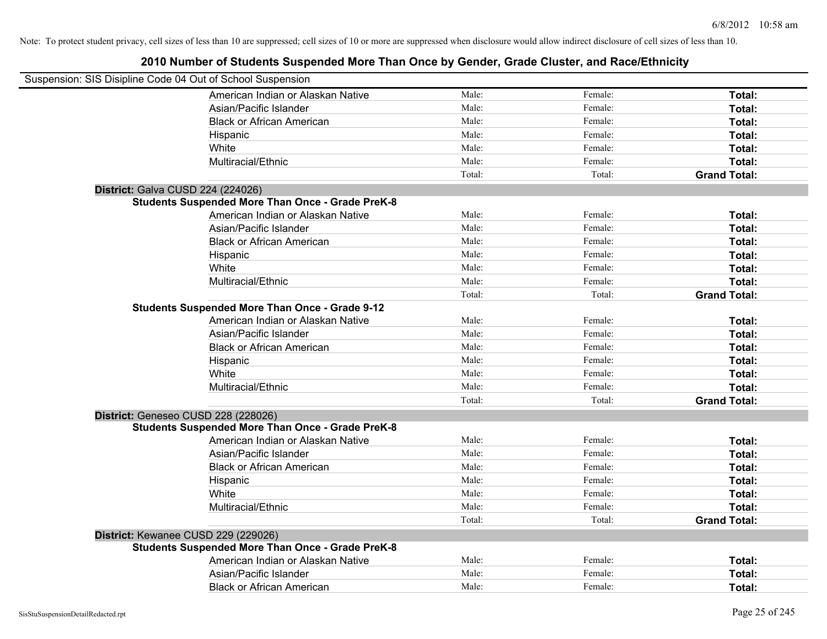| Suspension: SIS Disipline Code 04 Out of School Suspension |                                                         |        |         |                     |
|------------------------------------------------------------|---------------------------------------------------------|--------|---------|---------------------|
|                                                            | American Indian or Alaskan Native                       | Male:  | Female: | Total:              |
|                                                            | Asian/Pacific Islander                                  | Male:  | Female: | Total:              |
|                                                            | <b>Black or African American</b>                        | Male:  | Female: | Total:              |
|                                                            | Hispanic                                                | Male:  | Female: | Total:              |
|                                                            | White                                                   | Male:  | Female: | Total:              |
|                                                            | Multiracial/Ethnic                                      | Male:  | Female: | Total:              |
|                                                            |                                                         | Total: | Total:  | <b>Grand Total:</b> |
| District: Galva CUSD 224 (224026)                          |                                                         |        |         |                     |
|                                                            | <b>Students Suspended More Than Once - Grade PreK-8</b> |        |         |                     |
|                                                            | American Indian or Alaskan Native                       | Male:  | Female: | Total:              |
|                                                            | Asian/Pacific Islander                                  | Male:  | Female: | Total:              |
|                                                            | <b>Black or African American</b>                        | Male:  | Female: | Total:              |
|                                                            | Hispanic                                                | Male:  | Female: | Total:              |
|                                                            | White                                                   | Male:  | Female: | Total:              |
|                                                            | Multiracial/Ethnic                                      | Male:  | Female: | Total:              |
|                                                            |                                                         | Total: | Total:  | <b>Grand Total:</b> |
|                                                            | <b>Students Suspended More Than Once - Grade 9-12</b>   |        |         |                     |
|                                                            | American Indian or Alaskan Native                       | Male:  | Female: | Total:              |
|                                                            | Asian/Pacific Islander                                  | Male:  | Female: | Total:              |
|                                                            | <b>Black or African American</b>                        | Male:  | Female: | Total:              |
|                                                            | Hispanic                                                | Male:  | Female: | Total:              |
|                                                            | White                                                   | Male:  | Female: | Total:              |
|                                                            | Multiracial/Ethnic                                      | Male:  | Female: | Total:              |
|                                                            |                                                         | Total: | Total:  | <b>Grand Total:</b> |
| District: Geneseo CUSD 228 (228026)                        |                                                         |        |         |                     |
|                                                            | <b>Students Suspended More Than Once - Grade PreK-8</b> |        |         |                     |
|                                                            | American Indian or Alaskan Native                       | Male:  | Female: | Total:              |
|                                                            | Asian/Pacific Islander                                  | Male:  | Female: | Total:              |
|                                                            | <b>Black or African American</b>                        | Male:  | Female: | Total:              |
|                                                            | Hispanic                                                | Male:  | Female: | Total:              |
|                                                            | White                                                   | Male:  | Female: | Total:              |
|                                                            | Multiracial/Ethnic                                      | Male:  | Female: | Total:              |
|                                                            |                                                         | Total: | Total:  | <b>Grand Total:</b> |
| District: Kewanee CUSD 229 (229026)                        |                                                         |        |         |                     |
|                                                            | <b>Students Suspended More Than Once - Grade PreK-8</b> |        |         |                     |
|                                                            | American Indian or Alaskan Native                       | Male:  | Female: | Total:              |
|                                                            | Asian/Pacific Islander                                  | Male:  | Female: | Total:              |
|                                                            | <b>Black or African American</b>                        | Male:  | Female: | Total:              |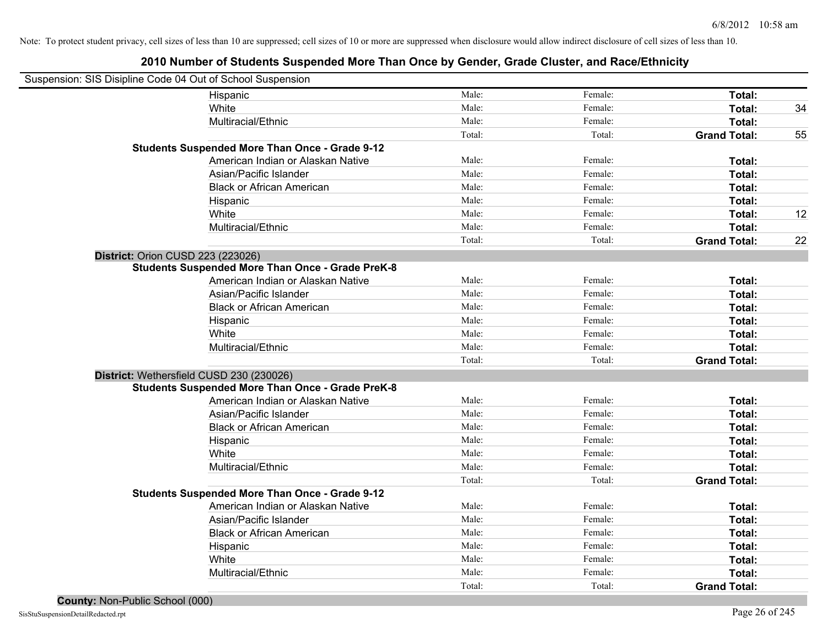| Suspension: SIS Disipline Code 04 Out of School Suspension |                                                         |        |         |                     |    |
|------------------------------------------------------------|---------------------------------------------------------|--------|---------|---------------------|----|
|                                                            | Hispanic                                                | Male:  | Female: | Total:              |    |
|                                                            | White                                                   | Male:  | Female: | Total:              | 34 |
|                                                            | Multiracial/Ethnic                                      | Male:  | Female: | Total:              |    |
|                                                            |                                                         | Total: | Total:  | <b>Grand Total:</b> | 55 |
|                                                            | <b>Students Suspended More Than Once - Grade 9-12</b>   |        |         |                     |    |
|                                                            | American Indian or Alaskan Native                       | Male:  | Female: | Total:              |    |
|                                                            | Asian/Pacific Islander                                  | Male:  | Female: | Total:              |    |
|                                                            | <b>Black or African American</b>                        | Male:  | Female: | Total:              |    |
|                                                            | Hispanic                                                | Male:  | Female: | Total:              |    |
|                                                            | White                                                   | Male:  | Female: | Total:              | 12 |
|                                                            | Multiracial/Ethnic                                      | Male:  | Female: | Total:              |    |
|                                                            |                                                         | Total: | Total:  | <b>Grand Total:</b> | 22 |
| <b>District: Orion CUSD 223 (223026)</b>                   |                                                         |        |         |                     |    |
|                                                            | <b>Students Suspended More Than Once - Grade PreK-8</b> |        |         |                     |    |
|                                                            | American Indian or Alaskan Native                       | Male:  | Female: | Total:              |    |
|                                                            | Asian/Pacific Islander                                  | Male:  | Female: | Total:              |    |
|                                                            | <b>Black or African American</b>                        | Male:  | Female: | Total:              |    |
|                                                            | Hispanic                                                | Male:  | Female: | Total:              |    |
|                                                            | White                                                   | Male:  | Female: | Total:              |    |
|                                                            | Multiracial/Ethnic                                      | Male:  | Female: | Total:              |    |
|                                                            |                                                         | Total: | Total:  | <b>Grand Total:</b> |    |
| District: Wethersfield CUSD 230 (230026)                   |                                                         |        |         |                     |    |
|                                                            | <b>Students Suspended More Than Once - Grade PreK-8</b> |        |         |                     |    |
|                                                            | American Indian or Alaskan Native                       | Male:  | Female: | Total:              |    |
|                                                            | Asian/Pacific Islander                                  | Male:  | Female: | Total:              |    |
|                                                            | <b>Black or African American</b>                        | Male:  | Female: | Total:              |    |
|                                                            | Hispanic                                                | Male:  | Female: | Total:              |    |
|                                                            | White                                                   | Male:  | Female: | Total:              |    |
|                                                            | Multiracial/Ethnic                                      | Male:  | Female: | Total:              |    |
|                                                            |                                                         | Total: | Total:  | <b>Grand Total:</b> |    |
|                                                            | <b>Students Suspended More Than Once - Grade 9-12</b>   |        |         |                     |    |
|                                                            | American Indian or Alaskan Native                       | Male:  | Female: | Total:              |    |
|                                                            | Asian/Pacific Islander                                  | Male:  | Female: | Total:              |    |
|                                                            | <b>Black or African American</b>                        | Male:  | Female: | Total:              |    |
|                                                            | Hispanic                                                | Male:  | Female: | Total:              |    |
|                                                            | White                                                   | Male:  | Female: | Total:              |    |
|                                                            | Multiracial/Ethnic                                      | Male:  | Female: | Total:              |    |
|                                                            |                                                         | Total: | Total:  | <b>Grand Total:</b> |    |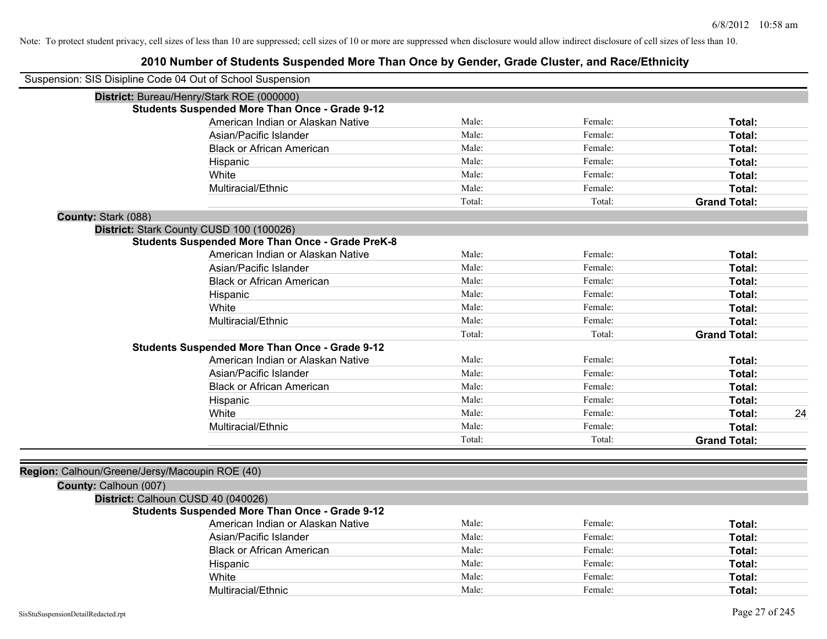| Suspension: SIS Disipline Code 04 Out of School Suspension |        |         |                     |    |
|------------------------------------------------------------|--------|---------|---------------------|----|
| District: Bureau/Henry/Stark ROE (000000)                  |        |         |                     |    |
| <b>Students Suspended More Than Once - Grade 9-12</b>      |        |         |                     |    |
| American Indian or Alaskan Native                          | Male:  | Female: | Total:              |    |
| Asian/Pacific Islander                                     | Male:  | Female: | Total:              |    |
| <b>Black or African American</b>                           | Male:  | Female: | Total:              |    |
| Hispanic                                                   | Male:  | Female: | Total:              |    |
| White                                                      | Male:  | Female: | Total:              |    |
| Multiracial/Ethnic                                         | Male:  | Female: | Total:              |    |
|                                                            | Total: | Total:  | <b>Grand Total:</b> |    |
| County: Stark (088)                                        |        |         |                     |    |
| District: Stark County CUSD 100 (100026)                   |        |         |                     |    |
| <b>Students Suspended More Than Once - Grade PreK-8</b>    |        |         |                     |    |
| American Indian or Alaskan Native                          | Male:  | Female: | Total:              |    |
| Asian/Pacific Islander                                     | Male:  | Female: | Total:              |    |
| <b>Black or African American</b>                           | Male:  | Female: | Total:              |    |
| Hispanic                                                   | Male:  | Female: | Total:              |    |
| White                                                      | Male:  | Female: | Total:              |    |
| Multiracial/Ethnic                                         | Male:  | Female: | Total:              |    |
|                                                            | Total: | Total:  | <b>Grand Total:</b> |    |
| <b>Students Suspended More Than Once - Grade 9-12</b>      |        |         |                     |    |
| American Indian or Alaskan Native                          | Male:  | Female: | Total:              |    |
| Asian/Pacific Islander                                     | Male:  | Female: | Total:              |    |
| <b>Black or African American</b>                           | Male:  | Female: | Total:              |    |
| Hispanic                                                   | Male:  | Female: | Total:              |    |
| White                                                      | Male:  | Female: | Total:              | 24 |
| Multiracial/Ethnic                                         | Male:  | Female: | Total:              |    |
|                                                            | Total: | Total:  | <b>Grand Total:</b> |    |
|                                                            |        |         |                     |    |
| Region: Calhoun/Greene/Jersy/Macoupin ROE (40)             |        |         |                     |    |
| County: Calhoun (007)                                      |        |         |                     |    |
| District: Calhoun CUSD 40 (040026)                         |        |         |                     |    |
| <b>Students Suspended More Than Once - Grade 9-12</b>      |        |         |                     |    |
| American Indian or Alaskan Native                          | Male:  | Female: | Total:              |    |
| Asian/Pacific Islander                                     | Male:  | Female: | Total:              |    |
| <b>Black or African American</b>                           | Male:  | Female: | Total:              |    |
| Hispanic                                                   | Male:  | Female: | Total:              |    |
| White                                                      | Male:  | Female: | Total:              |    |
| Multiracial/Ethnic                                         | Male:  | Female: | Total:              |    |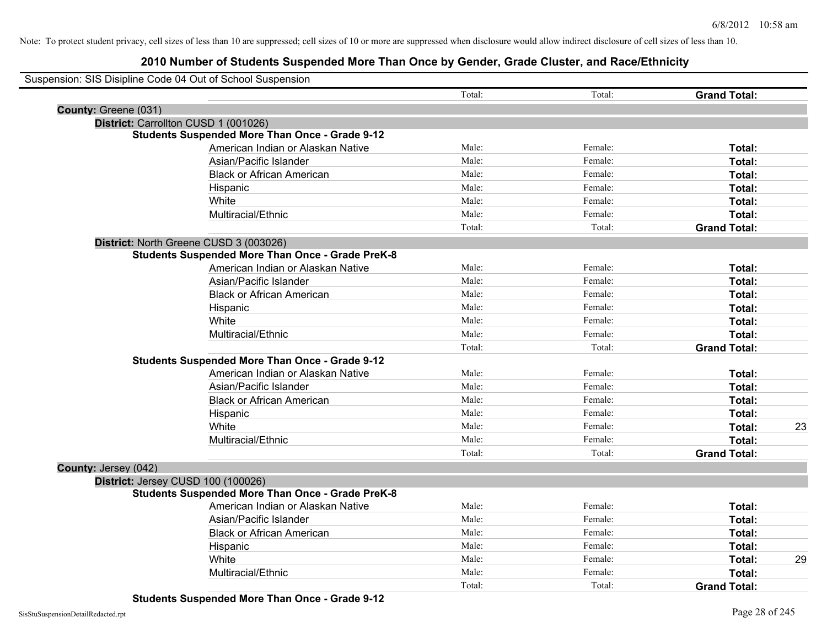## **2010 Number of Students Suspended More Than Once by Gender, Grade Cluster, and Race/Ethnicity**

|                      | Suspension: SIS Disipline Code 04 Out of School Suspension |        |         |                     |    |
|----------------------|------------------------------------------------------------|--------|---------|---------------------|----|
|                      |                                                            | Total: | Total:  | <b>Grand Total:</b> |    |
| County: Greene (031) |                                                            |        |         |                     |    |
|                      | District: Carrollton CUSD 1 (001026)                       |        |         |                     |    |
|                      | <b>Students Suspended More Than Once - Grade 9-12</b>      |        |         |                     |    |
|                      | American Indian or Alaskan Native                          | Male:  | Female: | Total:              |    |
|                      | Asian/Pacific Islander                                     | Male:  | Female: | Total:              |    |
|                      | <b>Black or African American</b>                           | Male:  | Female: | Total:              |    |
|                      | Hispanic                                                   | Male:  | Female: | Total:              |    |
|                      | White                                                      | Male:  | Female: | Total:              |    |
|                      | Multiracial/Ethnic                                         | Male:  | Female: | Total:              |    |
|                      |                                                            | Total: | Total:  | <b>Grand Total:</b> |    |
|                      | District: North Greene CUSD 3 (003026)                     |        |         |                     |    |
|                      | <b>Students Suspended More Than Once - Grade PreK-8</b>    |        |         |                     |    |
|                      | American Indian or Alaskan Native                          | Male:  | Female: | Total:              |    |
|                      | Asian/Pacific Islander                                     | Male:  | Female: | Total:              |    |
|                      | <b>Black or African American</b>                           | Male:  | Female: | Total:              |    |
|                      | Hispanic                                                   | Male:  | Female: | Total:              |    |
|                      | White                                                      | Male:  | Female: | Total:              |    |
|                      | Multiracial/Ethnic                                         | Male:  | Female: | Total:              |    |
|                      |                                                            | Total: | Total:  | <b>Grand Total:</b> |    |
|                      | <b>Students Suspended More Than Once - Grade 9-12</b>      |        |         |                     |    |
|                      | American Indian or Alaskan Native                          | Male:  | Female: | Total:              |    |
|                      | Asian/Pacific Islander                                     | Male:  | Female: | Total:              |    |
|                      | <b>Black or African American</b>                           | Male:  | Female: | Total:              |    |
|                      | Hispanic                                                   | Male:  | Female: | Total:              |    |
|                      | White                                                      | Male:  | Female: | Total:              | 23 |
|                      | Multiracial/Ethnic                                         | Male:  | Female: | Total:              |    |
|                      |                                                            | Total: | Total:  | <b>Grand Total:</b> |    |
| County: Jersey (042) |                                                            |        |         |                     |    |
|                      | District: Jersey CUSD 100 (100026)                         |        |         |                     |    |
|                      | <b>Students Suspended More Than Once - Grade PreK-8</b>    |        |         |                     |    |
|                      | American Indian or Alaskan Native                          | Male:  | Female: | Total:              |    |
|                      | Asian/Pacific Islander                                     | Male:  | Female: | Total:              |    |
|                      | <b>Black or African American</b>                           | Male:  | Female: | <b>Total:</b>       |    |
|                      | Hispanic                                                   | Male:  | Female: | Total:              |    |
|                      | White                                                      | Male:  | Female: | Total:              | 29 |
|                      | Multiracial/Ethnic                                         | Male:  | Female: | Total:              |    |
|                      |                                                            | Total: | Total:  | <b>Grand Total:</b> |    |
|                      |                                                            |        |         |                     |    |

**Students Suspended More Than Once - Grade 9-12**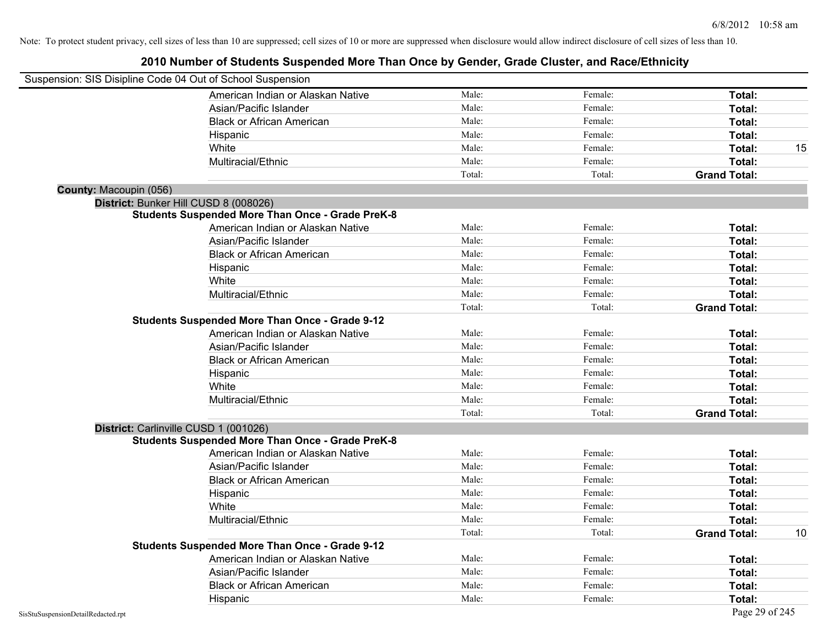| Suspension: SIS Disipline Code 04 Out of School Suspension |                                                         |        |         |                     |    |
|------------------------------------------------------------|---------------------------------------------------------|--------|---------|---------------------|----|
|                                                            | American Indian or Alaskan Native                       | Male:  | Female: | Total:              |    |
|                                                            | Asian/Pacific Islander                                  | Male:  | Female: | Total:              |    |
|                                                            | <b>Black or African American</b>                        | Male:  | Female: | Total:              |    |
|                                                            | Hispanic                                                | Male:  | Female: | Total:              |    |
|                                                            | White                                                   | Male:  | Female: | Total:              | 15 |
|                                                            | Multiracial/Ethnic                                      | Male:  | Female: | Total:              |    |
|                                                            |                                                         | Total: | Total:  | <b>Grand Total:</b> |    |
| County: Macoupin (056)                                     |                                                         |        |         |                     |    |
|                                                            | District: Bunker Hill CUSD 8 (008026)                   |        |         |                     |    |
|                                                            | <b>Students Suspended More Than Once - Grade PreK-8</b> |        |         |                     |    |
|                                                            | American Indian or Alaskan Native                       | Male:  | Female: | Total:              |    |
|                                                            | Asian/Pacific Islander                                  | Male:  | Female: | Total:              |    |
|                                                            | <b>Black or African American</b>                        | Male:  | Female: | Total:              |    |
|                                                            | Hispanic                                                | Male:  | Female: | Total:              |    |
|                                                            | White                                                   | Male:  | Female: | Total:              |    |
|                                                            | Multiracial/Ethnic                                      | Male:  | Female: | Total:              |    |
|                                                            |                                                         | Total: | Total:  | <b>Grand Total:</b> |    |
|                                                            | <b>Students Suspended More Than Once - Grade 9-12</b>   |        |         |                     |    |
|                                                            | American Indian or Alaskan Native                       | Male:  | Female: | Total:              |    |
|                                                            | Asian/Pacific Islander                                  | Male:  | Female: | Total:              |    |
|                                                            | <b>Black or African American</b>                        | Male:  | Female: | Total:              |    |
|                                                            | Hispanic                                                | Male:  | Female: | Total:              |    |
|                                                            | White                                                   | Male:  | Female: | Total:              |    |
|                                                            | Multiracial/Ethnic                                      | Male:  | Female: | Total:              |    |
|                                                            |                                                         | Total: | Total:  | <b>Grand Total:</b> |    |
|                                                            | District: Carlinville CUSD 1 (001026)                   |        |         |                     |    |
|                                                            | <b>Students Suspended More Than Once - Grade PreK-8</b> |        |         |                     |    |
|                                                            | American Indian or Alaskan Native                       | Male:  | Female: | Total:              |    |
|                                                            | Asian/Pacific Islander                                  | Male:  | Female: | Total:              |    |
|                                                            | <b>Black or African American</b>                        | Male:  | Female: | Total:              |    |
|                                                            | Hispanic                                                | Male:  | Female: | Total:              |    |
|                                                            | White                                                   | Male:  | Female: | Total:              |    |
|                                                            | Multiracial/Ethnic                                      | Male:  | Female: | Total:              |    |
|                                                            |                                                         | Total: | Total:  | <b>Grand Total:</b> | 10 |
|                                                            | <b>Students Suspended More Than Once - Grade 9-12</b>   |        |         |                     |    |
|                                                            | American Indian or Alaskan Native                       | Male:  | Female: | Total:              |    |
|                                                            | Asian/Pacific Islander                                  | Male:  | Female: | Total:              |    |
|                                                            | <b>Black or African American</b>                        | Male:  | Female: | Total:              |    |
|                                                            | Hispanic                                                | Male:  | Female: | Total:              |    |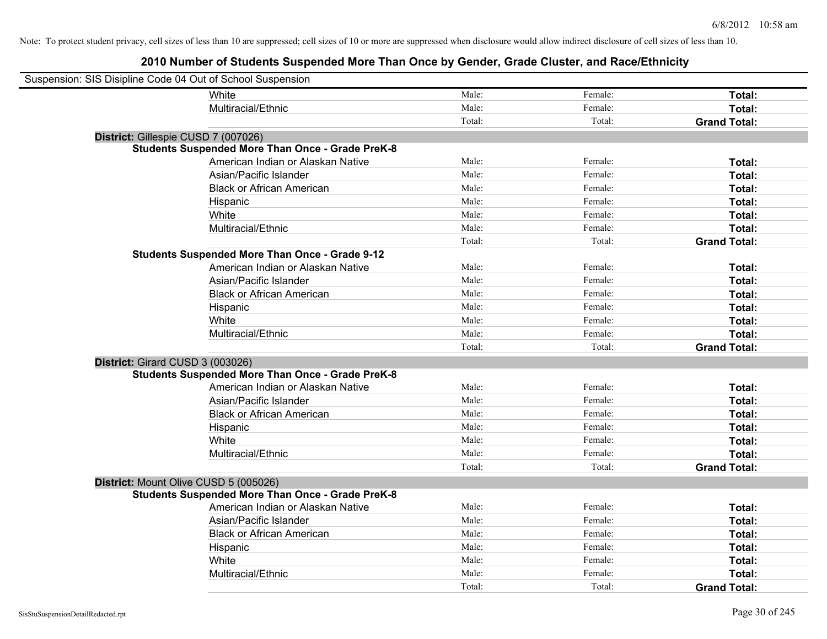| Suspension: SIS Disipline Code 04 Out of School Suspension |                                                         |        |         |                     |
|------------------------------------------------------------|---------------------------------------------------------|--------|---------|---------------------|
|                                                            | White                                                   | Male:  | Female: | Total:              |
|                                                            | Multiracial/Ethnic                                      | Male:  | Female: | Total:              |
|                                                            |                                                         | Total: | Total:  | <b>Grand Total:</b> |
| District: Gillespie CUSD 7 (007026)                        |                                                         |        |         |                     |
|                                                            | <b>Students Suspended More Than Once - Grade PreK-8</b> |        |         |                     |
|                                                            | American Indian or Alaskan Native                       | Male:  | Female: | Total:              |
|                                                            | Asian/Pacific Islander                                  | Male:  | Female: | Total:              |
|                                                            | <b>Black or African American</b>                        | Male:  | Female: | Total:              |
|                                                            | Hispanic                                                | Male:  | Female: | Total:              |
|                                                            | White                                                   | Male:  | Female: | Total:              |
|                                                            | Multiracial/Ethnic                                      | Male:  | Female: | Total:              |
|                                                            |                                                         | Total: | Total:  | <b>Grand Total:</b> |
|                                                            | <b>Students Suspended More Than Once - Grade 9-12</b>   |        |         |                     |
|                                                            | American Indian or Alaskan Native                       | Male:  | Female: | Total:              |
|                                                            | Asian/Pacific Islander                                  | Male:  | Female: | Total:              |
|                                                            | <b>Black or African American</b>                        | Male:  | Female: | Total:              |
|                                                            | Hispanic                                                | Male:  | Female: | Total:              |
|                                                            | White                                                   | Male:  | Female: | Total:              |
|                                                            | Multiracial/Ethnic                                      | Male:  | Female: | Total:              |
|                                                            |                                                         | Total: | Total:  | <b>Grand Total:</b> |
| District: Girard CUSD 3 (003026)                           |                                                         |        |         |                     |
|                                                            | <b>Students Suspended More Than Once - Grade PreK-8</b> |        |         |                     |
|                                                            | American Indian or Alaskan Native                       | Male:  | Female: | Total:              |
|                                                            | Asian/Pacific Islander                                  | Male:  | Female: | Total:              |
|                                                            | <b>Black or African American</b>                        | Male:  | Female: | Total:              |
|                                                            | Hispanic                                                | Male:  | Female: | Total:              |
|                                                            | White                                                   | Male:  | Female: | Total:              |
|                                                            | Multiracial/Ethnic                                      | Male:  | Female: | Total:              |
|                                                            |                                                         | Total: | Total:  | <b>Grand Total:</b> |
| District: Mount Olive CUSD 5 (005026)                      |                                                         |        |         |                     |
|                                                            | <b>Students Suspended More Than Once - Grade PreK-8</b> |        |         |                     |
|                                                            | American Indian or Alaskan Native                       | Male:  | Female: | Total:              |
|                                                            | Asian/Pacific Islander                                  | Male:  | Female: | Total:              |
|                                                            | <b>Black or African American</b>                        | Male:  | Female: | Total:              |
|                                                            | Hispanic                                                | Male:  | Female: | Total:              |
|                                                            | White                                                   | Male:  | Female: | Total:              |
|                                                            | Multiracial/Ethnic                                      | Male:  | Female: | Total:              |
|                                                            |                                                         | Total: | Total:  | <b>Grand Total:</b> |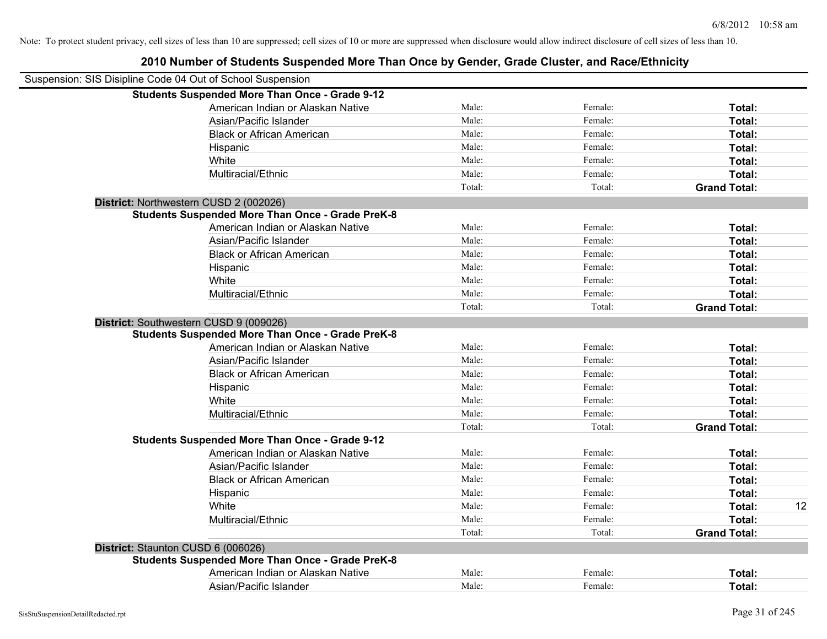| Suspension: SIS Disipline Code 04 Out of School Suspension |        |         |                     |    |
|------------------------------------------------------------|--------|---------|---------------------|----|
| <b>Students Suspended More Than Once - Grade 9-12</b>      |        |         |                     |    |
| American Indian or Alaskan Native                          | Male:  | Female: | Total:              |    |
| Asian/Pacific Islander                                     | Male:  | Female: | Total:              |    |
| <b>Black or African American</b>                           | Male:  | Female: | Total:              |    |
| Hispanic                                                   | Male:  | Female: | Total:              |    |
| White                                                      | Male:  | Female: | Total:              |    |
| Multiracial/Ethnic                                         | Male:  | Female: | Total:              |    |
|                                                            | Total: | Total:  | <b>Grand Total:</b> |    |
| District: Northwestern CUSD 2 (002026)                     |        |         |                     |    |
| <b>Students Suspended More Than Once - Grade PreK-8</b>    |        |         |                     |    |
| American Indian or Alaskan Native                          | Male:  | Female: | Total:              |    |
| Asian/Pacific Islander                                     | Male:  | Female: | Total:              |    |
| <b>Black or African American</b>                           | Male:  | Female: | Total:              |    |
| Hispanic                                                   | Male:  | Female: | Total:              |    |
| White                                                      | Male:  | Female: | Total:              |    |
| Multiracial/Ethnic                                         | Male:  | Female: | Total:              |    |
|                                                            | Total: | Total:  | <b>Grand Total:</b> |    |
| District: Southwestern CUSD 9 (009026)                     |        |         |                     |    |
| <b>Students Suspended More Than Once - Grade PreK-8</b>    |        |         |                     |    |
| American Indian or Alaskan Native                          | Male:  | Female: | Total:              |    |
| Asian/Pacific Islander                                     | Male:  | Female: | Total:              |    |
| <b>Black or African American</b>                           | Male:  | Female: | Total:              |    |
| Hispanic                                                   | Male:  | Female: | Total:              |    |
| White                                                      | Male:  | Female: | Total:              |    |
| Multiracial/Ethnic                                         | Male:  | Female: | Total:              |    |
|                                                            | Total: | Total:  | <b>Grand Total:</b> |    |
| <b>Students Suspended More Than Once - Grade 9-12</b>      |        |         |                     |    |
| American Indian or Alaskan Native                          | Male:  | Female: | Total:              |    |
| Asian/Pacific Islander                                     | Male:  | Female: | Total:              |    |
| <b>Black or African American</b>                           | Male:  | Female: | Total:              |    |
| Hispanic                                                   | Male:  | Female: | Total:              |    |
| White                                                      | Male:  | Female: | Total:              | 12 |
| Multiracial/Ethnic                                         | Male:  | Female: | Total:              |    |
|                                                            | Total: | Total:  | <b>Grand Total:</b> |    |
| District: Staunton CUSD 6 (006026)                         |        |         |                     |    |
| <b>Students Suspended More Than Once - Grade PreK-8</b>    |        |         |                     |    |
| American Indian or Alaskan Native                          | Male:  | Female: | Total:              |    |
| Asian/Pacific Islander                                     | Male:  | Female: | Total:              |    |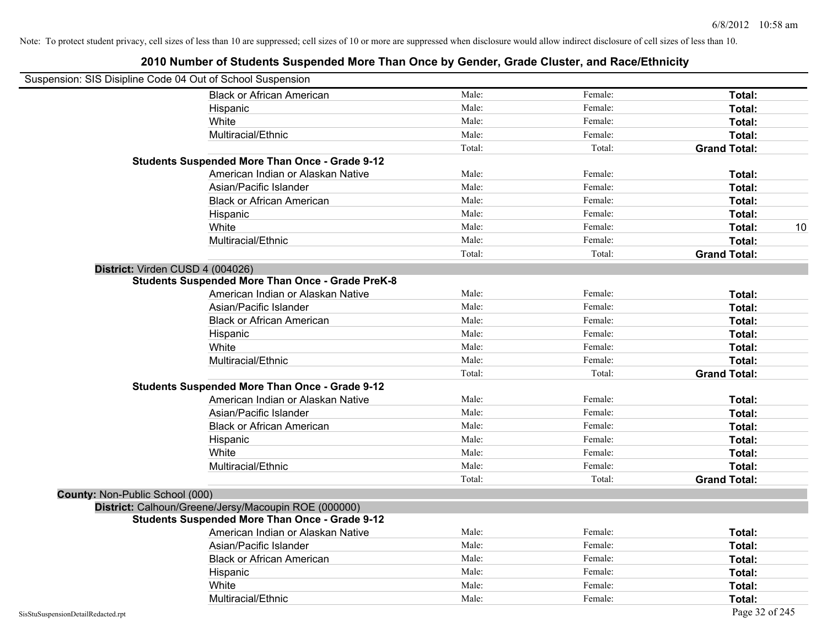|                                    | Suspension: SIS Disipline Code 04 Out of School Suspension |        |         |                     |
|------------------------------------|------------------------------------------------------------|--------|---------|---------------------|
|                                    | <b>Black or African American</b>                           | Male:  | Female: | Total:              |
|                                    | Hispanic                                                   | Male:  | Female: | Total:              |
|                                    | White                                                      | Male:  | Female: | Total:              |
|                                    | Multiracial/Ethnic                                         | Male:  | Female: | Total:              |
|                                    |                                                            | Total: | Total:  | <b>Grand Total:</b> |
|                                    | <b>Students Suspended More Than Once - Grade 9-12</b>      |        |         |                     |
|                                    | American Indian or Alaskan Native                          | Male:  | Female: | Total:              |
|                                    | Asian/Pacific Islander                                     | Male:  | Female: | Total:              |
|                                    | <b>Black or African American</b>                           | Male:  | Female: | Total:              |
|                                    | Hispanic                                                   | Male:  | Female: | Total:              |
|                                    | White                                                      | Male:  | Female: | <b>Total:</b><br>10 |
|                                    | Multiracial/Ethnic                                         | Male:  | Female: | Total:              |
|                                    |                                                            | Total: | Total:  | <b>Grand Total:</b> |
|                                    | District: Virden CUSD 4 (004026)                           |        |         |                     |
|                                    | <b>Students Suspended More Than Once - Grade PreK-8</b>    |        |         |                     |
|                                    | American Indian or Alaskan Native                          | Male:  | Female: | <b>Total:</b>       |
|                                    | Asian/Pacific Islander                                     | Male:  | Female: | Total:              |
|                                    | <b>Black or African American</b>                           | Male:  | Female: | Total:              |
|                                    | Hispanic                                                   | Male:  | Female: | Total:              |
|                                    | White                                                      | Male:  | Female: | Total:              |
|                                    | Multiracial/Ethnic                                         | Male:  | Female: | Total:              |
|                                    |                                                            | Total: | Total:  | <b>Grand Total:</b> |
|                                    | <b>Students Suspended More Than Once - Grade 9-12</b>      |        |         |                     |
|                                    | American Indian or Alaskan Native                          | Male:  | Female: | Total:              |
|                                    | Asian/Pacific Islander                                     | Male:  | Female: | Total:              |
|                                    | <b>Black or African American</b>                           | Male:  | Female: | Total:              |
|                                    | Hispanic                                                   | Male:  | Female: | Total:              |
|                                    | White                                                      | Male:  | Female: | <b>Total:</b>       |
|                                    | Multiracial/Ethnic                                         | Male:  | Female: | Total:              |
|                                    |                                                            | Total: | Total:  | <b>Grand Total:</b> |
| County: Non-Public School (000)    |                                                            |        |         |                     |
|                                    | District: Calhoun/Greene/Jersy/Macoupin ROE (000000)       |        |         |                     |
|                                    | <b>Students Suspended More Than Once - Grade 9-12</b>      |        |         |                     |
|                                    | American Indian or Alaskan Native                          | Male:  | Female: | <b>Total:</b>       |
|                                    | Asian/Pacific Islander                                     | Male:  | Female: | <b>Total:</b>       |
|                                    | <b>Black or African American</b>                           | Male:  | Female: | Total:              |
|                                    | Hispanic                                                   | Male:  | Female: | Total:              |
|                                    | White                                                      | Male:  | Female: | <b>Total:</b>       |
|                                    | Multiracial/Ethnic                                         | Male:  | Female: | <b>Total:</b>       |
| SisStuSuspensionDetailRedacted.rpt |                                                            |        |         | Page 32 of 245      |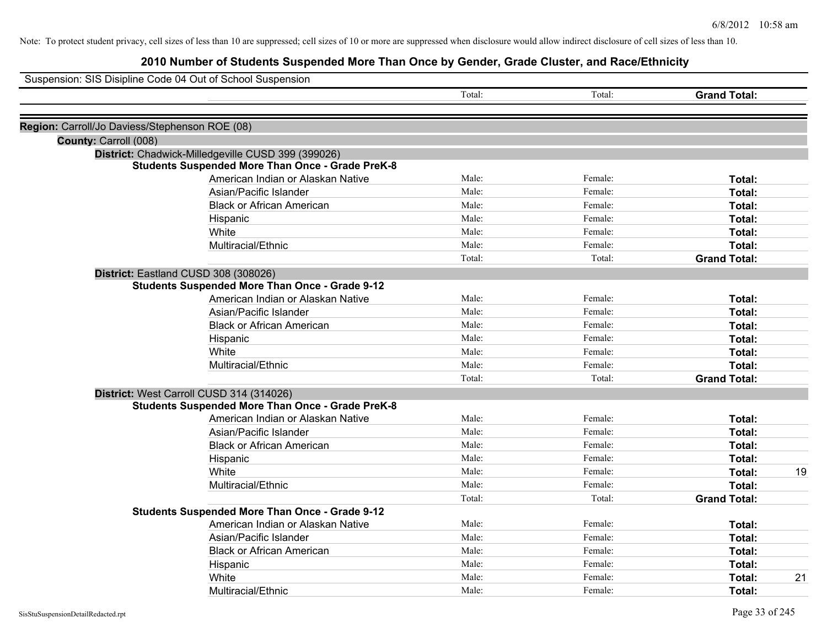|                                                | Suspension: SIS Disipline Code 04 Out of School Suspension |        |         |                     |    |
|------------------------------------------------|------------------------------------------------------------|--------|---------|---------------------|----|
|                                                |                                                            | Total: | Total:  | <b>Grand Total:</b> |    |
| Region: Carroll/Jo Daviess/Stephenson ROE (08) |                                                            |        |         |                     |    |
| County: Carroll (008)                          |                                                            |        |         |                     |    |
|                                                | District: Chadwick-Milledgeville CUSD 399 (399026)         |        |         |                     |    |
|                                                | <b>Students Suspended More Than Once - Grade PreK-8</b>    |        |         |                     |    |
|                                                | American Indian or Alaskan Native                          | Male:  | Female: | Total:              |    |
|                                                | Asian/Pacific Islander                                     | Male:  | Female: | Total:              |    |
|                                                | <b>Black or African American</b>                           | Male:  | Female: | Total:              |    |
|                                                | Hispanic                                                   | Male:  | Female: | Total:              |    |
|                                                | White                                                      | Male:  | Female: | Total:              |    |
|                                                | Multiracial/Ethnic                                         | Male:  | Female: | Total:              |    |
|                                                |                                                            | Total: | Total:  | <b>Grand Total:</b> |    |
|                                                | District: Eastland CUSD 308 (308026)                       |        |         |                     |    |
|                                                | <b>Students Suspended More Than Once - Grade 9-12</b>      |        |         |                     |    |
|                                                | American Indian or Alaskan Native                          | Male:  | Female: | Total:              |    |
|                                                | Asian/Pacific Islander                                     | Male:  | Female: | Total:              |    |
|                                                | <b>Black or African American</b>                           | Male:  | Female: | Total:              |    |
|                                                | Hispanic                                                   | Male:  | Female: | Total:              |    |
|                                                | White                                                      | Male:  | Female: | Total:              |    |
|                                                | Multiracial/Ethnic                                         | Male:  | Female: | Total:              |    |
|                                                |                                                            | Total: | Total:  | <b>Grand Total:</b> |    |
|                                                | District: West Carroll CUSD 314 (314026)                   |        |         |                     |    |
|                                                | <b>Students Suspended More Than Once - Grade PreK-8</b>    |        |         |                     |    |
|                                                | American Indian or Alaskan Native                          | Male:  | Female: | Total:              |    |
|                                                | Asian/Pacific Islander                                     | Male:  | Female: | Total:              |    |
|                                                | <b>Black or African American</b>                           | Male:  | Female: | Total:              |    |
|                                                | Hispanic                                                   | Male:  | Female: | Total:              |    |
|                                                | White                                                      | Male:  | Female: | Total:              | 19 |
|                                                | Multiracial/Ethnic                                         | Male:  | Female: | Total:              |    |
|                                                |                                                            | Total: | Total:  | <b>Grand Total:</b> |    |
|                                                | <b>Students Suspended More Than Once - Grade 9-12</b>      |        |         |                     |    |
|                                                | American Indian or Alaskan Native                          | Male:  | Female: | Total:              |    |
|                                                | Asian/Pacific Islander                                     | Male:  | Female: | Total:              |    |
|                                                | <b>Black or African American</b>                           | Male:  | Female: | Total:              |    |
|                                                | Hispanic                                                   | Male:  | Female: | Total:              |    |
|                                                | White                                                      | Male:  | Female: | Total:              | 21 |
|                                                | Multiracial/Ethnic                                         | Male:  | Female: | Total:              |    |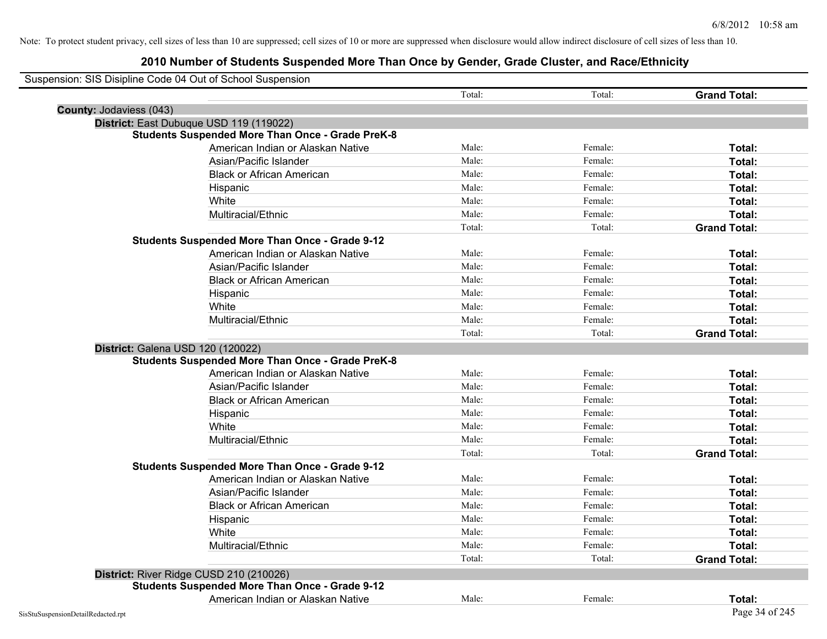| Suspension: SIS Disipline Code 04 Out of School Suspension |                                                         |        |         |                     |
|------------------------------------------------------------|---------------------------------------------------------|--------|---------|---------------------|
|                                                            |                                                         | Total: | Total:  | <b>Grand Total:</b> |
| <b>County: Jodaviess (043)</b>                             |                                                         |        |         |                     |
| District: East Dubuque USD 119 (119022)                    |                                                         |        |         |                     |
|                                                            | <b>Students Suspended More Than Once - Grade PreK-8</b> |        |         |                     |
|                                                            | American Indian or Alaskan Native                       | Male:  | Female: | Total:              |
|                                                            | Asian/Pacific Islander                                  | Male:  | Female: | Total:              |
|                                                            | <b>Black or African American</b>                        | Male:  | Female: | Total:              |
|                                                            | Hispanic                                                | Male:  | Female: | Total:              |
|                                                            | White                                                   | Male:  | Female: | Total:              |
|                                                            | Multiracial/Ethnic                                      | Male:  | Female: | Total:              |
|                                                            |                                                         | Total: | Total:  | <b>Grand Total:</b> |
|                                                            | <b>Students Suspended More Than Once - Grade 9-12</b>   |        |         |                     |
|                                                            | American Indian or Alaskan Native                       | Male:  | Female: | Total:              |
|                                                            | Asian/Pacific Islander                                  | Male:  | Female: | Total:              |
|                                                            | <b>Black or African American</b>                        | Male:  | Female: | Total:              |
|                                                            | Hispanic                                                | Male:  | Female: | Total:              |
|                                                            | White                                                   | Male:  | Female: | Total:              |
|                                                            | Multiracial/Ethnic                                      | Male:  | Female: | Total:              |
|                                                            |                                                         | Total: | Total:  | <b>Grand Total:</b> |
| District: Galena USD 120 (120022)                          |                                                         |        |         |                     |
|                                                            | <b>Students Suspended More Than Once - Grade PreK-8</b> |        |         |                     |
|                                                            | American Indian or Alaskan Native                       | Male:  | Female: | Total:              |
|                                                            | Asian/Pacific Islander                                  | Male:  | Female: | Total:              |
|                                                            | <b>Black or African American</b>                        | Male:  | Female: | Total:              |
|                                                            | Hispanic                                                | Male:  | Female: | Total:              |
|                                                            | White                                                   | Male:  | Female: | Total:              |
|                                                            | Multiracial/Ethnic                                      | Male:  | Female: | Total:              |
|                                                            |                                                         | Total: | Total:  | <b>Grand Total:</b> |
|                                                            | <b>Students Suspended More Than Once - Grade 9-12</b>   |        |         |                     |
|                                                            | American Indian or Alaskan Native                       | Male:  | Female: | Total:              |
|                                                            | Asian/Pacific Islander                                  | Male:  | Female: | Total:              |
|                                                            | <b>Black or African American</b>                        | Male:  | Female: | Total:              |
|                                                            | Hispanic                                                | Male:  | Female: | Total:              |
|                                                            | White                                                   | Male:  | Female: | Total:              |
|                                                            | Multiracial/Ethnic                                      | Male:  | Female: | Total:              |
|                                                            |                                                         | Total: | Total:  | <b>Grand Total:</b> |
| District: River Ridge CUSD 210 (210026)                    |                                                         |        |         |                     |
|                                                            | <b>Students Suspended More Than Once - Grade 9-12</b>   |        |         |                     |
|                                                            | American Indian or Alaskan Native                       | Male:  | Female: | Total:              |
| SisStuSuspensionDetailRedacted.rpt                         |                                                         |        |         | Page 34 of 245      |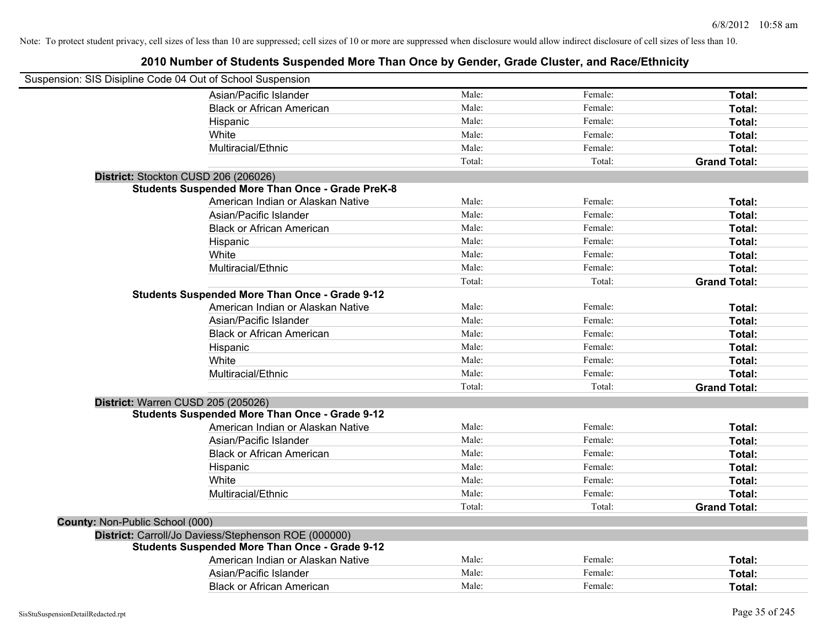| Suspension: SIS Disipline Code 04 Out of School Suspension |                                                         |        |         |                     |
|------------------------------------------------------------|---------------------------------------------------------|--------|---------|---------------------|
|                                                            | Asian/Pacific Islander                                  | Male:  | Female: | Total:              |
|                                                            | <b>Black or African American</b>                        | Male:  | Female: | Total:              |
|                                                            | Hispanic                                                | Male:  | Female: | Total:              |
|                                                            | White                                                   | Male:  | Female: | Total:              |
|                                                            | Multiracial/Ethnic                                      | Male:  | Female: | Total:              |
|                                                            |                                                         | Total: | Total:  | <b>Grand Total:</b> |
| District: Stockton CUSD 206 (206026)                       |                                                         |        |         |                     |
|                                                            | <b>Students Suspended More Than Once - Grade PreK-8</b> |        |         |                     |
|                                                            | American Indian or Alaskan Native                       | Male:  | Female: | Total:              |
|                                                            | Asian/Pacific Islander                                  | Male:  | Female: | Total:              |
|                                                            | <b>Black or African American</b>                        | Male:  | Female: | Total:              |
|                                                            | Hispanic                                                | Male:  | Female: | Total:              |
|                                                            | White                                                   | Male:  | Female: | Total:              |
|                                                            | Multiracial/Ethnic                                      | Male:  | Female: | Total:              |
|                                                            |                                                         | Total: | Total:  | <b>Grand Total:</b> |
|                                                            | <b>Students Suspended More Than Once - Grade 9-12</b>   |        |         |                     |
|                                                            | American Indian or Alaskan Native                       | Male:  | Female: | Total:              |
|                                                            | Asian/Pacific Islander                                  | Male:  | Female: | Total:              |
|                                                            | <b>Black or African American</b>                        | Male:  | Female: | Total:              |
|                                                            | Hispanic                                                | Male:  | Female: | Total:              |
|                                                            | White                                                   | Male:  | Female: | Total:              |
|                                                            | Multiracial/Ethnic                                      | Male:  | Female: | Total:              |
|                                                            |                                                         | Total: | Total:  | <b>Grand Total:</b> |
| District: Warren CUSD 205 (205026)                         |                                                         |        |         |                     |
|                                                            | <b>Students Suspended More Than Once - Grade 9-12</b>   |        |         |                     |
|                                                            | American Indian or Alaskan Native                       | Male:  | Female: | <b>Total:</b>       |
|                                                            | Asian/Pacific Islander                                  | Male:  | Female: | Total:              |
|                                                            | <b>Black or African American</b>                        | Male:  | Female: | Total:              |
|                                                            | Hispanic                                                | Male:  | Female: | Total:              |
|                                                            | White                                                   | Male:  | Female: | Total:              |
|                                                            | Multiracial/Ethnic                                      | Male:  | Female: | Total:              |
|                                                            |                                                         | Total: | Total:  | <b>Grand Total:</b> |
| County: Non-Public School (000)                            |                                                         |        |         |                     |
|                                                            | District: Carroll/Jo Daviess/Stephenson ROE (000000)    |        |         |                     |
|                                                            | <b>Students Suspended More Than Once - Grade 9-12</b>   |        |         |                     |
|                                                            | American Indian or Alaskan Native                       | Male:  | Female: | Total:              |
|                                                            | Asian/Pacific Islander                                  | Male:  | Female: | <b>Total:</b>       |
|                                                            | <b>Black or African American</b>                        | Male:  | Female: | Total:              |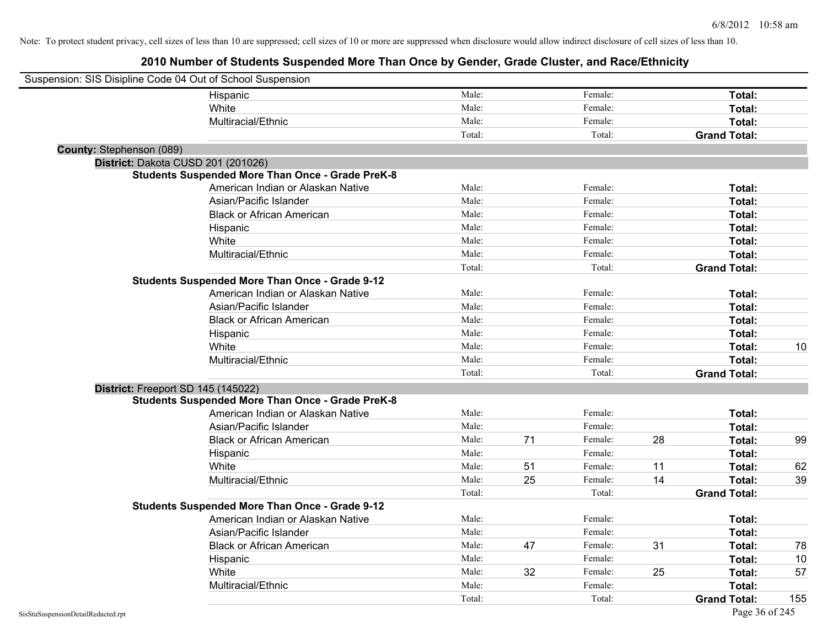| Suspension: SIS Disipline Code 04 Out of School Suspension |                                                         |        |    |         |    |                     |     |
|------------------------------------------------------------|---------------------------------------------------------|--------|----|---------|----|---------------------|-----|
|                                                            | Hispanic                                                | Male:  |    | Female: |    | Total:              |     |
|                                                            | White                                                   | Male:  |    | Female: |    | Total:              |     |
|                                                            | Multiracial/Ethnic                                      | Male:  |    | Female: |    | Total:              |     |
|                                                            |                                                         | Total: |    | Total:  |    | <b>Grand Total:</b> |     |
| County: Stephenson (089)                                   |                                                         |        |    |         |    |                     |     |
| District: Dakota CUSD 201 (201026)                         |                                                         |        |    |         |    |                     |     |
|                                                            | <b>Students Suspended More Than Once - Grade PreK-8</b> |        |    |         |    |                     |     |
|                                                            | American Indian or Alaskan Native                       | Male:  |    | Female: |    | Total:              |     |
|                                                            | Asian/Pacific Islander                                  | Male:  |    | Female: |    | Total:              |     |
|                                                            | <b>Black or African American</b>                        | Male:  |    | Female: |    | Total:              |     |
|                                                            | Hispanic                                                | Male:  |    | Female: |    | Total:              |     |
|                                                            | White                                                   | Male:  |    | Female: |    | Total:              |     |
|                                                            | Multiracial/Ethnic                                      | Male:  |    | Female: |    | Total:              |     |
|                                                            |                                                         | Total: |    | Total:  |    | <b>Grand Total:</b> |     |
|                                                            | <b>Students Suspended More Than Once - Grade 9-12</b>   |        |    |         |    |                     |     |
|                                                            | American Indian or Alaskan Native                       | Male:  |    | Female: |    | Total:              |     |
|                                                            | Asian/Pacific Islander                                  | Male:  |    | Female: |    | Total:              |     |
|                                                            | <b>Black or African American</b>                        | Male:  |    | Female: |    | Total:              |     |
|                                                            | Hispanic                                                | Male:  |    | Female: |    | Total:              |     |
|                                                            | White                                                   | Male:  |    | Female: |    | Total:              | 10  |
|                                                            | Multiracial/Ethnic                                      | Male:  |    | Female: |    | Total:              |     |
|                                                            |                                                         | Total: |    | Total:  |    | <b>Grand Total:</b> |     |
| District: Freeport SD 145 (145022)                         |                                                         |        |    |         |    |                     |     |
|                                                            | <b>Students Suspended More Than Once - Grade PreK-8</b> |        |    |         |    |                     |     |
|                                                            | American Indian or Alaskan Native                       | Male:  |    | Female: |    | Total:              |     |
|                                                            | Asian/Pacific Islander                                  | Male:  |    | Female: |    | Total:              |     |
|                                                            | <b>Black or African American</b>                        | Male:  | 71 | Female: | 28 | Total:              | 99  |
|                                                            | Hispanic                                                | Male:  |    | Female: |    | Total:              |     |
|                                                            | White                                                   | Male:  | 51 | Female: | 11 | Total:              | 62  |
|                                                            | Multiracial/Ethnic                                      | Male:  | 25 | Female: | 14 | Total:              | 39  |
|                                                            |                                                         | Total: |    | Total:  |    | <b>Grand Total:</b> |     |
|                                                            | <b>Students Suspended More Than Once - Grade 9-12</b>   |        |    |         |    |                     |     |
|                                                            | American Indian or Alaskan Native                       | Male:  |    | Female: |    | Total:              |     |
|                                                            | Asian/Pacific Islander                                  | Male:  |    | Female: |    | Total:              |     |
|                                                            | <b>Black or African American</b>                        | Male:  | 47 | Female: | 31 | Total:              | 78  |
|                                                            | Hispanic                                                | Male:  |    | Female: |    | Total:              | 10  |
|                                                            | White                                                   | Male:  | 32 | Female: | 25 | Total:              | 57  |
|                                                            | Multiracial/Ethnic                                      | Male:  |    | Female: |    | Total:              |     |
|                                                            |                                                         | Total: |    | Total:  |    | <b>Grand Total:</b> | 155 |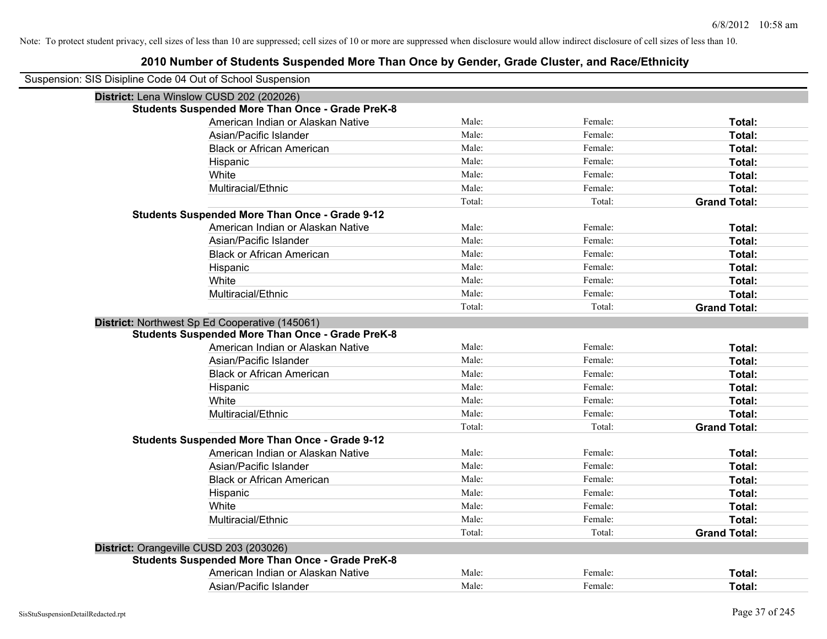| Suspension: SIS Disipline Code 04 Out of School Suspension |                                                         |        |         |                     |
|------------------------------------------------------------|---------------------------------------------------------|--------|---------|---------------------|
|                                                            | District: Lena Winslow CUSD 202 (202026)                |        |         |                     |
|                                                            | <b>Students Suspended More Than Once - Grade PreK-8</b> |        |         |                     |
|                                                            | American Indian or Alaskan Native                       | Male:  | Female: | Total:              |
|                                                            | Asian/Pacific Islander                                  | Male:  | Female: | Total:              |
|                                                            | <b>Black or African American</b>                        | Male:  | Female: | Total:              |
|                                                            | Hispanic                                                | Male:  | Female: | Total:              |
|                                                            | White                                                   | Male:  | Female: | Total:              |
|                                                            | Multiracial/Ethnic                                      | Male:  | Female: | Total:              |
|                                                            |                                                         | Total: | Total:  | <b>Grand Total:</b> |
|                                                            | <b>Students Suspended More Than Once - Grade 9-12</b>   |        |         |                     |
|                                                            | American Indian or Alaskan Native                       | Male:  | Female: | Total:              |
|                                                            | Asian/Pacific Islander                                  | Male:  | Female: | Total:              |
|                                                            | <b>Black or African American</b>                        | Male:  | Female: | Total:              |
|                                                            | Hispanic                                                | Male:  | Female: | Total:              |
|                                                            | White                                                   | Male:  | Female: | Total:              |
|                                                            | Multiracial/Ethnic                                      | Male:  | Female: | Total:              |
|                                                            |                                                         | Total: | Total:  | <b>Grand Total:</b> |
|                                                            | District: Northwest Sp Ed Cooperative (145061)          |        |         |                     |
|                                                            | <b>Students Suspended More Than Once - Grade PreK-8</b> |        |         |                     |
|                                                            | American Indian or Alaskan Native                       | Male:  | Female: | Total:              |
|                                                            | Asian/Pacific Islander                                  | Male:  | Female: | Total:              |
|                                                            | <b>Black or African American</b>                        | Male:  | Female: | Total:              |
|                                                            | Hispanic                                                | Male:  | Female: | Total:              |
|                                                            | White                                                   | Male:  | Female: | Total:              |
|                                                            | Multiracial/Ethnic                                      | Male:  | Female: | Total:              |
|                                                            |                                                         | Total: | Total:  | <b>Grand Total:</b> |
|                                                            | <b>Students Suspended More Than Once - Grade 9-12</b>   |        |         |                     |
|                                                            | American Indian or Alaskan Native                       | Male:  | Female: | Total:              |
|                                                            | Asian/Pacific Islander                                  | Male:  | Female: | Total:              |
|                                                            | <b>Black or African American</b>                        | Male:  | Female: | Total:              |
|                                                            | Hispanic                                                | Male:  | Female: | Total:              |
|                                                            | White                                                   | Male:  | Female: | Total:              |
|                                                            | Multiracial/Ethnic                                      | Male:  | Female: | Total:              |
|                                                            |                                                         | Total: | Total:  | <b>Grand Total:</b> |
| District: Orangeville CUSD 203 (203026)                    |                                                         |        |         |                     |
|                                                            | <b>Students Suspended More Than Once - Grade PreK-8</b> |        |         |                     |
|                                                            | American Indian or Alaskan Native                       | Male:  | Female: | <b>Total:</b>       |
|                                                            | Asian/Pacific Islander                                  | Male:  | Female: | Total:              |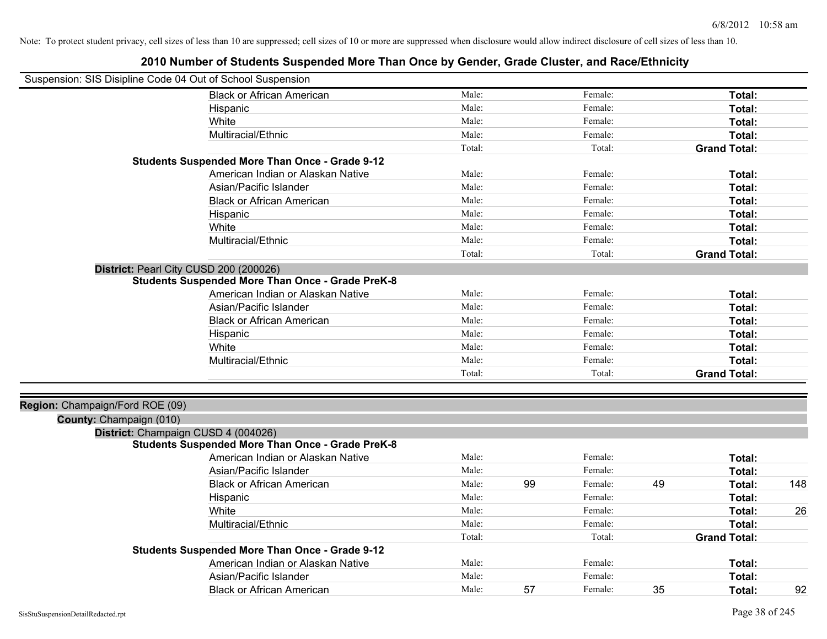| Suspension: SIS Disipline Code 04 Out of School Suspension |                                                         |        |    |         |    |                     |     |
|------------------------------------------------------------|---------------------------------------------------------|--------|----|---------|----|---------------------|-----|
|                                                            | <b>Black or African American</b>                        | Male:  |    | Female: |    | Total:              |     |
|                                                            | Hispanic                                                | Male:  |    | Female: |    | Total:              |     |
|                                                            | White                                                   | Male:  |    | Female: |    | <b>Total:</b>       |     |
|                                                            | Multiracial/Ethnic                                      | Male:  |    | Female: |    | Total:              |     |
|                                                            |                                                         | Total: |    | Total:  |    | <b>Grand Total:</b> |     |
|                                                            | <b>Students Suspended More Than Once - Grade 9-12</b>   |        |    |         |    |                     |     |
|                                                            | American Indian or Alaskan Native                       | Male:  |    | Female: |    | Total:              |     |
|                                                            | Asian/Pacific Islander                                  | Male:  |    | Female: |    | Total:              |     |
|                                                            | <b>Black or African American</b>                        | Male:  |    | Female: |    | Total:              |     |
|                                                            | Hispanic                                                | Male:  |    | Female: |    | Total:              |     |
|                                                            | White                                                   | Male:  |    | Female: |    | Total:              |     |
|                                                            | Multiracial/Ethnic                                      | Male:  |    | Female: |    | Total:              |     |
|                                                            |                                                         | Total: |    | Total:  |    | <b>Grand Total:</b> |     |
| District: Pearl City CUSD 200 (200026)                     |                                                         |        |    |         |    |                     |     |
|                                                            | <b>Students Suspended More Than Once - Grade PreK-8</b> |        |    |         |    |                     |     |
|                                                            | American Indian or Alaskan Native                       | Male:  |    | Female: |    | Total:              |     |
|                                                            | Asian/Pacific Islander                                  | Male:  |    | Female: |    | Total:              |     |
|                                                            | <b>Black or African American</b>                        | Male:  |    | Female: |    | Total:              |     |
|                                                            | Hispanic                                                | Male:  |    | Female: |    | Total:              |     |
|                                                            | White                                                   | Male:  |    | Female: |    | Total:              |     |
|                                                            | Multiracial/Ethnic                                      | Male:  |    | Female: |    | Total:              |     |
|                                                            |                                                         | Total: |    | Total:  |    | <b>Grand Total:</b> |     |
|                                                            |                                                         |        |    |         |    |                     |     |
| Region: Champaign/Ford ROE (09)                            |                                                         |        |    |         |    |                     |     |
| County: Champaign (010)                                    |                                                         |        |    |         |    |                     |     |
| District: Champaign CUSD 4 (004026)                        |                                                         |        |    |         |    |                     |     |
|                                                            | <b>Students Suspended More Than Once - Grade PreK-8</b> |        |    |         |    |                     |     |
|                                                            | American Indian or Alaskan Native                       | Male:  |    | Female: |    | <b>Total:</b>       |     |
|                                                            | Asian/Pacific Islander                                  | Male:  |    | Female: |    | <b>Total:</b>       |     |
|                                                            | <b>Black or African American</b>                        | Male:  | 99 | Female: | 49 | Total:              | 148 |
|                                                            | Hispanic                                                | Male:  |    | Female: |    | Total:              |     |
|                                                            | White                                                   | Male:  |    | Female: |    | Total:              | 26  |
|                                                            | Multiracial/Ethnic                                      | Male:  |    | Female: |    | Total:              |     |
|                                                            |                                                         | Total: |    | Total:  |    | <b>Grand Total:</b> |     |
|                                                            | <b>Students Suspended More Than Once - Grade 9-12</b>   |        |    |         |    |                     |     |
|                                                            | American Indian or Alaskan Native                       | Male:  |    | Female: |    | Total:              |     |
|                                                            | Asian/Pacific Islander                                  | Male:  |    | Female: |    | <b>Total:</b>       |     |
|                                                            | <b>Black or African American</b>                        | Male:  | 57 | Female: | 35 | Total:              | 92  |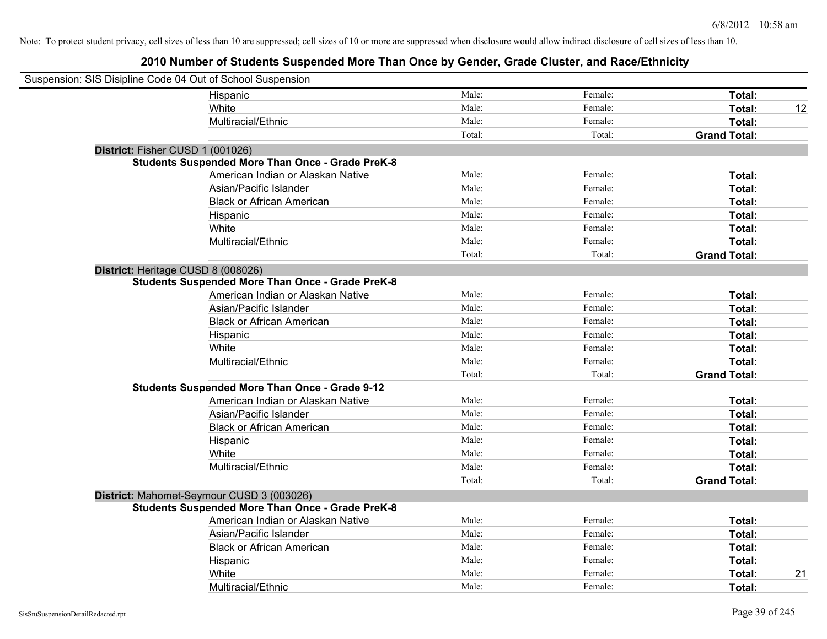| Suspension: SIS Disipline Code 04 Out of School Suspension |                                                         |        |         |                     |
|------------------------------------------------------------|---------------------------------------------------------|--------|---------|---------------------|
|                                                            | Hispanic                                                | Male:  | Female: | Total:              |
|                                                            | White                                                   | Male:  | Female: | Total:<br>12        |
|                                                            | Multiracial/Ethnic                                      | Male:  | Female: | Total:              |
|                                                            |                                                         | Total: | Total:  | <b>Grand Total:</b> |
| District: Fisher CUSD 1 (001026)                           |                                                         |        |         |                     |
|                                                            | <b>Students Suspended More Than Once - Grade PreK-8</b> |        |         |                     |
|                                                            | American Indian or Alaskan Native                       | Male:  | Female: | Total:              |
|                                                            | Asian/Pacific Islander                                  | Male:  | Female: | Total:              |
|                                                            | <b>Black or African American</b>                        | Male:  | Female: | Total:              |
|                                                            | Hispanic                                                | Male:  | Female: | Total:              |
|                                                            | White                                                   | Male:  | Female: | Total:              |
|                                                            | Multiracial/Ethnic                                      | Male:  | Female: | Total:              |
|                                                            |                                                         | Total: | Total:  | <b>Grand Total:</b> |
| District: Heritage CUSD 8 (008026)                         |                                                         |        |         |                     |
|                                                            | <b>Students Suspended More Than Once - Grade PreK-8</b> |        |         |                     |
|                                                            | American Indian or Alaskan Native                       | Male:  | Female: | Total:              |
|                                                            | Asian/Pacific Islander                                  | Male:  | Female: | Total:              |
|                                                            | <b>Black or African American</b>                        | Male:  | Female: | Total:              |
|                                                            | Hispanic                                                | Male:  | Female: | Total:              |
|                                                            | White                                                   | Male:  | Female: | Total:              |
|                                                            | Multiracial/Ethnic                                      | Male:  | Female: | Total:              |
|                                                            |                                                         | Total: | Total:  | <b>Grand Total:</b> |
|                                                            | <b>Students Suspended More Than Once - Grade 9-12</b>   |        |         |                     |
|                                                            | American Indian or Alaskan Native                       | Male:  | Female: | Total:              |
|                                                            | Asian/Pacific Islander                                  | Male:  | Female: | Total:              |
|                                                            | <b>Black or African American</b>                        | Male:  | Female: | Total:              |
|                                                            | Hispanic                                                | Male:  | Female: | Total:              |
|                                                            | White                                                   | Male:  | Female: | Total:              |
|                                                            | Multiracial/Ethnic                                      | Male:  | Female: | Total:              |
|                                                            |                                                         | Total: | Total:  | <b>Grand Total:</b> |
|                                                            | District: Mahomet-Seymour CUSD 3 (003026)               |        |         |                     |
|                                                            | <b>Students Suspended More Than Once - Grade PreK-8</b> |        |         |                     |
|                                                            | American Indian or Alaskan Native                       | Male:  | Female: | Total:              |
|                                                            | Asian/Pacific Islander                                  | Male:  | Female: | Total:              |
|                                                            | <b>Black or African American</b>                        | Male:  | Female: | Total:              |
|                                                            | Hispanic                                                | Male:  | Female: | Total:              |
|                                                            | White                                                   | Male:  | Female: | 21<br>Total:        |
|                                                            | Multiracial/Ethnic                                      | Male:  | Female: | Total:              |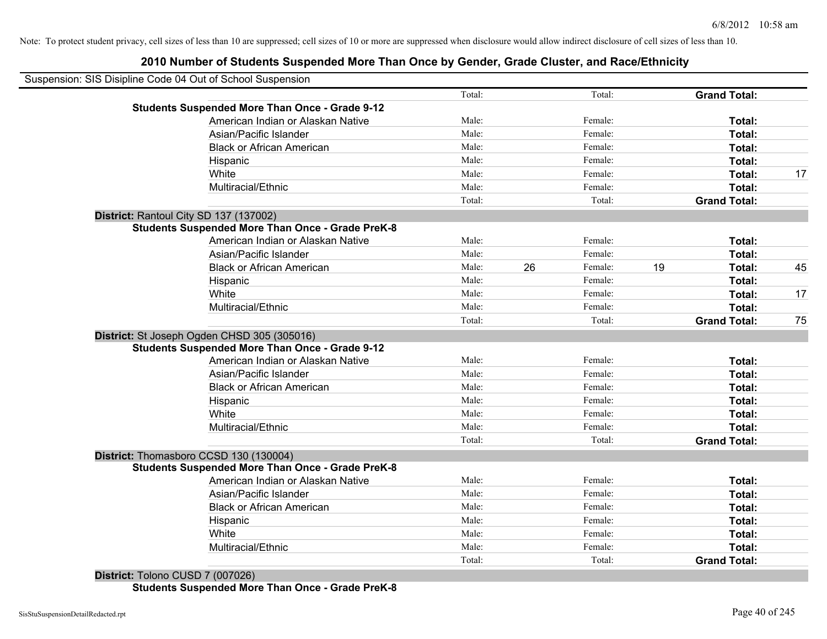# **2010 Number of Students Suspended More Than Once by Gender, Grade Cluster, and Race/Ethnicity**

| Suspension: SIS Disipline Code 04 Out of School Suspension |        |               |                     |    |
|------------------------------------------------------------|--------|---------------|---------------------|----|
|                                                            | Total: | Total:        | <b>Grand Total:</b> |    |
| <b>Students Suspended More Than Once - Grade 9-12</b>      |        |               |                     |    |
| American Indian or Alaskan Native                          | Male:  | Female:       | Total:              |    |
| Asian/Pacific Islander                                     | Male:  | Female:       | Total:              |    |
| <b>Black or African American</b>                           | Male:  | Female:       | Total:              |    |
| Hispanic                                                   | Male:  | Female:       | Total:              |    |
| White                                                      | Male:  | Female:       | Total:              | 17 |
| Multiracial/Ethnic                                         | Male:  | Female:       | Total:              |    |
|                                                            | Total: | Total:        | <b>Grand Total:</b> |    |
| District: Rantoul City SD 137 (137002)                     |        |               |                     |    |
| <b>Students Suspended More Than Once - Grade PreK-8</b>    |        |               |                     |    |
| American Indian or Alaskan Native                          | Male:  | Female:       | Total:              |    |
| Asian/Pacific Islander                                     | Male:  | Female:       | Total:              |    |
| <b>Black or African American</b>                           | Male:  | 26<br>Female: | 19<br>Total:        | 45 |
| Hispanic                                                   | Male:  | Female:       | Total:              |    |
| White                                                      | Male:  | Female:       | Total:              | 17 |
| Multiracial/Ethnic                                         | Male:  | Female:       | Total:              |    |
|                                                            | Total: | Total:        | <b>Grand Total:</b> | 75 |
| District: St Joseph Ogden CHSD 305 (305016)                |        |               |                     |    |
| <b>Students Suspended More Than Once - Grade 9-12</b>      |        |               |                     |    |
| American Indian or Alaskan Native                          | Male:  | Female:       | Total:              |    |
| Asian/Pacific Islander                                     | Male:  | Female:       | Total:              |    |
| <b>Black or African American</b>                           | Male:  | Female:       | Total:              |    |
| Hispanic                                                   | Male:  | Female:       | Total:              |    |
| White                                                      | Male:  | Female:       | Total:              |    |
| Multiracial/Ethnic                                         | Male:  | Female:       | Total:              |    |
|                                                            | Total: | Total:        | <b>Grand Total:</b> |    |
| District: Thomasboro CCSD 130 (130004)                     |        |               |                     |    |
| <b>Students Suspended More Than Once - Grade PreK-8</b>    |        |               |                     |    |
| American Indian or Alaskan Native                          | Male:  | Female:       | Total:              |    |
| Asian/Pacific Islander                                     | Male:  | Female:       | Total:              |    |
| <b>Black or African American</b>                           | Male:  | Female:       | Total:              |    |
| Hispanic                                                   | Male:  | Female:       | Total:              |    |
| White                                                      | Male:  | Female:       | Total:              |    |
| Multiracial/Ethnic                                         | Male:  | Female:       | Total:              |    |
|                                                            | Total: | Total:        | <b>Grand Total:</b> |    |

**District:** Tolono CUSD 7 (007026) **Students Suspended More Than Once - Grade PreK-8**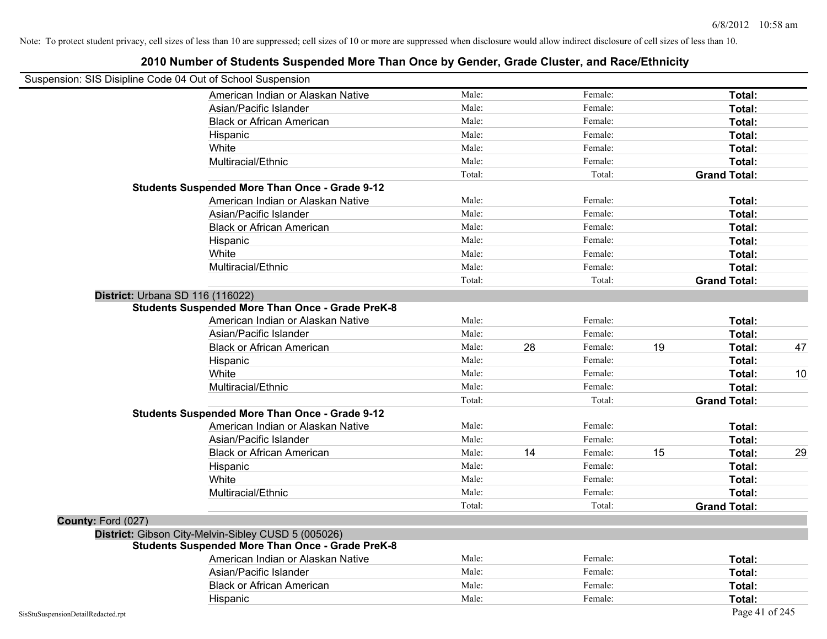| Suspension: SIS Disipline Code 04 Out of School Suspension |                                                         |        |    |         |    |                     |    |
|------------------------------------------------------------|---------------------------------------------------------|--------|----|---------|----|---------------------|----|
|                                                            | American Indian or Alaskan Native                       | Male:  |    | Female: |    | Total:              |    |
|                                                            | Asian/Pacific Islander                                  | Male:  |    | Female: |    | Total:              |    |
|                                                            | <b>Black or African American</b>                        | Male:  |    | Female: |    | Total:              |    |
|                                                            | Hispanic                                                | Male:  |    | Female: |    | Total:              |    |
|                                                            | White                                                   | Male:  |    | Female: |    | Total:              |    |
|                                                            | Multiracial/Ethnic                                      | Male:  |    | Female: |    | Total:              |    |
|                                                            |                                                         | Total: |    | Total:  |    | <b>Grand Total:</b> |    |
|                                                            | <b>Students Suspended More Than Once - Grade 9-12</b>   |        |    |         |    |                     |    |
|                                                            | American Indian or Alaskan Native                       | Male:  |    | Female: |    | Total:              |    |
|                                                            | Asian/Pacific Islander                                  | Male:  |    | Female: |    | Total:              |    |
|                                                            | <b>Black or African American</b>                        | Male:  |    | Female: |    | Total:              |    |
|                                                            | Hispanic                                                | Male:  |    | Female: |    | Total:              |    |
|                                                            | White                                                   | Male:  |    | Female: |    | Total:              |    |
|                                                            | Multiracial/Ethnic                                      | Male:  |    | Female: |    | Total:              |    |
|                                                            |                                                         | Total: |    | Total:  |    | <b>Grand Total:</b> |    |
| District: Urbana SD 116 (116022)                           |                                                         |        |    |         |    |                     |    |
|                                                            | <b>Students Suspended More Than Once - Grade PreK-8</b> |        |    |         |    |                     |    |
|                                                            | American Indian or Alaskan Native                       | Male:  |    | Female: |    | Total:              |    |
|                                                            | Asian/Pacific Islander                                  | Male:  |    | Female: |    | Total:              |    |
|                                                            | <b>Black or African American</b>                        | Male:  | 28 | Female: | 19 | Total:              | 47 |
|                                                            | Hispanic                                                | Male:  |    | Female: |    | Total:              |    |
|                                                            | White                                                   | Male:  |    | Female: |    | Total:              | 10 |
|                                                            | Multiracial/Ethnic                                      | Male:  |    | Female: |    | Total:              |    |
|                                                            |                                                         | Total: |    | Total:  |    | <b>Grand Total:</b> |    |
|                                                            | <b>Students Suspended More Than Once - Grade 9-12</b>   |        |    |         |    |                     |    |
|                                                            | American Indian or Alaskan Native                       | Male:  |    | Female: |    | Total:              |    |
|                                                            | Asian/Pacific Islander                                  | Male:  |    | Female: |    | Total:              |    |
|                                                            | <b>Black or African American</b>                        | Male:  | 14 | Female: | 15 | Total:              | 29 |
|                                                            | Hispanic                                                | Male:  |    | Female: |    | Total:              |    |
|                                                            | White                                                   | Male:  |    | Female: |    | Total:              |    |
|                                                            | Multiracial/Ethnic                                      | Male:  |    | Female: |    | Total:              |    |
|                                                            |                                                         | Total: |    | Total:  |    | <b>Grand Total:</b> |    |
| County: Ford (027)                                         |                                                         |        |    |         |    |                     |    |
|                                                            | District: Gibson City-Melvin-Sibley CUSD 5 (005026)     |        |    |         |    |                     |    |
|                                                            | <b>Students Suspended More Than Once - Grade PreK-8</b> |        |    |         |    |                     |    |
|                                                            | American Indian or Alaskan Native                       | Male:  |    | Female: |    | Total:              |    |
|                                                            | Asian/Pacific Islander                                  | Male:  |    | Female: |    | Total:              |    |
|                                                            | <b>Black or African American</b>                        | Male:  |    | Female: |    | Total:              |    |
|                                                            | Hispanic                                                | Male:  |    | Female: |    | Total:              |    |
| SisStuSuspensionDetailRedacted.rpt                         |                                                         |        |    |         |    | Page 41 of 245      |    |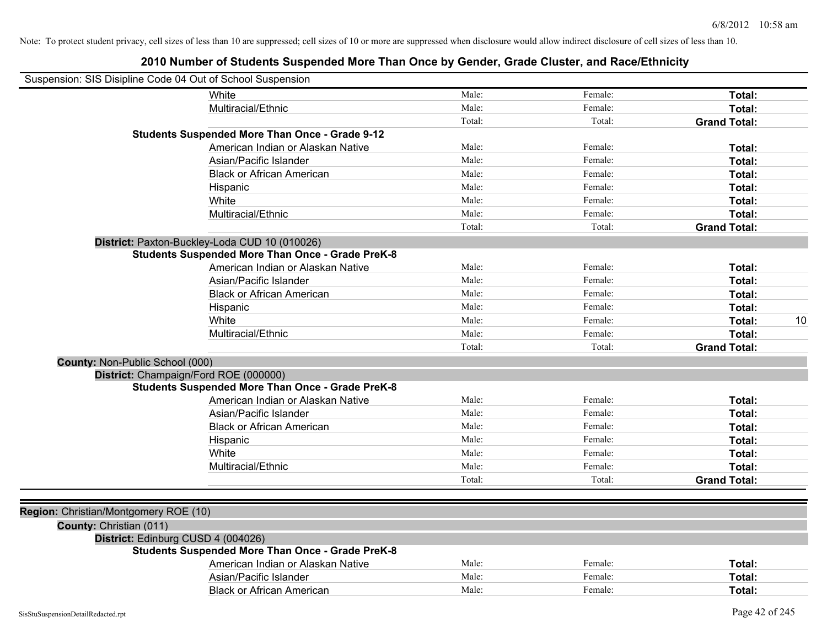|                                       | Suspension: SIS Disipline Code 04 Out of School Suspension |        |         |                     |    |
|---------------------------------------|------------------------------------------------------------|--------|---------|---------------------|----|
|                                       | White                                                      | Male:  | Female: | Total:              |    |
|                                       | Multiracial/Ethnic                                         | Male:  | Female: | Total:              |    |
|                                       |                                                            | Total: | Total:  | <b>Grand Total:</b> |    |
|                                       | <b>Students Suspended More Than Once - Grade 9-12</b>      |        |         |                     |    |
|                                       | American Indian or Alaskan Native                          | Male:  | Female: | Total:              |    |
|                                       | Asian/Pacific Islander                                     | Male:  | Female: | Total:              |    |
|                                       | <b>Black or African American</b>                           | Male:  | Female: | Total:              |    |
|                                       | Hispanic                                                   | Male:  | Female: | Total:              |    |
|                                       | White                                                      | Male:  | Female: | Total:              |    |
|                                       | Multiracial/Ethnic                                         | Male:  | Female: | Total:              |    |
|                                       |                                                            | Total: | Total:  | <b>Grand Total:</b> |    |
|                                       | District: Paxton-Buckley-Loda CUD 10 (010026)              |        |         |                     |    |
|                                       | <b>Students Suspended More Than Once - Grade PreK-8</b>    |        |         |                     |    |
|                                       | American Indian or Alaskan Native                          | Male:  | Female: | Total:              |    |
|                                       | Asian/Pacific Islander                                     | Male:  | Female: | Total:              |    |
|                                       | <b>Black or African American</b>                           | Male:  | Female: | Total:              |    |
|                                       | Hispanic                                                   | Male:  | Female: | Total:              |    |
|                                       | White                                                      | Male:  | Female: | Total:              | 10 |
|                                       | Multiracial/Ethnic                                         | Male:  | Female: | Total:              |    |
|                                       |                                                            | Total: | Total:  | <b>Grand Total:</b> |    |
| County: Non-Public School (000)       |                                                            |        |         |                     |    |
|                                       | District: Champaign/Ford ROE (000000)                      |        |         |                     |    |
|                                       | <b>Students Suspended More Than Once - Grade PreK-8</b>    |        |         |                     |    |
|                                       | American Indian or Alaskan Native                          | Male:  | Female: | Total:              |    |
|                                       | Asian/Pacific Islander                                     | Male:  | Female: | Total:              |    |
|                                       | <b>Black or African American</b>                           | Male:  | Female: | Total:              |    |
|                                       | Hispanic                                                   | Male:  | Female: | Total:              |    |
|                                       | White                                                      | Male:  | Female: | Total:              |    |
|                                       | Multiracial/Ethnic                                         | Male:  | Female: | Total:              |    |
|                                       |                                                            | Total: | Total:  | <b>Grand Total:</b> |    |
|                                       |                                                            |        |         |                     |    |
| Region: Christian/Montgomery ROE (10) |                                                            |        |         |                     |    |
| County: Christian (011)               |                                                            |        |         |                     |    |
|                                       | District: Edinburg CUSD 4 (004026)                         |        |         |                     |    |
|                                       | <b>Students Suspended More Than Once - Grade PreK-8</b>    |        |         |                     |    |
|                                       | American Indian or Alaskan Native                          | Male:  | Female: | Total:              |    |
|                                       | Asian/Pacific Islander                                     | Male:  | Female: | Total:              |    |
|                                       | <b>Black or African American</b>                           | Male:  | Female: | Total:              |    |
|                                       |                                                            |        |         |                     |    |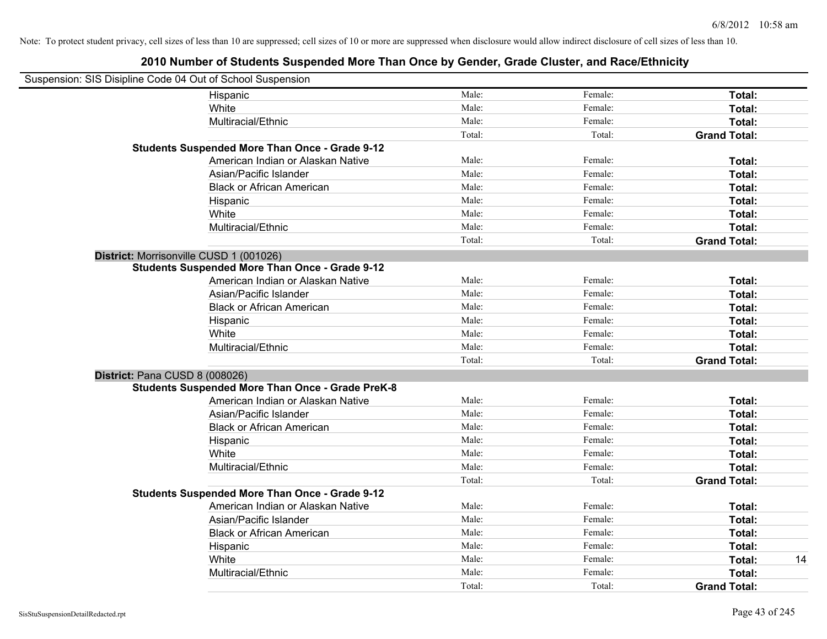| Suspension: SIS Disipline Code 04 Out of School Suspension |                                                         |        |         |                     |    |
|------------------------------------------------------------|---------------------------------------------------------|--------|---------|---------------------|----|
|                                                            | Hispanic                                                | Male:  | Female: | Total:              |    |
|                                                            | White                                                   | Male:  | Female: | Total:              |    |
|                                                            | Multiracial/Ethnic                                      | Male:  | Female: | Total:              |    |
|                                                            |                                                         | Total: | Total:  | <b>Grand Total:</b> |    |
|                                                            | <b>Students Suspended More Than Once - Grade 9-12</b>   |        |         |                     |    |
|                                                            | American Indian or Alaskan Native                       | Male:  | Female: | Total:              |    |
|                                                            | Asian/Pacific Islander                                  | Male:  | Female: | Total:              |    |
|                                                            | <b>Black or African American</b>                        | Male:  | Female: | Total:              |    |
|                                                            | Hispanic                                                | Male:  | Female: | Total:              |    |
|                                                            | White                                                   | Male:  | Female: | Total:              |    |
|                                                            | Multiracial/Ethnic                                      | Male:  | Female: | Total:              |    |
|                                                            |                                                         | Total: | Total:  | <b>Grand Total:</b> |    |
|                                                            | District: Morrisonville CUSD 1 (001026)                 |        |         |                     |    |
|                                                            | <b>Students Suspended More Than Once - Grade 9-12</b>   |        |         |                     |    |
|                                                            | American Indian or Alaskan Native                       | Male:  | Female: | Total:              |    |
|                                                            | Asian/Pacific Islander                                  | Male:  | Female: | Total:              |    |
|                                                            | <b>Black or African American</b>                        | Male:  | Female: | Total:              |    |
|                                                            | Hispanic                                                | Male:  | Female: | Total:              |    |
|                                                            | White                                                   | Male:  | Female: | Total:              |    |
|                                                            | Multiracial/Ethnic                                      | Male:  | Female: | Total:              |    |
|                                                            |                                                         | Total: | Total:  | <b>Grand Total:</b> |    |
| District: Pana CUSD 8 (008026)                             |                                                         |        |         |                     |    |
|                                                            | <b>Students Suspended More Than Once - Grade PreK-8</b> |        |         |                     |    |
|                                                            | American Indian or Alaskan Native                       | Male:  | Female: | Total:              |    |
|                                                            | Asian/Pacific Islander                                  | Male:  | Female: | Total:              |    |
|                                                            | <b>Black or African American</b>                        | Male:  | Female: | Total:              |    |
|                                                            | Hispanic                                                | Male:  | Female: | Total:              |    |
|                                                            | White                                                   | Male:  | Female: | Total:              |    |
|                                                            | Multiracial/Ethnic                                      | Male:  | Female: | Total:              |    |
|                                                            |                                                         | Total: | Total:  | <b>Grand Total:</b> |    |
|                                                            | <b>Students Suspended More Than Once - Grade 9-12</b>   |        |         |                     |    |
|                                                            | American Indian or Alaskan Native                       | Male:  | Female: | Total:              |    |
|                                                            | Asian/Pacific Islander                                  | Male:  | Female: | Total:              |    |
|                                                            | <b>Black or African American</b>                        | Male:  | Female: | Total:              |    |
|                                                            | Hispanic                                                | Male:  | Female: | Total:              |    |
|                                                            | White                                                   | Male:  | Female: | Total:              | 14 |
|                                                            | Multiracial/Ethnic                                      | Male:  | Female: | Total:              |    |
|                                                            |                                                         | Total: | Total:  | <b>Grand Total:</b> |    |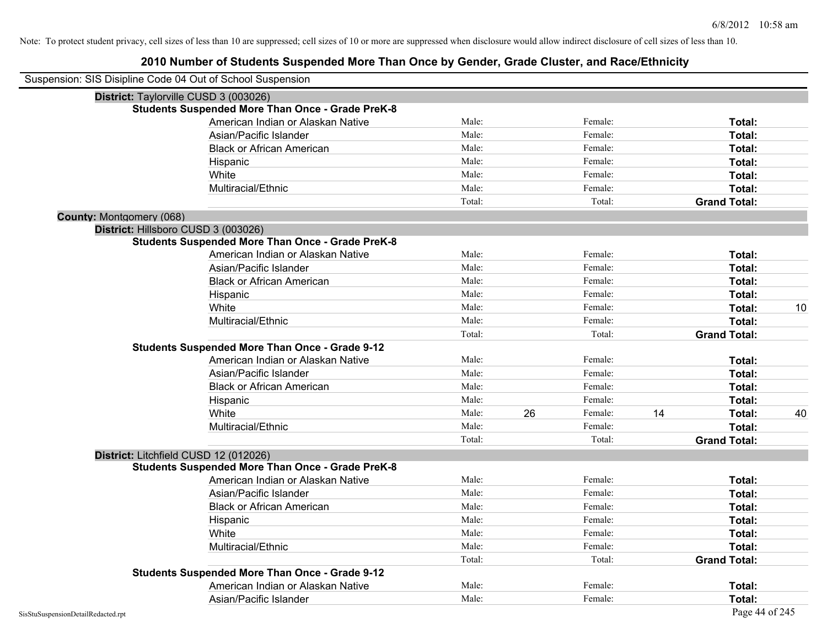| Suspension: SIS Disipline Code 04 Out of School Suspension |                                                         |        |    |         |    |                     |    |
|------------------------------------------------------------|---------------------------------------------------------|--------|----|---------|----|---------------------|----|
| District: Taylorville CUSD 3 (003026)                      |                                                         |        |    |         |    |                     |    |
|                                                            | <b>Students Suspended More Than Once - Grade PreK-8</b> |        |    |         |    |                     |    |
|                                                            | American Indian or Alaskan Native                       | Male:  |    | Female: |    | Total:              |    |
|                                                            | Asian/Pacific Islander                                  | Male:  |    | Female: |    | Total:              |    |
|                                                            | <b>Black or African American</b>                        | Male:  |    | Female: |    | Total:              |    |
|                                                            | Hispanic                                                | Male:  |    | Female: |    | Total:              |    |
|                                                            | White                                                   | Male:  |    | Female: |    | Total:              |    |
|                                                            | Multiracial/Ethnic                                      | Male:  |    | Female: |    | Total:              |    |
|                                                            |                                                         | Total: |    | Total:  |    | <b>Grand Total:</b> |    |
| County: Montgomery (068)                                   |                                                         |        |    |         |    |                     |    |
| District: Hillsboro CUSD 3 (003026)                        |                                                         |        |    |         |    |                     |    |
|                                                            | <b>Students Suspended More Than Once - Grade PreK-8</b> |        |    |         |    |                     |    |
|                                                            | American Indian or Alaskan Native                       | Male:  |    | Female: |    | Total:              |    |
|                                                            | Asian/Pacific Islander                                  | Male:  |    | Female: |    | Total:              |    |
|                                                            | <b>Black or African American</b>                        | Male:  |    | Female: |    | Total:              |    |
|                                                            | Hispanic                                                | Male:  |    | Female: |    | Total:              |    |
|                                                            | White                                                   | Male:  |    | Female: |    | <b>Total:</b>       | 10 |
|                                                            | Multiracial/Ethnic                                      | Male:  |    | Female: |    | Total:              |    |
|                                                            |                                                         | Total: |    | Total:  |    | <b>Grand Total:</b> |    |
|                                                            | <b>Students Suspended More Than Once - Grade 9-12</b>   |        |    |         |    |                     |    |
|                                                            | American Indian or Alaskan Native                       | Male:  |    | Female: |    | Total:              |    |
|                                                            | Asian/Pacific Islander                                  | Male:  |    | Female: |    | Total:              |    |
|                                                            | <b>Black or African American</b>                        | Male:  |    | Female: |    | Total:              |    |
|                                                            | Hispanic                                                | Male:  |    | Female: |    | Total:              |    |
|                                                            | White                                                   | Male:  | 26 | Female: | 14 | Total:              | 40 |
|                                                            | Multiracial/Ethnic                                      | Male:  |    | Female: |    | Total:              |    |
|                                                            |                                                         | Total: |    | Total:  |    | <b>Grand Total:</b> |    |
| District: Litchfield CUSD 12 (012026)                      |                                                         |        |    |         |    |                     |    |
|                                                            | <b>Students Suspended More Than Once - Grade PreK-8</b> |        |    |         |    |                     |    |
|                                                            | American Indian or Alaskan Native                       | Male:  |    | Female: |    | Total:              |    |
|                                                            | Asian/Pacific Islander                                  | Male:  |    | Female: |    | Total:              |    |
|                                                            | <b>Black or African American</b>                        | Male:  |    | Female: |    | Total:              |    |
|                                                            | Hispanic                                                | Male:  |    | Female: |    | Total:              |    |
|                                                            | White                                                   | Male:  |    | Female: |    | Total:              |    |
|                                                            | Multiracial/Ethnic                                      | Male:  |    | Female: |    | Total:              |    |
|                                                            |                                                         | Total: |    | Total:  |    | <b>Grand Total:</b> |    |
|                                                            | <b>Students Suspended More Than Once - Grade 9-12</b>   |        |    |         |    |                     |    |
|                                                            | American Indian or Alaskan Native                       | Male:  |    | Female: |    | Total:              |    |
|                                                            | Asian/Pacific Islander                                  | Male:  |    | Female: |    | Total:              |    |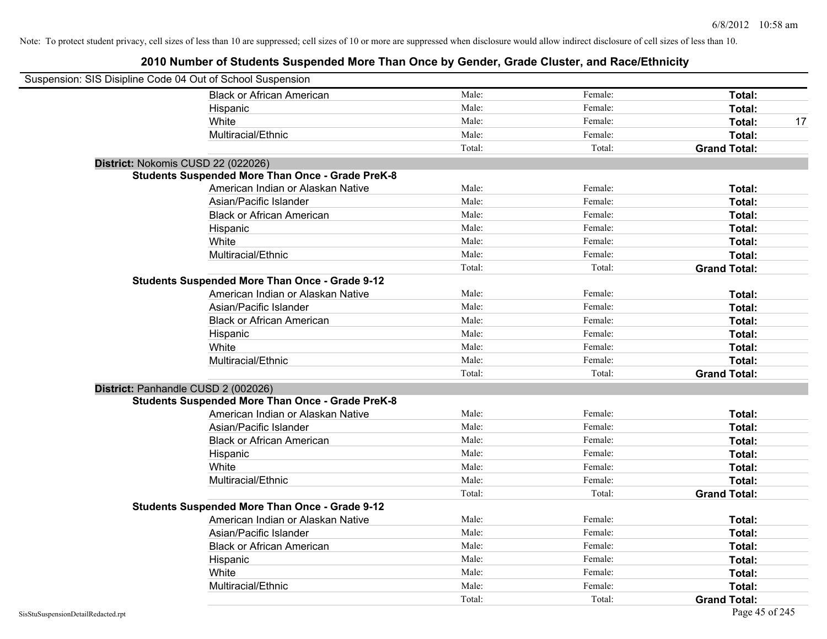| Suspension: SIS Disipline Code 04 Out of School Suspension |                                                         |        |         |                     |
|------------------------------------------------------------|---------------------------------------------------------|--------|---------|---------------------|
|                                                            | <b>Black or African American</b>                        | Male:  | Female: | Total:              |
|                                                            | Hispanic                                                | Male:  | Female: | Total:              |
|                                                            | White                                                   | Male:  | Female: | Total:<br>17        |
|                                                            | Multiracial/Ethnic                                      | Male:  | Female: | Total:              |
|                                                            |                                                         | Total: | Total:  | <b>Grand Total:</b> |
| District: Nokomis CUSD 22 (022026)                         |                                                         |        |         |                     |
|                                                            | <b>Students Suspended More Than Once - Grade PreK-8</b> |        |         |                     |
|                                                            | American Indian or Alaskan Native                       | Male:  | Female: | Total:              |
|                                                            | Asian/Pacific Islander                                  | Male:  | Female: | Total:              |
|                                                            | <b>Black or African American</b>                        | Male:  | Female: | Total:              |
|                                                            | Hispanic                                                | Male:  | Female: | Total:              |
|                                                            | White                                                   | Male:  | Female: | Total:              |
|                                                            | Multiracial/Ethnic                                      | Male:  | Female: | Total:              |
|                                                            |                                                         | Total: | Total:  | <b>Grand Total:</b> |
|                                                            | <b>Students Suspended More Than Once - Grade 9-12</b>   |        |         |                     |
|                                                            | American Indian or Alaskan Native                       | Male:  | Female: | Total:              |
|                                                            | Asian/Pacific Islander                                  | Male:  | Female: | Total:              |
|                                                            | <b>Black or African American</b>                        | Male:  | Female: | Total:              |
|                                                            | Hispanic                                                | Male:  | Female: | Total:              |
|                                                            | White                                                   | Male:  | Female: | Total:              |
|                                                            | Multiracial/Ethnic                                      | Male:  | Female: | Total:              |
|                                                            |                                                         | Total: | Total:  | <b>Grand Total:</b> |
| District: Panhandle CUSD 2 (002026)                        |                                                         |        |         |                     |
|                                                            | <b>Students Suspended More Than Once - Grade PreK-8</b> |        |         |                     |
|                                                            | American Indian or Alaskan Native                       | Male:  | Female: | Total:              |
|                                                            | Asian/Pacific Islander                                  | Male:  | Female: | Total:              |
|                                                            | <b>Black or African American</b>                        | Male:  | Female: | Total:              |
|                                                            | Hispanic                                                | Male:  | Female: | Total:              |
|                                                            | White                                                   | Male:  | Female: | Total:              |
|                                                            | Multiracial/Ethnic                                      | Male:  | Female: | Total:              |
|                                                            |                                                         | Total: | Total:  | <b>Grand Total:</b> |
|                                                            | <b>Students Suspended More Than Once - Grade 9-12</b>   |        |         |                     |
|                                                            | American Indian or Alaskan Native                       | Male:  | Female: | Total:              |
|                                                            | Asian/Pacific Islander                                  | Male:  | Female: | Total:              |
|                                                            | <b>Black or African American</b>                        | Male:  | Female: | Total:              |
|                                                            | Hispanic                                                | Male:  | Female: | Total:              |
|                                                            | White                                                   | Male:  | Female: | Total:              |
|                                                            | Multiracial/Ethnic                                      | Male:  | Female: | Total:              |
|                                                            |                                                         | Total: | Total:  | <b>Grand Total:</b> |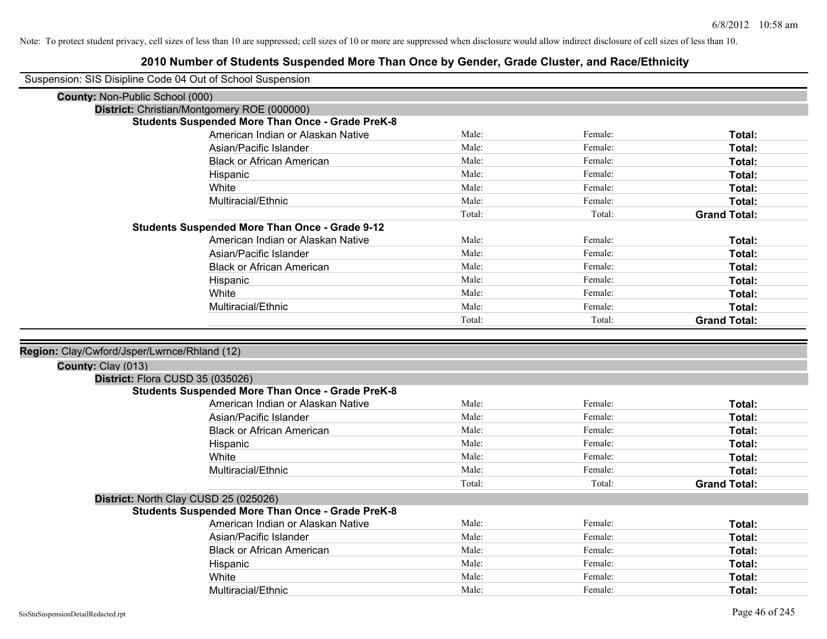| Suspension: SIS Disipline Code 04 Out of School Suspension |                                                                                              |        |         |                     |
|------------------------------------------------------------|----------------------------------------------------------------------------------------------|--------|---------|---------------------|
| County: Non-Public School (000)                            |                                                                                              |        |         |                     |
|                                                            | District: Christian/Montgomery ROE (000000)                                                  |        |         |                     |
|                                                            | <b>Students Suspended More Than Once - Grade PreK-8</b>                                      |        |         |                     |
|                                                            | American Indian or Alaskan Native                                                            | Male:  | Female: | Total:              |
|                                                            | Asian/Pacific Islander                                                                       | Male:  | Female: | Total:              |
|                                                            | <b>Black or African American</b>                                                             | Male:  | Female: | Total:              |
|                                                            | Hispanic                                                                                     | Male:  | Female: | Total:              |
|                                                            | White                                                                                        | Male:  | Female: | Total:              |
|                                                            | Multiracial/Ethnic                                                                           | Male:  | Female: | Total:              |
|                                                            |                                                                                              | Total: | Total:  | <b>Grand Total:</b> |
|                                                            | <b>Students Suspended More Than Once - Grade 9-12</b>                                        |        |         |                     |
|                                                            | American Indian or Alaskan Native                                                            | Male:  | Female: | Total:              |
|                                                            | Asian/Pacific Islander                                                                       | Male:  | Female: | Total:              |
|                                                            | <b>Black or African American</b>                                                             | Male:  | Female: | Total:              |
|                                                            | Hispanic                                                                                     | Male:  | Female: | Total:              |
|                                                            | White                                                                                        | Male:  | Female: | Total:              |
|                                                            | Multiracial/Ethnic                                                                           | Male:  | Female: | Total:              |
|                                                            |                                                                                              | Total: | Total:  | <b>Grand Total:</b> |
|                                                            |                                                                                              |        |         |                     |
|                                                            |                                                                                              |        |         |                     |
| Region: Clay/Cwford/Jsper/Lwrnce/Rhland (12)               |                                                                                              |        |         |                     |
|                                                            |                                                                                              |        |         |                     |
| County: Clay (013)                                         |                                                                                              |        |         |                     |
|                                                            | District: Flora CUSD 35 (035026)<br><b>Students Suspended More Than Once - Grade PreK-8</b>  |        |         |                     |
|                                                            | American Indian or Alaskan Native                                                            | Male:  | Female: | Total:              |
|                                                            | Asian/Pacific Islander                                                                       | Male:  | Female: | Total:              |
|                                                            | <b>Black or African American</b>                                                             | Male:  | Female: | Total:              |
|                                                            | Hispanic                                                                                     | Male:  | Female: | Total:              |
|                                                            | White                                                                                        | Male:  | Female: | Total:              |
|                                                            | Multiracial/Ethnic                                                                           | Male:  | Female: | Total:              |
|                                                            |                                                                                              | Total: | Total:  | <b>Grand Total:</b> |
|                                                            |                                                                                              |        |         |                     |
|                                                            | District: North Clay CUSD 25 (025026)                                                        |        |         |                     |
|                                                            | <b>Students Suspended More Than Once - Grade PreK-8</b><br>American Indian or Alaskan Native | Male:  | Female: | Total:              |
|                                                            | Asian/Pacific Islander                                                                       | Male:  | Female: | Total:              |
|                                                            | <b>Black or African American</b>                                                             | Male:  | Female: | Total:              |
|                                                            | Hispanic                                                                                     | Male:  | Female: | Total:              |
|                                                            | White                                                                                        | Male:  | Female: | <b>Total:</b>       |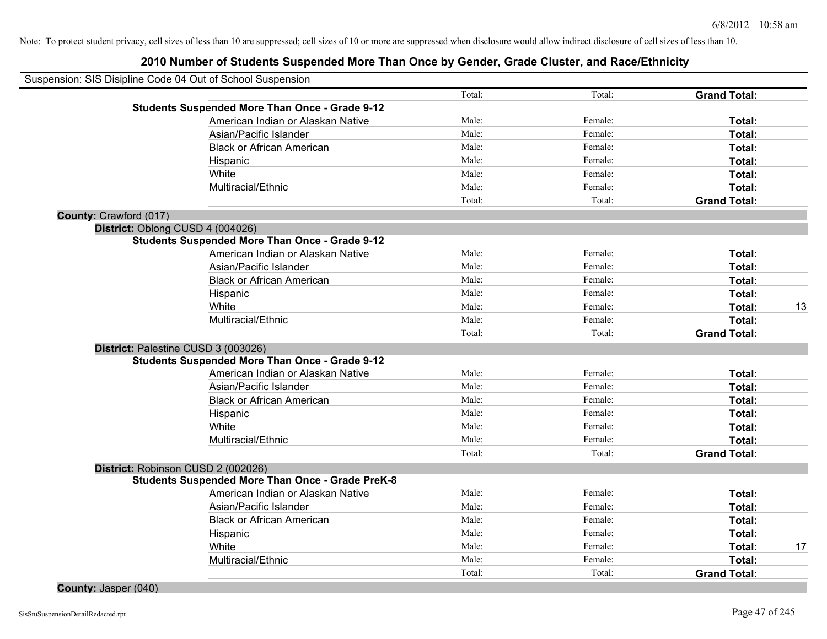|                        | Suspension: SIS Disipline Code 04 Out of School Suspension |        |         |                     |    |
|------------------------|------------------------------------------------------------|--------|---------|---------------------|----|
|                        |                                                            | Total: | Total:  | <b>Grand Total:</b> |    |
|                        | <b>Students Suspended More Than Once - Grade 9-12</b>      |        |         |                     |    |
|                        | American Indian or Alaskan Native                          | Male:  | Female: | Total:              |    |
|                        | Asian/Pacific Islander                                     | Male:  | Female: | Total:              |    |
|                        | <b>Black or African American</b>                           | Male:  | Female: | Total:              |    |
|                        | Hispanic                                                   | Male:  | Female: | Total:              |    |
|                        | White                                                      | Male:  | Female: | Total:              |    |
|                        | Multiracial/Ethnic                                         | Male:  | Female: | Total:              |    |
|                        |                                                            | Total: | Total:  | <b>Grand Total:</b> |    |
| County: Crawford (017) |                                                            |        |         |                     |    |
|                        | District: Oblong CUSD 4 (004026)                           |        |         |                     |    |
|                        | <b>Students Suspended More Than Once - Grade 9-12</b>      |        |         |                     |    |
|                        | American Indian or Alaskan Native                          | Male:  | Female: | Total:              |    |
|                        | Asian/Pacific Islander                                     | Male:  | Female: | Total:              |    |
|                        | <b>Black or African American</b>                           | Male:  | Female: | Total:              |    |
|                        | Hispanic                                                   | Male:  | Female: | Total:              |    |
|                        | White                                                      | Male:  | Female: | Total:              | 13 |
|                        | Multiracial/Ethnic                                         | Male:  | Female: | Total:              |    |
|                        |                                                            | Total: | Total:  | <b>Grand Total:</b> |    |
|                        | District: Palestine CUSD 3 (003026)                        |        |         |                     |    |
|                        | <b>Students Suspended More Than Once - Grade 9-12</b>      |        |         |                     |    |
|                        | American Indian or Alaskan Native                          | Male:  | Female: | Total:              |    |
|                        | Asian/Pacific Islander                                     | Male:  | Female: | Total:              |    |
|                        | <b>Black or African American</b>                           | Male:  | Female: | Total:              |    |
|                        | Hispanic                                                   | Male:  | Female: | Total:              |    |
|                        | White                                                      | Male:  | Female: | Total:              |    |
|                        | Multiracial/Ethnic                                         | Male:  | Female: | Total:              |    |
|                        |                                                            | Total: | Total:  | <b>Grand Total:</b> |    |
|                        | District: Robinson CUSD 2 (002026)                         |        |         |                     |    |
|                        | <b>Students Suspended More Than Once - Grade PreK-8</b>    |        |         |                     |    |
|                        | American Indian or Alaskan Native                          | Male:  | Female: | Total:              |    |
|                        | Asian/Pacific Islander                                     | Male:  | Female: | Total:              |    |
|                        | <b>Black or African American</b>                           | Male:  | Female: | Total:              |    |
|                        | Hispanic                                                   | Male:  | Female: | Total:              |    |
|                        | White                                                      | Male:  | Female: | Total:              | 17 |
|                        | Multiracial/Ethnic                                         | Male:  | Female: | Total:              |    |
|                        |                                                            | Total: | Total:  | <b>Grand Total:</b> |    |
| County: Jasper (040)   |                                                            |        |         |                     |    |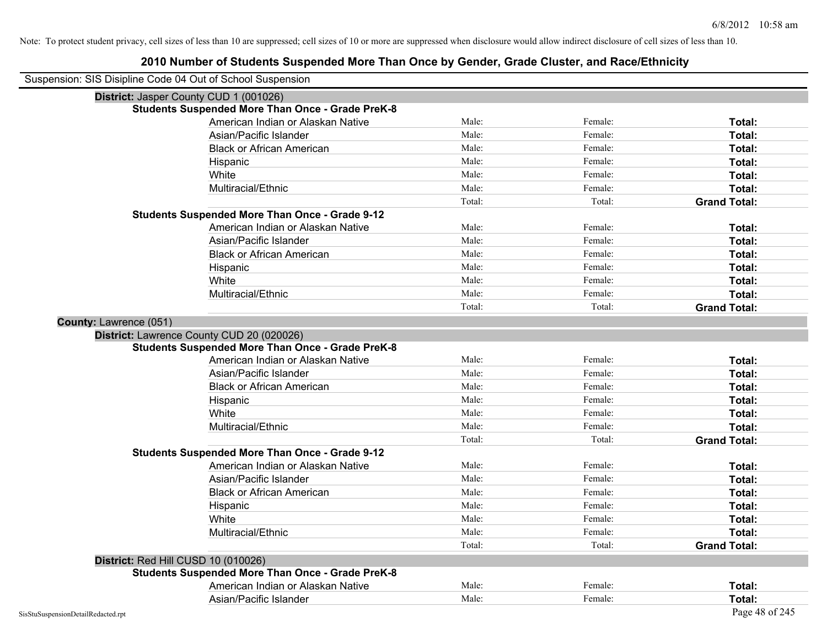| Suspension: SIS Disipline Code 04 Out of School Suspension |                                                         |        |         |                     |
|------------------------------------------------------------|---------------------------------------------------------|--------|---------|---------------------|
|                                                            | District: Jasper County CUD 1 (001026)                  |        |         |                     |
|                                                            | <b>Students Suspended More Than Once - Grade PreK-8</b> |        |         |                     |
|                                                            | American Indian or Alaskan Native                       | Male:  | Female: | Total:              |
|                                                            | Asian/Pacific Islander                                  | Male:  | Female: | Total:              |
|                                                            | <b>Black or African American</b>                        | Male:  | Female: | Total:              |
|                                                            | Hispanic                                                | Male:  | Female: | Total:              |
|                                                            | White                                                   | Male:  | Female: | Total:              |
|                                                            | Multiracial/Ethnic                                      | Male:  | Female: | Total:              |
|                                                            |                                                         | Total: | Total:  | <b>Grand Total:</b> |
|                                                            | <b>Students Suspended More Than Once - Grade 9-12</b>   |        |         |                     |
|                                                            | American Indian or Alaskan Native                       | Male:  | Female: | Total:              |
|                                                            | Asian/Pacific Islander                                  | Male:  | Female: | Total:              |
|                                                            | <b>Black or African American</b>                        | Male:  | Female: | Total:              |
|                                                            | Hispanic                                                | Male:  | Female: | Total:              |
|                                                            | White                                                   | Male:  | Female: | Total:              |
|                                                            | Multiracial/Ethnic                                      | Male:  | Female: | Total:              |
|                                                            |                                                         | Total: | Total:  | <b>Grand Total:</b> |
| County: Lawrence (051)                                     |                                                         |        |         |                     |
|                                                            | District: Lawrence County CUD 20 (020026)               |        |         |                     |
|                                                            | <b>Students Suspended More Than Once - Grade PreK-8</b> |        |         |                     |
|                                                            | American Indian or Alaskan Native                       | Male:  | Female: | Total:              |
|                                                            | Asian/Pacific Islander                                  | Male:  | Female: | Total:              |
|                                                            | <b>Black or African American</b>                        | Male:  | Female: | Total:              |
|                                                            | Hispanic                                                | Male:  | Female: | Total:              |
|                                                            | White                                                   | Male:  | Female: | Total:              |
|                                                            | Multiracial/Ethnic                                      | Male:  | Female: | Total:              |
|                                                            |                                                         | Total: | Total:  | <b>Grand Total:</b> |
|                                                            | <b>Students Suspended More Than Once - Grade 9-12</b>   |        |         |                     |
|                                                            | American Indian or Alaskan Native                       | Male:  | Female: | Total:              |
|                                                            | Asian/Pacific Islander                                  | Male:  | Female: | Total:              |
|                                                            | <b>Black or African American</b>                        | Male:  | Female: | Total:              |
|                                                            | Hispanic                                                | Male:  | Female: | Total:              |
|                                                            | White                                                   | Male:  | Female: | Total:              |
|                                                            | Multiracial/Ethnic                                      | Male:  | Female: | Total:              |
|                                                            |                                                         | Total: | Total:  | <b>Grand Total:</b> |
| District: Red Hill CUSD 10 (010026)                        |                                                         |        |         |                     |
|                                                            | <b>Students Suspended More Than Once - Grade PreK-8</b> |        |         |                     |
|                                                            | American Indian or Alaskan Native                       | Male:  | Female: | Total:              |
|                                                            | Asian/Pacific Islander                                  | Male:  | Female: | Total:              |
| SisStuSuspensionDetailRedacted.rpt                         |                                                         |        |         | Page 48 of 245      |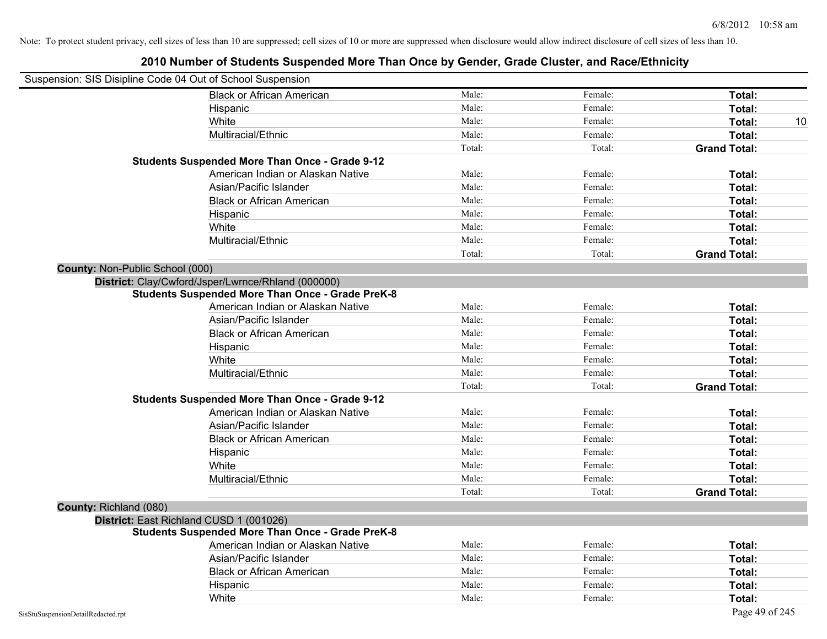|                                        | Suspension: SIS Disipline Code 04 Out of School Suspension |        |         |                     |
|----------------------------------------|------------------------------------------------------------|--------|---------|---------------------|
|                                        | <b>Black or African American</b>                           | Male:  | Female: | Total:              |
|                                        | Hispanic                                                   | Male:  | Female: | Total:              |
|                                        | White                                                      | Male:  | Female: | Total:<br>10        |
|                                        | Multiracial/Ethnic                                         | Male:  | Female: | Total:              |
|                                        |                                                            | Total: | Total:  | <b>Grand Total:</b> |
|                                        | <b>Students Suspended More Than Once - Grade 9-12</b>      |        |         |                     |
|                                        | American Indian or Alaskan Native                          | Male:  | Female: | Total:              |
|                                        | Asian/Pacific Islander                                     | Male:  | Female: | Total:              |
|                                        | <b>Black or African American</b>                           | Male:  | Female: | Total:              |
|                                        | Hispanic                                                   | Male:  | Female: | Total:              |
|                                        | White                                                      | Male:  | Female: | Total:              |
|                                        | Multiracial/Ethnic                                         | Male:  | Female: | Total:              |
|                                        |                                                            | Total: | Total:  | <b>Grand Total:</b> |
| <b>County: Non-Public School (000)</b> |                                                            |        |         |                     |
|                                        | District: Clay/Cwford/Jsper/Lwrnce/Rhland (000000)         |        |         |                     |
|                                        | <b>Students Suspended More Than Once - Grade PreK-8</b>    |        |         |                     |
|                                        | American Indian or Alaskan Native                          | Male:  | Female: | Total:              |
|                                        | Asian/Pacific Islander                                     | Male:  | Female: | Total:              |
|                                        | <b>Black or African American</b>                           | Male:  | Female: | Total:              |
|                                        | Hispanic                                                   | Male:  | Female: | Total:              |
|                                        | White                                                      | Male:  | Female: | Total:              |
|                                        | Multiracial/Ethnic                                         | Male:  | Female: | Total:              |
|                                        |                                                            | Total: | Total:  | <b>Grand Total:</b> |
|                                        | <b>Students Suspended More Than Once - Grade 9-12</b>      |        |         |                     |
|                                        | American Indian or Alaskan Native                          | Male:  | Female: | Total:              |
|                                        | Asian/Pacific Islander                                     | Male:  | Female: | Total:              |
|                                        | <b>Black or African American</b>                           | Male:  | Female: | Total:              |
|                                        | Hispanic                                                   | Male:  | Female: | Total:              |
|                                        | White                                                      | Male:  | Female: | Total:              |
|                                        | Multiracial/Ethnic                                         | Male:  | Female: | Total:              |
|                                        |                                                            | Total: | Total:  | <b>Grand Total:</b> |
| County: Richland (080)                 |                                                            |        |         |                     |
|                                        | District: East Richland CUSD 1 (001026)                    |        |         |                     |
|                                        | <b>Students Suspended More Than Once - Grade PreK-8</b>    |        |         |                     |
|                                        | American Indian or Alaskan Native                          | Male:  | Female: | Total:              |
|                                        | Asian/Pacific Islander                                     | Male:  | Female: | Total:              |
|                                        | <b>Black or African American</b>                           | Male:  | Female: | Total:              |
|                                        | Hispanic                                                   | Male:  | Female: | Total:              |
|                                        | White                                                      | Male:  | Female: | Total:              |
| SisStuSuspensionDetailRedacted.rpt     |                                                            |        |         | Page 49 of 245      |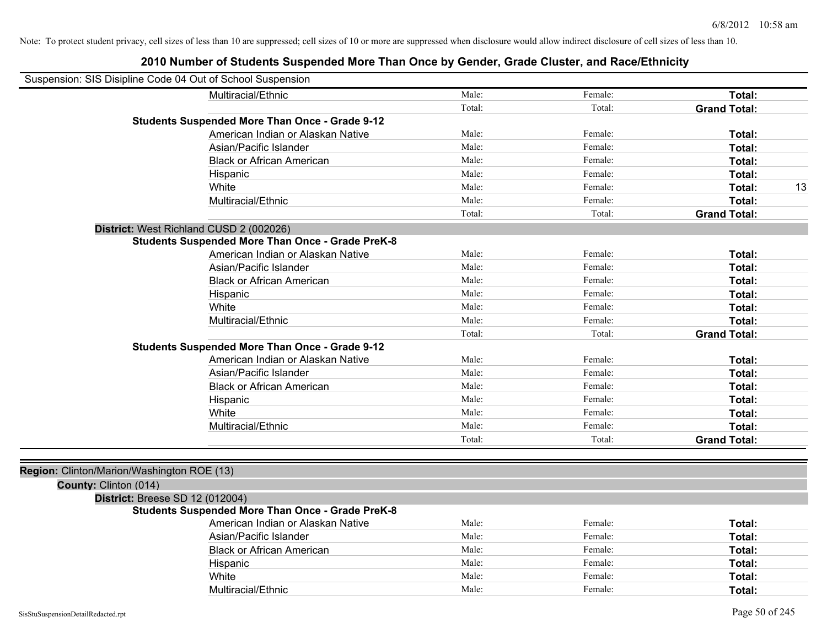| Suspension: SIS Disipline Code 04 Out of School Suspension |                                                         |        |         |                     |    |
|------------------------------------------------------------|---------------------------------------------------------|--------|---------|---------------------|----|
|                                                            | Multiracial/Ethnic                                      | Male:  | Female: | Total:              |    |
|                                                            |                                                         | Total: | Total:  | <b>Grand Total:</b> |    |
|                                                            | <b>Students Suspended More Than Once - Grade 9-12</b>   |        |         |                     |    |
|                                                            | American Indian or Alaskan Native                       | Male:  | Female: | Total:              |    |
|                                                            | Asian/Pacific Islander                                  | Male:  | Female: | Total:              |    |
|                                                            | <b>Black or African American</b>                        | Male:  | Female: | Total:              |    |
|                                                            | Hispanic                                                | Male:  | Female: | Total:              |    |
|                                                            | White                                                   | Male:  | Female: | Total:              | 13 |
|                                                            | Multiracial/Ethnic                                      | Male:  | Female: | Total:              |    |
|                                                            |                                                         | Total: | Total:  | <b>Grand Total:</b> |    |
|                                                            | District: West Richland CUSD 2 (002026)                 |        |         |                     |    |
|                                                            | <b>Students Suspended More Than Once - Grade PreK-8</b> |        |         |                     |    |
|                                                            | American Indian or Alaskan Native                       | Male:  | Female: | Total:              |    |
|                                                            | Asian/Pacific Islander                                  | Male:  | Female: | Total:              |    |
|                                                            | <b>Black or African American</b>                        | Male:  | Female: | Total:              |    |
|                                                            | Hispanic                                                | Male:  | Female: | Total:              |    |
|                                                            | White                                                   | Male:  | Female: | Total:              |    |
|                                                            | Multiracial/Ethnic                                      | Male:  | Female: | Total:              |    |
|                                                            |                                                         | Total: | Total:  | <b>Grand Total:</b> |    |
|                                                            | <b>Students Suspended More Than Once - Grade 9-12</b>   |        |         |                     |    |
|                                                            | American Indian or Alaskan Native                       | Male:  | Female: | Total:              |    |
|                                                            | Asian/Pacific Islander                                  | Male:  | Female: | Total:              |    |
|                                                            | <b>Black or African American</b>                        | Male:  | Female: | Total:              |    |
|                                                            | Hispanic                                                | Male:  | Female: | Total:              |    |
|                                                            | White                                                   | Male:  | Female: | Total:              |    |
|                                                            | Multiracial/Ethnic                                      | Male:  | Female: | Total:              |    |
|                                                            |                                                         | Total: | Total:  | <b>Grand Total:</b> |    |
|                                                            |                                                         |        |         |                     |    |
| Region: Clinton/Marion/Washington ROE (13)                 |                                                         |        |         |                     |    |
| County: Clinton (014)                                      |                                                         |        |         |                     |    |
| <b>District: Breese SD 12 (012004)</b>                     |                                                         |        |         |                     |    |
|                                                            | <b>Students Suspended More Than Once - Grade PreK-8</b> |        |         |                     |    |
|                                                            | American Indian or Alaskan Native                       | Male:  | Female: | Total:              |    |
|                                                            | Asian/Pacific Islander                                  | Male:  | Female: | Total:              |    |
|                                                            | <b>Black or African American</b>                        | Male:  | Female: | Total:              |    |
|                                                            | Hispanic                                                | Male:  | Female: | Total:              |    |
|                                                            | White                                                   | Male:  | Female: | Total:              |    |
|                                                            | Multiracial/Ethnic                                      | Male:  | Female: | Total:              |    |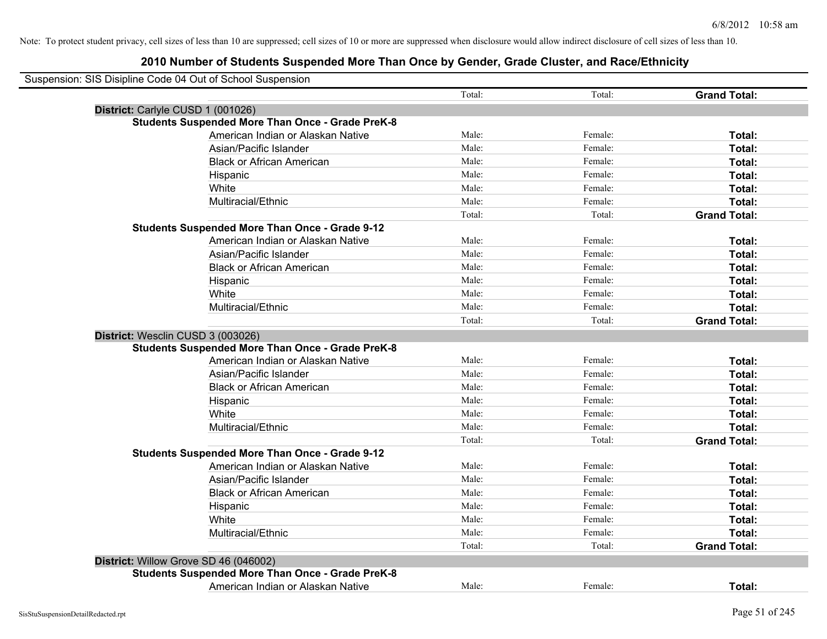| Suspension: SIS Disipline Code 04 Out of School Suspension |                                                         |        |         |                     |
|------------------------------------------------------------|---------------------------------------------------------|--------|---------|---------------------|
|                                                            |                                                         | Total: | Total:  | <b>Grand Total:</b> |
| District: Carlyle CUSD 1 (001026)                          |                                                         |        |         |                     |
|                                                            | <b>Students Suspended More Than Once - Grade PreK-8</b> |        |         |                     |
|                                                            | American Indian or Alaskan Native                       | Male:  | Female: | Total:              |
|                                                            | Asian/Pacific Islander                                  | Male:  | Female: | Total:              |
|                                                            | <b>Black or African American</b>                        | Male:  | Female: | Total:              |
|                                                            | Hispanic                                                | Male:  | Female: | Total:              |
| White                                                      |                                                         | Male:  | Female: | Total:              |
|                                                            | Multiracial/Ethnic                                      | Male:  | Female: | Total:              |
|                                                            |                                                         | Total: | Total:  | <b>Grand Total:</b> |
|                                                            | <b>Students Suspended More Than Once - Grade 9-12</b>   |        |         |                     |
|                                                            | American Indian or Alaskan Native                       | Male:  | Female: | Total:              |
|                                                            | Asian/Pacific Islander                                  | Male:  | Female: | Total:              |
|                                                            | <b>Black or African American</b>                        | Male:  | Female: | Total:              |
|                                                            | Hispanic                                                | Male:  | Female: | Total:              |
| White                                                      |                                                         | Male:  | Female: | Total:              |
|                                                            | Multiracial/Ethnic                                      | Male:  | Female: | Total:              |
|                                                            |                                                         | Total: | Total:  | <b>Grand Total:</b> |
| District: Wesclin CUSD 3 (003026)                          |                                                         |        |         |                     |
|                                                            | <b>Students Suspended More Than Once - Grade PreK-8</b> |        |         |                     |
|                                                            | American Indian or Alaskan Native                       | Male:  | Female: | Total:              |
|                                                            | Asian/Pacific Islander                                  | Male:  | Female: | Total:              |
|                                                            | <b>Black or African American</b>                        | Male:  | Female: | Total:              |
|                                                            | Hispanic                                                | Male:  | Female: | Total:              |
| White                                                      |                                                         | Male:  | Female: | Total:              |
|                                                            | Multiracial/Ethnic                                      | Male:  | Female: | Total:              |
|                                                            |                                                         | Total: | Total:  | <b>Grand Total:</b> |
|                                                            | <b>Students Suspended More Than Once - Grade 9-12</b>   |        |         |                     |
|                                                            | American Indian or Alaskan Native                       | Male:  | Female: | Total:              |
|                                                            | Asian/Pacific Islander                                  | Male:  | Female: | Total:              |
|                                                            | <b>Black or African American</b>                        | Male:  | Female: | Total:              |
|                                                            | Hispanic                                                | Male:  | Female: | Total:              |
| White                                                      |                                                         | Male:  | Female: | Total:              |
|                                                            | Multiracial/Ethnic                                      | Male:  | Female: | Total:              |
|                                                            |                                                         | Total: | Total:  | <b>Grand Total:</b> |
| District: Willow Grove SD 46 (046002)                      |                                                         |        |         |                     |
|                                                            | <b>Students Suspended More Than Once - Grade PreK-8</b> |        |         |                     |
|                                                            | American Indian or Alaskan Native                       | Male:  | Female: | Total:              |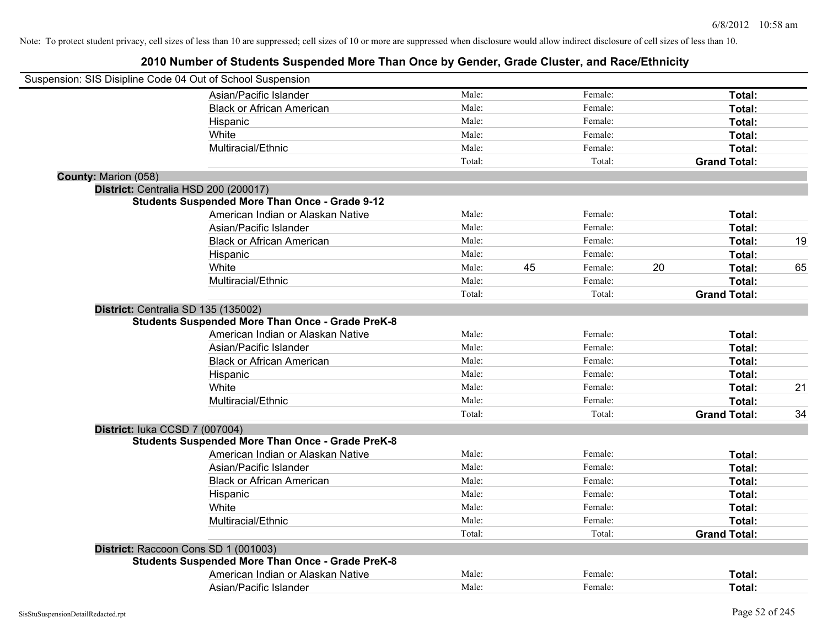|                      | Suspension: SIS Disipline Code 04 Out of School Suspension |        |    |         |    |                     |    |
|----------------------|------------------------------------------------------------|--------|----|---------|----|---------------------|----|
|                      | Asian/Pacific Islander                                     | Male:  |    | Female: |    | Total:              |    |
|                      | <b>Black or African American</b>                           | Male:  |    | Female: |    | Total:              |    |
|                      | Hispanic                                                   | Male:  |    | Female: |    | Total:              |    |
|                      | White                                                      | Male:  |    | Female: |    | Total:              |    |
|                      | Multiracial/Ethnic                                         | Male:  |    | Female: |    | Total:              |    |
|                      |                                                            | Total: |    | Total:  |    | <b>Grand Total:</b> |    |
| County: Marion (058) |                                                            |        |    |         |    |                     |    |
|                      | District: Centralia HSD 200 (200017)                       |        |    |         |    |                     |    |
|                      | <b>Students Suspended More Than Once - Grade 9-12</b>      |        |    |         |    |                     |    |
|                      | American Indian or Alaskan Native                          | Male:  |    | Female: |    | Total:              |    |
|                      | Asian/Pacific Islander                                     | Male:  |    | Female: |    | Total:              |    |
|                      | <b>Black or African American</b>                           | Male:  |    | Female: |    | Total:              | 19 |
|                      | Hispanic                                                   | Male:  |    | Female: |    | Total:              |    |
|                      | White                                                      | Male:  | 45 | Female: | 20 | Total:              | 65 |
|                      | Multiracial/Ethnic                                         | Male:  |    | Female: |    | Total:              |    |
|                      |                                                            | Total: |    | Total:  |    | <b>Grand Total:</b> |    |
|                      | District: Centralia SD 135 (135002)                        |        |    |         |    |                     |    |
|                      | <b>Students Suspended More Than Once - Grade PreK-8</b>    |        |    |         |    |                     |    |
|                      | American Indian or Alaskan Native                          | Male:  |    | Female: |    | Total:              |    |
|                      | Asian/Pacific Islander                                     | Male:  |    | Female: |    | Total:              |    |
|                      | <b>Black or African American</b>                           | Male:  |    | Female: |    | Total:              |    |
|                      | Hispanic                                                   | Male:  |    | Female: |    | Total:              |    |
|                      | White                                                      | Male:  |    | Female: |    | Total:              | 21 |
|                      | Multiracial/Ethnic                                         | Male:  |    | Female: |    | Total:              |    |
|                      |                                                            | Total: |    | Total:  |    | <b>Grand Total:</b> | 34 |
|                      | District: luka CCSD 7 (007004)                             |        |    |         |    |                     |    |
|                      | <b>Students Suspended More Than Once - Grade PreK-8</b>    |        |    |         |    |                     |    |
|                      | American Indian or Alaskan Native                          | Male:  |    | Female: |    | Total:              |    |
|                      | Asian/Pacific Islander                                     | Male:  |    | Female: |    | Total:              |    |
|                      | <b>Black or African American</b>                           | Male:  |    | Female: |    | Total:              |    |
|                      | Hispanic                                                   | Male:  |    | Female: |    | Total:              |    |
|                      | White                                                      | Male:  |    | Female: |    | Total:              |    |
|                      | Multiracial/Ethnic                                         | Male:  |    | Female: |    | Total:              |    |
|                      |                                                            | Total: |    | Total:  |    | <b>Grand Total:</b> |    |
|                      | District: Raccoon Cons SD 1 (001003)                       |        |    |         |    |                     |    |
|                      | <b>Students Suspended More Than Once - Grade PreK-8</b>    |        |    |         |    |                     |    |
|                      | American Indian or Alaskan Native                          | Male:  |    | Female: |    | Total:              |    |
|                      | Asian/Pacific Islander                                     | Male:  |    | Female: |    | Total:              |    |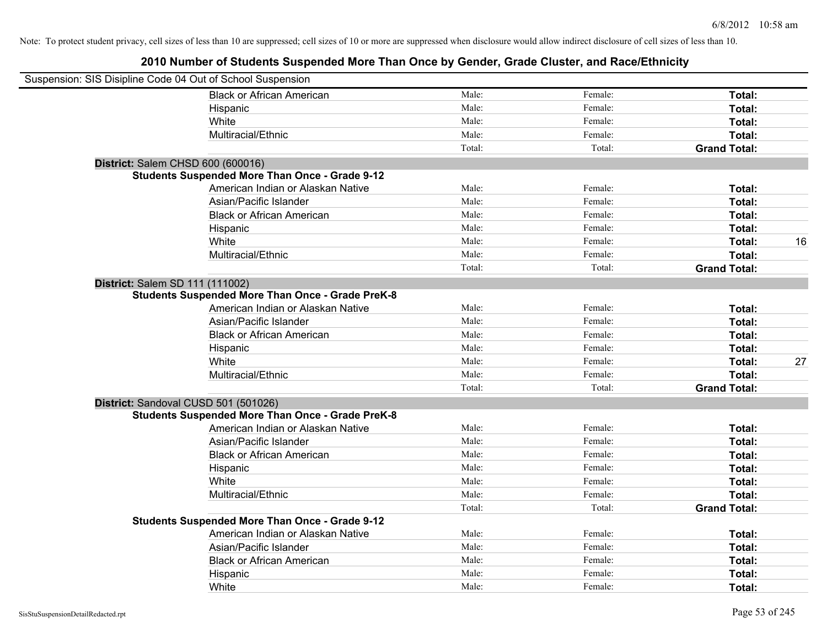| Suspension: SIS Disipline Code 04 Out of School Suspension |                                                         |        |         |                     |    |
|------------------------------------------------------------|---------------------------------------------------------|--------|---------|---------------------|----|
|                                                            | <b>Black or African American</b>                        | Male:  | Female: | Total:              |    |
|                                                            | Hispanic                                                | Male:  | Female: | Total:              |    |
|                                                            | White                                                   | Male:  | Female: | Total:              |    |
|                                                            | Multiracial/Ethnic                                      | Male:  | Female: | Total:              |    |
|                                                            |                                                         | Total: | Total:  | <b>Grand Total:</b> |    |
| District: Salem CHSD 600 (600016)                          |                                                         |        |         |                     |    |
|                                                            | <b>Students Suspended More Than Once - Grade 9-12</b>   |        |         |                     |    |
|                                                            | American Indian or Alaskan Native                       | Male:  | Female: | Total:              |    |
|                                                            | Asian/Pacific Islander                                  | Male:  | Female: | Total:              |    |
|                                                            | <b>Black or African American</b>                        | Male:  | Female: | Total:              |    |
|                                                            | Hispanic                                                | Male:  | Female: | Total:              |    |
|                                                            | White                                                   | Male:  | Female: | Total:              | 16 |
|                                                            | Multiracial/Ethnic                                      | Male:  | Female: | Total:              |    |
|                                                            |                                                         | Total: | Total:  | <b>Grand Total:</b> |    |
| District: Salem SD 111 (111002)                            |                                                         |        |         |                     |    |
|                                                            | <b>Students Suspended More Than Once - Grade PreK-8</b> |        |         |                     |    |
|                                                            | American Indian or Alaskan Native                       | Male:  | Female: | Total:              |    |
|                                                            | Asian/Pacific Islander                                  | Male:  | Female: | Total:              |    |
|                                                            | <b>Black or African American</b>                        | Male:  | Female: | Total:              |    |
|                                                            | Hispanic                                                | Male:  | Female: | Total:              |    |
|                                                            | White                                                   | Male:  | Female: | Total:              | 27 |
|                                                            | Multiracial/Ethnic                                      | Male:  | Female: | Total:              |    |
|                                                            |                                                         | Total: | Total:  | <b>Grand Total:</b> |    |
| District: Sandoval CUSD 501 (501026)                       |                                                         |        |         |                     |    |
|                                                            | <b>Students Suspended More Than Once - Grade PreK-8</b> |        |         |                     |    |
|                                                            | American Indian or Alaskan Native                       | Male:  | Female: | Total:              |    |
|                                                            | Asian/Pacific Islander                                  | Male:  | Female: | Total:              |    |
|                                                            | <b>Black or African American</b>                        | Male:  | Female: | Total:              |    |
|                                                            | Hispanic                                                | Male:  | Female: | Total:              |    |
|                                                            | White                                                   | Male:  | Female: | Total:              |    |
|                                                            | Multiracial/Ethnic                                      | Male:  | Female: | Total:              |    |
|                                                            |                                                         | Total: | Total:  | <b>Grand Total:</b> |    |
|                                                            | Students Suspended More Than Once - Grade 9-12          |        |         |                     |    |
|                                                            | American Indian or Alaskan Native                       | Male:  | Female: | Total:              |    |
|                                                            | Asian/Pacific Islander                                  | Male:  | Female: | Total:              |    |
|                                                            | <b>Black or African American</b>                        | Male:  | Female: | Total:              |    |
|                                                            | Hispanic                                                | Male:  | Female: | Total:              |    |
|                                                            | White                                                   | Male:  | Female: | Total:              |    |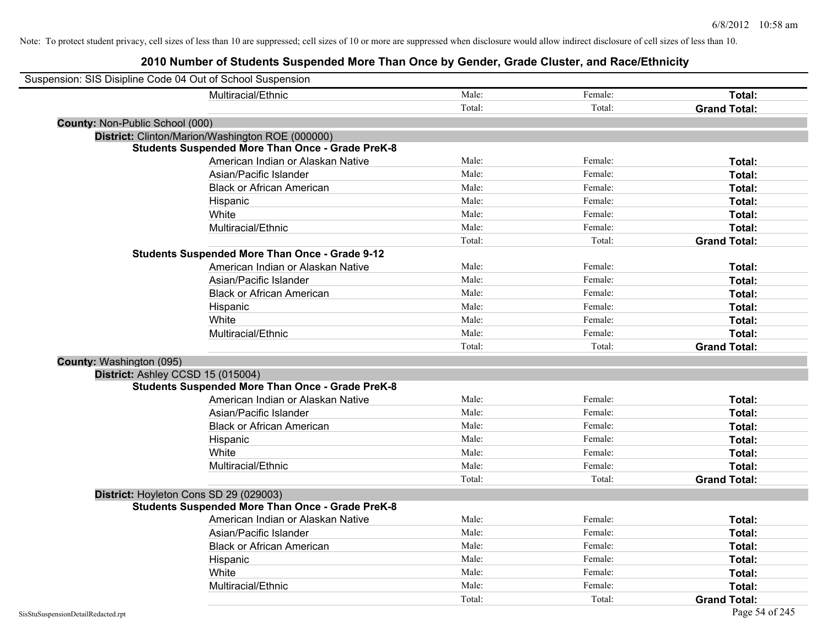| Suspension: SIS Disipline Code 04 Out of School Suspension |                                                         |        |         |                     |
|------------------------------------------------------------|---------------------------------------------------------|--------|---------|---------------------|
|                                                            | Multiracial/Ethnic                                      | Male:  | Female: | Total:              |
|                                                            |                                                         | Total: | Total:  | <b>Grand Total:</b> |
| County: Non-Public School (000)                            |                                                         |        |         |                     |
|                                                            | District: Clinton/Marion/Washington ROE (000000)        |        |         |                     |
|                                                            | <b>Students Suspended More Than Once - Grade PreK-8</b> |        |         |                     |
|                                                            | American Indian or Alaskan Native                       | Male:  | Female: | Total:              |
|                                                            | Asian/Pacific Islander                                  | Male:  | Female: | Total:              |
|                                                            | <b>Black or African American</b>                        | Male:  | Female: | Total:              |
|                                                            | Hispanic                                                | Male:  | Female: | Total:              |
|                                                            | White                                                   | Male:  | Female: | Total:              |
|                                                            | Multiracial/Ethnic                                      | Male:  | Female: | Total:              |
|                                                            |                                                         | Total: | Total:  | <b>Grand Total:</b> |
|                                                            | <b>Students Suspended More Than Once - Grade 9-12</b>   |        |         |                     |
|                                                            | American Indian or Alaskan Native                       | Male:  | Female: | Total:              |
|                                                            | Asian/Pacific Islander                                  | Male:  | Female: | Total:              |
|                                                            | <b>Black or African American</b>                        | Male:  | Female: | Total:              |
|                                                            | Hispanic                                                | Male:  | Female: | Total:              |
|                                                            | White                                                   | Male:  | Female: | Total:              |
|                                                            | Multiracial/Ethnic                                      | Male:  | Female: | Total:              |
|                                                            |                                                         | Total: | Total:  | <b>Grand Total:</b> |
| County: Washington (095)                                   |                                                         |        |         |                     |
| District: Ashley CCSD 15 (015004)                          |                                                         |        |         |                     |
|                                                            | <b>Students Suspended More Than Once - Grade PreK-8</b> |        |         |                     |
|                                                            | American Indian or Alaskan Native                       | Male:  | Female: | Total:              |
|                                                            | Asian/Pacific Islander                                  | Male:  | Female: | Total:              |
|                                                            | <b>Black or African American</b>                        | Male:  | Female: | Total:              |
|                                                            | Hispanic                                                | Male:  | Female: | Total:              |
|                                                            | White                                                   | Male:  | Female: | Total:              |
|                                                            | Multiracial/Ethnic                                      | Male:  | Female: | Total:              |
|                                                            |                                                         | Total: | Total:  | <b>Grand Total:</b> |
| District: Hoyleton Cons SD 29 (029003)                     |                                                         |        |         |                     |
|                                                            | <b>Students Suspended More Than Once - Grade PreK-8</b> |        |         |                     |
|                                                            | American Indian or Alaskan Native                       | Male:  | Female: | Total:              |
|                                                            | Asian/Pacific Islander                                  | Male:  | Female: | Total:              |
|                                                            | <b>Black or African American</b>                        | Male:  | Female: | Total:              |
|                                                            | Hispanic                                                | Male:  | Female: | Total:              |
|                                                            | White                                                   | Male:  | Female: | Total:              |
|                                                            | Multiracial/Ethnic                                      | Male:  | Female: | Total:              |
|                                                            |                                                         | Total: | Total:  | <b>Grand Total:</b> |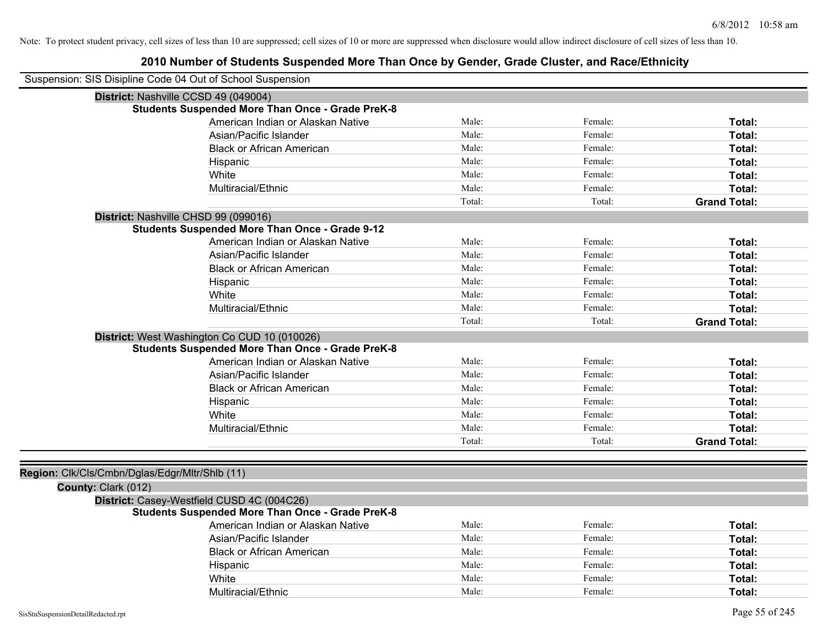| Suspension: SIS Disipline Code 04 Out of School Suspension |                                                         |        |         |                     |
|------------------------------------------------------------|---------------------------------------------------------|--------|---------|---------------------|
| District: Nashville CCSD 49 (049004)                       |                                                         |        |         |                     |
|                                                            | <b>Students Suspended More Than Once - Grade PreK-8</b> |        |         |                     |
|                                                            | American Indian or Alaskan Native                       | Male:  | Female: | Total:              |
|                                                            | Asian/Pacific Islander                                  | Male:  | Female: | Total:              |
|                                                            | <b>Black or African American</b>                        | Male:  | Female: | Total:              |
|                                                            | Hispanic                                                | Male:  | Female: | Total:              |
|                                                            | White                                                   | Male:  | Female: | Total:              |
|                                                            | Multiracial/Ethnic                                      | Male:  | Female: | Total:              |
|                                                            |                                                         | Total: | Total:  | <b>Grand Total:</b> |
| District: Nashville CHSD 99 (099016)                       |                                                         |        |         |                     |
|                                                            | <b>Students Suspended More Than Once - Grade 9-12</b>   |        |         |                     |
|                                                            | American Indian or Alaskan Native                       | Male:  | Female: | Total:              |
|                                                            | Asian/Pacific Islander                                  | Male:  | Female: | <b>Total:</b>       |
|                                                            | <b>Black or African American</b>                        | Male:  | Female: | Total:              |
|                                                            | Hispanic                                                | Male:  | Female: | Total:              |
|                                                            | White                                                   | Male:  | Female: | Total:              |
|                                                            | Multiracial/Ethnic                                      | Male:  | Female: | Total:              |
|                                                            |                                                         | Total: | Total:  | <b>Grand Total:</b> |
|                                                            | District: West Washington Co CUD 10 (010026)            |        |         |                     |
|                                                            | <b>Students Suspended More Than Once - Grade PreK-8</b> |        |         |                     |
|                                                            | American Indian or Alaskan Native                       | Male:  | Female: | <b>Total:</b>       |
|                                                            | Asian/Pacific Islander                                  | Male:  | Female: | Total:              |
|                                                            | <b>Black or African American</b>                        | Male:  | Female: | <b>Total:</b>       |
|                                                            | Hispanic                                                | Male:  | Female: | Total:              |
|                                                            | White                                                   | Male:  | Female: | Total:              |
|                                                            | Multiracial/Ethnic                                      | Male:  | Female: | Total:              |
|                                                            |                                                         | Total: | Total:  | <b>Grand Total:</b> |
|                                                            |                                                         |        |         |                     |
| Region: Clk/Cls/Cmbn/Dglas/Edgr/Mltr/Shlb (11)             |                                                         |        |         |                     |
| County: Clark (012)                                        |                                                         |        |         |                     |
| District: Casey-Westfield CUSD 4C (004C26)                 |                                                         |        |         |                     |
|                                                            | <b>Students Suspended More Than Once - Grade PreK-8</b> |        |         |                     |
|                                                            | American Indian or Alaskan Native                       | Male:  | Female: | Total:              |
|                                                            | Asian/Pacific Islander                                  | Male:  | Female: | Total:              |
|                                                            | <b>Black or African American</b>                        | Male:  | Female: | Total:              |
|                                                            | Hispanic                                                | Male:  | Female: | Total:              |
|                                                            | White                                                   | Male:  | Female: | Total:              |
|                                                            | Multiracial/Ethnic                                      | Male:  | Female: | Total:              |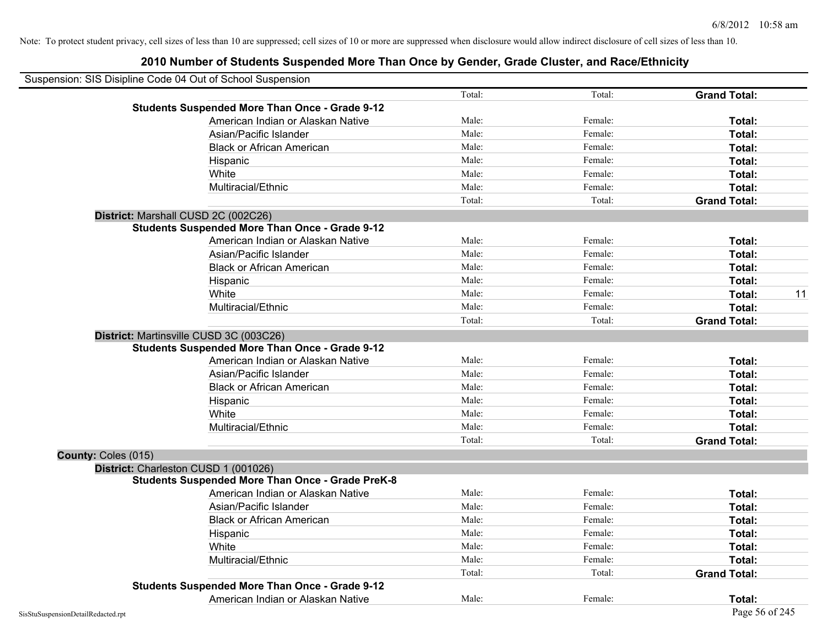| Suspension: SIS Disipline Code 04 Out of School Suspension |                                                         |        |         |                     |
|------------------------------------------------------------|---------------------------------------------------------|--------|---------|---------------------|
|                                                            |                                                         | Total: | Total:  | <b>Grand Total:</b> |
|                                                            | <b>Students Suspended More Than Once - Grade 9-12</b>   |        |         |                     |
|                                                            | American Indian or Alaskan Native                       | Male:  | Female: | Total:              |
|                                                            | Asian/Pacific Islander                                  | Male:  | Female: | Total:              |
|                                                            | <b>Black or African American</b>                        | Male:  | Female: | Total:              |
|                                                            | Hispanic                                                | Male:  | Female: | Total:              |
|                                                            | White                                                   | Male:  | Female: | Total:              |
|                                                            | Multiracial/Ethnic                                      | Male:  | Female: | Total:              |
|                                                            |                                                         | Total: | Total:  | <b>Grand Total:</b> |
|                                                            | District: Marshall CUSD 2C (002C26)                     |        |         |                     |
|                                                            | <b>Students Suspended More Than Once - Grade 9-12</b>   |        |         |                     |
|                                                            | American Indian or Alaskan Native                       | Male:  | Female: | Total:              |
|                                                            | Asian/Pacific Islander                                  | Male:  | Female: | Total:              |
|                                                            | <b>Black or African American</b>                        | Male:  | Female: | Total:              |
|                                                            | Hispanic                                                | Male:  | Female: | Total:              |
|                                                            | White                                                   | Male:  | Female: | 11<br>Total:        |
|                                                            | Multiracial/Ethnic                                      | Male:  | Female: | Total:              |
|                                                            |                                                         | Total: | Total:  | <b>Grand Total:</b> |
|                                                            | District: Martinsville CUSD 3C (003C26)                 |        |         |                     |
|                                                            | <b>Students Suspended More Than Once - Grade 9-12</b>   |        |         |                     |
|                                                            | American Indian or Alaskan Native                       | Male:  | Female: | Total:              |
|                                                            | Asian/Pacific Islander                                  | Male:  | Female: | Total:              |
|                                                            | <b>Black or African American</b>                        | Male:  | Female: | Total:              |
|                                                            | Hispanic                                                | Male:  | Female: | Total:              |
|                                                            | White                                                   | Male:  | Female: | Total:              |
|                                                            | Multiracial/Ethnic                                      | Male:  | Female: | Total:              |
|                                                            |                                                         | Total: | Total:  | <b>Grand Total:</b> |
| County: Coles (015)                                        |                                                         |        |         |                     |
|                                                            | District: Charleston CUSD 1 (001026)                    |        |         |                     |
|                                                            | <b>Students Suspended More Than Once - Grade PreK-8</b> |        |         |                     |
|                                                            | American Indian or Alaskan Native                       | Male:  | Female: | Total:              |
|                                                            | Asian/Pacific Islander                                  | Male:  | Female: | Total:              |
|                                                            | <b>Black or African American</b>                        | Male:  | Female: | Total:              |
|                                                            | Hispanic                                                | Male:  | Female: | Total:              |
|                                                            | White                                                   | Male:  | Female: | Total:              |
|                                                            | Multiracial/Ethnic                                      | Male:  | Female: | Total:              |
|                                                            |                                                         | Total: | Total:  | <b>Grand Total:</b> |
|                                                            | <b>Students Suspended More Than Once - Grade 9-12</b>   |        |         |                     |
|                                                            | American Indian or Alaskan Native                       | Male:  | Female: | Total:              |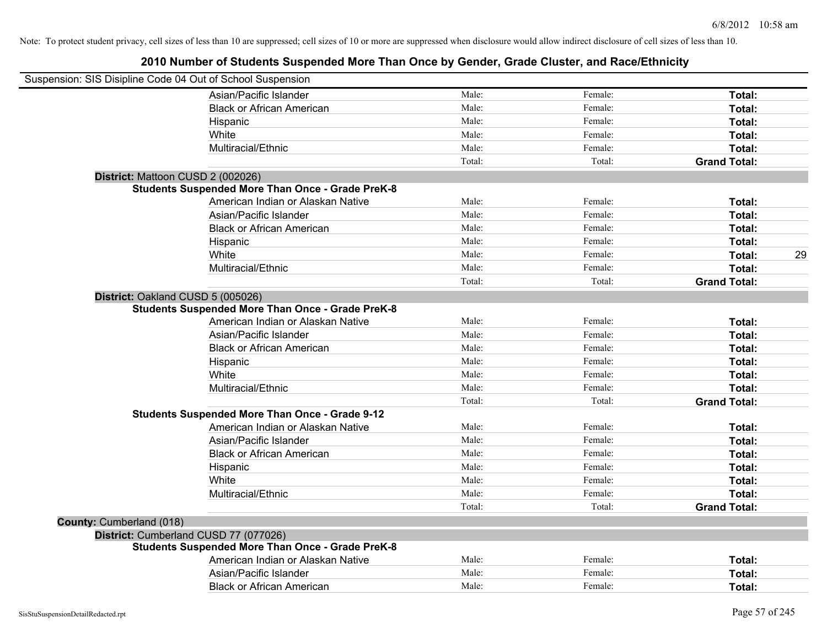| Suspension: SIS Disipline Code 04 Out of School Suspension |                                                         |        |         |                     |    |
|------------------------------------------------------------|---------------------------------------------------------|--------|---------|---------------------|----|
|                                                            | Asian/Pacific Islander                                  | Male:  | Female: | Total:              |    |
|                                                            | <b>Black or African American</b>                        | Male:  | Female: | Total:              |    |
|                                                            | Hispanic                                                | Male:  | Female: | Total:              |    |
|                                                            | White                                                   | Male:  | Female: | Total:              |    |
|                                                            | Multiracial/Ethnic                                      | Male:  | Female: | Total:              |    |
|                                                            |                                                         | Total: | Total:  | <b>Grand Total:</b> |    |
| District: Mattoon CUSD 2 (002026)                          |                                                         |        |         |                     |    |
|                                                            | <b>Students Suspended More Than Once - Grade PreK-8</b> |        |         |                     |    |
|                                                            | American Indian or Alaskan Native                       | Male:  | Female: | Total:              |    |
|                                                            | Asian/Pacific Islander                                  | Male:  | Female: | Total:              |    |
|                                                            | <b>Black or African American</b>                        | Male:  | Female: | Total:              |    |
|                                                            | Hispanic                                                | Male:  | Female: | Total:              |    |
|                                                            | White                                                   | Male:  | Female: | Total:              | 29 |
|                                                            | Multiracial/Ethnic                                      | Male:  | Female: | Total:              |    |
|                                                            |                                                         | Total: | Total:  | <b>Grand Total:</b> |    |
| District: Oakland CUSD 5 (005026)                          |                                                         |        |         |                     |    |
|                                                            | <b>Students Suspended More Than Once - Grade PreK-8</b> |        |         |                     |    |
|                                                            | American Indian or Alaskan Native                       | Male:  | Female: | Total:              |    |
|                                                            | Asian/Pacific Islander                                  | Male:  | Female: | Total:              |    |
|                                                            | <b>Black or African American</b>                        | Male:  | Female: | Total:              |    |
|                                                            | Hispanic                                                | Male:  | Female: | Total:              |    |
|                                                            | White                                                   | Male:  | Female: | Total:              |    |
|                                                            | Multiracial/Ethnic                                      | Male:  | Female: | Total:              |    |
|                                                            |                                                         | Total: | Total:  | <b>Grand Total:</b> |    |
|                                                            | <b>Students Suspended More Than Once - Grade 9-12</b>   |        |         |                     |    |
|                                                            | American Indian or Alaskan Native                       | Male:  | Female: | Total:              |    |
|                                                            | Asian/Pacific Islander                                  | Male:  | Female: | Total:              |    |
|                                                            | <b>Black or African American</b>                        | Male:  | Female: | Total:              |    |
|                                                            | Hispanic                                                | Male:  | Female: | Total:              |    |
|                                                            | White                                                   | Male:  | Female: | Total:              |    |
|                                                            | Multiracial/Ethnic                                      | Male:  | Female: | Total:              |    |
|                                                            |                                                         | Total: | Total:  | <b>Grand Total:</b> |    |
| County: Cumberland (018)                                   |                                                         |        |         |                     |    |
|                                                            | District: Cumberland CUSD 77 (077026)                   |        |         |                     |    |
|                                                            | <b>Students Suspended More Than Once - Grade PreK-8</b> |        |         |                     |    |
|                                                            | American Indian or Alaskan Native                       | Male:  | Female: | Total:              |    |
|                                                            | Asian/Pacific Islander                                  | Male:  | Female: | Total:              |    |
|                                                            | <b>Black or African American</b>                        | Male:  | Female: | Total:              |    |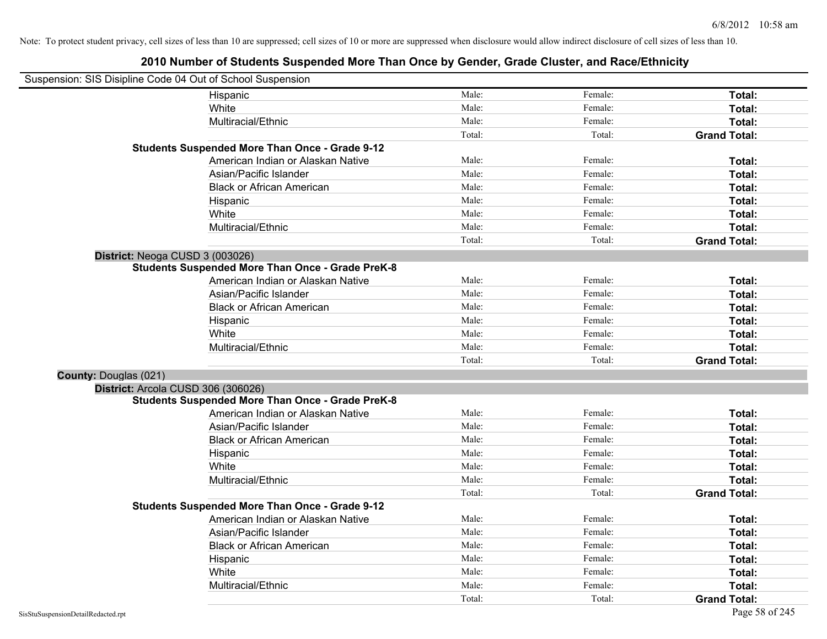|                              | Suspension: SIS Disipline Code 04 Out of School Suspension |        |         |                     |
|------------------------------|------------------------------------------------------------|--------|---------|---------------------|
|                              | Hispanic                                                   | Male:  | Female: | Total:              |
|                              | White                                                      | Male:  | Female: | Total:              |
|                              | Multiracial/Ethnic                                         | Male:  | Female: | Total:              |
|                              |                                                            | Total: | Total:  | <b>Grand Total:</b> |
|                              | <b>Students Suspended More Than Once - Grade 9-12</b>      |        |         |                     |
|                              | American Indian or Alaskan Native                          | Male:  | Female: | Total:              |
|                              | Asian/Pacific Islander                                     | Male:  | Female: | Total:              |
|                              | <b>Black or African American</b>                           | Male:  | Female: | Total:              |
|                              | Hispanic                                                   | Male:  | Female: | Total:              |
|                              | White                                                      | Male:  | Female: | Total:              |
|                              | Multiracial/Ethnic                                         | Male:  | Female: | Total:              |
|                              |                                                            | Total: | Total:  | <b>Grand Total:</b> |
|                              | District: Neoga CUSD 3 (003026)                            |        |         |                     |
|                              | <b>Students Suspended More Than Once - Grade PreK-8</b>    |        |         |                     |
|                              | American Indian or Alaskan Native                          | Male:  | Female: | Total:              |
|                              | Asian/Pacific Islander                                     | Male:  | Female: | Total:              |
|                              | <b>Black or African American</b>                           | Male:  | Female: | Total:              |
|                              | Hispanic                                                   | Male:  | Female: | Total:              |
|                              | White                                                      | Male:  | Female: | Total:              |
|                              | Multiracial/Ethnic                                         | Male:  | Female: | Total:              |
|                              |                                                            | Total: | Total:  | <b>Grand Total:</b> |
| <b>County: Douglas (021)</b> |                                                            |        |         |                     |
|                              | District: Arcola CUSD 306 (306026)                         |        |         |                     |
|                              | <b>Students Suspended More Than Once - Grade PreK-8</b>    |        |         |                     |
|                              | American Indian or Alaskan Native                          | Male:  | Female: | Total:              |
|                              | Asian/Pacific Islander                                     | Male:  | Female: | Total:              |
|                              | <b>Black or African American</b>                           | Male:  | Female: | Total:              |
|                              | Hispanic                                                   | Male:  | Female: | Total:              |
|                              | White                                                      | Male:  | Female: | Total:              |
|                              | Multiracial/Ethnic                                         | Male:  | Female: | Total:              |
|                              |                                                            | Total: | Total:  | <b>Grand Total:</b> |
|                              | <b>Students Suspended More Than Once - Grade 9-12</b>      |        |         |                     |
|                              | American Indian or Alaskan Native                          | Male:  | Female: | Total:              |
|                              | Asian/Pacific Islander                                     | Male:  | Female: | Total:              |
|                              | <b>Black or African American</b>                           | Male:  | Female: | Total:              |
|                              | Hispanic                                                   | Male:  | Female: | Total:              |
|                              | White                                                      | Male:  | Female: | Total:              |
|                              | Multiracial/Ethnic                                         | Male:  | Female: | Total:              |
|                              |                                                            | Total: | Total:  | <b>Grand Total:</b> |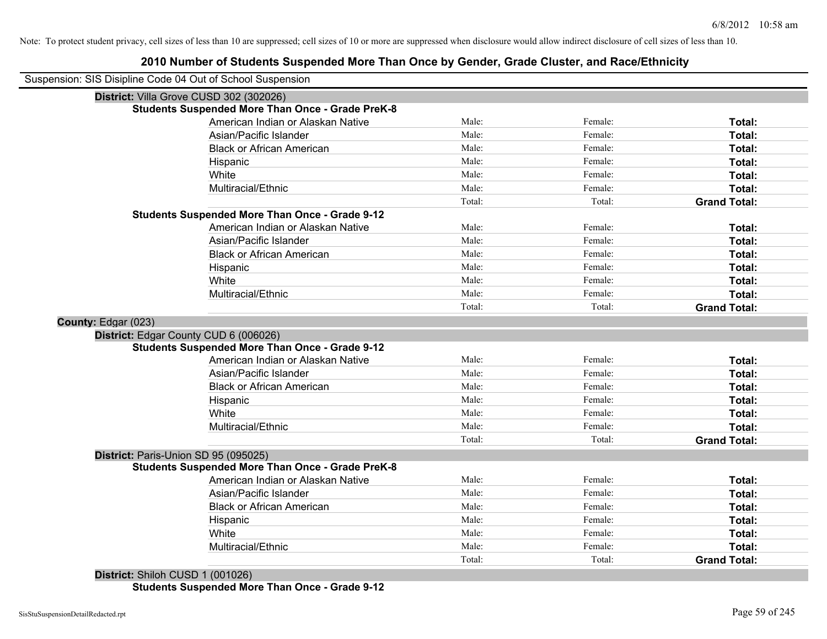|                     | Suspension: SIS Disipline Code 04 Out of School Suspension |                 |                   |                               |
|---------------------|------------------------------------------------------------|-----------------|-------------------|-------------------------------|
|                     | District: Villa Grove CUSD 302 (302026)                    |                 |                   |                               |
|                     | <b>Students Suspended More Than Once - Grade PreK-8</b>    |                 |                   |                               |
|                     | American Indian or Alaskan Native                          | Male:           | Female:           | Total:                        |
|                     | Asian/Pacific Islander                                     | Male:           | Female:           | Total:                        |
|                     | <b>Black or African American</b>                           | Male:           | Female:           | Total:                        |
|                     | Hispanic                                                   | Male:           | Female:           | Total:                        |
|                     | White                                                      | Male:           | Female:           | Total:                        |
|                     | Multiracial/Ethnic                                         | Male:           | Female:           | Total:                        |
|                     |                                                            | Total:          | Total:            | <b>Grand Total:</b>           |
|                     | <b>Students Suspended More Than Once - Grade 9-12</b>      |                 |                   |                               |
|                     | American Indian or Alaskan Native                          | Male:           | Female:           | Total:                        |
|                     | Asian/Pacific Islander                                     | Male:           | Female:           | Total:                        |
|                     | <b>Black or African American</b>                           | Male:           | Female:           | Total:                        |
|                     | Hispanic                                                   | Male:           | Female:           | Total:                        |
|                     | White                                                      | Male:           | Female:           | Total:                        |
|                     | Multiracial/Ethnic                                         | Male:           | Female:           | Total:                        |
|                     |                                                            | Total:          | Total:            | <b>Grand Total:</b>           |
| County: Edgar (023) |                                                            |                 |                   |                               |
|                     |                                                            |                 |                   |                               |
|                     | District: Edgar County CUD 6 (006026)                      |                 |                   |                               |
|                     | <b>Students Suspended More Than Once - Grade 9-12</b>      |                 |                   |                               |
|                     | American Indian or Alaskan Native                          | Male:           | Female:           | Total:                        |
|                     | Asian/Pacific Islander                                     | Male:           | Female:           | Total:                        |
|                     | <b>Black or African American</b>                           | Male:           | Female:           | Total:                        |
|                     | Hispanic                                                   | Male:           | Female:           | Total:                        |
|                     | White                                                      | Male:           | Female:           | Total:                        |
|                     | Multiracial/Ethnic                                         | Male:           | Female:           | Total:                        |
|                     |                                                            | Total:          | Total:            | <b>Grand Total:</b>           |
|                     | District: Paris-Union SD 95 (095025)                       |                 |                   |                               |
|                     | <b>Students Suspended More Than Once - Grade PreK-8</b>    |                 |                   |                               |
|                     | American Indian or Alaskan Native                          | Male:           | Female:           | Total:                        |
|                     | Asian/Pacific Islander                                     | Male:           | Female:           | Total:                        |
|                     | <b>Black or African American</b>                           | Male:           | Female:           | Total:                        |
|                     | Hispanic                                                   | Male:           | Female:           | Total:                        |
|                     | White                                                      | Male:           | Female:           | Total:                        |
|                     | Multiracial/Ethnic                                         | Male:<br>Total: | Female:<br>Total: | Total:<br><b>Grand Total:</b> |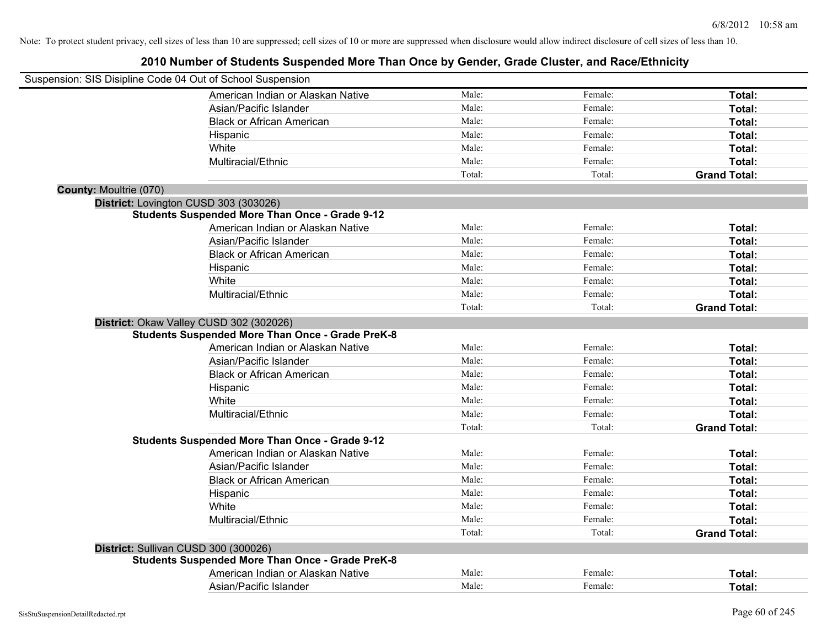| Suspension: SIS Disipline Code 04 Out of School Suspension |                                                         |        |         |                     |
|------------------------------------------------------------|---------------------------------------------------------|--------|---------|---------------------|
|                                                            | American Indian or Alaskan Native                       | Male:  | Female: | Total:              |
|                                                            | Asian/Pacific Islander                                  | Male:  | Female: | Total:              |
|                                                            | <b>Black or African American</b>                        | Male:  | Female: | Total:              |
|                                                            | Hispanic                                                | Male:  | Female: | Total:              |
|                                                            | White                                                   | Male:  | Female: | Total:              |
|                                                            | Multiracial/Ethnic                                      | Male:  | Female: | Total:              |
|                                                            |                                                         | Total: | Total:  | <b>Grand Total:</b> |
| <b>County: Moultrie (070)</b>                              |                                                         |        |         |                     |
| District: Lovington CUSD 303 (303026)                      |                                                         |        |         |                     |
|                                                            | <b>Students Suspended More Than Once - Grade 9-12</b>   |        |         |                     |
|                                                            | American Indian or Alaskan Native                       | Male:  | Female: | Total:              |
|                                                            | Asian/Pacific Islander                                  | Male:  | Female: | Total:              |
|                                                            | <b>Black or African American</b>                        | Male:  | Female: | Total:              |
|                                                            | Hispanic                                                | Male:  | Female: | Total:              |
|                                                            | White                                                   | Male:  | Female: | Total:              |
|                                                            | Multiracial/Ethnic                                      | Male:  | Female: | Total:              |
|                                                            |                                                         | Total: | Total:  | <b>Grand Total:</b> |
| District: Okaw Valley CUSD 302 (302026)                    |                                                         |        |         |                     |
|                                                            | <b>Students Suspended More Than Once - Grade PreK-8</b> |        |         |                     |
|                                                            | American Indian or Alaskan Native                       | Male:  | Female: | Total:              |
|                                                            | Asian/Pacific Islander                                  | Male:  | Female: | Total:              |
|                                                            | <b>Black or African American</b>                        | Male:  | Female: | Total:              |
|                                                            | Hispanic                                                | Male:  | Female: | Total:              |
|                                                            | White                                                   | Male:  | Female: | Total:              |
|                                                            | Multiracial/Ethnic                                      | Male:  | Female: | Total:              |
|                                                            |                                                         | Total: | Total:  | <b>Grand Total:</b> |
|                                                            | <b>Students Suspended More Than Once - Grade 9-12</b>   |        |         |                     |
|                                                            | American Indian or Alaskan Native                       | Male:  | Female: | Total:              |
|                                                            | Asian/Pacific Islander                                  | Male:  | Female: | Total:              |
|                                                            | <b>Black or African American</b>                        | Male:  | Female: | Total:              |
|                                                            | Hispanic                                                | Male:  | Female: | Total:              |
|                                                            | White                                                   | Male:  | Female: | Total:              |
|                                                            | Multiracial/Ethnic                                      | Male:  | Female: | Total:              |
|                                                            |                                                         | Total: | Total:  | <b>Grand Total:</b> |
| District: Sullivan CUSD 300 (300026)                       |                                                         |        |         |                     |
|                                                            | <b>Students Suspended More Than Once - Grade PreK-8</b> |        |         |                     |
|                                                            | American Indian or Alaskan Native                       | Male:  | Female: | Total:              |
|                                                            | Asian/Pacific Islander                                  | Male:  | Female: | Total:              |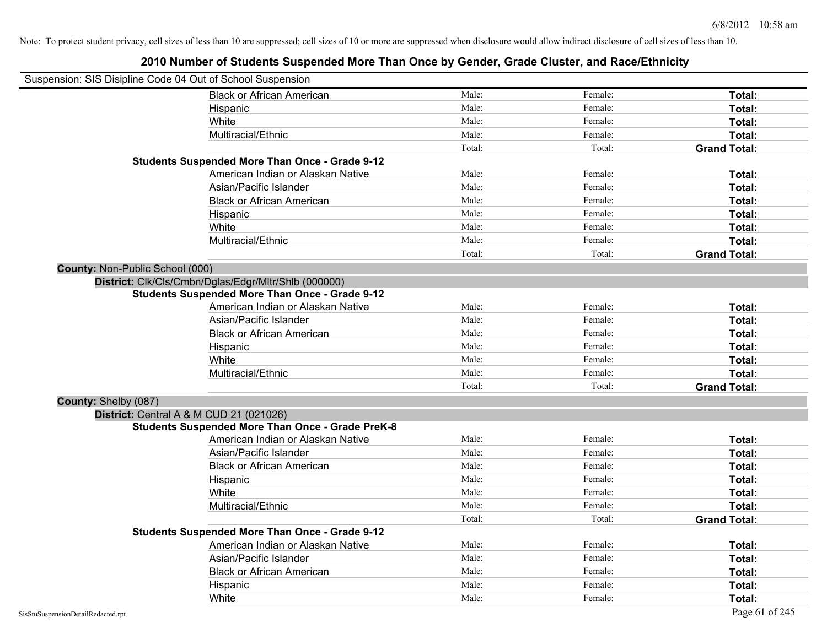|                                 | Suspension: SIS Disipline Code 04 Out of School Suspension |        |         |                     |
|---------------------------------|------------------------------------------------------------|--------|---------|---------------------|
|                                 | <b>Black or African American</b>                           | Male:  | Female: | Total:              |
|                                 | Hispanic                                                   | Male:  | Female: | Total:              |
|                                 | White                                                      | Male:  | Female: | Total:              |
|                                 | Multiracial/Ethnic                                         | Male:  | Female: | Total:              |
|                                 |                                                            | Total: | Total:  | <b>Grand Total:</b> |
|                                 | <b>Students Suspended More Than Once - Grade 9-12</b>      |        |         |                     |
|                                 | American Indian or Alaskan Native                          | Male:  | Female: | Total:              |
|                                 | Asian/Pacific Islander                                     | Male:  | Female: | Total:              |
|                                 | <b>Black or African American</b>                           | Male:  | Female: | Total:              |
|                                 | Hispanic                                                   | Male:  | Female: | Total:              |
|                                 | White                                                      | Male:  | Female: | Total:              |
|                                 | Multiracial/Ethnic                                         | Male:  | Female: | Total:              |
|                                 |                                                            | Total: | Total:  | <b>Grand Total:</b> |
| County: Non-Public School (000) |                                                            |        |         |                     |
|                                 | District: Clk/Cls/Cmbn/Dglas/Edgr/Mltr/Shlb (000000)       |        |         |                     |
|                                 | <b>Students Suspended More Than Once - Grade 9-12</b>      |        |         |                     |
|                                 | American Indian or Alaskan Native                          | Male:  | Female: | Total:              |
|                                 | Asian/Pacific Islander                                     | Male:  | Female: | Total:              |
|                                 | <b>Black or African American</b>                           | Male:  | Female: | Total:              |
|                                 | Hispanic                                                   | Male:  | Female: | Total:              |
|                                 | White                                                      | Male:  | Female: | Total:              |
|                                 | Multiracial/Ethnic                                         | Male:  | Female: | Total:              |
|                                 |                                                            | Total: | Total:  | <b>Grand Total:</b> |
| County: Shelby (087)            |                                                            |        |         |                     |
|                                 | District: Central A & M CUD 21 (021026)                    |        |         |                     |
|                                 | <b>Students Suspended More Than Once - Grade PreK-8</b>    |        |         |                     |
|                                 | American Indian or Alaskan Native                          | Male:  | Female: | Total:              |
|                                 | Asian/Pacific Islander                                     | Male:  | Female: | Total:              |
|                                 | <b>Black or African American</b>                           | Male:  | Female: | Total:              |
|                                 | Hispanic                                                   | Male:  | Female: | Total:              |
|                                 | White                                                      | Male:  | Female: | Total:              |
|                                 | Multiracial/Ethnic                                         | Male:  | Female: | Total:              |
|                                 |                                                            | Total: | Total:  | <b>Grand Total:</b> |
|                                 | <b>Students Suspended More Than Once - Grade 9-12</b>      |        |         |                     |
|                                 | American Indian or Alaskan Native                          | Male:  | Female: | Total:              |
|                                 | Asian/Pacific Islander                                     | Male:  | Female: | Total:              |
|                                 | <b>Black or African American</b>                           | Male:  | Female: | Total:              |
|                                 | Hispanic                                                   | Male:  | Female: | Total:              |
|                                 | White                                                      | Male:  | Female: | Total:              |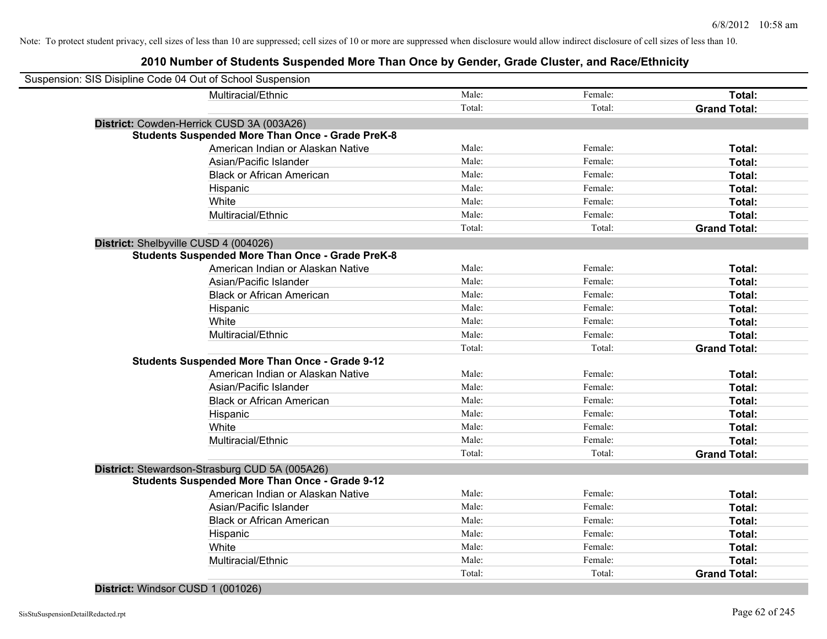# **2010 Number of Students Suspended More Than Once by Gender, Grade Cluster, and Race/Ethnicity**

| Suspension: SIS Disipline Code 04 Out of School Suspension |                                                         |        |         |                     |
|------------------------------------------------------------|---------------------------------------------------------|--------|---------|---------------------|
|                                                            | Multiracial/Ethnic                                      | Male:  | Female: | Total:              |
|                                                            |                                                         | Total: | Total:  | <b>Grand Total:</b> |
| District: Cowden-Herrick CUSD 3A (003A26)                  |                                                         |        |         |                     |
|                                                            | <b>Students Suspended More Than Once - Grade PreK-8</b> |        |         |                     |
|                                                            | American Indian or Alaskan Native                       | Male:  | Female: | Total:              |
|                                                            | Asian/Pacific Islander                                  | Male:  | Female: | Total:              |
|                                                            | <b>Black or African American</b>                        | Male:  | Female: | Total:              |
| Hispanic                                                   |                                                         | Male:  | Female: | Total:              |
| White                                                      |                                                         | Male:  | Female: | Total:              |
|                                                            | Multiracial/Ethnic                                      | Male:  | Female: | Total:              |
|                                                            |                                                         | Total: | Total:  | <b>Grand Total:</b> |
| District: Shelbyville CUSD 4 (004026)                      |                                                         |        |         |                     |
|                                                            | <b>Students Suspended More Than Once - Grade PreK-8</b> |        |         |                     |
|                                                            | American Indian or Alaskan Native                       | Male:  | Female: | Total:              |
|                                                            | Asian/Pacific Islander                                  | Male:  | Female: | Total:              |
|                                                            | <b>Black or African American</b>                        | Male:  | Female: | Total:              |
| Hispanic                                                   |                                                         | Male:  | Female: | Total:              |
| White                                                      |                                                         | Male:  | Female: | Total:              |
|                                                            | Multiracial/Ethnic                                      | Male:  | Female: | Total:              |
|                                                            |                                                         | Total: | Total:  | <b>Grand Total:</b> |
|                                                            | <b>Students Suspended More Than Once - Grade 9-12</b>   |        |         |                     |
|                                                            | American Indian or Alaskan Native                       | Male:  | Female: | Total:              |
|                                                            | Asian/Pacific Islander                                  | Male:  | Female: | Total:              |
|                                                            | <b>Black or African American</b>                        | Male:  | Female: | Total:              |
| Hispanic                                                   |                                                         | Male:  | Female: | Total:              |
| White                                                      |                                                         | Male:  | Female: | Total:              |
|                                                            | Multiracial/Ethnic                                      | Male:  | Female: | Total:              |
|                                                            |                                                         | Total: | Total:  | <b>Grand Total:</b> |
| District: Stewardson-Strasburg CUD 5A (005A26)             |                                                         |        |         |                     |
|                                                            | <b>Students Suspended More Than Once - Grade 9-12</b>   |        |         |                     |
|                                                            | American Indian or Alaskan Native                       | Male:  | Female: | Total:              |
|                                                            | Asian/Pacific Islander                                  | Male:  | Female: | Total:              |
|                                                            | <b>Black or African American</b>                        | Male:  | Female: | Total:              |
| Hispanic                                                   |                                                         | Male:  | Female: | Total:              |
| White                                                      |                                                         | Male:  | Female: | Total:              |
|                                                            | Multiracial/Ethnic                                      | Male:  | Female: | Total:              |
|                                                            |                                                         | Total: | Total:  | <b>Grand Total:</b> |

**District:** Windsor CUSD 1 (001026)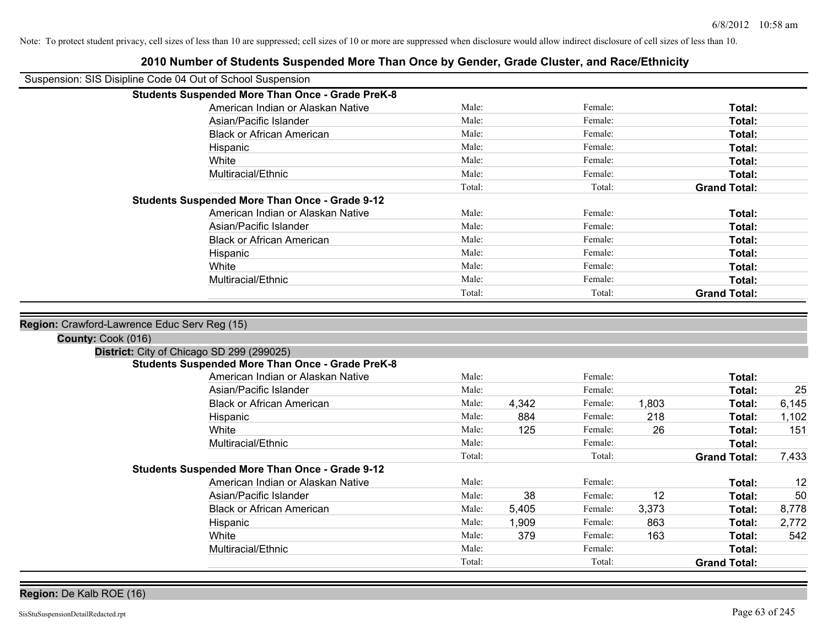| Suspension: SIS Disipline Code 04 Out of School Suspension         |                                                         |                |              |                    |            |                     |              |
|--------------------------------------------------------------------|---------------------------------------------------------|----------------|--------------|--------------------|------------|---------------------|--------------|
|                                                                    | <b>Students Suspended More Than Once - Grade PreK-8</b> |                |              |                    |            |                     |              |
|                                                                    | American Indian or Alaskan Native                       | Male:          |              | Female:            |            | Total:              |              |
|                                                                    | Asian/Pacific Islander                                  | Male:          |              | Female:            |            | Total:              |              |
|                                                                    | <b>Black or African American</b>                        | Male:          |              | Female:            |            | Total:              |              |
|                                                                    | Hispanic                                                | Male:          |              | Female:            |            | Total:              |              |
|                                                                    | White                                                   | Male:          |              | Female:            |            | Total:              |              |
|                                                                    | Multiracial/Ethnic                                      | Male:          |              | Female:            |            | <b>Total:</b>       |              |
|                                                                    |                                                         | Total:         |              | Total:             |            | <b>Grand Total:</b> |              |
|                                                                    | <b>Students Suspended More Than Once - Grade 9-12</b>   |                |              |                    |            |                     |              |
|                                                                    | American Indian or Alaskan Native                       | Male:          |              | Female:            |            | Total:              |              |
|                                                                    | Asian/Pacific Islander                                  | Male:          |              | Female:            |            | Total:              |              |
|                                                                    | <b>Black or African American</b>                        | Male:          |              | Female:            |            | Total:              |              |
|                                                                    | Hispanic                                                | Male:          |              | Female:            |            | Total:              |              |
|                                                                    | White                                                   | Male:          |              | Female:            |            | Total:              |              |
|                                                                    | Multiracial/Ethnic                                      | Male:          |              | Female:            |            | Total:              |              |
|                                                                    |                                                         | Total:         |              | Total:             |            | <b>Grand Total:</b> |              |
| Region: Crawford-Lawrence Educ Serv Reg (15)<br>County: Cook (016) | District: City of Chicago SD 299 (299025)               |                |              |                    |            |                     |              |
|                                                                    | <b>Students Suspended More Than Once - Grade PreK-8</b> |                |              |                    |            |                     |              |
|                                                                    | American Indian or Alaskan Native                       | Male:          |              | Female:            |            | Total:              |              |
|                                                                    | Asian/Pacific Islander                                  | Male:          |              | Female:            |            | Total:              | 25           |
|                                                                    | <b>Black or African American</b>                        | Male:          | 4,342        | Female:            | 1,803      | Total:              | 6,145        |
|                                                                    | Hispanic                                                | Male:          | 884          | Female:            | 218        | Total:              | 1,102        |
|                                                                    | White                                                   | Male:          | 125          | Female:            | 26         | Total:              | 151          |
|                                                                    | Multiracial/Ethnic                                      | Male:          |              | Female:            |            | Total:              |              |
|                                                                    |                                                         | Total:         |              | Total:             |            | <b>Grand Total:</b> | 7,433        |
|                                                                    | <b>Students Suspended More Than Once - Grade 9-12</b>   |                |              |                    |            |                     |              |
|                                                                    | American Indian or Alaskan Native                       | Male:<br>Male: |              | Female:<br>Female: |            | Total:              | 12           |
|                                                                    | Asian/Pacific Islander                                  | Male:          | 38           | Female:            | 12         | Total:              | 50           |
|                                                                    | <b>Black or African American</b>                        | Male:          | 5,405        |                    | 3,373      | Total:              | 8,778        |
|                                                                    | Hispanic<br>White                                       | Male:          | 1,909<br>379 | Female:<br>Female: | 863<br>163 | Total:<br>Total:    | 2,772<br>542 |
|                                                                    | Multiracial/Ethnic                                      | Male:          |              | Female:            |            | Total:              |              |
|                                                                    |                                                         |                |              |                    |            |                     |              |
|                                                                    |                                                         | Total:         |              | Total:             |            | <b>Grand Total:</b> |              |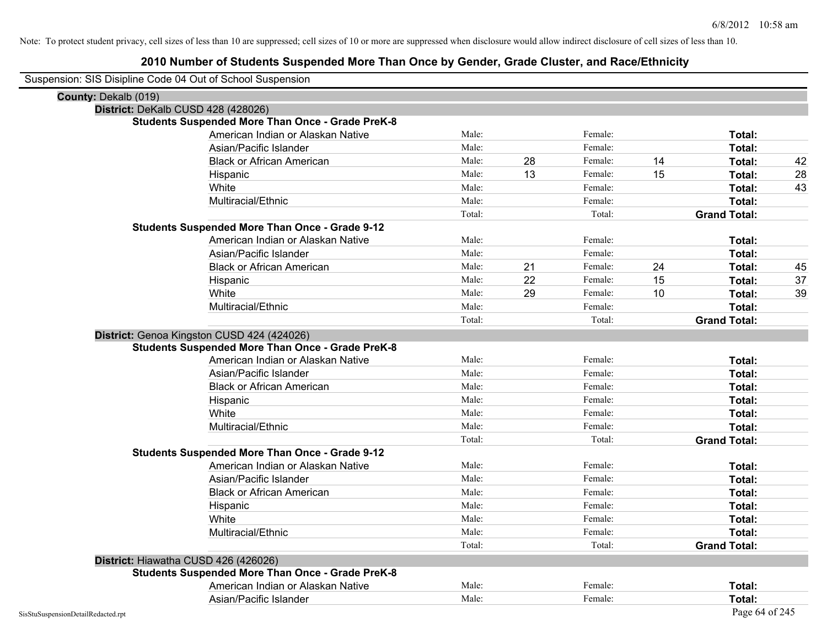| Suspension: SIS Disipline Code 04 Out of School Suspension |        |               |                     |                |
|------------------------------------------------------------|--------|---------------|---------------------|----------------|
| County: Dekalb (019)                                       |        |               |                     |                |
| District: DeKalb CUSD 428 (428026)                         |        |               |                     |                |
| <b>Students Suspended More Than Once - Grade PreK-8</b>    |        |               |                     |                |
| American Indian or Alaskan Native                          | Male:  | Female:       |                     | Total:         |
| Asian/Pacific Islander                                     | Male:  | Female:       |                     | Total:         |
| <b>Black or African American</b>                           | Male:  | 28<br>Female: | 14                  | 42<br>Total:   |
| Hispanic                                                   | Male:  | 13<br>Female: | 15                  | 28<br>Total:   |
| White                                                      | Male:  | Female:       |                     | 43<br>Total:   |
| Multiracial/Ethnic                                         | Male:  | Female:       |                     | Total:         |
|                                                            | Total: | Total:        | <b>Grand Total:</b> |                |
| <b>Students Suspended More Than Once - Grade 9-12</b>      |        |               |                     |                |
| American Indian or Alaskan Native                          | Male:  | Female:       |                     | Total:         |
| Asian/Pacific Islander                                     | Male:  | Female:       |                     | Total:         |
| <b>Black or African American</b>                           | Male:  | 21<br>Female: | 24                  | Total:<br>45   |
| Hispanic                                                   | Male:  | 22<br>Female: | 15                  | 37<br>Total:   |
| White                                                      | Male:  | 29<br>Female: | 10                  | 39<br>Total:   |
| Multiracial/Ethnic                                         | Male:  | Female:       |                     | Total:         |
|                                                            | Total: | Total:        | <b>Grand Total:</b> |                |
| District: Genoa Kingston CUSD 424 (424026)                 |        |               |                     |                |
| <b>Students Suspended More Than Once - Grade PreK-8</b>    |        |               |                     |                |
| American Indian or Alaskan Native                          | Male:  | Female:       |                     | Total:         |
| Asian/Pacific Islander                                     | Male:  | Female:       |                     | Total:         |
| <b>Black or African American</b>                           | Male:  | Female:       |                     | Total:         |
| Hispanic                                                   | Male:  | Female:       |                     | Total:         |
| White                                                      | Male:  | Female:       |                     | Total:         |
| Multiracial/Ethnic                                         | Male:  | Female:       |                     | Total:         |
|                                                            | Total: | Total:        | <b>Grand Total:</b> |                |
| <b>Students Suspended More Than Once - Grade 9-12</b>      |        |               |                     |                |
| American Indian or Alaskan Native                          | Male:  | Female:       |                     | Total:         |
| Asian/Pacific Islander                                     | Male:  | Female:       |                     | Total:         |
| <b>Black or African American</b>                           | Male:  | Female:       |                     | Total:         |
| Hispanic                                                   | Male:  | Female:       |                     | Total:         |
| White                                                      | Male:  | Female:       |                     | Total:         |
| Multiracial/Ethnic                                         | Male:  | Female:       |                     | Total:         |
|                                                            | Total: | Total:        | <b>Grand Total:</b> |                |
| District: Hiawatha CUSD 426 (426026)                       |        |               |                     |                |
| <b>Students Suspended More Than Once - Grade PreK-8</b>    |        |               |                     |                |
| American Indian or Alaskan Native                          | Male:  | Female:       |                     | Total:         |
| Asian/Pacific Islander                                     | Male:  | Female:       |                     | Total:         |
| SisStuSuspensionDetailRedacted.rpt                         |        |               |                     | Page 64 of 245 |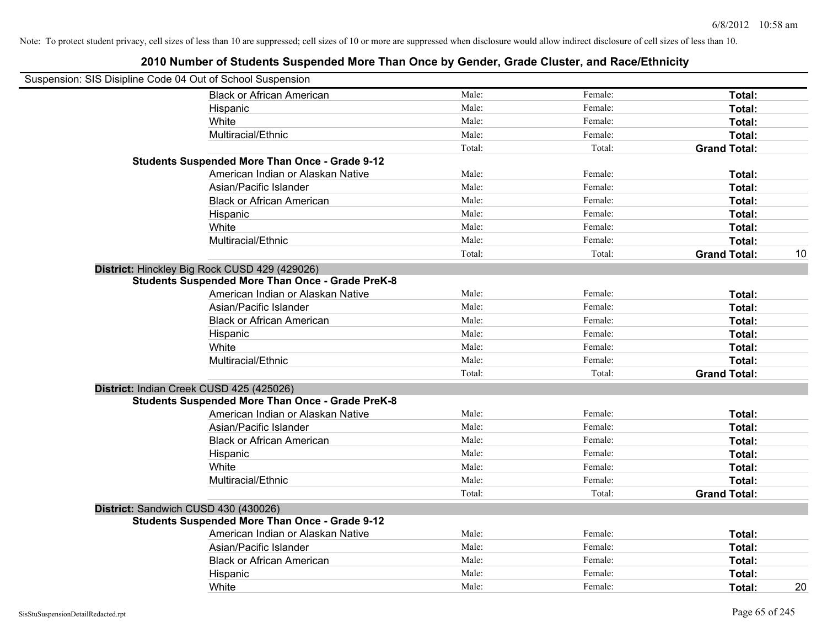| Suspension: SIS Disipline Code 04 Out of School Suspension |                                                         |        |         |                     |    |
|------------------------------------------------------------|---------------------------------------------------------|--------|---------|---------------------|----|
|                                                            | <b>Black or African American</b>                        | Male:  | Female: | Total:              |    |
|                                                            | Hispanic                                                | Male:  | Female: | Total:              |    |
|                                                            | White                                                   | Male:  | Female: | Total:              |    |
|                                                            | Multiracial/Ethnic                                      | Male:  | Female: | Total:              |    |
|                                                            |                                                         | Total: | Total:  | <b>Grand Total:</b> |    |
|                                                            | <b>Students Suspended More Than Once - Grade 9-12</b>   |        |         |                     |    |
|                                                            | American Indian or Alaskan Native                       | Male:  | Female: | Total:              |    |
|                                                            | Asian/Pacific Islander                                  | Male:  | Female: | Total:              |    |
|                                                            | <b>Black or African American</b>                        | Male:  | Female: | Total:              |    |
|                                                            | Hispanic                                                | Male:  | Female: | Total:              |    |
|                                                            | White                                                   | Male:  | Female: | Total:              |    |
|                                                            | Multiracial/Ethnic                                      | Male:  | Female: | Total:              |    |
|                                                            |                                                         | Total: | Total:  | <b>Grand Total:</b> | 10 |
|                                                            | District: Hinckley Big Rock CUSD 429 (429026)           |        |         |                     |    |
|                                                            | <b>Students Suspended More Than Once - Grade PreK-8</b> |        |         |                     |    |
|                                                            | American Indian or Alaskan Native                       | Male:  | Female: | Total:              |    |
|                                                            | Asian/Pacific Islander                                  | Male:  | Female: | Total:              |    |
|                                                            | <b>Black or African American</b>                        | Male:  | Female: | Total:              |    |
|                                                            | Hispanic                                                | Male:  | Female: | Total:              |    |
|                                                            | White                                                   | Male:  | Female: | Total:              |    |
|                                                            | Multiracial/Ethnic                                      | Male:  | Female: | Total:              |    |
|                                                            |                                                         | Total: | Total:  | <b>Grand Total:</b> |    |
| District: Indian Creek CUSD 425 (425026)                   |                                                         |        |         |                     |    |
|                                                            | <b>Students Suspended More Than Once - Grade PreK-8</b> |        |         |                     |    |
|                                                            | American Indian or Alaskan Native                       | Male:  | Female: | Total:              |    |
|                                                            | Asian/Pacific Islander                                  | Male:  | Female: | Total:              |    |
|                                                            | <b>Black or African American</b>                        | Male:  | Female: | Total:              |    |
|                                                            | Hispanic                                                | Male:  | Female: | Total:              |    |
|                                                            | White                                                   | Male:  | Female: | Total:              |    |
|                                                            | Multiracial/Ethnic                                      | Male:  | Female: | Total:              |    |
|                                                            |                                                         | Total: | Total:  | <b>Grand Total:</b> |    |
| District: Sandwich CUSD 430 (430026)                       |                                                         |        |         |                     |    |
|                                                            | <b>Students Suspended More Than Once - Grade 9-12</b>   |        |         |                     |    |
|                                                            | American Indian or Alaskan Native                       | Male:  | Female: | Total:              |    |
|                                                            | Asian/Pacific Islander                                  | Male:  | Female: | Total:              |    |
|                                                            | <b>Black or African American</b>                        | Male:  | Female: | Total:              |    |
|                                                            | Hispanic                                                | Male:  | Female: | Total:              |    |
|                                                            | White                                                   | Male:  | Female: | Total:              | 20 |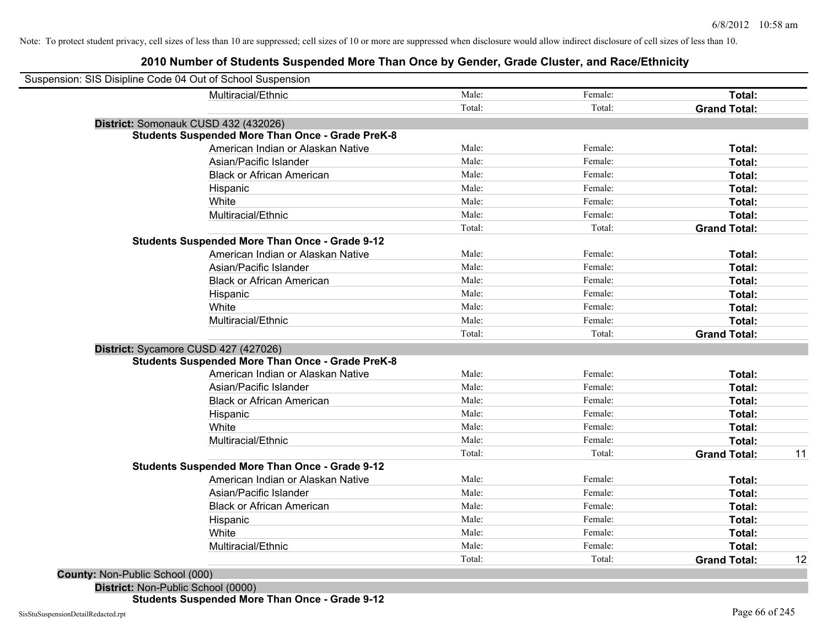# **2010 Number of Students Suspended More Than Once by Gender, Grade Cluster, and Race/Ethnicity**

| Multiracial/Ethnic                                      | Male:  | Female: | Total:              |  |
|---------------------------------------------------------|--------|---------|---------------------|--|
|                                                         | Total: | Total:  | <b>Grand Total:</b> |  |
| District: Somonauk CUSD 432 (432026)                    |        |         |                     |  |
| <b>Students Suspended More Than Once - Grade PreK-8</b> |        |         |                     |  |
| American Indian or Alaskan Native                       | Male:  | Female: | Total:              |  |
| Asian/Pacific Islander                                  | Male:  | Female: | Total:              |  |
| <b>Black or African American</b>                        | Male:  | Female: | Total:              |  |
| Hispanic                                                | Male:  | Female: | Total:              |  |
| White                                                   | Male:  | Female: | Total:              |  |
| Multiracial/Ethnic                                      | Male:  | Female: | Total:              |  |
|                                                         | Total: | Total:  | <b>Grand Total:</b> |  |
| <b>Students Suspended More Than Once - Grade 9-12</b>   |        |         |                     |  |
| American Indian or Alaskan Native                       | Male:  | Female: | Total:              |  |
| Asian/Pacific Islander                                  | Male:  | Female: | Total:              |  |
| <b>Black or African American</b>                        | Male:  | Female: | Total:              |  |
| Hispanic                                                | Male:  | Female: | Total:              |  |
| White                                                   | Male:  | Female: | Total:              |  |
| Multiracial/Ethnic                                      | Male:  | Female: | Total:              |  |
|                                                         | Total: | Total:  | <b>Grand Total:</b> |  |
| District: Sycamore CUSD 427 (427026)                    |        |         |                     |  |
| <b>Students Suspended More Than Once - Grade PreK-8</b> |        |         |                     |  |
| American Indian or Alaskan Native                       | Male:  | Female: | Total:              |  |
| Asian/Pacific Islander                                  | Male:  | Female: | Total:              |  |
| <b>Black or African American</b>                        | Male:  | Female: | Total:              |  |
| Hispanic                                                | Male:  | Female: | Total:              |  |
| White                                                   | Male:  | Female: | Total:              |  |
| Multiracial/Ethnic                                      | Male:  | Female: | Total:              |  |
|                                                         | Total: | Total:  | <b>Grand Total:</b> |  |
| <b>Students Suspended More Than Once - Grade 9-12</b>   |        |         |                     |  |
| American Indian or Alaskan Native                       | Male:  | Female: | Total:              |  |
| Asian/Pacific Islander                                  | Male:  | Female: | Total:              |  |
| <b>Black or African American</b>                        | Male:  | Female: | Total:              |  |
| Hispanic                                                | Male:  | Female: | Total:              |  |
| White                                                   | Male:  | Female: | Total:              |  |
| Multiracial/Ethnic                                      | Male:  | Female: | Total:              |  |
|                                                         | Total: | Total:  | <b>Grand Total:</b> |  |

**Students Suspended More Than Once - Grade 9-12**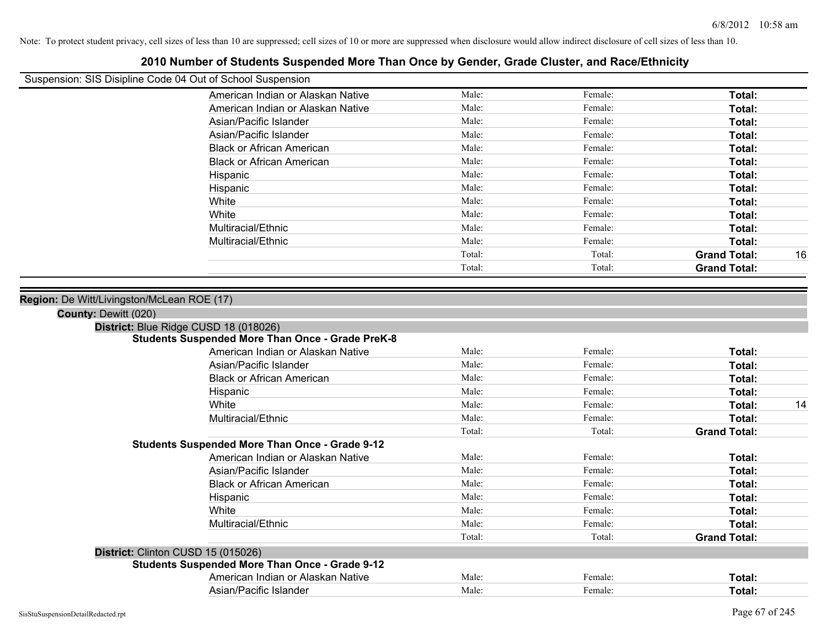| Suspension: SIS Disipline Code 04 Out of School Suspension         |        |         |                     |    |
|--------------------------------------------------------------------|--------|---------|---------------------|----|
| American Indian or Alaskan Native                                  | Male:  | Female: | Total:              |    |
| American Indian or Alaskan Native                                  | Male:  | Female: | Total:              |    |
| Asian/Pacific Islander                                             | Male:  | Female: | Total:              |    |
| Asian/Pacific Islander                                             | Male:  | Female: | Total:              |    |
| <b>Black or African American</b>                                   | Male:  | Female: | Total:              |    |
| <b>Black or African American</b>                                   | Male:  | Female: | Total:              |    |
| Hispanic                                                           | Male:  | Female: | Total:              |    |
| Hispanic                                                           | Male:  | Female: | Total:              |    |
| White                                                              | Male:  | Female: | Total:              |    |
| White                                                              | Male:  | Female: | Total:              |    |
| Multiracial/Ethnic                                                 | Male:  | Female: | Total:              |    |
| Multiracial/Ethnic                                                 | Male:  | Female: | Total:              |    |
|                                                                    | Total: | Total:  | <b>Grand Total:</b> | 16 |
|                                                                    | Total: | Total:  | <b>Grand Total:</b> |    |
| Region: De Witt/Livingston/McLean ROE (17)<br>County: Dewitt (020) |        |         |                     |    |
| District: Blue Ridge CUSD 18 (018026)                              |        |         |                     |    |
| <b>Students Suspended More Than Once - Grade PreK-8</b>            |        |         |                     |    |
| American Indian or Alaskan Native                                  | Male:  | Female: | Total:              |    |
| Asian/Pacific Islander                                             | Male:  | Female: | Total:              |    |
| <b>Black or African American</b>                                   | Male:  | Female: | Total:              |    |
| Hispanic                                                           | Male:  | Female: | Total:              |    |
| White                                                              | Male:  | Female: | Total:              | 14 |
| Multiracial/Ethnic                                                 | Male:  | Female: | Total:              |    |
|                                                                    | Total: | Total:  | <b>Grand Total:</b> |    |
| <b>Students Suspended More Than Once - Grade 9-12</b>              |        |         |                     |    |
| American Indian or Alaskan Native                                  | Male:  | Female: | Total:              |    |
| Asian/Pacific Islander                                             | Male:  | Female: | Total:              |    |
| <b>Black or African American</b>                                   | Male:  | Female: | Total:              |    |
| Hispanic                                                           | Male:  | Female: | Total:              |    |
| White                                                              | Male:  | Female: | Total:              |    |
| Multiracial/Ethnic                                                 | Male:  | Female: | Total:              |    |
|                                                                    | Total: | Total:  | <b>Grand Total:</b> |    |
| District: Clinton CUSD 15 (015026)                                 |        |         |                     |    |
| <b>Students Suspended More Than Once - Grade 9-12</b>              |        |         |                     |    |
| American Indian or Alaskan Native                                  | Male:  | Female: | Total:              |    |
| Asian/Pacific Islander                                             | Male:  | Female: | Total:              |    |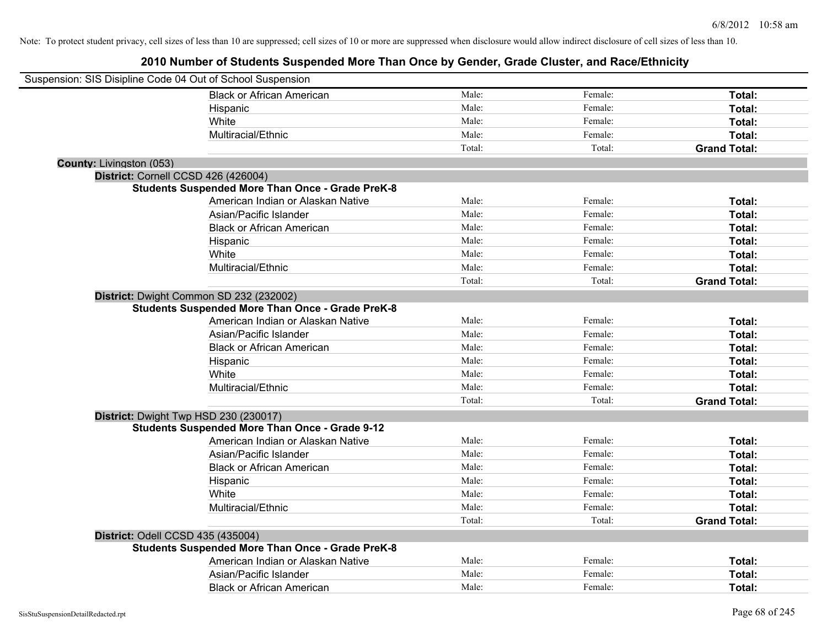| Suspension: SIS Disipline Code 04 Out of School Suspension |                                                         |        |         |                     |
|------------------------------------------------------------|---------------------------------------------------------|--------|---------|---------------------|
|                                                            | <b>Black or African American</b>                        | Male:  | Female: | Total:              |
|                                                            | Hispanic                                                | Male:  | Female: | Total:              |
|                                                            | White                                                   | Male:  | Female: | Total:              |
|                                                            | Multiracial/Ethnic                                      | Male:  | Female: | Total:              |
|                                                            |                                                         | Total: | Total:  | <b>Grand Total:</b> |
| <b>County: Livingston (053)</b>                            |                                                         |        |         |                     |
| District: Cornell CCSD 426 (426004)                        |                                                         |        |         |                     |
|                                                            | <b>Students Suspended More Than Once - Grade PreK-8</b> |        |         |                     |
|                                                            | American Indian or Alaskan Native                       | Male:  | Female: | Total:              |
|                                                            | Asian/Pacific Islander                                  | Male:  | Female: | Total:              |
|                                                            | <b>Black or African American</b>                        | Male:  | Female: | Total:              |
|                                                            | Hispanic                                                | Male:  | Female: | Total:              |
|                                                            | White                                                   | Male:  | Female: | Total:              |
|                                                            | Multiracial/Ethnic                                      | Male:  | Female: | Total:              |
|                                                            |                                                         | Total: | Total:  | <b>Grand Total:</b> |
| District: Dwight Common SD 232 (232002)                    |                                                         |        |         |                     |
|                                                            | <b>Students Suspended More Than Once - Grade PreK-8</b> |        |         |                     |
|                                                            | American Indian or Alaskan Native                       | Male:  | Female: | Total:              |
|                                                            | Asian/Pacific Islander                                  | Male:  | Female: | Total:              |
|                                                            | <b>Black or African American</b>                        | Male:  | Female: | Total:              |
|                                                            | Hispanic                                                | Male:  | Female: | Total:              |
|                                                            | White                                                   | Male:  | Female: | Total:              |
|                                                            | Multiracial/Ethnic                                      | Male:  | Female: | Total:              |
|                                                            |                                                         | Total: | Total:  | <b>Grand Total:</b> |
| District: Dwight Twp HSD 230 (230017)                      |                                                         |        |         |                     |
|                                                            | <b>Students Suspended More Than Once - Grade 9-12</b>   |        |         |                     |
|                                                            | American Indian or Alaskan Native                       | Male:  | Female: | Total:              |
|                                                            | Asian/Pacific Islander                                  | Male:  | Female: | Total:              |
|                                                            | <b>Black or African American</b>                        | Male:  | Female: | Total:              |
|                                                            | Hispanic                                                | Male:  | Female: | Total:              |
|                                                            | White                                                   | Male:  | Female: | Total:              |
|                                                            | Multiracial/Ethnic                                      | Male:  | Female: | Total:              |
|                                                            |                                                         | Total: | Total:  | <b>Grand Total:</b> |
| District: Odell CCSD 435 (435004)                          |                                                         |        |         |                     |
|                                                            | <b>Students Suspended More Than Once - Grade PreK-8</b> |        |         |                     |
|                                                            | American Indian or Alaskan Native                       | Male:  | Female: | Total:              |
|                                                            | Asian/Pacific Islander                                  | Male:  | Female: | Total:              |
|                                                            | <b>Black or African American</b>                        | Male:  | Female: | Total:              |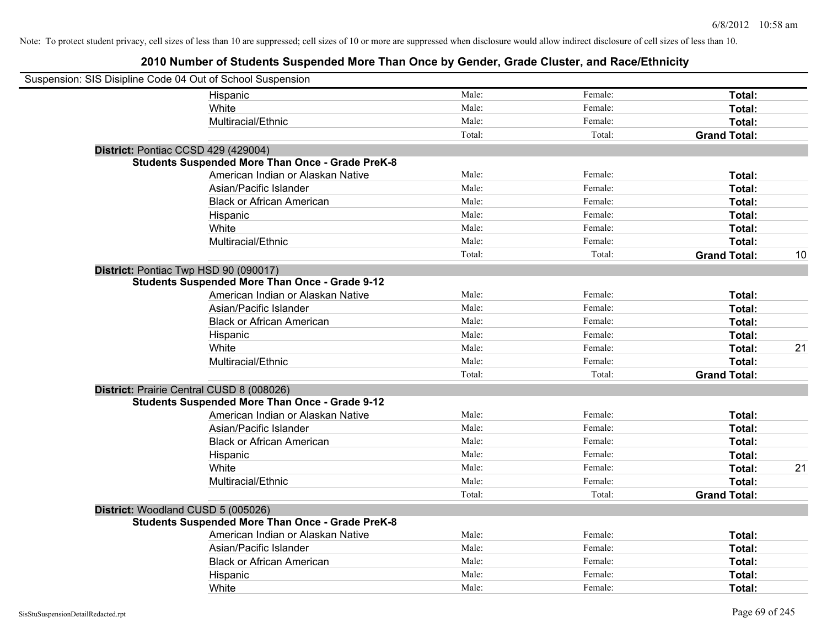| Suspension: SIS Disipline Code 04 Out of School Suspension |                                                         |        |         |                     |    |
|------------------------------------------------------------|---------------------------------------------------------|--------|---------|---------------------|----|
|                                                            | Hispanic                                                | Male:  | Female: | Total:              |    |
|                                                            | White                                                   | Male:  | Female: | Total:              |    |
|                                                            | Multiracial/Ethnic                                      | Male:  | Female: | Total:              |    |
|                                                            |                                                         | Total: | Total:  | <b>Grand Total:</b> |    |
| District: Pontiac CCSD 429 (429004)                        |                                                         |        |         |                     |    |
|                                                            | <b>Students Suspended More Than Once - Grade PreK-8</b> |        |         |                     |    |
|                                                            | American Indian or Alaskan Native                       | Male:  | Female: | Total:              |    |
|                                                            | Asian/Pacific Islander                                  | Male:  | Female: | Total:              |    |
|                                                            | <b>Black or African American</b>                        | Male:  | Female: | Total:              |    |
|                                                            | Hispanic                                                | Male:  | Female: | Total:              |    |
|                                                            | White                                                   | Male:  | Female: | Total:              |    |
|                                                            | Multiracial/Ethnic                                      | Male:  | Female: | Total:              |    |
|                                                            |                                                         | Total: | Total:  | <b>Grand Total:</b> | 10 |
| District: Pontiac Twp HSD 90 (090017)                      |                                                         |        |         |                     |    |
|                                                            | <b>Students Suspended More Than Once - Grade 9-12</b>   |        |         |                     |    |
|                                                            | American Indian or Alaskan Native                       | Male:  | Female: | Total:              |    |
|                                                            | Asian/Pacific Islander                                  | Male:  | Female: | Total:              |    |
|                                                            | <b>Black or African American</b>                        | Male:  | Female: | Total:              |    |
|                                                            | Hispanic                                                | Male:  | Female: | Total:              |    |
|                                                            | White                                                   | Male:  | Female: | Total:              | 21 |
|                                                            | Multiracial/Ethnic                                      | Male:  | Female: | Total:              |    |
|                                                            |                                                         | Total: | Total:  | <b>Grand Total:</b> |    |
| District: Prairie Central CUSD 8 (008026)                  |                                                         |        |         |                     |    |
|                                                            | <b>Students Suspended More Than Once - Grade 9-12</b>   |        |         |                     |    |
|                                                            | American Indian or Alaskan Native                       | Male:  | Female: | Total:              |    |
|                                                            | Asian/Pacific Islander                                  | Male:  | Female: | Total:              |    |
|                                                            | <b>Black or African American</b>                        | Male:  | Female: | Total:              |    |
|                                                            | Hispanic                                                | Male:  | Female: | Total:              |    |
|                                                            | White                                                   | Male:  | Female: | Total:              | 21 |
|                                                            | Multiracial/Ethnic                                      | Male:  | Female: | Total:              |    |
|                                                            |                                                         | Total: | Total:  | <b>Grand Total:</b> |    |
| District: Woodland CUSD 5 (005026)                         |                                                         |        |         |                     |    |
|                                                            | <b>Students Suspended More Than Once - Grade PreK-8</b> |        |         |                     |    |
|                                                            | American Indian or Alaskan Native                       | Male:  | Female: | Total:              |    |
|                                                            | Asian/Pacific Islander                                  | Male:  | Female: | Total:              |    |
|                                                            | <b>Black or African American</b>                        | Male:  | Female: | Total:              |    |
|                                                            | Hispanic                                                | Male:  | Female: | Total:              |    |
|                                                            | White                                                   | Male:  | Female: | Total:              |    |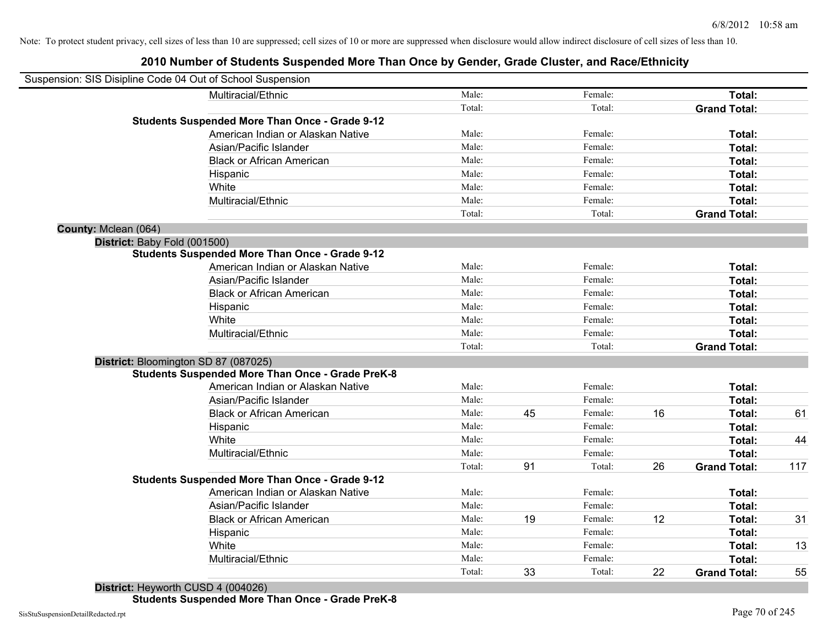| Suspension: SIS Disipline Code 04 Out of School Suspension |                                                         |        |    |         |    |                     |     |
|------------------------------------------------------------|---------------------------------------------------------|--------|----|---------|----|---------------------|-----|
|                                                            | Multiracial/Ethnic                                      | Male:  |    | Female: |    | Total:              |     |
|                                                            |                                                         | Total: |    | Total:  |    | <b>Grand Total:</b> |     |
|                                                            | <b>Students Suspended More Than Once - Grade 9-12</b>   |        |    |         |    |                     |     |
|                                                            | American Indian or Alaskan Native                       | Male:  |    | Female: |    | Total:              |     |
|                                                            | Asian/Pacific Islander                                  | Male:  |    | Female: |    | Total:              |     |
|                                                            | <b>Black or African American</b>                        | Male:  |    | Female: |    | Total:              |     |
|                                                            | Hispanic                                                | Male:  |    | Female: |    | Total:              |     |
|                                                            | White                                                   | Male:  |    | Female: |    | Total:              |     |
|                                                            | Multiracial/Ethnic                                      | Male:  |    | Female: |    | Total:              |     |
|                                                            |                                                         | Total: |    | Total:  |    | <b>Grand Total:</b> |     |
| County: Mclean (064)                                       |                                                         |        |    |         |    |                     |     |
| District: Baby Fold (001500)                               |                                                         |        |    |         |    |                     |     |
|                                                            | <b>Students Suspended More Than Once - Grade 9-12</b>   |        |    |         |    |                     |     |
|                                                            | American Indian or Alaskan Native                       | Male:  |    | Female: |    | Total:              |     |
|                                                            | Asian/Pacific Islander                                  | Male:  |    | Female: |    | Total:              |     |
|                                                            | <b>Black or African American</b>                        | Male:  |    | Female: |    | Total:              |     |
|                                                            | Hispanic                                                | Male:  |    | Female: |    | Total:              |     |
|                                                            | White                                                   | Male:  |    | Female: |    | Total:              |     |
|                                                            | Multiracial/Ethnic                                      | Male:  |    | Female: |    | Total:              |     |
|                                                            |                                                         | Total: |    | Total:  |    | <b>Grand Total:</b> |     |
| District: Bloomington SD 87 (087025)                       |                                                         |        |    |         |    |                     |     |
|                                                            | <b>Students Suspended More Than Once - Grade PreK-8</b> |        |    |         |    |                     |     |
|                                                            | American Indian or Alaskan Native                       | Male:  |    | Female: |    | Total:              |     |
|                                                            | Asian/Pacific Islander                                  | Male:  |    | Female: |    | Total:              |     |
|                                                            | <b>Black or African American</b>                        | Male:  | 45 | Female: | 16 | Total:              | 61  |
|                                                            | Hispanic                                                | Male:  |    | Female: |    | Total:              |     |
|                                                            | White                                                   | Male:  |    | Female: |    | Total:              | 44  |
|                                                            | Multiracial/Ethnic                                      | Male:  |    | Female: |    | Total:              |     |
|                                                            |                                                         | Total: | 91 | Total:  | 26 | <b>Grand Total:</b> | 117 |
|                                                            | <b>Students Suspended More Than Once - Grade 9-12</b>   |        |    |         |    |                     |     |
|                                                            | American Indian or Alaskan Native                       | Male:  |    | Female: |    | Total:              |     |
|                                                            | Asian/Pacific Islander                                  | Male:  |    | Female: |    | Total:              |     |
|                                                            | <b>Black or African American</b>                        | Male:  | 19 | Female: | 12 | Total:              | 31  |
|                                                            | Hispanic                                                | Male:  |    | Female: |    | Total:              |     |
|                                                            | White                                                   | Male:  |    | Female: |    | Total:              | 13  |
|                                                            | Multiracial/Ethnic                                      | Male:  |    | Female: |    | Total:              |     |
|                                                            |                                                         | Total: | 33 | Total:  | 22 | <b>Grand Total:</b> | 55  |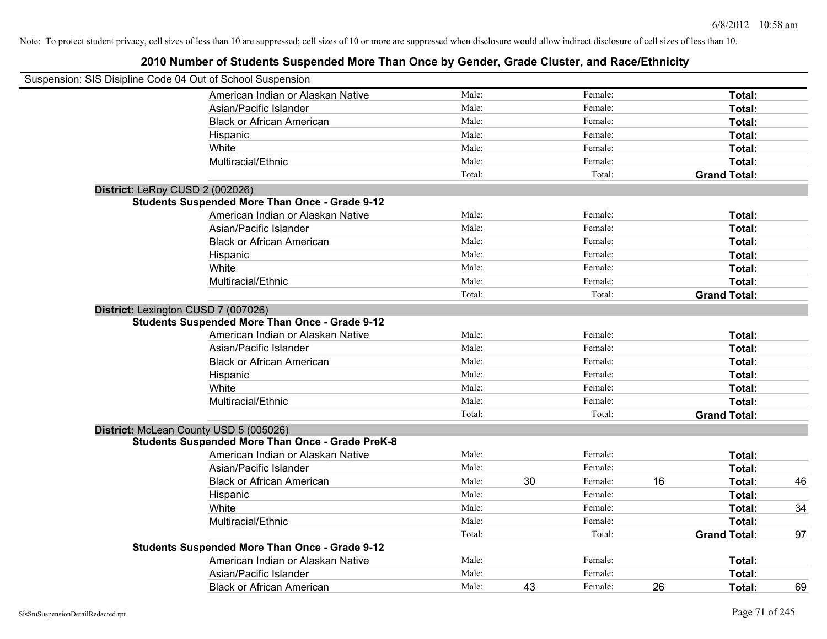| Suspension: SIS Disipline Code 04 Out of School Suspension |        |    |         |    |                     |    |
|------------------------------------------------------------|--------|----|---------|----|---------------------|----|
| American Indian or Alaskan Native                          | Male:  |    | Female: |    | Total:              |    |
| Asian/Pacific Islander                                     | Male:  |    | Female: |    | Total:              |    |
| <b>Black or African American</b>                           | Male:  |    | Female: |    | Total:              |    |
| Hispanic                                                   | Male:  |    | Female: |    | Total:              |    |
| White                                                      | Male:  |    | Female: |    | Total:              |    |
| Multiracial/Ethnic                                         | Male:  |    | Female: |    | Total:              |    |
|                                                            | Total: |    | Total:  |    | <b>Grand Total:</b> |    |
| District: LeRoy CUSD 2 (002026)                            |        |    |         |    |                     |    |
| <b>Students Suspended More Than Once - Grade 9-12</b>      |        |    |         |    |                     |    |
| American Indian or Alaskan Native                          | Male:  |    | Female: |    | Total:              |    |
| Asian/Pacific Islander                                     | Male:  |    | Female: |    | Total:              |    |
| <b>Black or African American</b>                           | Male:  |    | Female: |    | Total:              |    |
| Hispanic                                                   | Male:  |    | Female: |    | Total:              |    |
| White                                                      | Male:  |    | Female: |    | Total:              |    |
| Multiracial/Ethnic                                         | Male:  |    | Female: |    | Total:              |    |
|                                                            | Total: |    | Total:  |    | <b>Grand Total:</b> |    |
| District: Lexington CUSD 7 (007026)                        |        |    |         |    |                     |    |
| <b>Students Suspended More Than Once - Grade 9-12</b>      |        |    |         |    |                     |    |
| American Indian or Alaskan Native                          | Male:  |    | Female: |    | Total:              |    |
| Asian/Pacific Islander                                     | Male:  |    | Female: |    | Total:              |    |
| <b>Black or African American</b>                           | Male:  |    | Female: |    | Total:              |    |
| Hispanic                                                   | Male:  |    | Female: |    | Total:              |    |
| White                                                      | Male:  |    | Female: |    | <b>Total:</b>       |    |
| Multiracial/Ethnic                                         | Male:  |    | Female: |    | Total:              |    |
|                                                            | Total: |    | Total:  |    | <b>Grand Total:</b> |    |
| District: McLean County USD 5 (005026)                     |        |    |         |    |                     |    |
| <b>Students Suspended More Than Once - Grade PreK-8</b>    |        |    |         |    |                     |    |
| American Indian or Alaskan Native                          | Male:  |    | Female: |    | Total:              |    |
| Asian/Pacific Islander                                     | Male:  |    | Female: |    | Total:              |    |
| <b>Black or African American</b>                           | Male:  | 30 | Female: | 16 | Total:              | 46 |
| Hispanic                                                   | Male:  |    | Female: |    | Total:              |    |
| White                                                      | Male:  |    | Female: |    | Total:              | 34 |
| Multiracial/Ethnic                                         | Male:  |    | Female: |    | Total:              |    |
|                                                            | Total: |    | Total:  |    | <b>Grand Total:</b> | 97 |
| <b>Students Suspended More Than Once - Grade 9-12</b>      |        |    |         |    |                     |    |
| American Indian or Alaskan Native                          | Male:  |    | Female: |    | Total:              |    |
| Asian/Pacific Islander                                     | Male:  |    | Female: |    | Total:              |    |
| <b>Black or African American</b>                           | Male:  | 43 | Female: | 26 | Total:              | 69 |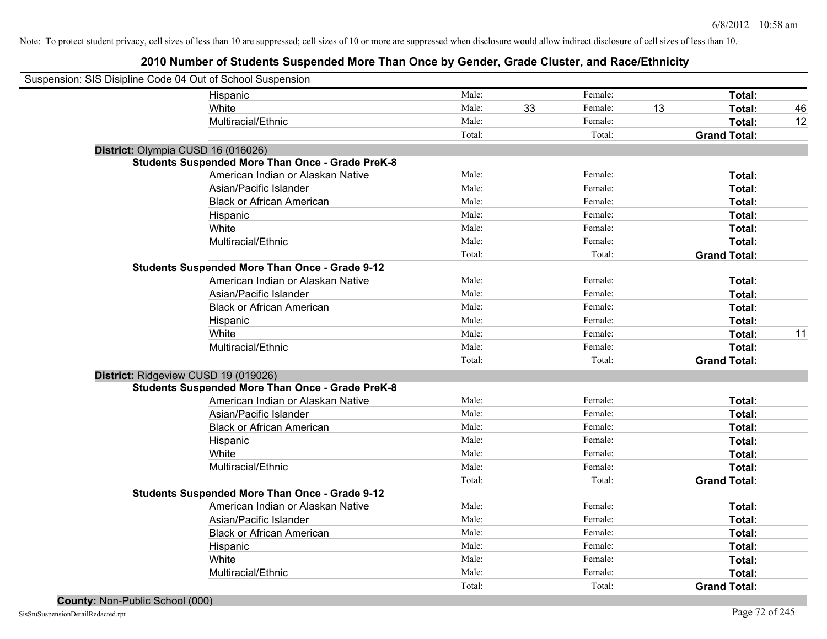| Suspension: SIS Disipline Code 04 Out of School Suspension |                                                         |        |    |         |    |                     |    |
|------------------------------------------------------------|---------------------------------------------------------|--------|----|---------|----|---------------------|----|
|                                                            | Hispanic                                                | Male:  |    | Female: |    | Total:              |    |
|                                                            | White                                                   | Male:  | 33 | Female: | 13 | Total:              | 46 |
|                                                            | Multiracial/Ethnic                                      | Male:  |    | Female: |    | Total:              | 12 |
|                                                            |                                                         | Total: |    | Total:  |    | <b>Grand Total:</b> |    |
| District: Olympia CUSD 16 (016026)                         |                                                         |        |    |         |    |                     |    |
|                                                            | <b>Students Suspended More Than Once - Grade PreK-8</b> |        |    |         |    |                     |    |
|                                                            | American Indian or Alaskan Native                       | Male:  |    | Female: |    | Total:              |    |
|                                                            | Asian/Pacific Islander                                  | Male:  |    | Female: |    | Total:              |    |
|                                                            | <b>Black or African American</b>                        | Male:  |    | Female: |    | Total:              |    |
|                                                            | Hispanic                                                | Male:  |    | Female: |    | Total:              |    |
|                                                            | White                                                   | Male:  |    | Female: |    | Total:              |    |
|                                                            | Multiracial/Ethnic                                      | Male:  |    | Female: |    | Total:              |    |
|                                                            |                                                         | Total: |    | Total:  |    | <b>Grand Total:</b> |    |
|                                                            | <b>Students Suspended More Than Once - Grade 9-12</b>   |        |    |         |    |                     |    |
|                                                            | American Indian or Alaskan Native                       | Male:  |    | Female: |    | Total:              |    |
|                                                            | Asian/Pacific Islander                                  | Male:  |    | Female: |    | Total:              |    |
|                                                            | <b>Black or African American</b>                        | Male:  |    | Female: |    | Total:              |    |
|                                                            | Hispanic                                                | Male:  |    | Female: |    | Total:              |    |
|                                                            | White                                                   | Male:  |    | Female: |    | Total:              | 11 |
|                                                            | Multiracial/Ethnic                                      | Male:  |    | Female: |    | Total:              |    |
|                                                            |                                                         | Total: |    | Total:  |    | <b>Grand Total:</b> |    |
| District: Ridgeview CUSD 19 (019026)                       |                                                         |        |    |         |    |                     |    |
|                                                            | <b>Students Suspended More Than Once - Grade PreK-8</b> |        |    |         |    |                     |    |
|                                                            | American Indian or Alaskan Native                       | Male:  |    | Female: |    | Total:              |    |
|                                                            | Asian/Pacific Islander                                  | Male:  |    | Female: |    | Total:              |    |
|                                                            | <b>Black or African American</b>                        | Male:  |    | Female: |    | Total:              |    |
|                                                            | Hispanic                                                | Male:  |    | Female: |    | Total:              |    |
|                                                            | White                                                   | Male:  |    | Female: |    | Total:              |    |
|                                                            | Multiracial/Ethnic                                      | Male:  |    | Female: |    | Total:              |    |
|                                                            |                                                         | Total: |    | Total:  |    | <b>Grand Total:</b> |    |
|                                                            | <b>Students Suspended More Than Once - Grade 9-12</b>   |        |    |         |    |                     |    |
|                                                            | American Indian or Alaskan Native                       | Male:  |    | Female: |    | Total:              |    |
|                                                            | Asian/Pacific Islander                                  | Male:  |    | Female: |    | Total:              |    |
|                                                            | <b>Black or African American</b>                        | Male:  |    | Female: |    | Total:              |    |
|                                                            | Hispanic                                                | Male:  |    | Female: |    | Total:              |    |
|                                                            | White                                                   | Male:  |    | Female: |    | Total:              |    |
|                                                            | Multiracial/Ethnic                                      | Male:  |    | Female: |    | Total:              |    |
|                                                            |                                                         | Total: |    | Total:  |    | <b>Grand Total:</b> |    |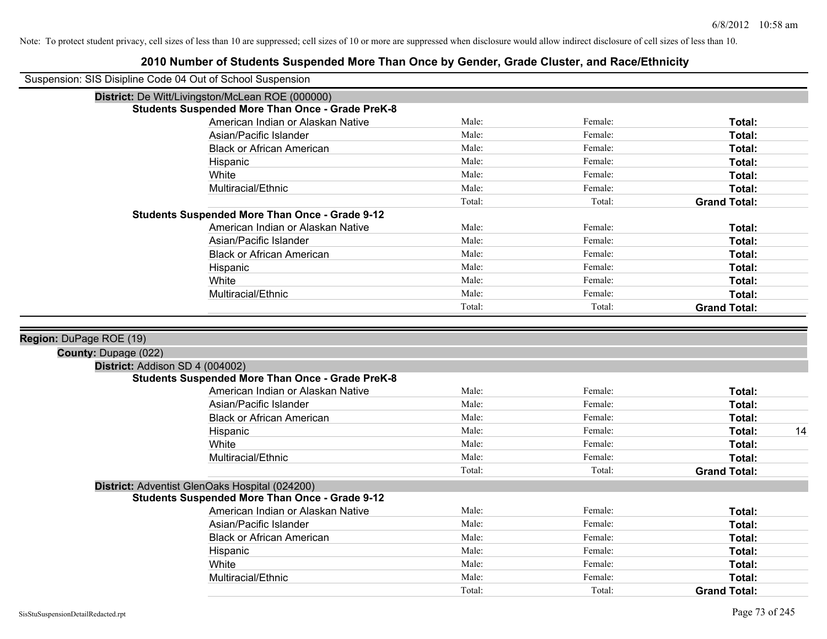## **2010 Number of Students Suspended More Than Once by Gender, Grade Cluster, and Race/Ethnicity** Suspension: SIS Disipline Code 04 Out of School Suspension **District:** De Witt/Livingston/McLean ROE (000000) **Students Suspended More Than Once - Grade PreK-8** American Indian or Alaskan Native **Male:** Male: Female: Female: **Total:** Total: Asian/Pacific Islander **Figure 1.1 Contained Asian** Male: Female: **Female: Total: Total: Total: Total: Total: Total: Total: Total: Total: Total: Total: Total: Total: Total: Total: Total: T** Black or African American **Figure 1.1 and Total:** Male: Female: Female: **Total:** Total: Hispanic **Total:** Male: Female: **Total:** Female: **Total:** Total: White **Total:** Male: Female: **Total:** Total: **Total:** Female: **Total:** Total: Multiracial/Ethnic **Total:** Male: Female: **Total:** Female: **Total:** Female: **Total:** Total: Total: Total: **Grand Total: Students Suspended More Than Once - Grade 9-12** American Indian or Alaskan Native **Male:** Male: Female: Female: **Total:** Total: Asian/Pacific Islander **Figure 1.1 Contained Asian** Male: Female: **Female: Total: Total: Total: Total: Total: Total: Total: Total: Total: Total: Total: Total: Total: Total: Total: Total: T** Black or African American **American** Male: Male: Female: **Female: Total: Total: Total: Female: Total: Total: Total: Total: Total: Total: Total: Total: Total: Total: Total: Total: Total:** Hispanic **Total:** Male: Female: **Total:** Female: **Total:** Total: White **Total:** Male: Female: **Total:** Total: **Total:** Female: **Total:** Total: Multiracial/Ethnic **Total:** Male: Female: **Total:** Female: **Total:** Female: **Total:** Female: **Total:** Female: **Total:** Female: **Total:** Female: **Total:** Female: **Total:** Female: **Total:** Female: **Total:** Female: **Total:** F Total: Total: **Grand Total: Region:** DuPage ROE (19) **County:** Dupage (022) **District:** Addison SD 4 (004002) **Students Suspended More Than Once - Grade PreK-8** American Indian or Alaskan Native **Male:** Male: Female: Female: **Total:** Total: Asian/Pacific Islander **Figure 1.1 Contained Asian** Male: Female: **Female: Total: Total: Total: Total: Total: Total: Total: Total: Total: Total: Total: Total: Total: Total: Total: Total: T** Black or African American **American** Male: Male: Female: **Female: Total: Total: Total: Female: Total: Total: Total: Total: Total: Total: Total: Total: Total: Total: Total: Total: Total:** Hispanic Male: Female: **Total:** 14 White **Total:** Male: Female: **Total:** Female: **Total:** Total: Multiracial/Ethnic **Total:** Male: Male: Female: **Total:** Total: Total: Total: **Grand Total: District:** Adventist GlenOaks Hospital (024200) **Students Suspended More Than Once - Grade 9-12** American Indian or Alaskan Native **Male:** Male: Female: Female: **Total:** Total: Asian/Pacific Islander **Figure 1.1 Contained Asian** Male: Female: **Female: Total: Total: Total: Total: Total: Total: Total: Total: Total: Total: Total: Total: Total: Total: Total: Total: T** Black or African American **Figure 1.1 and Total:** Male: Female: Female: **Total:** Total: Hispanic **Total:** Male: Female: **Total:** Female: **Total:** Total: White **Total:** Male: Female: **Total:** Total: **Total:** Female: **Total:** Total: Multiracial/Ethnic **Total:** Male: Female: **Female: Total:** Total: **Total:** Female: **Total:** Total: Total: Total: Total: **Grand Total:**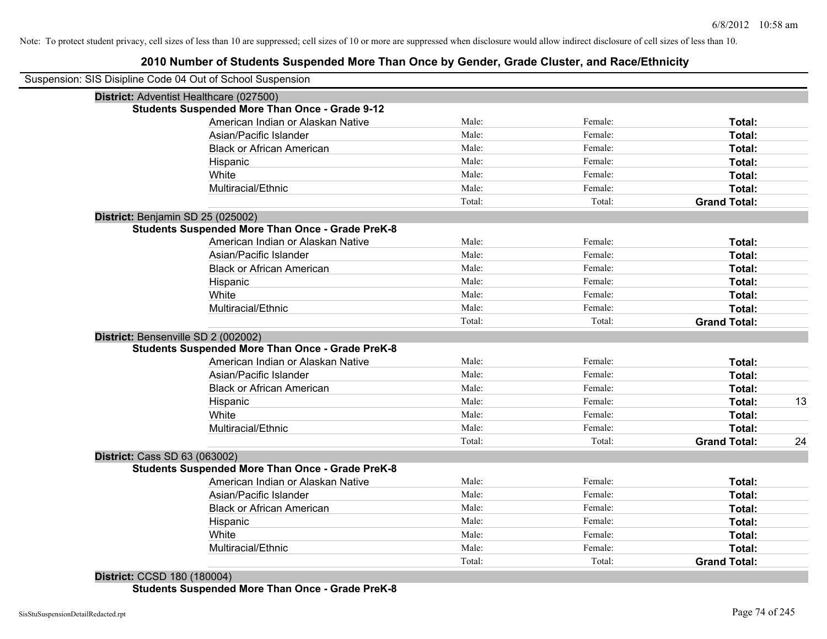### **2010 Number of Students Suspended More Than Once by Gender, Grade Cluster, and Race/Ethnicity**

| Suspension: SIS Disipline Code 04 Out of School Suspension |        |         |                     |    |
|------------------------------------------------------------|--------|---------|---------------------|----|
| District: Adventist Healthcare (027500)                    |        |         |                     |    |
| <b>Students Suspended More Than Once - Grade 9-12</b>      |        |         |                     |    |
| American Indian or Alaskan Native                          | Male:  | Female: | Total:              |    |
| Asian/Pacific Islander                                     | Male:  | Female: | Total:              |    |
| <b>Black or African American</b>                           | Male:  | Female: | Total:              |    |
| Hispanic                                                   | Male:  | Female: | Total:              |    |
| White                                                      | Male:  | Female: | Total:              |    |
| Multiracial/Ethnic                                         | Male:  | Female: | Total:              |    |
|                                                            | Total: | Total:  | <b>Grand Total:</b> |    |
| District: Benjamin SD 25 (025002)                          |        |         |                     |    |
| <b>Students Suspended More Than Once - Grade PreK-8</b>    |        |         |                     |    |
| American Indian or Alaskan Native                          | Male:  | Female: | Total:              |    |
| Asian/Pacific Islander                                     | Male:  | Female: | Total:              |    |
| <b>Black or African American</b>                           | Male:  | Female: | Total:              |    |
| Hispanic                                                   | Male:  | Female: | Total:              |    |
| White                                                      | Male:  | Female: | Total:              |    |
| Multiracial/Ethnic                                         | Male:  | Female: | Total:              |    |
|                                                            | Total: | Total:  | <b>Grand Total:</b> |    |
| District: Bensenville SD 2 (002002)                        |        |         |                     |    |
| <b>Students Suspended More Than Once - Grade PreK-8</b>    |        |         |                     |    |
| American Indian or Alaskan Native                          | Male:  | Female: | Total:              |    |
| Asian/Pacific Islander                                     | Male:  | Female: | Total:              |    |
| <b>Black or African American</b>                           | Male:  | Female: | Total:              |    |
| Hispanic                                                   | Male:  | Female: | Total:              | 13 |
| White                                                      | Male:  | Female: | <b>Total:</b>       |    |
| Multiracial/Ethnic                                         | Male:  | Female: | Total:              |    |
|                                                            | Total: | Total:  | <b>Grand Total:</b> | 24 |
| District: Cass SD 63 (063002)                              |        |         |                     |    |
| <b>Students Suspended More Than Once - Grade PreK-8</b>    |        |         |                     |    |
| American Indian or Alaskan Native                          | Male:  | Female: | Total:              |    |
| Asian/Pacific Islander                                     | Male:  | Female: | Total:              |    |
| <b>Black or African American</b>                           | Male:  | Female: | Total:              |    |
| Hispanic                                                   | Male:  | Female: | Total:              |    |
| White                                                      | Male:  | Female: | Total:              |    |
| Multiracial/Ethnic                                         | Male:  | Female: | <b>Total:</b>       |    |
|                                                            | Total: | Total:  | <b>Grand Total:</b> |    |

**District:** CCSD 180 (180004) **Students Suspended More Than Once - Grade PreK-8**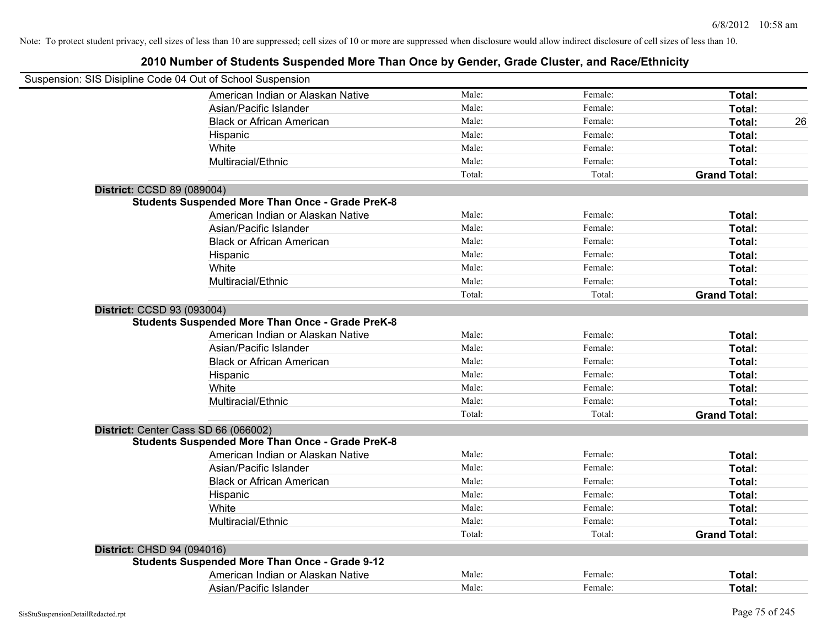| Suspension: SIS Disipline Code 04 Out of School Suspension                            |        |         |                     |
|---------------------------------------------------------------------------------------|--------|---------|---------------------|
| American Indian or Alaskan Native                                                     | Male:  | Female: | Total:              |
| Asian/Pacific Islander                                                                | Male:  | Female: | Total:              |
| <b>Black or African American</b>                                                      | Male:  | Female: | Total:<br>26        |
| Hispanic                                                                              | Male:  | Female: | Total:              |
| White                                                                                 | Male:  | Female: | Total:              |
| Multiracial/Ethnic                                                                    | Male:  | Female: | Total:              |
|                                                                                       | Total: | Total:  | <b>Grand Total:</b> |
| District: CCSD 89 (089004)                                                            |        |         |                     |
| <b>Students Suspended More Than Once - Grade PreK-8</b>                               |        |         |                     |
| American Indian or Alaskan Native                                                     | Male:  | Female: | Total:              |
| Asian/Pacific Islander                                                                | Male:  | Female: | Total:              |
| <b>Black or African American</b>                                                      | Male:  | Female: | Total:              |
| Hispanic                                                                              | Male:  | Female: | Total:              |
| White                                                                                 | Male:  | Female: | Total:              |
| Multiracial/Ethnic                                                                    | Male:  | Female: | Total:              |
|                                                                                       | Total: | Total:  | <b>Grand Total:</b> |
| District: CCSD 93 (093004)<br><b>Students Suspended More Than Once - Grade PreK-8</b> |        |         |                     |
| American Indian or Alaskan Native                                                     | Male:  | Female: | Total:              |
| Asian/Pacific Islander                                                                | Male:  | Female: | Total:              |
| <b>Black or African American</b>                                                      | Male:  | Female: | Total:              |
| Hispanic                                                                              | Male:  | Female: | Total:              |
| White                                                                                 | Male:  | Female: | Total:              |
| Multiracial/Ethnic                                                                    | Male:  | Female: | Total:              |
|                                                                                       | Total: | Total:  | <b>Grand Total:</b> |
| District: Center Cass SD 66 (066002)                                                  |        |         |                     |
| <b>Students Suspended More Than Once - Grade PreK-8</b>                               |        |         |                     |
| American Indian or Alaskan Native                                                     | Male:  | Female: | Total:              |
| Asian/Pacific Islander                                                                | Male:  | Female: | Total:              |
| <b>Black or African American</b>                                                      | Male:  | Female: | Total:              |
| Hispanic                                                                              | Male:  | Female: | Total:              |
| White                                                                                 | Male:  | Female: | Total:              |
| Multiracial/Ethnic                                                                    | Male:  | Female: | Total:              |
|                                                                                       | Total: | Total:  | <b>Grand Total:</b> |
| District: CHSD 94 (094016)                                                            |        |         |                     |
| <b>Students Suspended More Than Once - Grade 9-12</b>                                 |        |         |                     |
| American Indian or Alaskan Native                                                     | Male:  | Female: | <b>Total:</b>       |
| Asian/Pacific Islander                                                                | Male:  | Female: | Total:              |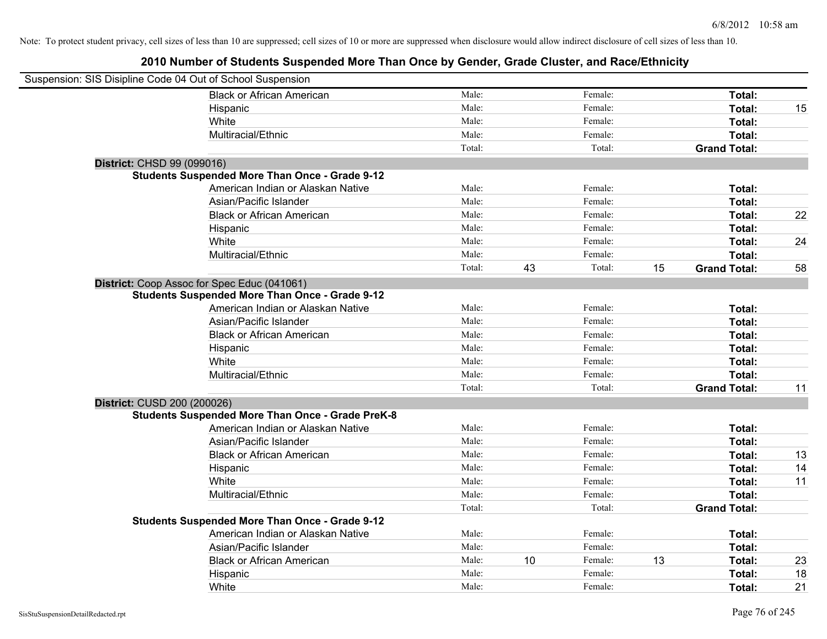| Suspension: SIS Disipline Code 04 Out of School Suspension |                                                         |        |    |         |    |                     |    |
|------------------------------------------------------------|---------------------------------------------------------|--------|----|---------|----|---------------------|----|
|                                                            | <b>Black or African American</b>                        | Male:  |    | Female: |    | Total:              |    |
|                                                            | Hispanic                                                | Male:  |    | Female: |    | Total:              | 15 |
|                                                            | White                                                   | Male:  |    | Female: |    | Total:              |    |
|                                                            | Multiracial/Ethnic                                      | Male:  |    | Female: |    | Total:              |    |
|                                                            |                                                         | Total: |    | Total:  |    | <b>Grand Total:</b> |    |
| District: CHSD 99 (099016)                                 |                                                         |        |    |         |    |                     |    |
|                                                            | <b>Students Suspended More Than Once - Grade 9-12</b>   |        |    |         |    |                     |    |
|                                                            | American Indian or Alaskan Native                       | Male:  |    | Female: |    | Total:              |    |
|                                                            | Asian/Pacific Islander                                  | Male:  |    | Female: |    | Total:              |    |
|                                                            | <b>Black or African American</b>                        | Male:  |    | Female: |    | Total:              | 22 |
|                                                            | Hispanic                                                | Male:  |    | Female: |    | Total:              |    |
|                                                            | White                                                   | Male:  |    | Female: |    | Total:              | 24 |
|                                                            | Multiracial/Ethnic                                      | Male:  |    | Female: |    | Total:              |    |
|                                                            |                                                         | Total: | 43 | Total:  | 15 | <b>Grand Total:</b> | 58 |
|                                                            | District: Coop Assoc for Spec Educ (041061)             |        |    |         |    |                     |    |
|                                                            | <b>Students Suspended More Than Once - Grade 9-12</b>   |        |    |         |    |                     |    |
|                                                            | American Indian or Alaskan Native                       | Male:  |    | Female: |    | Total:              |    |
|                                                            | Asian/Pacific Islander                                  | Male:  |    | Female: |    | Total:              |    |
|                                                            | <b>Black or African American</b>                        | Male:  |    | Female: |    | Total:              |    |
|                                                            | Hispanic                                                | Male:  |    | Female: |    | Total:              |    |
|                                                            | White                                                   | Male:  |    | Female: |    | Total:              |    |
|                                                            | Multiracial/Ethnic                                      | Male:  |    | Female: |    | Total:              |    |
|                                                            |                                                         | Total: |    | Total:  |    | <b>Grand Total:</b> | 11 |
| District: CUSD 200 (200026)                                |                                                         |        |    |         |    |                     |    |
|                                                            | <b>Students Suspended More Than Once - Grade PreK-8</b> |        |    |         |    |                     |    |
|                                                            | American Indian or Alaskan Native                       | Male:  |    | Female: |    | Total:              |    |
|                                                            | Asian/Pacific Islander                                  | Male:  |    | Female: |    | Total:              |    |
|                                                            | <b>Black or African American</b>                        | Male:  |    | Female: |    | Total:              | 13 |
|                                                            | Hispanic                                                | Male:  |    | Female: |    | Total:              | 14 |
|                                                            | White                                                   | Male:  |    | Female: |    | Total:              | 11 |
|                                                            | Multiracial/Ethnic                                      | Male:  |    | Female: |    | Total:              |    |
|                                                            |                                                         | Total: |    | Total:  |    | <b>Grand Total:</b> |    |
|                                                            | <b>Students Suspended More Than Once - Grade 9-12</b>   |        |    |         |    |                     |    |
|                                                            | American Indian or Alaskan Native                       | Male:  |    | Female: |    | Total:              |    |
|                                                            | Asian/Pacific Islander                                  | Male:  |    | Female: |    | Total:              |    |
|                                                            | <b>Black or African American</b>                        | Male:  | 10 | Female: | 13 | Total:              | 23 |
|                                                            | Hispanic                                                | Male:  |    | Female: |    | Total:              | 18 |
|                                                            | White                                                   | Male:  |    | Female: |    | Total:              | 21 |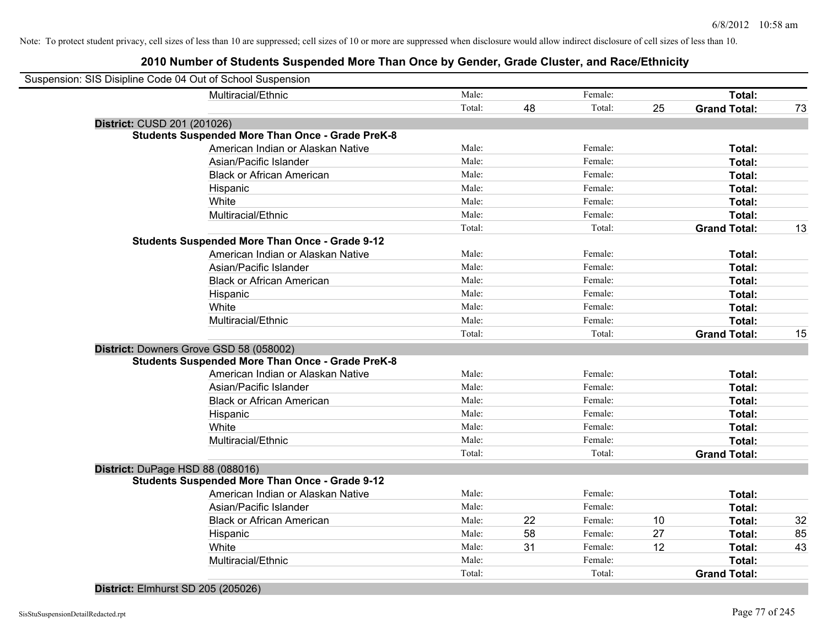| Suspension: SIS Disipline Code 04 Out of School Suspension |                                                         |        |    |         |    |                     |    |
|------------------------------------------------------------|---------------------------------------------------------|--------|----|---------|----|---------------------|----|
| Multiracial/Ethnic                                         |                                                         | Male:  |    | Female: |    | Total:              |    |
|                                                            |                                                         | Total: | 48 | Total:  | 25 | <b>Grand Total:</b> | 73 |
| District: CUSD 201 (201026)                                |                                                         |        |    |         |    |                     |    |
|                                                            | <b>Students Suspended More Than Once - Grade PreK-8</b> |        |    |         |    |                     |    |
|                                                            | American Indian or Alaskan Native                       | Male:  |    | Female: |    | Total:              |    |
| Asian/Pacific Islander                                     |                                                         | Male:  |    | Female: |    | Total:              |    |
|                                                            | <b>Black or African American</b>                        | Male:  |    | Female: |    | Total:              |    |
| Hispanic                                                   |                                                         | Male:  |    | Female: |    | Total:              |    |
| White                                                      |                                                         | Male:  |    | Female: |    | Total:              |    |
| Multiracial/Ethnic                                         |                                                         | Male:  |    | Female: |    | Total:              |    |
|                                                            |                                                         | Total: |    | Total:  |    | <b>Grand Total:</b> | 13 |
| <b>Students Suspended More Than Once - Grade 9-12</b>      |                                                         |        |    |         |    |                     |    |
|                                                            | American Indian or Alaskan Native                       | Male:  |    | Female: |    | Total:              |    |
| Asian/Pacific Islander                                     |                                                         | Male:  |    | Female: |    | Total:              |    |
|                                                            | <b>Black or African American</b>                        | Male:  |    | Female: |    | Total:              |    |
| Hispanic                                                   |                                                         | Male:  |    | Female: |    | Total:              |    |
| White                                                      |                                                         | Male:  |    | Female: |    | Total:              |    |
| Multiracial/Ethnic                                         |                                                         | Male:  |    | Female: |    | Total:              |    |
|                                                            |                                                         | Total: |    | Total:  |    | <b>Grand Total:</b> | 15 |
| District: Downers Grove GSD 58 (058002)                    |                                                         |        |    |         |    |                     |    |
|                                                            | <b>Students Suspended More Than Once - Grade PreK-8</b> |        |    |         |    |                     |    |
|                                                            | American Indian or Alaskan Native                       | Male:  |    | Female: |    | Total:              |    |
| Asian/Pacific Islander                                     |                                                         | Male:  |    | Female: |    | Total:              |    |
|                                                            | <b>Black or African American</b>                        | Male:  |    | Female: |    | Total:              |    |
| Hispanic                                                   |                                                         | Male:  |    | Female: |    | Total:              |    |
| White                                                      |                                                         | Male:  |    | Female: |    | Total:              |    |
| Multiracial/Ethnic                                         |                                                         | Male:  |    | Female: |    | Total:              |    |
|                                                            |                                                         | Total: |    | Total:  |    | <b>Grand Total:</b> |    |
| District: DuPage HSD 88 (088016)                           |                                                         |        |    |         |    |                     |    |
| <b>Students Suspended More Than Once - Grade 9-12</b>      |                                                         |        |    |         |    |                     |    |
|                                                            | American Indian or Alaskan Native                       | Male:  |    | Female: |    | Total:              |    |
| Asian/Pacific Islander                                     |                                                         | Male:  |    | Female: |    | Total:              |    |
|                                                            | <b>Black or African American</b>                        | Male:  | 22 | Female: | 10 | Total:              | 32 |
| Hispanic                                                   |                                                         | Male:  | 58 | Female: | 27 | Total:              | 85 |
| White                                                      |                                                         | Male:  | 31 | Female: | 12 | Total:              | 43 |
| Multiracial/Ethnic                                         |                                                         | Male:  |    | Female: |    | Total:              |    |
|                                                            |                                                         | Total: |    | Total:  |    | <b>Grand Total:</b> |    |
|                                                            |                                                         |        |    |         |    |                     |    |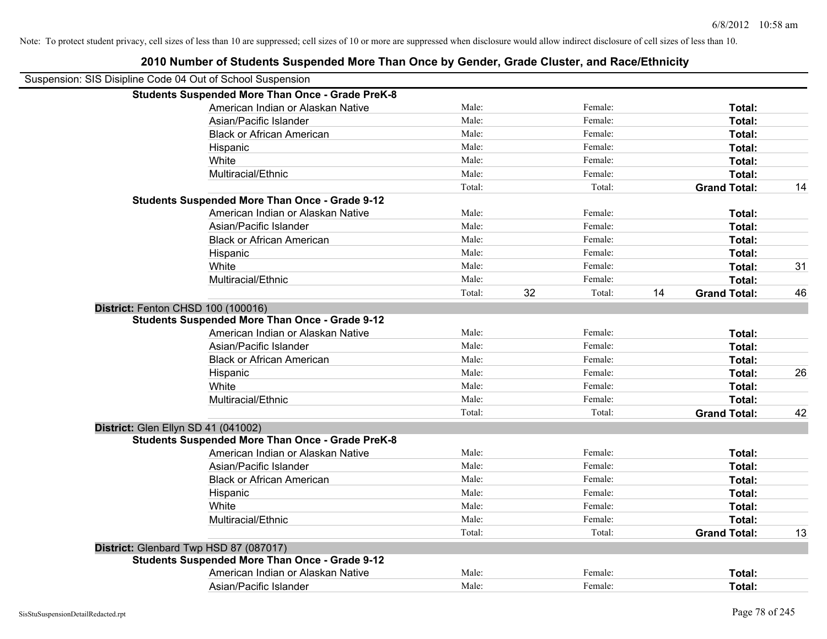| LUTU NUMBU UI UGUUMO UUDPUMUU MUTU MIUM UMUU DY UUMUM, URUU UNUGU, UM NUUMLAMINI, |        |    |         |    |                     |    |
|-----------------------------------------------------------------------------------|--------|----|---------|----|---------------------|----|
| Suspension: SIS Disipline Code 04 Out of School Suspension                        |        |    |         |    |                     |    |
| <b>Students Suspended More Than Once - Grade PreK-8</b>                           |        |    |         |    |                     |    |
| American Indian or Alaskan Native                                                 | Male:  |    | Female: |    | Total:              |    |
| Asian/Pacific Islander                                                            | Male:  |    | Female: |    | Total:              |    |
| <b>Black or African American</b>                                                  | Male:  |    | Female: |    | Total:              |    |
| Hispanic                                                                          | Male:  |    | Female: |    | Total:              |    |
| White                                                                             | Male:  |    | Female: |    | Total:              |    |
| Multiracial/Ethnic                                                                | Male:  |    | Female: |    | Total:              |    |
|                                                                                   | Total: |    | Total:  |    | <b>Grand Total:</b> | 14 |
| <b>Students Suspended More Than Once - Grade 9-12</b>                             |        |    |         |    |                     |    |
| American Indian or Alaskan Native                                                 | Male:  |    | Female: |    | Total:              |    |
| Asian/Pacific Islander                                                            | Male:  |    | Female: |    | Total:              |    |
| <b>Black or African American</b>                                                  | Male:  |    | Female: |    | Total:              |    |
| Hispanic                                                                          | Male:  |    | Female: |    | Total:              |    |
| White                                                                             | Male:  |    | Female: |    | Total:              | 31 |
| Multiracial/Ethnic                                                                | Male:  |    | Female: |    | Total:              |    |
|                                                                                   | Total: | 32 | Total:  | 14 | <b>Grand Total:</b> | 46 |
| District: Fenton CHSD 100 (100016)                                                |        |    |         |    |                     |    |
| <b>Students Suspended More Than Once - Grade 9-12</b>                             |        |    |         |    |                     |    |
| American Indian or Alaskan Native                                                 | Male:  |    | Female: |    | Total:              |    |
| Asian/Pacific Islander                                                            | Male:  |    | Female: |    | Total:              |    |
| <b>Black or African American</b>                                                  | Male:  |    | Female: |    | Total:              |    |
| Hispanic                                                                          | Male:  |    | Female: |    | Total:              | 26 |
| White                                                                             | Male:  |    | Female: |    | Total:              |    |
| Multiracial/Ethnic                                                                | Male:  |    | Female: |    | Total:              |    |
|                                                                                   | Total: |    | Total:  |    | <b>Grand Total:</b> | 42 |
| District: Glen Ellyn SD 41 (041002)                                               |        |    |         |    |                     |    |
| <b>Students Suspended More Than Once - Grade PreK-8</b>                           |        |    |         |    |                     |    |
| American Indian or Alaskan Native                                                 | Male:  |    | Female: |    | Total:              |    |
| Asian/Pacific Islander                                                            | Male:  |    | Female: |    | Total:              |    |
| <b>Black or African American</b>                                                  | Male:  |    | Female: |    | Total:              |    |
| Hispanic                                                                          | Male:  |    | Female: |    | Total:              |    |
| White                                                                             | Male:  |    | Female: |    | Total:              |    |
| Multiracial/Ethnic                                                                | Male:  |    | Female: |    | Total:              |    |
|                                                                                   | Total: |    | Total:  |    | <b>Grand Total:</b> | 13 |
| District: Glenbard Twp HSD 87 (087017)                                            |        |    |         |    |                     |    |
| <b>Students Suspended More Than Once - Grade 9-12</b>                             |        |    |         |    |                     |    |
| American Indian or Alaskan Native                                                 | Male:  |    | Female: |    | Total:              |    |
| Asian/Pacific Islander                                                            | Male:  |    | Female: |    | Total:              |    |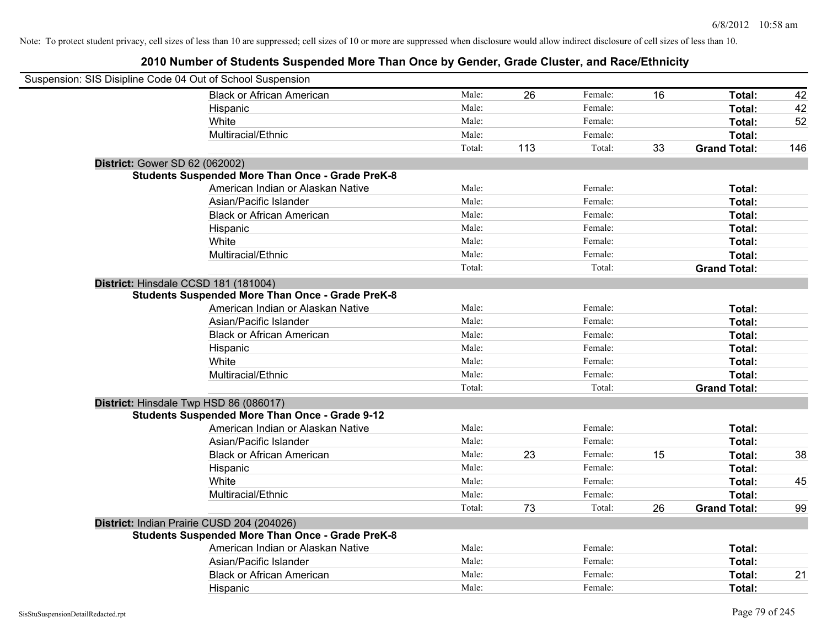| Suspension: SIS Disipline Code 04 Out of School Suspension |        |     |         |    |                     |     |
|------------------------------------------------------------|--------|-----|---------|----|---------------------|-----|
| <b>Black or African American</b>                           | Male:  | 26  | Female: | 16 | Total:              | 42  |
| Hispanic                                                   | Male:  |     | Female: |    | Total:              | 42  |
| White                                                      | Male:  |     | Female: |    | Total:              | 52  |
| Multiracial/Ethnic                                         | Male:  |     | Female: |    | Total:              |     |
|                                                            | Total: | 113 | Total:  | 33 | <b>Grand Total:</b> | 146 |
| District: Gower SD 62 (062002)                             |        |     |         |    |                     |     |
| <b>Students Suspended More Than Once - Grade PreK-8</b>    |        |     |         |    |                     |     |
| American Indian or Alaskan Native                          | Male:  |     | Female: |    | Total:              |     |
| Asian/Pacific Islander                                     | Male:  |     | Female: |    | Total:              |     |
| <b>Black or African American</b>                           | Male:  |     | Female: |    | Total:              |     |
| Hispanic                                                   | Male:  |     | Female: |    | Total:              |     |
| White                                                      | Male:  |     | Female: |    | Total:              |     |
| Multiracial/Ethnic                                         | Male:  |     | Female: |    | Total:              |     |
|                                                            | Total: |     | Total:  |    | <b>Grand Total:</b> |     |
| District: Hinsdale CCSD 181 (181004)                       |        |     |         |    |                     |     |
| <b>Students Suspended More Than Once - Grade PreK-8</b>    |        |     |         |    |                     |     |
| American Indian or Alaskan Native                          | Male:  |     | Female: |    | Total:              |     |
| Asian/Pacific Islander                                     | Male:  |     | Female: |    | Total:              |     |
| <b>Black or African American</b>                           | Male:  |     | Female: |    | Total:              |     |
| Hispanic                                                   | Male:  |     | Female: |    | Total:              |     |
| White                                                      | Male:  |     | Female: |    | Total:              |     |
| Multiracial/Ethnic                                         | Male:  |     | Female: |    | Total:              |     |
|                                                            | Total: |     | Total:  |    | <b>Grand Total:</b> |     |
| District: Hinsdale Twp HSD 86 (086017)                     |        |     |         |    |                     |     |
| <b>Students Suspended More Than Once - Grade 9-12</b>      |        |     |         |    |                     |     |
| American Indian or Alaskan Native                          | Male:  |     | Female: |    | Total:              |     |
| Asian/Pacific Islander                                     | Male:  |     | Female: |    | Total:              |     |
| <b>Black or African American</b>                           | Male:  | 23  | Female: | 15 | Total:              | 38  |
| Hispanic                                                   | Male:  |     | Female: |    | Total:              |     |
| White                                                      | Male:  |     | Female: |    | Total:              | 45  |
| Multiracial/Ethnic                                         | Male:  |     | Female: |    | Total:              |     |
|                                                            | Total: | 73  | Total:  | 26 | <b>Grand Total:</b> | 99  |
| District: Indian Prairie CUSD 204 (204026)                 |        |     |         |    |                     |     |
| <b>Students Suspended More Than Once - Grade PreK-8</b>    |        |     |         |    |                     |     |
| American Indian or Alaskan Native                          | Male:  |     | Female: |    | Total:              |     |
| Asian/Pacific Islander                                     | Male:  |     | Female: |    | Total:              |     |
| <b>Black or African American</b>                           | Male:  |     | Female: |    | Total:              | 21  |
| Hispanic                                                   | Male:  |     | Female: |    | Total:              |     |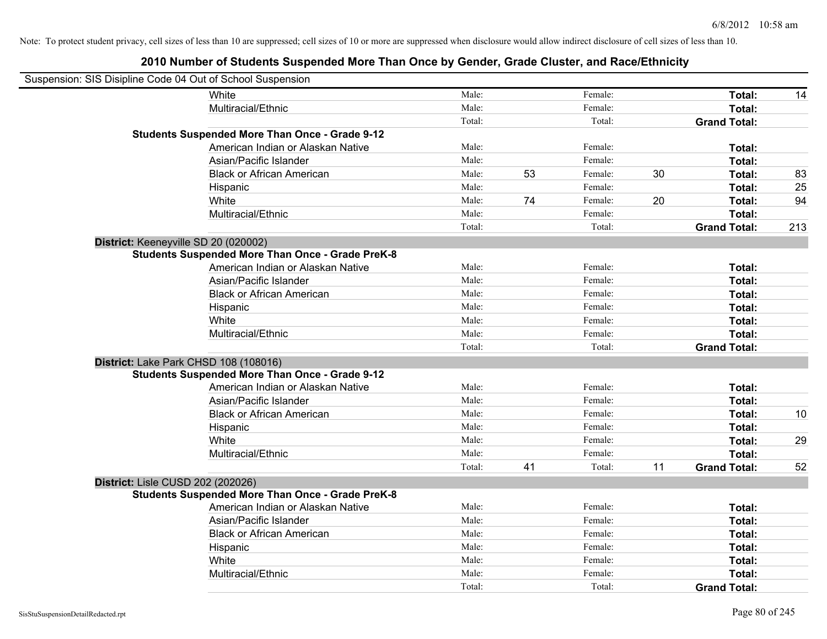| Suspension: SIS Disipline Code 04 Out of School Suspension |                                                         |        |    |         |    |                     |     |
|------------------------------------------------------------|---------------------------------------------------------|--------|----|---------|----|---------------------|-----|
|                                                            | <b>White</b>                                            | Male:  |    | Female: |    | Total:              | 14  |
|                                                            | Multiracial/Ethnic                                      | Male:  |    | Female: |    | <b>Total:</b>       |     |
|                                                            |                                                         | Total: |    | Total:  |    | <b>Grand Total:</b> |     |
|                                                            | <b>Students Suspended More Than Once - Grade 9-12</b>   |        |    |         |    |                     |     |
|                                                            | American Indian or Alaskan Native                       | Male:  |    | Female: |    | Total:              |     |
|                                                            | Asian/Pacific Islander                                  | Male:  |    | Female: |    | Total:              |     |
|                                                            | <b>Black or African American</b>                        | Male:  | 53 | Female: | 30 | Total:              | 83  |
|                                                            | Hispanic                                                | Male:  |    | Female: |    | Total:              | 25  |
|                                                            | White                                                   | Male:  | 74 | Female: | 20 | Total:              | 94  |
|                                                            | Multiracial/Ethnic                                      | Male:  |    | Female: |    | Total:              |     |
|                                                            |                                                         | Total: |    | Total:  |    | <b>Grand Total:</b> | 213 |
| District: Keeneyville SD 20 (020002)                       |                                                         |        |    |         |    |                     |     |
|                                                            | <b>Students Suspended More Than Once - Grade PreK-8</b> |        |    |         |    |                     |     |
|                                                            | American Indian or Alaskan Native                       | Male:  |    | Female: |    | Total:              |     |
|                                                            | Asian/Pacific Islander                                  | Male:  |    | Female: |    | Total:              |     |
|                                                            | <b>Black or African American</b>                        | Male:  |    | Female: |    | Total:              |     |
|                                                            | Hispanic                                                | Male:  |    | Female: |    | Total:              |     |
|                                                            | White                                                   | Male:  |    | Female: |    | Total:              |     |
|                                                            | Multiracial/Ethnic                                      | Male:  |    | Female: |    | Total:              |     |
|                                                            |                                                         | Total: |    | Total:  |    | <b>Grand Total:</b> |     |
| District: Lake Park CHSD 108 (108016)                      |                                                         |        |    |         |    |                     |     |
|                                                            | <b>Students Suspended More Than Once - Grade 9-12</b>   |        |    |         |    |                     |     |
|                                                            | American Indian or Alaskan Native                       | Male:  |    | Female: |    | Total:              |     |
|                                                            | Asian/Pacific Islander                                  | Male:  |    | Female: |    | Total:              |     |
|                                                            | <b>Black or African American</b>                        | Male:  |    | Female: |    | Total:              | 10  |
|                                                            | Hispanic                                                | Male:  |    | Female: |    | Total:              |     |
|                                                            | White                                                   | Male:  |    | Female: |    | Total:              | 29  |
|                                                            | Multiracial/Ethnic                                      | Male:  |    | Female: |    | Total:              |     |
|                                                            |                                                         | Total: | 41 | Total:  | 11 | <b>Grand Total:</b> | 52  |
| District: Lisle CUSD 202 (202026)                          |                                                         |        |    |         |    |                     |     |
|                                                            | <b>Students Suspended More Than Once - Grade PreK-8</b> |        |    |         |    |                     |     |
|                                                            | American Indian or Alaskan Native                       | Male:  |    | Female: |    | Total:              |     |
|                                                            | Asian/Pacific Islander                                  | Male:  |    | Female: |    | Total:              |     |
|                                                            | <b>Black or African American</b>                        | Male:  |    | Female: |    | Total:              |     |
|                                                            | Hispanic                                                | Male:  |    | Female: |    | Total:              |     |
|                                                            | White                                                   | Male:  |    | Female: |    | Total:              |     |
|                                                            | Multiracial/Ethnic                                      | Male:  |    | Female: |    | Total:              |     |
|                                                            |                                                         | Total: |    | Total:  |    | <b>Grand Total:</b> |     |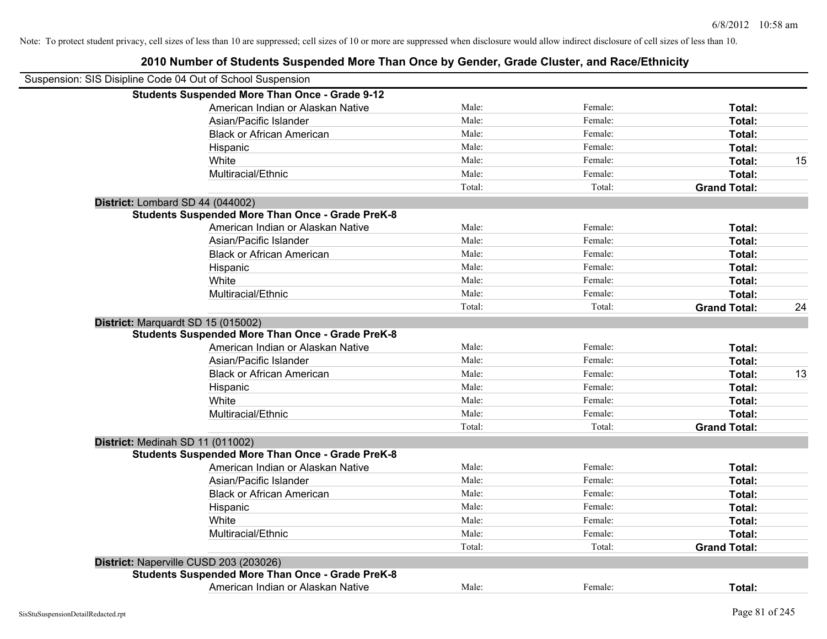| Suspension: SIS Disipline Code 04 Out of School Suspension |                                                         |        |         |                     |    |
|------------------------------------------------------------|---------------------------------------------------------|--------|---------|---------------------|----|
|                                                            | <b>Students Suspended More Than Once - Grade 9-12</b>   |        |         |                     |    |
|                                                            | American Indian or Alaskan Native                       | Male:  | Female: | Total:              |    |
|                                                            | Asian/Pacific Islander                                  | Male:  | Female: | Total:              |    |
|                                                            | <b>Black or African American</b>                        | Male:  | Female: | Total:              |    |
|                                                            | Hispanic                                                | Male:  | Female: | Total:              |    |
|                                                            | White                                                   | Male:  | Female: | Total:              | 15 |
|                                                            | Multiracial/Ethnic                                      | Male:  | Female: | Total:              |    |
|                                                            |                                                         | Total: | Total:  | <b>Grand Total:</b> |    |
|                                                            | District: Lombard SD 44 (044002)                        |        |         |                     |    |
|                                                            | <b>Students Suspended More Than Once - Grade PreK-8</b> |        |         |                     |    |
|                                                            | American Indian or Alaskan Native                       | Male:  | Female: | Total:              |    |
|                                                            | Asian/Pacific Islander                                  | Male:  | Female: | Total:              |    |
|                                                            | <b>Black or African American</b>                        | Male:  | Female: | Total:              |    |
|                                                            | Hispanic                                                | Male:  | Female: | Total:              |    |
|                                                            | White                                                   | Male:  | Female: | Total:              |    |
|                                                            | Multiracial/Ethnic                                      | Male:  | Female: | Total:              |    |
|                                                            |                                                         | Total: | Total:  | <b>Grand Total:</b> | 24 |
|                                                            | District: Marquardt SD 15 (015002)                      |        |         |                     |    |
|                                                            | <b>Students Suspended More Than Once - Grade PreK-8</b> |        |         |                     |    |
|                                                            | American Indian or Alaskan Native                       | Male:  | Female: | Total:              |    |
|                                                            | Asian/Pacific Islander                                  | Male:  | Female: | Total:              |    |
|                                                            | <b>Black or African American</b>                        | Male:  | Female: | Total:              | 13 |
|                                                            | Hispanic                                                | Male:  | Female: | Total:              |    |
|                                                            | White                                                   | Male:  | Female: | Total:              |    |
|                                                            | Multiracial/Ethnic                                      | Male:  | Female: | Total:              |    |
|                                                            |                                                         | Total: | Total:  | <b>Grand Total:</b> |    |
|                                                            | District: Medinah SD 11 (011002)                        |        |         |                     |    |
|                                                            | <b>Students Suspended More Than Once - Grade PreK-8</b> |        |         |                     |    |
|                                                            | American Indian or Alaskan Native                       | Male:  | Female: | Total:              |    |
|                                                            | Asian/Pacific Islander                                  | Male:  | Female: | Total:              |    |
|                                                            | <b>Black or African American</b>                        | Male:  | Female: | Total:              |    |
|                                                            | Hispanic                                                | Male:  | Female: | Total:              |    |
|                                                            | White                                                   | Male:  | Female: | Total:              |    |
|                                                            | Multiracial/Ethnic                                      | Male:  | Female: | Total:              |    |
|                                                            |                                                         | Total: | Total:  | <b>Grand Total:</b> |    |
|                                                            | District: Naperville CUSD 203 (203026)                  |        |         |                     |    |
|                                                            | <b>Students Suspended More Than Once - Grade PreK-8</b> |        |         |                     |    |
|                                                            | American Indian or Alaskan Native                       | Male:  | Female: | Total:              |    |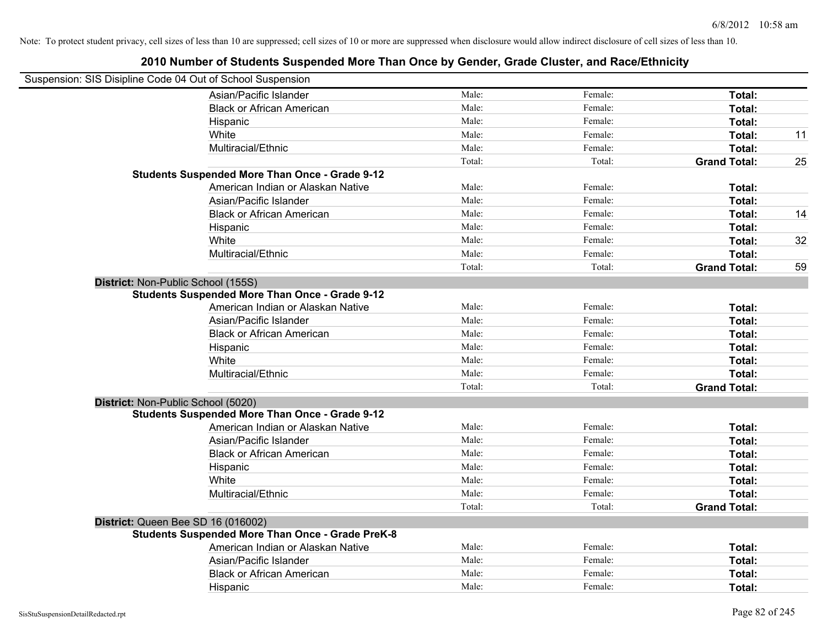| Suspension: SIS Disipline Code 04 Out of School Suspension |        |         |                     |    |
|------------------------------------------------------------|--------|---------|---------------------|----|
| Asian/Pacific Islander                                     | Male:  | Female: | Total:              |    |
| <b>Black or African American</b>                           | Male:  | Female: | Total:              |    |
| Hispanic                                                   | Male:  | Female: | Total:              |    |
| White                                                      | Male:  | Female: | Total:              | 11 |
| Multiracial/Ethnic                                         | Male:  | Female: | Total:              |    |
|                                                            | Total: | Total:  | <b>Grand Total:</b> | 25 |
| <b>Students Suspended More Than Once - Grade 9-12</b>      |        |         |                     |    |
| American Indian or Alaskan Native                          | Male:  | Female: | Total:              |    |
| Asian/Pacific Islander                                     | Male:  | Female: | Total:              |    |
| <b>Black or African American</b>                           | Male:  | Female: | Total:              | 14 |
| Hispanic                                                   | Male:  | Female: | Total:              |    |
| White                                                      | Male:  | Female: | Total:              | 32 |
| Multiracial/Ethnic                                         | Male:  | Female: | Total:              |    |
|                                                            | Total: | Total:  | <b>Grand Total:</b> | 59 |
| District: Non-Public School (155S)                         |        |         |                     |    |
| <b>Students Suspended More Than Once - Grade 9-12</b>      |        |         |                     |    |
| American Indian or Alaskan Native                          | Male:  | Female: | Total:              |    |
| Asian/Pacific Islander                                     | Male:  | Female: | Total:              |    |
| <b>Black or African American</b>                           | Male:  | Female: | Total:              |    |
| Hispanic                                                   | Male:  | Female: | Total:              |    |
| White                                                      | Male:  | Female: | Total:              |    |
| Multiracial/Ethnic                                         | Male:  | Female: | Total:              |    |
|                                                            | Total: | Total:  | <b>Grand Total:</b> |    |
| District: Non-Public School (5020)                         |        |         |                     |    |
| <b>Students Suspended More Than Once - Grade 9-12</b>      |        |         |                     |    |
| American Indian or Alaskan Native                          | Male:  | Female: | Total:              |    |
| Asian/Pacific Islander                                     | Male:  | Female: | Total:              |    |
| <b>Black or African American</b>                           | Male:  | Female: | Total:              |    |
| Hispanic                                                   | Male:  | Female: | Total:              |    |
| White                                                      | Male:  | Female: | Total:              |    |
| Multiracial/Ethnic                                         | Male:  | Female: | Total:              |    |
|                                                            | Total: | Total:  | <b>Grand Total:</b> |    |
| District: Queen Bee SD 16 (016002)                         |        |         |                     |    |
| <b>Students Suspended More Than Once - Grade PreK-8</b>    |        |         |                     |    |
| American Indian or Alaskan Native                          | Male:  | Female: | Total:              |    |
| Asian/Pacific Islander                                     | Male:  | Female: | Total:              |    |
| <b>Black or African American</b>                           | Male:  | Female: | Total:              |    |
| Hispanic                                                   | Male:  | Female: | Total:              |    |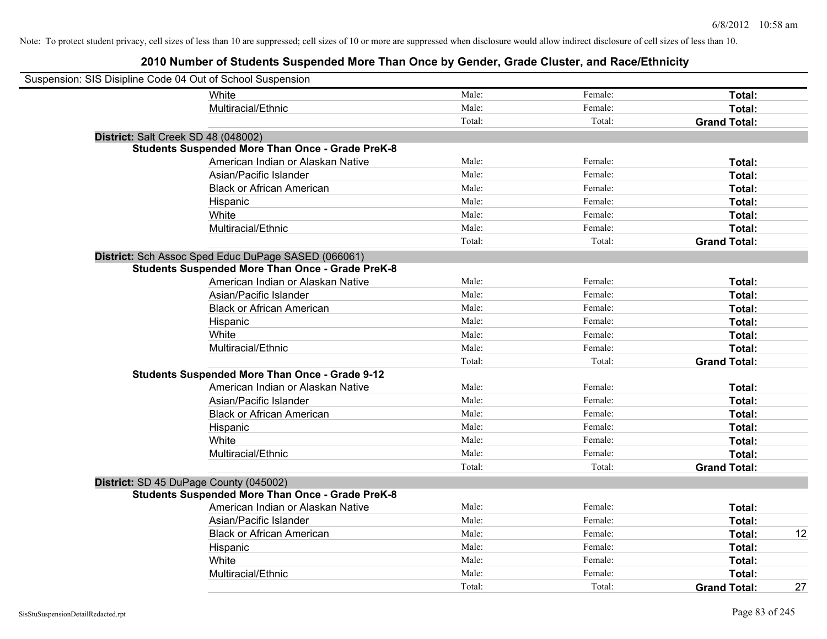| Suspension: SIS Disipline Code 04 Out of School Suspension |                                                         |        |         |                     |    |
|------------------------------------------------------------|---------------------------------------------------------|--------|---------|---------------------|----|
|                                                            | <b>White</b>                                            | Male:  | Female: | Total:              |    |
|                                                            | Multiracial/Ethnic                                      | Male:  | Female: | Total:              |    |
|                                                            |                                                         | Total: | Total:  | <b>Grand Total:</b> |    |
| District: Salt Creek SD 48 (048002)                        |                                                         |        |         |                     |    |
|                                                            | <b>Students Suspended More Than Once - Grade PreK-8</b> |        |         |                     |    |
|                                                            | American Indian or Alaskan Native                       | Male:  | Female: | Total:              |    |
|                                                            | Asian/Pacific Islander                                  | Male:  | Female: | Total:              |    |
|                                                            | <b>Black or African American</b>                        | Male:  | Female: | Total:              |    |
|                                                            | Hispanic                                                | Male:  | Female: | Total:              |    |
|                                                            | White                                                   | Male:  | Female: | Total:              |    |
|                                                            | Multiracial/Ethnic                                      | Male:  | Female: | Total:              |    |
|                                                            |                                                         | Total: | Total:  | <b>Grand Total:</b> |    |
|                                                            | District: Sch Assoc Sped Educ DuPage SASED (066061)     |        |         |                     |    |
|                                                            | <b>Students Suspended More Than Once - Grade PreK-8</b> |        |         |                     |    |
|                                                            | American Indian or Alaskan Native                       | Male:  | Female: | Total:              |    |
|                                                            | Asian/Pacific Islander                                  | Male:  | Female: | Total:              |    |
|                                                            | <b>Black or African American</b>                        | Male:  | Female: | Total:              |    |
|                                                            | Hispanic                                                | Male:  | Female: | Total:              |    |
|                                                            | White                                                   | Male:  | Female: | Total:              |    |
|                                                            | Multiracial/Ethnic                                      | Male:  | Female: | Total:              |    |
|                                                            |                                                         | Total: | Total:  | <b>Grand Total:</b> |    |
|                                                            | <b>Students Suspended More Than Once - Grade 9-12</b>   |        |         |                     |    |
|                                                            | American Indian or Alaskan Native                       | Male:  | Female: | Total:              |    |
|                                                            | Asian/Pacific Islander                                  | Male:  | Female: | Total:              |    |
|                                                            | <b>Black or African American</b>                        | Male:  | Female: | Total:              |    |
|                                                            | Hispanic                                                | Male:  | Female: | Total:              |    |
|                                                            | White                                                   | Male:  | Female: | Total:              |    |
|                                                            | Multiracial/Ethnic                                      | Male:  | Female: | Total:              |    |
|                                                            |                                                         | Total: | Total:  | <b>Grand Total:</b> |    |
| District: SD 45 DuPage County (045002)                     |                                                         |        |         |                     |    |
|                                                            | <b>Students Suspended More Than Once - Grade PreK-8</b> |        |         |                     |    |
|                                                            | American Indian or Alaskan Native                       | Male:  | Female: | Total:              |    |
|                                                            | Asian/Pacific Islander                                  | Male:  | Female: | Total:              |    |
|                                                            | <b>Black or African American</b>                        | Male:  | Female: | Total:              | 12 |
|                                                            | Hispanic                                                | Male:  | Female: | Total:              |    |
|                                                            | White                                                   | Male:  | Female: | Total:              |    |
|                                                            | Multiracial/Ethnic                                      | Male:  | Female: | Total:              |    |
|                                                            |                                                         | Total: | Total:  | <b>Grand Total:</b> | 27 |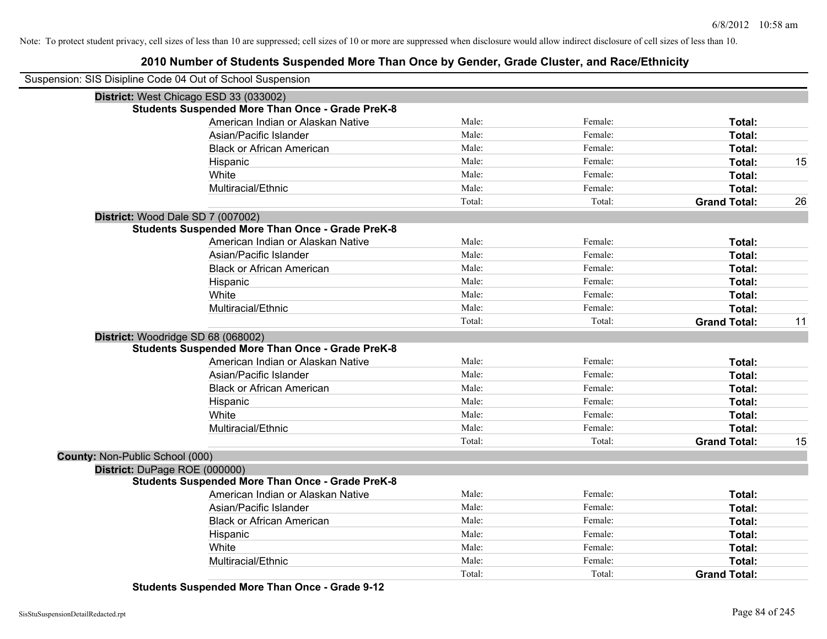| Suspension: SIS Disipline Code 04 Out of School Suspension<br>District: West Chicago ESD 33 (033002)<br><b>Students Suspended More Than Once - Grade PreK-8</b><br>American Indian or Alaskan Native<br>Male:<br>Female:<br>Total:<br>Asian/Pacific Islander<br>Male:<br>Female:<br>Total:<br><b>Black or African American</b><br>Male:<br>Female:<br>Total:<br>Male:<br>Female:<br>15<br>Total:<br>Hispanic<br>White<br>Male:<br>Female:<br>Total:<br>Multiracial/Ethnic<br>Male:<br>Female:<br>Total:<br>Total:<br>Total:<br><b>Grand Total:</b><br>26<br>District: Wood Dale SD 7 (007002)<br><b>Students Suspended More Than Once - Grade PreK-8</b><br>Male:<br>Female:<br>American Indian or Alaskan Native<br>Total:<br>Male:<br>Female:<br>Total:<br>Asian/Pacific Islander<br>Male:<br>Female:<br>Total:<br><b>Black or African American</b><br>Male:<br>Female:<br>Total:<br>Hispanic<br>Male:<br>Female:<br>White<br>Total:<br>Male:<br>Female:<br>Multiracial/Ethnic<br>Total:<br>Total:<br>Total:<br><b>Grand Total:</b><br>11<br>District: Woodridge SD 68 (068002)<br><b>Students Suspended More Than Once - Grade PreK-8</b><br>American Indian or Alaskan Native<br>Male:<br>Female:<br>Total:<br>Asian/Pacific Islander<br>Male:<br>Female:<br>Total:<br>Male:<br>Female:<br><b>Black or African American</b><br>Total:<br>Male:<br>Female:<br>Hispanic<br>Total:<br>White<br>Male:<br>Female:<br>Total:<br>Multiracial/Ethnic<br>Male:<br>Female:<br>Total:<br>Total:<br>15<br>Total:<br><b>Grand Total:</b><br>County: Non-Public School (000)<br>District: DuPage ROE (000000)<br><b>Students Suspended More Than Once - Grade PreK-8</b><br>American Indian or Alaskan Native<br>Male:<br>Female:<br>Total:<br>Asian/Pacific Islander<br>Male:<br>Female:<br>Total:<br><b>Black or African American</b><br>Male:<br>Female:<br>Total:<br>Male:<br>Female:<br>Hispanic<br>Total:<br>White<br>Male:<br>Female:<br>Total:<br>Multiracial/Ethnic<br>Male:<br>Female:<br>Total:<br>Total:<br>Total:<br><b>Grand Total:</b> |  |  |  |
|---------------------------------------------------------------------------------------------------------------------------------------------------------------------------------------------------------------------------------------------------------------------------------------------------------------------------------------------------------------------------------------------------------------------------------------------------------------------------------------------------------------------------------------------------------------------------------------------------------------------------------------------------------------------------------------------------------------------------------------------------------------------------------------------------------------------------------------------------------------------------------------------------------------------------------------------------------------------------------------------------------------------------------------------------------------------------------------------------------------------------------------------------------------------------------------------------------------------------------------------------------------------------------------------------------------------------------------------------------------------------------------------------------------------------------------------------------------------------------------------------------------------------------------------------------------------------------------------------------------------------------------------------------------------------------------------------------------------------------------------------------------------------------------------------------------------------------------------------------------------------------------------------------------------------------------------------------------------------------------------------------------------------------------------|--|--|--|
|                                                                                                                                                                                                                                                                                                                                                                                                                                                                                                                                                                                                                                                                                                                                                                                                                                                                                                                                                                                                                                                                                                                                                                                                                                                                                                                                                                                                                                                                                                                                                                                                                                                                                                                                                                                                                                                                                                                                                                                                                                             |  |  |  |
|                                                                                                                                                                                                                                                                                                                                                                                                                                                                                                                                                                                                                                                                                                                                                                                                                                                                                                                                                                                                                                                                                                                                                                                                                                                                                                                                                                                                                                                                                                                                                                                                                                                                                                                                                                                                                                                                                                                                                                                                                                             |  |  |  |
|                                                                                                                                                                                                                                                                                                                                                                                                                                                                                                                                                                                                                                                                                                                                                                                                                                                                                                                                                                                                                                                                                                                                                                                                                                                                                                                                                                                                                                                                                                                                                                                                                                                                                                                                                                                                                                                                                                                                                                                                                                             |  |  |  |
|                                                                                                                                                                                                                                                                                                                                                                                                                                                                                                                                                                                                                                                                                                                                                                                                                                                                                                                                                                                                                                                                                                                                                                                                                                                                                                                                                                                                                                                                                                                                                                                                                                                                                                                                                                                                                                                                                                                                                                                                                                             |  |  |  |
|                                                                                                                                                                                                                                                                                                                                                                                                                                                                                                                                                                                                                                                                                                                                                                                                                                                                                                                                                                                                                                                                                                                                                                                                                                                                                                                                                                                                                                                                                                                                                                                                                                                                                                                                                                                                                                                                                                                                                                                                                                             |  |  |  |
|                                                                                                                                                                                                                                                                                                                                                                                                                                                                                                                                                                                                                                                                                                                                                                                                                                                                                                                                                                                                                                                                                                                                                                                                                                                                                                                                                                                                                                                                                                                                                                                                                                                                                                                                                                                                                                                                                                                                                                                                                                             |  |  |  |
|                                                                                                                                                                                                                                                                                                                                                                                                                                                                                                                                                                                                                                                                                                                                                                                                                                                                                                                                                                                                                                                                                                                                                                                                                                                                                                                                                                                                                                                                                                                                                                                                                                                                                                                                                                                                                                                                                                                                                                                                                                             |  |  |  |
|                                                                                                                                                                                                                                                                                                                                                                                                                                                                                                                                                                                                                                                                                                                                                                                                                                                                                                                                                                                                                                                                                                                                                                                                                                                                                                                                                                                                                                                                                                                                                                                                                                                                                                                                                                                                                                                                                                                                                                                                                                             |  |  |  |
|                                                                                                                                                                                                                                                                                                                                                                                                                                                                                                                                                                                                                                                                                                                                                                                                                                                                                                                                                                                                                                                                                                                                                                                                                                                                                                                                                                                                                                                                                                                                                                                                                                                                                                                                                                                                                                                                                                                                                                                                                                             |  |  |  |
|                                                                                                                                                                                                                                                                                                                                                                                                                                                                                                                                                                                                                                                                                                                                                                                                                                                                                                                                                                                                                                                                                                                                                                                                                                                                                                                                                                                                                                                                                                                                                                                                                                                                                                                                                                                                                                                                                                                                                                                                                                             |  |  |  |
|                                                                                                                                                                                                                                                                                                                                                                                                                                                                                                                                                                                                                                                                                                                                                                                                                                                                                                                                                                                                                                                                                                                                                                                                                                                                                                                                                                                                                                                                                                                                                                                                                                                                                                                                                                                                                                                                                                                                                                                                                                             |  |  |  |
|                                                                                                                                                                                                                                                                                                                                                                                                                                                                                                                                                                                                                                                                                                                                                                                                                                                                                                                                                                                                                                                                                                                                                                                                                                                                                                                                                                                                                                                                                                                                                                                                                                                                                                                                                                                                                                                                                                                                                                                                                                             |  |  |  |
|                                                                                                                                                                                                                                                                                                                                                                                                                                                                                                                                                                                                                                                                                                                                                                                                                                                                                                                                                                                                                                                                                                                                                                                                                                                                                                                                                                                                                                                                                                                                                                                                                                                                                                                                                                                                                                                                                                                                                                                                                                             |  |  |  |
|                                                                                                                                                                                                                                                                                                                                                                                                                                                                                                                                                                                                                                                                                                                                                                                                                                                                                                                                                                                                                                                                                                                                                                                                                                                                                                                                                                                                                                                                                                                                                                                                                                                                                                                                                                                                                                                                                                                                                                                                                                             |  |  |  |
|                                                                                                                                                                                                                                                                                                                                                                                                                                                                                                                                                                                                                                                                                                                                                                                                                                                                                                                                                                                                                                                                                                                                                                                                                                                                                                                                                                                                                                                                                                                                                                                                                                                                                                                                                                                                                                                                                                                                                                                                                                             |  |  |  |
|                                                                                                                                                                                                                                                                                                                                                                                                                                                                                                                                                                                                                                                                                                                                                                                                                                                                                                                                                                                                                                                                                                                                                                                                                                                                                                                                                                                                                                                                                                                                                                                                                                                                                                                                                                                                                                                                                                                                                                                                                                             |  |  |  |
|                                                                                                                                                                                                                                                                                                                                                                                                                                                                                                                                                                                                                                                                                                                                                                                                                                                                                                                                                                                                                                                                                                                                                                                                                                                                                                                                                                                                                                                                                                                                                                                                                                                                                                                                                                                                                                                                                                                                                                                                                                             |  |  |  |
|                                                                                                                                                                                                                                                                                                                                                                                                                                                                                                                                                                                                                                                                                                                                                                                                                                                                                                                                                                                                                                                                                                                                                                                                                                                                                                                                                                                                                                                                                                                                                                                                                                                                                                                                                                                                                                                                                                                                                                                                                                             |  |  |  |
|                                                                                                                                                                                                                                                                                                                                                                                                                                                                                                                                                                                                                                                                                                                                                                                                                                                                                                                                                                                                                                                                                                                                                                                                                                                                                                                                                                                                                                                                                                                                                                                                                                                                                                                                                                                                                                                                                                                                                                                                                                             |  |  |  |
|                                                                                                                                                                                                                                                                                                                                                                                                                                                                                                                                                                                                                                                                                                                                                                                                                                                                                                                                                                                                                                                                                                                                                                                                                                                                                                                                                                                                                                                                                                                                                                                                                                                                                                                                                                                                                                                                                                                                                                                                                                             |  |  |  |
|                                                                                                                                                                                                                                                                                                                                                                                                                                                                                                                                                                                                                                                                                                                                                                                                                                                                                                                                                                                                                                                                                                                                                                                                                                                                                                                                                                                                                                                                                                                                                                                                                                                                                                                                                                                                                                                                                                                                                                                                                                             |  |  |  |
|                                                                                                                                                                                                                                                                                                                                                                                                                                                                                                                                                                                                                                                                                                                                                                                                                                                                                                                                                                                                                                                                                                                                                                                                                                                                                                                                                                                                                                                                                                                                                                                                                                                                                                                                                                                                                                                                                                                                                                                                                                             |  |  |  |
|                                                                                                                                                                                                                                                                                                                                                                                                                                                                                                                                                                                                                                                                                                                                                                                                                                                                                                                                                                                                                                                                                                                                                                                                                                                                                                                                                                                                                                                                                                                                                                                                                                                                                                                                                                                                                                                                                                                                                                                                                                             |  |  |  |
|                                                                                                                                                                                                                                                                                                                                                                                                                                                                                                                                                                                                                                                                                                                                                                                                                                                                                                                                                                                                                                                                                                                                                                                                                                                                                                                                                                                                                                                                                                                                                                                                                                                                                                                                                                                                                                                                                                                                                                                                                                             |  |  |  |
|                                                                                                                                                                                                                                                                                                                                                                                                                                                                                                                                                                                                                                                                                                                                                                                                                                                                                                                                                                                                                                                                                                                                                                                                                                                                                                                                                                                                                                                                                                                                                                                                                                                                                                                                                                                                                                                                                                                                                                                                                                             |  |  |  |
|                                                                                                                                                                                                                                                                                                                                                                                                                                                                                                                                                                                                                                                                                                                                                                                                                                                                                                                                                                                                                                                                                                                                                                                                                                                                                                                                                                                                                                                                                                                                                                                                                                                                                                                                                                                                                                                                                                                                                                                                                                             |  |  |  |
|                                                                                                                                                                                                                                                                                                                                                                                                                                                                                                                                                                                                                                                                                                                                                                                                                                                                                                                                                                                                                                                                                                                                                                                                                                                                                                                                                                                                                                                                                                                                                                                                                                                                                                                                                                                                                                                                                                                                                                                                                                             |  |  |  |
|                                                                                                                                                                                                                                                                                                                                                                                                                                                                                                                                                                                                                                                                                                                                                                                                                                                                                                                                                                                                                                                                                                                                                                                                                                                                                                                                                                                                                                                                                                                                                                                                                                                                                                                                                                                                                                                                                                                                                                                                                                             |  |  |  |
|                                                                                                                                                                                                                                                                                                                                                                                                                                                                                                                                                                                                                                                                                                                                                                                                                                                                                                                                                                                                                                                                                                                                                                                                                                                                                                                                                                                                                                                                                                                                                                                                                                                                                                                                                                                                                                                                                                                                                                                                                                             |  |  |  |
|                                                                                                                                                                                                                                                                                                                                                                                                                                                                                                                                                                                                                                                                                                                                                                                                                                                                                                                                                                                                                                                                                                                                                                                                                                                                                                                                                                                                                                                                                                                                                                                                                                                                                                                                                                                                                                                                                                                                                                                                                                             |  |  |  |
|                                                                                                                                                                                                                                                                                                                                                                                                                                                                                                                                                                                                                                                                                                                                                                                                                                                                                                                                                                                                                                                                                                                                                                                                                                                                                                                                                                                                                                                                                                                                                                                                                                                                                                                                                                                                                                                                                                                                                                                                                                             |  |  |  |
|                                                                                                                                                                                                                                                                                                                                                                                                                                                                                                                                                                                                                                                                                                                                                                                                                                                                                                                                                                                                                                                                                                                                                                                                                                                                                                                                                                                                                                                                                                                                                                                                                                                                                                                                                                                                                                                                                                                                                                                                                                             |  |  |  |
|                                                                                                                                                                                                                                                                                                                                                                                                                                                                                                                                                                                                                                                                                                                                                                                                                                                                                                                                                                                                                                                                                                                                                                                                                                                                                                                                                                                                                                                                                                                                                                                                                                                                                                                                                                                                                                                                                                                                                                                                                                             |  |  |  |
|                                                                                                                                                                                                                                                                                                                                                                                                                                                                                                                                                                                                                                                                                                                                                                                                                                                                                                                                                                                                                                                                                                                                                                                                                                                                                                                                                                                                                                                                                                                                                                                                                                                                                                                                                                                                                                                                                                                                                                                                                                             |  |  |  |
|                                                                                                                                                                                                                                                                                                                                                                                                                                                                                                                                                                                                                                                                                                                                                                                                                                                                                                                                                                                                                                                                                                                                                                                                                                                                                                                                                                                                                                                                                                                                                                                                                                                                                                                                                                                                                                                                                                                                                                                                                                             |  |  |  |
|                                                                                                                                                                                                                                                                                                                                                                                                                                                                                                                                                                                                                                                                                                                                                                                                                                                                                                                                                                                                                                                                                                                                                                                                                                                                                                                                                                                                                                                                                                                                                                                                                                                                                                                                                                                                                                                                                                                                                                                                                                             |  |  |  |
|                                                                                                                                                                                                                                                                                                                                                                                                                                                                                                                                                                                                                                                                                                                                                                                                                                                                                                                                                                                                                                                                                                                                                                                                                                                                                                                                                                                                                                                                                                                                                                                                                                                                                                                                                                                                                                                                                                                                                                                                                                             |  |  |  |
|                                                                                                                                                                                                                                                                                                                                                                                                                                                                                                                                                                                                                                                                                                                                                                                                                                                                                                                                                                                                                                                                                                                                                                                                                                                                                                                                                                                                                                                                                                                                                                                                                                                                                                                                                                                                                                                                                                                                                                                                                                             |  |  |  |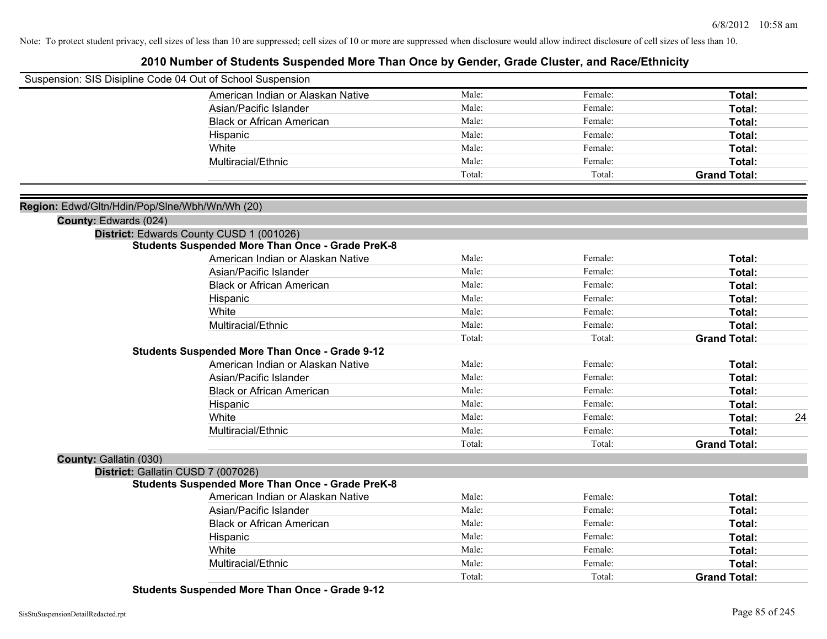### **2010 Number of Students Suspended More Than Once by Gender, Grade Cluster, and Race/Ethnicity**

| Suspension: SIS Disipline Code 04 Out of School Suspension |                                                         |        |         |                     |    |
|------------------------------------------------------------|---------------------------------------------------------|--------|---------|---------------------|----|
|                                                            | American Indian or Alaskan Native                       | Male:  | Female: | Total:              |    |
|                                                            | Asian/Pacific Islander                                  | Male:  | Female: | Total:              |    |
|                                                            | <b>Black or African American</b>                        | Male:  | Female: | Total:              |    |
|                                                            | Hispanic                                                | Male:  | Female: | Total:              |    |
|                                                            | White                                                   | Male:  | Female: | Total:              |    |
|                                                            | Multiracial/Ethnic                                      | Male:  | Female: | Total:              |    |
|                                                            |                                                         | Total: | Total:  | <b>Grand Total:</b> |    |
|                                                            |                                                         |        |         |                     |    |
| Region: Edwd/Gltn/Hdin/Pop/Slne/Wbh/Wn/Wh (20)             |                                                         |        |         |                     |    |
| County: Edwards (024)                                      |                                                         |        |         |                     |    |
|                                                            | District: Edwards County CUSD 1 (001026)                |        |         |                     |    |
|                                                            | <b>Students Suspended More Than Once - Grade PreK-8</b> |        |         |                     |    |
|                                                            | American Indian or Alaskan Native                       | Male:  | Female: | Total:              |    |
|                                                            | Asian/Pacific Islander                                  | Male:  | Female: | Total:              |    |
|                                                            | <b>Black or African American</b>                        | Male:  | Female: | Total:              |    |
|                                                            | Hispanic                                                | Male:  | Female: | Total:              |    |
|                                                            | White                                                   | Male:  | Female: | Total:              |    |
|                                                            | Multiracial/Ethnic                                      | Male:  | Female: | Total:              |    |
|                                                            |                                                         | Total: | Total:  | <b>Grand Total:</b> |    |
|                                                            | <b>Students Suspended More Than Once - Grade 9-12</b>   |        |         |                     |    |
|                                                            | American Indian or Alaskan Native                       | Male:  | Female: | Total:              |    |
|                                                            | Asian/Pacific Islander                                  | Male:  | Female: | Total:              |    |
|                                                            | <b>Black or African American</b>                        | Male:  | Female: | Total:              |    |
|                                                            | Hispanic                                                | Male:  | Female: | Total:              |    |
|                                                            | White                                                   | Male:  | Female: | Total:              | 24 |
|                                                            | Multiracial/Ethnic                                      | Male:  | Female: | Total:              |    |
|                                                            |                                                         | Total: | Total:  | <b>Grand Total:</b> |    |
| County: Gallatin (030)                                     |                                                         |        |         |                     |    |
|                                                            | District: Gallatin CUSD 7 (007026)                      |        |         |                     |    |
|                                                            | <b>Students Suspended More Than Once - Grade PreK-8</b> |        |         |                     |    |
|                                                            | American Indian or Alaskan Native                       | Male:  | Female: | Total:              |    |
|                                                            | Asian/Pacific Islander                                  | Male:  | Female: | Total:              |    |
|                                                            | <b>Black or African American</b>                        | Male:  | Female: | Total:              |    |
|                                                            | Hispanic                                                | Male:  | Female: | Total:              |    |
|                                                            | White                                                   | Male:  | Female: | Total:              |    |
|                                                            | Multiracial/Ethnic                                      | Male:  | Female: | Total:              |    |
|                                                            |                                                         | Total: | Total:  | <b>Grand Total:</b> |    |

**Students Suspended More Than Once - Grade 9-12**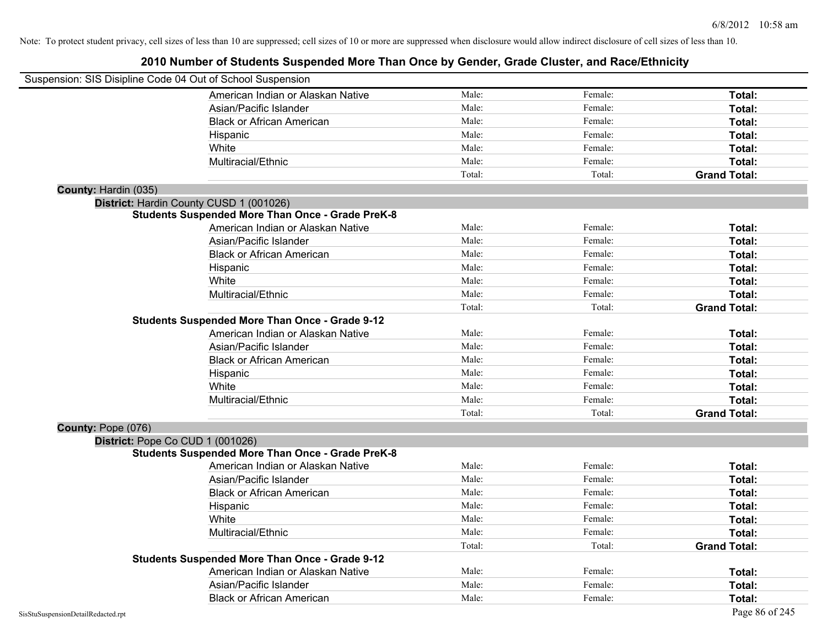| Suspension: SIS Disipline Code 04 Out of School Suspension |                                                         |        |         |                     |
|------------------------------------------------------------|---------------------------------------------------------|--------|---------|---------------------|
|                                                            | American Indian or Alaskan Native                       | Male:  | Female: | Total:              |
|                                                            | Asian/Pacific Islander                                  | Male:  | Female: | Total:              |
|                                                            | <b>Black or African American</b>                        | Male:  | Female: | Total:              |
|                                                            | Hispanic                                                | Male:  | Female: | Total:              |
|                                                            | White                                                   | Male:  | Female: | Total:              |
|                                                            | Multiracial/Ethnic                                      | Male:  | Female: | Total:              |
|                                                            |                                                         | Total: | Total:  | <b>Grand Total:</b> |
| County: Hardin (035)                                       |                                                         |        |         |                     |
|                                                            | District: Hardin County CUSD 1 (001026)                 |        |         |                     |
|                                                            | <b>Students Suspended More Than Once - Grade PreK-8</b> |        |         |                     |
|                                                            | American Indian or Alaskan Native                       | Male:  | Female: | Total:              |
|                                                            | Asian/Pacific Islander                                  | Male:  | Female: | Total:              |
|                                                            | <b>Black or African American</b>                        | Male:  | Female: | Total:              |
|                                                            | Hispanic                                                | Male:  | Female: | Total:              |
|                                                            | White                                                   | Male:  | Female: | Total:              |
|                                                            | Multiracial/Ethnic                                      | Male:  | Female: | Total:              |
|                                                            |                                                         | Total: | Total:  | <b>Grand Total:</b> |
|                                                            | <b>Students Suspended More Than Once - Grade 9-12</b>   |        |         |                     |
|                                                            | American Indian or Alaskan Native                       | Male:  | Female: | Total:              |
|                                                            | Asian/Pacific Islander                                  | Male:  | Female: | Total:              |
|                                                            | <b>Black or African American</b>                        | Male:  | Female: | Total:              |
|                                                            | Hispanic                                                | Male:  | Female: | Total:              |
|                                                            | White                                                   | Male:  | Female: | Total:              |
|                                                            | Multiracial/Ethnic                                      | Male:  | Female: | Total:              |
|                                                            |                                                         | Total: | Total:  | <b>Grand Total:</b> |
| County: Pope (076)                                         |                                                         |        |         |                     |
|                                                            | District: Pope Co CUD 1 (001026)                        |        |         |                     |
|                                                            | <b>Students Suspended More Than Once - Grade PreK-8</b> |        |         |                     |
|                                                            | American Indian or Alaskan Native                       | Male:  | Female: | Total:              |
|                                                            | Asian/Pacific Islander                                  | Male:  | Female: | Total:              |
|                                                            | <b>Black or African American</b>                        | Male:  | Female: | Total:              |
|                                                            | Hispanic                                                | Male:  | Female: | Total:              |
|                                                            | White                                                   | Male:  | Female: | Total:              |
|                                                            | Multiracial/Ethnic                                      | Male:  | Female: | Total:              |
|                                                            |                                                         | Total: | Total:  | <b>Grand Total:</b> |
|                                                            | <b>Students Suspended More Than Once - Grade 9-12</b>   |        |         |                     |
|                                                            | American Indian or Alaskan Native                       | Male:  | Female: | Total:              |
|                                                            | Asian/Pacific Islander                                  | Male:  | Female: | Total:              |
|                                                            | <b>Black or African American</b>                        | Male:  | Female: | Total:              |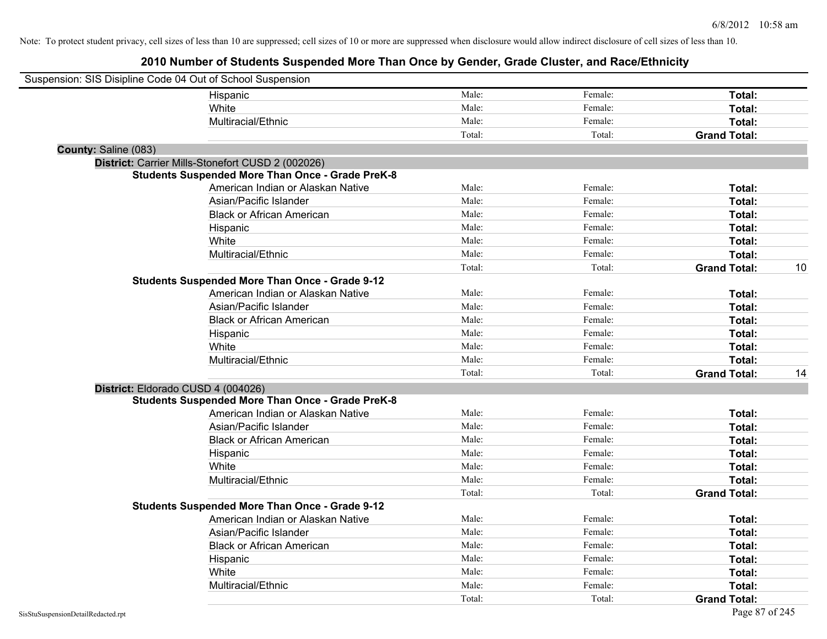| Suspension: SIS Disipline Code 04 Out of School Suspension |                                                         |        |         |                     |    |
|------------------------------------------------------------|---------------------------------------------------------|--------|---------|---------------------|----|
|                                                            | Hispanic                                                | Male:  | Female: | Total:              |    |
|                                                            | White                                                   | Male:  | Female: | Total:              |    |
|                                                            | Multiracial/Ethnic                                      | Male:  | Female: | Total:              |    |
|                                                            |                                                         | Total: | Total:  | <b>Grand Total:</b> |    |
| County: Saline (083)                                       |                                                         |        |         |                     |    |
|                                                            | District: Carrier Mills-Stonefort CUSD 2 (002026)       |        |         |                     |    |
|                                                            | <b>Students Suspended More Than Once - Grade PreK-8</b> |        |         |                     |    |
|                                                            | American Indian or Alaskan Native                       | Male:  | Female: | Total:              |    |
|                                                            | Asian/Pacific Islander                                  | Male:  | Female: | Total:              |    |
|                                                            | <b>Black or African American</b>                        | Male:  | Female: | Total:              |    |
|                                                            | Hispanic                                                | Male:  | Female: | Total:              |    |
|                                                            | White                                                   | Male:  | Female: | Total:              |    |
|                                                            | Multiracial/Ethnic                                      | Male:  | Female: | Total:              |    |
|                                                            |                                                         | Total: | Total:  | <b>Grand Total:</b> | 10 |
|                                                            | <b>Students Suspended More Than Once - Grade 9-12</b>   |        |         |                     |    |
|                                                            | American Indian or Alaskan Native                       | Male:  | Female: | Total:              |    |
|                                                            | Asian/Pacific Islander                                  | Male:  | Female: | Total:              |    |
|                                                            | <b>Black or African American</b>                        | Male:  | Female: | Total:              |    |
|                                                            | Hispanic                                                | Male:  | Female: | Total:              |    |
|                                                            | White                                                   | Male:  | Female: | Total:              |    |
|                                                            | Multiracial/Ethnic                                      | Male:  | Female: | Total:              |    |
|                                                            |                                                         | Total: | Total:  | <b>Grand Total:</b> | 14 |
| District: Eldorado CUSD 4 (004026)                         |                                                         |        |         |                     |    |
|                                                            | <b>Students Suspended More Than Once - Grade PreK-8</b> |        |         |                     |    |
|                                                            | American Indian or Alaskan Native                       | Male:  | Female: | Total:              |    |
|                                                            | Asian/Pacific Islander                                  | Male:  | Female: | Total:              |    |
|                                                            | <b>Black or African American</b>                        | Male:  | Female: | Total:              |    |
|                                                            | Hispanic                                                | Male:  | Female: | Total:              |    |
|                                                            | White                                                   | Male:  | Female: | Total:              |    |
|                                                            | Multiracial/Ethnic                                      | Male:  | Female: | Total:              |    |
|                                                            |                                                         | Total: | Total:  | <b>Grand Total:</b> |    |
|                                                            | <b>Students Suspended More Than Once - Grade 9-12</b>   |        |         |                     |    |
|                                                            | American Indian or Alaskan Native                       | Male:  | Female: | Total:              |    |
|                                                            | Asian/Pacific Islander                                  | Male:  | Female: | Total:              |    |
|                                                            | <b>Black or African American</b>                        | Male:  | Female: | Total:              |    |
|                                                            | Hispanic                                                | Male:  | Female: | Total:              |    |
|                                                            | White                                                   | Male:  | Female: | Total:              |    |
|                                                            | Multiracial/Ethnic                                      | Male:  | Female: | Total:              |    |
|                                                            |                                                         | Total: | Total:  | <b>Grand Total:</b> |    |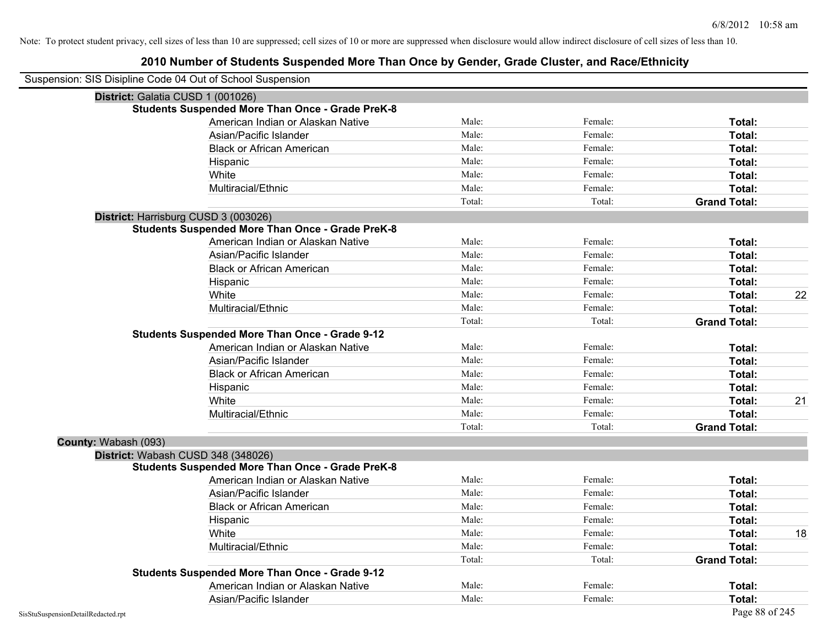| Suspension: SIS Disipline Code 04 Out of School Suspension |                                                         |        |         |                     |    |
|------------------------------------------------------------|---------------------------------------------------------|--------|---------|---------------------|----|
|                                                            | District: Galatia CUSD 1 (001026)                       |        |         |                     |    |
|                                                            | <b>Students Suspended More Than Once - Grade PreK-8</b> |        |         |                     |    |
|                                                            | American Indian or Alaskan Native                       | Male:  | Female: | Total:              |    |
|                                                            | Asian/Pacific Islander                                  | Male:  | Female: | Total:              |    |
|                                                            | <b>Black or African American</b>                        | Male:  | Female: | Total:              |    |
|                                                            | Hispanic                                                | Male:  | Female: | Total:              |    |
|                                                            | White                                                   | Male:  | Female: | Total:              |    |
|                                                            | Multiracial/Ethnic                                      | Male:  | Female: | Total:              |    |
|                                                            |                                                         | Total: | Total:  | <b>Grand Total:</b> |    |
|                                                            | District: Harrisburg CUSD 3 (003026)                    |        |         |                     |    |
|                                                            | <b>Students Suspended More Than Once - Grade PreK-8</b> |        |         |                     |    |
|                                                            | American Indian or Alaskan Native                       | Male:  | Female: | Total:              |    |
|                                                            | Asian/Pacific Islander                                  | Male:  | Female: | Total:              |    |
|                                                            | <b>Black or African American</b>                        | Male:  | Female: | Total:              |    |
|                                                            | Hispanic                                                | Male:  | Female: | Total:              |    |
|                                                            | White                                                   | Male:  | Female: | Total:              | 22 |
|                                                            | Multiracial/Ethnic                                      | Male:  | Female: | Total:              |    |
|                                                            |                                                         | Total: | Total:  | <b>Grand Total:</b> |    |
|                                                            | <b>Students Suspended More Than Once - Grade 9-12</b>   |        |         |                     |    |
|                                                            | American Indian or Alaskan Native                       | Male:  | Female: | Total:              |    |
|                                                            | Asian/Pacific Islander                                  | Male:  | Female: | Total:              |    |
|                                                            | <b>Black or African American</b>                        | Male:  | Female: | Total:              |    |
|                                                            | Hispanic                                                | Male:  | Female: | Total:              |    |
|                                                            | White                                                   | Male:  | Female: | Total:              | 21 |
|                                                            | Multiracial/Ethnic                                      | Male:  | Female: | Total:              |    |
|                                                            |                                                         | Total: | Total:  | <b>Grand Total:</b> |    |
| County: Wabash (093)                                       |                                                         |        |         |                     |    |
|                                                            | District: Wabash CUSD 348 (348026)                      |        |         |                     |    |
|                                                            | <b>Students Suspended More Than Once - Grade PreK-8</b> |        |         |                     |    |
|                                                            | American Indian or Alaskan Native                       | Male:  | Female: | Total:              |    |
|                                                            | Asian/Pacific Islander                                  | Male:  | Female: | Total:              |    |
|                                                            | <b>Black or African American</b>                        | Male:  | Female: | Total:              |    |
|                                                            | Hispanic                                                | Male:  | Female: | Total:              |    |
|                                                            | White                                                   | Male:  | Female: | Total:              | 18 |
|                                                            | Multiracial/Ethnic                                      | Male:  | Female: | Total:              |    |
|                                                            |                                                         | Total: | Total:  | <b>Grand Total:</b> |    |
|                                                            | <b>Students Suspended More Than Once - Grade 9-12</b>   |        |         |                     |    |
|                                                            | American Indian or Alaskan Native                       | Male:  | Female: | Total:              |    |
|                                                            | Asian/Pacific Islander                                  | Male:  | Female: | Total:              |    |
| SisStuSuspensionDetailRedacted.rpt                         |                                                         |        |         | Page 88 of 245      |    |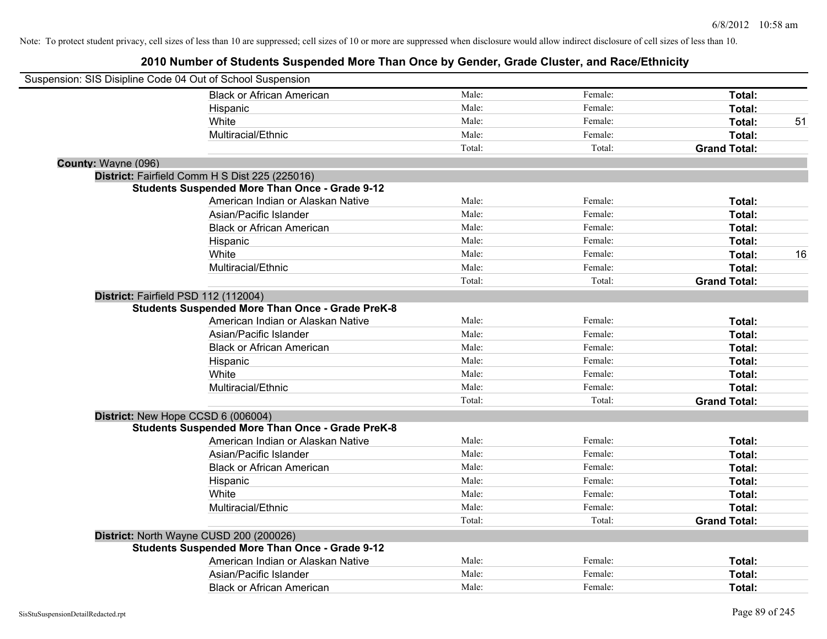| Suspension: SIS Disipline Code 04 Out of School Suspension |                                                         |        |         |                     |    |
|------------------------------------------------------------|---------------------------------------------------------|--------|---------|---------------------|----|
|                                                            | <b>Black or African American</b>                        | Male:  | Female: | Total:              |    |
|                                                            | Hispanic                                                | Male:  | Female: | Total:              |    |
|                                                            | White                                                   | Male:  | Female: | Total:              | 51 |
|                                                            | Multiracial/Ethnic                                      | Male:  | Female: | Total:              |    |
|                                                            |                                                         | Total: | Total:  | <b>Grand Total:</b> |    |
| County: Wayne (096)                                        |                                                         |        |         |                     |    |
|                                                            | District: Fairfield Comm H S Dist 225 (225016)          |        |         |                     |    |
|                                                            | <b>Students Suspended More Than Once - Grade 9-12</b>   |        |         |                     |    |
|                                                            | American Indian or Alaskan Native                       | Male:  | Female: | Total:              |    |
|                                                            | Asian/Pacific Islander                                  | Male:  | Female: | Total:              |    |
|                                                            | <b>Black or African American</b>                        | Male:  | Female: | Total:              |    |
|                                                            | Hispanic                                                | Male:  | Female: | Total:              |    |
|                                                            | White                                                   | Male:  | Female: | Total:              | 16 |
|                                                            | Multiracial/Ethnic                                      | Male:  | Female: | Total:              |    |
|                                                            |                                                         | Total: | Total:  | <b>Grand Total:</b> |    |
| District: Fairfield PSD 112 (112004)                       |                                                         |        |         |                     |    |
|                                                            | <b>Students Suspended More Than Once - Grade PreK-8</b> |        |         |                     |    |
|                                                            | American Indian or Alaskan Native                       | Male:  | Female: | Total:              |    |
|                                                            | Asian/Pacific Islander                                  | Male:  | Female: | Total:              |    |
|                                                            | <b>Black or African American</b>                        | Male:  | Female: | Total:              |    |
|                                                            | Hispanic                                                | Male:  | Female: | Total:              |    |
|                                                            | White                                                   | Male:  | Female: | Total:              |    |
|                                                            | Multiracial/Ethnic                                      | Male:  | Female: | Total:              |    |
|                                                            |                                                         | Total: | Total:  | <b>Grand Total:</b> |    |
| District: New Hope CCSD 6 (006004)                         |                                                         |        |         |                     |    |
|                                                            | <b>Students Suspended More Than Once - Grade PreK-8</b> |        |         |                     |    |
|                                                            | American Indian or Alaskan Native                       | Male:  | Female: | Total:              |    |
|                                                            | Asian/Pacific Islander                                  | Male:  | Female: | Total:              |    |
|                                                            | <b>Black or African American</b>                        | Male:  | Female: | Total:              |    |
|                                                            | Hispanic                                                | Male:  | Female: | Total:              |    |
|                                                            | White                                                   | Male:  | Female: | Total:              |    |
|                                                            | Multiracial/Ethnic                                      | Male:  | Female: | Total:              |    |
|                                                            |                                                         | Total: | Total:  | <b>Grand Total:</b> |    |
|                                                            | District: North Wayne CUSD 200 (200026)                 |        |         |                     |    |
|                                                            | <b>Students Suspended More Than Once - Grade 9-12</b>   |        |         |                     |    |
|                                                            | American Indian or Alaskan Native                       | Male:  | Female: | Total:              |    |
|                                                            | Asian/Pacific Islander                                  | Male:  | Female: | Total:              |    |
|                                                            | <b>Black or African American</b>                        | Male:  | Female: | Total:              |    |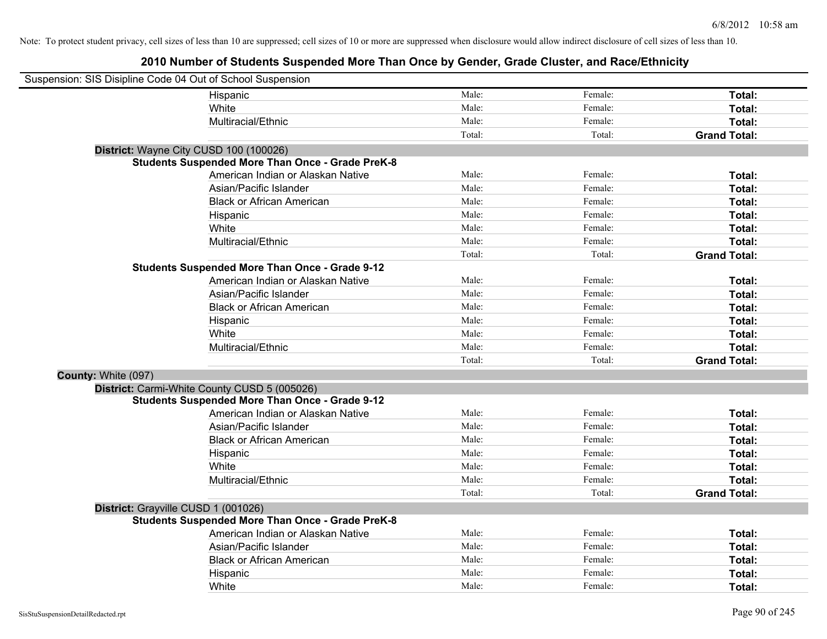| Suspension: SIS Disipline Code 04 Out of School Suspension |                                                         |        |         |                     |
|------------------------------------------------------------|---------------------------------------------------------|--------|---------|---------------------|
|                                                            | Hispanic                                                | Male:  | Female: | Total:              |
|                                                            | White                                                   | Male:  | Female: | Total:              |
|                                                            | Multiracial/Ethnic                                      | Male:  | Female: | Total:              |
|                                                            |                                                         | Total: | Total:  | <b>Grand Total:</b> |
| District: Wayne City CUSD 100 (100026)                     |                                                         |        |         |                     |
|                                                            | <b>Students Suspended More Than Once - Grade PreK-8</b> |        |         |                     |
|                                                            | American Indian or Alaskan Native                       | Male:  | Female: | Total:              |
|                                                            | Asian/Pacific Islander                                  | Male:  | Female: | Total:              |
|                                                            | <b>Black or African American</b>                        | Male:  | Female: | Total:              |
|                                                            | Hispanic                                                | Male:  | Female: | Total:              |
|                                                            | White                                                   | Male:  | Female: | Total:              |
|                                                            | Multiracial/Ethnic                                      | Male:  | Female: | Total:              |
|                                                            |                                                         | Total: | Total:  | <b>Grand Total:</b> |
|                                                            | <b>Students Suspended More Than Once - Grade 9-12</b>   |        |         |                     |
|                                                            | American Indian or Alaskan Native                       | Male:  | Female: | Total:              |
|                                                            | Asian/Pacific Islander                                  | Male:  | Female: | Total:              |
|                                                            | <b>Black or African American</b>                        | Male:  | Female: | Total:              |
|                                                            | Hispanic                                                | Male:  | Female: | Total:              |
|                                                            | White                                                   | Male:  | Female: | Total:              |
|                                                            | Multiracial/Ethnic                                      | Male:  | Female: | Total:              |
|                                                            |                                                         | Total: | Total:  | <b>Grand Total:</b> |
| County: White (097)                                        |                                                         |        |         |                     |
|                                                            | District: Carmi-White County CUSD 5 (005026)            |        |         |                     |
|                                                            | <b>Students Suspended More Than Once - Grade 9-12</b>   |        |         |                     |
|                                                            | American Indian or Alaskan Native                       | Male:  | Female: | Total:              |
|                                                            | Asian/Pacific Islander                                  | Male:  | Female: | Total:              |
|                                                            | <b>Black or African American</b>                        | Male:  | Female: | Total:              |
|                                                            | Hispanic                                                | Male:  | Female: | Total:              |
|                                                            | White                                                   | Male:  | Female: | Total:              |
|                                                            | Multiracial/Ethnic                                      | Male:  | Female: | Total:              |
|                                                            |                                                         | Total: | Total:  | <b>Grand Total:</b> |
| District: Grayville CUSD 1 (001026)                        |                                                         |        |         |                     |
|                                                            | <b>Students Suspended More Than Once - Grade PreK-8</b> |        |         |                     |
|                                                            | American Indian or Alaskan Native                       | Male:  | Female: | Total:              |
|                                                            | Asian/Pacific Islander                                  | Male:  | Female: | Total:              |
|                                                            | <b>Black or African American</b>                        | Male:  | Female: | Total:              |
|                                                            | Hispanic                                                | Male:  | Female: | Total:              |
|                                                            | White                                                   | Male:  | Female: | Total:              |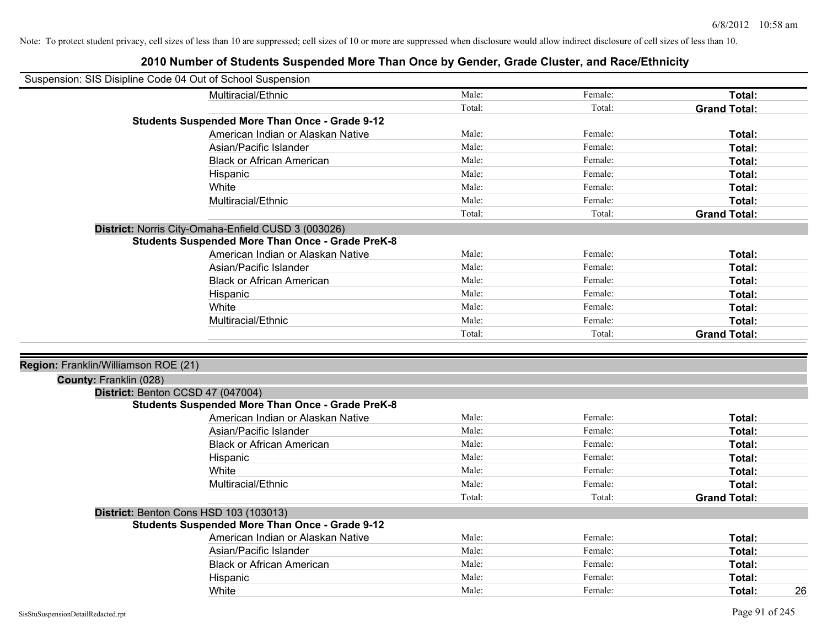| Suspension: SIS Disipline Code 04 Out of School Suspension |                                                         |        |         |                     |
|------------------------------------------------------------|---------------------------------------------------------|--------|---------|---------------------|
|                                                            | Multiracial/Ethnic                                      | Male:  | Female: | Total:              |
|                                                            |                                                         | Total: | Total:  | <b>Grand Total:</b> |
|                                                            | <b>Students Suspended More Than Once - Grade 9-12</b>   |        |         |                     |
|                                                            | American Indian or Alaskan Native                       | Male:  | Female: | Total:              |
|                                                            | Asian/Pacific Islander                                  | Male:  | Female: | Total:              |
|                                                            | <b>Black or African American</b>                        | Male:  | Female: | Total:              |
|                                                            | Hispanic                                                | Male:  | Female: | Total:              |
|                                                            | White                                                   | Male:  | Female: | Total:              |
|                                                            | Multiracial/Ethnic                                      | Male:  | Female: | Total:              |
|                                                            |                                                         | Total: | Total:  | <b>Grand Total:</b> |
|                                                            | District: Norris City-Omaha-Enfield CUSD 3 (003026)     |        |         |                     |
|                                                            | <b>Students Suspended More Than Once - Grade PreK-8</b> |        |         |                     |
|                                                            | American Indian or Alaskan Native                       | Male:  | Female: | Total:              |
|                                                            | Asian/Pacific Islander                                  | Male:  | Female: | Total:              |
|                                                            | <b>Black or African American</b>                        | Male:  | Female: | Total:              |
|                                                            | Hispanic                                                | Male:  | Female: | Total:              |
|                                                            | White                                                   | Male:  | Female: | Total:              |
|                                                            | Multiracial/Ethnic                                      | Male:  | Female: | Total:              |
|                                                            |                                                         | Total: | Total:  | <b>Grand Total:</b> |
|                                                            |                                                         |        |         |                     |
| Region: Franklin/Williamson ROE (21)                       |                                                         |        |         |                     |
| County: Franklin (028)                                     |                                                         |        |         |                     |
|                                                            | District: Benton CCSD 47 (047004)                       |        |         |                     |
|                                                            | <b>Students Suspended More Than Once - Grade PreK-8</b> |        |         |                     |
|                                                            | American Indian or Alaskan Native                       | Male:  | Female: | Total:              |
|                                                            | Asian/Pacific Islander                                  | Male:  | Female: | Total:              |
|                                                            | <b>Black or African American</b>                        | Male:  | Female: | Total:              |
|                                                            | Hispanic                                                | Male:  | Female: | Total:              |
|                                                            | White                                                   | Male:  | Female: | Total:              |
|                                                            | Multiracial/Ethnic                                      | Male:  | Female: | Total:              |
|                                                            |                                                         | Total: | Total:  | <b>Grand Total:</b> |
|                                                            | District: Benton Cons HSD 103 (103013)                  |        |         |                     |
|                                                            | <b>Students Suspended More Than Once - Grade 9-12</b>   |        |         |                     |
|                                                            | American Indian or Alaskan Native                       | Male:  | Female: | Total:              |
|                                                            | Asian/Pacific Islander                                  | Male:  | Female: | Total:              |
|                                                            | <b>Black or African American</b>                        | Male:  | Female: | Total:              |
|                                                            | Hispanic                                                | Male:  | Female: | <b>Total:</b>       |
|                                                            | White                                                   | Male:  | Female: | 26<br>Total:        |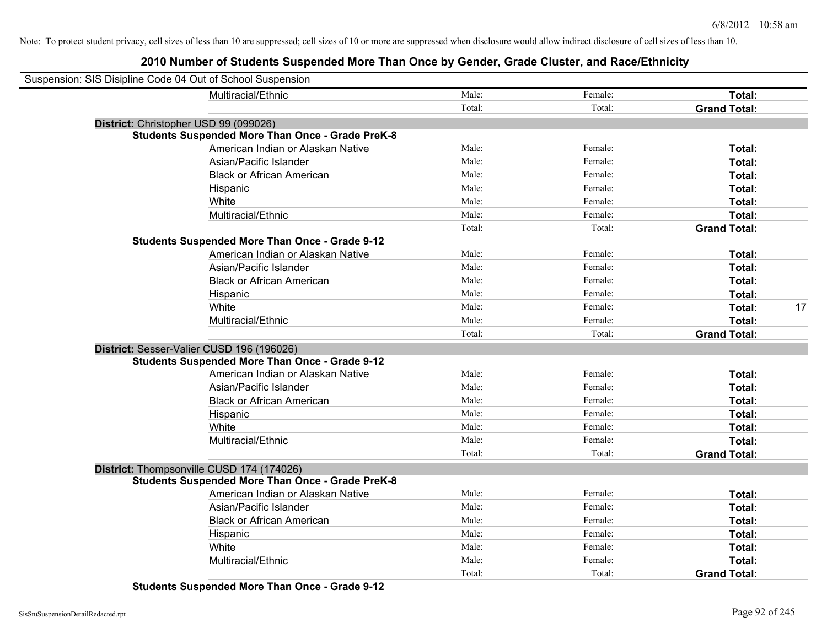### **2010 Number of Students Suspended More Than Once by Gender, Grade Cluster, and Race/Ethnicity**

| Suspension: SIS Disipline Code 04 Out of School Suspension |                                                         |        |         |                     |    |
|------------------------------------------------------------|---------------------------------------------------------|--------|---------|---------------------|----|
|                                                            | Multiracial/Ethnic                                      | Male:  | Female: | Total:              |    |
|                                                            |                                                         | Total: | Total:  | <b>Grand Total:</b> |    |
|                                                            | District: Christopher USD 99 (099026)                   |        |         |                     |    |
|                                                            | <b>Students Suspended More Than Once - Grade PreK-8</b> |        |         |                     |    |
|                                                            | American Indian or Alaskan Native                       | Male:  | Female: | Total:              |    |
|                                                            | Asian/Pacific Islander                                  | Male:  | Female: | Total:              |    |
|                                                            | <b>Black or African American</b>                        | Male:  | Female: | Total:              |    |
|                                                            | Hispanic                                                | Male:  | Female: | Total:              |    |
|                                                            | White                                                   | Male:  | Female: | Total:              |    |
|                                                            | Multiracial/Ethnic                                      | Male:  | Female: | Total:              |    |
|                                                            |                                                         | Total: | Total:  | <b>Grand Total:</b> |    |
|                                                            | <b>Students Suspended More Than Once - Grade 9-12</b>   |        |         |                     |    |
|                                                            | American Indian or Alaskan Native                       | Male:  | Female: | Total:              |    |
|                                                            | Asian/Pacific Islander                                  | Male:  | Female: | Total:              |    |
|                                                            | <b>Black or African American</b>                        | Male:  | Female: | Total:              |    |
|                                                            | Hispanic                                                | Male:  | Female: | Total:              |    |
|                                                            | White                                                   | Male:  | Female: | Total:              | 17 |
|                                                            | Multiracial/Ethnic                                      | Male:  | Female: | Total:              |    |
|                                                            |                                                         | Total: | Total:  | <b>Grand Total:</b> |    |
|                                                            | District: Sesser-Valier CUSD 196 (196026)               |        |         |                     |    |
|                                                            | <b>Students Suspended More Than Once - Grade 9-12</b>   |        |         |                     |    |
|                                                            | American Indian or Alaskan Native                       | Male:  | Female: | Total:              |    |
|                                                            | Asian/Pacific Islander                                  | Male:  | Female: | Total:              |    |
|                                                            | <b>Black or African American</b>                        | Male:  | Female: | Total:              |    |
|                                                            | Hispanic                                                | Male:  | Female: | Total:              |    |
|                                                            | White                                                   | Male:  | Female: | Total:              |    |
|                                                            | Multiracial/Ethnic                                      | Male:  | Female: | Total:              |    |
|                                                            |                                                         | Total: | Total:  | <b>Grand Total:</b> |    |
|                                                            | District: Thompsonville CUSD 174 (174026)               |        |         |                     |    |
|                                                            | <b>Students Suspended More Than Once - Grade PreK-8</b> |        |         |                     |    |
|                                                            | American Indian or Alaskan Native                       | Male:  | Female: | Total:              |    |
|                                                            | Asian/Pacific Islander                                  | Male:  | Female: | Total:              |    |
|                                                            | <b>Black or African American</b>                        | Male:  | Female: | Total:              |    |
|                                                            | Hispanic                                                | Male:  | Female: | Total:              |    |
|                                                            | White                                                   | Male:  | Female: | Total:              |    |
|                                                            | Multiracial/Ethnic                                      | Male:  | Female: | Total:              |    |
|                                                            |                                                         | Total: | Total:  | <b>Grand Total:</b> |    |

**Students Suspended More Than Once - Grade 9-12**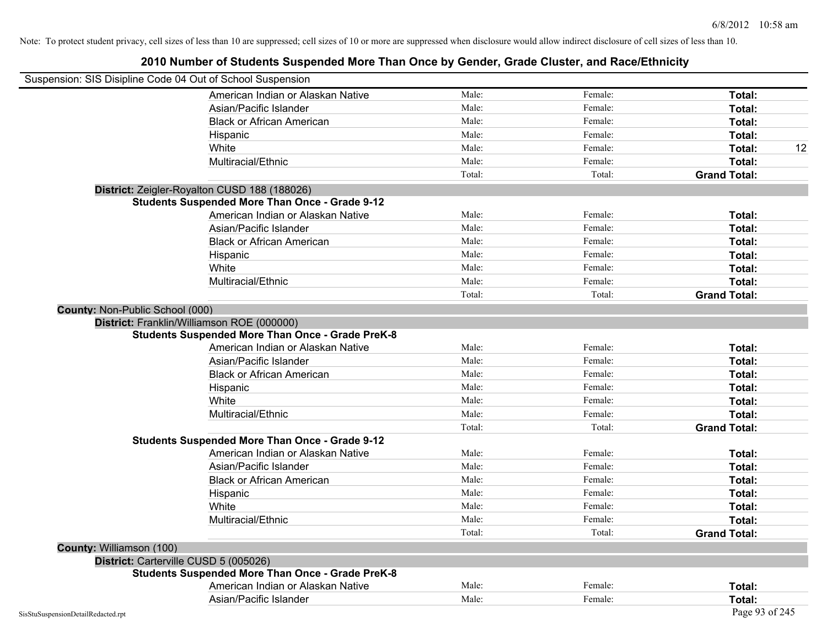Note: To protect student privacy, cell sizes of less than 10 are suppressed; cell sizes of 10 or more are suppressed when disclosure would allow indirect disclosure of cell sizes of less than 10.

| Suspension: SIS Disipline Code 04 Out of School Suspension |                                                         |        |         |                     |  |
|------------------------------------------------------------|---------------------------------------------------------|--------|---------|---------------------|--|
|                                                            | American Indian or Alaskan Native                       | Male:  | Female: | Total:              |  |
|                                                            | Asian/Pacific Islander                                  | Male:  | Female: | Total:              |  |
|                                                            | <b>Black or African American</b>                        | Male:  | Female: | Total:              |  |
|                                                            | Hispanic                                                | Male:  | Female: | Total:              |  |
|                                                            | White                                                   | Male:  | Female: | Total:              |  |
|                                                            | Multiracial/Ethnic                                      | Male:  | Female: | Total:              |  |
|                                                            |                                                         | Total: | Total:  | <b>Grand Total:</b> |  |
|                                                            | District: Zeigler-Royalton CUSD 188 (188026)            |        |         |                     |  |
|                                                            | <b>Students Suspended More Than Once - Grade 9-12</b>   |        |         |                     |  |
|                                                            | American Indian or Alaskan Native                       | Male:  | Female: | Total:              |  |
|                                                            | Asian/Pacific Islander                                  | Male:  | Female: | Total:              |  |
|                                                            | <b>Black or African American</b>                        | Male:  | Female: | Total:              |  |
|                                                            | Hispanic                                                | Male:  | Female: | Total:              |  |
|                                                            | White                                                   | Male:  | Female: | Total:              |  |
|                                                            | Multiracial/Ethnic                                      | Male:  | Female: | Total:              |  |
|                                                            |                                                         | Total: | Total:  | <b>Grand Total:</b> |  |
| County: Non-Public School (000)                            |                                                         |        |         |                     |  |
|                                                            | District: Franklin/Williamson ROE (000000)              |        |         |                     |  |
|                                                            | <b>Students Suspended More Than Once - Grade PreK-8</b> |        |         |                     |  |
|                                                            | American Indian or Alaskan Native                       | Male:  | Female: | Total:              |  |
|                                                            | Asian/Pacific Islander                                  | Male:  | Female: | Total:              |  |
|                                                            | <b>Black or African American</b>                        | Male:  | Female: | Total:              |  |
|                                                            | Hispanic                                                | Male:  | Female: | Total:              |  |
|                                                            | White                                                   | Male:  | Female: | Total:              |  |
|                                                            | Multiracial/Ethnic                                      | Male:  | Female: | Total:              |  |
|                                                            |                                                         | Total: | Total:  | <b>Grand Total:</b> |  |
|                                                            | <b>Students Suspended More Than Once - Grade 9-12</b>   |        |         |                     |  |
|                                                            | American Indian or Alaskan Native                       | Male:  | Female: | Total:              |  |
|                                                            | Asian/Pacific Islander                                  | Male:  | Female: | Total:              |  |
|                                                            | <b>Black or African American</b>                        | Male:  | Female: | Total:              |  |
|                                                            | Hispanic                                                | Male:  | Female: | Total:              |  |
|                                                            | White                                                   | Male:  | Female: | Total:              |  |
|                                                            | Multiracial/Ethnic                                      | Male:  | Female: | Total:              |  |
|                                                            |                                                         | Total: | Total:  | <b>Grand Total:</b> |  |
| County: Williamson (100)                                   |                                                         |        |         |                     |  |
| District: Carterville CUSD 5 (005026)                      |                                                         |        |         |                     |  |
|                                                            | <b>Students Suspended More Than Once - Grade PreK-8</b> |        |         |                     |  |
|                                                            | American Indian or Alaskan Native                       | Male:  | Female: | Total:              |  |

Asian/Pacific Islander **Total:** Male: Female: Female: **Total:** Total: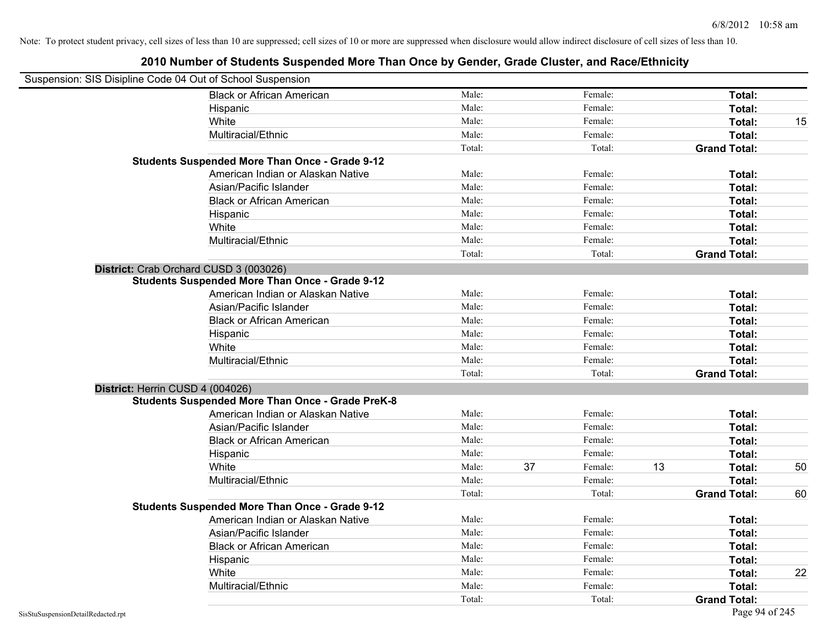| Suspension: SIS Disipline Code 04 Out of School Suspension |                                                         |        |    |         |    |                     |    |
|------------------------------------------------------------|---------------------------------------------------------|--------|----|---------|----|---------------------|----|
|                                                            | <b>Black or African American</b>                        | Male:  |    | Female: |    | Total:              |    |
|                                                            | Hispanic                                                | Male:  |    | Female: |    | Total:              |    |
|                                                            | White                                                   | Male:  |    | Female: |    | Total:              | 15 |
|                                                            | Multiracial/Ethnic                                      | Male:  |    | Female: |    | Total:              |    |
|                                                            |                                                         | Total: |    | Total:  |    | <b>Grand Total:</b> |    |
|                                                            | <b>Students Suspended More Than Once - Grade 9-12</b>   |        |    |         |    |                     |    |
|                                                            | American Indian or Alaskan Native                       | Male:  |    | Female: |    | Total:              |    |
|                                                            | Asian/Pacific Islander                                  | Male:  |    | Female: |    | Total:              |    |
|                                                            | <b>Black or African American</b>                        | Male:  |    | Female: |    | Total:              |    |
|                                                            | Hispanic                                                | Male:  |    | Female: |    | Total:              |    |
|                                                            | White                                                   | Male:  |    | Female: |    | Total:              |    |
|                                                            | Multiracial/Ethnic                                      | Male:  |    | Female: |    | Total:              |    |
|                                                            |                                                         | Total: |    | Total:  |    | <b>Grand Total:</b> |    |
| District: Crab Orchard CUSD 3 (003026)                     |                                                         |        |    |         |    |                     |    |
|                                                            | <b>Students Suspended More Than Once - Grade 9-12</b>   |        |    |         |    |                     |    |
|                                                            | American Indian or Alaskan Native                       | Male:  |    | Female: |    | Total:              |    |
|                                                            | Asian/Pacific Islander                                  | Male:  |    | Female: |    | Total:              |    |
|                                                            | <b>Black or African American</b>                        | Male:  |    | Female: |    | Total:              |    |
|                                                            | Hispanic                                                | Male:  |    | Female: |    | Total:              |    |
|                                                            | White                                                   | Male:  |    | Female: |    | Total:              |    |
|                                                            | Multiracial/Ethnic                                      | Male:  |    | Female: |    | Total:              |    |
|                                                            |                                                         | Total: |    | Total:  |    | <b>Grand Total:</b> |    |
| District: Herrin CUSD 4 (004026)                           |                                                         |        |    |         |    |                     |    |
|                                                            | <b>Students Suspended More Than Once - Grade PreK-8</b> |        |    |         |    |                     |    |
|                                                            | American Indian or Alaskan Native                       | Male:  |    | Female: |    | Total:              |    |
|                                                            | Asian/Pacific Islander                                  | Male:  |    | Female: |    | Total:              |    |
|                                                            | <b>Black or African American</b>                        | Male:  |    | Female: |    | Total:              |    |
|                                                            | Hispanic                                                | Male:  |    | Female: |    | Total:              |    |
|                                                            | White                                                   | Male:  | 37 | Female: | 13 | Total:              | 50 |
|                                                            | Multiracial/Ethnic                                      | Male:  |    | Female: |    | Total:              |    |
|                                                            |                                                         | Total: |    | Total:  |    | <b>Grand Total:</b> | 60 |
|                                                            | <b>Students Suspended More Than Once - Grade 9-12</b>   |        |    |         |    |                     |    |
|                                                            | American Indian or Alaskan Native                       | Male:  |    | Female: |    | Total:              |    |
|                                                            | Asian/Pacific Islander                                  | Male:  |    | Female: |    | Total:              |    |
|                                                            | <b>Black or African American</b>                        | Male:  |    | Female: |    | Total:              |    |
|                                                            | Hispanic                                                | Male:  |    | Female: |    | Total:              |    |
|                                                            | White                                                   | Male:  |    | Female: |    | Total:              | 22 |
|                                                            | Multiracial/Ethnic                                      | Male:  |    | Female: |    | Total:              |    |
|                                                            |                                                         | Total: |    | Total:  |    | <b>Grand Total:</b> |    |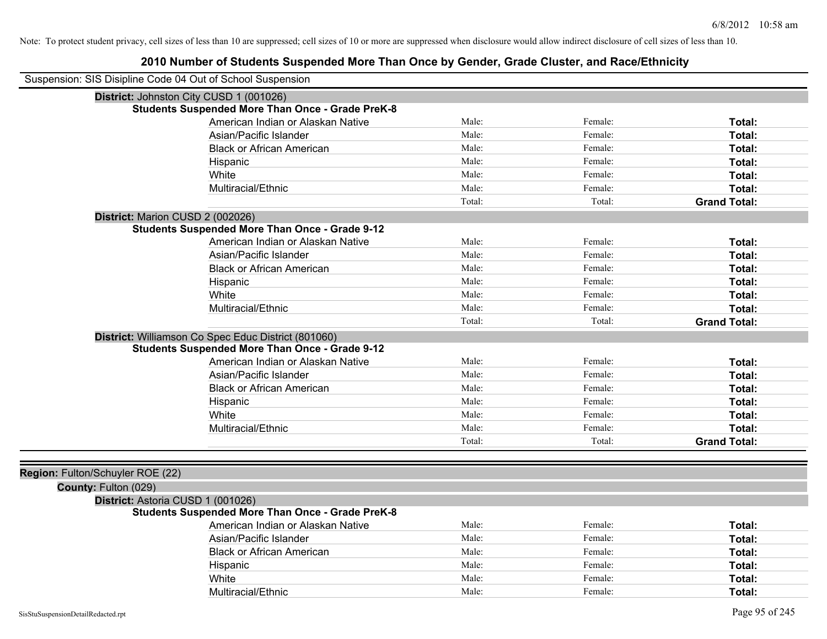| Suspension: SIS Disipline Code 04 Out of School Suspension |                                                         |        |         |                     |
|------------------------------------------------------------|---------------------------------------------------------|--------|---------|---------------------|
| District: Johnston City CUSD 1 (001026)                    |                                                         |        |         |                     |
|                                                            | <b>Students Suspended More Than Once - Grade PreK-8</b> |        |         |                     |
|                                                            | American Indian or Alaskan Native                       | Male:  | Female: | Total:              |
|                                                            | Asian/Pacific Islander                                  | Male:  | Female: | Total:              |
|                                                            | <b>Black or African American</b>                        | Male:  | Female: | Total:              |
|                                                            | Hispanic                                                | Male:  | Female: | Total:              |
|                                                            | White                                                   | Male:  | Female: | Total:              |
|                                                            | Multiracial/Ethnic                                      | Male:  | Female: | Total:              |
|                                                            |                                                         | Total: | Total:  | <b>Grand Total:</b> |
| District: Marion CUSD 2 (002026)                           |                                                         |        |         |                     |
|                                                            | <b>Students Suspended More Than Once - Grade 9-12</b>   |        |         |                     |
|                                                            | American Indian or Alaskan Native                       | Male:  | Female: | Total:              |
|                                                            | Asian/Pacific Islander                                  | Male:  | Female: | Total:              |
|                                                            | <b>Black or African American</b>                        | Male:  | Female: | Total:              |
|                                                            | Hispanic                                                | Male:  | Female: | Total:              |
|                                                            | White                                                   | Male:  | Female: | Total:              |
|                                                            | Multiracial/Ethnic                                      | Male:  | Female: | Total:              |
|                                                            |                                                         | Total: | Total:  | <b>Grand Total:</b> |
|                                                            | District: Williamson Co Spec Educ District (801060)     |        |         |                     |
|                                                            | <b>Students Suspended More Than Once - Grade 9-12</b>   |        |         |                     |
|                                                            | American Indian or Alaskan Native                       | Male:  | Female: | Total:              |
|                                                            | Asian/Pacific Islander                                  | Male:  | Female: | Total:              |
|                                                            | <b>Black or African American</b>                        | Male:  | Female: | Total:              |
|                                                            | Hispanic                                                | Male:  | Female: | Total:              |
|                                                            | White                                                   | Male:  | Female: | Total:              |
|                                                            | Multiracial/Ethnic                                      | Male:  | Female: | Total:              |
|                                                            |                                                         | Total: | Total:  | <b>Grand Total:</b> |
|                                                            |                                                         |        |         |                     |
| Region: Fulton/Schuyler ROE (22)                           |                                                         |        |         |                     |
| County: Fulton (029)                                       |                                                         |        |         |                     |
| District: Astoria CUSD 1 (001026)                          |                                                         |        |         |                     |
|                                                            | <b>Students Suspended More Than Once - Grade PreK-8</b> |        |         |                     |
|                                                            | American Indian or Alaskan Native                       | Male:  | Female: | Total:              |
|                                                            | Asian/Pacific Islander                                  | Male:  | Female: | Total:              |
|                                                            | <b>Black or African American</b>                        | Male:  | Female: | Total:              |
|                                                            | Hispanic                                                | Male:  | Female: | Total:              |
|                                                            | White                                                   | Male:  | Female: | Total:              |
|                                                            | Multiracial/Ethnic                                      | Male:  | Female: | Total:              |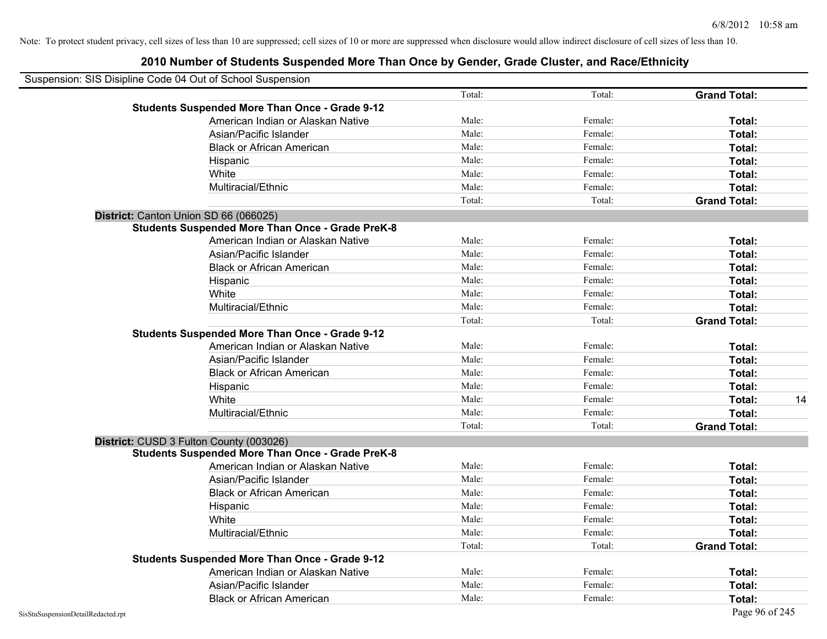| Suspension: SIS Disipline Code 04 Out of School Suspension |        |         |                     |    |
|------------------------------------------------------------|--------|---------|---------------------|----|
|                                                            | Total: | Total:  | <b>Grand Total:</b> |    |
| <b>Students Suspended More Than Once - Grade 9-12</b>      |        |         |                     |    |
| American Indian or Alaskan Native                          | Male:  | Female: | Total:              |    |
| Asian/Pacific Islander                                     | Male:  | Female: | Total:              |    |
| <b>Black or African American</b>                           | Male:  | Female: | Total:              |    |
| Hispanic                                                   | Male:  | Female: | Total:              |    |
| White                                                      | Male:  | Female: | Total:              |    |
| Multiracial/Ethnic                                         | Male:  | Female: | Total:              |    |
|                                                            | Total: | Total:  | <b>Grand Total:</b> |    |
| District: Canton Union SD 66 (066025)                      |        |         |                     |    |
| <b>Students Suspended More Than Once - Grade PreK-8</b>    |        |         |                     |    |
| American Indian or Alaskan Native                          | Male:  | Female: | Total:              |    |
| Asian/Pacific Islander                                     | Male:  | Female: | Total:              |    |
| <b>Black or African American</b>                           | Male:  | Female: | Total:              |    |
| Hispanic                                                   | Male:  | Female: | Total:              |    |
| White                                                      | Male:  | Female: | Total:              |    |
| Multiracial/Ethnic                                         | Male:  | Female: | Total:              |    |
|                                                            | Total: | Total:  | <b>Grand Total:</b> |    |
| <b>Students Suspended More Than Once - Grade 9-12</b>      |        |         |                     |    |
| American Indian or Alaskan Native                          | Male:  | Female: | Total:              |    |
| Asian/Pacific Islander                                     | Male:  | Female: | Total:              |    |
| <b>Black or African American</b>                           | Male:  | Female: | Total:              |    |
| Hispanic                                                   | Male:  | Female: | Total:              |    |
| White                                                      | Male:  | Female: | Total:              | 14 |
| Multiracial/Ethnic                                         | Male:  | Female: | Total:              |    |
|                                                            | Total: | Total:  | <b>Grand Total:</b> |    |
| District: CUSD 3 Fulton County (003026)                    |        |         |                     |    |
| <b>Students Suspended More Than Once - Grade PreK-8</b>    |        |         |                     |    |
| American Indian or Alaskan Native                          | Male:  | Female: | Total:              |    |
| Asian/Pacific Islander                                     | Male:  | Female: | Total:              |    |
| <b>Black or African American</b>                           | Male:  | Female: | Total:              |    |
| Hispanic                                                   | Male:  | Female: | Total:              |    |
| White                                                      | Male:  | Female: | Total:              |    |
| Multiracial/Ethnic                                         | Male:  | Female: | Total:              |    |
|                                                            | Total: | Total:  | <b>Grand Total:</b> |    |
| <b>Students Suspended More Than Once - Grade 9-12</b>      |        |         |                     |    |
| American Indian or Alaskan Native                          | Male:  | Female: | Total:              |    |
| Asian/Pacific Islander                                     | Male:  | Female: | Total:              |    |
| <b>Black or African American</b>                           | Male:  | Female: | Total:              |    |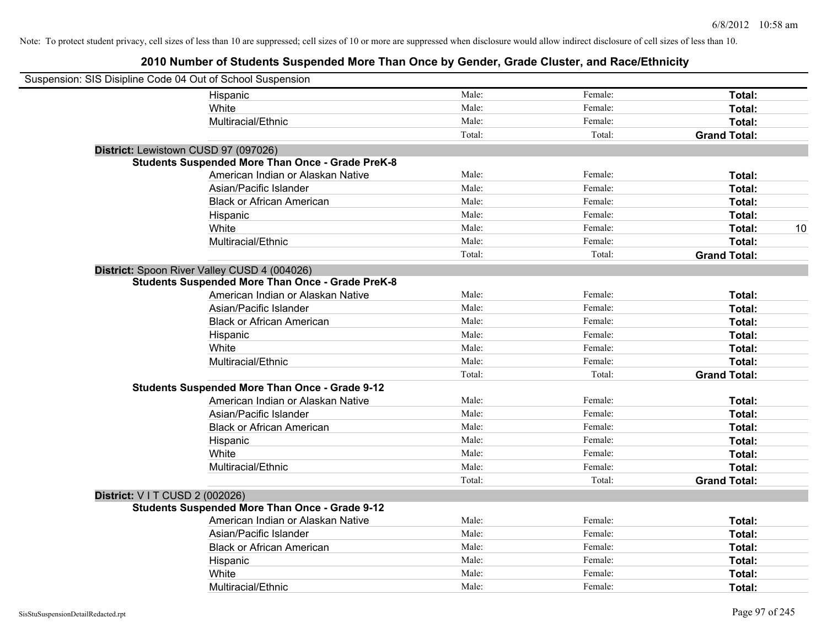| Suspension: SIS Disipline Code 04 Out of School Suspension |                                                         |        |         |                     |
|------------------------------------------------------------|---------------------------------------------------------|--------|---------|---------------------|
|                                                            | Hispanic                                                | Male:  | Female: | Total:              |
|                                                            | White                                                   | Male:  | Female: | Total:              |
|                                                            | Multiracial/Ethnic                                      | Male:  | Female: | Total:              |
|                                                            |                                                         | Total: | Total:  | <b>Grand Total:</b> |
| District: Lewistown CUSD 97 (097026)                       |                                                         |        |         |                     |
|                                                            | <b>Students Suspended More Than Once - Grade PreK-8</b> |        |         |                     |
|                                                            | American Indian or Alaskan Native                       | Male:  | Female: | Total:              |
|                                                            | Asian/Pacific Islander                                  | Male:  | Female: | Total:              |
|                                                            | <b>Black or African American</b>                        | Male:  | Female: | Total:              |
|                                                            | Hispanic                                                | Male:  | Female: | Total:              |
|                                                            | White                                                   | Male:  | Female: | 10<br>Total:        |
|                                                            | Multiracial/Ethnic                                      | Male:  | Female: | Total:              |
|                                                            |                                                         | Total: | Total:  | <b>Grand Total:</b> |
|                                                            | District: Spoon River Valley CUSD 4 (004026)            |        |         |                     |
|                                                            | <b>Students Suspended More Than Once - Grade PreK-8</b> |        |         |                     |
|                                                            | American Indian or Alaskan Native                       | Male:  | Female: | Total:              |
|                                                            | Asian/Pacific Islander                                  | Male:  | Female: | Total:              |
|                                                            | <b>Black or African American</b>                        | Male:  | Female: | Total:              |
|                                                            | Hispanic                                                | Male:  | Female: | Total:              |
|                                                            | White                                                   | Male:  | Female: | Total:              |
|                                                            | Multiracial/Ethnic                                      | Male:  | Female: | Total:              |
|                                                            |                                                         | Total: | Total:  | <b>Grand Total:</b> |
|                                                            | <b>Students Suspended More Than Once - Grade 9-12</b>   |        |         |                     |
|                                                            | American Indian or Alaskan Native                       | Male:  | Female: | Total:              |
|                                                            | Asian/Pacific Islander                                  | Male:  | Female: | Total:              |
|                                                            | <b>Black or African American</b>                        | Male:  | Female: | Total:              |
|                                                            | Hispanic                                                | Male:  | Female: | Total:              |
|                                                            | White                                                   | Male:  | Female: | Total:              |
|                                                            | Multiracial/Ethnic                                      | Male:  | Female: | Total:              |
|                                                            |                                                         | Total: | Total:  | <b>Grand Total:</b> |
| District: VIT CUSD 2 (002026)                              |                                                         |        |         |                     |
|                                                            | <b>Students Suspended More Than Once - Grade 9-12</b>   |        |         |                     |
|                                                            | American Indian or Alaskan Native                       | Male:  | Female: | Total:              |
|                                                            | Asian/Pacific Islander                                  | Male:  | Female: | Total:              |
|                                                            | <b>Black or African American</b>                        | Male:  | Female: | Total:              |
|                                                            | Hispanic                                                | Male:  | Female: | Total:              |
|                                                            | White                                                   | Male:  | Female: | Total:              |
|                                                            | Multiracial/Ethnic                                      | Male:  | Female: | Total:              |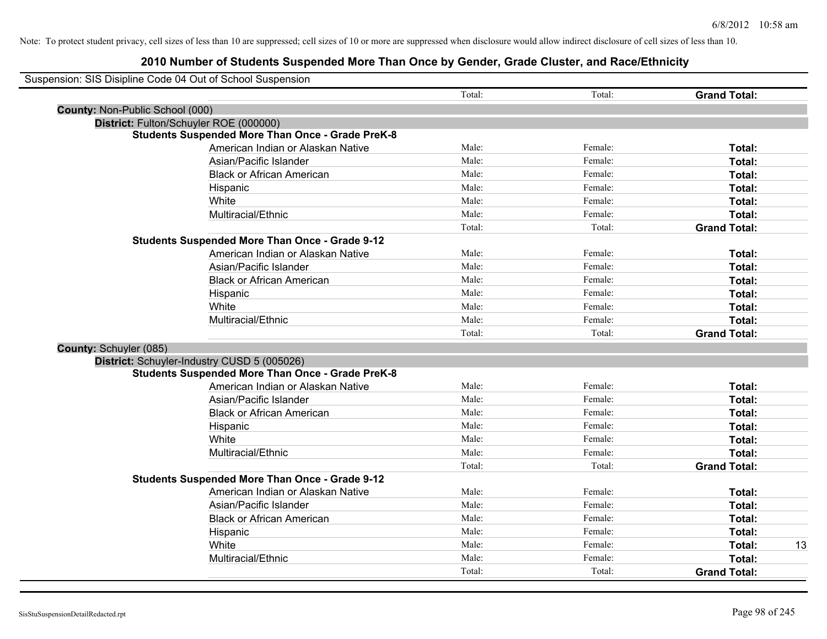| Suspension: SIS Disipline Code 04 Out of School Suspension |                                                         |        |         |                     |    |
|------------------------------------------------------------|---------------------------------------------------------|--------|---------|---------------------|----|
|                                                            |                                                         | Total: | Total:  | <b>Grand Total:</b> |    |
| <b>County: Non-Public School (000)</b>                     |                                                         |        |         |                     |    |
| District: Fulton/Schuyler ROE (000000)                     |                                                         |        |         |                     |    |
|                                                            | <b>Students Suspended More Than Once - Grade PreK-8</b> |        |         |                     |    |
|                                                            | American Indian or Alaskan Native                       | Male:  | Female: | Total:              |    |
|                                                            | Asian/Pacific Islander                                  | Male:  | Female: | Total:              |    |
|                                                            | <b>Black or African American</b>                        | Male:  | Female: | Total:              |    |
|                                                            | Hispanic                                                | Male:  | Female: | Total:              |    |
|                                                            | White                                                   | Male:  | Female: | Total:              |    |
|                                                            | Multiracial/Ethnic                                      | Male:  | Female: | Total:              |    |
|                                                            |                                                         | Total: | Total:  | <b>Grand Total:</b> |    |
|                                                            | <b>Students Suspended More Than Once - Grade 9-12</b>   |        |         |                     |    |
|                                                            | American Indian or Alaskan Native                       | Male:  | Female: | Total:              |    |
|                                                            | Asian/Pacific Islander                                  | Male:  | Female: | Total:              |    |
|                                                            | <b>Black or African American</b>                        | Male:  | Female: | Total:              |    |
|                                                            | Hispanic                                                | Male:  | Female: | Total:              |    |
|                                                            | White                                                   | Male:  | Female: | Total:              |    |
|                                                            | Multiracial/Ethnic                                      | Male:  | Female: | Total:              |    |
|                                                            |                                                         | Total: | Total:  | <b>Grand Total:</b> |    |
| County: Schuyler (085)                                     |                                                         |        |         |                     |    |
| District: Schuyler-Industry CUSD 5 (005026)                |                                                         |        |         |                     |    |
|                                                            | <b>Students Suspended More Than Once - Grade PreK-8</b> |        |         |                     |    |
|                                                            | American Indian or Alaskan Native                       | Male:  | Female: | Total:              |    |
|                                                            | Asian/Pacific Islander                                  | Male:  | Female: | Total:              |    |
|                                                            | <b>Black or African American</b>                        | Male:  | Female: | Total:              |    |
|                                                            | Hispanic                                                | Male:  | Female: | Total:              |    |
|                                                            | White                                                   | Male:  | Female: | Total:              |    |
|                                                            | Multiracial/Ethnic                                      | Male:  | Female: | Total:              |    |
|                                                            |                                                         | Total: | Total:  | <b>Grand Total:</b> |    |
|                                                            | <b>Students Suspended More Than Once - Grade 9-12</b>   |        |         |                     |    |
|                                                            | American Indian or Alaskan Native                       | Male:  | Female: | Total:              |    |
|                                                            | Asian/Pacific Islander                                  | Male:  | Female: | Total:              |    |
|                                                            | <b>Black or African American</b>                        | Male:  | Female: | Total:              |    |
|                                                            | Hispanic                                                | Male:  | Female: | Total:              |    |
|                                                            | White                                                   | Male:  | Female: | Total:              | 13 |
|                                                            | Multiracial/Ethnic                                      | Male:  | Female: | Total:              |    |
|                                                            |                                                         | Total: | Total:  | <b>Grand Total:</b> |    |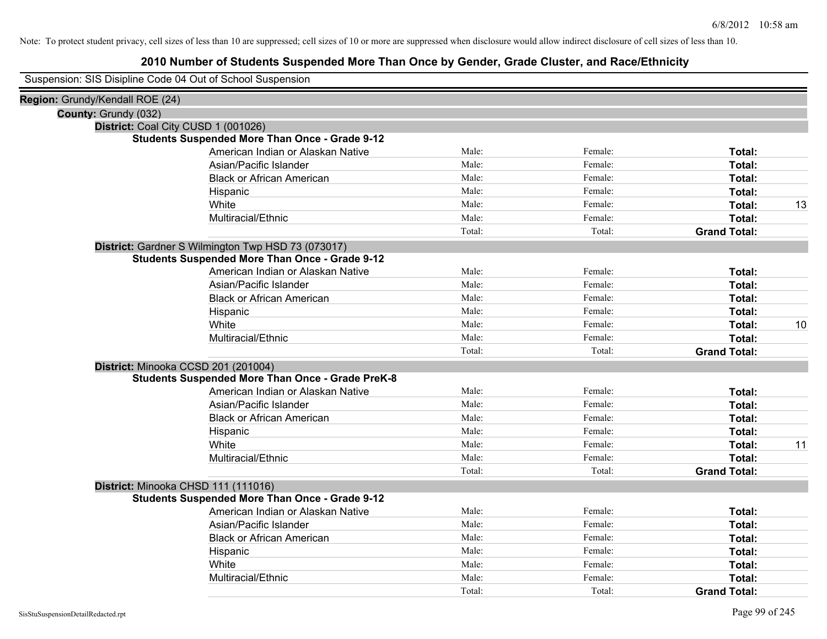|  | Suspension: SIS Disipline Code 04 Out of School Suspension |  |  |
|--|------------------------------------------------------------|--|--|
|--|------------------------------------------------------------|--|--|

| Region: Grundy/Kendall ROE (24)     |                                                         |        |         |                     |    |
|-------------------------------------|---------------------------------------------------------|--------|---------|---------------------|----|
| County: Grundy (032)                |                                                         |        |         |                     |    |
| District: Coal City CUSD 1 (001026) |                                                         |        |         |                     |    |
|                                     | <b>Students Suspended More Than Once - Grade 9-12</b>   |        |         |                     |    |
|                                     | American Indian or Alaskan Native                       | Male:  | Female: | Total:              |    |
|                                     | Asian/Pacific Islander                                  | Male:  | Female: | Total:              |    |
|                                     | <b>Black or African American</b>                        | Male:  | Female: | Total:              |    |
|                                     | Hispanic                                                | Male:  | Female: | Total:              |    |
|                                     | White                                                   | Male:  | Female: | Total:              | 13 |
|                                     | Multiracial/Ethnic                                      | Male:  | Female: | Total:              |    |
|                                     |                                                         | Total: | Total:  | <b>Grand Total:</b> |    |
|                                     | District: Gardner S Wilmington Twp HSD 73 (073017)      |        |         |                     |    |
|                                     | <b>Students Suspended More Than Once - Grade 9-12</b>   |        |         |                     |    |
|                                     | American Indian or Alaskan Native                       | Male:  | Female: | Total:              |    |
|                                     | Asian/Pacific Islander                                  | Male:  | Female: | Total:              |    |
|                                     | <b>Black or African American</b>                        | Male:  | Female: | Total:              |    |
|                                     | Hispanic                                                | Male:  | Female: | Total:              |    |
|                                     | White                                                   | Male:  | Female: | Total:              | 10 |
|                                     | Multiracial/Ethnic                                      | Male:  | Female: | Total:              |    |
|                                     |                                                         | Total: | Total:  | <b>Grand Total:</b> |    |
|                                     | District: Minooka CCSD 201 (201004)                     |        |         |                     |    |
|                                     | <b>Students Suspended More Than Once - Grade PreK-8</b> |        |         |                     |    |
|                                     | American Indian or Alaskan Native                       | Male:  | Female: | Total:              |    |
|                                     | Asian/Pacific Islander                                  | Male:  | Female: | Total:              |    |
|                                     | <b>Black or African American</b>                        | Male:  | Female: | Total:              |    |
|                                     | Hispanic                                                | Male:  | Female: | Total:              |    |
|                                     | White                                                   | Male:  | Female: | Total:              | 11 |
|                                     | Multiracial/Ethnic                                      | Male:  | Female: | Total:              |    |
|                                     |                                                         | Total: | Total:  | <b>Grand Total:</b> |    |
|                                     | District: Minooka CHSD 111 (111016)                     |        |         |                     |    |
|                                     | <b>Students Suspended More Than Once - Grade 9-12</b>   |        |         |                     |    |
|                                     | American Indian or Alaskan Native                       | Male:  | Female: | Total:              |    |
|                                     | Asian/Pacific Islander                                  | Male:  | Female: | Total:              |    |
|                                     | <b>Black or African American</b>                        | Male:  | Female: | Total:              |    |
|                                     | Hispanic                                                | Male:  | Female: | Total:              |    |
|                                     | White                                                   | Male:  | Female: | Total:              |    |
|                                     | Multiracial/Ethnic                                      | Male:  | Female: | Total:              |    |
|                                     |                                                         | Total: | Total:  | <b>Grand Total:</b> |    |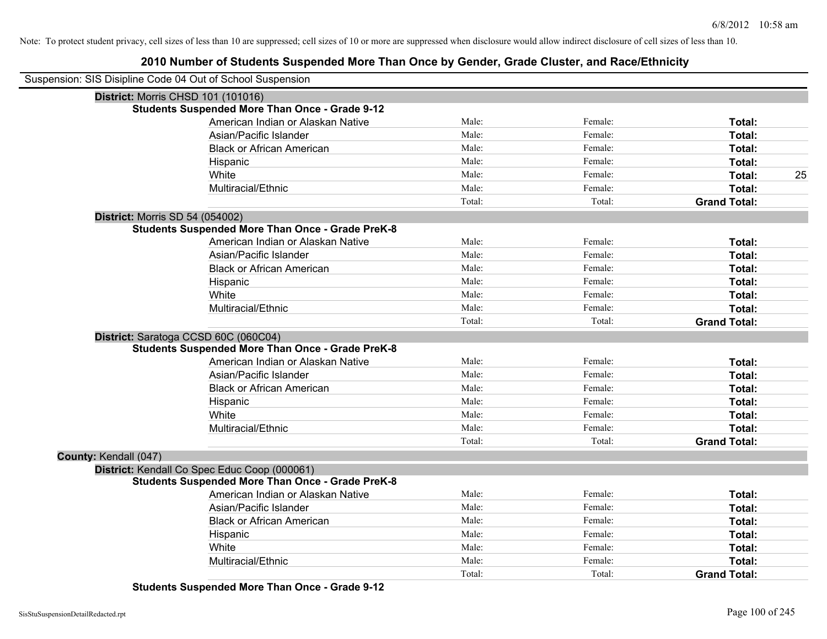# **2010 Number of Students Suspended More Than Once by Gender, Grade Cluster, and Race/Ethnicity**

|                                 | Suspension: SIS Disipline Code 04 Out of School Suspension |        |         |                     |    |
|---------------------------------|------------------------------------------------------------|--------|---------|---------------------|----|
|                                 | District: Morris CHSD 101 (101016)                         |        |         |                     |    |
|                                 | <b>Students Suspended More Than Once - Grade 9-12</b>      |        |         |                     |    |
|                                 | American Indian or Alaskan Native                          | Male:  | Female: | Total:              |    |
|                                 | Asian/Pacific Islander                                     | Male:  | Female: | Total:              |    |
|                                 | <b>Black or African American</b>                           | Male:  | Female: | Total:              |    |
|                                 | Hispanic                                                   | Male:  | Female: | Total:              |    |
|                                 | White                                                      | Male:  | Female: | Total:              | 25 |
|                                 | Multiracial/Ethnic                                         | Male:  | Female: | Total:              |    |
|                                 |                                                            | Total: | Total:  | <b>Grand Total:</b> |    |
| District: Morris SD 54 (054002) |                                                            |        |         |                     |    |
|                                 | <b>Students Suspended More Than Once - Grade PreK-8</b>    |        |         |                     |    |
|                                 | American Indian or Alaskan Native                          | Male:  | Female: | Total:              |    |
|                                 | Asian/Pacific Islander                                     | Male:  | Female: | Total:              |    |
|                                 | <b>Black or African American</b>                           | Male:  | Female: | Total:              |    |
|                                 | Hispanic                                                   | Male:  | Female: | Total:              |    |
|                                 | White                                                      | Male:  | Female: | Total:              |    |
|                                 | Multiracial/Ethnic                                         | Male:  | Female: | Total:              |    |
|                                 |                                                            | Total: | Total:  | <b>Grand Total:</b> |    |
|                                 | District: Saratoga CCSD 60C (060C04)                       |        |         |                     |    |
|                                 | <b>Students Suspended More Than Once - Grade PreK-8</b>    |        |         |                     |    |
|                                 | American Indian or Alaskan Native                          | Male:  | Female: | Total:              |    |
|                                 | Asian/Pacific Islander                                     | Male:  | Female: | Total:              |    |
|                                 | <b>Black or African American</b>                           | Male:  | Female: | Total:              |    |
|                                 | Hispanic                                                   | Male:  | Female: | Total:              |    |
|                                 | White                                                      | Male:  | Female: | Total:              |    |
|                                 | Multiracial/Ethnic                                         | Male:  | Female: | Total:              |    |
|                                 |                                                            | Total: | Total:  | <b>Grand Total:</b> |    |
| County: Kendall (047)           |                                                            |        |         |                     |    |
|                                 | District: Kendall Co Spec Educ Coop (000061)               |        |         |                     |    |
|                                 | <b>Students Suspended More Than Once - Grade PreK-8</b>    |        |         |                     |    |
|                                 | American Indian or Alaskan Native                          | Male:  | Female: | Total:              |    |
|                                 | Asian/Pacific Islander                                     | Male:  | Female: | Total:              |    |
|                                 | <b>Black or African American</b>                           | Male:  | Female: | Total:              |    |
|                                 | Hispanic                                                   | Male:  | Female: | Total:              |    |
|                                 | White                                                      | Male:  | Female: | Total:              |    |
|                                 | Multiracial/Ethnic                                         | Male:  | Female: | Total:              |    |
|                                 |                                                            | Total: | Total:  | <b>Grand Total:</b> |    |

**Students Suspended More Than Once - Grade 9-12**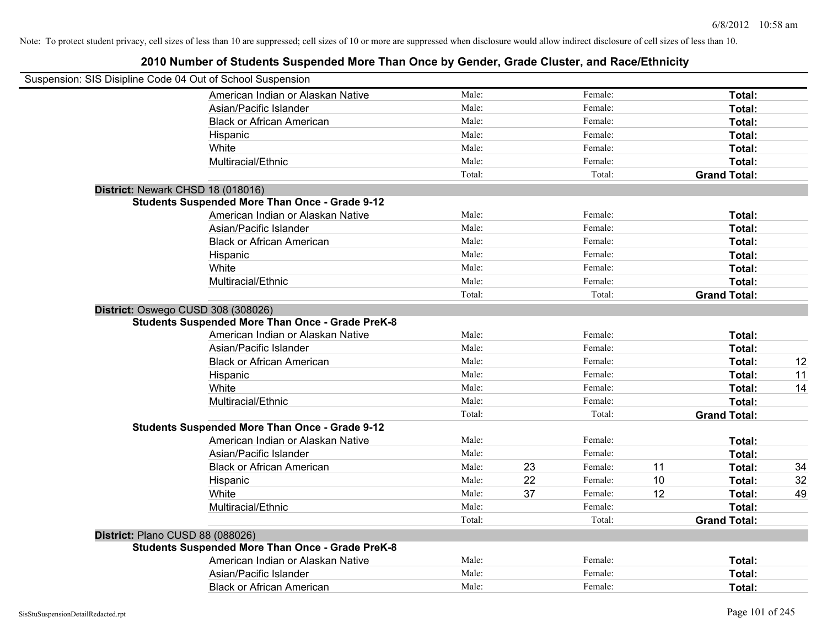| Suspension: SIS Disipline Code 04 Out of School Suspension                                    |        |    |         |    |                     |    |
|-----------------------------------------------------------------------------------------------|--------|----|---------|----|---------------------|----|
| American Indian or Alaskan Native                                                             | Male:  |    | Female: |    | Total:              |    |
| Asian/Pacific Islander                                                                        | Male:  |    | Female: |    | Total:              |    |
| <b>Black or African American</b>                                                              | Male:  |    | Female: |    | Total:              |    |
| Hispanic                                                                                      | Male:  |    | Female: |    | Total:              |    |
| White                                                                                         | Male:  |    | Female: |    | Total:              |    |
| Multiracial/Ethnic                                                                            | Male:  |    | Female: |    | Total:              |    |
|                                                                                               | Total: |    | Total:  |    | <b>Grand Total:</b> |    |
| District: Newark CHSD 18 (018016)                                                             |        |    |         |    |                     |    |
| <b>Students Suspended More Than Once - Grade 9-12</b>                                         |        |    |         |    |                     |    |
| American Indian or Alaskan Native                                                             | Male:  |    | Female: |    | Total:              |    |
| Asian/Pacific Islander                                                                        | Male:  |    | Female: |    | Total:              |    |
| <b>Black or African American</b>                                                              | Male:  |    | Female: |    | Total:              |    |
| Hispanic                                                                                      | Male:  |    | Female: |    | Total:              |    |
| White                                                                                         | Male:  |    | Female: |    | Total:              |    |
| Multiracial/Ethnic                                                                            | Male:  |    | Female: |    | Total:              |    |
|                                                                                               | Total: |    | Total:  |    | <b>Grand Total:</b> |    |
| District: Oswego CUSD 308 (308026)<br><b>Students Suspended More Than Once - Grade PreK-8</b> |        |    |         |    |                     |    |
| American Indian or Alaskan Native                                                             | Male:  |    | Female: |    | Total:              |    |
| Asian/Pacific Islander                                                                        | Male:  |    | Female: |    | Total:              |    |
| <b>Black or African American</b>                                                              | Male:  |    | Female: |    | Total:              | 12 |
| Hispanic                                                                                      | Male:  |    | Female: |    | Total:              | 11 |
| White                                                                                         | Male:  |    | Female: |    | Total:              | 14 |
| Multiracial/Ethnic                                                                            | Male:  |    | Female: |    | Total:              |    |
|                                                                                               | Total: |    | Total:  |    | <b>Grand Total:</b> |    |
| <b>Students Suspended More Than Once - Grade 9-12</b>                                         |        |    |         |    |                     |    |
| American Indian or Alaskan Native                                                             | Male:  |    | Female: |    | Total:              |    |
| Asian/Pacific Islander                                                                        | Male:  |    | Female: |    | Total:              |    |
| <b>Black or African American</b>                                                              | Male:  | 23 | Female: | 11 | Total:              | 34 |
| Hispanic                                                                                      | Male:  | 22 | Female: | 10 | Total:              | 32 |
| White                                                                                         | Male:  | 37 | Female: | 12 | Total:              | 49 |
| Multiracial/Ethnic                                                                            | Male:  |    | Female: |    | Total:              |    |
|                                                                                               | Total: |    | Total:  |    | <b>Grand Total:</b> |    |
| District: Plano CUSD 88 (088026)                                                              |        |    |         |    |                     |    |
| <b>Students Suspended More Than Once - Grade PreK-8</b>                                       |        |    |         |    |                     |    |
| American Indian or Alaskan Native                                                             | Male:  |    | Female: |    | Total:              |    |
| Asian/Pacific Islander                                                                        | Male:  |    | Female: |    | Total:              |    |
| <b>Black or African American</b>                                                              | Male:  |    | Female: |    | Total:              |    |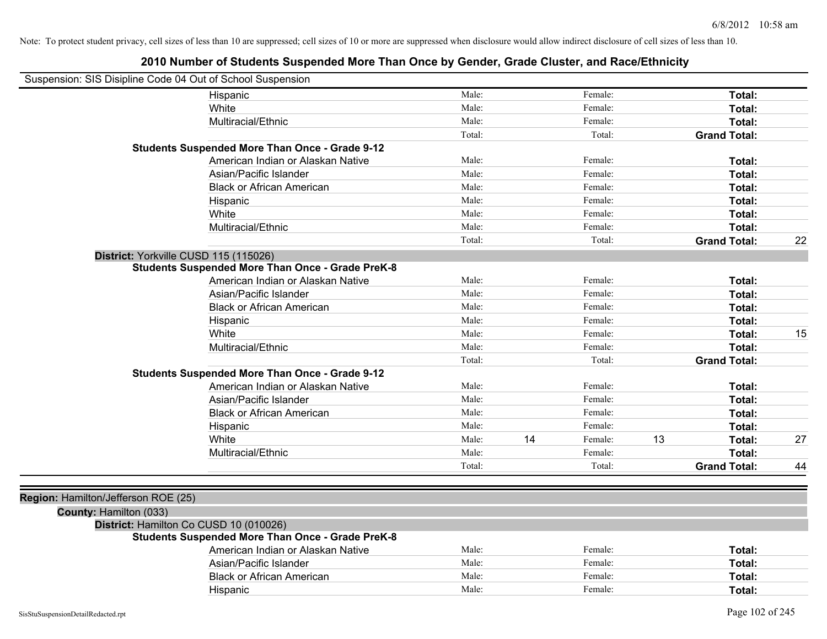| Suspension: SIS Disipline Code 04 Out of School Suspension |                                                                                                  |        |    |         |    |                     |    |
|------------------------------------------------------------|--------------------------------------------------------------------------------------------------|--------|----|---------|----|---------------------|----|
|                                                            | Hispanic                                                                                         | Male:  |    | Female: |    | Total:              |    |
|                                                            | White                                                                                            | Male:  |    | Female: |    | Total:              |    |
|                                                            | Multiracial/Ethnic                                                                               | Male:  |    | Female: |    | Total:              |    |
|                                                            |                                                                                                  | Total: |    | Total:  |    | <b>Grand Total:</b> |    |
|                                                            | <b>Students Suspended More Than Once - Grade 9-12</b>                                            |        |    |         |    |                     |    |
|                                                            | American Indian or Alaskan Native                                                                | Male:  |    | Female: |    | Total:              |    |
|                                                            | Asian/Pacific Islander                                                                           | Male:  |    | Female: |    | Total:              |    |
|                                                            | <b>Black or African American</b>                                                                 | Male:  |    | Female: |    | Total:              |    |
|                                                            | Hispanic                                                                                         | Male:  |    | Female: |    | Total:              |    |
|                                                            | White                                                                                            | Male:  |    | Female: |    | Total:              |    |
|                                                            | Multiracial/Ethnic                                                                               | Male:  |    | Female: |    | Total:              |    |
|                                                            |                                                                                                  | Total: |    | Total:  |    | <b>Grand Total:</b> | 22 |
|                                                            | District: Yorkville CUSD 115 (115026)<br><b>Students Suspended More Than Once - Grade PreK-8</b> |        |    |         |    |                     |    |
|                                                            | American Indian or Alaskan Native                                                                | Male:  |    | Female: |    | Total:              |    |
|                                                            | Asian/Pacific Islander                                                                           | Male:  |    | Female: |    | Total:              |    |
|                                                            | <b>Black or African American</b>                                                                 | Male:  |    | Female: |    | Total:              |    |
|                                                            | Hispanic                                                                                         | Male:  |    | Female: |    | Total:              |    |
|                                                            | White                                                                                            | Male:  |    | Female: |    | Total:              | 15 |
|                                                            | Multiracial/Ethnic                                                                               | Male:  |    | Female: |    | Total:              |    |
|                                                            |                                                                                                  | Total: |    | Total:  |    | <b>Grand Total:</b> |    |
|                                                            | <b>Students Suspended More Than Once - Grade 9-12</b>                                            |        |    |         |    |                     |    |
|                                                            | American Indian or Alaskan Native                                                                | Male:  |    | Female: |    | Total:              |    |
|                                                            | Asian/Pacific Islander                                                                           | Male:  |    | Female: |    | Total:              |    |
|                                                            | <b>Black or African American</b>                                                                 | Male:  |    | Female: |    | Total:              |    |
|                                                            | Hispanic                                                                                         | Male:  |    | Female: |    | Total:              |    |
|                                                            | White                                                                                            | Male:  | 14 | Female: | 13 | Total:              | 27 |
|                                                            | Multiracial/Ethnic                                                                               | Male:  |    | Female: |    | Total:              |    |
|                                                            |                                                                                                  | Total: |    | Total:  |    | <b>Grand Total:</b> | 44 |
|                                                            |                                                                                                  |        |    |         |    |                     |    |
| Region: Hamilton/Jefferson ROE (25)                        |                                                                                                  |        |    |         |    |                     |    |
| County: Hamilton (033)                                     |                                                                                                  |        |    |         |    |                     |    |
|                                                            | District: Hamilton Co CUSD 10 (010026)                                                           |        |    |         |    |                     |    |
|                                                            | <b>Students Suspended More Than Once - Grade PreK-8</b>                                          |        |    |         |    |                     |    |
|                                                            | American Indian or Alaskan Native                                                                | Male:  |    | Female: |    | Total:              |    |
|                                                            | Asian/Pacific Islander                                                                           | Male:  |    | Female: |    | Total:              |    |
|                                                            | <b>Black or African American</b>                                                                 | Male:  |    | Female: |    | Total:              |    |
|                                                            | Hispanic                                                                                         | Male:  |    | Female: |    | Total:              |    |
|                                                            |                                                                                                  |        |    |         |    |                     |    |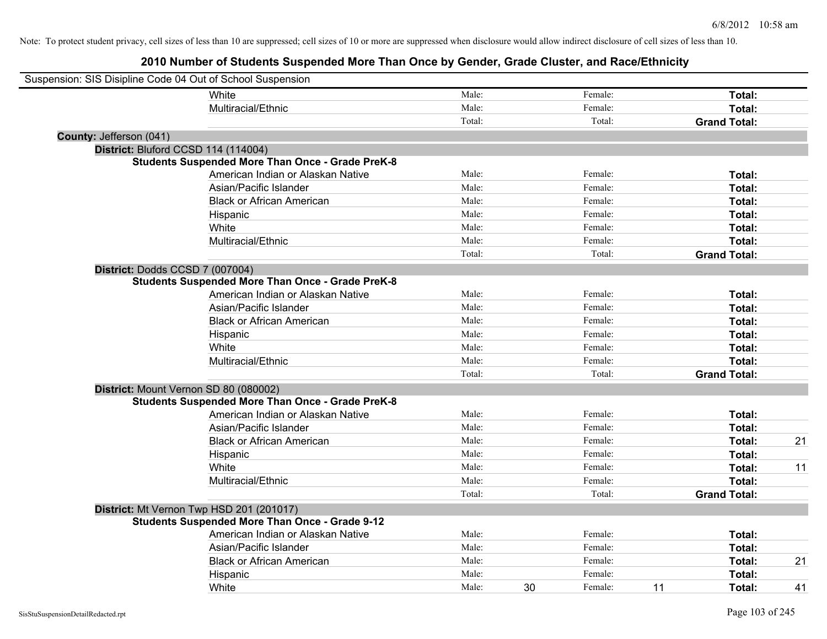| Suspension: SIS Disipline Code 04 Out of School Suspension |                                                         |        |    |         |    |                     |    |
|------------------------------------------------------------|---------------------------------------------------------|--------|----|---------|----|---------------------|----|
|                                                            | White                                                   | Male:  |    | Female: |    | Total:              |    |
|                                                            | Multiracial/Ethnic                                      | Male:  |    | Female: |    | Total:              |    |
|                                                            |                                                         | Total: |    | Total:  |    | <b>Grand Total:</b> |    |
| County: Jefferson (041)                                    |                                                         |        |    |         |    |                     |    |
| District: Bluford CCSD 114 (114004)                        |                                                         |        |    |         |    |                     |    |
|                                                            | <b>Students Suspended More Than Once - Grade PreK-8</b> |        |    |         |    |                     |    |
|                                                            | American Indian or Alaskan Native                       | Male:  |    | Female: |    | Total:              |    |
|                                                            | Asian/Pacific Islander                                  | Male:  |    | Female: |    | Total:              |    |
|                                                            | <b>Black or African American</b>                        | Male:  |    | Female: |    | Total:              |    |
|                                                            | Hispanic                                                | Male:  |    | Female: |    | Total:              |    |
|                                                            | White                                                   | Male:  |    | Female: |    | Total:              |    |
|                                                            | Multiracial/Ethnic                                      | Male:  |    | Female: |    | Total:              |    |
|                                                            |                                                         | Total: |    | Total:  |    | <b>Grand Total:</b> |    |
| District: Dodds CCSD 7 (007004)                            |                                                         |        |    |         |    |                     |    |
|                                                            | <b>Students Suspended More Than Once - Grade PreK-8</b> |        |    |         |    |                     |    |
|                                                            | American Indian or Alaskan Native                       | Male:  |    | Female: |    | Total:              |    |
|                                                            | Asian/Pacific Islander                                  | Male:  |    | Female: |    | Total:              |    |
|                                                            | <b>Black or African American</b>                        | Male:  |    | Female: |    | Total:              |    |
|                                                            | Hispanic                                                | Male:  |    | Female: |    | Total:              |    |
|                                                            | White                                                   | Male:  |    | Female: |    | Total:              |    |
|                                                            | Multiracial/Ethnic                                      | Male:  |    | Female: |    | Total:              |    |
|                                                            |                                                         | Total: |    | Total:  |    | <b>Grand Total:</b> |    |
| District: Mount Vernon SD 80 (080002)                      |                                                         |        |    |         |    |                     |    |
|                                                            | <b>Students Suspended More Than Once - Grade PreK-8</b> |        |    |         |    |                     |    |
|                                                            | American Indian or Alaskan Native                       | Male:  |    | Female: |    | Total:              |    |
|                                                            | Asian/Pacific Islander                                  | Male:  |    | Female: |    | Total:              |    |
|                                                            | <b>Black or African American</b>                        | Male:  |    | Female: |    | Total:              | 21 |
|                                                            | Hispanic                                                | Male:  |    | Female: |    | Total:              |    |
|                                                            | White                                                   | Male:  |    | Female: |    | Total:              | 11 |
|                                                            | Multiracial/Ethnic                                      | Male:  |    | Female: |    | Total:              |    |
|                                                            |                                                         | Total: |    | Total:  |    | <b>Grand Total:</b> |    |
| District: Mt Vernon Twp HSD 201 (201017)                   |                                                         |        |    |         |    |                     |    |
|                                                            | <b>Students Suspended More Than Once - Grade 9-12</b>   |        |    |         |    |                     |    |
|                                                            | American Indian or Alaskan Native                       | Male:  |    | Female: |    | Total:              |    |
|                                                            | Asian/Pacific Islander                                  | Male:  |    | Female: |    | Total:              |    |
|                                                            | <b>Black or African American</b>                        | Male:  |    | Female: |    | Total:              | 21 |
|                                                            | Hispanic                                                | Male:  |    | Female: |    | Total:              |    |
|                                                            | White                                                   | Male:  | 30 | Female: | 11 | Total:              | 41 |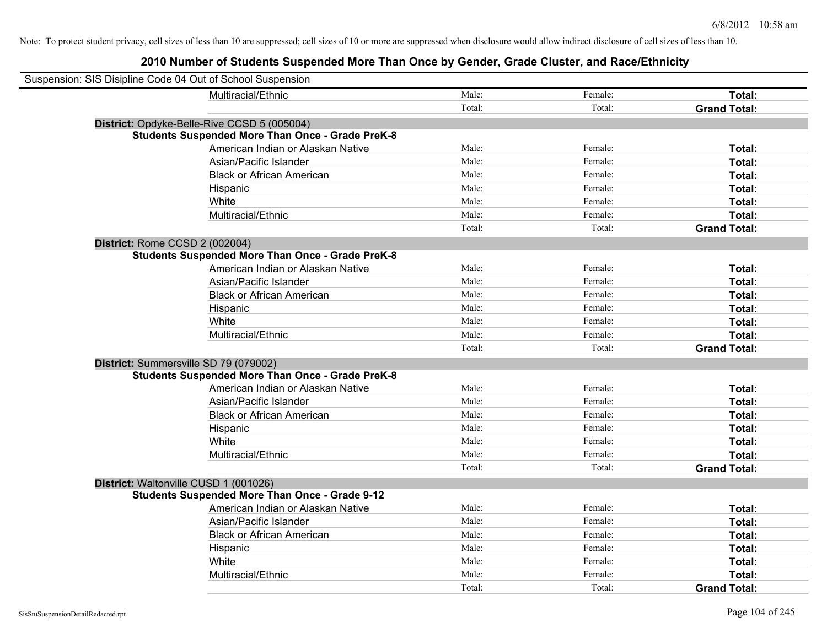| Suspension: SIS Disipline Code 04 Out of School Suspension |                                                         |        |         |                     |
|------------------------------------------------------------|---------------------------------------------------------|--------|---------|---------------------|
|                                                            | Multiracial/Ethnic                                      | Male:  | Female: | Total:              |
|                                                            |                                                         | Total: | Total:  | <b>Grand Total:</b> |
|                                                            | District: Opdyke-Belle-Rive CCSD 5 (005004)             |        |         |                     |
|                                                            | <b>Students Suspended More Than Once - Grade PreK-8</b> |        |         |                     |
|                                                            | American Indian or Alaskan Native                       | Male:  | Female: | Total:              |
|                                                            | Asian/Pacific Islander                                  | Male:  | Female: | Total:              |
|                                                            | <b>Black or African American</b>                        | Male:  | Female: | Total:              |
|                                                            | Hispanic                                                | Male:  | Female: | Total:              |
|                                                            | White                                                   | Male:  | Female: | Total:              |
|                                                            | Multiracial/Ethnic                                      | Male:  | Female: | Total:              |
|                                                            |                                                         | Total: | Total:  | <b>Grand Total:</b> |
| District: Rome CCSD 2 (002004)                             |                                                         |        |         |                     |
|                                                            | <b>Students Suspended More Than Once - Grade PreK-8</b> |        |         |                     |
|                                                            | American Indian or Alaskan Native                       | Male:  | Female: | Total:              |
|                                                            | Asian/Pacific Islander                                  | Male:  | Female: | Total:              |
|                                                            | <b>Black or African American</b>                        | Male:  | Female: | Total:              |
|                                                            | Hispanic                                                | Male:  | Female: | Total:              |
|                                                            | White                                                   | Male:  | Female: | Total:              |
|                                                            | Multiracial/Ethnic                                      | Male:  | Female: | Total:              |
|                                                            |                                                         | Total: | Total:  | <b>Grand Total:</b> |
| District: Summersville SD 79 (079002)                      |                                                         |        |         |                     |
|                                                            | <b>Students Suspended More Than Once - Grade PreK-8</b> |        |         |                     |
|                                                            | American Indian or Alaskan Native                       | Male:  | Female: | Total:              |
|                                                            | Asian/Pacific Islander                                  | Male:  | Female: | Total:              |
|                                                            | <b>Black or African American</b>                        | Male:  | Female: | Total:              |
|                                                            | Hispanic                                                | Male:  | Female: | Total:              |
|                                                            | White                                                   | Male:  | Female: | Total:              |
|                                                            | Multiracial/Ethnic                                      | Male:  | Female: | Total:              |
|                                                            |                                                         | Total: | Total:  | <b>Grand Total:</b> |
| District: Waltonville CUSD 1 (001026)                      |                                                         |        |         |                     |
|                                                            | <b>Students Suspended More Than Once - Grade 9-12</b>   |        |         |                     |
|                                                            | American Indian or Alaskan Native                       | Male:  | Female: | Total:              |
|                                                            | Asian/Pacific Islander                                  | Male:  | Female: | Total:              |
|                                                            | <b>Black or African American</b>                        | Male:  | Female: | Total:              |
|                                                            | Hispanic                                                | Male:  | Female: | Total:              |
|                                                            | White                                                   | Male:  | Female: | Total:              |
|                                                            | Multiracial/Ethnic                                      | Male:  | Female: | Total:              |
|                                                            |                                                         | Total: | Total:  | <b>Grand Total:</b> |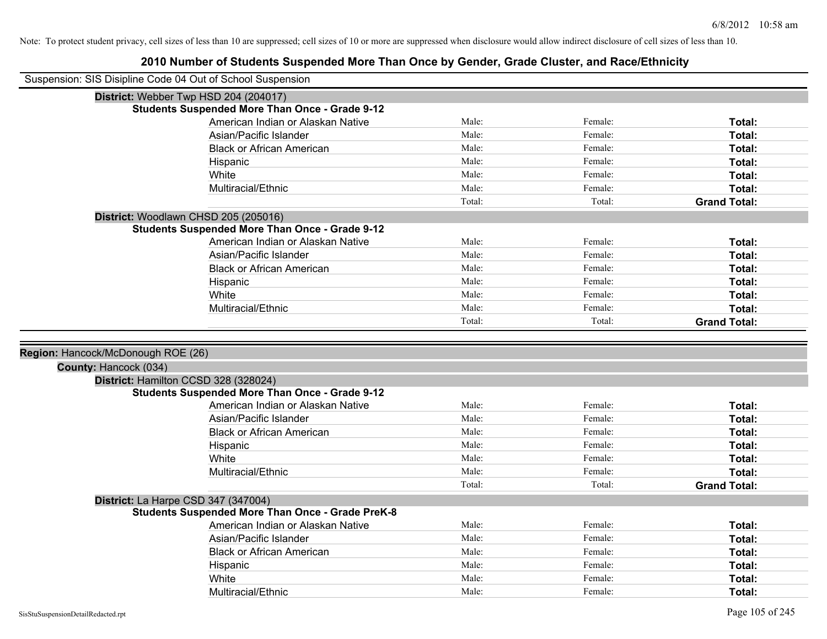| Suspension: SIS Disipline Code 04 Out of School Suspension |                                                                                                |        |         |                     |
|------------------------------------------------------------|------------------------------------------------------------------------------------------------|--------|---------|---------------------|
|                                                            | District: Webber Twp HSD 204 (204017)                                                          |        |         |                     |
|                                                            | <b>Students Suspended More Than Once - Grade 9-12</b>                                          |        |         |                     |
|                                                            | American Indian or Alaskan Native                                                              | Male:  | Female: | Total:              |
|                                                            | Asian/Pacific Islander                                                                         | Male:  | Female: | Total:              |
|                                                            | <b>Black or African American</b>                                                               | Male:  | Female: | Total:              |
|                                                            | Hispanic                                                                                       | Male:  | Female: | Total:              |
|                                                            | White                                                                                          | Male:  | Female: | Total:              |
|                                                            | Multiracial/Ethnic                                                                             | Male:  | Female: | Total:              |
|                                                            |                                                                                                | Total: | Total:  | <b>Grand Total:</b> |
|                                                            | District: Woodlawn CHSD 205 (205016)                                                           |        |         |                     |
|                                                            | <b>Students Suspended More Than Once - Grade 9-12</b>                                          |        |         |                     |
|                                                            | American Indian or Alaskan Native                                                              | Male:  | Female: | Total:              |
|                                                            | Asian/Pacific Islander                                                                         | Male:  | Female: | Total:              |
|                                                            | <b>Black or African American</b>                                                               | Male:  | Female: | Total:              |
|                                                            | Hispanic                                                                                       | Male:  | Female: | Total:              |
|                                                            | White                                                                                          | Male:  | Female: | Total:              |
|                                                            | Multiracial/Ethnic                                                                             | Male:  | Female: | Total:              |
|                                                            |                                                                                                | Total: | Total:  | <b>Grand Total:</b> |
|                                                            |                                                                                                |        |         |                     |
|                                                            |                                                                                                |        |         |                     |
| Region: Hancock/McDonough ROE (26)                         |                                                                                                |        |         |                     |
| County: Hancock (034)                                      |                                                                                                |        |         |                     |
|                                                            |                                                                                                |        |         |                     |
|                                                            | District: Hamilton CCSD 328 (328024)<br><b>Students Suspended More Than Once - Grade 9-12</b>  |        |         |                     |
|                                                            | American Indian or Alaskan Native                                                              | Male:  | Female: | Total:              |
|                                                            | Asian/Pacific Islander                                                                         | Male:  | Female: | Total:              |
|                                                            | <b>Black or African American</b>                                                               | Male:  | Female: | Total:              |
|                                                            | Hispanic                                                                                       | Male:  | Female: | Total:              |
|                                                            | White                                                                                          | Male:  | Female: | Total:              |
|                                                            | Multiracial/Ethnic                                                                             | Male:  | Female: | Total:              |
|                                                            |                                                                                                | Total: | Total:  | <b>Grand Total:</b> |
|                                                            |                                                                                                |        |         |                     |
|                                                            | District: La Harpe CSD 347 (347004)<br><b>Students Suspended More Than Once - Grade PreK-8</b> |        |         |                     |
|                                                            | American Indian or Alaskan Native                                                              | Male:  | Female: | Total:              |
|                                                            | Asian/Pacific Islander                                                                         | Male:  | Female: | Total:              |
|                                                            | <b>Black or African American</b>                                                               | Male:  | Female: | Total:              |
|                                                            | Hispanic                                                                                       | Male:  | Female: | Total:              |
|                                                            | White                                                                                          | Male:  | Female: | Total:              |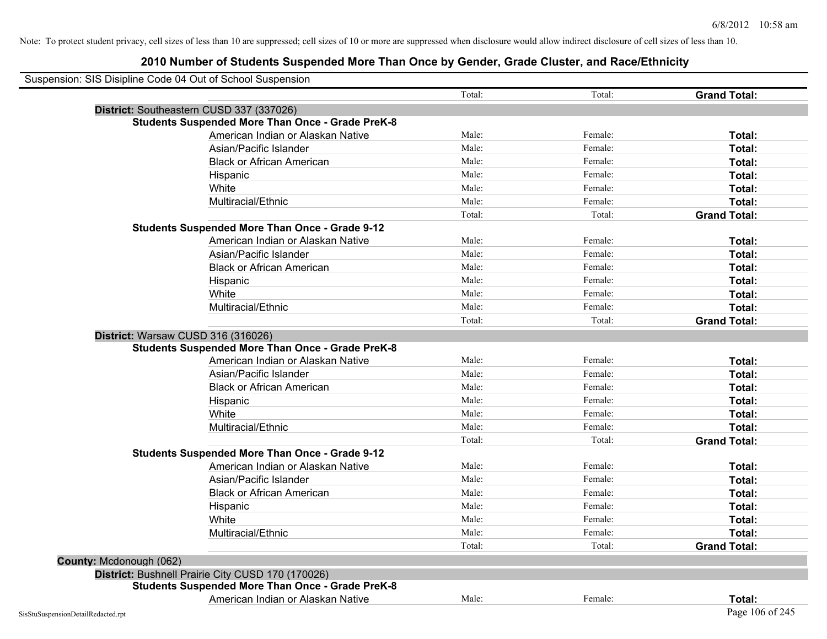| Suspension: SIS Disipline Code 04 Out of School Suspension |                                                         |        |         |                     |
|------------------------------------------------------------|---------------------------------------------------------|--------|---------|---------------------|
|                                                            |                                                         | Total: | Total:  | <b>Grand Total:</b> |
| District: Southeastern CUSD 337 (337026)                   |                                                         |        |         |                     |
|                                                            | <b>Students Suspended More Than Once - Grade PreK-8</b> |        |         |                     |
|                                                            | American Indian or Alaskan Native                       | Male:  | Female: | Total:              |
|                                                            | Asian/Pacific Islander                                  | Male:  | Female: | Total:              |
|                                                            | <b>Black or African American</b>                        | Male:  | Female: | Total:              |
|                                                            | Hispanic                                                | Male:  | Female: | Total:              |
|                                                            | White                                                   | Male:  | Female: | Total:              |
|                                                            | Multiracial/Ethnic                                      | Male:  | Female: | Total:              |
|                                                            |                                                         | Total: | Total:  | <b>Grand Total:</b> |
|                                                            | <b>Students Suspended More Than Once - Grade 9-12</b>   |        |         |                     |
|                                                            | American Indian or Alaskan Native                       | Male:  | Female: | Total:              |
|                                                            | Asian/Pacific Islander                                  | Male:  | Female: | Total:              |
|                                                            | <b>Black or African American</b>                        | Male:  | Female: | Total:              |
|                                                            | Hispanic                                                | Male:  | Female: | Total:              |
|                                                            | White                                                   | Male:  | Female: | Total:              |
|                                                            | Multiracial/Ethnic                                      | Male:  | Female: | Total:              |
|                                                            |                                                         | Total: | Total:  | <b>Grand Total:</b> |
| District: Warsaw CUSD 316 (316026)                         |                                                         |        |         |                     |
|                                                            | <b>Students Suspended More Than Once - Grade PreK-8</b> |        |         |                     |
|                                                            | American Indian or Alaskan Native                       | Male:  | Female: | Total:              |
|                                                            | Asian/Pacific Islander                                  | Male:  | Female: | Total:              |
|                                                            | <b>Black or African American</b>                        | Male:  | Female: | Total:              |
|                                                            | Hispanic                                                | Male:  | Female: | Total:              |
|                                                            | White                                                   | Male:  | Female: | Total:              |
|                                                            | Multiracial/Ethnic                                      | Male:  | Female: | Total:              |
|                                                            |                                                         | Total: | Total:  | <b>Grand Total:</b> |
|                                                            | <b>Students Suspended More Than Once - Grade 9-12</b>   |        |         |                     |
|                                                            | American Indian or Alaskan Native                       | Male:  | Female: | Total:              |
|                                                            | Asian/Pacific Islander                                  | Male:  | Female: | Total:              |
|                                                            | <b>Black or African American</b>                        | Male:  | Female: | Total:              |
|                                                            | Hispanic                                                | Male:  | Female: | Total:              |
|                                                            | White                                                   | Male:  | Female: | Total:              |
|                                                            | Multiracial/Ethnic                                      | Male:  | Female: | Total:              |
|                                                            |                                                         | Total: | Total:  | <b>Grand Total:</b> |
| County: Mcdonough (062)                                    |                                                         |        |         |                     |
|                                                            | District: Bushnell Prairie City CUSD 170 (170026)       |        |         |                     |
|                                                            | <b>Students Suspended More Than Once - Grade PreK-8</b> |        |         |                     |
|                                                            | American Indian or Alaskan Native                       | Male:  | Female: | Total:              |
| SisStuSuspensionDetailRedacted.rpt                         |                                                         |        |         | Page 106 of 245     |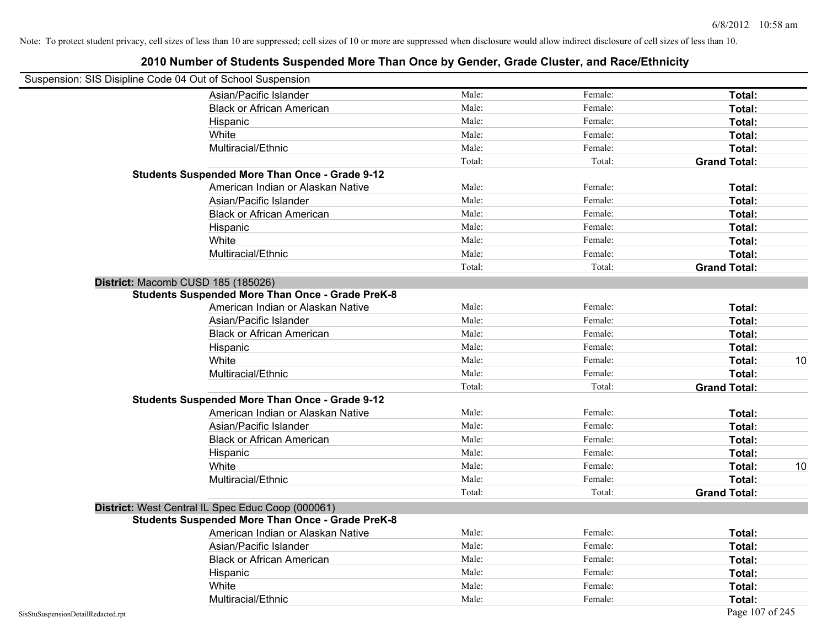| Suspension: SIS Disipline Code 04 Out of School Suspension |                                                         |        |         |                     |
|------------------------------------------------------------|---------------------------------------------------------|--------|---------|---------------------|
|                                                            | Asian/Pacific Islander                                  | Male:  | Female: | Total:              |
|                                                            | <b>Black or African American</b>                        | Male:  | Female: | Total:              |
|                                                            | Hispanic                                                | Male:  | Female: | Total:              |
|                                                            | White                                                   | Male:  | Female: | Total:              |
|                                                            | Multiracial/Ethnic                                      | Male:  | Female: | Total:              |
|                                                            |                                                         | Total: | Total:  | <b>Grand Total:</b> |
|                                                            | <b>Students Suspended More Than Once - Grade 9-12</b>   |        |         |                     |
|                                                            | American Indian or Alaskan Native                       | Male:  | Female: | Total:              |
|                                                            | Asian/Pacific Islander                                  | Male:  | Female: | Total:              |
|                                                            | <b>Black or African American</b>                        | Male:  | Female: | Total:              |
|                                                            | Hispanic                                                | Male:  | Female: | Total:              |
|                                                            | White                                                   | Male:  | Female: | Total:              |
|                                                            | Multiracial/Ethnic                                      | Male:  | Female: | Total:              |
|                                                            |                                                         | Total: | Total:  | <b>Grand Total:</b> |
| District: Macomb CUSD 185 (185026)                         |                                                         |        |         |                     |
|                                                            | <b>Students Suspended More Than Once - Grade PreK-8</b> |        |         |                     |
|                                                            | American Indian or Alaskan Native                       | Male:  | Female: | Total:              |
|                                                            | Asian/Pacific Islander                                  | Male:  | Female: | Total:              |
|                                                            | <b>Black or African American</b>                        | Male:  | Female: | Total:              |
|                                                            | Hispanic                                                | Male:  | Female: | Total:              |
|                                                            | White                                                   | Male:  | Female: | 10<br>Total:        |
|                                                            | Multiracial/Ethnic                                      | Male:  | Female: | Total:              |
|                                                            |                                                         | Total: | Total:  | <b>Grand Total:</b> |
|                                                            | <b>Students Suspended More Than Once - Grade 9-12</b>   |        |         |                     |
|                                                            | American Indian or Alaskan Native                       | Male:  | Female: | Total:              |
|                                                            | Asian/Pacific Islander                                  | Male:  | Female: | Total:              |
|                                                            | <b>Black or African American</b>                        | Male:  | Female: | Total:              |
|                                                            | Hispanic                                                | Male:  | Female: | Total:              |
|                                                            | White                                                   | Male:  | Female: | 10<br>Total:        |
|                                                            | Multiracial/Ethnic                                      | Male:  | Female: | Total:              |
|                                                            |                                                         | Total: | Total:  | <b>Grand Total:</b> |
|                                                            | District: West Central IL Spec Educ Coop (000061)       |        |         |                     |
|                                                            | <b>Students Suspended More Than Once - Grade PreK-8</b> |        |         |                     |
|                                                            | American Indian or Alaskan Native                       | Male:  | Female: | Total:              |
|                                                            | Asian/Pacific Islander                                  | Male:  | Female: | Total:              |
|                                                            | <b>Black or African American</b>                        | Male:  | Female: | Total:              |
|                                                            | Hispanic                                                | Male:  | Female: | Total:              |
|                                                            | White                                                   | Male:  | Female: | Total:              |
|                                                            | Multiracial/Ethnic                                      | Male:  | Female: | Total:              |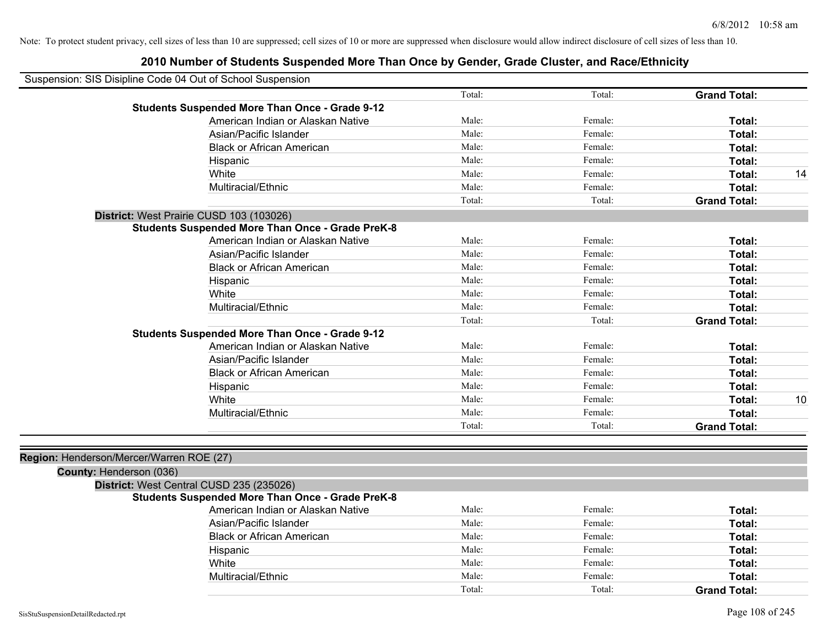| Suspension: SIS Disipline Code 04 Out of School Suspension |                                                         |        |         |                     |    |
|------------------------------------------------------------|---------------------------------------------------------|--------|---------|---------------------|----|
|                                                            |                                                         | Total: | Total:  | <b>Grand Total:</b> |    |
|                                                            | <b>Students Suspended More Than Once - Grade 9-12</b>   |        |         |                     |    |
|                                                            | American Indian or Alaskan Native                       | Male:  | Female: | Total:              |    |
|                                                            | Asian/Pacific Islander                                  | Male:  | Female: | Total:              |    |
|                                                            | <b>Black or African American</b>                        | Male:  | Female: | Total:              |    |
|                                                            | Hispanic                                                | Male:  | Female: | Total:              |    |
|                                                            | White                                                   | Male:  | Female: | Total:              | 14 |
|                                                            | Multiracial/Ethnic                                      | Male:  | Female: | Total:              |    |
|                                                            |                                                         | Total: | Total:  | <b>Grand Total:</b> |    |
|                                                            | District: West Prairie CUSD 103 (103026)                |        |         |                     |    |
|                                                            | <b>Students Suspended More Than Once - Grade PreK-8</b> |        |         |                     |    |
|                                                            | American Indian or Alaskan Native                       | Male:  | Female: | Total:              |    |
|                                                            | Asian/Pacific Islander                                  | Male:  | Female: | Total:              |    |
|                                                            | <b>Black or African American</b>                        | Male:  | Female: | Total:              |    |
|                                                            | Hispanic                                                | Male:  | Female: | Total:              |    |
|                                                            | White                                                   | Male:  | Female: | Total:              |    |
|                                                            | Multiracial/Ethnic                                      | Male:  | Female: | Total:              |    |
|                                                            |                                                         | Total: | Total:  | <b>Grand Total:</b> |    |
|                                                            | <b>Students Suspended More Than Once - Grade 9-12</b>   |        |         |                     |    |
|                                                            | American Indian or Alaskan Native                       | Male:  | Female: | Total:              |    |
|                                                            | Asian/Pacific Islander                                  | Male:  | Female: | Total:              |    |
|                                                            | <b>Black or African American</b>                        | Male:  | Female: | Total:              |    |
|                                                            | Hispanic                                                | Male:  | Female: | Total:              |    |
|                                                            | White                                                   | Male:  | Female: | Total:              | 10 |
|                                                            | Multiracial/Ethnic                                      | Male:  | Female: | Total:              |    |
|                                                            |                                                         | Total: | Total:  | <b>Grand Total:</b> |    |
|                                                            |                                                         |        |         |                     |    |
| Region: Henderson/Mercer/Warren ROE (27)                   |                                                         |        |         |                     |    |
| County: Henderson (036)                                    |                                                         |        |         |                     |    |
|                                                            | District: West Central CUSD 235 (235026)                |        |         |                     |    |
|                                                            | <b>Students Suspended More Than Once - Grade PreK-8</b> |        |         |                     |    |
|                                                            | American Indian or Alaskan Native                       | Male:  | Female: | Total:              |    |
|                                                            | Asian/Pacific Islander                                  | Male:  | Female: | Total:              |    |
|                                                            | <b>Black or African American</b>                        | Male:  | Female: | Total:              |    |
|                                                            | Hispanic                                                | Male:  | Female: | Total:              |    |
|                                                            | White                                                   | Male:  | Female: | Total:              |    |
|                                                            | Multiracial/Ethnic                                      | Male:  | Female: | Total:              |    |
|                                                            |                                                         | Total: | Total:  | <b>Grand Total:</b> |    |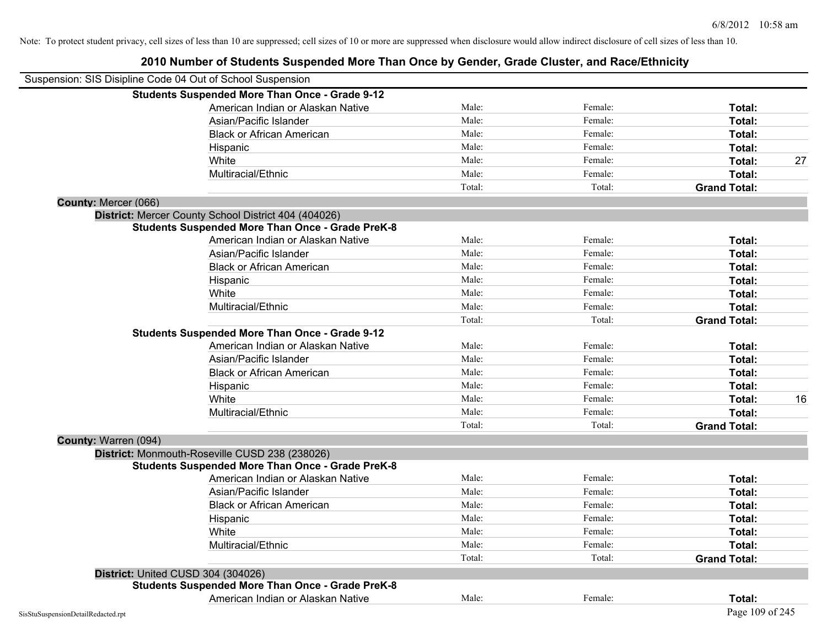|                                    | Suspension: SIS Disipline Code 04 Out of School Suspension |        |         |                     |    |
|------------------------------------|------------------------------------------------------------|--------|---------|---------------------|----|
|                                    | <b>Students Suspended More Than Once - Grade 9-12</b>      |        |         |                     |    |
|                                    | American Indian or Alaskan Native                          | Male:  | Female: | Total:              |    |
|                                    | Asian/Pacific Islander                                     | Male:  | Female: | Total:              |    |
|                                    | <b>Black or African American</b>                           | Male:  | Female: | Total:              |    |
|                                    | Hispanic                                                   | Male:  | Female: | Total:              |    |
|                                    | White                                                      | Male:  | Female: | Total:              | 27 |
|                                    | Multiracial/Ethnic                                         | Male:  | Female: | Total:              |    |
|                                    |                                                            | Total: | Total:  | <b>Grand Total:</b> |    |
| County: Mercer (066)               |                                                            |        |         |                     |    |
|                                    | District: Mercer County School District 404 (404026)       |        |         |                     |    |
|                                    | <b>Students Suspended More Than Once - Grade PreK-8</b>    |        |         |                     |    |
|                                    | American Indian or Alaskan Native                          | Male:  | Female: | Total:              |    |
|                                    | Asian/Pacific Islander                                     | Male:  | Female: | Total:              |    |
|                                    | <b>Black or African American</b>                           | Male:  | Female: | Total:              |    |
|                                    | Hispanic                                                   | Male:  | Female: | Total:              |    |
|                                    | White                                                      | Male:  | Female: | Total:              |    |
|                                    | Multiracial/Ethnic                                         | Male:  | Female: | Total:              |    |
|                                    |                                                            | Total: | Total:  | <b>Grand Total:</b> |    |
|                                    | <b>Students Suspended More Than Once - Grade 9-12</b>      |        |         |                     |    |
|                                    | American Indian or Alaskan Native                          | Male:  | Female: | Total:              |    |
|                                    | Asian/Pacific Islander                                     | Male:  | Female: | Total:              |    |
|                                    | <b>Black or African American</b>                           | Male:  | Female: | Total:              |    |
|                                    | Hispanic                                                   | Male:  | Female: | Total:              |    |
|                                    | White                                                      | Male:  | Female: | Total:              | 16 |
|                                    | Multiracial/Ethnic                                         | Male:  | Female: | Total:              |    |
|                                    |                                                            | Total: | Total:  | <b>Grand Total:</b> |    |
| County: Warren (094)               |                                                            |        |         |                     |    |
|                                    | District: Monmouth-Roseville CUSD 238 (238026)             |        |         |                     |    |
|                                    | <b>Students Suspended More Than Once - Grade PreK-8</b>    |        |         |                     |    |
|                                    | American Indian or Alaskan Native                          | Male:  | Female: | Total:              |    |
|                                    | Asian/Pacific Islander                                     | Male:  | Female: | Total:              |    |
|                                    | <b>Black or African American</b>                           | Male:  | Female: | Total:              |    |
|                                    | Hispanic                                                   | Male:  | Female: | Total:              |    |
|                                    | White                                                      | Male:  | Female: | Total:              |    |
|                                    | Multiracial/Ethnic                                         | Male:  | Female: | Total:              |    |
|                                    |                                                            | Total: | Total:  | <b>Grand Total:</b> |    |
|                                    | District: United CUSD 304 (304026)                         |        |         |                     |    |
|                                    | <b>Students Suspended More Than Once - Grade PreK-8</b>    |        |         |                     |    |
|                                    | American Indian or Alaskan Native                          | Male:  | Female: | Total:              |    |
| SisStuSuspensionDetailRedacted.rpt |                                                            |        |         | Page 109 of 245     |    |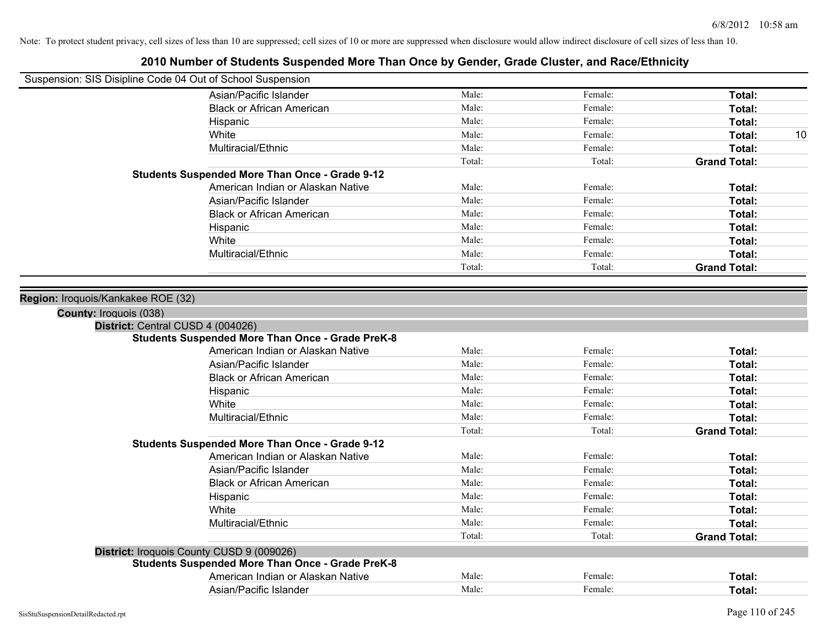| Suspension: SIS Disipline Code 04 Out of School Suspension |                                                         |        |         |                     |
|------------------------------------------------------------|---------------------------------------------------------|--------|---------|---------------------|
|                                                            | Asian/Pacific Islander                                  | Male:  | Female: | Total:              |
|                                                            | <b>Black or African American</b>                        | Male:  | Female: | Total:              |
|                                                            | Hispanic                                                | Male:  | Female: | Total:              |
|                                                            | White                                                   | Male:  | Female: | Total:<br>10        |
|                                                            | Multiracial/Ethnic                                      | Male:  | Female: | Total:              |
|                                                            |                                                         | Total: | Total:  | <b>Grand Total:</b> |
|                                                            | <b>Students Suspended More Than Once - Grade 9-12</b>   |        |         |                     |
|                                                            | American Indian or Alaskan Native                       | Male:  | Female: | Total:              |
|                                                            | Asian/Pacific Islander                                  | Male:  | Female: | Total:              |
|                                                            | <b>Black or African American</b>                        | Male:  | Female: | Total:              |
|                                                            | Hispanic                                                | Male:  | Female: | Total:              |
|                                                            | White                                                   | Male:  | Female: | Total:              |
|                                                            | Multiracial/Ethnic                                      | Male:  | Female: | Total:              |
|                                                            |                                                         | Total: | Total:  | <b>Grand Total:</b> |
|                                                            |                                                         |        |         |                     |
| Region: Iroquois/Kankakee ROE (32)                         |                                                         |        |         |                     |
| County: Iroquois (038)                                     |                                                         |        |         |                     |
| District: Central CUSD 4 (004026)                          |                                                         |        |         |                     |
|                                                            | <b>Students Suspended More Than Once - Grade PreK-8</b> |        |         |                     |
|                                                            | American Indian or Alaskan Native                       | Male:  | Female: | Total:              |
|                                                            | Asian/Pacific Islander                                  | Male:  | Female: | Total:              |
|                                                            | <b>Black or African American</b>                        | Male:  | Female: | Total:              |
|                                                            | Hispanic                                                | Male:  | Female: | Total:              |
|                                                            | White                                                   | Male:  | Female: | Total:              |
|                                                            | Multiracial/Ethnic                                      | Male:  | Female: | Total:              |
|                                                            |                                                         | Total: | Total:  | <b>Grand Total:</b> |
|                                                            | <b>Students Suspended More Than Once - Grade 9-12</b>   |        |         |                     |
|                                                            | American Indian or Alaskan Native                       | Male:  | Female: | Total:              |
|                                                            | Asian/Pacific Islander                                  | Male:  | Female: | Total:              |
|                                                            | <b>Black or African American</b>                        | Male:  | Female: | Total:              |
|                                                            | Hispanic                                                | Male:  | Female: | Total:              |
|                                                            | White                                                   | Male:  | Female: | Total:              |
|                                                            | Multiracial/Ethnic                                      | Male:  | Female: | Total:              |
|                                                            |                                                         | Total: | Total:  | <b>Grand Total:</b> |
|                                                            | District: Iroquois County CUSD 9 (009026)               |        |         |                     |
|                                                            | <b>Students Suspended More Than Once - Grade PreK-8</b> |        |         |                     |
|                                                            | American Indian or Alaskan Native                       | Male:  | Female: | Total:              |
|                                                            | Asian/Pacific Islander                                  | Male:  | Female: | Total:              |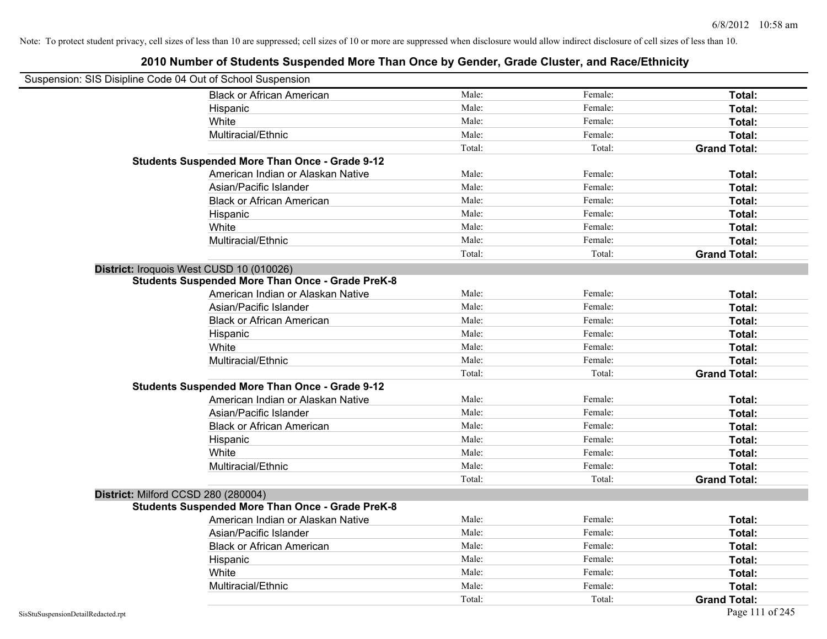| Suspension: SIS Disipline Code 04 Out of School Suspension |                                                         |        |         |                     |
|------------------------------------------------------------|---------------------------------------------------------|--------|---------|---------------------|
|                                                            | <b>Black or African American</b>                        | Male:  | Female: | Total:              |
|                                                            | Hispanic                                                | Male:  | Female: | Total:              |
|                                                            | White                                                   | Male:  | Female: | Total:              |
|                                                            | Multiracial/Ethnic                                      | Male:  | Female: | Total:              |
|                                                            |                                                         | Total: | Total:  | <b>Grand Total:</b> |
|                                                            | <b>Students Suspended More Than Once - Grade 9-12</b>   |        |         |                     |
|                                                            | American Indian or Alaskan Native                       | Male:  | Female: | <b>Total:</b>       |
|                                                            | Asian/Pacific Islander                                  | Male:  | Female: | Total:              |
|                                                            | <b>Black or African American</b>                        | Male:  | Female: | Total:              |
|                                                            | Hispanic                                                | Male:  | Female: | Total:              |
|                                                            | White                                                   | Male:  | Female: | <b>Total:</b>       |
|                                                            | Multiracial/Ethnic                                      | Male:  | Female: | Total:              |
|                                                            |                                                         | Total: | Total:  | <b>Grand Total:</b> |
| District: Iroquois West CUSD 10 (010026)                   |                                                         |        |         |                     |
|                                                            | <b>Students Suspended More Than Once - Grade PreK-8</b> |        |         |                     |
|                                                            | American Indian or Alaskan Native                       | Male:  | Female: | <b>Total:</b>       |
|                                                            | Asian/Pacific Islander                                  | Male:  | Female: | Total:              |
|                                                            | <b>Black or African American</b>                        | Male:  | Female: | Total:              |
|                                                            | Hispanic                                                | Male:  | Female: | <b>Total:</b>       |
|                                                            | White                                                   | Male:  | Female: | Total:              |
|                                                            | Multiracial/Ethnic                                      | Male:  | Female: | Total:              |
|                                                            |                                                         | Total: | Total:  | <b>Grand Total:</b> |
|                                                            | <b>Students Suspended More Than Once - Grade 9-12</b>   |        |         |                     |
|                                                            | American Indian or Alaskan Native                       | Male:  | Female: | Total:              |
|                                                            | Asian/Pacific Islander                                  | Male:  | Female: | Total:              |
|                                                            | <b>Black or African American</b>                        | Male:  | Female: | Total:              |
|                                                            | Hispanic                                                | Male:  | Female: | <b>Total:</b>       |
|                                                            | White                                                   | Male:  | Female: | <b>Total:</b>       |
|                                                            | Multiracial/Ethnic                                      | Male:  | Female: | Total:              |
|                                                            |                                                         | Total: | Total:  | <b>Grand Total:</b> |
| District: Milford CCSD 280 (280004)                        |                                                         |        |         |                     |
|                                                            | <b>Students Suspended More Than Once - Grade PreK-8</b> |        |         |                     |
|                                                            | American Indian or Alaskan Native                       | Male:  | Female: | <b>Total:</b>       |
|                                                            | Asian/Pacific Islander                                  | Male:  | Female: | <b>Total:</b>       |
|                                                            | <b>Black or African American</b>                        | Male:  | Female: | Total:              |
|                                                            | Hispanic                                                | Male:  | Female: | Total:              |
|                                                            | White                                                   | Male:  | Female: | Total:              |
|                                                            | Multiracial/Ethnic                                      | Male:  | Female: | Total:              |
|                                                            |                                                         | Total: | Total:  | <b>Grand Total:</b> |
| SisStuSuspensionDetailRedacted.rpt                         |                                                         |        |         | Page 111 of 245     |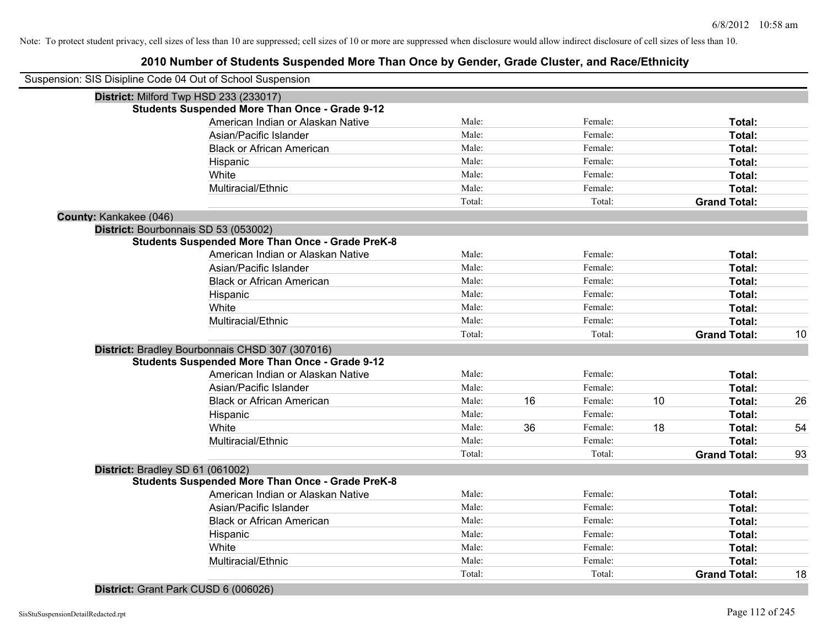| Suspension: SIS Disipline Code 04 Out of School Suspension |        |    |         |    |                     |    |
|------------------------------------------------------------|--------|----|---------|----|---------------------|----|
| District: Milford Twp HSD 233 (233017)                     |        |    |         |    |                     |    |
| <b>Students Suspended More Than Once - Grade 9-12</b>      |        |    |         |    |                     |    |
| American Indian or Alaskan Native                          | Male:  |    | Female: |    | Total:              |    |
| Asian/Pacific Islander                                     | Male:  |    | Female: |    | Total:              |    |
| <b>Black or African American</b>                           | Male:  |    | Female: |    | Total:              |    |
| Hispanic                                                   | Male:  |    | Female: |    | Total:              |    |
| White                                                      | Male:  |    | Female: |    | Total:              |    |
| Multiracial/Ethnic                                         | Male:  |    | Female: |    | Total:              |    |
|                                                            | Total: |    | Total:  |    | <b>Grand Total:</b> |    |
| County: Kankakee (046)                                     |        |    |         |    |                     |    |
| District: Bourbonnais SD 53 (053002)                       |        |    |         |    |                     |    |
| <b>Students Suspended More Than Once - Grade PreK-8</b>    |        |    |         |    |                     |    |
| American Indian or Alaskan Native                          | Male:  |    | Female: |    | Total:              |    |
| Asian/Pacific Islander                                     | Male:  |    | Female: |    | Total:              |    |
| <b>Black or African American</b>                           | Male:  |    | Female: |    | Total:              |    |
| Hispanic                                                   | Male:  |    | Female: |    | Total:              |    |
| White                                                      | Male:  |    | Female: |    | Total:              |    |
| Multiracial/Ethnic                                         | Male:  |    | Female: |    | <b>Total:</b>       |    |
|                                                            | Total: |    | Total:  |    | <b>Grand Total:</b> | 10 |
| District: Bradley Bourbonnais CHSD 307 (307016)            |        |    |         |    |                     |    |
| <b>Students Suspended More Than Once - Grade 9-12</b>      |        |    |         |    |                     |    |
| American Indian or Alaskan Native                          | Male:  |    | Female: |    | Total:              |    |
| Asian/Pacific Islander                                     | Male:  |    | Female: |    | Total:              |    |
| <b>Black or African American</b>                           | Male:  | 16 | Female: | 10 | Total:              | 26 |
| Hispanic                                                   | Male:  |    | Female: |    | Total:              |    |
| White                                                      | Male:  | 36 | Female: | 18 | Total:              | 54 |
| Multiracial/Ethnic                                         | Male:  |    | Female: |    | Total:              |    |
|                                                            | Total: |    | Total:  |    | <b>Grand Total:</b> | 93 |
| District: Bradley SD 61 (061002)                           |        |    |         |    |                     |    |
| <b>Students Suspended More Than Once - Grade PreK-8</b>    |        |    |         |    |                     |    |
| American Indian or Alaskan Native                          | Male:  |    | Female: |    | Total:              |    |
| Asian/Pacific Islander                                     | Male:  |    | Female: |    | Total:              |    |
| <b>Black or African American</b>                           | Male:  |    | Female: |    | Total:              |    |
| Hispanic                                                   | Male:  |    | Female: |    | Total:              |    |
| White                                                      | Male:  |    | Female: |    | Total:              |    |
| Multiracial/Ethnic                                         | Male:  |    | Female: |    | Total:              |    |
|                                                            | Total: |    | Total:  |    | <b>Grand Total:</b> | 18 |
|                                                            |        |    |         |    |                     |    |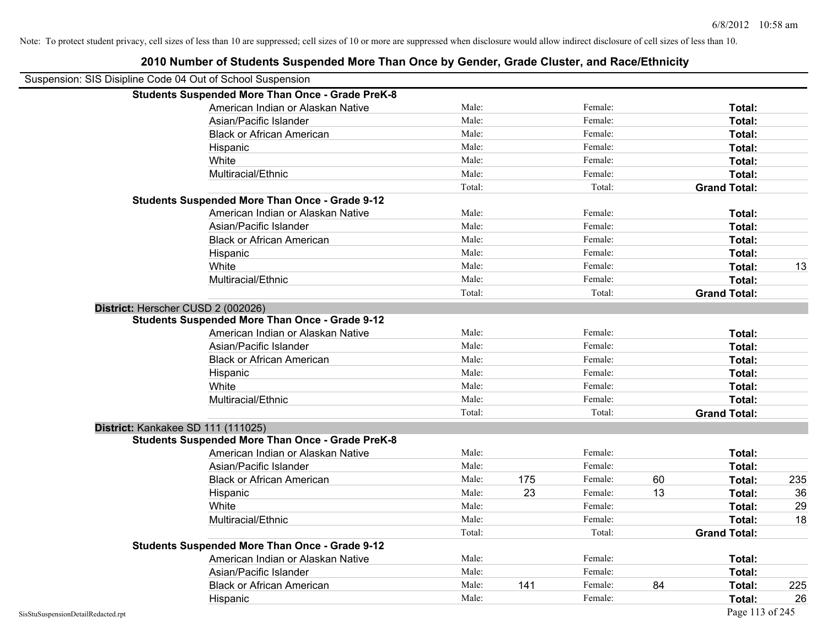| LUTU NUMBU OI OLUUGIILU OUSPONUGU MOTO THUN ONGO DY OGNUGI, OTUUG ONGOGI, UNU NUGOLLIMNON |     |
|-------------------------------------------------------------------------------------------|-----|
|                                                                                           |     |
|                                                                                           |     |
| Total:                                                                                    |     |
| Total:                                                                                    |     |
| Total:                                                                                    |     |
| Total:                                                                                    |     |
| Total:                                                                                    |     |
| Total:                                                                                    |     |
| <b>Grand Total:</b>                                                                       |     |
|                                                                                           |     |
| Total:                                                                                    |     |
| Total:                                                                                    |     |
| Total:                                                                                    |     |
| Total:                                                                                    |     |
| Total:                                                                                    | 13  |
| Total:                                                                                    |     |
| <b>Grand Total:</b>                                                                       |     |
|                                                                                           |     |
|                                                                                           |     |
| Total:                                                                                    |     |
| Total:                                                                                    |     |
| Total:                                                                                    |     |
| Total:                                                                                    |     |
| Total:                                                                                    |     |
| Total:                                                                                    |     |
| <b>Grand Total:</b>                                                                       |     |
|                                                                                           |     |
|                                                                                           |     |
| Total:                                                                                    |     |
| Total:                                                                                    |     |
| Total:                                                                                    | 235 |
| Total:                                                                                    | 36  |
| Total:                                                                                    | 29  |
| Total:                                                                                    | 18  |
| <b>Grand Total:</b>                                                                       |     |
|                                                                                           |     |
| Total:                                                                                    |     |
| Total:                                                                                    |     |
| Total:                                                                                    | 225 |
| Total:                                                                                    | 26  |
|                                                                                           |     |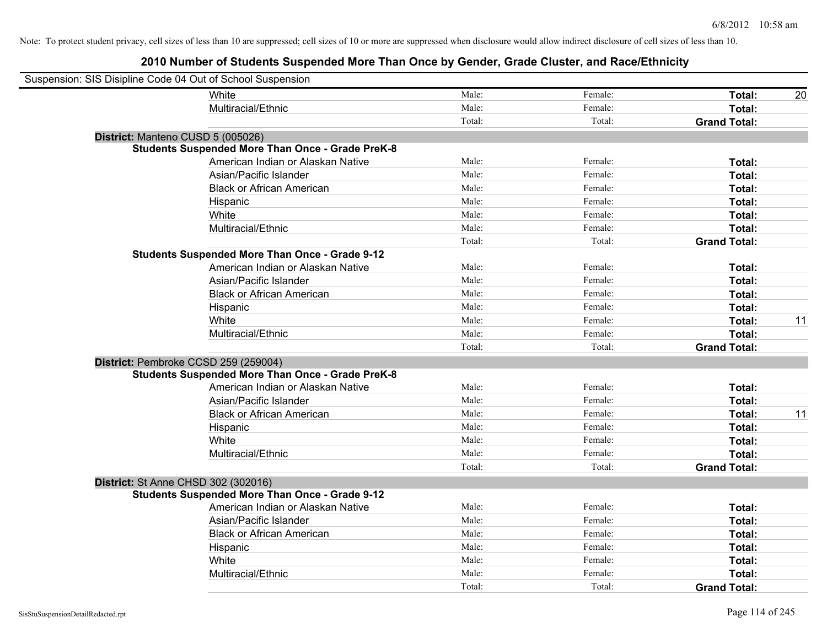| Suspension: SIS Disipline Code 04 Out of School Suspension |                                                         |        |         |                     |    |
|------------------------------------------------------------|---------------------------------------------------------|--------|---------|---------------------|----|
|                                                            | <b>White</b>                                            | Male:  | Female: | Total:              | 20 |
|                                                            | Multiracial/Ethnic                                      | Male:  | Female: | Total:              |    |
|                                                            |                                                         | Total: | Total:  | <b>Grand Total:</b> |    |
| District: Manteno CUSD 5 (005026)                          |                                                         |        |         |                     |    |
|                                                            | <b>Students Suspended More Than Once - Grade PreK-8</b> |        |         |                     |    |
|                                                            | American Indian or Alaskan Native                       | Male:  | Female: | Total:              |    |
|                                                            | Asian/Pacific Islander                                  | Male:  | Female: | Total:              |    |
|                                                            | <b>Black or African American</b>                        | Male:  | Female: | Total:              |    |
|                                                            | Hispanic                                                | Male:  | Female: | Total:              |    |
|                                                            | White                                                   | Male:  | Female: | Total:              |    |
|                                                            | Multiracial/Ethnic                                      | Male:  | Female: | Total:              |    |
|                                                            |                                                         | Total: | Total:  | <b>Grand Total:</b> |    |
|                                                            | <b>Students Suspended More Than Once - Grade 9-12</b>   |        |         |                     |    |
|                                                            | American Indian or Alaskan Native                       | Male:  | Female: | Total:              |    |
|                                                            | Asian/Pacific Islander                                  | Male:  | Female: | Total:              |    |
|                                                            | <b>Black or African American</b>                        | Male:  | Female: | Total:              |    |
|                                                            | Hispanic                                                | Male:  | Female: | Total:              |    |
|                                                            | White                                                   | Male:  | Female: | Total:              | 11 |
|                                                            | Multiracial/Ethnic                                      | Male:  | Female: | Total:              |    |
|                                                            |                                                         | Total: | Total:  | <b>Grand Total:</b> |    |
| District: Pembroke CCSD 259 (259004)                       |                                                         |        |         |                     |    |
|                                                            | <b>Students Suspended More Than Once - Grade PreK-8</b> |        |         |                     |    |
|                                                            | American Indian or Alaskan Native                       | Male:  | Female: | Total:              |    |
|                                                            | Asian/Pacific Islander                                  | Male:  | Female: | Total:              |    |
|                                                            | <b>Black or African American</b>                        | Male:  | Female: | Total:              | 11 |
|                                                            | Hispanic                                                | Male:  | Female: | Total:              |    |
|                                                            | White                                                   | Male:  | Female: | Total:              |    |
|                                                            | Multiracial/Ethnic                                      | Male:  | Female: | Total:              |    |
|                                                            |                                                         | Total: | Total:  | <b>Grand Total:</b> |    |
| District: St Anne CHSD 302 (302016)                        |                                                         |        |         |                     |    |
|                                                            | <b>Students Suspended More Than Once - Grade 9-12</b>   |        |         |                     |    |
|                                                            | American Indian or Alaskan Native                       | Male:  | Female: | Total:              |    |
|                                                            | Asian/Pacific Islander                                  | Male:  | Female: | Total:              |    |
|                                                            | <b>Black or African American</b>                        | Male:  | Female: | Total:              |    |
|                                                            | Hispanic                                                | Male:  | Female: | Total:              |    |
|                                                            | White                                                   | Male:  | Female: | Total:              |    |
|                                                            | Multiracial/Ethnic                                      | Male:  | Female: | Total:              |    |
|                                                            |                                                         | Total: | Total:  | <b>Grand Total:</b> |    |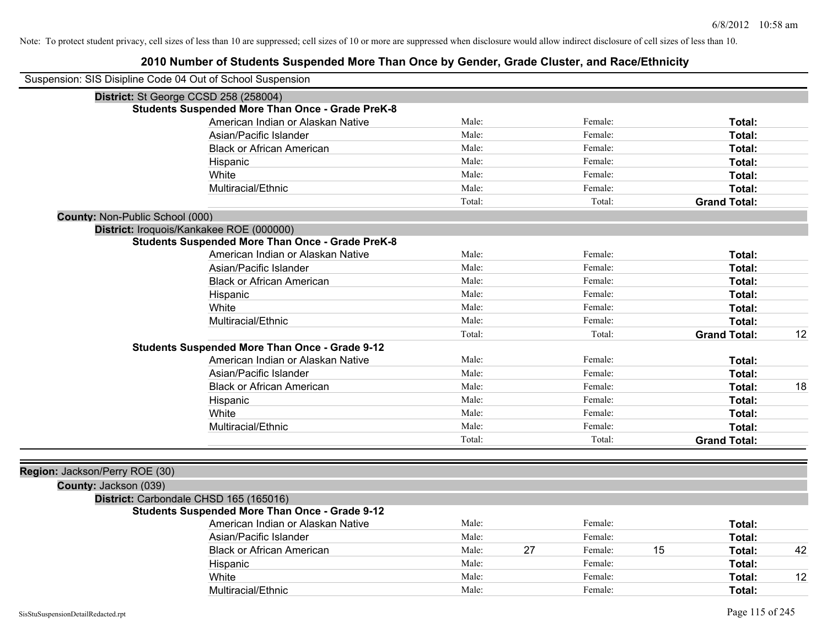| Suspension: SIS Disipline Code 04 Out of School Suspension |        |               |                     |               |
|------------------------------------------------------------|--------|---------------|---------------------|---------------|
| District: St George CCSD 258 (258004)                      |        |               |                     |               |
| <b>Students Suspended More Than Once - Grade PreK-8</b>    |        |               |                     |               |
| American Indian or Alaskan Native                          | Male:  | Female:       |                     | Total:        |
| Asian/Pacific Islander                                     | Male:  | Female:       |                     | <b>Total:</b> |
| <b>Black or African American</b>                           | Male:  | Female:       |                     | Total:        |
| Hispanic                                                   | Male:  | Female:       |                     | Total:        |
| White                                                      | Male:  | Female:       |                     | Total:        |
| Multiracial/Ethnic                                         | Male:  | Female:       |                     | Total:        |
|                                                            | Total: | Total:        | <b>Grand Total:</b> |               |
| County: Non-Public School (000)                            |        |               |                     |               |
| District: Iroquois/Kankakee ROE (000000)                   |        |               |                     |               |
| <b>Students Suspended More Than Once - Grade PreK-8</b>    |        |               |                     |               |
| American Indian or Alaskan Native                          | Male:  | Female:       |                     | Total:        |
| Asian/Pacific Islander                                     | Male:  | Female:       |                     | Total:        |
| <b>Black or African American</b>                           | Male:  | Female:       |                     | Total:        |
| Hispanic                                                   | Male:  | Female:       |                     | Total:        |
| White                                                      | Male:  | Female:       |                     | Total:        |
| Multiracial/Ethnic                                         | Male:  | Female:       |                     | Total:        |
|                                                            | Total: | Total:        | <b>Grand Total:</b> | 12            |
| <b>Students Suspended More Than Once - Grade 9-12</b>      |        |               |                     |               |
| American Indian or Alaskan Native                          | Male:  | Female:       |                     | Total:        |
| Asian/Pacific Islander                                     | Male:  | Female:       |                     | Total:        |
| <b>Black or African American</b>                           | Male:  | Female:       |                     | 18<br>Total:  |
| Hispanic                                                   | Male:  | Female:       |                     | Total:        |
| White                                                      | Male:  | Female:       |                     | Total:        |
| Multiracial/Ethnic                                         | Male:  | Female:       |                     | Total:        |
|                                                            | Total: | Total:        | <b>Grand Total:</b> |               |
|                                                            |        |               |                     |               |
| Region: Jackson/Perry ROE (30)                             |        |               |                     |               |
| County: Jackson (039)                                      |        |               |                     |               |
| District: Carbondale CHSD 165 (165016)                     |        |               |                     |               |
| <b>Students Suspended More Than Once - Grade 9-12</b>      |        |               |                     |               |
| American Indian or Alaskan Native                          | Male:  | Female:       |                     | Total:        |
| Asian/Pacific Islander                                     | Male:  | Female:       |                     | Total:        |
| <b>Black or African American</b>                           | Male:  | 27<br>Female: | 15                  | 42<br>Total:  |
| Hispanic                                                   | Male:  | Female:       |                     | Total:        |
| White                                                      | Male:  | Female:       |                     | 12<br>Total:  |
| Multiracial/Ethnic                                         | Male:  | Female:       |                     | Total:        |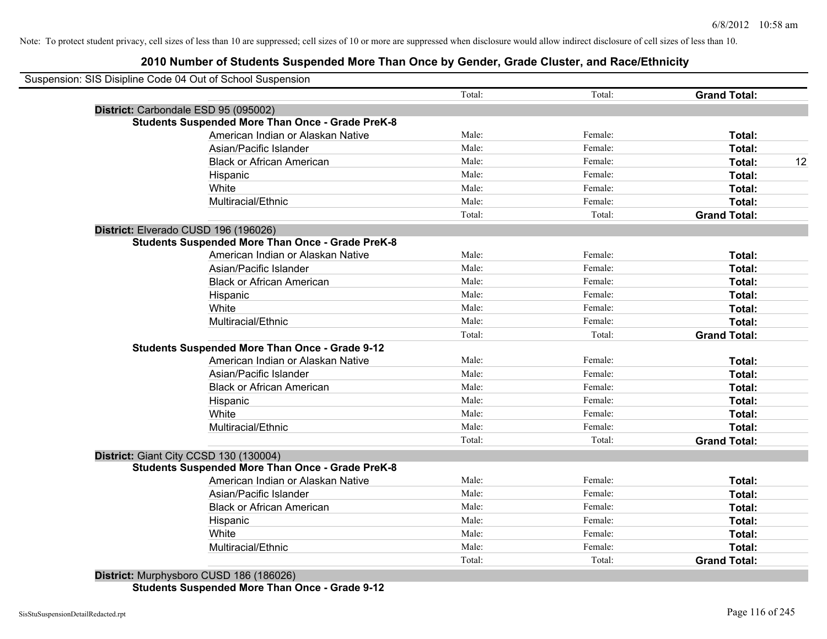# **2010 Number of Students Suspended More Than Once by Gender, Grade Cluster, and Race/Ethnicity**

|                                                         | Total: | Total:  | <b>Grand Total:</b> |
|---------------------------------------------------------|--------|---------|---------------------|
| District: Carbondale ESD 95 (095002)                    |        |         |                     |
| <b>Students Suspended More Than Once - Grade PreK-8</b> |        |         |                     |
| American Indian or Alaskan Native                       | Male:  | Female: | Total:              |
| Asian/Pacific Islander                                  | Male:  | Female: | Total:              |
| <b>Black or African American</b>                        | Male:  | Female: | Total:              |
| Hispanic                                                | Male:  | Female: | Total:              |
| White                                                   | Male:  | Female: | Total:              |
| Multiracial/Ethnic                                      | Male:  | Female: | Total:              |
|                                                         | Total: | Total:  | <b>Grand Total:</b> |
| District: Elverado CUSD 196 (196026)                    |        |         |                     |
| <b>Students Suspended More Than Once - Grade PreK-8</b> |        |         |                     |
| American Indian or Alaskan Native                       | Male:  | Female: | Total:              |
| Asian/Pacific Islander                                  | Male:  | Female: | Total:              |
| <b>Black or African American</b>                        | Male:  | Female: | Total:              |
| Hispanic                                                | Male:  | Female: | Total:              |
| White                                                   | Male:  | Female: | Total:              |
| Multiracial/Ethnic                                      | Male:  | Female: | Total:              |
|                                                         | Total: | Total:  | <b>Grand Total:</b> |
| <b>Students Suspended More Than Once - Grade 9-12</b>   |        |         |                     |
| American Indian or Alaskan Native                       | Male:  | Female: | Total:              |
| Asian/Pacific Islander                                  | Male:  | Female: | Total:              |
| <b>Black or African American</b>                        | Male:  | Female: | Total:              |
| Hispanic                                                | Male:  | Female: | Total:              |
| White                                                   | Male:  | Female: | Total:              |
| Multiracial/Ethnic                                      | Male:  | Female: | Total:              |
|                                                         | Total: | Total:  | <b>Grand Total:</b> |
| District: Giant City CCSD 130 (130004)                  |        |         |                     |
| <b>Students Suspended More Than Once - Grade PreK-8</b> |        |         |                     |
| American Indian or Alaskan Native                       | Male:  | Female: | Total:              |
| Asian/Pacific Islander                                  | Male:  | Female: | Total:              |
| <b>Black or African American</b>                        | Male:  | Female: | Total:              |
| Hispanic                                                | Male:  | Female: | Total:              |
| White                                                   | Male:  | Female: | Total:              |
| Multiracial/Ethnic                                      | Male:  | Female: | <b>Total:</b>       |
|                                                         | Total: | Total:  | <b>Grand Total:</b> |

**Students Suspended More Than Once - Grade 9-12**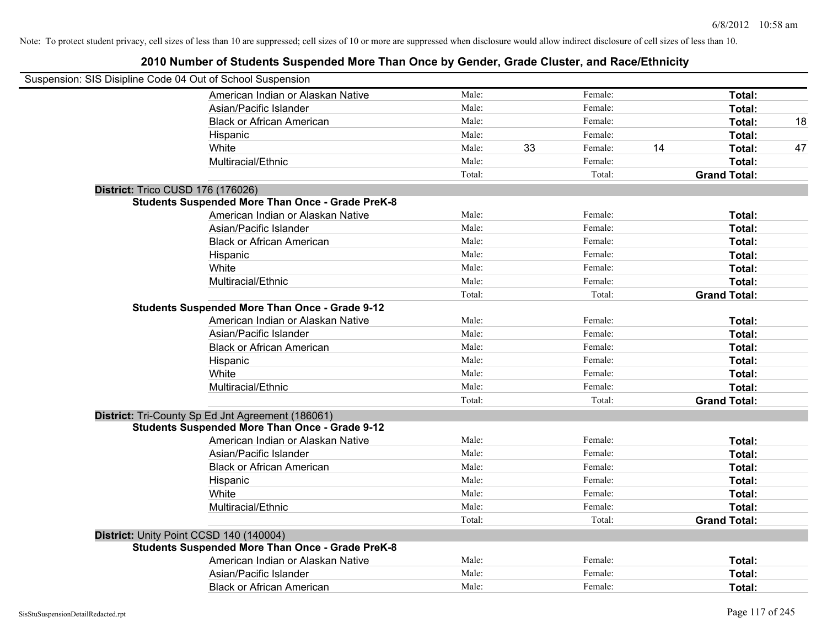| Suspension: SIS Disipline Code 04 Out of School Suspension |                                                         |        |    |         |    |                     |    |
|------------------------------------------------------------|---------------------------------------------------------|--------|----|---------|----|---------------------|----|
|                                                            | American Indian or Alaskan Native                       | Male:  |    | Female: |    | Total:              |    |
|                                                            | Asian/Pacific Islander                                  | Male:  |    | Female: |    | Total:              |    |
|                                                            | <b>Black or African American</b>                        | Male:  |    | Female: |    | Total:              | 18 |
|                                                            | Hispanic                                                | Male:  |    | Female: |    | Total:              |    |
|                                                            | White                                                   | Male:  | 33 | Female: | 14 | Total:              | 47 |
|                                                            | Multiracial/Ethnic                                      | Male:  |    | Female: |    | Total:              |    |
|                                                            |                                                         | Total: |    | Total:  |    | <b>Grand Total:</b> |    |
| District: Trico CUSD 176 (176026)                          |                                                         |        |    |         |    |                     |    |
|                                                            | <b>Students Suspended More Than Once - Grade PreK-8</b> |        |    |         |    |                     |    |
|                                                            | American Indian or Alaskan Native                       | Male:  |    | Female: |    | Total:              |    |
|                                                            | Asian/Pacific Islander                                  | Male:  |    | Female: |    | Total:              |    |
|                                                            | <b>Black or African American</b>                        | Male:  |    | Female: |    | Total:              |    |
|                                                            | Hispanic                                                | Male:  |    | Female: |    | Total:              |    |
|                                                            | White                                                   | Male:  |    | Female: |    | Total:              |    |
|                                                            | Multiracial/Ethnic                                      | Male:  |    | Female: |    | Total:              |    |
|                                                            |                                                         | Total: |    | Total:  |    | <b>Grand Total:</b> |    |
|                                                            | <b>Students Suspended More Than Once - Grade 9-12</b>   |        |    |         |    |                     |    |
|                                                            | American Indian or Alaskan Native                       | Male:  |    | Female: |    | Total:              |    |
|                                                            | Asian/Pacific Islander                                  | Male:  |    | Female: |    | Total:              |    |
|                                                            | <b>Black or African American</b>                        | Male:  |    | Female: |    | Total:              |    |
|                                                            | Hispanic                                                | Male:  |    | Female: |    | Total:              |    |
|                                                            | White                                                   | Male:  |    | Female: |    | Total:              |    |
|                                                            | Multiracial/Ethnic                                      | Male:  |    | Female: |    | Total:              |    |
|                                                            |                                                         | Total: |    | Total:  |    | <b>Grand Total:</b> |    |
|                                                            | District: Tri-County Sp Ed Jnt Agreement (186061)       |        |    |         |    |                     |    |
|                                                            | <b>Students Suspended More Than Once - Grade 9-12</b>   |        |    |         |    |                     |    |
|                                                            | American Indian or Alaskan Native                       | Male:  |    | Female: |    | Total:              |    |
|                                                            | Asian/Pacific Islander                                  | Male:  |    | Female: |    | Total:              |    |
|                                                            | <b>Black or African American</b>                        | Male:  |    | Female: |    | Total:              |    |
|                                                            | Hispanic                                                | Male:  |    | Female: |    | Total:              |    |
|                                                            | White                                                   | Male:  |    | Female: |    | Total:              |    |
|                                                            | Multiracial/Ethnic                                      | Male:  |    | Female: |    | Total:              |    |
|                                                            |                                                         | Total: |    | Total:  |    | <b>Grand Total:</b> |    |
| District: Unity Point CCSD 140 (140004)                    |                                                         |        |    |         |    |                     |    |
|                                                            | <b>Students Suspended More Than Once - Grade PreK-8</b> |        |    |         |    |                     |    |
|                                                            | American Indian or Alaskan Native                       | Male:  |    | Female: |    | Total:              |    |
|                                                            | Asian/Pacific Islander                                  | Male:  |    | Female: |    | Total:              |    |
|                                                            | <b>Black or African American</b>                        | Male:  |    | Female: |    | Total:              |    |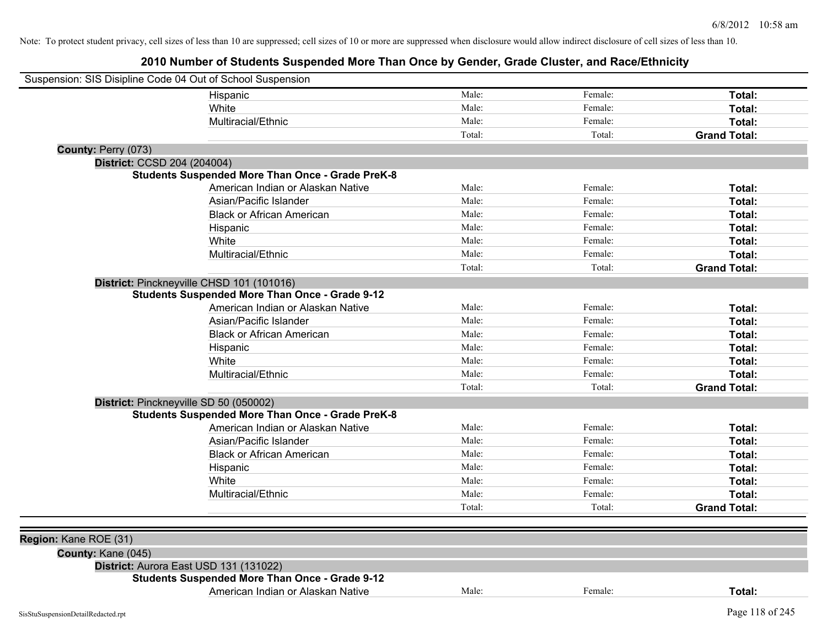| Suspension: SIS Disipline Code 04 Out of School Suspension |                                                         |        |         |                     |
|------------------------------------------------------------|---------------------------------------------------------|--------|---------|---------------------|
|                                                            | Hispanic                                                | Male:  | Female: | Total:              |
|                                                            | White                                                   | Male:  | Female: | Total:              |
|                                                            | Multiracial/Ethnic                                      | Male:  | Female: | Total:              |
|                                                            |                                                         | Total: | Total:  | <b>Grand Total:</b> |
| County: Perry (073)                                        |                                                         |        |         |                     |
| District: CCSD 204 (204004)                                |                                                         |        |         |                     |
|                                                            | <b>Students Suspended More Than Once - Grade PreK-8</b> |        |         |                     |
|                                                            | American Indian or Alaskan Native                       | Male:  | Female: | Total:              |
|                                                            | Asian/Pacific Islander                                  | Male:  | Female: | Total:              |
|                                                            | <b>Black or African American</b>                        | Male:  | Female: | Total:              |
|                                                            | Hispanic                                                | Male:  | Female: | Total:              |
|                                                            | White                                                   | Male:  | Female: | Total:              |
|                                                            | Multiracial/Ethnic                                      | Male:  | Female: | Total:              |
|                                                            |                                                         | Total: | Total:  | <b>Grand Total:</b> |
|                                                            | District: Pinckneyville CHSD 101 (101016)               |        |         |                     |
|                                                            | <b>Students Suspended More Than Once - Grade 9-12</b>   |        |         |                     |
|                                                            | American Indian or Alaskan Native                       | Male:  | Female: | Total:              |
|                                                            | Asian/Pacific Islander                                  | Male:  | Female: | Total:              |
|                                                            | <b>Black or African American</b>                        | Male:  | Female: | Total:              |
|                                                            | Hispanic                                                | Male:  | Female: | Total:              |
|                                                            | White                                                   | Male:  | Female: | Total:              |
|                                                            | Multiracial/Ethnic                                      | Male:  | Female: | Total:              |
|                                                            |                                                         | Total: | Total:  | <b>Grand Total:</b> |
|                                                            | District: Pinckneyville SD 50 (050002)                  |        |         |                     |
|                                                            | <b>Students Suspended More Than Once - Grade PreK-8</b> |        |         |                     |
|                                                            | American Indian or Alaskan Native                       | Male:  | Female: | Total:              |
|                                                            | Asian/Pacific Islander                                  | Male:  | Female: | Total:              |
|                                                            | <b>Black or African American</b>                        | Male:  | Female: | Total:              |
|                                                            | Hispanic                                                | Male:  | Female: | Total:              |
|                                                            | White                                                   | Male:  | Female: | Total:              |
|                                                            | Multiracial/Ethnic                                      | Male:  | Female: | Total:              |
|                                                            |                                                         | Total: | Total:  | <b>Grand Total:</b> |
|                                                            |                                                         |        |         |                     |
| Region: Kane ROE (31)                                      |                                                         |        |         |                     |
| County: Kane (045)                                         |                                                         |        |         |                     |
|                                                            | District: Aurora East USD 131 (131022)                  |        |         |                     |
|                                                            | <b>Students Suspended More Than Once - Grade 9-12</b>   |        |         |                     |
|                                                            | American Indian or Alaskan Native                       | Male:  | Female: | Total:              |
| SisStuSuspensionDetailRedacted.rpt                         |                                                         |        |         | Page 118 of 245     |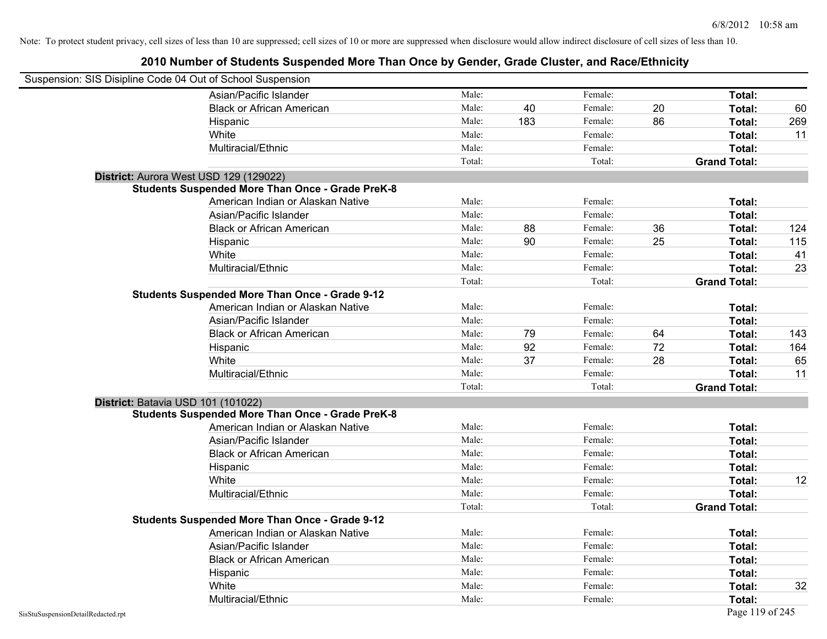| Suspension: SIS Disipline Code 04 Out of School Suspension |                                                         |        |     |         |    |                     |     |
|------------------------------------------------------------|---------------------------------------------------------|--------|-----|---------|----|---------------------|-----|
|                                                            | Asian/Pacific Islander                                  | Male:  |     | Female: |    | Total:              |     |
|                                                            | <b>Black or African American</b>                        | Male:  | 40  | Female: | 20 | Total:              | 60  |
|                                                            | Hispanic                                                | Male:  | 183 | Female: | 86 | Total:              | 269 |
|                                                            | White                                                   | Male:  |     | Female: |    | Total:              | 11  |
|                                                            | Multiracial/Ethnic                                      | Male:  |     | Female: |    | Total:              |     |
|                                                            |                                                         | Total: |     | Total:  |    | <b>Grand Total:</b> |     |
|                                                            | District: Aurora West USD 129 (129022)                  |        |     |         |    |                     |     |
|                                                            | <b>Students Suspended More Than Once - Grade PreK-8</b> |        |     |         |    |                     |     |
|                                                            | American Indian or Alaskan Native                       | Male:  |     | Female: |    | Total:              |     |
|                                                            | Asian/Pacific Islander                                  | Male:  |     | Female: |    | Total:              |     |
|                                                            | <b>Black or African American</b>                        | Male:  | 88  | Female: | 36 | Total:              | 124 |
|                                                            | Hispanic                                                | Male:  | 90  | Female: | 25 | Total:              | 115 |
|                                                            | White                                                   | Male:  |     | Female: |    | Total:              | 41  |
|                                                            | Multiracial/Ethnic                                      | Male:  |     | Female: |    | Total:              | 23  |
|                                                            |                                                         | Total: |     | Total:  |    | <b>Grand Total:</b> |     |
|                                                            | <b>Students Suspended More Than Once - Grade 9-12</b>   |        |     |         |    |                     |     |
|                                                            | American Indian or Alaskan Native                       | Male:  |     | Female: |    | Total:              |     |
|                                                            | Asian/Pacific Islander                                  | Male:  |     | Female: |    | Total:              |     |
|                                                            | <b>Black or African American</b>                        | Male:  | 79  | Female: | 64 | Total:              | 143 |
|                                                            | Hispanic                                                | Male:  | 92  | Female: | 72 | Total:              | 164 |
|                                                            | White                                                   | Male:  | 37  | Female: | 28 | Total:              | 65  |
|                                                            | Multiracial/Ethnic                                      | Male:  |     | Female: |    | Total:              | 11  |
|                                                            |                                                         | Total: |     | Total:  |    | <b>Grand Total:</b> |     |
|                                                            | District: Batavia USD 101 (101022)                      |        |     |         |    |                     |     |
|                                                            | <b>Students Suspended More Than Once - Grade PreK-8</b> |        |     |         |    |                     |     |
|                                                            | American Indian or Alaskan Native                       | Male:  |     | Female: |    | Total:              |     |
|                                                            | Asian/Pacific Islander                                  | Male:  |     | Female: |    | Total:              |     |
|                                                            | <b>Black or African American</b>                        | Male:  |     | Female: |    | Total:              |     |
|                                                            | Hispanic                                                | Male:  |     | Female: |    | Total:              |     |
|                                                            | White                                                   | Male:  |     | Female: |    | Total:              | 12  |
|                                                            | Multiracial/Ethnic                                      | Male:  |     | Female: |    | Total:              |     |
|                                                            |                                                         | Total: |     | Total:  |    | <b>Grand Total:</b> |     |
|                                                            | <b>Students Suspended More Than Once - Grade 9-12</b>   |        |     |         |    |                     |     |
|                                                            | American Indian or Alaskan Native                       | Male:  |     | Female: |    | Total:              |     |
|                                                            | Asian/Pacific Islander                                  | Male:  |     | Female: |    | Total:              |     |
|                                                            | <b>Black or African American</b>                        | Male:  |     | Female: |    | Total:              |     |
|                                                            | Hispanic                                                | Male:  |     | Female: |    | Total:              |     |
|                                                            | White                                                   | Male:  |     | Female: |    | Total:              | 32  |
|                                                            | Multiracial/Ethnic                                      | Male:  |     | Female: |    | Total:              |     |
| SisStuSuspensionDetailRedacted.rpt                         |                                                         |        |     |         |    | Page 119 of 245     |     |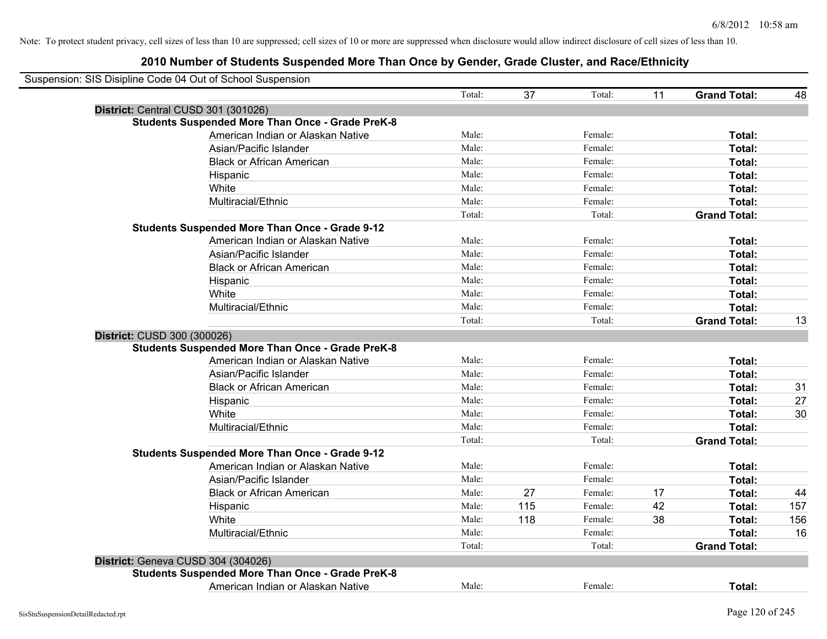| Suspension: SIS Disipline Code 04 Out of School Suspension |        |     |               |    |                     |     |
|------------------------------------------------------------|--------|-----|---------------|----|---------------------|-----|
|                                                            | Total: |     | 37<br>Total:  | 11 | <b>Grand Total:</b> | 48  |
| District: Central CUSD 301 (301026)                        |        |     |               |    |                     |     |
| <b>Students Suspended More Than Once - Grade PreK-8</b>    |        |     |               |    |                     |     |
| American Indian or Alaskan Native                          | Male:  |     | Female:       |    | Total:              |     |
| Asian/Pacific Islander                                     | Male:  |     | Female:       |    | Total:              |     |
| <b>Black or African American</b>                           | Male:  |     | Female:       |    | Total:              |     |
| Hispanic                                                   | Male:  |     | Female:       |    | Total:              |     |
| White                                                      | Male:  |     | Female:       |    | Total:              |     |
| Multiracial/Ethnic                                         | Male:  |     | Female:       |    | Total:              |     |
|                                                            | Total: |     | Total:        |    | <b>Grand Total:</b> |     |
| <b>Students Suspended More Than Once - Grade 9-12</b>      |        |     |               |    |                     |     |
| American Indian or Alaskan Native                          | Male:  |     | Female:       |    | Total:              |     |
| Asian/Pacific Islander                                     | Male:  |     | Female:       |    | Total:              |     |
| <b>Black or African American</b>                           | Male:  |     | Female:       |    | Total:              |     |
| Hispanic                                                   | Male:  |     | Female:       |    | Total:              |     |
| White                                                      | Male:  |     | Female:       |    | Total:              |     |
| Multiracial/Ethnic                                         | Male:  |     | Female:       |    | Total:              |     |
|                                                            | Total: |     | Total:        |    | <b>Grand Total:</b> | 13  |
| District: CUSD 300 (300026)                                |        |     |               |    |                     |     |
| <b>Students Suspended More Than Once - Grade PreK-8</b>    |        |     |               |    |                     |     |
| American Indian or Alaskan Native                          | Male:  |     | Female:       |    | Total:              |     |
| Asian/Pacific Islander                                     | Male:  |     | Female:       |    | Total:              |     |
| <b>Black or African American</b>                           | Male:  |     | Female:       |    | Total:              | 31  |
| Hispanic                                                   | Male:  |     | Female:       |    | Total:              | 27  |
| White                                                      | Male:  |     | Female:       |    | Total:              | 30  |
| Multiracial/Ethnic                                         | Male:  |     | Female:       |    | Total:              |     |
|                                                            | Total: |     | Total:        |    | <b>Grand Total:</b> |     |
| <b>Students Suspended More Than Once - Grade 9-12</b>      |        |     |               |    |                     |     |
| American Indian or Alaskan Native                          | Male:  |     | Female:       |    | Total:              |     |
| Asian/Pacific Islander                                     | Male:  |     | Female:       |    | Total:              |     |
| <b>Black or African American</b>                           | Male:  |     | 27<br>Female: | 17 | Total:              | 44  |
| Hispanic                                                   | Male:  | 115 | Female:       | 42 | Total:              | 157 |
| White                                                      | Male:  | 118 | Female:       | 38 | Total:              | 156 |
| Multiracial/Ethnic                                         | Male:  |     | Female:       |    | Total:              | 16  |
|                                                            | Total: |     | Total:        |    | <b>Grand Total:</b> |     |
| District: Geneva CUSD 304 (304026)                         |        |     |               |    |                     |     |
| <b>Students Suspended More Than Once - Grade PreK-8</b>    |        |     |               |    |                     |     |
| American Indian or Alaskan Native                          | Male:  |     | Female:       |    | Total:              |     |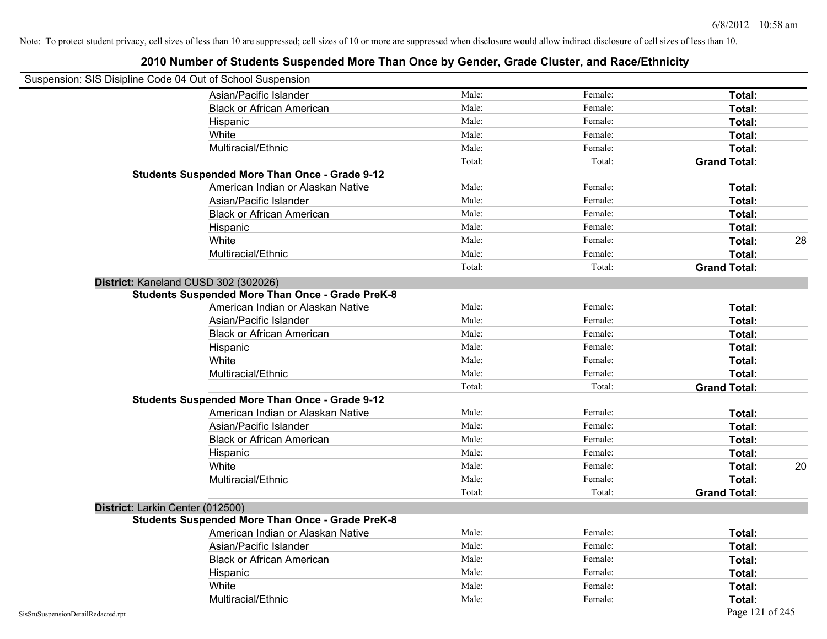| Suspension: SIS Disipline Code 04 Out of School Suspension |                                                         |        |         |                     |    |
|------------------------------------------------------------|---------------------------------------------------------|--------|---------|---------------------|----|
|                                                            | Asian/Pacific Islander                                  | Male:  | Female: | Total:              |    |
|                                                            | <b>Black or African American</b>                        | Male:  | Female: | Total:              |    |
|                                                            | Hispanic                                                | Male:  | Female: | Total:              |    |
|                                                            | White                                                   | Male:  | Female: | Total:              |    |
|                                                            | Multiracial/Ethnic                                      | Male:  | Female: | Total:              |    |
|                                                            |                                                         | Total: | Total:  | <b>Grand Total:</b> |    |
|                                                            | <b>Students Suspended More Than Once - Grade 9-12</b>   |        |         |                     |    |
|                                                            | American Indian or Alaskan Native                       | Male:  | Female: | Total:              |    |
|                                                            | Asian/Pacific Islander                                  | Male:  | Female: | Total:              |    |
|                                                            | <b>Black or African American</b>                        | Male:  | Female: | Total:              |    |
|                                                            | Hispanic                                                | Male:  | Female: | Total:              |    |
|                                                            | White                                                   | Male:  | Female: | Total:              | 28 |
|                                                            | Multiracial/Ethnic                                      | Male:  | Female: | Total:              |    |
|                                                            |                                                         | Total: | Total:  | <b>Grand Total:</b> |    |
|                                                            | District: Kaneland CUSD 302 (302026)                    |        |         |                     |    |
|                                                            | Students Suspended More Than Once - Grade PreK-8        |        |         |                     |    |
|                                                            | American Indian or Alaskan Native                       | Male:  | Female: | Total:              |    |
|                                                            | Asian/Pacific Islander                                  | Male:  | Female: | Total:              |    |
|                                                            | <b>Black or African American</b>                        | Male:  | Female: | Total:              |    |
|                                                            | Hispanic                                                | Male:  | Female: | Total:              |    |
|                                                            | White                                                   | Male:  | Female: | Total:              |    |
|                                                            | Multiracial/Ethnic                                      | Male:  | Female: | Total:              |    |
|                                                            |                                                         | Total: | Total:  | <b>Grand Total:</b> |    |
|                                                            | <b>Students Suspended More Than Once - Grade 9-12</b>   |        |         |                     |    |
|                                                            | American Indian or Alaskan Native                       | Male:  | Female: | Total:              |    |
|                                                            | Asian/Pacific Islander                                  | Male:  | Female: | Total:              |    |
|                                                            | <b>Black or African American</b>                        | Male:  | Female: | Total:              |    |
|                                                            | Hispanic                                                | Male:  | Female: | Total:              |    |
|                                                            | White                                                   | Male:  | Female: | Total:              | 20 |
|                                                            | Multiracial/Ethnic                                      | Male:  | Female: | Total:              |    |
|                                                            |                                                         | Total: | Total:  | <b>Grand Total:</b> |    |
| District: Larkin Center (012500)                           |                                                         |        |         |                     |    |
|                                                            | <b>Students Suspended More Than Once - Grade PreK-8</b> |        |         |                     |    |
|                                                            | American Indian or Alaskan Native                       | Male:  | Female: | Total:              |    |
|                                                            | Asian/Pacific Islander                                  | Male:  | Female: | Total:              |    |
|                                                            | <b>Black or African American</b>                        | Male:  | Female: | Total:              |    |
|                                                            | Hispanic                                                | Male:  | Female: | Total:              |    |
|                                                            | White                                                   | Male:  | Female: | Total:              |    |
|                                                            | Multiracial/Ethnic                                      | Male:  | Female: | Total:              |    |
| SisStuSuspensionDetailRedacted.rpt                         |                                                         |        |         | Page 121 of 245     |    |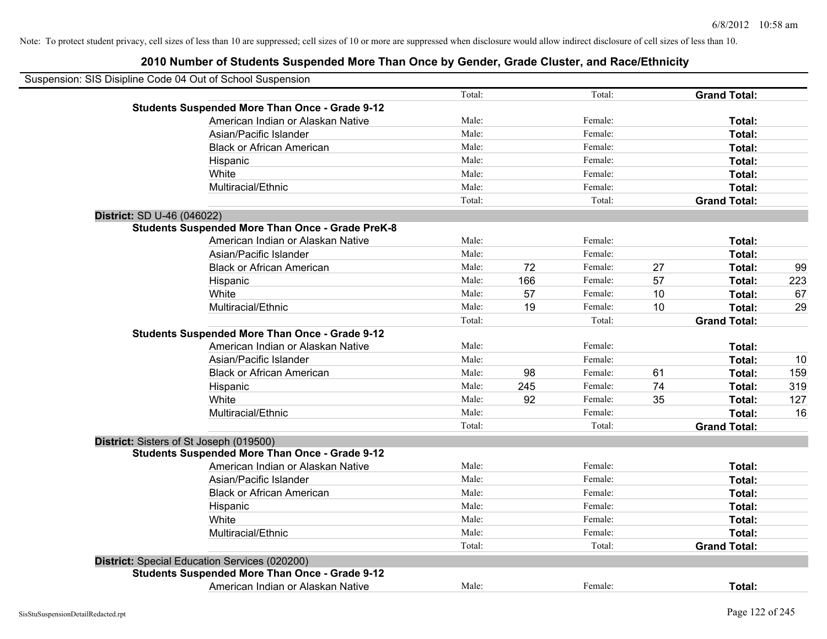| Suspension: SIS Disipline Code 04 Out of School Suspension |        |     |         |    |                     |     |
|------------------------------------------------------------|--------|-----|---------|----|---------------------|-----|
|                                                            | Total: |     | Total:  |    | <b>Grand Total:</b> |     |
| <b>Students Suspended More Than Once - Grade 9-12</b>      |        |     |         |    |                     |     |
| American Indian or Alaskan Native                          | Male:  |     | Female: |    | Total:              |     |
| Asian/Pacific Islander                                     | Male:  |     | Female: |    | Total:              |     |
| <b>Black or African American</b>                           | Male:  |     | Female: |    | Total:              |     |
| Hispanic                                                   | Male:  |     | Female: |    | Total:              |     |
| White                                                      | Male:  |     | Female: |    | Total:              |     |
| Multiracial/Ethnic                                         | Male:  |     | Female: |    | Total:              |     |
|                                                            | Total: |     | Total:  |    | <b>Grand Total:</b> |     |
| District: SD U-46 (046022)                                 |        |     |         |    |                     |     |
| <b>Students Suspended More Than Once - Grade PreK-8</b>    |        |     |         |    |                     |     |
| American Indian or Alaskan Native                          | Male:  |     | Female: |    | Total:              |     |
| Asian/Pacific Islander                                     | Male:  |     | Female: |    | Total:              |     |
| <b>Black or African American</b>                           | Male:  | 72  | Female: | 27 | Total:              | 99  |
| Hispanic                                                   | Male:  | 166 | Female: | 57 | Total:              | 223 |
| White                                                      | Male:  | 57  | Female: | 10 | Total:              | 67  |
| Multiracial/Ethnic                                         | Male:  | 19  | Female: | 10 | Total:              | 29  |
|                                                            | Total: |     | Total:  |    | <b>Grand Total:</b> |     |
| <b>Students Suspended More Than Once - Grade 9-12</b>      |        |     |         |    |                     |     |
| American Indian or Alaskan Native                          | Male:  |     | Female: |    | Total:              |     |
| Asian/Pacific Islander                                     | Male:  |     | Female: |    | Total:              | 10  |
| <b>Black or African American</b>                           | Male:  | 98  | Female: | 61 | Total:              | 159 |
| Hispanic                                                   | Male:  | 245 | Female: | 74 | Total:              | 319 |
| White                                                      | Male:  | 92  | Female: | 35 | Total:              | 127 |
| Multiracial/Ethnic                                         | Male:  |     | Female: |    | Total:              | 16  |
|                                                            | Total: |     | Total:  |    | <b>Grand Total:</b> |     |
| District: Sisters of St Joseph (019500)                    |        |     |         |    |                     |     |
| <b>Students Suspended More Than Once - Grade 9-12</b>      |        |     |         |    |                     |     |
| American Indian or Alaskan Native                          | Male:  |     | Female: |    | Total:              |     |
| Asian/Pacific Islander                                     | Male:  |     | Female: |    | Total:              |     |
| <b>Black or African American</b>                           | Male:  |     | Female: |    | Total:              |     |
| Hispanic                                                   | Male:  |     | Female: |    | Total:              |     |
| White                                                      | Male:  |     | Female: |    | Total:              |     |
| Multiracial/Ethnic                                         | Male:  |     | Female: |    | Total:              |     |
|                                                            | Total: |     | Total:  |    | <b>Grand Total:</b> |     |
| District: Special Education Services (020200)              |        |     |         |    |                     |     |
| <b>Students Suspended More Than Once - Grade 9-12</b>      |        |     |         |    |                     |     |
| American Indian or Alaskan Native                          | Male:  |     | Female: |    | Total:              |     |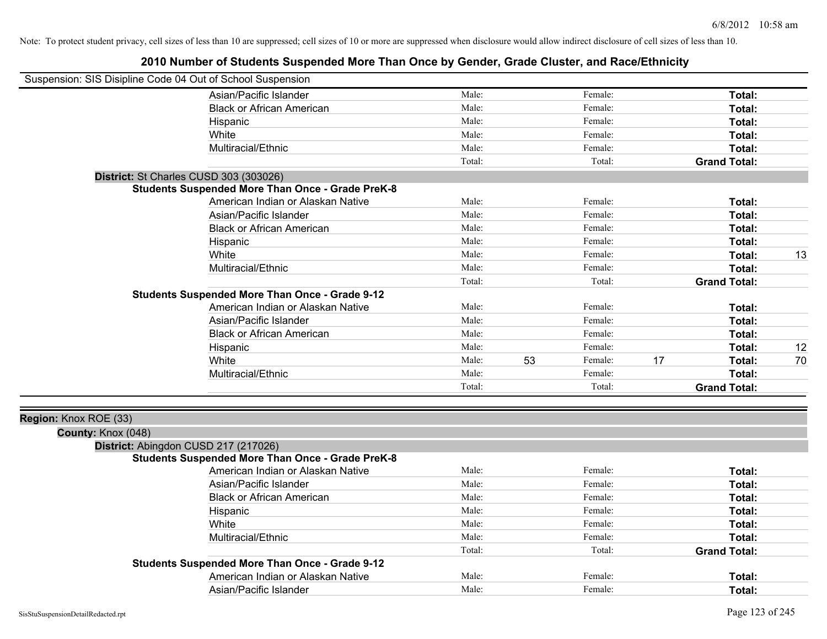| Asian/Pacific Islander<br>Male:<br>Female:<br>Total:<br>Male:<br>Female:<br><b>Black or African American</b><br>Total: |
|------------------------------------------------------------------------------------------------------------------------|
|                                                                                                                        |
|                                                                                                                        |
| Male:<br>Female:<br>Total:<br>Hispanic                                                                                 |
| Male:<br>Female:<br>White<br>Total:                                                                                    |
| Male:<br>Multiracial/Ethnic<br>Female:<br>Total:                                                                       |
| Total:<br>Total:<br><b>Grand Total:</b>                                                                                |
| District: St Charles CUSD 303 (303026)                                                                                 |
| <b>Students Suspended More Than Once - Grade PreK-8</b>                                                                |
| American Indian or Alaskan Native<br>Male:<br>Female:<br>Total:                                                        |
| Asian/Pacific Islander<br>Male:<br>Female:<br>Total:                                                                   |
| Male:<br><b>Black or African American</b><br>Female:<br>Total:                                                         |
| Male:<br>Female:<br>Total:<br>Hispanic                                                                                 |
| Male:<br>13<br>White<br>Female:<br>Total:                                                                              |
| Male:<br>Multiracial/Ethnic<br>Female:<br>Total:                                                                       |
| Total:<br>Total:<br><b>Grand Total:</b>                                                                                |
| <b>Students Suspended More Than Once - Grade 9-12</b>                                                                  |
| American Indian or Alaskan Native<br>Male:<br>Female:<br>Total:                                                        |
| Asian/Pacific Islander<br>Male:<br>Female:<br>Total:                                                                   |
| <b>Black or African American</b><br>Male:<br>Female:<br>Total:                                                         |
| Male:<br>Female:<br>12<br>Hispanic<br>Total:                                                                           |
| Male:<br>53<br>17<br>White<br>Female:<br>70<br>Total:                                                                  |
| Male:<br>Multiracial/Ethnic<br>Female:<br>Total:                                                                       |
| Total:<br>Total:<br><b>Grand Total:</b>                                                                                |
|                                                                                                                        |
| Region: Knox ROE (33)                                                                                                  |
| County: Knox (048)                                                                                                     |
| District: Abingdon CUSD 217 (217026)                                                                                   |
| <b>Students Suspended More Than Once - Grade PreK-8</b>                                                                |
| American Indian or Alaskan Native<br>Male:<br>Female:<br>Total:                                                        |
| Asian/Pacific Islander<br>Male:<br>Female:<br>Total:                                                                   |
| Male:<br><b>Black or African American</b><br>Female:<br>Total:                                                         |
| Male:<br>Female:<br>Total:<br>Hispanic                                                                                 |
| White<br>Male:<br>Female:<br>Total:                                                                                    |
| Multiracial/Ethnic<br>Male:<br>Female:<br>Total:                                                                       |
| Total:<br>Total:<br><b>Grand Total:</b>                                                                                |
| <b>Students Suspended More Than Once - Grade 9-12</b>                                                                  |
| American Indian or Alaskan Native<br>Male:<br>Female:<br><b>Total:</b>                                                 |
| Asian/Pacific Islander<br>Male:<br>Female:<br>Total:                                                                   |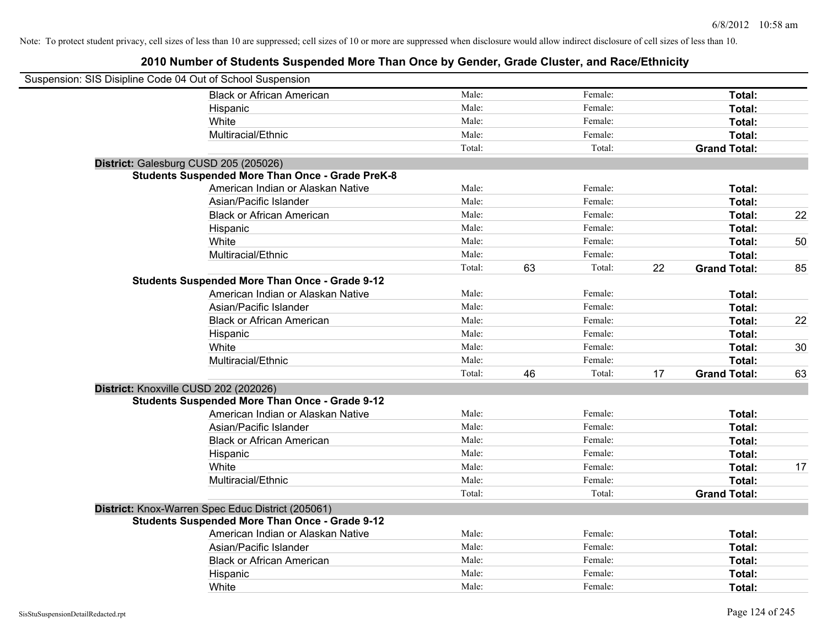| Suspension: SIS Disipline Code 04 Out of School Suspension |                                                         |        |    |         |    |                     |    |
|------------------------------------------------------------|---------------------------------------------------------|--------|----|---------|----|---------------------|----|
|                                                            | <b>Black or African American</b>                        | Male:  |    | Female: |    | Total:              |    |
|                                                            | Hispanic                                                | Male:  |    | Female: |    | Total:              |    |
|                                                            | White                                                   | Male:  |    | Female: |    | Total:              |    |
|                                                            | Multiracial/Ethnic                                      | Male:  |    | Female: |    | Total:              |    |
|                                                            |                                                         | Total: |    | Total:  |    | <b>Grand Total:</b> |    |
| District: Galesburg CUSD 205 (205026)                      |                                                         |        |    |         |    |                     |    |
|                                                            | <b>Students Suspended More Than Once - Grade PreK-8</b> |        |    |         |    |                     |    |
|                                                            | American Indian or Alaskan Native                       | Male:  |    | Female: |    | Total:              |    |
|                                                            | Asian/Pacific Islander                                  | Male:  |    | Female: |    | Total:              |    |
|                                                            | <b>Black or African American</b>                        | Male:  |    | Female: |    | Total:              | 22 |
|                                                            | Hispanic                                                | Male:  |    | Female: |    | Total:              |    |
|                                                            | White                                                   | Male:  |    | Female: |    | Total:              | 50 |
|                                                            | Multiracial/Ethnic                                      | Male:  |    | Female: |    | Total:              |    |
|                                                            |                                                         | Total: | 63 | Total:  | 22 | <b>Grand Total:</b> | 85 |
|                                                            | <b>Students Suspended More Than Once - Grade 9-12</b>   |        |    |         |    |                     |    |
|                                                            | American Indian or Alaskan Native                       | Male:  |    | Female: |    | Total:              |    |
|                                                            | Asian/Pacific Islander                                  | Male:  |    | Female: |    | Total:              |    |
|                                                            | <b>Black or African American</b>                        | Male:  |    | Female: |    | Total:              | 22 |
|                                                            | Hispanic                                                | Male:  |    | Female: |    | Total:              |    |
|                                                            | White                                                   | Male:  |    | Female: |    | Total:              | 30 |
|                                                            | Multiracial/Ethnic                                      | Male:  |    | Female: |    | Total:              |    |
|                                                            |                                                         | Total: | 46 | Total:  | 17 | <b>Grand Total:</b> | 63 |
| District: Knoxville CUSD 202 (202026)                      |                                                         |        |    |         |    |                     |    |
|                                                            | <b>Students Suspended More Than Once - Grade 9-12</b>   |        |    |         |    |                     |    |
|                                                            | American Indian or Alaskan Native                       | Male:  |    | Female: |    | Total:              |    |
|                                                            | Asian/Pacific Islander                                  | Male:  |    | Female: |    | Total:              |    |
|                                                            | <b>Black or African American</b>                        | Male:  |    | Female: |    | Total:              |    |
|                                                            | Hispanic                                                | Male:  |    | Female: |    | Total:              |    |
|                                                            | White                                                   | Male:  |    | Female: |    | Total:              | 17 |
|                                                            | Multiracial/Ethnic                                      | Male:  |    | Female: |    | Total:              |    |
|                                                            |                                                         | Total: |    | Total:  |    | <b>Grand Total:</b> |    |
|                                                            | District: Knox-Warren Spec Educ District (205061)       |        |    |         |    |                     |    |
|                                                            | <b>Students Suspended More Than Once - Grade 9-12</b>   |        |    |         |    |                     |    |
|                                                            | American Indian or Alaskan Native                       | Male:  |    | Female: |    | Total:              |    |
|                                                            | Asian/Pacific Islander                                  | Male:  |    | Female: |    | Total:              |    |
|                                                            | <b>Black or African American</b>                        | Male:  |    | Female: |    | Total:              |    |
|                                                            | Hispanic                                                | Male:  |    | Female: |    | Total:              |    |
|                                                            | White                                                   | Male:  |    | Female: |    | Total:              |    |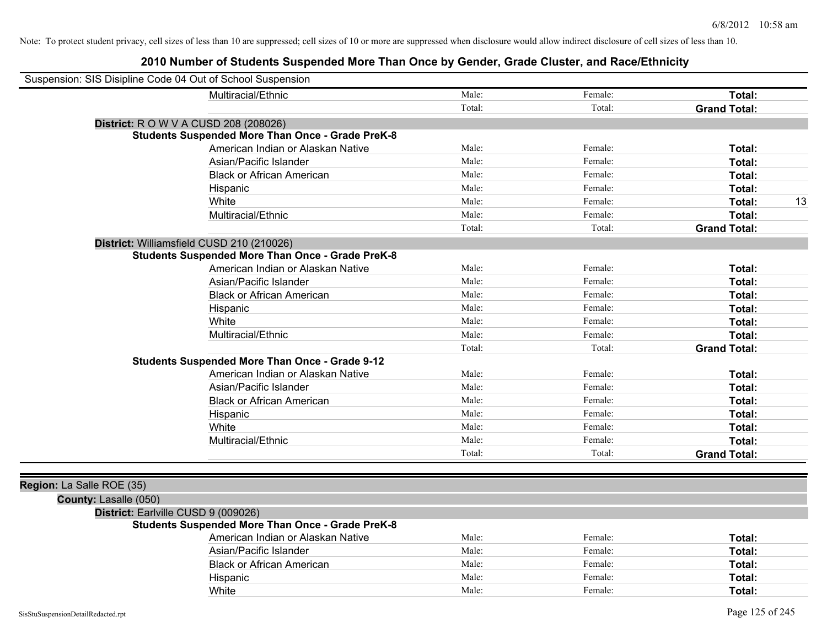|                           | Suspension: SIS Disipline Code 04 Out of School Suspension |        |         |                     |
|---------------------------|------------------------------------------------------------|--------|---------|---------------------|
|                           | Multiracial/Ethnic                                         | Male:  | Female: | Total:              |
|                           |                                                            | Total: | Total:  | <b>Grand Total:</b> |
|                           | <b>District:</b> R O W V A CUSD 208 (208026)               |        |         |                     |
|                           | <b>Students Suspended More Than Once - Grade PreK-8</b>    |        |         |                     |
|                           | American Indian or Alaskan Native                          | Male:  | Female: | Total:              |
|                           | Asian/Pacific Islander                                     | Male:  | Female: | Total:              |
|                           | <b>Black or African American</b>                           | Male:  | Female: | Total:              |
|                           | Hispanic                                                   | Male:  | Female: | Total:              |
|                           | White                                                      | Male:  | Female: | 13<br>Total:        |
|                           | Multiracial/Ethnic                                         | Male:  | Female: | Total:              |
|                           |                                                            | Total: | Total:  | <b>Grand Total:</b> |
|                           | District: Williamsfield CUSD 210 (210026)                  |        |         |                     |
|                           | <b>Students Suspended More Than Once - Grade PreK-8</b>    |        |         |                     |
|                           | American Indian or Alaskan Native                          | Male:  | Female: | Total:              |
|                           | Asian/Pacific Islander                                     | Male:  | Female: | Total:              |
|                           | <b>Black or African American</b>                           | Male:  | Female: | Total:              |
|                           | Hispanic                                                   | Male:  | Female: | Total:              |
|                           | White                                                      | Male:  | Female: | Total:              |
|                           | Multiracial/Ethnic                                         | Male:  | Female: | Total:              |
|                           |                                                            | Total: | Total:  | <b>Grand Total:</b> |
|                           | <b>Students Suspended More Than Once - Grade 9-12</b>      |        |         |                     |
|                           | American Indian or Alaskan Native                          | Male:  | Female: | Total:              |
|                           | Asian/Pacific Islander                                     | Male:  | Female: | Total:              |
|                           | <b>Black or African American</b>                           | Male:  | Female: | Total:              |
|                           | Hispanic                                                   | Male:  | Female: | Total:              |
|                           | White                                                      | Male:  | Female: | Total:              |
|                           | Multiracial/Ethnic                                         | Male:  | Female: | Total:              |
|                           |                                                            | Total: | Total:  | <b>Grand Total:</b> |
|                           |                                                            |        |         |                     |
| Region: La Salle ROE (35) |                                                            |        |         |                     |
| County: Lasalle (050)     |                                                            |        |         |                     |
|                           | District: Earlville CUSD 9 (009026)                        |        |         |                     |
|                           | <b>Students Suspended More Than Once - Grade PreK-8</b>    |        |         |                     |
|                           | American Indian or Alaskan Native                          | Male:  | Female: | Total:              |
|                           | Asian/Pacific Islander                                     | Male:  | Female: | Total:              |
|                           | <b>Black or African American</b>                           | Male:  | Female: | Total:              |
|                           | Hispanic                                                   | Male:  | Female: | Total:              |
|                           | White                                                      | Male:  | Female: | Total:              |
|                           |                                                            |        |         |                     |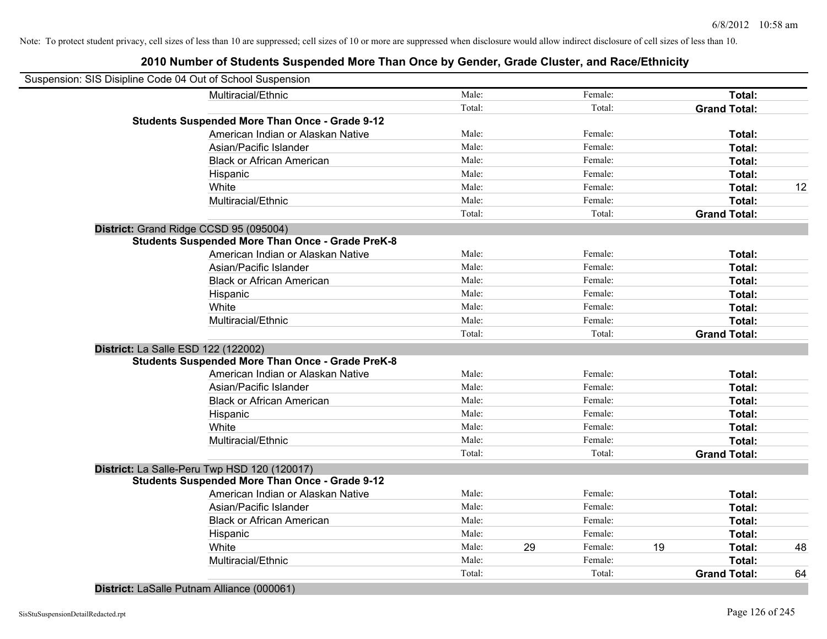# **2010 Number of Students Suspended More Than Once by Gender, Grade Cluster, and Race/Ethnicity**

| Suspension: SIS Disipline Code 04 Out of School Suspension |        |               |                     |    |
|------------------------------------------------------------|--------|---------------|---------------------|----|
| Multiracial/Ethnic                                         | Male:  | Female:       | Total:              |    |
|                                                            | Total: | Total:        | <b>Grand Total:</b> |    |
| <b>Students Suspended More Than Once - Grade 9-12</b>      |        |               |                     |    |
| American Indian or Alaskan Native                          | Male:  | Female:       | Total:              |    |
| Asian/Pacific Islander                                     | Male:  | Female:       | Total:              |    |
| <b>Black or African American</b>                           | Male:  | Female:       | Total:              |    |
| Hispanic                                                   | Male:  | Female:       | Total:              |    |
| White                                                      | Male:  | Female:       | Total:              | 12 |
| Multiracial/Ethnic                                         | Male:  | Female:       | Total:              |    |
|                                                            | Total: | Total:        | <b>Grand Total:</b> |    |
| District: Grand Ridge CCSD 95 (095004)                     |        |               |                     |    |
| <b>Students Suspended More Than Once - Grade PreK-8</b>    |        |               |                     |    |
| American Indian or Alaskan Native                          | Male:  | Female:       | Total:              |    |
| Asian/Pacific Islander                                     | Male:  | Female:       | Total:              |    |
| <b>Black or African American</b>                           | Male:  | Female:       | Total:              |    |
| Hispanic                                                   | Male:  | Female:       | Total:              |    |
| White                                                      | Male:  | Female:       | Total:              |    |
| Multiracial/Ethnic                                         | Male:  | Female:       | Total:              |    |
|                                                            | Total: | Total:        | <b>Grand Total:</b> |    |
| District: La Salle ESD 122 (122002)                        |        |               |                     |    |
| <b>Students Suspended More Than Once - Grade PreK-8</b>    |        |               |                     |    |
| American Indian or Alaskan Native                          | Male:  | Female:       | Total:              |    |
| Asian/Pacific Islander                                     | Male:  | Female:       | Total:              |    |
| <b>Black or African American</b>                           | Male:  | Female:       | Total:              |    |
| Hispanic                                                   | Male:  | Female:       | Total:              |    |
| White                                                      | Male:  | Female:       | Total:              |    |
| Multiracial/Ethnic                                         | Male:  | Female:       | Total:              |    |
|                                                            | Total: | Total:        | <b>Grand Total:</b> |    |
| District: La Salle-Peru Twp HSD 120 (120017)               |        |               |                     |    |
| <b>Students Suspended More Than Once - Grade 9-12</b>      |        |               |                     |    |
| American Indian or Alaskan Native                          | Male:  | Female:       | Total:              |    |
| Asian/Pacific Islander                                     | Male:  | Female:       | Total:              |    |
| <b>Black or African American</b>                           | Male:  | Female:       | Total:              |    |
| Hispanic                                                   | Male:  | Female:       | Total:              |    |
| White                                                      | Male:  | 29<br>Female: | 19<br>Total:        | 48 |
| Multiracial/Ethnic                                         | Male:  | Female:       | Total:              |    |
|                                                            | Total: | Total:        | <b>Grand Total:</b> | 64 |
|                                                            |        |               |                     |    |

**District:** LaSalle Putnam Alliance (000061)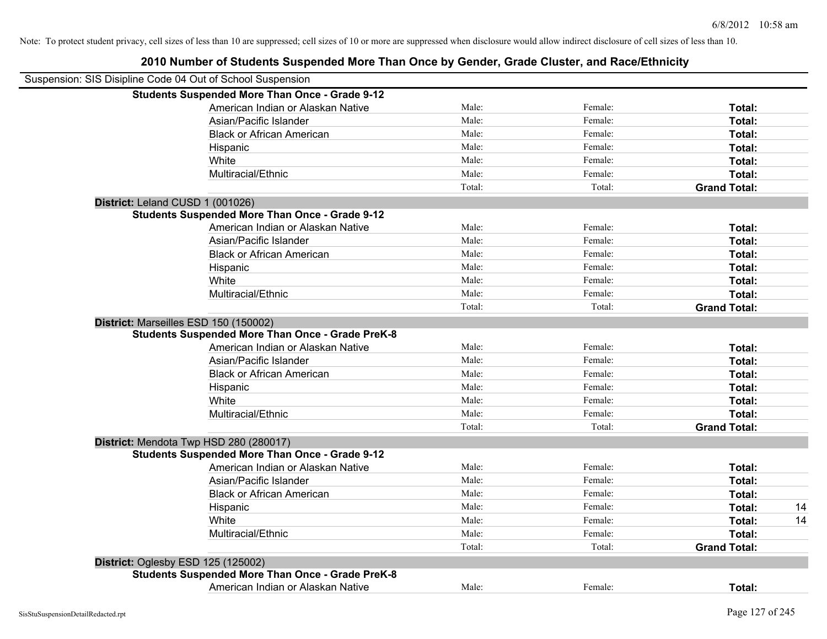| Suspension: SIS Disipline Code 04 Out of School Suspension |        |         |                     |    |
|------------------------------------------------------------|--------|---------|---------------------|----|
| <b>Students Suspended More Than Once - Grade 9-12</b>      |        |         |                     |    |
| American Indian or Alaskan Native                          | Male:  | Female: | Total:              |    |
| Asian/Pacific Islander                                     | Male:  | Female: | Total:              |    |
| <b>Black or African American</b>                           | Male:  | Female: | Total:              |    |
| Hispanic                                                   | Male:  | Female: | Total:              |    |
| White                                                      | Male:  | Female: | Total:              |    |
| Multiracial/Ethnic                                         | Male:  | Female: | Total:              |    |
|                                                            | Total: | Total:  | <b>Grand Total:</b> |    |
| District: Leland CUSD 1 (001026)                           |        |         |                     |    |
| <b>Students Suspended More Than Once - Grade 9-12</b>      |        |         |                     |    |
| American Indian or Alaskan Native                          | Male:  | Female: | Total:              |    |
| Asian/Pacific Islander                                     | Male:  | Female: | Total:              |    |
| <b>Black or African American</b>                           | Male:  | Female: | Total:              |    |
| Hispanic                                                   | Male:  | Female: | Total:              |    |
| White                                                      | Male:  | Female: | Total:              |    |
| Multiracial/Ethnic                                         | Male:  | Female: | Total:              |    |
|                                                            | Total: | Total:  | <b>Grand Total:</b> |    |
| District: Marseilles ESD 150 (150002)                      |        |         |                     |    |
| <b>Students Suspended More Than Once - Grade PreK-8</b>    |        |         |                     |    |
| American Indian or Alaskan Native                          | Male:  | Female: | Total:              |    |
| Asian/Pacific Islander                                     | Male:  | Female: | Total:              |    |
| <b>Black or African American</b>                           | Male:  | Female: | Total:              |    |
| Hispanic                                                   | Male:  | Female: | Total:              |    |
| White                                                      | Male:  | Female: | Total:              |    |
| Multiracial/Ethnic                                         | Male:  | Female: | Total:              |    |
|                                                            | Total: | Total:  | <b>Grand Total:</b> |    |
| District: Mendota Twp HSD 280 (280017)                     |        |         |                     |    |
| <b>Students Suspended More Than Once - Grade 9-12</b>      |        |         |                     |    |
| American Indian or Alaskan Native                          | Male:  | Female: | Total:              |    |
| Asian/Pacific Islander                                     | Male:  | Female: | Total:              |    |
| <b>Black or African American</b>                           | Male:  | Female: | Total:              |    |
| Hispanic                                                   | Male:  | Female: | Total:              | 14 |
| White                                                      | Male:  | Female: | Total:              | 14 |
| Multiracial/Ethnic                                         | Male:  | Female: | Total:              |    |
|                                                            | Total: | Total:  | <b>Grand Total:</b> |    |
| District: Oglesby ESD 125 (125002)                         |        |         |                     |    |
| <b>Students Suspended More Than Once - Grade PreK-8</b>    |        |         |                     |    |
| American Indian or Alaskan Native                          | Male:  | Female: | Total:              |    |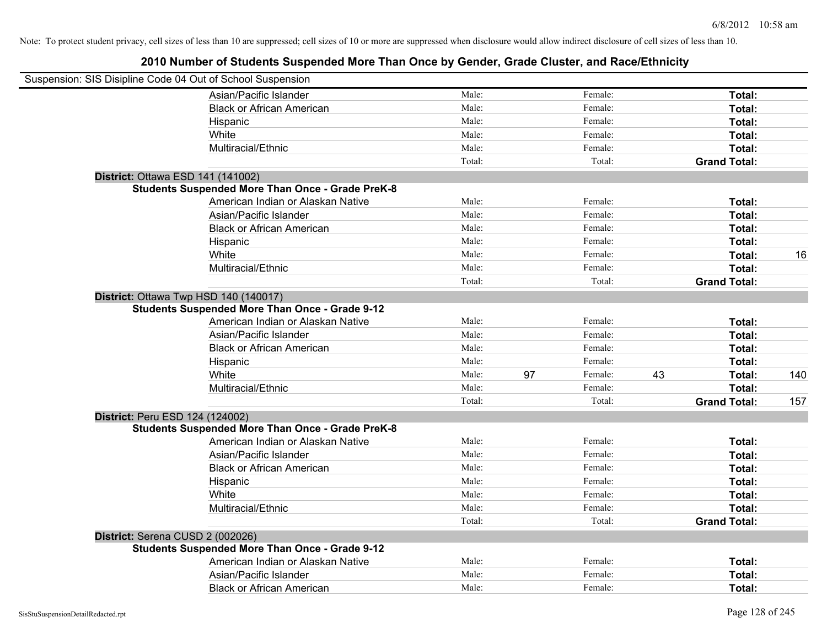| Suspension: SIS Disipline Code 04 Out of School Suspension |                                   |        |    |         |    |                     |     |
|------------------------------------------------------------|-----------------------------------|--------|----|---------|----|---------------------|-----|
| Asian/Pacific Islander                                     |                                   | Male:  |    | Female: |    | Total:              |     |
| <b>Black or African American</b>                           |                                   | Male:  |    | Female: |    | Total:              |     |
| Hispanic                                                   |                                   | Male:  |    | Female: |    | Total:              |     |
| White                                                      |                                   | Male:  |    | Female: |    | Total:              |     |
| Multiracial/Ethnic                                         |                                   | Male:  |    | Female: |    | Total:              |     |
|                                                            |                                   | Total: |    | Total:  |    | <b>Grand Total:</b> |     |
| District: Ottawa ESD 141 (141002)                          |                                   |        |    |         |    |                     |     |
| <b>Students Suspended More Than Once - Grade PreK-8</b>    |                                   |        |    |         |    |                     |     |
|                                                            | American Indian or Alaskan Native | Male:  |    | Female: |    | Total:              |     |
| Asian/Pacific Islander                                     |                                   | Male:  |    | Female: |    | Total:              |     |
| <b>Black or African American</b>                           |                                   | Male:  |    | Female: |    | Total:              |     |
| Hispanic                                                   |                                   | Male:  |    | Female: |    | Total:              |     |
| White                                                      |                                   | Male:  |    | Female: |    | Total:              | 16  |
| Multiracial/Ethnic                                         |                                   | Male:  |    | Female: |    | Total:              |     |
|                                                            |                                   | Total: |    | Total:  |    | <b>Grand Total:</b> |     |
| District: Ottawa Twp HSD 140 (140017)                      |                                   |        |    |         |    |                     |     |
| <b>Students Suspended More Than Once - Grade 9-12</b>      |                                   |        |    |         |    |                     |     |
|                                                            | American Indian or Alaskan Native | Male:  |    | Female: |    | Total:              |     |
| Asian/Pacific Islander                                     |                                   | Male:  |    | Female: |    | Total:              |     |
| <b>Black or African American</b>                           |                                   | Male:  |    | Female: |    | Total:              |     |
| Hispanic                                                   |                                   | Male:  |    | Female: |    | Total:              |     |
| White                                                      |                                   | Male:  | 97 | Female: | 43 | Total:              | 140 |
| Multiracial/Ethnic                                         |                                   | Male:  |    | Female: |    | <b>Total:</b>       |     |
|                                                            |                                   | Total: |    | Total:  |    | <b>Grand Total:</b> | 157 |
| District: Peru ESD 124 (124002)                            |                                   |        |    |         |    |                     |     |
| <b>Students Suspended More Than Once - Grade PreK-8</b>    |                                   |        |    |         |    |                     |     |
|                                                            | American Indian or Alaskan Native | Male:  |    | Female: |    | Total:              |     |
| Asian/Pacific Islander                                     |                                   | Male:  |    | Female: |    | Total:              |     |
| <b>Black or African American</b>                           |                                   | Male:  |    | Female: |    | Total:              |     |
| Hispanic                                                   |                                   | Male:  |    | Female: |    | Total:              |     |
| White                                                      |                                   | Male:  |    | Female: |    | Total:              |     |
| Multiracial/Ethnic                                         |                                   | Male:  |    | Female: |    | Total:              |     |
|                                                            |                                   | Total: |    | Total:  |    | <b>Grand Total:</b> |     |
| District: Serena CUSD 2 (002026)                           |                                   |        |    |         |    |                     |     |
| <b>Students Suspended More Than Once - Grade 9-12</b>      |                                   |        |    |         |    |                     |     |
|                                                            | American Indian or Alaskan Native | Male:  |    | Female: |    | Total:              |     |
| Asian/Pacific Islander                                     |                                   | Male:  |    | Female: |    | Total:              |     |
| <b>Black or African American</b>                           |                                   | Male:  |    | Female: |    | Total:              |     |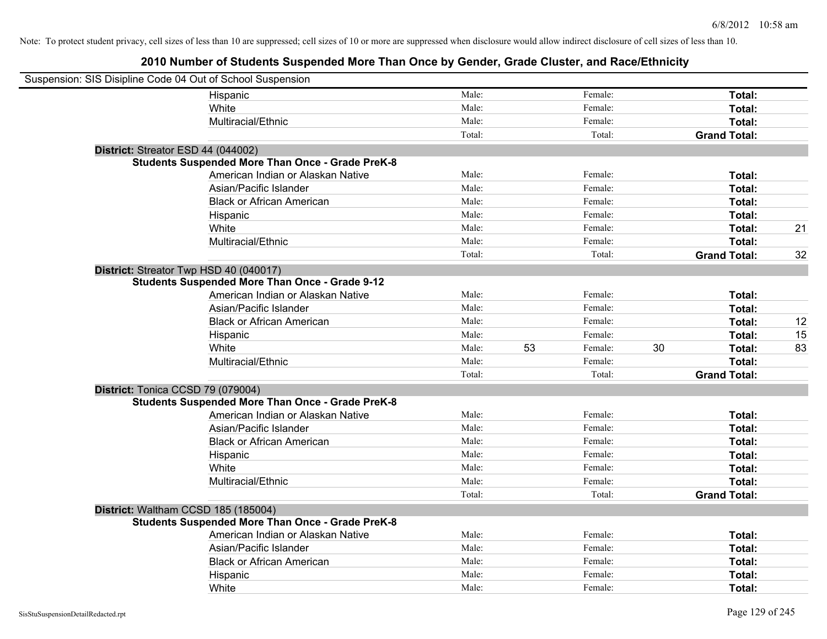| Suspension: SIS Disipline Code 04 Out of School Suspension |                                                         |        |    |         |    |                     |    |
|------------------------------------------------------------|---------------------------------------------------------|--------|----|---------|----|---------------------|----|
|                                                            | Hispanic                                                | Male:  |    | Female: |    | Total:              |    |
|                                                            | White                                                   | Male:  |    | Female: |    | Total:              |    |
|                                                            | Multiracial/Ethnic                                      | Male:  |    | Female: |    | Total:              |    |
|                                                            |                                                         | Total: |    | Total:  |    | <b>Grand Total:</b> |    |
| District: Streator ESD 44 (044002)                         |                                                         |        |    |         |    |                     |    |
|                                                            | <b>Students Suspended More Than Once - Grade PreK-8</b> |        |    |         |    |                     |    |
|                                                            | American Indian or Alaskan Native                       | Male:  |    | Female: |    | Total:              |    |
|                                                            | Asian/Pacific Islander                                  | Male:  |    | Female: |    | Total:              |    |
|                                                            | <b>Black or African American</b>                        | Male:  |    | Female: |    | Total:              |    |
|                                                            | Hispanic                                                | Male:  |    | Female: |    | Total:              |    |
|                                                            | White                                                   | Male:  |    | Female: |    | Total:              | 21 |
|                                                            | Multiracial/Ethnic                                      | Male:  |    | Female: |    | Total:              |    |
|                                                            |                                                         | Total: |    | Total:  |    | <b>Grand Total:</b> | 32 |
| District: Streator Twp HSD 40 (040017)                     |                                                         |        |    |         |    |                     |    |
|                                                            | <b>Students Suspended More Than Once - Grade 9-12</b>   |        |    |         |    |                     |    |
|                                                            | American Indian or Alaskan Native                       | Male:  |    | Female: |    | Total:              |    |
|                                                            | Asian/Pacific Islander                                  | Male:  |    | Female: |    | Total:              |    |
|                                                            | <b>Black or African American</b>                        | Male:  |    | Female: |    | Total:              | 12 |
|                                                            | Hispanic                                                | Male:  |    | Female: |    | Total:              | 15 |
|                                                            | White                                                   | Male:  | 53 | Female: | 30 | Total:              | 83 |
|                                                            | Multiracial/Ethnic                                      | Male:  |    | Female: |    | Total:              |    |
|                                                            |                                                         | Total: |    | Total:  |    | <b>Grand Total:</b> |    |
| District: Tonica CCSD 79 (079004)                          |                                                         |        |    |         |    |                     |    |
|                                                            | <b>Students Suspended More Than Once - Grade PreK-8</b> |        |    |         |    |                     |    |
|                                                            | American Indian or Alaskan Native                       | Male:  |    | Female: |    | Total:              |    |
|                                                            | Asian/Pacific Islander                                  | Male:  |    | Female: |    | Total:              |    |
|                                                            | <b>Black or African American</b>                        | Male:  |    | Female: |    | Total:              |    |
|                                                            | Hispanic                                                | Male:  |    | Female: |    | Total:              |    |
|                                                            | White                                                   | Male:  |    | Female: |    | Total:              |    |
|                                                            | Multiracial/Ethnic                                      | Male:  |    | Female: |    | Total:              |    |
|                                                            |                                                         | Total: |    | Total:  |    | <b>Grand Total:</b> |    |
| District: Waltham CCSD 185 (185004)                        |                                                         |        |    |         |    |                     |    |
|                                                            | <b>Students Suspended More Than Once - Grade PreK-8</b> |        |    |         |    |                     |    |
|                                                            | American Indian or Alaskan Native                       | Male:  |    | Female: |    | Total:              |    |
|                                                            | Asian/Pacific Islander                                  | Male:  |    | Female: |    | Total:              |    |
|                                                            | <b>Black or African American</b>                        | Male:  |    | Female: |    | Total:              |    |
|                                                            | Hispanic                                                | Male:  |    | Female: |    | Total:              |    |
|                                                            | White                                                   | Male:  |    | Female: |    | Total:              |    |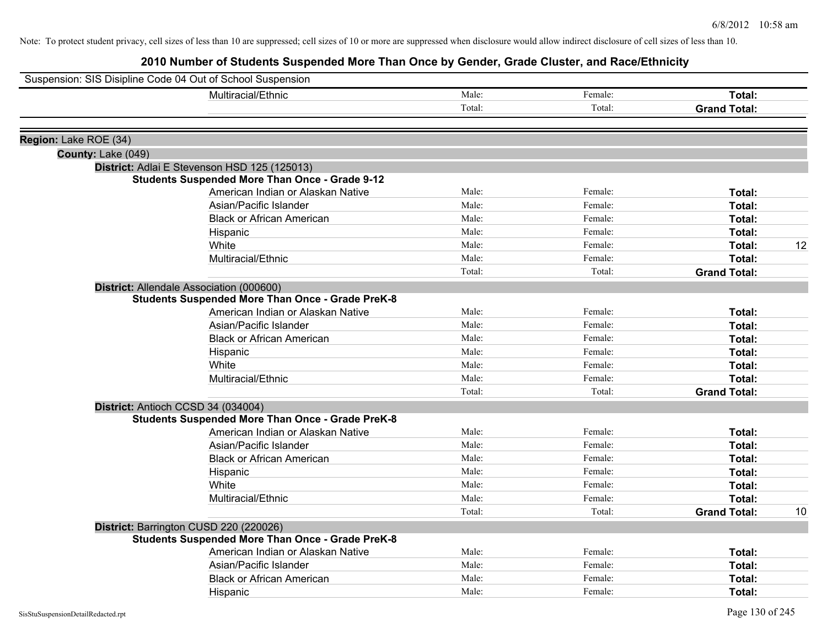|                       | Suspension: SIS Disipline Code 04 Out of School Suspension |        |         |                     |    |
|-----------------------|------------------------------------------------------------|--------|---------|---------------------|----|
|                       | Multiracial/Ethnic                                         | Male:  | Female: | Total:              |    |
|                       |                                                            | Total: | Total:  | <b>Grand Total:</b> |    |
| Region: Lake ROE (34) |                                                            |        |         |                     |    |
| County: Lake (049)    |                                                            |        |         |                     |    |
|                       | District: Adlai E Stevenson HSD 125 (125013)               |        |         |                     |    |
|                       | <b>Students Suspended More Than Once - Grade 9-12</b>      |        |         |                     |    |
|                       | American Indian or Alaskan Native                          | Male:  | Female: | Total:              |    |
|                       | Asian/Pacific Islander                                     | Male:  | Female: | Total:              |    |
|                       | <b>Black or African American</b>                           | Male:  | Female: | Total:              |    |
|                       | Hispanic                                                   | Male:  | Female: | Total:              |    |
|                       | White                                                      | Male:  | Female: | Total:              | 12 |
|                       | Multiracial/Ethnic                                         | Male:  | Female: | Total:              |    |
|                       |                                                            | Total: | Total:  | <b>Grand Total:</b> |    |
|                       | District: Allendale Association (000600)                   |        |         |                     |    |
|                       | <b>Students Suspended More Than Once - Grade PreK-8</b>    |        |         |                     |    |
|                       | American Indian or Alaskan Native                          | Male:  | Female: | Total:              |    |
|                       | Asian/Pacific Islander                                     | Male:  | Female: | Total:              |    |
|                       | <b>Black or African American</b>                           | Male:  | Female: | Total:              |    |
|                       | Hispanic                                                   | Male:  | Female: | Total:              |    |
|                       | White                                                      | Male:  | Female: | Total:              |    |
|                       | Multiracial/Ethnic                                         | Male:  | Female: | Total:              |    |
|                       |                                                            | Total: | Total:  | <b>Grand Total:</b> |    |
|                       | District: Antioch CCSD 34 (034004)                         |        |         |                     |    |
|                       | <b>Students Suspended More Than Once - Grade PreK-8</b>    |        |         |                     |    |
|                       | American Indian or Alaskan Native                          | Male:  | Female: | Total:              |    |
|                       | Asian/Pacific Islander                                     | Male:  | Female: | Total:              |    |
|                       | <b>Black or African American</b>                           | Male:  | Female: | <b>Total:</b>       |    |
|                       | Hispanic                                                   | Male:  | Female: | <b>Total:</b>       |    |
|                       | White                                                      | Male:  | Female: | Total:              |    |
|                       | Multiracial/Ethnic                                         | Male:  | Female: | Total:              |    |
|                       |                                                            | Total: | Total:  | <b>Grand Total:</b> | 10 |
|                       | District: Barrington CUSD 220 (220026)                     |        |         |                     |    |
|                       | <b>Students Suspended More Than Once - Grade PreK-8</b>    |        |         |                     |    |
|                       | American Indian or Alaskan Native                          | Male:  | Female: | Total:              |    |
|                       | Asian/Pacific Islander                                     | Male:  | Female: | <b>Total:</b>       |    |
|                       | <b>Black or African American</b>                           | Male:  | Female: | <b>Total:</b>       |    |
|                       | Hispanic                                                   | Male:  | Female: | Total:              |    |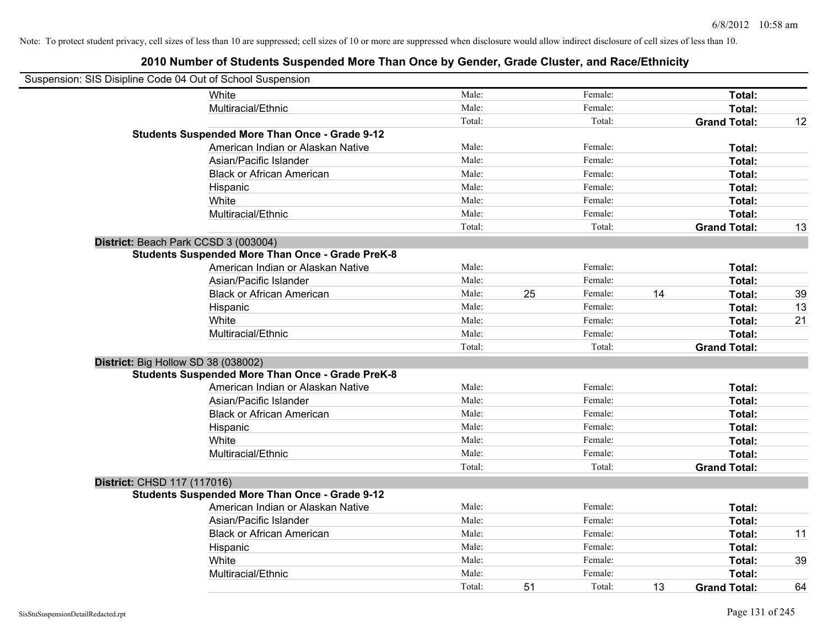| Suspension: SIS Disipline Code 04 Out of School Suspension |                                                         |        |    |         |    |                     |    |
|------------------------------------------------------------|---------------------------------------------------------|--------|----|---------|----|---------------------|----|
|                                                            | <b>White</b>                                            | Male:  |    | Female: |    | Total:              |    |
|                                                            | Multiracial/Ethnic                                      | Male:  |    | Female: |    | Total:              |    |
|                                                            |                                                         | Total: |    | Total:  |    | <b>Grand Total:</b> | 12 |
|                                                            | <b>Students Suspended More Than Once - Grade 9-12</b>   |        |    |         |    |                     |    |
|                                                            | American Indian or Alaskan Native                       | Male:  |    | Female: |    | Total:              |    |
|                                                            | Asian/Pacific Islander                                  | Male:  |    | Female: |    | Total:              |    |
|                                                            | <b>Black or African American</b>                        | Male:  |    | Female: |    | Total:              |    |
|                                                            | Hispanic                                                | Male:  |    | Female: |    | Total:              |    |
|                                                            | White                                                   | Male:  |    | Female: |    | Total:              |    |
|                                                            | Multiracial/Ethnic                                      | Male:  |    | Female: |    | Total:              |    |
|                                                            |                                                         | Total: |    | Total:  |    | <b>Grand Total:</b> | 13 |
| District: Beach Park CCSD 3 (003004)                       |                                                         |        |    |         |    |                     |    |
|                                                            | <b>Students Suspended More Than Once - Grade PreK-8</b> |        |    |         |    |                     |    |
|                                                            | American Indian or Alaskan Native                       | Male:  |    | Female: |    | Total:              |    |
|                                                            | Asian/Pacific Islander                                  | Male:  |    | Female: |    | Total:              |    |
|                                                            | <b>Black or African American</b>                        | Male:  | 25 | Female: | 14 | Total:              | 39 |
|                                                            | Hispanic                                                | Male:  |    | Female: |    | Total:              | 13 |
|                                                            | White                                                   | Male:  |    | Female: |    | Total:              | 21 |
|                                                            | Multiracial/Ethnic                                      | Male:  |    | Female: |    | Total:              |    |
|                                                            |                                                         | Total: |    | Total:  |    | <b>Grand Total:</b> |    |
| District: Big Hollow SD 38 (038002)                        |                                                         |        |    |         |    |                     |    |
|                                                            | <b>Students Suspended More Than Once - Grade PreK-8</b> |        |    |         |    |                     |    |
|                                                            | American Indian or Alaskan Native                       | Male:  |    | Female: |    | Total:              |    |
|                                                            | Asian/Pacific Islander                                  | Male:  |    | Female: |    | Total:              |    |
|                                                            | <b>Black or African American</b>                        | Male:  |    | Female: |    | Total:              |    |
|                                                            | Hispanic                                                | Male:  |    | Female: |    | Total:              |    |
|                                                            | White                                                   | Male:  |    | Female: |    | Total:              |    |
|                                                            | Multiracial/Ethnic                                      | Male:  |    | Female: |    | Total:              |    |
|                                                            |                                                         | Total: |    | Total:  |    | <b>Grand Total:</b> |    |
| District: CHSD 117 (117016)                                |                                                         |        |    |         |    |                     |    |
|                                                            | <b>Students Suspended More Than Once - Grade 9-12</b>   |        |    |         |    |                     |    |
|                                                            | American Indian or Alaskan Native                       | Male:  |    | Female: |    | Total:              |    |
|                                                            | Asian/Pacific Islander                                  | Male:  |    | Female: |    | Total:              |    |
|                                                            | <b>Black or African American</b>                        | Male:  |    | Female: |    | Total:              | 11 |
|                                                            | Hispanic                                                | Male:  |    | Female: |    | Total:              |    |
|                                                            | White                                                   | Male:  |    | Female: |    | Total:              | 39 |
|                                                            | Multiracial/Ethnic                                      | Male:  |    | Female: |    | Total:              |    |
|                                                            |                                                         | Total: | 51 | Total:  | 13 | <b>Grand Total:</b> | 64 |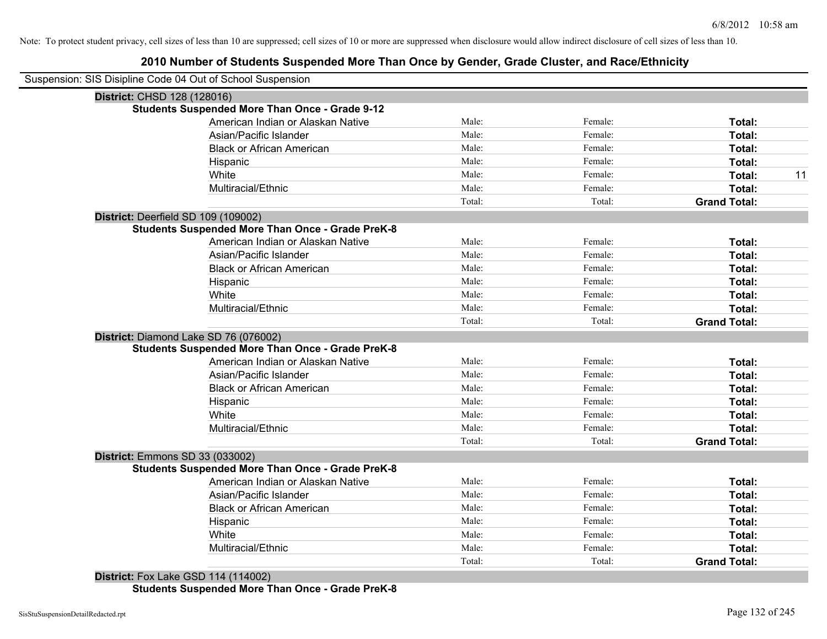### **2010 Number of Students Suspended More Than Once by Gender, Grade Cluster, and Race/Ethnicity**

|                                 | Suspension: SIS Disipline Code 04 Out of School Suspension |        |         |                     |    |
|---------------------------------|------------------------------------------------------------|--------|---------|---------------------|----|
| District: CHSD 128 (128016)     |                                                            |        |         |                     |    |
|                                 | <b>Students Suspended More Than Once - Grade 9-12</b>      |        |         |                     |    |
|                                 | American Indian or Alaskan Native                          | Male:  | Female: | Total:              |    |
|                                 | Asian/Pacific Islander                                     | Male:  | Female: | Total:              |    |
|                                 | <b>Black or African American</b>                           | Male:  | Female: | Total:              |    |
|                                 | Hispanic                                                   | Male:  | Female: | Total:              |    |
|                                 | White                                                      | Male:  | Female: | Total:              | 11 |
|                                 | Multiracial/Ethnic                                         | Male:  | Female: | Total:              |    |
|                                 |                                                            | Total: | Total:  | <b>Grand Total:</b> |    |
|                                 | District: Deerfield SD 109 (109002)                        |        |         |                     |    |
|                                 | <b>Students Suspended More Than Once - Grade PreK-8</b>    |        |         |                     |    |
|                                 | American Indian or Alaskan Native                          | Male:  | Female: | Total:              |    |
|                                 | Asian/Pacific Islander                                     | Male:  | Female: | Total:              |    |
|                                 | <b>Black or African American</b>                           | Male:  | Female: | Total:              |    |
|                                 | Hispanic                                                   | Male:  | Female: | Total:              |    |
|                                 | White                                                      | Male:  | Female: | Total:              |    |
|                                 | Multiracial/Ethnic                                         | Male:  | Female: | Total:              |    |
|                                 |                                                            | Total: | Total:  | <b>Grand Total:</b> |    |
|                                 | District: Diamond Lake SD 76 (076002)                      |        |         |                     |    |
|                                 | <b>Students Suspended More Than Once - Grade PreK-8</b>    |        |         |                     |    |
|                                 | American Indian or Alaskan Native                          | Male:  | Female: | Total:              |    |
|                                 | Asian/Pacific Islander                                     | Male:  | Female: | Total:              |    |
|                                 | <b>Black or African American</b>                           | Male:  | Female: | Total:              |    |
|                                 | Hispanic                                                   | Male:  | Female: | Total:              |    |
|                                 | White                                                      | Male:  | Female: | Total:              |    |
|                                 | Multiracial/Ethnic                                         | Male:  | Female: | Total:              |    |
|                                 |                                                            | Total: | Total:  | <b>Grand Total:</b> |    |
| District: Emmons SD 33 (033002) |                                                            |        |         |                     |    |
|                                 | <b>Students Suspended More Than Once - Grade PreK-8</b>    |        |         |                     |    |
|                                 | American Indian or Alaskan Native                          | Male:  | Female: | Total:              |    |
|                                 | Asian/Pacific Islander                                     | Male:  | Female: | Total:              |    |
|                                 | <b>Black or African American</b>                           | Male:  | Female: | Total:              |    |
|                                 | Hispanic                                                   | Male:  | Female: | Total:              |    |
|                                 | White                                                      | Male:  | Female: | Total:              |    |
|                                 | Multiracial/Ethnic                                         | Male:  | Female: | Total:              |    |
|                                 |                                                            | Total: | Total:  | <b>Grand Total:</b> |    |
|                                 | Dictrict: $E_{0}y \mid g _{0}$ CCD 114 (114002)            |        |         |                     |    |

**District:** Fox Lake GSD 114 (114002) **Students Suspended More Than Once - Grade PreK-8**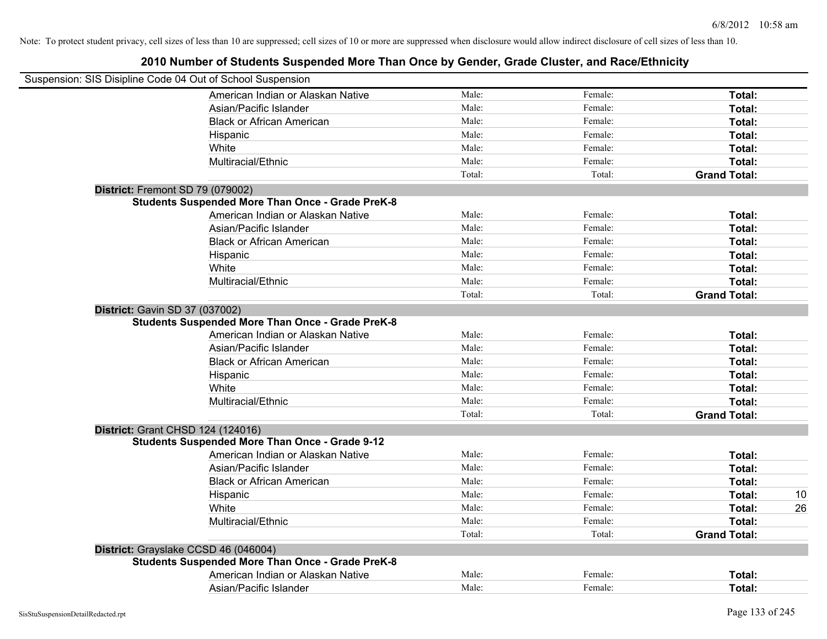| Suspension: SIS Disipline Code 04 Out of School Suspension                                       |        |         |                     |    |
|--------------------------------------------------------------------------------------------------|--------|---------|---------------------|----|
| American Indian or Alaskan Native                                                                | Male:  | Female: | Total:              |    |
| Asian/Pacific Islander                                                                           | Male:  | Female: | Total:              |    |
| <b>Black or African American</b>                                                                 | Male:  | Female: | Total:              |    |
| Hispanic                                                                                         | Male:  | Female: | Total:              |    |
| White                                                                                            | Male:  | Female: | Total:              |    |
| Multiracial/Ethnic                                                                               | Male:  | Female: | Total:              |    |
|                                                                                                  | Total: | Total:  | <b>Grand Total:</b> |    |
| District: Fremont SD 79 (079002)                                                                 |        |         |                     |    |
| <b>Students Suspended More Than Once - Grade PreK-8</b>                                          |        |         |                     |    |
| American Indian or Alaskan Native                                                                | Male:  | Female: | Total:              |    |
| Asian/Pacific Islander                                                                           | Male:  | Female: | Total:              |    |
| <b>Black or African American</b>                                                                 | Male:  | Female: | Total:              |    |
| Hispanic                                                                                         | Male:  | Female: | Total:              |    |
| White                                                                                            | Male:  | Female: | Total:              |    |
| Multiracial/Ethnic                                                                               | Male:  | Female: | Total:              |    |
|                                                                                                  | Total: | Total:  | <b>Grand Total:</b> |    |
| <b>District: Gavin SD 37 (037002)</b><br><b>Students Suspended More Than Once - Grade PreK-8</b> |        |         |                     |    |
| American Indian or Alaskan Native                                                                | Male:  | Female: | Total:              |    |
| Asian/Pacific Islander                                                                           | Male:  | Female: | Total:              |    |
| <b>Black or African American</b>                                                                 | Male:  | Female: | Total:              |    |
| Hispanic                                                                                         | Male:  | Female: | Total:              |    |
| White                                                                                            | Male:  | Female: | Total:              |    |
| Multiracial/Ethnic                                                                               | Male:  | Female: | Total:              |    |
|                                                                                                  | Total: | Total:  | <b>Grand Total:</b> |    |
| District: Grant CHSD 124 (124016)                                                                |        |         |                     |    |
| <b>Students Suspended More Than Once - Grade 9-12</b>                                            |        |         |                     |    |
| American Indian or Alaskan Native                                                                | Male:  | Female: | Total:              |    |
| Asian/Pacific Islander                                                                           | Male:  | Female: | Total:              |    |
| <b>Black or African American</b>                                                                 | Male:  | Female: | Total:              |    |
| Hispanic                                                                                         | Male:  | Female: | Total:              | 10 |
| White                                                                                            | Male:  | Female: | Total:              | 26 |
| Multiracial/Ethnic                                                                               | Male:  | Female: | Total:              |    |
|                                                                                                  | Total: | Total:  | <b>Grand Total:</b> |    |
| District: Grayslake CCSD 46 (046004)                                                             |        |         |                     |    |
| <b>Students Suspended More Than Once - Grade PreK-8</b>                                          |        |         |                     |    |
| American Indian or Alaskan Native                                                                | Male:  | Female: | Total:              |    |
| Asian/Pacific Islander                                                                           | Male:  | Female: | Total:              |    |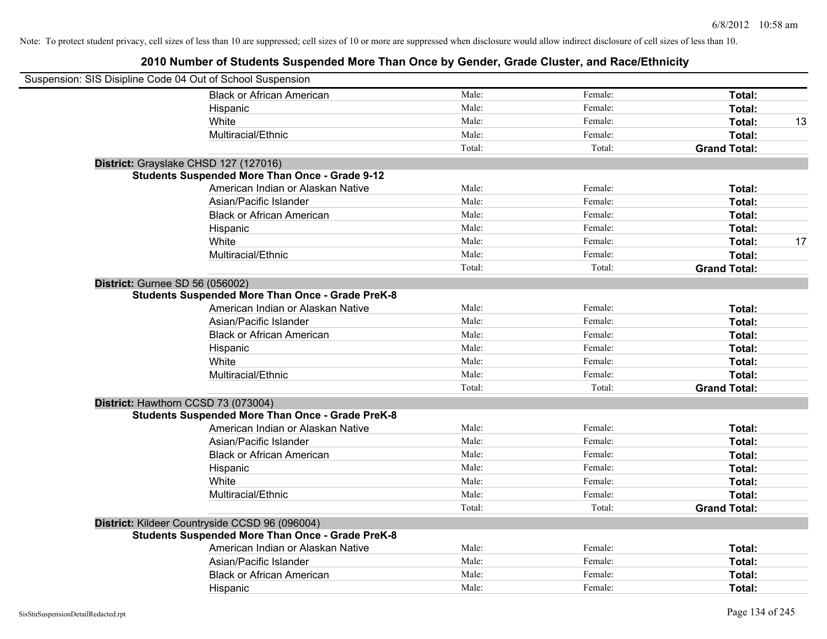| Suspension: SIS Disipline Code 04 Out of School Suspension |        |         |                     |    |
|------------------------------------------------------------|--------|---------|---------------------|----|
| <b>Black or African American</b>                           | Male:  | Female: | Total:              |    |
| Hispanic                                                   | Male:  | Female: | Total:              |    |
| White                                                      | Male:  | Female: | Total:              | 13 |
| Multiracial/Ethnic                                         | Male:  | Female: | Total:              |    |
|                                                            | Total: | Total:  | <b>Grand Total:</b> |    |
| District: Grayslake CHSD 127 (127016)                      |        |         |                     |    |
| <b>Students Suspended More Than Once - Grade 9-12</b>      |        |         |                     |    |
| American Indian or Alaskan Native                          | Male:  | Female: | Total:              |    |
| Asian/Pacific Islander                                     | Male:  | Female: | Total:              |    |
| <b>Black or African American</b>                           | Male:  | Female: | Total:              |    |
| Hispanic                                                   | Male:  | Female: | Total:              |    |
| White                                                      | Male:  | Female: | Total:              | 17 |
| Multiracial/Ethnic                                         | Male:  | Female: | Total:              |    |
|                                                            | Total: | Total:  | <b>Grand Total:</b> |    |
| District: Gurnee SD 56 (056002)                            |        |         |                     |    |
| <b>Students Suspended More Than Once - Grade PreK-8</b>    |        |         |                     |    |
| American Indian or Alaskan Native                          | Male:  | Female: | Total:              |    |
| Asian/Pacific Islander                                     | Male:  | Female: | Total:              |    |
| <b>Black or African American</b>                           | Male:  | Female: | Total:              |    |
| Hispanic                                                   | Male:  | Female: | Total:              |    |
| White                                                      | Male:  | Female: | Total:              |    |
| Multiracial/Ethnic                                         | Male:  | Female: | Total:              |    |
|                                                            | Total: | Total:  | <b>Grand Total:</b> |    |
| District: Hawthorn CCSD 73 (073004)                        |        |         |                     |    |
| <b>Students Suspended More Than Once - Grade PreK-8</b>    |        |         |                     |    |
| American Indian or Alaskan Native                          | Male:  | Female: | Total:              |    |
| Asian/Pacific Islander                                     | Male:  | Female: | Total:              |    |
| <b>Black or African American</b>                           | Male:  | Female: | Total:              |    |
| Hispanic                                                   | Male:  | Female: | Total:              |    |
| White                                                      | Male:  | Female: | Total:              |    |
| Multiracial/Ethnic                                         | Male:  | Female: | Total:              |    |
|                                                            | Total: | Total:  | <b>Grand Total:</b> |    |
| District: Kildeer Countryside CCSD 96 (096004)             |        |         |                     |    |
| <b>Students Suspended More Than Once - Grade PreK-8</b>    |        |         |                     |    |
| American Indian or Alaskan Native                          | Male:  | Female: | Total:              |    |
| Asian/Pacific Islander                                     | Male:  | Female: | Total:              |    |
| <b>Black or African American</b>                           | Male:  | Female: | Total:              |    |
| Hispanic                                                   | Male:  | Female: | Total:              |    |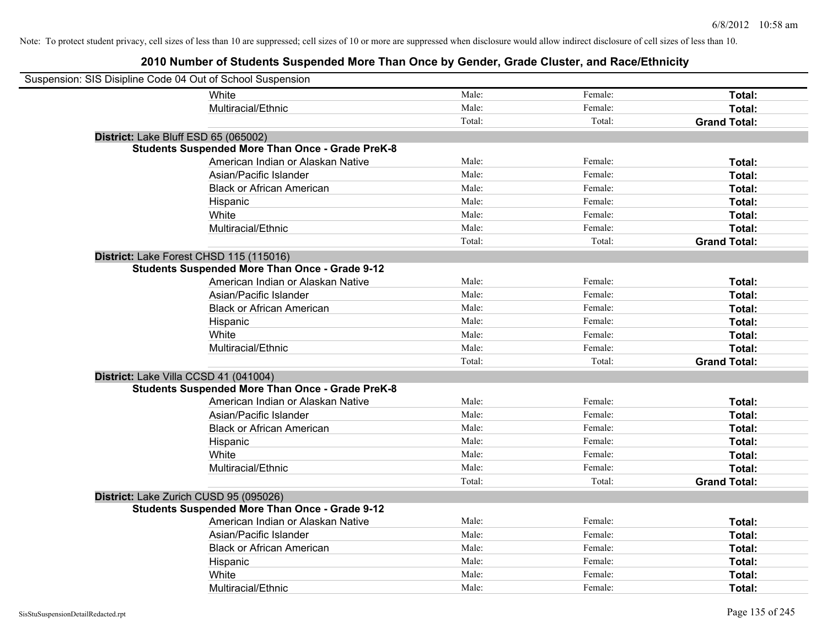| Suspension: SIS Disipline Code 04 Out of School Suspension |                                                         |        |         |                     |
|------------------------------------------------------------|---------------------------------------------------------|--------|---------|---------------------|
|                                                            | <b>White</b>                                            | Male:  | Female: | Total:              |
|                                                            | Multiracial/Ethnic                                      | Male:  | Female: | Total:              |
|                                                            |                                                         | Total: | Total:  | <b>Grand Total:</b> |
| District: Lake Bluff ESD 65 (065002)                       |                                                         |        |         |                     |
|                                                            | <b>Students Suspended More Than Once - Grade PreK-8</b> |        |         |                     |
|                                                            | American Indian or Alaskan Native                       | Male:  | Female: | Total:              |
|                                                            | Asian/Pacific Islander                                  | Male:  | Female: | Total:              |
|                                                            | <b>Black or African American</b>                        | Male:  | Female: | Total:              |
|                                                            | Hispanic                                                | Male:  | Female: | Total:              |
|                                                            | White                                                   | Male:  | Female: | Total:              |
|                                                            | Multiracial/Ethnic                                      | Male:  | Female: | Total:              |
|                                                            |                                                         | Total: | Total:  | <b>Grand Total:</b> |
| District: Lake Forest CHSD 115 (115016)                    |                                                         |        |         |                     |
|                                                            | <b>Students Suspended More Than Once - Grade 9-12</b>   |        |         |                     |
|                                                            | American Indian or Alaskan Native                       | Male:  | Female: | Total:              |
|                                                            | Asian/Pacific Islander                                  | Male:  | Female: | Total:              |
|                                                            | <b>Black or African American</b>                        | Male:  | Female: | Total:              |
|                                                            | Hispanic                                                | Male:  | Female: | Total:              |
|                                                            | White                                                   | Male:  | Female: | Total:              |
|                                                            | Multiracial/Ethnic                                      | Male:  | Female: | Total:              |
|                                                            |                                                         | Total: | Total:  | <b>Grand Total:</b> |
| District: Lake Villa CCSD 41 (041004)                      |                                                         |        |         |                     |
|                                                            | <b>Students Suspended More Than Once - Grade PreK-8</b> |        |         |                     |
|                                                            | American Indian or Alaskan Native                       | Male:  | Female: | Total:              |
|                                                            | Asian/Pacific Islander                                  | Male:  | Female: | Total:              |
|                                                            | <b>Black or African American</b>                        | Male:  | Female: | Total:              |
|                                                            | Hispanic                                                | Male:  | Female: | Total:              |
|                                                            | White                                                   | Male:  | Female: | Total:              |
|                                                            | Multiracial/Ethnic                                      | Male:  | Female: | Total:              |
|                                                            |                                                         | Total: | Total:  | <b>Grand Total:</b> |
| District: Lake Zurich CUSD 95 (095026)                     |                                                         |        |         |                     |
|                                                            | <b>Students Suspended More Than Once - Grade 9-12</b>   |        |         |                     |
|                                                            | American Indian or Alaskan Native                       | Male:  | Female: | Total:              |
|                                                            | Asian/Pacific Islander                                  | Male:  | Female: | Total:              |
|                                                            | <b>Black or African American</b>                        | Male:  | Female: | Total:              |
|                                                            | Hispanic                                                | Male:  | Female: | Total:              |
|                                                            | White                                                   | Male:  | Female: | Total:              |
|                                                            | Multiracial/Ethnic                                      | Male:  | Female: | Total:              |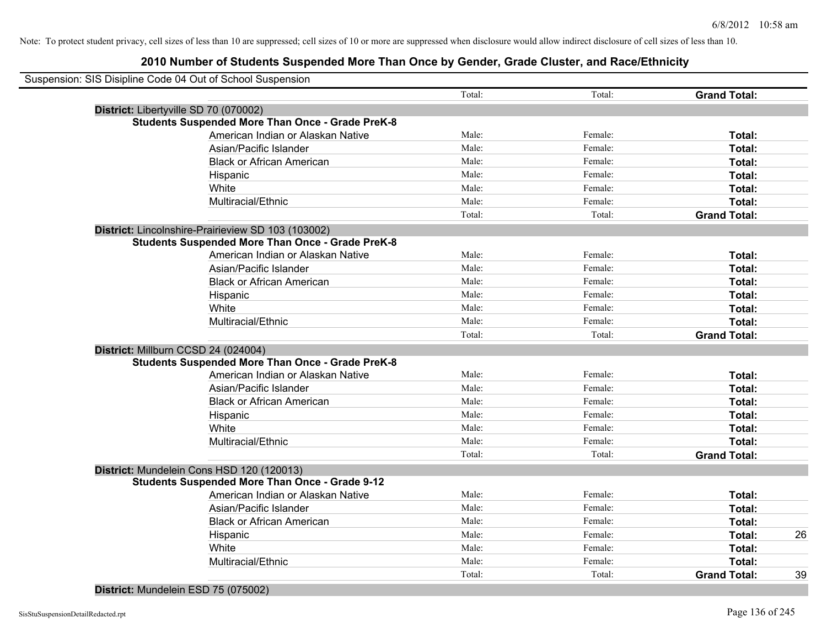| Suspension: SIS Disipline Code 04 Out of School Suspension |        |         |                     |    |
|------------------------------------------------------------|--------|---------|---------------------|----|
|                                                            | Total: | Total:  | <b>Grand Total:</b> |    |
| District: Libertyville SD 70 (070002)                      |        |         |                     |    |
| <b>Students Suspended More Than Once - Grade PreK-8</b>    |        |         |                     |    |
| American Indian or Alaskan Native                          | Male:  | Female: | Total:              |    |
| Asian/Pacific Islander                                     | Male:  | Female: | Total:              |    |
| <b>Black or African American</b>                           | Male:  | Female: | Total:              |    |
| Hispanic                                                   | Male:  | Female: | Total:              |    |
| White                                                      | Male:  | Female: | Total:              |    |
| Multiracial/Ethnic                                         | Male:  | Female: | Total:              |    |
|                                                            | Total: | Total:  | <b>Grand Total:</b> |    |
| District: Lincolnshire-Prairieview SD 103 (103002)         |        |         |                     |    |
| <b>Students Suspended More Than Once - Grade PreK-8</b>    |        |         |                     |    |
| American Indian or Alaskan Native                          | Male:  | Female: | Total:              |    |
| Asian/Pacific Islander                                     | Male:  | Female: | Total:              |    |
| <b>Black or African American</b>                           | Male:  | Female: | Total:              |    |
| Hispanic                                                   | Male:  | Female: | Total:              |    |
| White                                                      | Male:  | Female: | Total:              |    |
| Multiracial/Ethnic                                         | Male:  | Female: | Total:              |    |
|                                                            | Total: | Total:  | <b>Grand Total:</b> |    |
| District: Millburn CCSD 24 (024004)                        |        |         |                     |    |
| <b>Students Suspended More Than Once - Grade PreK-8</b>    |        |         |                     |    |
| American Indian or Alaskan Native                          | Male:  | Female: | Total:              |    |
| Asian/Pacific Islander                                     | Male:  | Female: | Total:              |    |
| <b>Black or African American</b>                           | Male:  | Female: | Total:              |    |
| Hispanic                                                   | Male:  | Female: | Total:              |    |
| White                                                      | Male:  | Female: | Total:              |    |
| Multiracial/Ethnic                                         | Male:  | Female: | Total:              |    |
|                                                            | Total: | Total:  | <b>Grand Total:</b> |    |
| District: Mundelein Cons HSD 120 (120013)                  |        |         |                     |    |
| <b>Students Suspended More Than Once - Grade 9-12</b>      |        |         |                     |    |
| American Indian or Alaskan Native                          | Male:  | Female: | Total:              |    |
| Asian/Pacific Islander                                     | Male:  | Female: | Total:              |    |
| <b>Black or African American</b>                           | Male:  | Female: | Total:              |    |
| Hispanic                                                   | Male:  | Female: | Total:              | 26 |
| White                                                      | Male:  | Female: | Total:              |    |
| Multiracial/Ethnic                                         | Male:  | Female: | Total:              |    |
|                                                            | Total: | Total:  | <b>Grand Total:</b> | 39 |
|                                                            |        |         |                     |    |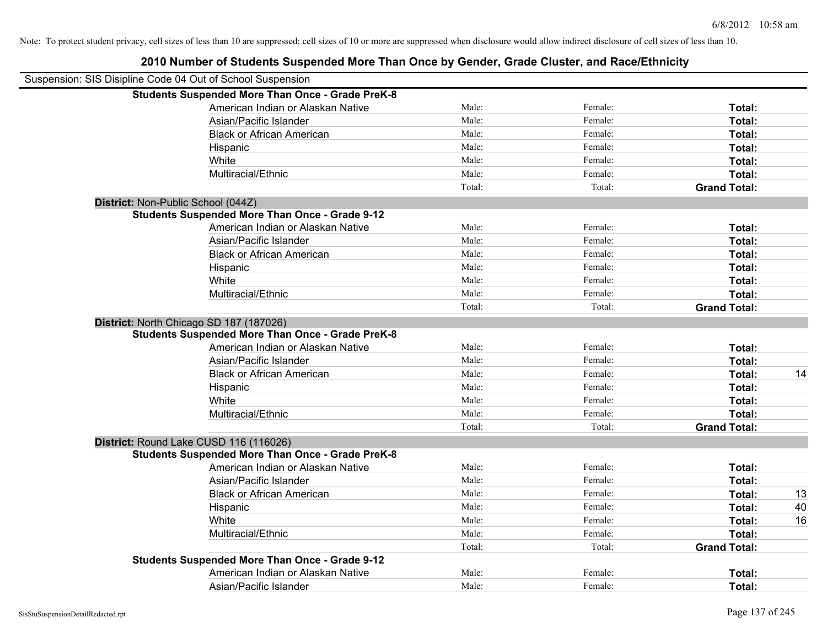| Suspension: SIS Disipline Code 04 Out of School Suspension |                                                         |        |         |                     |    |
|------------------------------------------------------------|---------------------------------------------------------|--------|---------|---------------------|----|
|                                                            | <b>Students Suspended More Than Once - Grade PreK-8</b> |        |         |                     |    |
|                                                            | American Indian or Alaskan Native                       | Male:  | Female: | Total:              |    |
|                                                            | Asian/Pacific Islander                                  | Male:  | Female: | Total:              |    |
|                                                            | <b>Black or African American</b>                        | Male:  | Female: | Total:              |    |
|                                                            | Hispanic                                                | Male:  | Female: | Total:              |    |
|                                                            | White                                                   | Male:  | Female: | Total:              |    |
|                                                            | Multiracial/Ethnic                                      | Male:  | Female: | Total:              |    |
|                                                            |                                                         | Total: | Total:  | <b>Grand Total:</b> |    |
| District: Non-Public School (044Z)                         |                                                         |        |         |                     |    |
|                                                            | <b>Students Suspended More Than Once - Grade 9-12</b>   |        |         |                     |    |
|                                                            | American Indian or Alaskan Native                       | Male:  | Female: | Total:              |    |
|                                                            | Asian/Pacific Islander                                  | Male:  | Female: | Total:              |    |
|                                                            | <b>Black or African American</b>                        | Male:  | Female: | Total:              |    |
|                                                            | Hispanic                                                | Male:  | Female: | Total:              |    |
|                                                            | White                                                   | Male:  | Female: | Total:              |    |
|                                                            | Multiracial/Ethnic                                      | Male:  | Female: | Total:              |    |
|                                                            |                                                         | Total: | Total:  | <b>Grand Total:</b> |    |
|                                                            | District: North Chicago SD 187 (187026)                 |        |         |                     |    |
|                                                            | <b>Students Suspended More Than Once - Grade PreK-8</b> |        |         |                     |    |
|                                                            | American Indian or Alaskan Native                       | Male:  | Female: | Total:              |    |
|                                                            | Asian/Pacific Islander                                  | Male:  | Female: | Total:              |    |
|                                                            | <b>Black or African American</b>                        | Male:  | Female: | Total:              | 14 |
|                                                            | Hispanic                                                | Male:  | Female: | Total:              |    |
|                                                            | White                                                   | Male:  | Female: | Total:              |    |
|                                                            | Multiracial/Ethnic                                      | Male:  | Female: | Total:              |    |
|                                                            |                                                         | Total: | Total:  | <b>Grand Total:</b> |    |
|                                                            | District: Round Lake CUSD 116 (116026)                  |        |         |                     |    |
|                                                            | <b>Students Suspended More Than Once - Grade PreK-8</b> |        |         |                     |    |
|                                                            | American Indian or Alaskan Native                       | Male:  | Female: | Total:              |    |
|                                                            | Asian/Pacific Islander                                  | Male:  | Female: | Total:              |    |
|                                                            | <b>Black or African American</b>                        | Male:  | Female: | Total:              | 13 |
|                                                            | Hispanic                                                | Male:  | Female: | Total:              | 40 |
|                                                            | White                                                   | Male:  | Female: | Total:              | 16 |
|                                                            | Multiracial/Ethnic                                      | Male:  | Female: | Total:              |    |
|                                                            |                                                         | Total: | Total:  | <b>Grand Total:</b> |    |
|                                                            | <b>Students Suspended More Than Once - Grade 9-12</b>   |        |         |                     |    |
|                                                            | American Indian or Alaskan Native                       | Male:  | Female: | Total:              |    |
|                                                            | Asian/Pacific Islander                                  | Male:  | Female: | Total:              |    |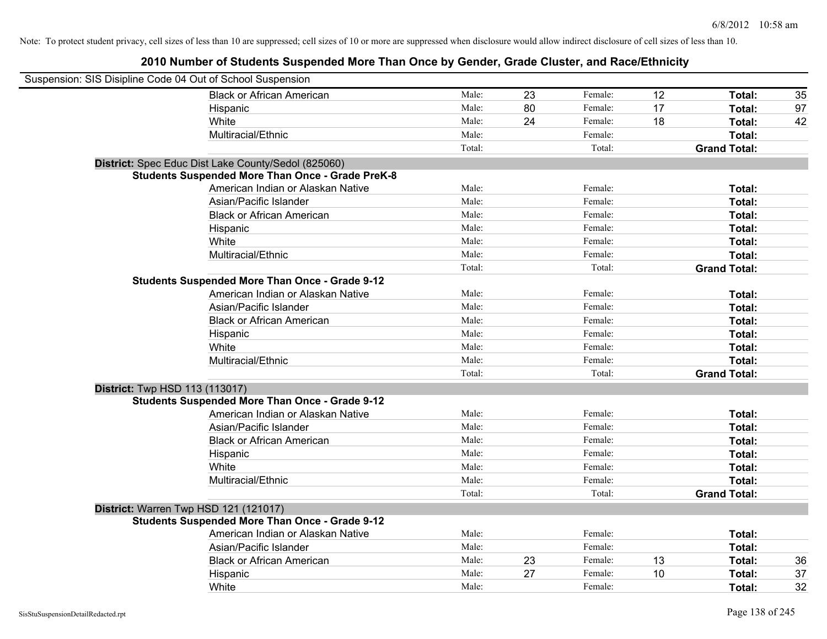| Suspension: SIS Disipline Code 04 Out of School Suspension |                                                         |        |    |         |    |                     |    |
|------------------------------------------------------------|---------------------------------------------------------|--------|----|---------|----|---------------------|----|
|                                                            | <b>Black or African American</b>                        | Male:  | 23 | Female: | 12 | Total:              | 35 |
|                                                            | Hispanic                                                | Male:  | 80 | Female: | 17 | Total:              | 97 |
|                                                            | White                                                   | Male:  | 24 | Female: | 18 | Total:              | 42 |
|                                                            | Multiracial/Ethnic                                      | Male:  |    | Female: |    | Total:              |    |
|                                                            |                                                         | Total: |    | Total:  |    | <b>Grand Total:</b> |    |
|                                                            | District: Spec Educ Dist Lake County/Sedol (825060)     |        |    |         |    |                     |    |
|                                                            | <b>Students Suspended More Than Once - Grade PreK-8</b> |        |    |         |    |                     |    |
|                                                            | American Indian or Alaskan Native                       | Male:  |    | Female: |    | Total:              |    |
|                                                            | Asian/Pacific Islander                                  | Male:  |    | Female: |    | Total:              |    |
|                                                            | <b>Black or African American</b>                        | Male:  |    | Female: |    | Total:              |    |
|                                                            | Hispanic                                                | Male:  |    | Female: |    | Total:              |    |
|                                                            | White                                                   | Male:  |    | Female: |    | Total:              |    |
|                                                            | Multiracial/Ethnic                                      | Male:  |    | Female: |    | Total:              |    |
|                                                            |                                                         | Total: |    | Total:  |    | <b>Grand Total:</b> |    |
|                                                            | <b>Students Suspended More Than Once - Grade 9-12</b>   |        |    |         |    |                     |    |
|                                                            | American Indian or Alaskan Native                       | Male:  |    | Female: |    | Total:              |    |
|                                                            | Asian/Pacific Islander                                  | Male:  |    | Female: |    | Total:              |    |
|                                                            | <b>Black or African American</b>                        | Male:  |    | Female: |    | Total:              |    |
|                                                            | Hispanic                                                | Male:  |    | Female: |    | Total:              |    |
|                                                            | White                                                   | Male:  |    | Female: |    | Total:              |    |
|                                                            | Multiracial/Ethnic                                      | Male:  |    | Female: |    | Total:              |    |
|                                                            |                                                         | Total: |    | Total:  |    | <b>Grand Total:</b> |    |
| <b>District:</b> Twp HSD 113 (113017)                      |                                                         |        |    |         |    |                     |    |
|                                                            | <b>Students Suspended More Than Once - Grade 9-12</b>   |        |    |         |    |                     |    |
|                                                            | American Indian or Alaskan Native                       | Male:  |    | Female: |    | Total:              |    |
|                                                            | Asian/Pacific Islander                                  | Male:  |    | Female: |    | Total:              |    |
|                                                            | <b>Black or African American</b>                        | Male:  |    | Female: |    | Total:              |    |
|                                                            | Hispanic                                                | Male:  |    | Female: |    | Total:              |    |
|                                                            | White                                                   | Male:  |    | Female: |    | Total:              |    |
|                                                            | Multiracial/Ethnic                                      | Male:  |    | Female: |    | Total:              |    |
|                                                            |                                                         | Total: |    | Total:  |    | <b>Grand Total:</b> |    |
| District: Warren Twp HSD 121 (121017)                      |                                                         |        |    |         |    |                     |    |
|                                                            | <b>Students Suspended More Than Once - Grade 9-12</b>   |        |    |         |    |                     |    |
|                                                            | American Indian or Alaskan Native                       | Male:  |    | Female: |    | Total:              |    |
|                                                            | Asian/Pacific Islander                                  | Male:  |    | Female: |    | Total:              |    |
|                                                            | <b>Black or African American</b>                        | Male:  | 23 | Female: | 13 | Total:              | 36 |
|                                                            | Hispanic                                                | Male:  | 27 | Female: | 10 | <b>Total:</b>       | 37 |
|                                                            | White                                                   | Male:  |    | Female: |    | Total:              | 32 |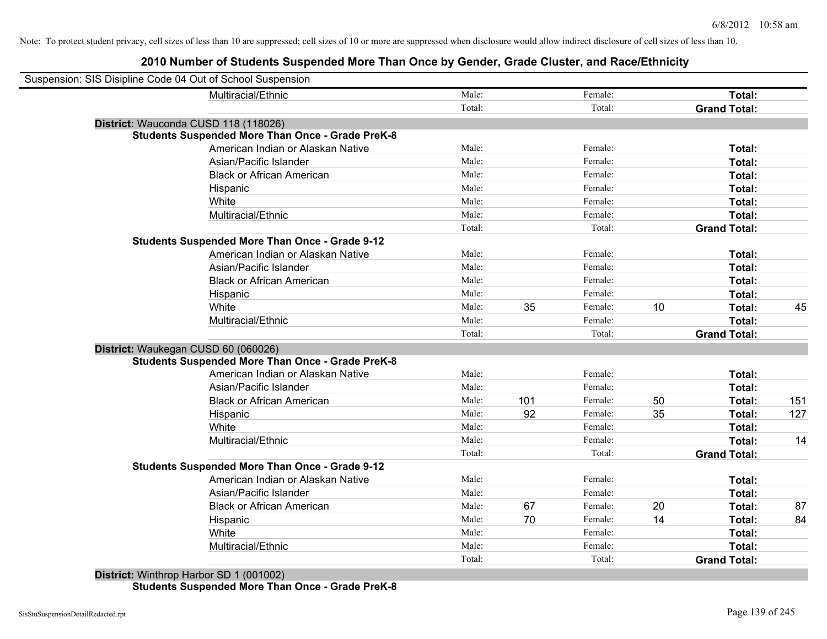| Suspension: SIS Disipline Code 04 Out of School Suspension |        |     |         |    |                     |     |
|------------------------------------------------------------|--------|-----|---------|----|---------------------|-----|
| Multiracial/Ethnic                                         | Male:  |     | Female: |    | Total:              |     |
|                                                            | Total: |     | Total:  |    | <b>Grand Total:</b> |     |
| District: Wauconda CUSD 118 (118026)                       |        |     |         |    |                     |     |
| <b>Students Suspended More Than Once - Grade PreK-8</b>    |        |     |         |    |                     |     |
| American Indian or Alaskan Native                          | Male:  |     | Female: |    | Total:              |     |
| Asian/Pacific Islander                                     | Male:  |     | Female: |    | Total:              |     |
| <b>Black or African American</b>                           | Male:  |     | Female: |    | Total:              |     |
| Hispanic                                                   | Male:  |     | Female: |    | Total:              |     |
| White                                                      | Male:  |     | Female: |    | Total:              |     |
| Multiracial/Ethnic                                         | Male:  |     | Female: |    | Total:              |     |
|                                                            | Total: |     | Total:  |    | <b>Grand Total:</b> |     |
| <b>Students Suspended More Than Once - Grade 9-12</b>      |        |     |         |    |                     |     |
| American Indian or Alaskan Native                          | Male:  |     | Female: |    | Total:              |     |
| Asian/Pacific Islander                                     | Male:  |     | Female: |    | Total:              |     |
| <b>Black or African American</b>                           | Male:  |     | Female: |    | Total:              |     |
| Hispanic                                                   | Male:  |     | Female: |    | Total:              |     |
| White                                                      | Male:  | 35  | Female: | 10 | Total:              | 45  |
| Multiracial/Ethnic                                         | Male:  |     | Female: |    | Total:              |     |
|                                                            | Total: |     | Total:  |    | <b>Grand Total:</b> |     |
| District: Waukegan CUSD 60 (060026)                        |        |     |         |    |                     |     |
| <b>Students Suspended More Than Once - Grade PreK-8</b>    |        |     |         |    |                     |     |
| American Indian or Alaskan Native                          | Male:  |     | Female: |    | Total:              |     |
| Asian/Pacific Islander                                     | Male:  |     | Female: |    | Total:              |     |
| <b>Black or African American</b>                           | Male:  | 101 | Female: | 50 | Total:              | 151 |
| Hispanic                                                   | Male:  | 92  | Female: | 35 | Total:              | 127 |
| White                                                      | Male:  |     | Female: |    | Total:              |     |
| Multiracial/Ethnic                                         | Male:  |     | Female: |    | Total:              | 14  |
|                                                            | Total: |     | Total:  |    | <b>Grand Total:</b> |     |
| <b>Students Suspended More Than Once - Grade 9-12</b>      |        |     |         |    |                     |     |
| American Indian or Alaskan Native                          | Male:  |     | Female: |    | Total:              |     |
| Asian/Pacific Islander                                     | Male:  |     | Female: |    | Total:              |     |
| <b>Black or African American</b>                           | Male:  | 67  | Female: | 20 | Total:              | 87  |
| Hispanic                                                   | Male:  | 70  | Female: | 14 | Total:              | 84  |
| White                                                      | Male:  |     | Female: |    | Total:              |     |
| Multiracial/Ethnic                                         | Male:  |     | Female: |    | <b>Total:</b>       |     |
|                                                            | Total: |     | Total:  |    | <b>Grand Total:</b> |     |
|                                                            |        |     |         |    |                     |     |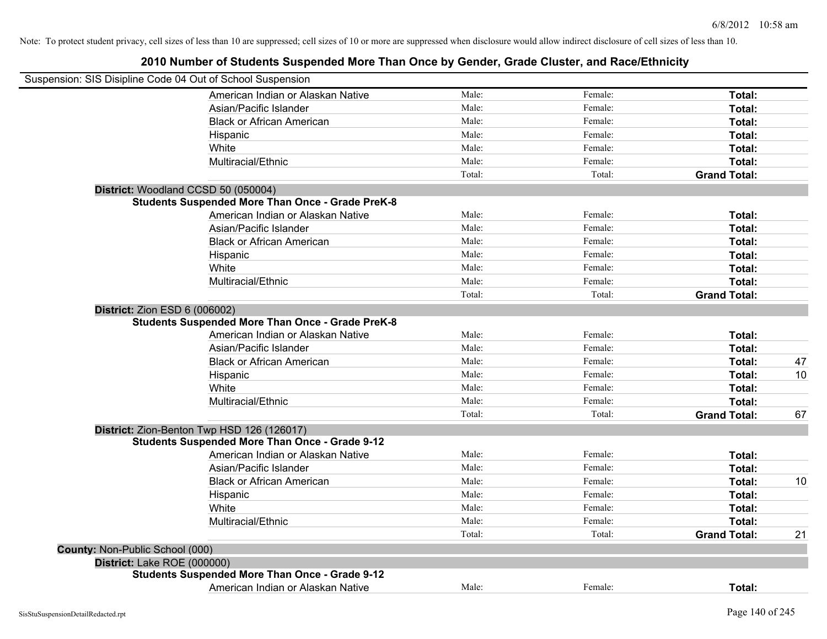|                                 | Suspension: SIS Disipline Code 04 Out of School Suspension                               |        |         |                     |    |
|---------------------------------|------------------------------------------------------------------------------------------|--------|---------|---------------------|----|
|                                 | American Indian or Alaskan Native                                                        | Male:  | Female: | Total:              |    |
|                                 | Asian/Pacific Islander                                                                   | Male:  | Female: | Total:              |    |
|                                 | <b>Black or African American</b>                                                         | Male:  | Female: | Total:              |    |
|                                 | Hispanic                                                                                 | Male:  | Female: | Total:              |    |
|                                 | White                                                                                    | Male:  | Female: | Total:              |    |
|                                 | Multiracial/Ethnic                                                                       | Male:  | Female: | Total:              |    |
|                                 |                                                                                          | Total: | Total:  | <b>Grand Total:</b> |    |
|                                 | District: Woodland CCSD 50 (050004)                                                      |        |         |                     |    |
|                                 | <b>Students Suspended More Than Once - Grade PreK-8</b>                                  |        |         |                     |    |
|                                 | American Indian or Alaskan Native                                                        | Male:  | Female: | Total:              |    |
|                                 | Asian/Pacific Islander                                                                   | Male:  | Female: | Total:              |    |
|                                 | <b>Black or African American</b>                                                         | Male:  | Female: | Total:              |    |
|                                 | Hispanic                                                                                 | Male:  | Female: | Total:              |    |
|                                 | White                                                                                    | Male:  | Female: | Total:              |    |
|                                 | Multiracial/Ethnic                                                                       | Male:  | Female: | Total:              |    |
|                                 |                                                                                          | Total: | Total:  | <b>Grand Total:</b> |    |
|                                 | District: Zion ESD 6 (006002)<br><b>Students Suspended More Than Once - Grade PreK-8</b> |        |         |                     |    |
|                                 | American Indian or Alaskan Native                                                        | Male:  | Female: | Total:              |    |
|                                 | Asian/Pacific Islander                                                                   | Male:  | Female: | Total:              |    |
|                                 | <b>Black or African American</b>                                                         | Male:  | Female: | Total:              | 47 |
|                                 | Hispanic                                                                                 | Male:  | Female: | Total:              | 10 |
|                                 | White                                                                                    | Male:  | Female: | Total:              |    |
|                                 | Multiracial/Ethnic                                                                       | Male:  | Female: | Total:              |    |
|                                 |                                                                                          | Total: | Total:  | <b>Grand Total:</b> | 67 |
|                                 | District: Zion-Benton Twp HSD 126 (126017)                                               |        |         |                     |    |
|                                 | <b>Students Suspended More Than Once - Grade 9-12</b>                                    |        |         |                     |    |
|                                 | American Indian or Alaskan Native                                                        | Male:  | Female: | Total:              |    |
|                                 | Asian/Pacific Islander                                                                   | Male:  | Female: | Total:              |    |
|                                 | <b>Black or African American</b>                                                         | Male:  | Female: | Total:              | 10 |
|                                 | Hispanic                                                                                 | Male:  | Female: | Total:              |    |
|                                 | White                                                                                    | Male:  | Female: | Total:              |    |
|                                 | Multiracial/Ethnic                                                                       | Male:  | Female: | Total:              |    |
|                                 |                                                                                          | Total: | Total:  | <b>Grand Total:</b> | 21 |
| County: Non-Public School (000) |                                                                                          |        |         |                     |    |
| District: Lake ROE (000000)     |                                                                                          |        |         |                     |    |
|                                 | <b>Students Suspended More Than Once - Grade 9-12</b>                                    |        |         |                     |    |
|                                 | American Indian or Alaskan Native                                                        | Male:  | Female: | Total:              |    |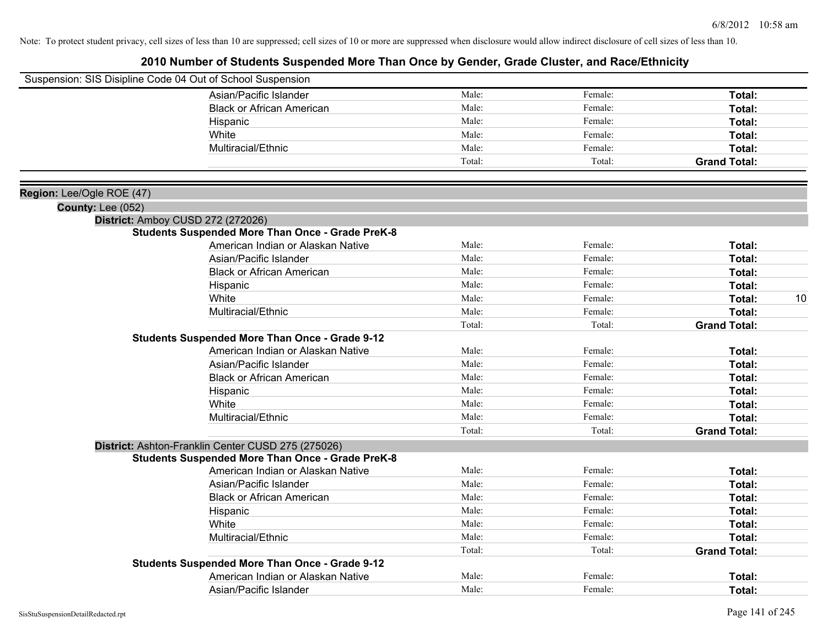|                                                | Suspension: SIS Disipline Code 04 Out of School Suspension |        |         |                     |    |
|------------------------------------------------|------------------------------------------------------------|--------|---------|---------------------|----|
|                                                | Asian/Pacific Islander                                     | Male:  | Female: | Total:              |    |
|                                                | <b>Black or African American</b>                           | Male:  | Female: | Total:              |    |
|                                                | Hispanic                                                   | Male:  | Female: | Total:              |    |
|                                                | White                                                      | Male:  | Female: | Total:              |    |
|                                                | Multiracial/Ethnic                                         | Male:  | Female: | Total:              |    |
|                                                |                                                            | Total: | Total:  | <b>Grand Total:</b> |    |
|                                                |                                                            |        |         |                     |    |
| Region: Lee/Ogle ROE (47)<br>County: Lee (052) |                                                            |        |         |                     |    |
|                                                | District: Amboy CUSD 272 (272026)                          |        |         |                     |    |
|                                                | <b>Students Suspended More Than Once - Grade PreK-8</b>    |        |         |                     |    |
|                                                | American Indian or Alaskan Native                          | Male:  | Female: | Total:              |    |
|                                                | Asian/Pacific Islander                                     | Male:  | Female: | Total:              |    |
|                                                | <b>Black or African American</b>                           | Male:  | Female: | Total:              |    |
|                                                | Hispanic                                                   | Male:  | Female: | Total:              |    |
|                                                | White                                                      | Male:  | Female: | Total:              | 10 |
|                                                | Multiracial/Ethnic                                         | Male:  | Female: | Total:              |    |
|                                                |                                                            | Total: | Total:  | <b>Grand Total:</b> |    |
|                                                | <b>Students Suspended More Than Once - Grade 9-12</b>      |        |         |                     |    |
|                                                | American Indian or Alaskan Native                          | Male:  | Female: | Total:              |    |
|                                                | Asian/Pacific Islander                                     | Male:  | Female: | Total:              |    |
|                                                | <b>Black or African American</b>                           | Male:  | Female: | Total:              |    |
|                                                | Hispanic                                                   | Male:  | Female: | Total:              |    |
|                                                | White                                                      | Male:  | Female: | Total:              |    |
|                                                | Multiracial/Ethnic                                         | Male:  | Female: | Total:              |    |
|                                                |                                                            | Total: | Total:  | <b>Grand Total:</b> |    |
|                                                | District: Ashton-Franklin Center CUSD 275 (275026)         |        |         |                     |    |
|                                                | <b>Students Suspended More Than Once - Grade PreK-8</b>    |        |         |                     |    |
|                                                | American Indian or Alaskan Native                          | Male:  | Female: | Total:              |    |
|                                                | Asian/Pacific Islander                                     | Male:  | Female: | Total:              |    |
|                                                | <b>Black or African American</b>                           | Male:  | Female: | Total:              |    |
|                                                | Hispanic                                                   | Male:  | Female: | Total:              |    |
|                                                | White                                                      | Male:  | Female: | Total:              |    |
|                                                | Multiracial/Ethnic                                         | Male:  | Female: | Total:              |    |
|                                                |                                                            | Total: | Total:  | <b>Grand Total:</b> |    |
|                                                | <b>Students Suspended More Than Once - Grade 9-12</b>      |        |         |                     |    |
|                                                | American Indian or Alaskan Native                          | Male:  | Female: | <b>Total:</b>       |    |
|                                                | Asian/Pacific Islander                                     | Male:  | Female: | Total:              |    |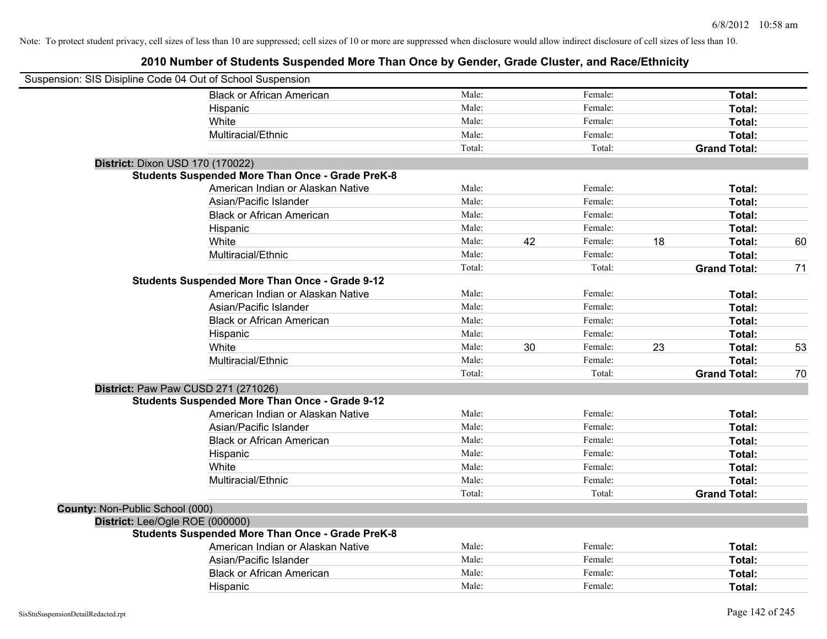| Suspension: SIS Disipline Code 04 Out of School Suspension |                                                         |        |    |         |    |                     |    |
|------------------------------------------------------------|---------------------------------------------------------|--------|----|---------|----|---------------------|----|
|                                                            | <b>Black or African American</b>                        | Male:  |    | Female: |    | Total:              |    |
|                                                            | Hispanic                                                | Male:  |    | Female: |    | Total:              |    |
|                                                            | White                                                   | Male:  |    | Female: |    | <b>Total:</b>       |    |
|                                                            | Multiracial/Ethnic                                      | Male:  |    | Female: |    | Total:              |    |
|                                                            |                                                         | Total: |    | Total:  |    | <b>Grand Total:</b> |    |
| District: Dixon USD 170 (170022)                           |                                                         |        |    |         |    |                     |    |
|                                                            | <b>Students Suspended More Than Once - Grade PreK-8</b> |        |    |         |    |                     |    |
|                                                            | American Indian or Alaskan Native                       | Male:  |    | Female: |    | Total:              |    |
|                                                            | Asian/Pacific Islander                                  | Male:  |    | Female: |    | Total:              |    |
|                                                            | <b>Black or African American</b>                        | Male:  |    | Female: |    | Total:              |    |
|                                                            | Hispanic                                                | Male:  |    | Female: |    | Total:              |    |
|                                                            | White                                                   | Male:  | 42 | Female: | 18 | Total:              | 60 |
|                                                            | Multiracial/Ethnic                                      | Male:  |    | Female: |    | Total:              |    |
|                                                            |                                                         | Total: |    | Total:  |    | <b>Grand Total:</b> | 71 |
|                                                            | <b>Students Suspended More Than Once - Grade 9-12</b>   |        |    |         |    |                     |    |
|                                                            | American Indian or Alaskan Native                       | Male:  |    | Female: |    | Total:              |    |
|                                                            | Asian/Pacific Islander                                  | Male:  |    | Female: |    | Total:              |    |
|                                                            | <b>Black or African American</b>                        | Male:  |    | Female: |    | Total:              |    |
|                                                            | Hispanic                                                | Male:  |    | Female: |    | Total:              |    |
|                                                            | White                                                   | Male:  | 30 | Female: | 23 | Total:              | 53 |
|                                                            | Multiracial/Ethnic                                      | Male:  |    | Female: |    | Total:              |    |
|                                                            |                                                         | Total: |    | Total:  |    | <b>Grand Total:</b> | 70 |
| District: Paw Paw CUSD 271 (271026)                        |                                                         |        |    |         |    |                     |    |
|                                                            | <b>Students Suspended More Than Once - Grade 9-12</b>   |        |    |         |    |                     |    |
|                                                            | American Indian or Alaskan Native                       | Male:  |    | Female: |    | Total:              |    |
|                                                            | Asian/Pacific Islander                                  | Male:  |    | Female: |    | Total:              |    |
|                                                            | <b>Black or African American</b>                        | Male:  |    | Female: |    | Total:              |    |
|                                                            | Hispanic                                                | Male:  |    | Female: |    | Total:              |    |
|                                                            | White                                                   | Male:  |    | Female: |    | Total:              |    |
|                                                            | Multiracial/Ethnic                                      | Male:  |    | Female: |    | Total:              |    |
|                                                            |                                                         | Total: |    | Total:  |    | <b>Grand Total:</b> |    |
| County: Non-Public School (000)                            |                                                         |        |    |         |    |                     |    |
| District: Lee/Ogle ROE (000000)                            |                                                         |        |    |         |    |                     |    |
|                                                            | <b>Students Suspended More Than Once - Grade PreK-8</b> |        |    |         |    |                     |    |
|                                                            | American Indian or Alaskan Native                       | Male:  |    | Female: |    | Total:              |    |
|                                                            | Asian/Pacific Islander                                  | Male:  |    | Female: |    | Total:              |    |
|                                                            | <b>Black or African American</b>                        | Male:  |    | Female: |    | Total:              |    |
|                                                            | Hispanic                                                | Male:  |    | Female: |    | Total:              |    |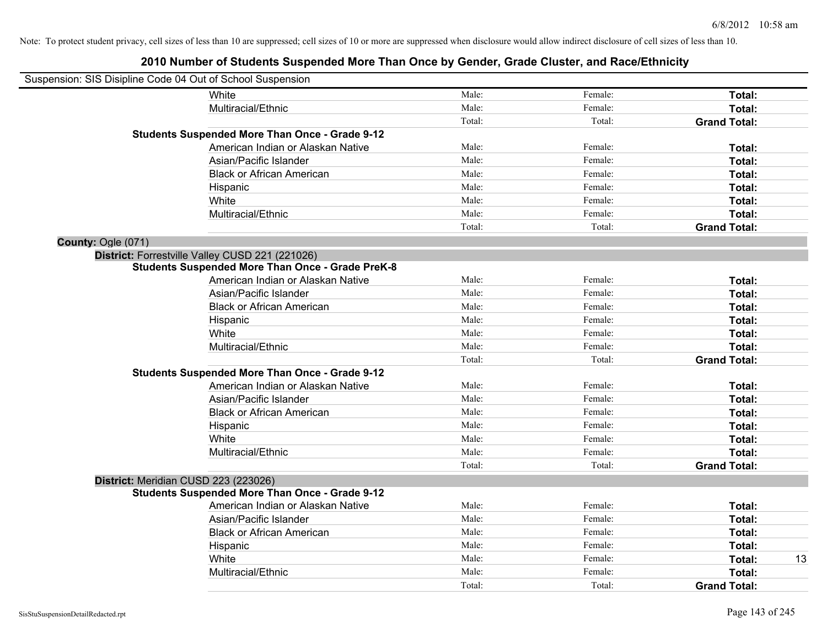| Suspension: SIS Disipline Code 04 Out of School Suspension |                                                         |        |         |                     |    |
|------------------------------------------------------------|---------------------------------------------------------|--------|---------|---------------------|----|
|                                                            | <b>White</b>                                            | Male:  | Female: | Total:              |    |
|                                                            | Multiracial/Ethnic                                      | Male:  | Female: | Total:              |    |
|                                                            |                                                         | Total: | Total:  | <b>Grand Total:</b> |    |
|                                                            | <b>Students Suspended More Than Once - Grade 9-12</b>   |        |         |                     |    |
|                                                            | American Indian or Alaskan Native                       | Male:  | Female: | Total:              |    |
|                                                            | Asian/Pacific Islander                                  | Male:  | Female: | Total:              |    |
|                                                            | <b>Black or African American</b>                        | Male:  | Female: | Total:              |    |
|                                                            | Hispanic                                                | Male:  | Female: | Total:              |    |
|                                                            | White                                                   | Male:  | Female: | Total:              |    |
|                                                            | Multiracial/Ethnic                                      | Male:  | Female: | Total:              |    |
|                                                            |                                                         | Total: | Total:  | <b>Grand Total:</b> |    |
| County: Ogle (071)                                         |                                                         |        |         |                     |    |
|                                                            | District: Forrestville Valley CUSD 221 (221026)         |        |         |                     |    |
|                                                            | <b>Students Suspended More Than Once - Grade PreK-8</b> |        |         |                     |    |
|                                                            | American Indian or Alaskan Native                       | Male:  | Female: | Total:              |    |
|                                                            | Asian/Pacific Islander                                  | Male:  | Female: | Total:              |    |
|                                                            | <b>Black or African American</b>                        | Male:  | Female: | Total:              |    |
|                                                            | Hispanic                                                | Male:  | Female: | Total:              |    |
|                                                            | White                                                   | Male:  | Female: | Total:              |    |
|                                                            | Multiracial/Ethnic                                      | Male:  | Female: | Total:              |    |
|                                                            |                                                         | Total: | Total:  | <b>Grand Total:</b> |    |
|                                                            | <b>Students Suspended More Than Once - Grade 9-12</b>   |        |         |                     |    |
|                                                            | American Indian or Alaskan Native                       | Male:  | Female: | Total:              |    |
|                                                            | Asian/Pacific Islander                                  | Male:  | Female: | Total:              |    |
|                                                            | <b>Black or African American</b>                        | Male:  | Female: | Total:              |    |
|                                                            | Hispanic                                                | Male:  | Female: | Total:              |    |
|                                                            | White                                                   | Male:  | Female: | Total:              |    |
|                                                            | Multiracial/Ethnic                                      | Male:  | Female: | Total:              |    |
|                                                            |                                                         | Total: | Total:  | <b>Grand Total:</b> |    |
| District: Meridian CUSD 223 (223026)                       |                                                         |        |         |                     |    |
|                                                            | <b>Students Suspended More Than Once - Grade 9-12</b>   |        |         |                     |    |
|                                                            | American Indian or Alaskan Native                       | Male:  | Female: | Total:              |    |
|                                                            | Asian/Pacific Islander                                  | Male:  | Female: | Total:              |    |
|                                                            | <b>Black or African American</b>                        | Male:  | Female: | Total:              |    |
|                                                            | Hispanic                                                | Male:  | Female: | Total:              |    |
|                                                            | White                                                   | Male:  | Female: | Total:              | 13 |
|                                                            | Multiracial/Ethnic                                      | Male:  | Female: | Total:              |    |
|                                                            |                                                         | Total: | Total:  | <b>Grand Total:</b> |    |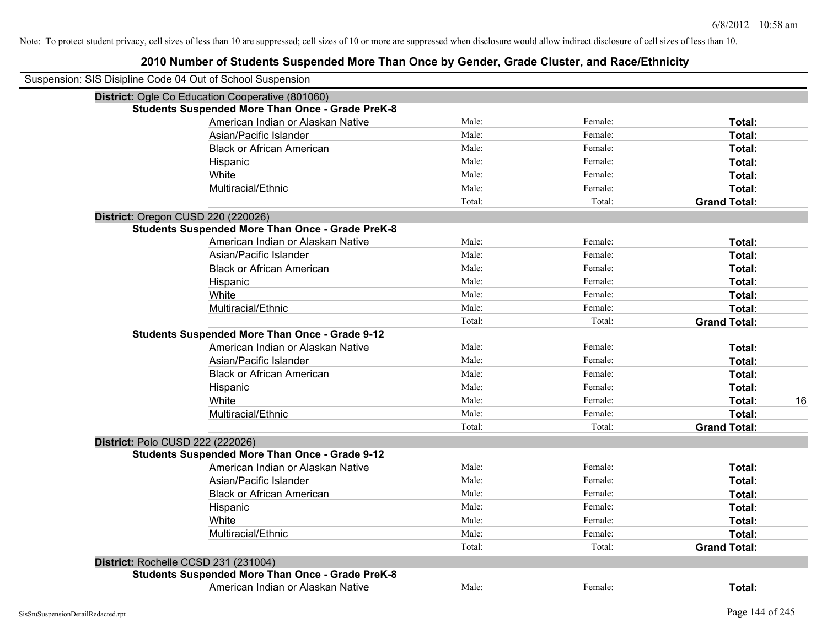| Suspension: SIS Disipline Code 04 Out of School Suspension |        |         |                     |
|------------------------------------------------------------|--------|---------|---------------------|
| District: Ogle Co Education Cooperative (801060)           |        |         |                     |
| <b>Students Suspended More Than Once - Grade PreK-8</b>    |        |         |                     |
| American Indian or Alaskan Native                          | Male:  | Female: | Total:              |
| Asian/Pacific Islander                                     | Male:  | Female: | Total:              |
| <b>Black or African American</b>                           | Male:  | Female: | Total:              |
| Hispanic                                                   | Male:  | Female: | Total:              |
| White                                                      | Male:  | Female: | Total:              |
| Multiracial/Ethnic                                         | Male:  | Female: | Total:              |
|                                                            | Total: | Total:  | <b>Grand Total:</b> |
| District: Oregon CUSD 220 (220026)                         |        |         |                     |
| <b>Students Suspended More Than Once - Grade PreK-8</b>    |        |         |                     |
| American Indian or Alaskan Native                          | Male:  | Female: | Total:              |
| Asian/Pacific Islander                                     | Male:  | Female: | Total:              |
| <b>Black or African American</b>                           | Male:  | Female: | Total:              |
| Hispanic                                                   | Male:  | Female: | Total:              |
| White                                                      | Male:  | Female: | Total:              |
| Multiracial/Ethnic                                         | Male:  | Female: | Total:              |
|                                                            | Total: | Total:  | <b>Grand Total:</b> |
| <b>Students Suspended More Than Once - Grade 9-12</b>      |        |         |                     |
| American Indian or Alaskan Native                          | Male:  | Female: | Total:              |
| Asian/Pacific Islander                                     | Male:  | Female: | Total:              |
| <b>Black or African American</b>                           | Male:  | Female: | Total:              |
| Hispanic                                                   | Male:  | Female: | Total:              |
| White                                                      | Male:  | Female: | Total:<br>16        |
| Multiracial/Ethnic                                         | Male:  | Female: | Total:              |
|                                                            | Total: | Total:  | <b>Grand Total:</b> |
| District: Polo CUSD 222 (222026)                           |        |         |                     |
| <b>Students Suspended More Than Once - Grade 9-12</b>      |        |         |                     |
| American Indian or Alaskan Native                          | Male:  | Female: | Total:              |
| Asian/Pacific Islander                                     | Male:  | Female: | Total:              |
| <b>Black or African American</b>                           | Male:  | Female: | Total:              |
| Hispanic                                                   | Male:  | Female: | Total:              |
| White                                                      | Male:  | Female: | Total:              |
| Multiracial/Ethnic                                         | Male:  | Female: | Total:              |
|                                                            | Total: | Total:  | <b>Grand Total:</b> |
| District: Rochelle CCSD 231 (231004)                       |        |         |                     |
| <b>Students Suspended More Than Once - Grade PreK-8</b>    |        |         |                     |
| American Indian or Alaskan Native                          | Male:  | Female: | Total:              |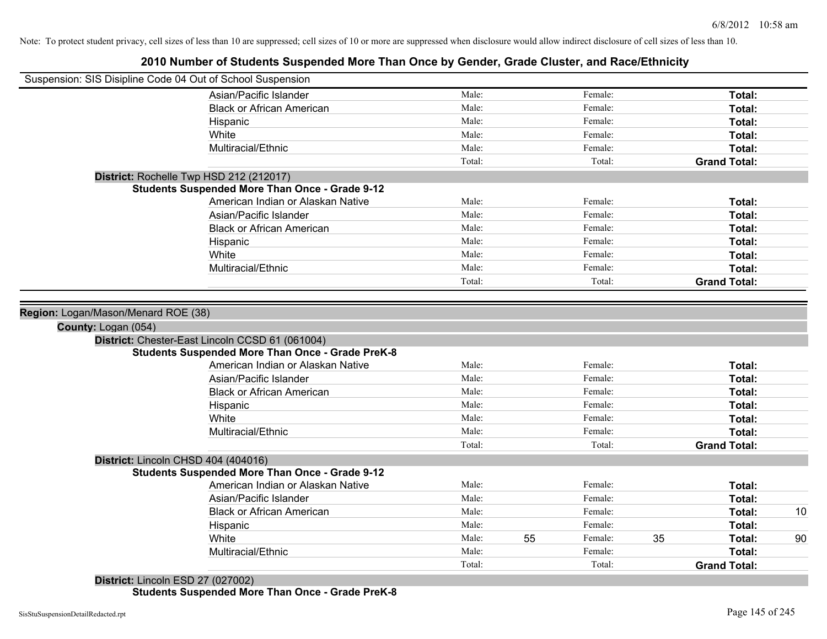## **2010 Number of Students Suspended More Than Once by Gender, Grade Cluster, and Race/Ethnicity**

| Male:<br>Female:<br>Asian/Pacific Islander<br>Total:<br>Male:<br>Female:<br><b>Black or African American</b><br>Total:<br>Male:<br>Female:<br>Total:<br>Hispanic<br>Male:<br>Female:<br>White<br>Total:<br>Male:<br>Female:<br>Multiracial/Ethnic<br>Total:<br>Total:<br>Total:<br><b>Grand Total:</b><br>District: Rochelle Twp HSD 212 (212017)<br><b>Students Suspended More Than Once - Grade 9-12</b><br>American Indian or Alaskan Native<br>Male:<br>Female:<br>Total:<br>Asian/Pacific Islander<br>Male:<br>Female:<br>Total:<br>Male:<br><b>Black or African American</b><br>Female:<br>Total:<br>Male:<br>Female:<br>Total:<br>Hispanic<br>White<br>Male:<br>Female:<br>Total:<br>Multiracial/Ethnic<br>Male:<br>Female:<br>Total:<br>Total:<br>Total:<br><b>Grand Total:</b><br>Region: Logan/Mason/Menard ROE (38)<br>County: Logan (054) |
|-------------------------------------------------------------------------------------------------------------------------------------------------------------------------------------------------------------------------------------------------------------------------------------------------------------------------------------------------------------------------------------------------------------------------------------------------------------------------------------------------------------------------------------------------------------------------------------------------------------------------------------------------------------------------------------------------------------------------------------------------------------------------------------------------------------------------------------------------------|
|                                                                                                                                                                                                                                                                                                                                                                                                                                                                                                                                                                                                                                                                                                                                                                                                                                                       |
|                                                                                                                                                                                                                                                                                                                                                                                                                                                                                                                                                                                                                                                                                                                                                                                                                                                       |
|                                                                                                                                                                                                                                                                                                                                                                                                                                                                                                                                                                                                                                                                                                                                                                                                                                                       |
|                                                                                                                                                                                                                                                                                                                                                                                                                                                                                                                                                                                                                                                                                                                                                                                                                                                       |
|                                                                                                                                                                                                                                                                                                                                                                                                                                                                                                                                                                                                                                                                                                                                                                                                                                                       |
|                                                                                                                                                                                                                                                                                                                                                                                                                                                                                                                                                                                                                                                                                                                                                                                                                                                       |
|                                                                                                                                                                                                                                                                                                                                                                                                                                                                                                                                                                                                                                                                                                                                                                                                                                                       |
|                                                                                                                                                                                                                                                                                                                                                                                                                                                                                                                                                                                                                                                                                                                                                                                                                                                       |
|                                                                                                                                                                                                                                                                                                                                                                                                                                                                                                                                                                                                                                                                                                                                                                                                                                                       |
|                                                                                                                                                                                                                                                                                                                                                                                                                                                                                                                                                                                                                                                                                                                                                                                                                                                       |
|                                                                                                                                                                                                                                                                                                                                                                                                                                                                                                                                                                                                                                                                                                                                                                                                                                                       |
|                                                                                                                                                                                                                                                                                                                                                                                                                                                                                                                                                                                                                                                                                                                                                                                                                                                       |
|                                                                                                                                                                                                                                                                                                                                                                                                                                                                                                                                                                                                                                                                                                                                                                                                                                                       |
|                                                                                                                                                                                                                                                                                                                                                                                                                                                                                                                                                                                                                                                                                                                                                                                                                                                       |
|                                                                                                                                                                                                                                                                                                                                                                                                                                                                                                                                                                                                                                                                                                                                                                                                                                                       |
|                                                                                                                                                                                                                                                                                                                                                                                                                                                                                                                                                                                                                                                                                                                                                                                                                                                       |
|                                                                                                                                                                                                                                                                                                                                                                                                                                                                                                                                                                                                                                                                                                                                                                                                                                                       |
|                                                                                                                                                                                                                                                                                                                                                                                                                                                                                                                                                                                                                                                                                                                                                                                                                                                       |
| District: Chester-East Lincoln CCSD 61 (061004)                                                                                                                                                                                                                                                                                                                                                                                                                                                                                                                                                                                                                                                                                                                                                                                                       |
| <b>Students Suspended More Than Once - Grade PreK-8</b>                                                                                                                                                                                                                                                                                                                                                                                                                                                                                                                                                                                                                                                                                                                                                                                               |
| American Indian or Alaskan Native<br>Male:<br>Female:<br>Total:                                                                                                                                                                                                                                                                                                                                                                                                                                                                                                                                                                                                                                                                                                                                                                                       |
| Asian/Pacific Islander<br>Male:<br>Female:<br>Total:                                                                                                                                                                                                                                                                                                                                                                                                                                                                                                                                                                                                                                                                                                                                                                                                  |
| Male:<br>Female:<br><b>Black or African American</b><br>Total:                                                                                                                                                                                                                                                                                                                                                                                                                                                                                                                                                                                                                                                                                                                                                                                        |
| Male:<br>Hispanic<br>Female:<br>Total:                                                                                                                                                                                                                                                                                                                                                                                                                                                                                                                                                                                                                                                                                                                                                                                                                |
| White<br>Male:<br>Female:<br>Total:                                                                                                                                                                                                                                                                                                                                                                                                                                                                                                                                                                                                                                                                                                                                                                                                                   |
| Multiracial/Ethnic<br>Male:<br>Female:<br>Total:                                                                                                                                                                                                                                                                                                                                                                                                                                                                                                                                                                                                                                                                                                                                                                                                      |
| Total:<br>Total:<br><b>Grand Total:</b>                                                                                                                                                                                                                                                                                                                                                                                                                                                                                                                                                                                                                                                                                                                                                                                                               |
| District: Lincoln CHSD 404 (404016)                                                                                                                                                                                                                                                                                                                                                                                                                                                                                                                                                                                                                                                                                                                                                                                                                   |
| <b>Students Suspended More Than Once - Grade 9-12</b>                                                                                                                                                                                                                                                                                                                                                                                                                                                                                                                                                                                                                                                                                                                                                                                                 |
| Male:<br>American Indian or Alaskan Native<br>Female:<br>Total:                                                                                                                                                                                                                                                                                                                                                                                                                                                                                                                                                                                                                                                                                                                                                                                       |
| Male:<br>Female:<br>Asian/Pacific Islander<br>Total:                                                                                                                                                                                                                                                                                                                                                                                                                                                                                                                                                                                                                                                                                                                                                                                                  |
| Male:<br>Female:<br><b>Black or African American</b><br>10<br>Total:                                                                                                                                                                                                                                                                                                                                                                                                                                                                                                                                                                                                                                                                                                                                                                                  |
| Male:<br>Female:<br>Hispanic<br>Total:                                                                                                                                                                                                                                                                                                                                                                                                                                                                                                                                                                                                                                                                                                                                                                                                                |
| 55<br>White<br>Male:<br>Female:<br>35<br>90<br>Total:                                                                                                                                                                                                                                                                                                                                                                                                                                                                                                                                                                                                                                                                                                                                                                                                 |
| Male:<br>Female:<br>Total:<br>Multiracial/Ethnic                                                                                                                                                                                                                                                                                                                                                                                                                                                                                                                                                                                                                                                                                                                                                                                                      |
| Total:<br>Total:<br><b>Grand Total:</b>                                                                                                                                                                                                                                                                                                                                                                                                                                                                                                                                                                                                                                                                                                                                                                                                               |
| District: Lincoln ESD 27 (027002)                                                                                                                                                                                                                                                                                                                                                                                                                                                                                                                                                                                                                                                                                                                                                                                                                     |

**Students Suspended More Than Once - Grade PreK-8**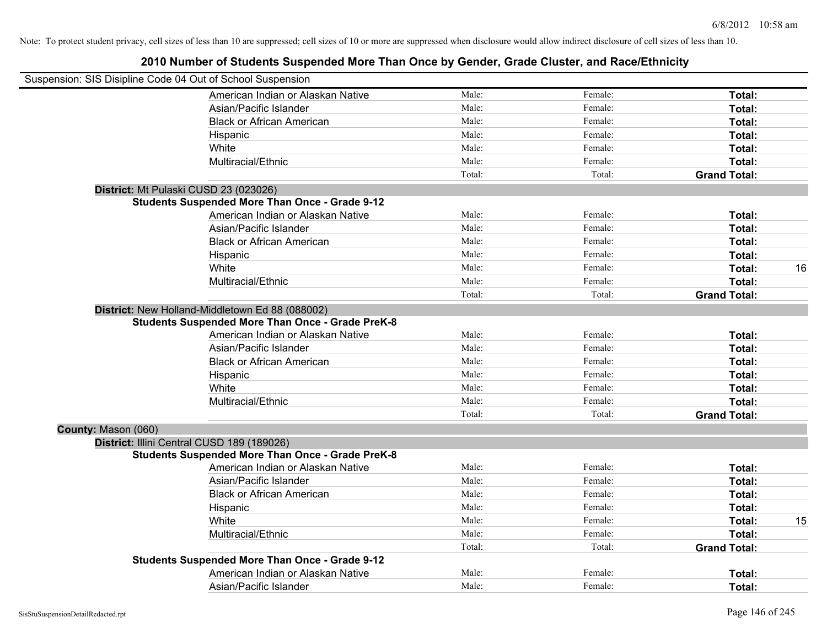|                     | Suspension: SIS Disipline Code 04 Out of School Suspension |        |         |                     |    |
|---------------------|------------------------------------------------------------|--------|---------|---------------------|----|
|                     | American Indian or Alaskan Native                          | Male:  | Female: | Total:              |    |
|                     | Asian/Pacific Islander                                     | Male:  | Female: | Total:              |    |
|                     | <b>Black or African American</b>                           | Male:  | Female: | Total:              |    |
|                     | Hispanic                                                   | Male:  | Female: | Total:              |    |
|                     | White                                                      | Male:  | Female: | Total:              |    |
|                     | Multiracial/Ethnic                                         | Male:  | Female: | Total:              |    |
|                     |                                                            | Total: | Total:  | <b>Grand Total:</b> |    |
|                     | District: Mt Pulaski CUSD 23 (023026)                      |        |         |                     |    |
|                     | <b>Students Suspended More Than Once - Grade 9-12</b>      |        |         |                     |    |
|                     | American Indian or Alaskan Native                          | Male:  | Female: | Total:              |    |
|                     | Asian/Pacific Islander                                     | Male:  | Female: | Total:              |    |
|                     | <b>Black or African American</b>                           | Male:  | Female: | Total:              |    |
|                     | Hispanic                                                   | Male:  | Female: | Total:              |    |
|                     | White                                                      | Male:  | Female: | Total:              | 16 |
|                     | Multiracial/Ethnic                                         | Male:  | Female: | Total:              |    |
|                     |                                                            | Total: | Total:  | <b>Grand Total:</b> |    |
|                     | District: New Holland-Middletown Ed 88 (088002)            |        |         |                     |    |
|                     | <b>Students Suspended More Than Once - Grade PreK-8</b>    |        |         |                     |    |
|                     | American Indian or Alaskan Native                          | Male:  | Female: | Total:              |    |
|                     | Asian/Pacific Islander                                     | Male:  | Female: | Total:              |    |
|                     | <b>Black or African American</b>                           | Male:  | Female: | Total:              |    |
|                     | Hispanic                                                   | Male:  | Female: | Total:              |    |
|                     | White                                                      | Male:  | Female: | Total:              |    |
|                     | Multiracial/Ethnic                                         | Male:  | Female: | Total:              |    |
|                     |                                                            | Total: | Total:  | <b>Grand Total:</b> |    |
| County: Mason (060) |                                                            |        |         |                     |    |
|                     | District: Illini Central CUSD 189 (189026)                 |        |         |                     |    |
|                     | <b>Students Suspended More Than Once - Grade PreK-8</b>    |        |         |                     |    |
|                     | American Indian or Alaskan Native                          | Male:  | Female: | Total:              |    |
|                     | Asian/Pacific Islander                                     | Male:  | Female: | Total:              |    |
|                     | <b>Black or African American</b>                           | Male:  | Female: | Total:              |    |
|                     | Hispanic                                                   | Male:  | Female: | Total:              |    |
|                     | White                                                      | Male:  | Female: | Total:              | 15 |
|                     | Multiracial/Ethnic                                         | Male:  | Female: | Total:              |    |
|                     |                                                            | Total: | Total:  | <b>Grand Total:</b> |    |
|                     | <b>Students Suspended More Than Once - Grade 9-12</b>      |        |         |                     |    |
|                     | American Indian or Alaskan Native                          | Male:  | Female: | Total:              |    |
|                     | Asian/Pacific Islander                                     | Male:  | Female: | Total:              |    |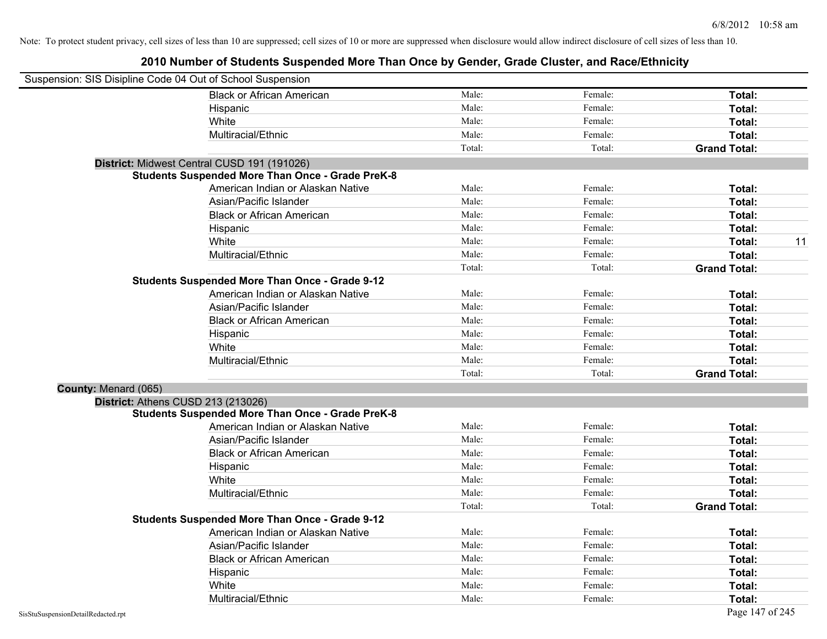| Suspension: SIS Disipline Code 04 Out of School Suspension |                                                         |        |         |                     |
|------------------------------------------------------------|---------------------------------------------------------|--------|---------|---------------------|
|                                                            | <b>Black or African American</b>                        | Male:  | Female: | Total:              |
|                                                            | Hispanic                                                | Male:  | Female: | Total:              |
|                                                            | White                                                   | Male:  | Female: | Total:              |
|                                                            | Multiracial/Ethnic                                      | Male:  | Female: | Total:              |
|                                                            |                                                         | Total: | Total:  | <b>Grand Total:</b> |
|                                                            | District: Midwest Central CUSD 191 (191026)             |        |         |                     |
|                                                            | <b>Students Suspended More Than Once - Grade PreK-8</b> |        |         |                     |
|                                                            | American Indian or Alaskan Native                       | Male:  | Female: | Total:              |
|                                                            | Asian/Pacific Islander                                  | Male:  | Female: | Total:              |
|                                                            | <b>Black or African American</b>                        | Male:  | Female: | Total:              |
|                                                            | Hispanic                                                | Male:  | Female: | Total:              |
|                                                            | White                                                   | Male:  | Female: | 11<br>Total:        |
|                                                            | Multiracial/Ethnic                                      | Male:  | Female: | Total:              |
|                                                            |                                                         | Total: | Total:  | <b>Grand Total:</b> |
|                                                            | <b>Students Suspended More Than Once - Grade 9-12</b>   |        |         |                     |
|                                                            | American Indian or Alaskan Native                       | Male:  | Female: | Total:              |
|                                                            | Asian/Pacific Islander                                  | Male:  | Female: | Total:              |
|                                                            | <b>Black or African American</b>                        | Male:  | Female: | Total:              |
|                                                            | Hispanic                                                | Male:  | Female: | Total:              |
|                                                            | White                                                   | Male:  | Female: | Total:              |
|                                                            | Multiracial/Ethnic                                      | Male:  | Female: | Total:              |
|                                                            |                                                         | Total: | Total:  | <b>Grand Total:</b> |
| County: Menard (065)                                       |                                                         |        |         |                     |
| District: Athens CUSD 213 (213026)                         |                                                         |        |         |                     |
|                                                            | <b>Students Suspended More Than Once - Grade PreK-8</b> |        |         |                     |
|                                                            | American Indian or Alaskan Native                       | Male:  | Female: | Total:              |
|                                                            | Asian/Pacific Islander                                  | Male:  | Female: | Total:              |
|                                                            | <b>Black or African American</b>                        | Male:  | Female: | Total:              |
|                                                            | Hispanic                                                | Male:  | Female: | Total:              |
|                                                            | White                                                   | Male:  | Female: | Total:              |
|                                                            | Multiracial/Ethnic                                      | Male:  | Female: | Total:              |
|                                                            |                                                         | Total: | Total:  | <b>Grand Total:</b> |
|                                                            | <b>Students Suspended More Than Once - Grade 9-12</b>   |        |         |                     |
|                                                            | American Indian or Alaskan Native                       | Male:  | Female: | Total:              |
|                                                            | Asian/Pacific Islander                                  | Male:  | Female: | Total:              |
|                                                            | <b>Black or African American</b>                        | Male:  | Female: | Total:              |
|                                                            | Hispanic                                                | Male:  | Female: | Total:              |
|                                                            | White                                                   | Male:  | Female: | <b>Total:</b>       |
|                                                            | Multiracial/Ethnic                                      | Male:  | Female: | Total:              |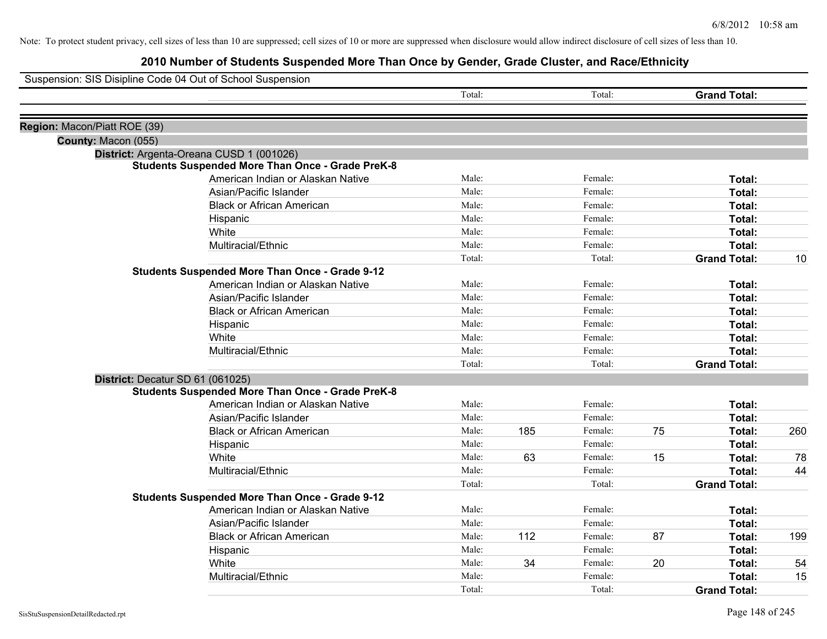|                              | Suspension: SIS Disipline Code 04 Out of School Suspension |        |     |         |    |                     |     |
|------------------------------|------------------------------------------------------------|--------|-----|---------|----|---------------------|-----|
|                              |                                                            | Total: |     | Total:  |    | <b>Grand Total:</b> |     |
| Region: Macon/Piatt ROE (39) |                                                            |        |     |         |    |                     |     |
| County: Macon (055)          |                                                            |        |     |         |    |                     |     |
|                              | District: Argenta-Oreana CUSD 1 (001026)                   |        |     |         |    |                     |     |
|                              | <b>Students Suspended More Than Once - Grade PreK-8</b>    |        |     |         |    |                     |     |
|                              | American Indian or Alaskan Native                          | Male:  |     | Female: |    | Total:              |     |
|                              | Asian/Pacific Islander                                     | Male:  |     | Female: |    | Total:              |     |
|                              | <b>Black or African American</b>                           | Male:  |     | Female: |    | Total:              |     |
|                              | Hispanic                                                   | Male:  |     | Female: |    | Total:              |     |
|                              | White                                                      | Male:  |     | Female: |    | Total:              |     |
|                              | Multiracial/Ethnic                                         | Male:  |     | Female: |    | Total:              |     |
|                              |                                                            | Total: |     | Total:  |    | <b>Grand Total:</b> | 10  |
|                              | <b>Students Suspended More Than Once - Grade 9-12</b>      |        |     |         |    |                     |     |
|                              | American Indian or Alaskan Native                          | Male:  |     | Female: |    | Total:              |     |
|                              | Asian/Pacific Islander                                     | Male:  |     | Female: |    | Total:              |     |
|                              | <b>Black or African American</b>                           | Male:  |     | Female: |    | Total:              |     |
|                              | Hispanic                                                   | Male:  |     | Female: |    | <b>Total:</b>       |     |
|                              | White                                                      | Male:  |     | Female: |    | Total:              |     |
|                              | Multiracial/Ethnic                                         | Male:  |     | Female: |    | Total:              |     |
|                              |                                                            | Total: |     | Total:  |    | <b>Grand Total:</b> |     |
|                              | District: Decatur SD 61 (061025)                           |        |     |         |    |                     |     |
|                              | <b>Students Suspended More Than Once - Grade PreK-8</b>    |        |     |         |    |                     |     |
|                              | American Indian or Alaskan Native                          | Male:  |     | Female: |    | Total:              |     |
|                              | Asian/Pacific Islander                                     | Male:  |     | Female: |    | Total:              |     |
|                              | <b>Black or African American</b>                           | Male:  | 185 | Female: | 75 | Total:              | 260 |
|                              | Hispanic                                                   | Male:  |     | Female: |    | Total:              |     |
|                              | White                                                      | Male:  | 63  | Female: | 15 | Total:              | 78  |
|                              | Multiracial/Ethnic                                         | Male:  |     | Female: |    | Total:              | 44  |
|                              |                                                            | Total: |     | Total:  |    | <b>Grand Total:</b> |     |
|                              | <b>Students Suspended More Than Once - Grade 9-12</b>      |        |     |         |    |                     |     |
|                              | American Indian or Alaskan Native                          | Male:  |     | Female: |    | Total:              |     |
|                              | Asian/Pacific Islander                                     | Male:  |     | Female: |    | Total:              |     |
|                              | <b>Black or African American</b>                           | Male:  | 112 | Female: | 87 | Total:              | 199 |
|                              | Hispanic                                                   | Male:  |     | Female: |    | Total:              |     |
|                              | White                                                      | Male:  | 34  | Female: | 20 | Total:              | 54  |
|                              | Multiracial/Ethnic                                         | Male:  |     | Female: |    | Total:              | 15  |
|                              |                                                            | Total: |     | Total:  |    | <b>Grand Total:</b> |     |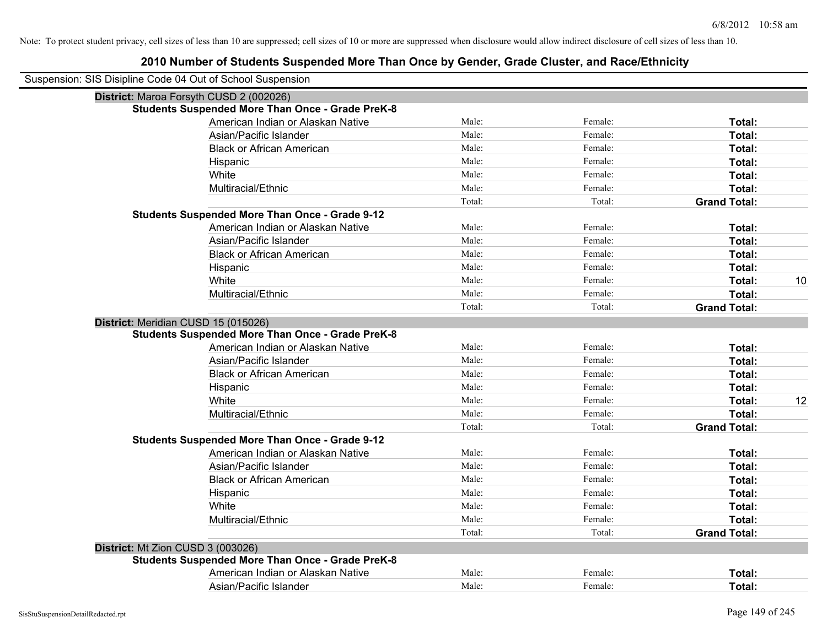| Suspension: SIS Disipline Code 04 Out of School Suspension |                                                         |        |         |                     |
|------------------------------------------------------------|---------------------------------------------------------|--------|---------|---------------------|
| District: Maroa Forsyth CUSD 2 (002026)                    |                                                         |        |         |                     |
|                                                            | <b>Students Suspended More Than Once - Grade PreK-8</b> |        |         |                     |
|                                                            | American Indian or Alaskan Native                       | Male:  | Female: | Total:              |
|                                                            | Asian/Pacific Islander                                  | Male:  | Female: | Total:              |
|                                                            | <b>Black or African American</b>                        | Male:  | Female: | Total:              |
|                                                            | Hispanic                                                | Male:  | Female: | Total:              |
|                                                            | White                                                   | Male:  | Female: | Total:              |
|                                                            | Multiracial/Ethnic                                      | Male:  | Female: | Total:              |
|                                                            |                                                         | Total: | Total:  | <b>Grand Total:</b> |
|                                                            | <b>Students Suspended More Than Once - Grade 9-12</b>   |        |         |                     |
|                                                            | American Indian or Alaskan Native                       | Male:  | Female: | Total:              |
|                                                            | Asian/Pacific Islander                                  | Male:  | Female: | Total:              |
|                                                            | <b>Black or African American</b>                        | Male:  | Female: | Total:              |
|                                                            | Hispanic                                                | Male:  | Female: | Total:              |
|                                                            | White                                                   | Male:  | Female: | 10<br>Total:        |
|                                                            | Multiracial/Ethnic                                      | Male:  | Female: | Total:              |
|                                                            |                                                         | Total: | Total:  | <b>Grand Total:</b> |
| District: Meridian CUSD 15 (015026)                        |                                                         |        |         |                     |
|                                                            | <b>Students Suspended More Than Once - Grade PreK-8</b> |        |         |                     |
|                                                            | American Indian or Alaskan Native                       | Male:  | Female: | Total:              |
|                                                            | Asian/Pacific Islander                                  | Male:  | Female: | Total:              |
|                                                            | <b>Black or African American</b>                        | Male:  | Female: | Total:              |
|                                                            | Hispanic                                                | Male:  | Female: | Total:              |
|                                                            | White                                                   | Male:  | Female: | Total:<br>12        |
|                                                            | Multiracial/Ethnic                                      | Male:  | Female: | Total:              |
|                                                            |                                                         | Total: | Total:  | <b>Grand Total:</b> |
|                                                            | <b>Students Suspended More Than Once - Grade 9-12</b>   |        |         |                     |
|                                                            | American Indian or Alaskan Native                       | Male:  | Female: | Total:              |
|                                                            | Asian/Pacific Islander                                  | Male:  | Female: | Total:              |
|                                                            | <b>Black or African American</b>                        | Male:  | Female: | Total:              |
|                                                            | Hispanic                                                | Male:  | Female: | Total:              |
|                                                            | White                                                   | Male:  | Female: | Total:              |
|                                                            | Multiracial/Ethnic                                      | Male:  | Female: | Total:              |
|                                                            |                                                         | Total: | Total:  | <b>Grand Total:</b> |
| District: Mt Zion CUSD 3 (003026)                          |                                                         |        |         |                     |
|                                                            | <b>Students Suspended More Than Once - Grade PreK-8</b> |        |         |                     |
|                                                            | American Indian or Alaskan Native                       | Male:  | Female: | Total:              |
|                                                            | Asian/Pacific Islander                                  | Male:  | Female: | Total:              |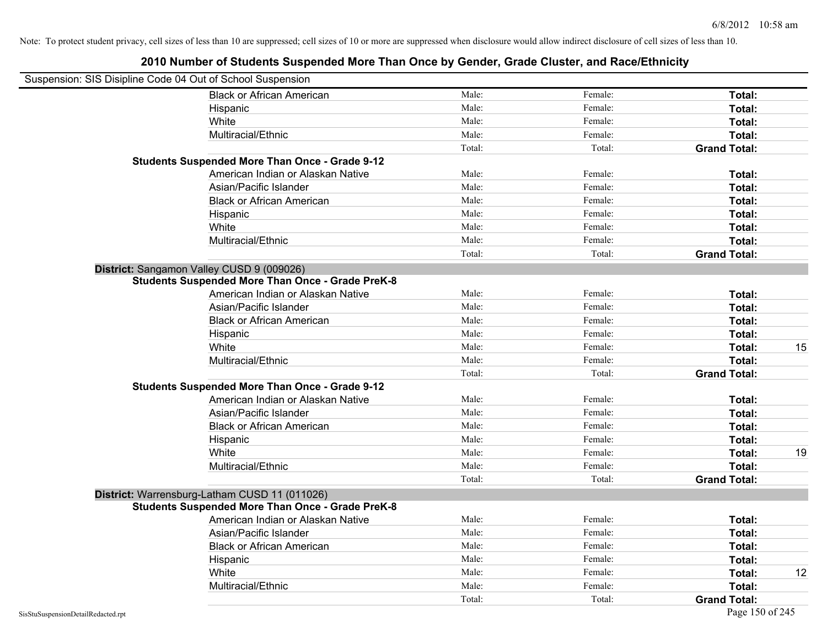| Suspension: SIS Disipline Code 04 Out of School Suspension |                                                         |        |         |                     |    |
|------------------------------------------------------------|---------------------------------------------------------|--------|---------|---------------------|----|
|                                                            | <b>Black or African American</b>                        | Male:  | Female: | Total:              |    |
| Hispanic                                                   |                                                         | Male:  | Female: | Total:              |    |
| White                                                      |                                                         | Male:  | Female: | Total:              |    |
|                                                            | Multiracial/Ethnic                                      | Male:  | Female: | Total:              |    |
|                                                            |                                                         | Total: | Total:  | <b>Grand Total:</b> |    |
|                                                            | <b>Students Suspended More Than Once - Grade 9-12</b>   |        |         |                     |    |
|                                                            | American Indian or Alaskan Native                       | Male:  | Female: | Total:              |    |
|                                                            | Asian/Pacific Islander                                  | Male:  | Female: | Total:              |    |
|                                                            | <b>Black or African American</b>                        | Male:  | Female: | Total:              |    |
| Hispanic                                                   |                                                         | Male:  | Female: | Total:              |    |
| White                                                      |                                                         | Male:  | Female: | Total:              |    |
|                                                            | Multiracial/Ethnic                                      | Male:  | Female: | Total:              |    |
|                                                            |                                                         | Total: | Total:  | <b>Grand Total:</b> |    |
| District: Sangamon Valley CUSD 9 (009026)                  |                                                         |        |         |                     |    |
|                                                            | <b>Students Suspended More Than Once - Grade PreK-8</b> |        |         |                     |    |
|                                                            | American Indian or Alaskan Native                       | Male:  | Female: | Total:              |    |
|                                                            | Asian/Pacific Islander                                  | Male:  | Female: | Total:              |    |
|                                                            | <b>Black or African American</b>                        | Male:  | Female: | Total:              |    |
| Hispanic                                                   |                                                         | Male:  | Female: | Total:              |    |
| White                                                      |                                                         | Male:  | Female: | Total:              | 15 |
|                                                            | Multiracial/Ethnic                                      | Male:  | Female: | Total:              |    |
|                                                            |                                                         | Total: | Total:  | <b>Grand Total:</b> |    |
|                                                            | <b>Students Suspended More Than Once - Grade 9-12</b>   |        |         |                     |    |
|                                                            | American Indian or Alaskan Native                       | Male:  | Female: | Total:              |    |
|                                                            | Asian/Pacific Islander                                  | Male:  | Female: | Total:              |    |
|                                                            | <b>Black or African American</b>                        | Male:  | Female: | Total:              |    |
| Hispanic                                                   |                                                         | Male:  | Female: | Total:              |    |
| White                                                      |                                                         | Male:  | Female: | Total:              | 19 |
|                                                            | Multiracial/Ethnic                                      | Male:  | Female: | Total:              |    |
|                                                            |                                                         | Total: | Total:  | <b>Grand Total:</b> |    |
| District: Warrensburg-Latham CUSD 11 (011026)              |                                                         |        |         |                     |    |
|                                                            | <b>Students Suspended More Than Once - Grade PreK-8</b> |        |         |                     |    |
|                                                            | American Indian or Alaskan Native                       | Male:  | Female: | Total:              |    |
|                                                            | Asian/Pacific Islander                                  | Male:  | Female: | Total:              |    |
|                                                            | <b>Black or African American</b>                        | Male:  | Female: | Total:              |    |
| Hispanic                                                   |                                                         | Male:  | Female: | Total:              |    |
| White                                                      |                                                         | Male:  | Female: | Total:              | 12 |
|                                                            | Multiracial/Ethnic                                      | Male:  | Female: | <b>Total:</b>       |    |
|                                                            |                                                         | Total: | Total:  | <b>Grand Total:</b> |    |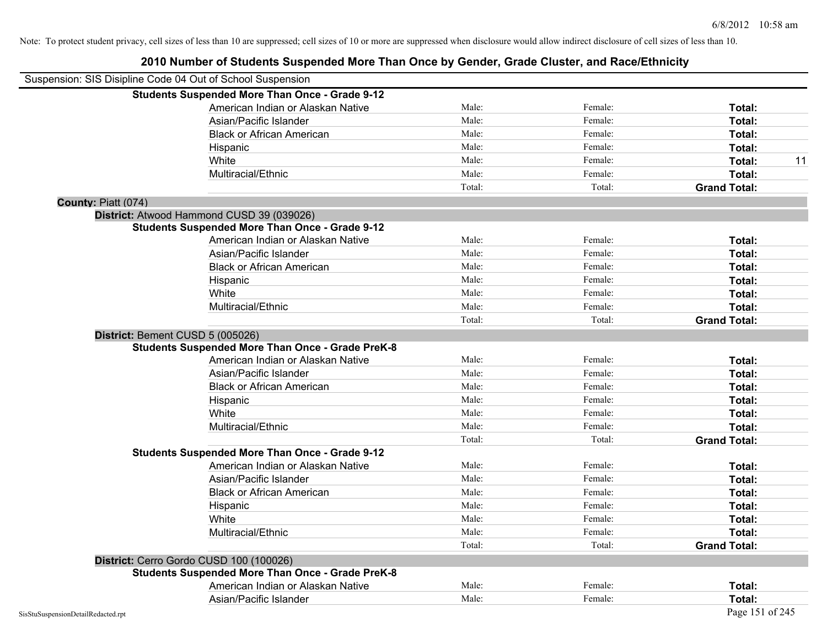|                                    | Suspension: SIS Disipline Code 04 Out of School Suspension |        |         |                     |
|------------------------------------|------------------------------------------------------------|--------|---------|---------------------|
|                                    | <b>Students Suspended More Than Once - Grade 9-12</b>      |        |         |                     |
|                                    | American Indian or Alaskan Native                          | Male:  | Female: | Total:              |
|                                    | Asian/Pacific Islander                                     | Male:  | Female: | Total:              |
|                                    | <b>Black or African American</b>                           | Male:  | Female: | Total:              |
|                                    | Hispanic                                                   | Male:  | Female: | Total:              |
|                                    | White                                                      | Male:  | Female: | 11<br>Total:        |
|                                    | Multiracial/Ethnic                                         | Male:  | Female: | Total:              |
|                                    |                                                            | Total: | Total:  | <b>Grand Total:</b> |
| County: Piatt (074)                |                                                            |        |         |                     |
|                                    | District: Atwood Hammond CUSD 39 (039026)                  |        |         |                     |
|                                    | <b>Students Suspended More Than Once - Grade 9-12</b>      |        |         |                     |
|                                    | American Indian or Alaskan Native                          | Male:  | Female: | Total:              |
|                                    | Asian/Pacific Islander                                     | Male:  | Female: | Total:              |
|                                    | <b>Black or African American</b>                           | Male:  | Female: | Total:              |
|                                    | Hispanic                                                   | Male:  | Female: | Total:              |
|                                    | White                                                      | Male:  | Female: | Total:              |
|                                    | Multiracial/Ethnic                                         | Male:  | Female: | Total:              |
|                                    |                                                            | Total: | Total:  | <b>Grand Total:</b> |
|                                    | District: Bement CUSD 5 (005026)                           |        |         |                     |
|                                    | <b>Students Suspended More Than Once - Grade PreK-8</b>    |        |         |                     |
|                                    | American Indian or Alaskan Native                          | Male:  | Female: | Total:              |
|                                    | Asian/Pacific Islander                                     | Male:  | Female: | Total:              |
|                                    | <b>Black or African American</b>                           | Male:  | Female: | Total:              |
|                                    | Hispanic                                                   | Male:  | Female: | Total:              |
|                                    | White                                                      | Male:  | Female: | Total:              |
|                                    | Multiracial/Ethnic                                         | Male:  | Female: | Total:              |
|                                    |                                                            | Total: | Total:  | <b>Grand Total:</b> |
|                                    | <b>Students Suspended More Than Once - Grade 9-12</b>      |        |         |                     |
|                                    | American Indian or Alaskan Native                          | Male:  | Female: | Total:              |
|                                    | Asian/Pacific Islander                                     | Male:  | Female: | Total:              |
|                                    | <b>Black or African American</b>                           | Male:  | Female: | Total:              |
|                                    | Hispanic                                                   | Male:  | Female: | Total:              |
|                                    | White                                                      | Male:  | Female: | Total:              |
|                                    | Multiracial/Ethnic                                         | Male:  | Female: | Total:              |
|                                    |                                                            | Total: | Total:  | <b>Grand Total:</b> |
|                                    | District: Cerro Gordo CUSD 100 (100026)                    |        |         |                     |
|                                    | <b>Students Suspended More Than Once - Grade PreK-8</b>    |        |         |                     |
|                                    | American Indian or Alaskan Native                          | Male:  | Female: | Total:              |
|                                    | Asian/Pacific Islander                                     | Male:  | Female: | Total:              |
| SisStuSuspensionDetailRedacted.rpt |                                                            |        |         | Page 151 of 245     |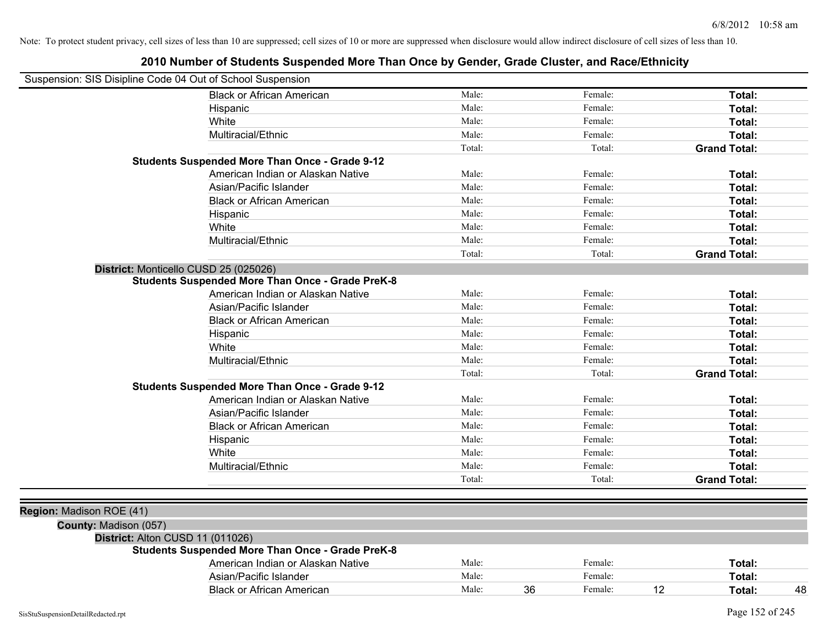| Suspension: SIS Disipline Code 04 Out of School Suspension |                                                         |        |    |         |    |                     |    |
|------------------------------------------------------------|---------------------------------------------------------|--------|----|---------|----|---------------------|----|
|                                                            | <b>Black or African American</b>                        | Male:  |    | Female: |    | Total:              |    |
|                                                            | Hispanic                                                | Male:  |    | Female: |    | Total:              |    |
|                                                            | White                                                   | Male:  |    | Female: |    | Total:              |    |
|                                                            | Multiracial/Ethnic                                      | Male:  |    | Female: |    | Total:              |    |
|                                                            |                                                         | Total: |    | Total:  |    | <b>Grand Total:</b> |    |
|                                                            | <b>Students Suspended More Than Once - Grade 9-12</b>   |        |    |         |    |                     |    |
|                                                            | American Indian or Alaskan Native                       | Male:  |    | Female: |    | Total:              |    |
|                                                            | Asian/Pacific Islander                                  | Male:  |    | Female: |    | Total:              |    |
|                                                            | <b>Black or African American</b>                        | Male:  |    | Female: |    | Total:              |    |
|                                                            | Hispanic                                                | Male:  |    | Female: |    | Total:              |    |
|                                                            | White                                                   | Male:  |    | Female: |    | Total:              |    |
|                                                            | Multiracial/Ethnic                                      | Male:  |    | Female: |    | Total:              |    |
|                                                            |                                                         | Total: |    | Total:  |    | <b>Grand Total:</b> |    |
|                                                            | District: Monticello CUSD 25 (025026)                   |        |    |         |    |                     |    |
|                                                            | <b>Students Suspended More Than Once - Grade PreK-8</b> |        |    |         |    |                     |    |
|                                                            | American Indian or Alaskan Native                       | Male:  |    | Female: |    | Total:              |    |
|                                                            | Asian/Pacific Islander                                  | Male:  |    | Female: |    | Total:              |    |
|                                                            | <b>Black or African American</b>                        | Male:  |    | Female: |    | Total:              |    |
|                                                            | Hispanic                                                | Male:  |    | Female: |    | Total:              |    |
|                                                            | White                                                   | Male:  |    | Female: |    | Total:              |    |
|                                                            | Multiracial/Ethnic                                      | Male:  |    | Female: |    | Total:              |    |
|                                                            |                                                         | Total: |    | Total:  |    | <b>Grand Total:</b> |    |
|                                                            | <b>Students Suspended More Than Once - Grade 9-12</b>   |        |    |         |    |                     |    |
|                                                            | American Indian or Alaskan Native                       | Male:  |    | Female: |    | Total:              |    |
|                                                            | Asian/Pacific Islander                                  | Male:  |    | Female: |    | Total:              |    |
|                                                            | <b>Black or African American</b>                        | Male:  |    | Female: |    | Total:              |    |
|                                                            | Hispanic                                                | Male:  |    | Female: |    | Total:              |    |
|                                                            | White                                                   | Male:  |    | Female: |    | Total:              |    |
|                                                            | Multiracial/Ethnic                                      | Male:  |    | Female: |    | Total:              |    |
|                                                            |                                                         | Total: |    | Total:  |    | <b>Grand Total:</b> |    |
|                                                            |                                                         |        |    |         |    |                     |    |
| Region: Madison ROE (41)                                   |                                                         |        |    |         |    |                     |    |
| County: Madison (057)                                      |                                                         |        |    |         |    |                     |    |
| District: Alton CUSD 11 (011026)                           |                                                         |        |    |         |    |                     |    |
|                                                            | <b>Students Suspended More Than Once - Grade PreK-8</b> |        |    |         |    |                     |    |
|                                                            | American Indian or Alaskan Native                       | Male:  |    | Female: |    | Total:              |    |
|                                                            | Asian/Pacific Islander                                  | Male:  |    | Female: |    | Total:              |    |
|                                                            | <b>Black or African American</b>                        | Male:  | 36 | Female: | 12 | Total:              | 48 |
|                                                            |                                                         |        |    |         |    |                     |    |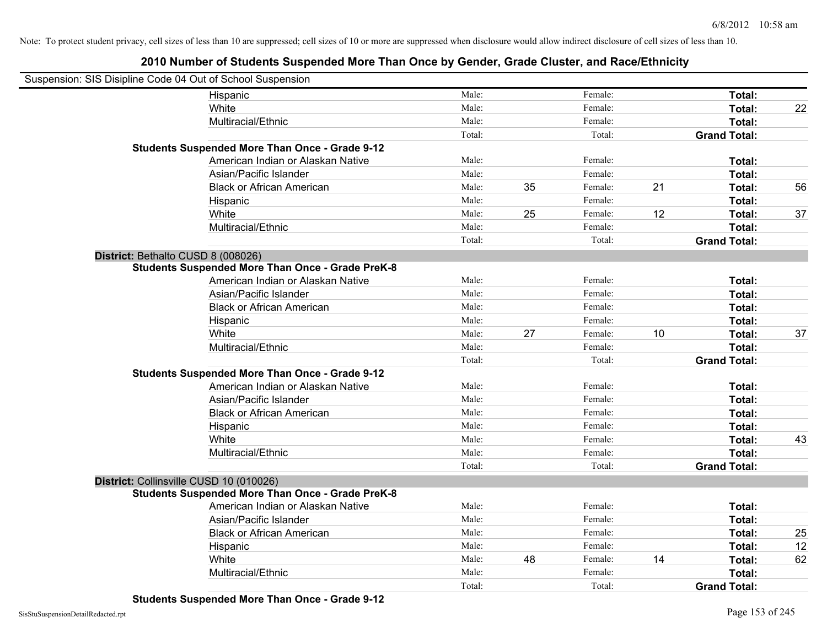| Suspension: SIS Disipline Code 04 Out of School Suspension |                                                         |        |    |         |    |                     |    |
|------------------------------------------------------------|---------------------------------------------------------|--------|----|---------|----|---------------------|----|
| Hispanic                                                   |                                                         | Male:  |    | Female: |    | Total:              |    |
| White                                                      |                                                         | Male:  |    | Female: |    | Total:              | 22 |
| Multiracial/Ethnic                                         |                                                         | Male:  |    | Female: |    | Total:              |    |
|                                                            |                                                         | Total: |    | Total:  |    | <b>Grand Total:</b> |    |
| <b>Students Suspended More Than Once - Grade 9-12</b>      |                                                         |        |    |         |    |                     |    |
|                                                            | American Indian or Alaskan Native                       | Male:  |    | Female: |    | Total:              |    |
| Asian/Pacific Islander                                     |                                                         | Male:  |    | Female: |    | Total:              |    |
|                                                            | <b>Black or African American</b>                        | Male:  | 35 | Female: | 21 | Total:              | 56 |
| Hispanic                                                   |                                                         | Male:  |    | Female: |    | Total:              |    |
| White                                                      |                                                         | Male:  | 25 | Female: | 12 | Total:              | 37 |
| Multiracial/Ethnic                                         |                                                         | Male:  |    | Female: |    | Total:              |    |
|                                                            |                                                         | Total: |    | Total:  |    | <b>Grand Total:</b> |    |
| District: Bethalto CUSD 8 (008026)                         |                                                         |        |    |         |    |                     |    |
|                                                            | <b>Students Suspended More Than Once - Grade PreK-8</b> |        |    |         |    |                     |    |
|                                                            | American Indian or Alaskan Native                       | Male:  |    | Female: |    | Total:              |    |
| Asian/Pacific Islander                                     |                                                         | Male:  |    | Female: |    | Total:              |    |
|                                                            | <b>Black or African American</b>                        | Male:  |    | Female: |    | Total:              |    |
| Hispanic                                                   |                                                         | Male:  |    | Female: |    | Total:              |    |
| White                                                      |                                                         | Male:  | 27 | Female: | 10 | Total:              | 37 |
| Multiracial/Ethnic                                         |                                                         | Male:  |    | Female: |    | Total:              |    |
|                                                            |                                                         | Total: |    | Total:  |    | <b>Grand Total:</b> |    |
| <b>Students Suspended More Than Once - Grade 9-12</b>      |                                                         |        |    |         |    |                     |    |
|                                                            | American Indian or Alaskan Native                       | Male:  |    | Female: |    | Total:              |    |
| Asian/Pacific Islander                                     |                                                         | Male:  |    | Female: |    | Total:              |    |
|                                                            | <b>Black or African American</b>                        | Male:  |    | Female: |    | Total:              |    |
| Hispanic                                                   |                                                         | Male:  |    | Female: |    | Total:              |    |
| White                                                      |                                                         | Male:  |    | Female: |    | Total:              | 43 |
| Multiracial/Ethnic                                         |                                                         | Male:  |    | Female: |    | Total:              |    |
|                                                            |                                                         | Total: |    | Total:  |    | <b>Grand Total:</b> |    |
| District: Collinsville CUSD 10 (010026)                    |                                                         |        |    |         |    |                     |    |
|                                                            | <b>Students Suspended More Than Once - Grade PreK-8</b> |        |    |         |    |                     |    |
|                                                            | American Indian or Alaskan Native                       | Male:  |    | Female: |    | Total:              |    |
| Asian/Pacific Islander                                     |                                                         | Male:  |    | Female: |    | Total:              |    |
|                                                            | <b>Black or African American</b>                        | Male:  |    | Female: |    | Total:              | 25 |
| Hispanic                                                   |                                                         | Male:  |    | Female: |    | Total:              | 12 |
| White                                                      |                                                         | Male:  | 48 | Female: | 14 | Total:              | 62 |
| Multiracial/Ethnic                                         |                                                         | Male:  |    | Female: |    | Total:              |    |
|                                                            |                                                         | Total: |    | Total:  |    | <b>Grand Total:</b> |    |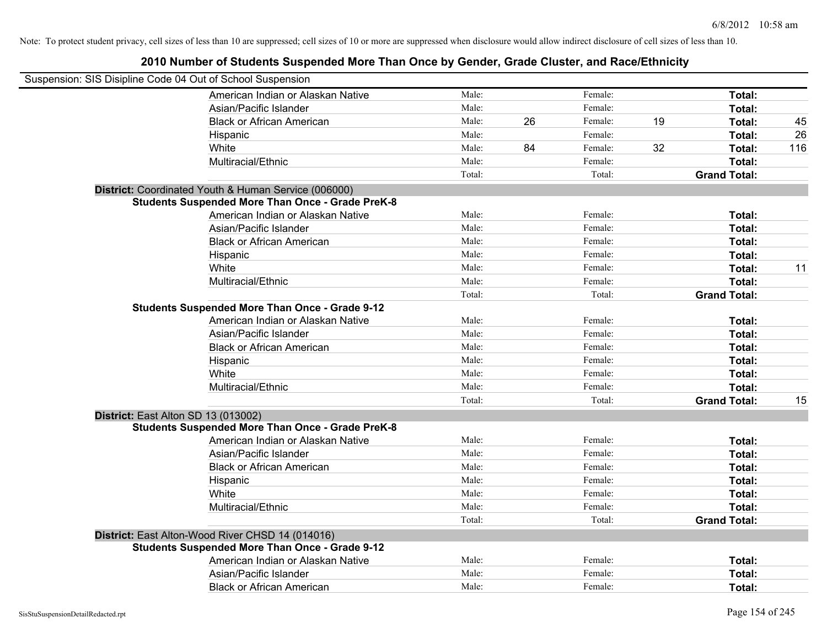| 2010 Number of Students Suspended More Than Once by Gender, Grade Cluster, and Race/Ethnicity |        |    |         |    |                     |     |
|-----------------------------------------------------------------------------------------------|--------|----|---------|----|---------------------|-----|
| Suspension: SIS Disipline Code 04 Out of School Suspension                                    |        |    |         |    |                     |     |
| American Indian or Alaskan Native                                                             | Male:  |    | Female: |    | Total:              |     |
| Asian/Pacific Islander                                                                        | Male:  |    | Female: |    | Total:              |     |
| <b>Black or African American</b>                                                              | Male:  | 26 | Female: | 19 | Total:              | 45  |
| Hispanic                                                                                      | Male:  |    | Female: |    | Total:              | 26  |
| White                                                                                         | Male:  | 84 | Female: | 32 | Total:              | 116 |
| Multiracial/Ethnic                                                                            | Male:  |    | Female: |    | Total:              |     |
|                                                                                               | Total: |    | Total:  |    | <b>Grand Total:</b> |     |
| District: Coordinated Youth & Human Service (006000)                                          |        |    |         |    |                     |     |
| <b>Students Suspended More Than Once - Grade PreK-8</b>                                       |        |    |         |    |                     |     |
| American Indian or Alaskan Native                                                             | Male:  |    | Female: |    | Total:              |     |
| Asian/Pacific Islander                                                                        | Male:  |    | Female: |    | Total:              |     |
| <b>Black or African American</b>                                                              | Male:  |    | Female: |    | Total:              |     |
| Hispanic                                                                                      | Male:  |    | Female: |    | Total:              |     |
| White                                                                                         | Male:  |    | Female: |    | Total:              | 11  |
| Multiracial/Ethnic                                                                            | Male:  |    | Female: |    | Total:              |     |
|                                                                                               | Total: |    | Total:  |    | <b>Grand Total:</b> |     |
| <b>Students Suspended More Than Once - Grade 9-12</b>                                         |        |    |         |    |                     |     |
| American Indian or Alaskan Native                                                             | Male:  |    | Female: |    | Total:              |     |
| Asian/Pacific Islander                                                                        | Male:  |    | Female: |    | Total:              |     |
| <b>Black or African American</b>                                                              | Male:  |    | Female: |    | Total:              |     |
| Hispanic                                                                                      | Male:  |    | Female: |    | Total:              |     |
| White                                                                                         | Male:  |    | Female: |    | Total:              |     |
| Multiracial/Ethnic                                                                            | Male:  |    | Female: |    | Total:              |     |
|                                                                                               | Total: |    | Total:  |    | <b>Grand Total:</b> | 15  |
| District: East Alton SD 13 (013002)                                                           |        |    |         |    |                     |     |
| <b>Students Suspended More Than Once - Grade PreK-8</b>                                       |        |    |         |    |                     |     |
| American Indian or Alaskan Native                                                             | Male:  |    | Female: |    | Total:              |     |
| Asian/Pacific Islander                                                                        | Male:  |    | Female: |    | Total:              |     |
| <b>Black or African American</b>                                                              | Male:  |    | Female: |    | Total:              |     |
| Hispanic                                                                                      | Male:  |    | Female: |    | Total:              |     |
| White                                                                                         | Male:  |    | Female: |    | Total:              |     |
| Multiracial/Ethnic                                                                            | Male:  |    | Female: |    | Total:              |     |
|                                                                                               | Total: |    | Total:  |    | <b>Grand Total:</b> |     |
| District: East Alton-Wood River CHSD 14 (014016)                                              |        |    |         |    |                     |     |
| <b>Students Suspended More Than Once - Grade 9-12</b>                                         |        |    |         |    |                     |     |
| American Indian or Alaskan Native                                                             | Male:  |    | Female: |    | Total:              |     |
| Asian/Pacific Islander                                                                        | Male:  |    | Female: |    | Total:              |     |
| <b>Black or African American</b>                                                              | Male:  |    | Female: |    | Total:              |     |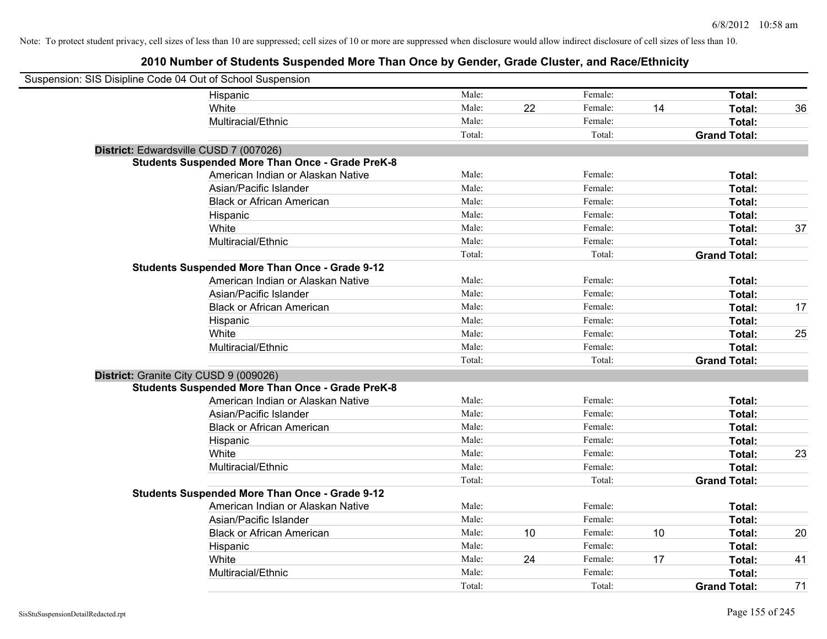| Suspension: SIS Disipline Code 04 Out of School Suspension |                                                         |        |    |         |    |                     |    |
|------------------------------------------------------------|---------------------------------------------------------|--------|----|---------|----|---------------------|----|
|                                                            | Hispanic                                                | Male:  |    | Female: |    | Total:              |    |
|                                                            | White                                                   | Male:  | 22 | Female: | 14 | Total:              | 36 |
|                                                            | Multiracial/Ethnic                                      | Male:  |    | Female: |    | Total:              |    |
|                                                            |                                                         | Total: |    | Total:  |    | <b>Grand Total:</b> |    |
| District: Edwardsville CUSD 7 (007026)                     |                                                         |        |    |         |    |                     |    |
|                                                            | <b>Students Suspended More Than Once - Grade PreK-8</b> |        |    |         |    |                     |    |
|                                                            | American Indian or Alaskan Native                       | Male:  |    | Female: |    | Total:              |    |
|                                                            | Asian/Pacific Islander                                  | Male:  |    | Female: |    | Total:              |    |
|                                                            | <b>Black or African American</b>                        | Male:  |    | Female: |    | Total:              |    |
|                                                            | Hispanic                                                | Male:  |    | Female: |    | Total:              |    |
|                                                            | White                                                   | Male:  |    | Female: |    | Total:              | 37 |
|                                                            | Multiracial/Ethnic                                      | Male:  |    | Female: |    | Total:              |    |
|                                                            |                                                         | Total: |    | Total:  |    | <b>Grand Total:</b> |    |
|                                                            | <b>Students Suspended More Than Once - Grade 9-12</b>   |        |    |         |    |                     |    |
|                                                            | American Indian or Alaskan Native                       | Male:  |    | Female: |    | Total:              |    |
|                                                            | Asian/Pacific Islander                                  | Male:  |    | Female: |    | Total:              |    |
|                                                            | <b>Black or African American</b>                        | Male:  |    | Female: |    | Total:              | 17 |
|                                                            | Hispanic                                                | Male:  |    | Female: |    | Total:              |    |
|                                                            | White                                                   | Male:  |    | Female: |    | Total:              | 25 |
|                                                            | Multiracial/Ethnic                                      | Male:  |    | Female: |    | Total:              |    |
|                                                            |                                                         | Total: |    | Total:  |    | <b>Grand Total:</b> |    |
| District: Granite City CUSD 9 (009026)                     |                                                         |        |    |         |    |                     |    |
|                                                            | <b>Students Suspended More Than Once - Grade PreK-8</b> |        |    |         |    |                     |    |
|                                                            | American Indian or Alaskan Native                       | Male:  |    | Female: |    | Total:              |    |
|                                                            | Asian/Pacific Islander                                  | Male:  |    | Female: |    | Total:              |    |
|                                                            | <b>Black or African American</b>                        | Male:  |    | Female: |    | Total:              |    |
|                                                            | Hispanic                                                | Male:  |    | Female: |    | Total:              |    |
|                                                            | White                                                   | Male:  |    | Female: |    | Total:              | 23 |
|                                                            | Multiracial/Ethnic                                      | Male:  |    | Female: |    | Total:              |    |
|                                                            |                                                         | Total: |    | Total:  |    | <b>Grand Total:</b> |    |
|                                                            | <b>Students Suspended More Than Once - Grade 9-12</b>   |        |    |         |    |                     |    |
|                                                            | American Indian or Alaskan Native                       | Male:  |    | Female: |    | Total:              |    |
|                                                            | Asian/Pacific Islander                                  | Male:  |    | Female: |    | Total:              |    |
|                                                            | <b>Black or African American</b>                        | Male:  | 10 | Female: | 10 | Total:              | 20 |
|                                                            | Hispanic                                                | Male:  |    | Female: |    | Total:              |    |
|                                                            | White                                                   | Male:  | 24 | Female: | 17 | Total:              | 41 |
|                                                            | Multiracial/Ethnic                                      | Male:  |    | Female: |    | Total:              |    |
|                                                            |                                                         | Total: |    | Total:  |    | <b>Grand Total:</b> | 71 |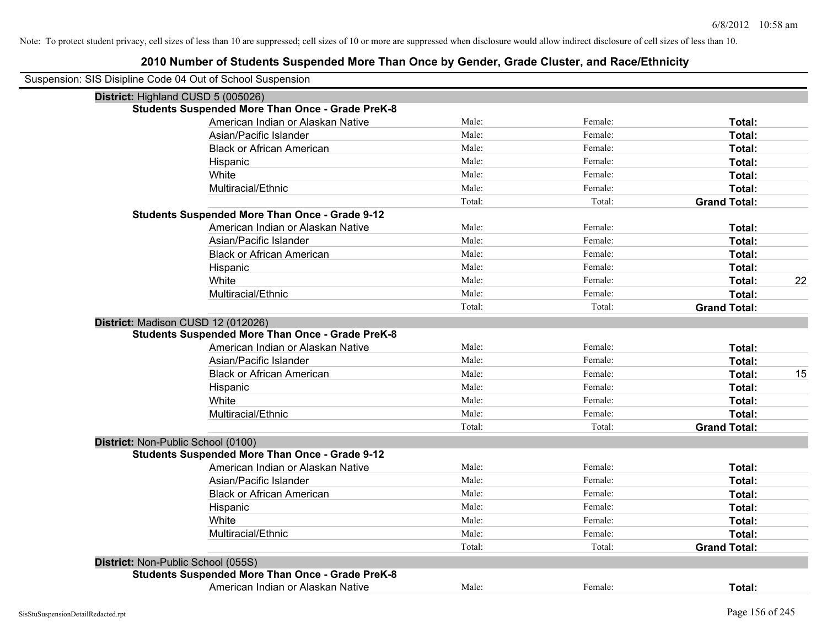| Suspension: SIS Disipline Code 04 Out of School Suspension |                                                         |        |         |                     |    |
|------------------------------------------------------------|---------------------------------------------------------|--------|---------|---------------------|----|
| District: Highland CUSD 5 (005026)                         |                                                         |        |         |                     |    |
|                                                            | <b>Students Suspended More Than Once - Grade PreK-8</b> |        |         |                     |    |
|                                                            | American Indian or Alaskan Native                       | Male:  | Female: | Total:              |    |
|                                                            | Asian/Pacific Islander                                  | Male:  | Female: | Total:              |    |
|                                                            | <b>Black or African American</b>                        | Male:  | Female: | Total:              |    |
|                                                            | Hispanic                                                | Male:  | Female: | Total:              |    |
|                                                            | White                                                   | Male:  | Female: | Total:              |    |
|                                                            | Multiracial/Ethnic                                      | Male:  | Female: | Total:              |    |
|                                                            |                                                         | Total: | Total:  | <b>Grand Total:</b> |    |
|                                                            | <b>Students Suspended More Than Once - Grade 9-12</b>   |        |         |                     |    |
|                                                            | American Indian or Alaskan Native                       | Male:  | Female: | Total:              |    |
|                                                            | Asian/Pacific Islander                                  | Male:  | Female: | Total:              |    |
|                                                            | <b>Black or African American</b>                        | Male:  | Female: | Total:              |    |
|                                                            | Hispanic                                                | Male:  | Female: | Total:              |    |
|                                                            | White                                                   | Male:  | Female: | Total:              | 22 |
|                                                            | Multiracial/Ethnic                                      | Male:  | Female: | Total:              |    |
|                                                            |                                                         | Total: | Total:  | <b>Grand Total:</b> |    |
| District: Madison CUSD 12 (012026)                         |                                                         |        |         |                     |    |
|                                                            | <b>Students Suspended More Than Once - Grade PreK-8</b> |        |         |                     |    |
|                                                            | American Indian or Alaskan Native                       | Male:  | Female: | Total:              |    |
|                                                            | Asian/Pacific Islander                                  | Male:  | Female: | Total:              |    |
|                                                            | <b>Black or African American</b>                        | Male:  | Female: | Total:              | 15 |
|                                                            | Hispanic                                                | Male:  | Female: | Total:              |    |
|                                                            | White                                                   | Male:  | Female: | Total:              |    |
|                                                            | Multiracial/Ethnic                                      | Male:  | Female: | Total:              |    |
|                                                            |                                                         | Total: | Total:  | <b>Grand Total:</b> |    |
| District: Non-Public School (0100)                         |                                                         |        |         |                     |    |
|                                                            | <b>Students Suspended More Than Once - Grade 9-12</b>   |        |         |                     |    |
|                                                            | American Indian or Alaskan Native                       | Male:  | Female: | Total:              |    |
|                                                            | Asian/Pacific Islander                                  | Male:  | Female: | Total:              |    |
|                                                            | <b>Black or African American</b>                        | Male:  | Female: | Total:              |    |
|                                                            | Hispanic                                                | Male:  | Female: | Total:              |    |
|                                                            | White                                                   | Male:  | Female: | Total:              |    |
|                                                            | Multiracial/Ethnic                                      | Male:  | Female: | Total:              |    |
|                                                            |                                                         | Total: | Total:  | <b>Grand Total:</b> |    |
| District: Non-Public School (055S)                         |                                                         |        |         |                     |    |
|                                                            | <b>Students Suspended More Than Once - Grade PreK-8</b> |        |         |                     |    |
|                                                            | American Indian or Alaskan Native                       | Male:  | Female: | Total:              |    |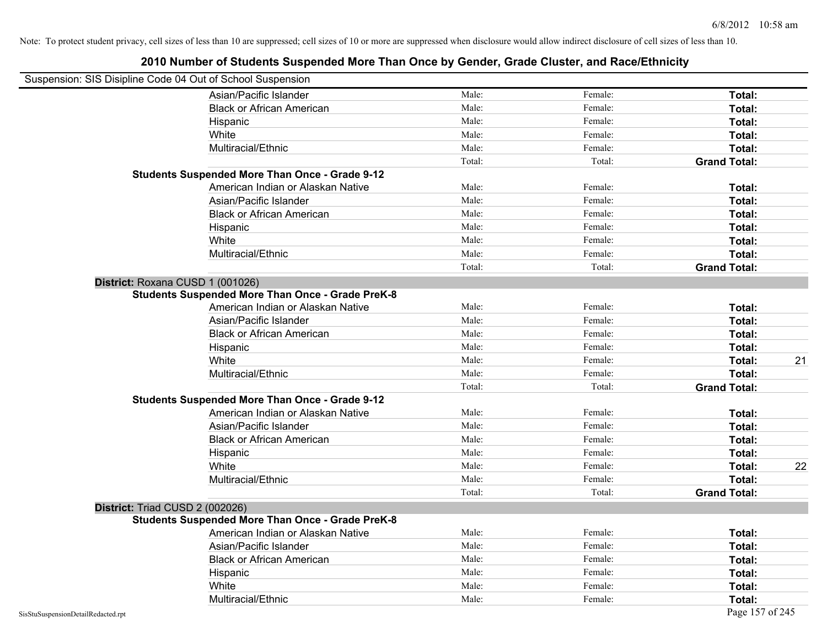| Suspension: SIS Disipline Code 04 Out of School Suspension |                                                         |        |         |                     |
|------------------------------------------------------------|---------------------------------------------------------|--------|---------|---------------------|
|                                                            | Asian/Pacific Islander                                  | Male:  | Female: | Total:              |
|                                                            | <b>Black or African American</b>                        | Male:  | Female: | Total:              |
|                                                            | Hispanic                                                | Male:  | Female: | Total:              |
|                                                            | White                                                   | Male:  | Female: | Total:              |
|                                                            | Multiracial/Ethnic                                      | Male:  | Female: | Total:              |
|                                                            |                                                         | Total: | Total:  | <b>Grand Total:</b> |
|                                                            | <b>Students Suspended More Than Once - Grade 9-12</b>   |        |         |                     |
|                                                            | American Indian or Alaskan Native                       | Male:  | Female: | Total:              |
|                                                            | Asian/Pacific Islander                                  | Male:  | Female: | Total:              |
|                                                            | <b>Black or African American</b>                        | Male:  | Female: | Total:              |
|                                                            | Hispanic                                                | Male:  | Female: | Total:              |
|                                                            | White                                                   | Male:  | Female: | Total:              |
|                                                            | Multiracial/Ethnic                                      | Male:  | Female: | Total:              |
|                                                            |                                                         | Total: | Total:  | <b>Grand Total:</b> |
| District: Roxana CUSD 1 (001026)                           |                                                         |        |         |                     |
|                                                            | <b>Students Suspended More Than Once - Grade PreK-8</b> |        |         |                     |
|                                                            | American Indian or Alaskan Native                       | Male:  | Female: | Total:              |
|                                                            | Asian/Pacific Islander                                  | Male:  | Female: | Total:              |
|                                                            | <b>Black or African American</b>                        | Male:  | Female: | Total:              |
|                                                            | Hispanic                                                | Male:  | Female: | Total:              |
|                                                            | White                                                   | Male:  | Female: | 21<br>Total:        |
|                                                            | Multiracial/Ethnic                                      | Male:  | Female: | Total:              |
|                                                            |                                                         | Total: | Total:  | <b>Grand Total:</b> |
|                                                            | <b>Students Suspended More Than Once - Grade 9-12</b>   |        |         |                     |
|                                                            | American Indian or Alaskan Native                       | Male:  | Female: | Total:              |
|                                                            | Asian/Pacific Islander                                  | Male:  | Female: | Total:              |
|                                                            | <b>Black or African American</b>                        | Male:  | Female: | Total:              |
|                                                            | Hispanic                                                | Male:  | Female: | Total:              |
|                                                            | White                                                   | Male:  | Female: | 22<br>Total:        |
|                                                            | Multiracial/Ethnic                                      | Male:  | Female: | Total:              |
|                                                            |                                                         | Total: | Total:  | <b>Grand Total:</b> |
| District: Triad CUSD 2 (002026)                            |                                                         |        |         |                     |
|                                                            | <b>Students Suspended More Than Once - Grade PreK-8</b> |        |         |                     |
|                                                            | American Indian or Alaskan Native                       | Male:  | Female: | Total:              |
|                                                            | Asian/Pacific Islander                                  | Male:  | Female: | Total:              |
|                                                            | <b>Black or African American</b>                        | Male:  | Female: | Total:              |
|                                                            | Hispanic                                                | Male:  | Female: | Total:              |
|                                                            | White                                                   | Male:  | Female: | Total:              |
|                                                            | Multiracial/Ethnic                                      | Male:  | Female: | Total:              |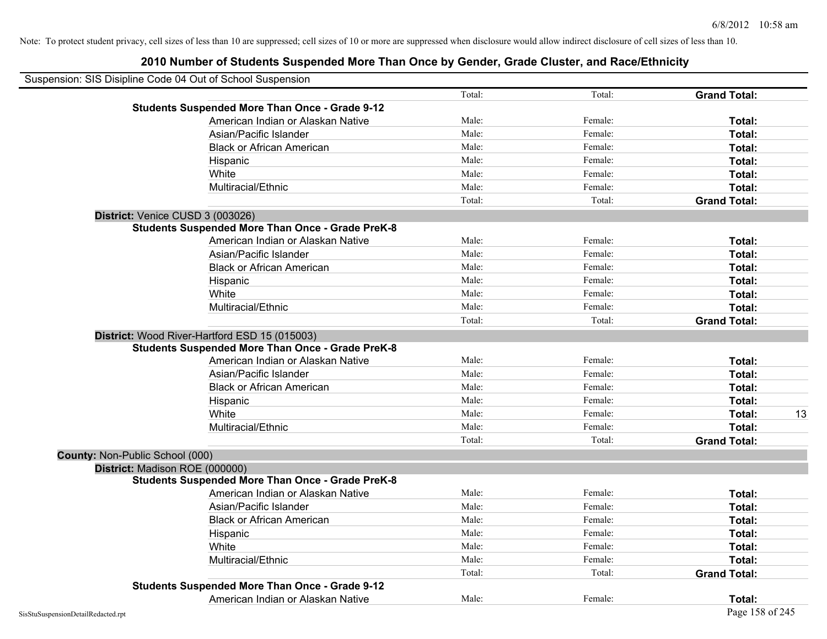| Suspension: SIS Disipline Code 04 Out of School Suspension |                                                         |        |         |                     |    |
|------------------------------------------------------------|---------------------------------------------------------|--------|---------|---------------------|----|
|                                                            |                                                         | Total: | Total:  | <b>Grand Total:</b> |    |
|                                                            | <b>Students Suspended More Than Once - Grade 9-12</b>   |        |         |                     |    |
|                                                            | American Indian or Alaskan Native                       | Male:  | Female: | Total:              |    |
|                                                            | Asian/Pacific Islander                                  | Male:  | Female: | Total:              |    |
|                                                            | <b>Black or African American</b>                        | Male:  | Female: | Total:              |    |
|                                                            | Hispanic                                                | Male:  | Female: | Total:              |    |
|                                                            | White                                                   | Male:  | Female: | Total:              |    |
|                                                            | Multiracial/Ethnic                                      | Male:  | Female: | Total:              |    |
|                                                            |                                                         | Total: | Total:  | <b>Grand Total:</b> |    |
| District: Venice CUSD 3 (003026)                           |                                                         |        |         |                     |    |
|                                                            | <b>Students Suspended More Than Once - Grade PreK-8</b> |        |         |                     |    |
|                                                            | American Indian or Alaskan Native                       | Male:  | Female: | Total:              |    |
|                                                            | Asian/Pacific Islander                                  | Male:  | Female: | Total:              |    |
|                                                            | <b>Black or African American</b>                        | Male:  | Female: | Total:              |    |
|                                                            | Hispanic                                                | Male:  | Female: | Total:              |    |
|                                                            | White                                                   | Male:  | Female: | Total:              |    |
|                                                            | Multiracial/Ethnic                                      | Male:  | Female: | Total:              |    |
|                                                            |                                                         | Total: | Total:  | <b>Grand Total:</b> |    |
|                                                            | District: Wood River-Hartford ESD 15 (015003)           |        |         |                     |    |
|                                                            | <b>Students Suspended More Than Once - Grade PreK-8</b> |        |         |                     |    |
|                                                            | American Indian or Alaskan Native                       | Male:  | Female: | Total:              |    |
|                                                            | Asian/Pacific Islander                                  | Male:  | Female: | Total:              |    |
|                                                            | <b>Black or African American</b>                        | Male:  | Female: | Total:              |    |
|                                                            | Hispanic                                                | Male:  | Female: | Total:              |    |
|                                                            | White                                                   | Male:  | Female: | Total:              | 13 |
|                                                            | Multiracial/Ethnic                                      | Male:  | Female: | Total:              |    |
|                                                            |                                                         | Total: | Total:  | <b>Grand Total:</b> |    |
| County: Non-Public School (000)                            |                                                         |        |         |                     |    |
| District: Madison ROE (000000)                             |                                                         |        |         |                     |    |
|                                                            | <b>Students Suspended More Than Once - Grade PreK-8</b> |        |         |                     |    |
|                                                            | American Indian or Alaskan Native                       | Male:  | Female: | Total:              |    |
|                                                            | Asian/Pacific Islander                                  | Male:  | Female: | Total:              |    |
|                                                            | <b>Black or African American</b>                        | Male:  | Female: | Total:              |    |
|                                                            | Hispanic                                                | Male:  | Female: | Total:              |    |
|                                                            | White                                                   | Male:  | Female: | Total:              |    |
|                                                            | Multiracial/Ethnic                                      | Male:  | Female: | Total:              |    |
|                                                            |                                                         | Total: | Total:  | <b>Grand Total:</b> |    |
|                                                            | <b>Students Suspended More Than Once - Grade 9-12</b>   |        |         |                     |    |
|                                                            | American Indian or Alaskan Native                       | Male:  | Female: | Total:              |    |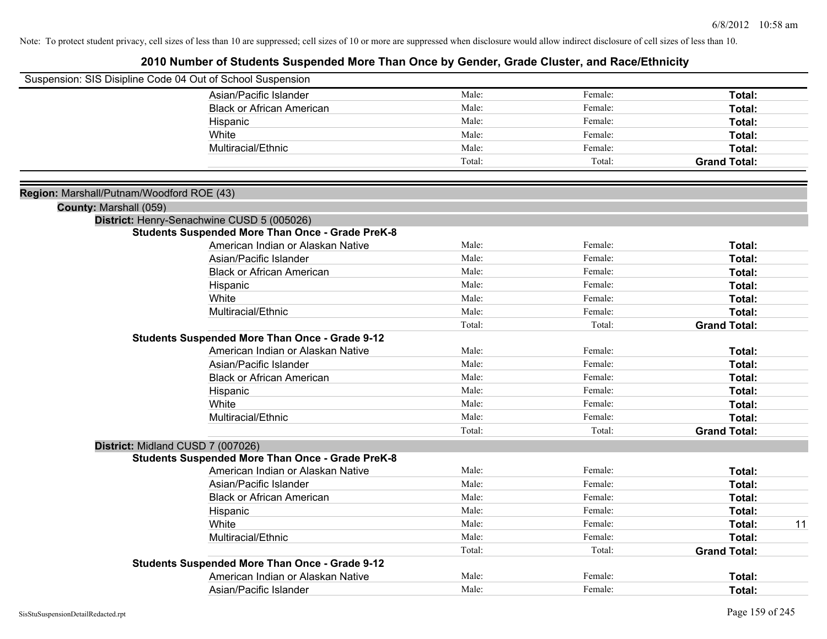|                                                                     | Suspension: SIS Disipline Code 04 Out of School Suspension |        |         |                     |    |
|---------------------------------------------------------------------|------------------------------------------------------------|--------|---------|---------------------|----|
|                                                                     | Asian/Pacific Islander                                     | Male:  | Female: | Total:              |    |
|                                                                     | <b>Black or African American</b>                           | Male:  | Female: | Total:              |    |
|                                                                     | Hispanic                                                   | Male:  | Female: | Total:              |    |
|                                                                     | White                                                      | Male:  | Female: | Total:              |    |
|                                                                     | Multiracial/Ethnic                                         | Male:  | Female: | Total:              |    |
|                                                                     |                                                            | Total: | Total:  | <b>Grand Total:</b> |    |
|                                                                     |                                                            |        |         |                     |    |
| Region: Marshall/Putnam/Woodford ROE (43)<br>County: Marshall (059) |                                                            |        |         |                     |    |
|                                                                     | District: Henry-Senachwine CUSD 5 (005026)                 |        |         |                     |    |
|                                                                     | <b>Students Suspended More Than Once - Grade PreK-8</b>    |        |         |                     |    |
|                                                                     | American Indian or Alaskan Native                          | Male:  | Female: | Total:              |    |
|                                                                     | Asian/Pacific Islander                                     | Male:  | Female: | Total:              |    |
|                                                                     | <b>Black or African American</b>                           | Male:  | Female: | Total:              |    |
|                                                                     | Hispanic                                                   | Male:  | Female: | Total:              |    |
|                                                                     | White                                                      | Male:  | Female: | Total:              |    |
|                                                                     | Multiracial/Ethnic                                         | Male:  | Female: | Total:              |    |
|                                                                     |                                                            | Total: | Total:  | <b>Grand Total:</b> |    |
|                                                                     | <b>Students Suspended More Than Once - Grade 9-12</b>      |        |         |                     |    |
|                                                                     | American Indian or Alaskan Native                          | Male:  | Female: | Total:              |    |
|                                                                     | Asian/Pacific Islander                                     | Male:  | Female: | Total:              |    |
|                                                                     | <b>Black or African American</b>                           | Male:  | Female: | Total:              |    |
|                                                                     | Hispanic                                                   | Male:  | Female: | Total:              |    |
|                                                                     | White                                                      | Male:  | Female: | Total:              |    |
|                                                                     | Multiracial/Ethnic                                         | Male:  | Female: | Total:              |    |
|                                                                     |                                                            | Total: | Total:  | <b>Grand Total:</b> |    |
|                                                                     | District: Midland CUSD 7 (007026)                          |        |         |                     |    |
|                                                                     | <b>Students Suspended More Than Once - Grade PreK-8</b>    |        |         |                     |    |
|                                                                     | American Indian or Alaskan Native                          | Male:  | Female: | Total:              |    |
|                                                                     | Asian/Pacific Islander                                     | Male:  | Female: | Total:              |    |
|                                                                     | <b>Black or African American</b>                           | Male:  | Female: | Total:              |    |
|                                                                     | Hispanic                                                   | Male:  | Female: | Total:              |    |
|                                                                     | White                                                      | Male:  | Female: | Total:              | 11 |
|                                                                     | Multiracial/Ethnic                                         | Male:  | Female: | Total:              |    |
|                                                                     |                                                            | Total: | Total:  | <b>Grand Total:</b> |    |
|                                                                     | <b>Students Suspended More Than Once - Grade 9-12</b>      |        |         |                     |    |
|                                                                     | American Indian or Alaskan Native                          | Male:  | Female: | Total:              |    |
|                                                                     | Asian/Pacific Islander                                     | Male:  | Female: | Total:              |    |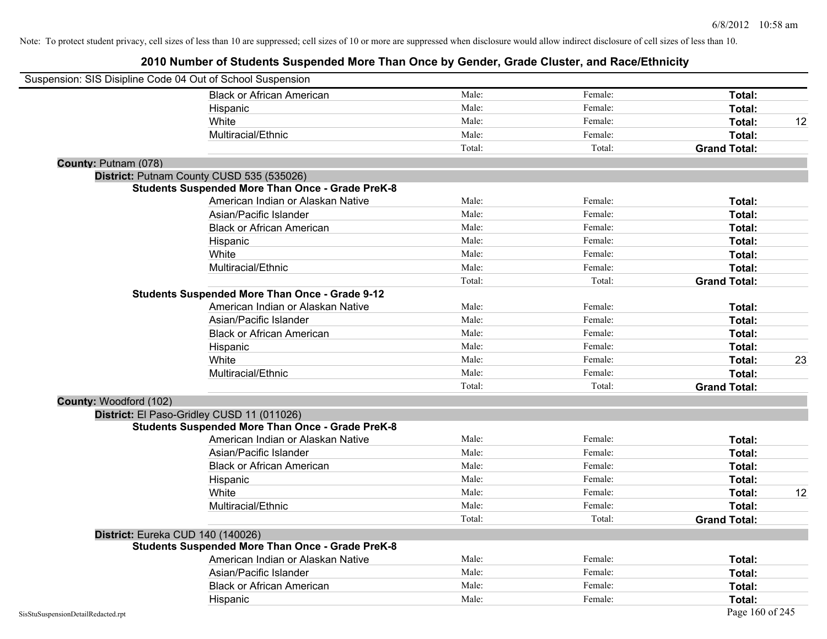| Suspension: SIS Disipline Code 04 Out of School Suspension |                                                         |        |         |                     |    |
|------------------------------------------------------------|---------------------------------------------------------|--------|---------|---------------------|----|
|                                                            | <b>Black or African American</b>                        | Male:  | Female: | Total:              |    |
|                                                            | Hispanic                                                | Male:  | Female: | <b>Total:</b>       |    |
|                                                            | White                                                   | Male:  | Female: | Total:              | 12 |
|                                                            | Multiracial/Ethnic                                      | Male:  | Female: | Total:              |    |
|                                                            |                                                         | Total: | Total:  | <b>Grand Total:</b> |    |
| County: Putnam (078)                                       |                                                         |        |         |                     |    |
|                                                            | District: Putnam County CUSD 535 (535026)               |        |         |                     |    |
|                                                            | <b>Students Suspended More Than Once - Grade PreK-8</b> |        |         |                     |    |
|                                                            | American Indian or Alaskan Native                       | Male:  | Female: | Total:              |    |
|                                                            | Asian/Pacific Islander                                  | Male:  | Female: | Total:              |    |
|                                                            | <b>Black or African American</b>                        | Male:  | Female: | Total:              |    |
|                                                            | Hispanic                                                | Male:  | Female: | Total:              |    |
|                                                            | White                                                   | Male:  | Female: | Total:              |    |
|                                                            | Multiracial/Ethnic                                      | Male:  | Female: | Total:              |    |
|                                                            |                                                         | Total: | Total:  | <b>Grand Total:</b> |    |
|                                                            | <b>Students Suspended More Than Once - Grade 9-12</b>   |        |         |                     |    |
|                                                            | American Indian or Alaskan Native                       | Male:  | Female: | Total:              |    |
|                                                            | Asian/Pacific Islander                                  | Male:  | Female: | Total:              |    |
|                                                            | <b>Black or African American</b>                        | Male:  | Female: | Total:              |    |
|                                                            | Hispanic                                                | Male:  | Female: | Total:              |    |
|                                                            | White                                                   | Male:  | Female: | Total:              | 23 |
|                                                            | Multiracial/Ethnic                                      | Male:  | Female: | Total:              |    |
|                                                            |                                                         | Total: | Total:  | <b>Grand Total:</b> |    |
| County: Woodford (102)                                     |                                                         |        |         |                     |    |
|                                                            | District: El Paso-Gridley CUSD 11 (011026)              |        |         |                     |    |
|                                                            | <b>Students Suspended More Than Once - Grade PreK-8</b> |        |         |                     |    |
|                                                            | American Indian or Alaskan Native                       | Male:  | Female: | Total:              |    |
|                                                            | Asian/Pacific Islander                                  | Male:  | Female: | Total:              |    |
|                                                            | <b>Black or African American</b>                        | Male:  | Female: | Total:              |    |
|                                                            | Hispanic                                                | Male:  | Female: | Total:              |    |
|                                                            | White                                                   | Male:  | Female: | Total:              | 12 |
|                                                            | Multiracial/Ethnic                                      | Male:  | Female: | Total:              |    |
|                                                            |                                                         | Total: | Total:  | <b>Grand Total:</b> |    |
| District: Eureka CUD 140 (140026)                          |                                                         |        |         |                     |    |
|                                                            | <b>Students Suspended More Than Once - Grade PreK-8</b> |        |         |                     |    |
|                                                            | American Indian or Alaskan Native                       | Male:  | Female: | Total:              |    |
|                                                            | Asian/Pacific Islander                                  | Male:  | Female: | Total:              |    |
|                                                            | <b>Black or African American</b>                        | Male:  | Female: | Total:              |    |
|                                                            | Hispanic                                                | Male:  | Female: | Total:              |    |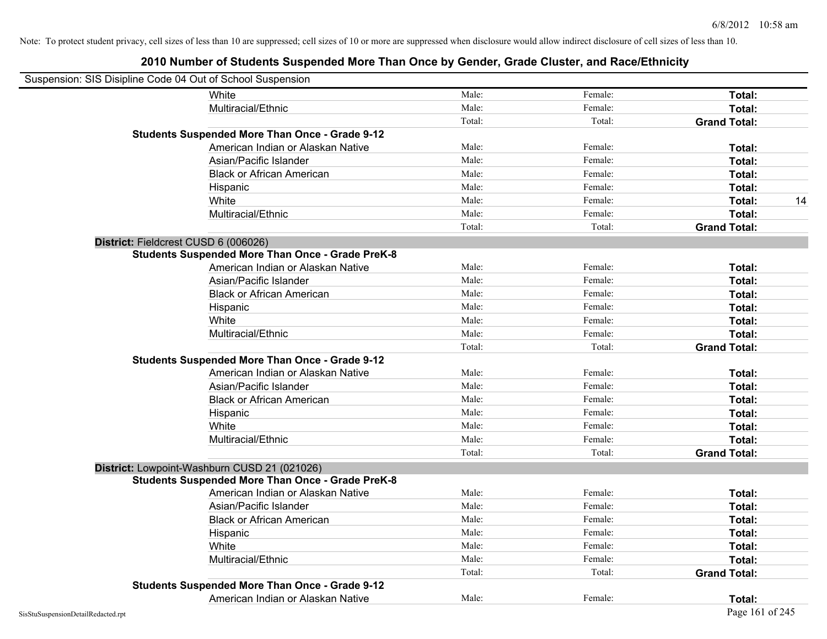| Suspension: SIS Disipline Code 04 Out of School Suspension |                                                         |        |         |                     |    |
|------------------------------------------------------------|---------------------------------------------------------|--------|---------|---------------------|----|
|                                                            | White                                                   | Male:  | Female: | Total:              |    |
|                                                            | Multiracial/Ethnic                                      | Male:  | Female: | Total:              |    |
|                                                            |                                                         | Total: | Total:  | <b>Grand Total:</b> |    |
|                                                            | <b>Students Suspended More Than Once - Grade 9-12</b>   |        |         |                     |    |
|                                                            | American Indian or Alaskan Native                       | Male:  | Female: | Total:              |    |
|                                                            | Asian/Pacific Islander                                  | Male:  | Female: | Total:              |    |
|                                                            | <b>Black or African American</b>                        | Male:  | Female: | Total:              |    |
|                                                            | Hispanic                                                | Male:  | Female: | Total:              |    |
|                                                            | White                                                   | Male:  | Female: | Total:              | 14 |
|                                                            | Multiracial/Ethnic                                      | Male:  | Female: | Total:              |    |
|                                                            |                                                         | Total: | Total:  | <b>Grand Total:</b> |    |
| District: Fieldcrest CUSD 6 (006026)                       |                                                         |        |         |                     |    |
|                                                            | <b>Students Suspended More Than Once - Grade PreK-8</b> |        |         |                     |    |
|                                                            | American Indian or Alaskan Native                       | Male:  | Female: | Total:              |    |
|                                                            | Asian/Pacific Islander                                  | Male:  | Female: | Total:              |    |
|                                                            | <b>Black or African American</b>                        | Male:  | Female: | Total:              |    |
|                                                            | Hispanic                                                | Male:  | Female: | Total:              |    |
|                                                            | White                                                   | Male:  | Female: | Total:              |    |
|                                                            | Multiracial/Ethnic                                      | Male:  | Female: | Total:              |    |
|                                                            |                                                         | Total: | Total:  | <b>Grand Total:</b> |    |
|                                                            | <b>Students Suspended More Than Once - Grade 9-12</b>   |        |         |                     |    |
|                                                            | American Indian or Alaskan Native                       | Male:  | Female: | Total:              |    |
|                                                            | Asian/Pacific Islander                                  | Male:  | Female: | Total:              |    |
|                                                            | <b>Black or African American</b>                        | Male:  | Female: | Total:              |    |
|                                                            | Hispanic                                                | Male:  | Female: | Total:              |    |
|                                                            | White                                                   | Male:  | Female: | Total:              |    |
|                                                            | Multiracial/Ethnic                                      | Male:  | Female: | Total:              |    |
|                                                            |                                                         | Total: | Total:  | <b>Grand Total:</b> |    |
| District: Lowpoint-Washburn CUSD 21 (021026)               |                                                         |        |         |                     |    |
|                                                            | <b>Students Suspended More Than Once - Grade PreK-8</b> |        |         |                     |    |
|                                                            | American Indian or Alaskan Native                       | Male:  | Female: | Total:              |    |
|                                                            | Asian/Pacific Islander                                  | Male:  | Female: | Total:              |    |
|                                                            | <b>Black or African American</b>                        | Male:  | Female: | Total:              |    |
|                                                            | Hispanic                                                | Male:  | Female: | Total:              |    |
|                                                            | White                                                   | Male:  | Female: | Total:              |    |
|                                                            | Multiracial/Ethnic                                      | Male:  | Female: | Total:              |    |
|                                                            |                                                         | Total: | Total:  | <b>Grand Total:</b> |    |
|                                                            | <b>Students Suspended More Than Once - Grade 9-12</b>   |        |         |                     |    |
|                                                            | American Indian or Alaskan Native                       | Male:  | Female: | Total:              |    |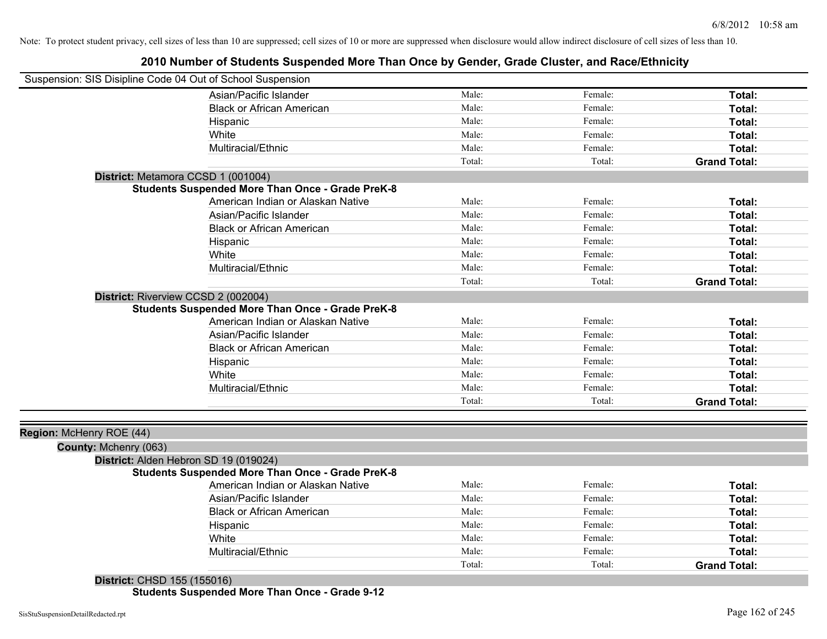## **2010 Number of Students Suspended More Than Once by Gender, Grade Cluster, and Race/Ethnicity**

| Suspension: SIS Disipline Code 04 Out of School Suspension |                                                         |        |         |                     |
|------------------------------------------------------------|---------------------------------------------------------|--------|---------|---------------------|
|                                                            | Asian/Pacific Islander                                  | Male:  | Female: | Total:              |
|                                                            | <b>Black or African American</b>                        | Male:  | Female: | Total:              |
|                                                            | Hispanic                                                | Male:  | Female: | Total:              |
|                                                            | White                                                   | Male:  | Female: | Total:              |
|                                                            | Multiracial/Ethnic                                      | Male:  | Female: | Total:              |
|                                                            |                                                         | Total: | Total:  | <b>Grand Total:</b> |
| District: Metamora CCSD 1 (001004)                         |                                                         |        |         |                     |
|                                                            | <b>Students Suspended More Than Once - Grade PreK-8</b> |        |         |                     |
|                                                            | American Indian or Alaskan Native                       | Male:  | Female: | Total:              |
|                                                            | Asian/Pacific Islander                                  | Male:  | Female: | Total:              |
|                                                            | <b>Black or African American</b>                        | Male:  | Female: | Total:              |
|                                                            | Hispanic                                                | Male:  | Female: | Total:              |
|                                                            | White                                                   | Male:  | Female: | Total:              |
|                                                            | Multiracial/Ethnic                                      | Male:  | Female: | Total:              |
|                                                            |                                                         | Total: | Total:  | <b>Grand Total:</b> |
| District: Riverview CCSD 2 (002004)                        |                                                         |        |         |                     |
|                                                            | <b>Students Suspended More Than Once - Grade PreK-8</b> |        |         |                     |
|                                                            | American Indian or Alaskan Native                       | Male:  | Female: | Total:              |
|                                                            | Asian/Pacific Islander                                  | Male:  | Female: | Total:              |
|                                                            | <b>Black or African American</b>                        | Male:  | Female: | Total:              |
|                                                            | Hispanic                                                | Male:  | Female: | Total:              |
|                                                            | White                                                   | Male:  | Female: | Total:              |
|                                                            | Multiracial/Ethnic                                      | Male:  | Female: | Total:              |
|                                                            |                                                         | Total: | Total:  | <b>Grand Total:</b> |
|                                                            |                                                         |        |         |                     |
| Region: McHenry ROE (44)                                   |                                                         |        |         |                     |
| County: Mchenry (063)                                      |                                                         |        |         |                     |
| District: Alden Hebron SD 19 (019024)                      |                                                         |        |         |                     |
|                                                            | <b>Students Suspended More Than Once - Grade PreK-8</b> |        |         |                     |
|                                                            | American Indian or Alaskan Native                       | Male:  | Female: | Total:              |
|                                                            | Asian/Pacific Islander                                  | Male:  | Female: | Total:              |
|                                                            | <b>Black or African American</b>                        | Male:  | Female: | Total:              |
|                                                            | Hispanic                                                | Male:  | Female: | Total:              |
|                                                            | White                                                   | Male:  | Female: | Total:              |
|                                                            | Multiracial/Ethnic                                      | Male:  | Female: | Total:              |
|                                                            |                                                         | Total: | Total:  | <b>Grand Total:</b> |
| District: CHSD 155 (155016)                                |                                                         |        |         |                     |

**Students Suspended More Than Once - Grade 9-12**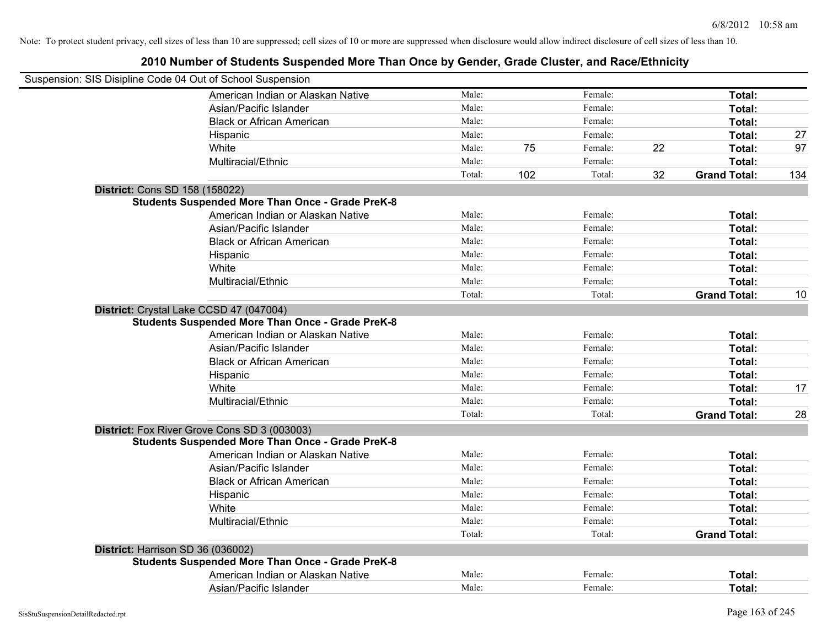| Suspension: SIS Disipline Code 04 Out of School Suspension |        |     |         |    |                     |     |
|------------------------------------------------------------|--------|-----|---------|----|---------------------|-----|
| American Indian or Alaskan Native                          | Male:  |     | Female: |    | Total:              |     |
| Asian/Pacific Islander                                     | Male:  |     | Female: |    | Total:              |     |
| <b>Black or African American</b>                           | Male:  |     | Female: |    | Total:              |     |
| Hispanic                                                   | Male:  |     | Female: |    | Total:              | 27  |
| White                                                      | Male:  | 75  | Female: | 22 | Total:              | 97  |
| Multiracial/Ethnic                                         | Male:  |     | Female: |    | Total:              |     |
|                                                            | Total: | 102 | Total:  | 32 | <b>Grand Total:</b> | 134 |
| District: Cons SD 158 (158022)                             |        |     |         |    |                     |     |
| <b>Students Suspended More Than Once - Grade PreK-8</b>    |        |     |         |    |                     |     |
| American Indian or Alaskan Native                          | Male:  |     | Female: |    | Total:              |     |
| Asian/Pacific Islander                                     | Male:  |     | Female: |    | Total:              |     |
| <b>Black or African American</b>                           | Male:  |     | Female: |    | Total:              |     |
| Hispanic                                                   | Male:  |     | Female: |    | Total:              |     |
| White                                                      | Male:  |     | Female: |    | Total:              |     |
| Multiracial/Ethnic                                         | Male:  |     | Female: |    | Total:              |     |
|                                                            | Total: |     | Total:  |    | <b>Grand Total:</b> | 10  |
| District: Crystal Lake CCSD 47 (047004)                    |        |     |         |    |                     |     |
| <b>Students Suspended More Than Once - Grade PreK-8</b>    |        |     |         |    |                     |     |
| American Indian or Alaskan Native                          | Male:  |     | Female: |    | Total:              |     |
| Asian/Pacific Islander                                     | Male:  |     | Female: |    | Total:              |     |
| <b>Black or African American</b>                           | Male:  |     | Female: |    | Total:              |     |
| Hispanic                                                   | Male:  |     | Female: |    | Total:              |     |
| White                                                      | Male:  |     | Female: |    | Total:              | 17  |
| Multiracial/Ethnic                                         | Male:  |     | Female: |    | Total:              |     |
|                                                            | Total: |     | Total:  |    | <b>Grand Total:</b> | 28  |
| District: Fox River Grove Cons SD 3 (003003)               |        |     |         |    |                     |     |
| <b>Students Suspended More Than Once - Grade PreK-8</b>    |        |     |         |    |                     |     |
| American Indian or Alaskan Native                          | Male:  |     | Female: |    | Total:              |     |
| Asian/Pacific Islander                                     | Male:  |     | Female: |    | Total:              |     |
| <b>Black or African American</b>                           | Male:  |     | Female: |    | Total:              |     |
| Hispanic                                                   | Male:  |     | Female: |    | Total:              |     |
| White                                                      | Male:  |     | Female: |    | Total:              |     |
| Multiracial/Ethnic                                         | Male:  |     | Female: |    | Total:              |     |
|                                                            | Total: |     | Total:  |    | <b>Grand Total:</b> |     |
| District: Harrison SD 36 (036002)                          |        |     |         |    |                     |     |
| <b>Students Suspended More Than Once - Grade PreK-8</b>    |        |     |         |    |                     |     |
| American Indian or Alaskan Native                          | Male:  |     | Female: |    | Total:              |     |
| Asian/Pacific Islander                                     | Male:  |     | Female: |    | Total:              |     |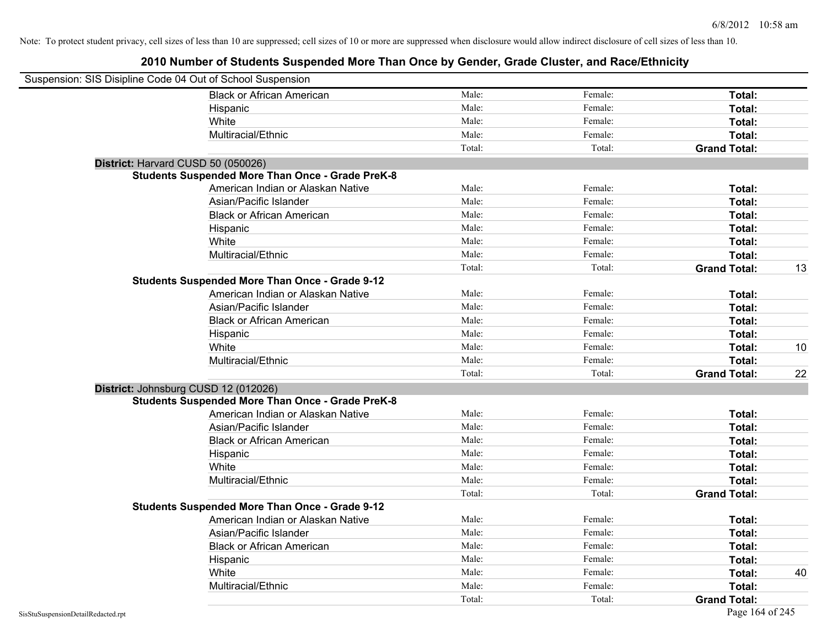| Suspension: SIS Disipline Code 04 Out of School Suspension |                                                         |        |         |                     |    |
|------------------------------------------------------------|---------------------------------------------------------|--------|---------|---------------------|----|
|                                                            | <b>Black or African American</b>                        | Male:  | Female: | Total:              |    |
|                                                            | Hispanic                                                | Male:  | Female: | Total:              |    |
|                                                            | White                                                   | Male:  | Female: | Total:              |    |
|                                                            | Multiracial/Ethnic                                      | Male:  | Female: | Total:              |    |
|                                                            |                                                         | Total: | Total:  | <b>Grand Total:</b> |    |
| District: Harvard CUSD 50 (050026)                         |                                                         |        |         |                     |    |
|                                                            | <b>Students Suspended More Than Once - Grade PreK-8</b> |        |         |                     |    |
|                                                            | American Indian or Alaskan Native                       | Male:  | Female: | Total:              |    |
|                                                            | Asian/Pacific Islander                                  | Male:  | Female: | Total:              |    |
|                                                            | <b>Black or African American</b>                        | Male:  | Female: | Total:              |    |
|                                                            | Hispanic                                                | Male:  | Female: | Total:              |    |
|                                                            | White                                                   | Male:  | Female: | Total:              |    |
|                                                            | Multiracial/Ethnic                                      | Male:  | Female: | Total:              |    |
|                                                            |                                                         | Total: | Total:  | <b>Grand Total:</b> | 13 |
|                                                            | <b>Students Suspended More Than Once - Grade 9-12</b>   |        |         |                     |    |
|                                                            | American Indian or Alaskan Native                       | Male:  | Female: | Total:              |    |
|                                                            | Asian/Pacific Islander                                  | Male:  | Female: | Total:              |    |
|                                                            | <b>Black or African American</b>                        | Male:  | Female: | Total:              |    |
|                                                            | Hispanic                                                | Male:  | Female: | Total:              |    |
|                                                            | White                                                   | Male:  | Female: | Total:              | 10 |
|                                                            | Multiracial/Ethnic                                      | Male:  | Female: | Total:              |    |
|                                                            |                                                         | Total: | Total:  | <b>Grand Total:</b> | 22 |
| District: Johnsburg CUSD 12 (012026)                       |                                                         |        |         |                     |    |
|                                                            | <b>Students Suspended More Than Once - Grade PreK-8</b> |        |         |                     |    |
|                                                            | American Indian or Alaskan Native                       | Male:  | Female: | Total:              |    |
|                                                            | Asian/Pacific Islander                                  | Male:  | Female: | Total:              |    |
|                                                            | <b>Black or African American</b>                        | Male:  | Female: | Total:              |    |
|                                                            | Hispanic                                                | Male:  | Female: | Total:              |    |
|                                                            | White                                                   | Male:  | Female: | Total:              |    |
|                                                            | Multiracial/Ethnic                                      | Male:  | Female: | Total:              |    |
|                                                            |                                                         | Total: | Total:  | <b>Grand Total:</b> |    |
|                                                            | <b>Students Suspended More Than Once - Grade 9-12</b>   |        |         |                     |    |
|                                                            | American Indian or Alaskan Native                       | Male:  | Female: | Total:              |    |
|                                                            | Asian/Pacific Islander                                  | Male:  | Female: | Total:              |    |
|                                                            | <b>Black or African American</b>                        | Male:  | Female: | Total:              |    |
|                                                            | Hispanic                                                | Male:  | Female: | Total:              |    |
|                                                            | White                                                   | Male:  | Female: | Total:              | 40 |
|                                                            | Multiracial/Ethnic                                      | Male:  | Female: | Total:              |    |
|                                                            |                                                         | Total: | Total:  | <b>Grand Total:</b> |    |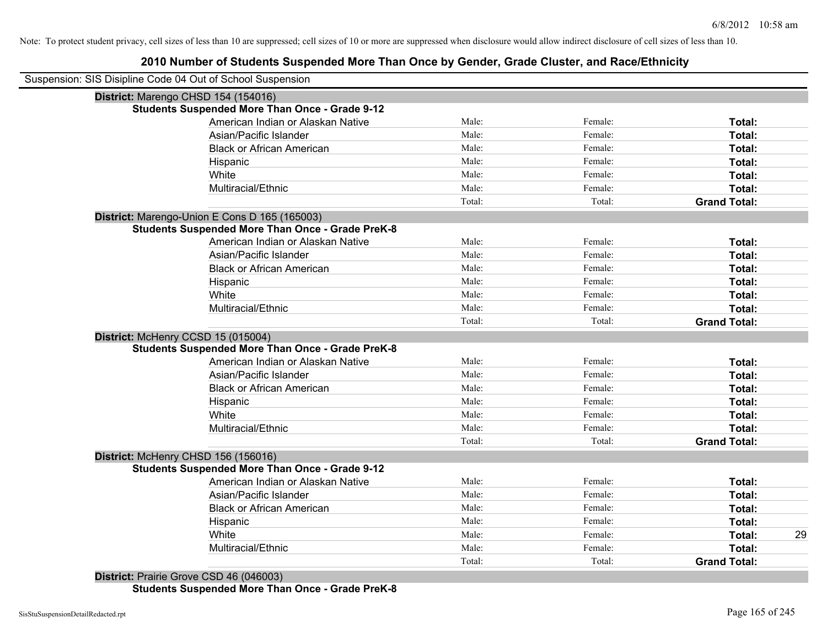## **2010 Number of Students Suspended More Than Once by Gender, Grade Cluster, and Race/Ethnicity**

| Suspension: SIS Disipline Code 04 Out of School Suspension<br>District: Marengo CHSD 154 (154016)<br><b>Students Suspended More Than Once - Grade 9-12</b><br>American Indian or Alaskan Native<br>Male:<br>Female:<br>Total:<br>Male:<br>Female:<br>Asian/Pacific Islander<br>Total:<br>Male:<br>Female:<br><b>Black or African American</b><br>Total:<br>Male:<br>Female:<br>Hispanic<br>Total:<br>White<br>Male:<br>Female:<br>Total:<br>Multiracial/Ethnic<br>Male:<br>Female:<br>Total:<br>Total:<br>Total:<br><b>Grand Total:</b><br>District: Marengo-Union E Cons D 165 (165003)<br><b>Students Suspended More Than Once - Grade PreK-8</b><br>Male:<br>Female:<br>American Indian or Alaskan Native<br>Total:<br>Male:<br>Female:<br>Total:<br>Asian/Pacific Islander<br>Male:<br>Female:<br>Total:<br><b>Black or African American</b><br>Male:<br>Female:<br>Total:<br>Hispanic<br>Male:<br>Female:<br>White<br>Total:<br>Male:<br>Female:<br>Total:<br>Multiracial/Ethnic<br>Total:<br>Total:<br><b>Grand Total:</b><br>District: McHenry CCSD 15 (015004)<br><b>Students Suspended More Than Once - Grade PreK-8</b><br>American Indian or Alaskan Native<br>Male:<br>Female:<br>Total:<br>Female:<br>Asian/Pacific Islander<br>Male:<br>Total:<br><b>Black or African American</b><br>Male:<br>Female:<br>Total:<br>Male:<br>Female:<br>Hispanic<br>Total:<br>White<br>Male:<br>Female:<br>Total:<br>Multiracial/Ethnic<br>Male:<br>Female:<br>Total:<br>Total:<br>Total:<br><b>Grand Total:</b><br>District: McHenry CHSD 156 (156016)<br><b>Students Suspended More Than Once - Grade 9-12</b><br>Male:<br>Female:<br>Total:<br>American Indian or Alaskan Native<br>Male:<br>Female:<br>Total:<br>Asian/Pacific Islander<br>Male:<br>Female:<br><b>Black or African American</b><br>Total:<br>Male:<br>Female:<br>Total:<br>Hispanic<br>White<br>Male:<br>Female:<br>Total:<br>Male:<br>Female:<br>Total:<br>Multiracial/Ethnic<br>Total:<br>Total:<br><b>Grand Total:</b><br>District: Prairie Grove CSD 46 (046003) |  |  |    |
|----------------------------------------------------------------------------------------------------------------------------------------------------------------------------------------------------------------------------------------------------------------------------------------------------------------------------------------------------------------------------------------------------------------------------------------------------------------------------------------------------------------------------------------------------------------------------------------------------------------------------------------------------------------------------------------------------------------------------------------------------------------------------------------------------------------------------------------------------------------------------------------------------------------------------------------------------------------------------------------------------------------------------------------------------------------------------------------------------------------------------------------------------------------------------------------------------------------------------------------------------------------------------------------------------------------------------------------------------------------------------------------------------------------------------------------------------------------------------------------------------------------------------------------------------------------------------------------------------------------------------------------------------------------------------------------------------------------------------------------------------------------------------------------------------------------------------------------------------------------------------------------------------------------------------------------------------------------------------------------------------------------------------------------|--|--|----|
|                                                                                                                                                                                                                                                                                                                                                                                                                                                                                                                                                                                                                                                                                                                                                                                                                                                                                                                                                                                                                                                                                                                                                                                                                                                                                                                                                                                                                                                                                                                                                                                                                                                                                                                                                                                                                                                                                                                                                                                                                                        |  |  |    |
|                                                                                                                                                                                                                                                                                                                                                                                                                                                                                                                                                                                                                                                                                                                                                                                                                                                                                                                                                                                                                                                                                                                                                                                                                                                                                                                                                                                                                                                                                                                                                                                                                                                                                                                                                                                                                                                                                                                                                                                                                                        |  |  |    |
|                                                                                                                                                                                                                                                                                                                                                                                                                                                                                                                                                                                                                                                                                                                                                                                                                                                                                                                                                                                                                                                                                                                                                                                                                                                                                                                                                                                                                                                                                                                                                                                                                                                                                                                                                                                                                                                                                                                                                                                                                                        |  |  |    |
|                                                                                                                                                                                                                                                                                                                                                                                                                                                                                                                                                                                                                                                                                                                                                                                                                                                                                                                                                                                                                                                                                                                                                                                                                                                                                                                                                                                                                                                                                                                                                                                                                                                                                                                                                                                                                                                                                                                                                                                                                                        |  |  |    |
|                                                                                                                                                                                                                                                                                                                                                                                                                                                                                                                                                                                                                                                                                                                                                                                                                                                                                                                                                                                                                                                                                                                                                                                                                                                                                                                                                                                                                                                                                                                                                                                                                                                                                                                                                                                                                                                                                                                                                                                                                                        |  |  |    |
|                                                                                                                                                                                                                                                                                                                                                                                                                                                                                                                                                                                                                                                                                                                                                                                                                                                                                                                                                                                                                                                                                                                                                                                                                                                                                                                                                                                                                                                                                                                                                                                                                                                                                                                                                                                                                                                                                                                                                                                                                                        |  |  |    |
|                                                                                                                                                                                                                                                                                                                                                                                                                                                                                                                                                                                                                                                                                                                                                                                                                                                                                                                                                                                                                                                                                                                                                                                                                                                                                                                                                                                                                                                                                                                                                                                                                                                                                                                                                                                                                                                                                                                                                                                                                                        |  |  |    |
|                                                                                                                                                                                                                                                                                                                                                                                                                                                                                                                                                                                                                                                                                                                                                                                                                                                                                                                                                                                                                                                                                                                                                                                                                                                                                                                                                                                                                                                                                                                                                                                                                                                                                                                                                                                                                                                                                                                                                                                                                                        |  |  |    |
|                                                                                                                                                                                                                                                                                                                                                                                                                                                                                                                                                                                                                                                                                                                                                                                                                                                                                                                                                                                                                                                                                                                                                                                                                                                                                                                                                                                                                                                                                                                                                                                                                                                                                                                                                                                                                                                                                                                                                                                                                                        |  |  |    |
|                                                                                                                                                                                                                                                                                                                                                                                                                                                                                                                                                                                                                                                                                                                                                                                                                                                                                                                                                                                                                                                                                                                                                                                                                                                                                                                                                                                                                                                                                                                                                                                                                                                                                                                                                                                                                                                                                                                                                                                                                                        |  |  |    |
|                                                                                                                                                                                                                                                                                                                                                                                                                                                                                                                                                                                                                                                                                                                                                                                                                                                                                                                                                                                                                                                                                                                                                                                                                                                                                                                                                                                                                                                                                                                                                                                                                                                                                                                                                                                                                                                                                                                                                                                                                                        |  |  |    |
|                                                                                                                                                                                                                                                                                                                                                                                                                                                                                                                                                                                                                                                                                                                                                                                                                                                                                                                                                                                                                                                                                                                                                                                                                                                                                                                                                                                                                                                                                                                                                                                                                                                                                                                                                                                                                                                                                                                                                                                                                                        |  |  |    |
|                                                                                                                                                                                                                                                                                                                                                                                                                                                                                                                                                                                                                                                                                                                                                                                                                                                                                                                                                                                                                                                                                                                                                                                                                                                                                                                                                                                                                                                                                                                                                                                                                                                                                                                                                                                                                                                                                                                                                                                                                                        |  |  |    |
|                                                                                                                                                                                                                                                                                                                                                                                                                                                                                                                                                                                                                                                                                                                                                                                                                                                                                                                                                                                                                                                                                                                                                                                                                                                                                                                                                                                                                                                                                                                                                                                                                                                                                                                                                                                                                                                                                                                                                                                                                                        |  |  |    |
|                                                                                                                                                                                                                                                                                                                                                                                                                                                                                                                                                                                                                                                                                                                                                                                                                                                                                                                                                                                                                                                                                                                                                                                                                                                                                                                                                                                                                                                                                                                                                                                                                                                                                                                                                                                                                                                                                                                                                                                                                                        |  |  |    |
|                                                                                                                                                                                                                                                                                                                                                                                                                                                                                                                                                                                                                                                                                                                                                                                                                                                                                                                                                                                                                                                                                                                                                                                                                                                                                                                                                                                                                                                                                                                                                                                                                                                                                                                                                                                                                                                                                                                                                                                                                                        |  |  |    |
|                                                                                                                                                                                                                                                                                                                                                                                                                                                                                                                                                                                                                                                                                                                                                                                                                                                                                                                                                                                                                                                                                                                                                                                                                                                                                                                                                                                                                                                                                                                                                                                                                                                                                                                                                                                                                                                                                                                                                                                                                                        |  |  |    |
|                                                                                                                                                                                                                                                                                                                                                                                                                                                                                                                                                                                                                                                                                                                                                                                                                                                                                                                                                                                                                                                                                                                                                                                                                                                                                                                                                                                                                                                                                                                                                                                                                                                                                                                                                                                                                                                                                                                                                                                                                                        |  |  |    |
|                                                                                                                                                                                                                                                                                                                                                                                                                                                                                                                                                                                                                                                                                                                                                                                                                                                                                                                                                                                                                                                                                                                                                                                                                                                                                                                                                                                                                                                                                                                                                                                                                                                                                                                                                                                                                                                                                                                                                                                                                                        |  |  |    |
|                                                                                                                                                                                                                                                                                                                                                                                                                                                                                                                                                                                                                                                                                                                                                                                                                                                                                                                                                                                                                                                                                                                                                                                                                                                                                                                                                                                                                                                                                                                                                                                                                                                                                                                                                                                                                                                                                                                                                                                                                                        |  |  |    |
|                                                                                                                                                                                                                                                                                                                                                                                                                                                                                                                                                                                                                                                                                                                                                                                                                                                                                                                                                                                                                                                                                                                                                                                                                                                                                                                                                                                                                                                                                                                                                                                                                                                                                                                                                                                                                                                                                                                                                                                                                                        |  |  |    |
|                                                                                                                                                                                                                                                                                                                                                                                                                                                                                                                                                                                                                                                                                                                                                                                                                                                                                                                                                                                                                                                                                                                                                                                                                                                                                                                                                                                                                                                                                                                                                                                                                                                                                                                                                                                                                                                                                                                                                                                                                                        |  |  |    |
|                                                                                                                                                                                                                                                                                                                                                                                                                                                                                                                                                                                                                                                                                                                                                                                                                                                                                                                                                                                                                                                                                                                                                                                                                                                                                                                                                                                                                                                                                                                                                                                                                                                                                                                                                                                                                                                                                                                                                                                                                                        |  |  |    |
|                                                                                                                                                                                                                                                                                                                                                                                                                                                                                                                                                                                                                                                                                                                                                                                                                                                                                                                                                                                                                                                                                                                                                                                                                                                                                                                                                                                                                                                                                                                                                                                                                                                                                                                                                                                                                                                                                                                                                                                                                                        |  |  |    |
|                                                                                                                                                                                                                                                                                                                                                                                                                                                                                                                                                                                                                                                                                                                                                                                                                                                                                                                                                                                                                                                                                                                                                                                                                                                                                                                                                                                                                                                                                                                                                                                                                                                                                                                                                                                                                                                                                                                                                                                                                                        |  |  |    |
|                                                                                                                                                                                                                                                                                                                                                                                                                                                                                                                                                                                                                                                                                                                                                                                                                                                                                                                                                                                                                                                                                                                                                                                                                                                                                                                                                                                                                                                                                                                                                                                                                                                                                                                                                                                                                                                                                                                                                                                                                                        |  |  |    |
|                                                                                                                                                                                                                                                                                                                                                                                                                                                                                                                                                                                                                                                                                                                                                                                                                                                                                                                                                                                                                                                                                                                                                                                                                                                                                                                                                                                                                                                                                                                                                                                                                                                                                                                                                                                                                                                                                                                                                                                                                                        |  |  |    |
|                                                                                                                                                                                                                                                                                                                                                                                                                                                                                                                                                                                                                                                                                                                                                                                                                                                                                                                                                                                                                                                                                                                                                                                                                                                                                                                                                                                                                                                                                                                                                                                                                                                                                                                                                                                                                                                                                                                                                                                                                                        |  |  |    |
|                                                                                                                                                                                                                                                                                                                                                                                                                                                                                                                                                                                                                                                                                                                                                                                                                                                                                                                                                                                                                                                                                                                                                                                                                                                                                                                                                                                                                                                                                                                                                                                                                                                                                                                                                                                                                                                                                                                                                                                                                                        |  |  |    |
|                                                                                                                                                                                                                                                                                                                                                                                                                                                                                                                                                                                                                                                                                                                                                                                                                                                                                                                                                                                                                                                                                                                                                                                                                                                                                                                                                                                                                                                                                                                                                                                                                                                                                                                                                                                                                                                                                                                                                                                                                                        |  |  |    |
|                                                                                                                                                                                                                                                                                                                                                                                                                                                                                                                                                                                                                                                                                                                                                                                                                                                                                                                                                                                                                                                                                                                                                                                                                                                                                                                                                                                                                                                                                                                                                                                                                                                                                                                                                                                                                                                                                                                                                                                                                                        |  |  |    |
|                                                                                                                                                                                                                                                                                                                                                                                                                                                                                                                                                                                                                                                                                                                                                                                                                                                                                                                                                                                                                                                                                                                                                                                                                                                                                                                                                                                                                                                                                                                                                                                                                                                                                                                                                                                                                                                                                                                                                                                                                                        |  |  |    |
|                                                                                                                                                                                                                                                                                                                                                                                                                                                                                                                                                                                                                                                                                                                                                                                                                                                                                                                                                                                                                                                                                                                                                                                                                                                                                                                                                                                                                                                                                                                                                                                                                                                                                                                                                                                                                                                                                                                                                                                                                                        |  |  |    |
|                                                                                                                                                                                                                                                                                                                                                                                                                                                                                                                                                                                                                                                                                                                                                                                                                                                                                                                                                                                                                                                                                                                                                                                                                                                                                                                                                                                                                                                                                                                                                                                                                                                                                                                                                                                                                                                                                                                                                                                                                                        |  |  |    |
|                                                                                                                                                                                                                                                                                                                                                                                                                                                                                                                                                                                                                                                                                                                                                                                                                                                                                                                                                                                                                                                                                                                                                                                                                                                                                                                                                                                                                                                                                                                                                                                                                                                                                                                                                                                                                                                                                                                                                                                                                                        |  |  | 29 |
|                                                                                                                                                                                                                                                                                                                                                                                                                                                                                                                                                                                                                                                                                                                                                                                                                                                                                                                                                                                                                                                                                                                                                                                                                                                                                                                                                                                                                                                                                                                                                                                                                                                                                                                                                                                                                                                                                                                                                                                                                                        |  |  |    |
|                                                                                                                                                                                                                                                                                                                                                                                                                                                                                                                                                                                                                                                                                                                                                                                                                                                                                                                                                                                                                                                                                                                                                                                                                                                                                                                                                                                                                                                                                                                                                                                                                                                                                                                                                                                                                                                                                                                                                                                                                                        |  |  |    |
|                                                                                                                                                                                                                                                                                                                                                                                                                                                                                                                                                                                                                                                                                                                                                                                                                                                                                                                                                                                                                                                                                                                                                                                                                                                                                                                                                                                                                                                                                                                                                                                                                                                                                                                                                                                                                                                                                                                                                                                                                                        |  |  |    |

**Students Suspended More Than Once - Grade PreK-8**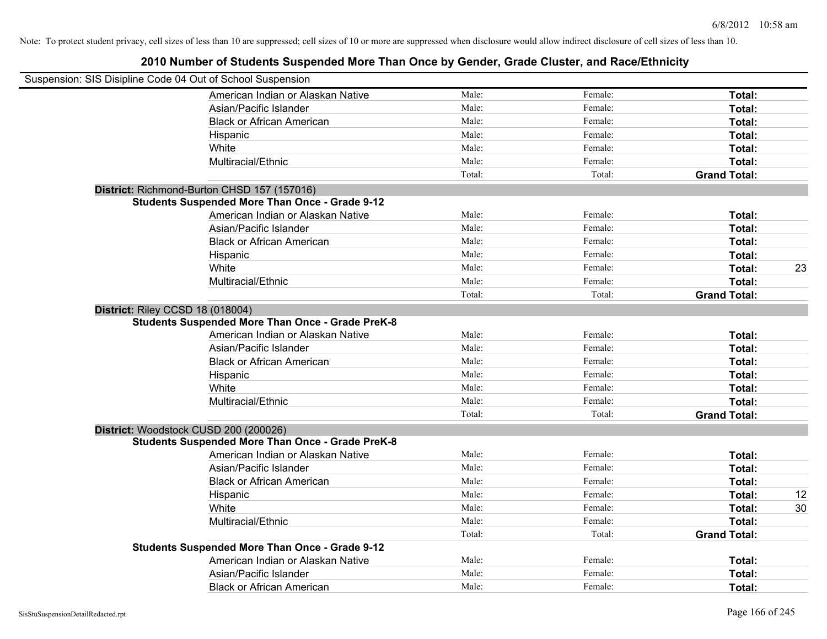| Suspension: SIS Disipline Code 04 Out of School Suspension                                  |        |         |                     |    |
|---------------------------------------------------------------------------------------------|--------|---------|---------------------|----|
| American Indian or Alaskan Native                                                           | Male:  | Female: | Total:              |    |
| Asian/Pacific Islander                                                                      | Male:  | Female: | Total:              |    |
| <b>Black or African American</b>                                                            | Male:  | Female: | Total:              |    |
| Hispanic                                                                                    | Male:  | Female: | Total:              |    |
| White                                                                                       | Male:  | Female: | Total:              |    |
| Multiracial/Ethnic                                                                          | Male:  | Female: | Total:              |    |
|                                                                                             | Total: | Total:  | <b>Grand Total:</b> |    |
| District: Richmond-Burton CHSD 157 (157016)                                                 |        |         |                     |    |
| <b>Students Suspended More Than Once - Grade 9-12</b>                                       |        |         |                     |    |
| American Indian or Alaskan Native                                                           | Male:  | Female: | Total:              |    |
| Asian/Pacific Islander                                                                      | Male:  | Female: | Total:              |    |
| <b>Black or African American</b>                                                            | Male:  | Female: | Total:              |    |
| Hispanic                                                                                    | Male:  | Female: | Total:              |    |
| White                                                                                       | Male:  | Female: | Total:              | 23 |
| Multiracial/Ethnic                                                                          | Male:  | Female: | Total:              |    |
|                                                                                             | Total: | Total:  | <b>Grand Total:</b> |    |
| District: Riley CCSD 18 (018004)<br><b>Students Suspended More Than Once - Grade PreK-8</b> |        |         |                     |    |
| American Indian or Alaskan Native                                                           | Male:  | Female: | Total:              |    |
| Asian/Pacific Islander                                                                      | Male:  | Female: | Total:              |    |
| <b>Black or African American</b>                                                            | Male:  | Female: | Total:              |    |
| Hispanic                                                                                    | Male:  | Female: | Total:              |    |
| White                                                                                       | Male:  | Female: | Total:              |    |
| Multiracial/Ethnic                                                                          | Male:  | Female: | Total:              |    |
|                                                                                             | Total: | Total:  | <b>Grand Total:</b> |    |
| District: Woodstock CUSD 200 (200026)                                                       |        |         |                     |    |
| <b>Students Suspended More Than Once - Grade PreK-8</b>                                     |        |         |                     |    |
| American Indian or Alaskan Native                                                           | Male:  | Female: | Total:              |    |
| Asian/Pacific Islander                                                                      | Male:  | Female: | Total:              |    |
| <b>Black or African American</b>                                                            | Male:  | Female: | Total:              |    |
| Hispanic                                                                                    | Male:  | Female: | Total:              | 12 |
| White                                                                                       | Male:  | Female: | Total:              | 30 |
| Multiracial/Ethnic                                                                          | Male:  | Female: | Total:              |    |
|                                                                                             | Total: | Total:  | <b>Grand Total:</b> |    |
| <b>Students Suspended More Than Once - Grade 9-12</b>                                       |        |         |                     |    |
| American Indian or Alaskan Native                                                           | Male:  | Female: | Total:              |    |
| Asian/Pacific Islander                                                                      | Male:  | Female: | Total:              |    |
| <b>Black or African American</b>                                                            | Male:  | Female: | Total:              |    |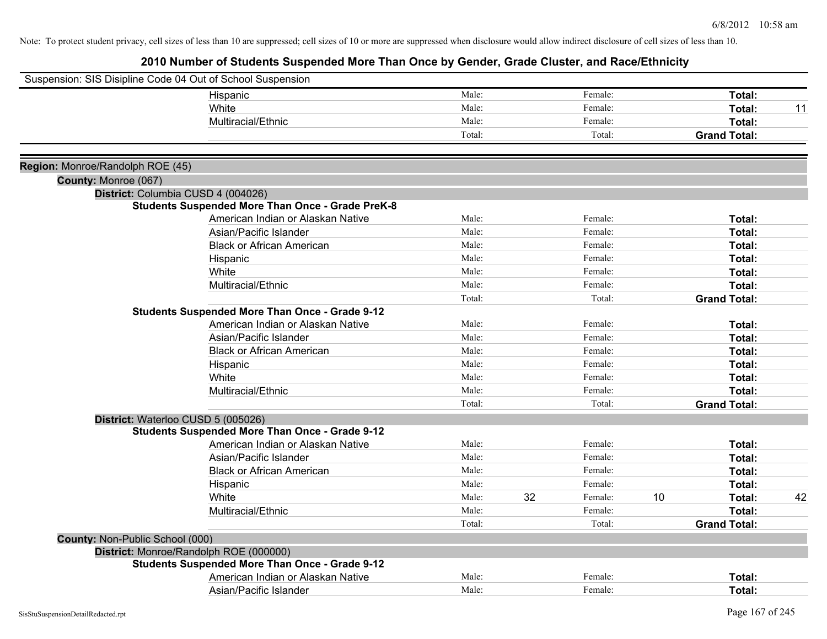| Suspension: SIS Disipline Code 04 Out of School Suspension |                                                         |        |    |         |    |                     |    |
|------------------------------------------------------------|---------------------------------------------------------|--------|----|---------|----|---------------------|----|
|                                                            | Hispanic                                                | Male:  |    | Female: |    | Total:              |    |
|                                                            | White                                                   | Male:  |    | Female: |    | <b>Total:</b>       | 11 |
|                                                            | Multiracial/Ethnic                                      | Male:  |    | Female: |    | Total:              |    |
|                                                            |                                                         | Total: |    | Total:  |    | <b>Grand Total:</b> |    |
|                                                            |                                                         |        |    |         |    |                     |    |
| Region: Monroe/Randolph ROE (45)                           |                                                         |        |    |         |    |                     |    |
| County: Monroe (067)                                       |                                                         |        |    |         |    |                     |    |
|                                                            | District: Columbia CUSD 4 (004026)                      |        |    |         |    |                     |    |
|                                                            | <b>Students Suspended More Than Once - Grade PreK-8</b> |        |    |         |    |                     |    |
|                                                            | American Indian or Alaskan Native                       | Male:  |    | Female: |    | Total:              |    |
|                                                            | Asian/Pacific Islander                                  | Male:  |    | Female: |    | Total:              |    |
|                                                            | <b>Black or African American</b>                        | Male:  |    | Female: |    | Total:              |    |
|                                                            | Hispanic                                                | Male:  |    | Female: |    | Total:              |    |
|                                                            | White                                                   | Male:  |    | Female: |    | Total:              |    |
|                                                            | Multiracial/Ethnic                                      | Male:  |    | Female: |    | Total:              |    |
|                                                            |                                                         | Total: |    | Total:  |    | <b>Grand Total:</b> |    |
|                                                            | <b>Students Suspended More Than Once - Grade 9-12</b>   |        |    |         |    |                     |    |
|                                                            | American Indian or Alaskan Native                       | Male:  |    | Female: |    | Total:              |    |
|                                                            | Asian/Pacific Islander                                  | Male:  |    | Female: |    | Total:              |    |
|                                                            | <b>Black or African American</b>                        | Male:  |    | Female: |    | Total:              |    |
|                                                            | Hispanic                                                | Male:  |    | Female: |    | Total:              |    |
|                                                            | White                                                   | Male:  |    | Female: |    | Total:              |    |
|                                                            | Multiracial/Ethnic                                      | Male:  |    | Female: |    | Total:              |    |
|                                                            |                                                         | Total: |    | Total:  |    | <b>Grand Total:</b> |    |
|                                                            | District: Waterloo CUSD 5 (005026)                      |        |    |         |    |                     |    |
|                                                            | <b>Students Suspended More Than Once - Grade 9-12</b>   |        |    |         |    |                     |    |
|                                                            | American Indian or Alaskan Native                       | Male:  |    | Female: |    | Total:              |    |
|                                                            | Asian/Pacific Islander                                  | Male:  |    | Female: |    | Total:              |    |
|                                                            | <b>Black or African American</b>                        | Male:  |    | Female: |    | Total:              |    |
|                                                            | Hispanic                                                | Male:  |    | Female: |    | Total:              |    |
|                                                            | White                                                   | Male:  | 32 | Female: | 10 | Total:              | 42 |
|                                                            | Multiracial/Ethnic                                      | Male:  |    | Female: |    | Total:              |    |
|                                                            |                                                         | Total: |    | Total:  |    | <b>Grand Total:</b> |    |
| County: Non-Public School (000)                            |                                                         |        |    |         |    |                     |    |
|                                                            | District: Monroe/Randolph ROE (000000)                  |        |    |         |    |                     |    |
|                                                            | <b>Students Suspended More Than Once - Grade 9-12</b>   |        |    |         |    |                     |    |
|                                                            | American Indian or Alaskan Native                       | Male:  |    | Female: |    | <b>Total:</b>       |    |
|                                                            | Asian/Pacific Islander                                  | Male:  |    | Female: |    | Total:              |    |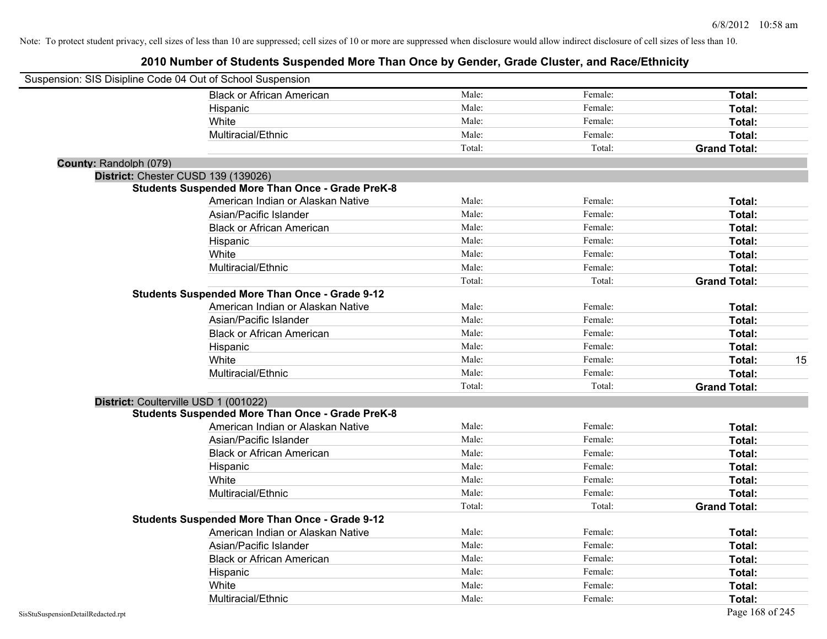| Suspension: SIS Disipline Code 04 Out of School Suspension |                                                         |        |         |                     |
|------------------------------------------------------------|---------------------------------------------------------|--------|---------|---------------------|
|                                                            | <b>Black or African American</b>                        | Male:  | Female: | Total:              |
|                                                            | Hispanic                                                | Male:  | Female: | Total:              |
|                                                            | White                                                   | Male:  | Female: | Total:              |
|                                                            | Multiracial/Ethnic                                      | Male:  | Female: | Total:              |
|                                                            |                                                         | Total: | Total:  | <b>Grand Total:</b> |
| County: Randolph (079)                                     |                                                         |        |         |                     |
| District: Chester CUSD 139 (139026)                        |                                                         |        |         |                     |
|                                                            | <b>Students Suspended More Than Once - Grade PreK-8</b> |        |         |                     |
|                                                            | American Indian or Alaskan Native                       | Male:  | Female: | Total:              |
|                                                            | Asian/Pacific Islander                                  | Male:  | Female: | Total:              |
|                                                            | <b>Black or African American</b>                        | Male:  | Female: | Total:              |
|                                                            | Hispanic                                                | Male:  | Female: | Total:              |
|                                                            | White                                                   | Male:  | Female: | Total:              |
|                                                            | Multiracial/Ethnic                                      | Male:  | Female: | Total:              |
|                                                            |                                                         | Total: | Total:  | <b>Grand Total:</b> |
|                                                            | <b>Students Suspended More Than Once - Grade 9-12</b>   |        |         |                     |
|                                                            | American Indian or Alaskan Native                       | Male:  | Female: | Total:              |
|                                                            | Asian/Pacific Islander                                  | Male:  | Female: | Total:              |
|                                                            | <b>Black or African American</b>                        | Male:  | Female: | Total:              |
|                                                            | Hispanic                                                | Male:  | Female: | Total:              |
|                                                            | White                                                   | Male:  | Female: | 15<br>Total:        |
|                                                            | Multiracial/Ethnic                                      | Male:  | Female: | Total:              |
|                                                            |                                                         | Total: | Total:  | <b>Grand Total:</b> |
| District: Coulterville USD 1 (001022)                      |                                                         |        |         |                     |
|                                                            | <b>Students Suspended More Than Once - Grade PreK-8</b> |        |         |                     |
|                                                            | American Indian or Alaskan Native                       | Male:  | Female: | Total:              |
|                                                            | Asian/Pacific Islander                                  | Male:  | Female: | Total:              |
|                                                            | <b>Black or African American</b>                        | Male:  | Female: | Total:              |
|                                                            | Hispanic                                                | Male:  | Female: | Total:              |
|                                                            | White                                                   | Male:  | Female: | Total:              |
|                                                            | Multiracial/Ethnic                                      | Male:  | Female: | Total:              |
|                                                            |                                                         | Total: | Total:  | <b>Grand Total:</b> |
|                                                            | <b>Students Suspended More Than Once - Grade 9-12</b>   |        |         |                     |
|                                                            | American Indian or Alaskan Native                       | Male:  | Female: | Total:              |
|                                                            | Asian/Pacific Islander                                  | Male:  | Female: | Total:              |
|                                                            | <b>Black or African American</b>                        | Male:  | Female: | Total:              |
|                                                            | Hispanic                                                | Male:  | Female: | Total:              |
|                                                            | White                                                   | Male:  | Female: | Total:              |
|                                                            | Multiracial/Ethnic                                      | Male:  | Female: | Total:              |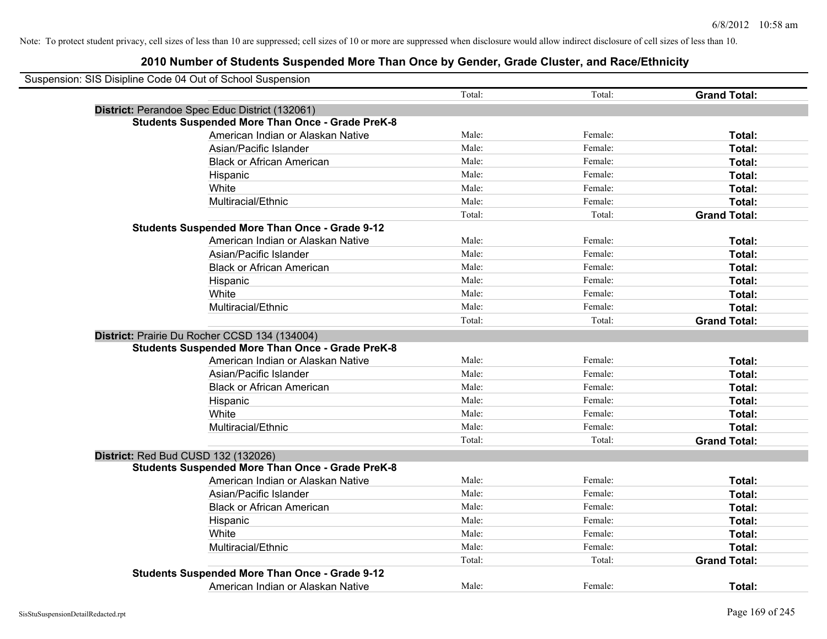| Suspension: SIS Disipline Code 04 Out of School Suspension |                                                         |        |         |                     |
|------------------------------------------------------------|---------------------------------------------------------|--------|---------|---------------------|
|                                                            |                                                         | Total: | Total:  | <b>Grand Total:</b> |
|                                                            | District: Perandoe Spec Educ District (132061)          |        |         |                     |
|                                                            | <b>Students Suspended More Than Once - Grade PreK-8</b> |        |         |                     |
|                                                            | American Indian or Alaskan Native                       | Male:  | Female: | Total:              |
|                                                            | Asian/Pacific Islander                                  | Male:  | Female: | Total:              |
|                                                            | <b>Black or African American</b>                        | Male:  | Female: | Total:              |
|                                                            | Hispanic                                                | Male:  | Female: | Total:              |
|                                                            | White                                                   | Male:  | Female: | Total:              |
|                                                            | Multiracial/Ethnic                                      | Male:  | Female: | Total:              |
|                                                            |                                                         | Total: | Total:  | <b>Grand Total:</b> |
|                                                            | <b>Students Suspended More Than Once - Grade 9-12</b>   |        |         |                     |
|                                                            | American Indian or Alaskan Native                       | Male:  | Female: | Total:              |
|                                                            | Asian/Pacific Islander                                  | Male:  | Female: | Total:              |
|                                                            | <b>Black or African American</b>                        | Male:  | Female: | Total:              |
|                                                            | Hispanic                                                | Male:  | Female: | Total:              |
|                                                            | White                                                   | Male:  | Female: | Total:              |
|                                                            | Multiracial/Ethnic                                      | Male:  | Female: | Total:              |
|                                                            |                                                         | Total: | Total:  | <b>Grand Total:</b> |
|                                                            | District: Prairie Du Rocher CCSD 134 (134004)           |        |         |                     |
|                                                            | <b>Students Suspended More Than Once - Grade PreK-8</b> |        |         |                     |
|                                                            | American Indian or Alaskan Native                       | Male:  | Female: | Total:              |
|                                                            | Asian/Pacific Islander                                  | Male:  | Female: | Total:              |
|                                                            | <b>Black or African American</b>                        | Male:  | Female: | Total:              |
|                                                            | Hispanic                                                | Male:  | Female: | Total:              |
|                                                            | White                                                   | Male:  | Female: | Total:              |
|                                                            | Multiracial/Ethnic                                      | Male:  | Female: | Total:              |
|                                                            |                                                         | Total: | Total:  | <b>Grand Total:</b> |
|                                                            | District: Red Bud CUSD 132 (132026)                     |        |         |                     |
|                                                            | <b>Students Suspended More Than Once - Grade PreK-8</b> |        |         |                     |
|                                                            | American Indian or Alaskan Native                       | Male:  | Female: | Total:              |
|                                                            | Asian/Pacific Islander                                  | Male:  | Female: | Total:              |
|                                                            | <b>Black or African American</b>                        | Male:  | Female: | Total:              |
|                                                            | Hispanic                                                | Male:  | Female: | Total:              |
|                                                            | White                                                   | Male:  | Female: | Total:              |
|                                                            | Multiracial/Ethnic                                      | Male:  | Female: | Total:              |
|                                                            |                                                         | Total: | Total:  | <b>Grand Total:</b> |
|                                                            | <b>Students Suspended More Than Once - Grade 9-12</b>   |        |         |                     |
|                                                            | American Indian or Alaskan Native                       | Male:  | Female: | Total:              |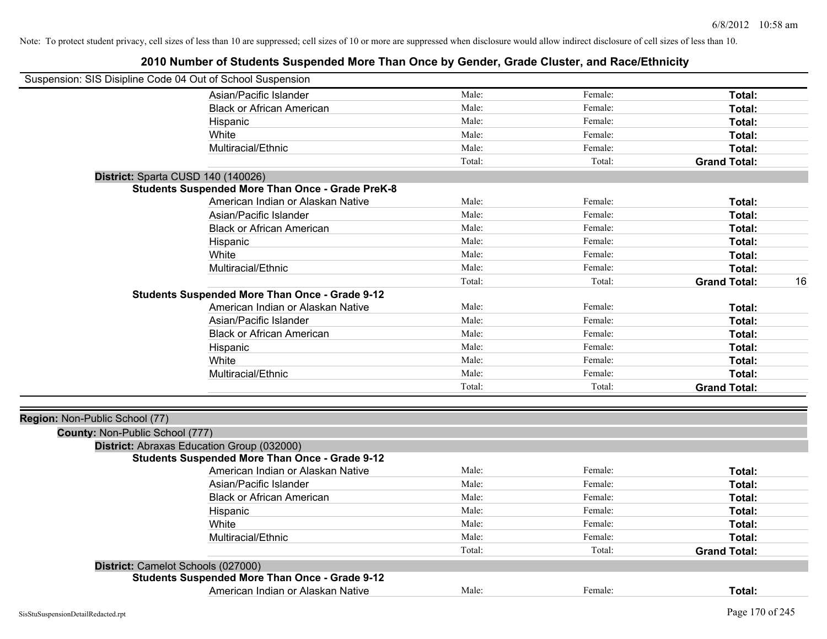| Suspension: SIS Disipline Code 04 Out of School Suspension        |                                                         |        |         |                           |
|-------------------------------------------------------------------|---------------------------------------------------------|--------|---------|---------------------------|
|                                                                   | Asian/Pacific Islander                                  | Male:  | Female: | Total:                    |
|                                                                   | <b>Black or African American</b>                        | Male:  | Female: | Total:                    |
|                                                                   | Hispanic                                                | Male:  | Female: | Total:                    |
|                                                                   | White                                                   | Male:  | Female: | Total:                    |
|                                                                   | Multiracial/Ethnic                                      | Male:  | Female: | Total:                    |
|                                                                   |                                                         | Total: | Total:  | <b>Grand Total:</b>       |
|                                                                   | District: Sparta CUSD 140 (140026)                      |        |         |                           |
|                                                                   | <b>Students Suspended More Than Once - Grade PreK-8</b> |        |         |                           |
|                                                                   | American Indian or Alaskan Native                       | Male:  | Female: | Total:                    |
|                                                                   | Asian/Pacific Islander                                  | Male:  | Female: | Total:                    |
|                                                                   | <b>Black or African American</b>                        | Male:  | Female: | Total:                    |
|                                                                   | Hispanic                                                | Male:  | Female: | Total:                    |
|                                                                   | White                                                   | Male:  | Female: | Total:                    |
|                                                                   | Multiracial/Ethnic                                      | Male:  | Female: | Total:                    |
|                                                                   |                                                         | Total: | Total:  | 16<br><b>Grand Total:</b> |
|                                                                   | <b>Students Suspended More Than Once - Grade 9-12</b>   |        |         |                           |
|                                                                   | American Indian or Alaskan Native                       | Male:  | Female: | Total:                    |
|                                                                   | Asian/Pacific Islander                                  | Male:  | Female: | Total:                    |
|                                                                   | <b>Black or African American</b>                        | Male:  | Female: | Total:                    |
|                                                                   | Hispanic                                                | Male:  | Female: | Total:                    |
|                                                                   | White                                                   | Male:  | Female: | Total:                    |
|                                                                   | Multiracial/Ethnic                                      | Male:  | Female: | Total:                    |
|                                                                   |                                                         | Total: | Total:  | <b>Grand Total:</b>       |
|                                                                   |                                                         |        |         |                           |
| Region: Non-Public School (77)<br>County: Non-Public School (777) |                                                         |        |         |                           |
|                                                                   | District: Abraxas Education Group (032000)              |        |         |                           |
|                                                                   | <b>Students Suspended More Than Once - Grade 9-12</b>   |        |         |                           |
|                                                                   | American Indian or Alaskan Native                       | Male:  | Female: | Total:                    |
|                                                                   | Asian/Pacific Islander                                  | Male:  | Female: | Total:                    |
|                                                                   | <b>Black or African American</b>                        | Male:  | Female: | Total:                    |
|                                                                   | Hispanic                                                | Male:  | Female: | Total:                    |
|                                                                   | White                                                   | Male:  | Female: | Total:                    |
|                                                                   | Multiracial/Ethnic                                      | Male:  | Female: | Total:                    |
|                                                                   |                                                         | Total: | Total:  | <b>Grand Total:</b>       |
|                                                                   | District: Camelot Schools (027000)                      |        |         |                           |
|                                                                   | <b>Students Suspended More Than Once - Grade 9-12</b>   |        |         |                           |
|                                                                   | American Indian or Alaskan Native                       | Male:  | Female: | Total:                    |
|                                                                   |                                                         |        |         |                           |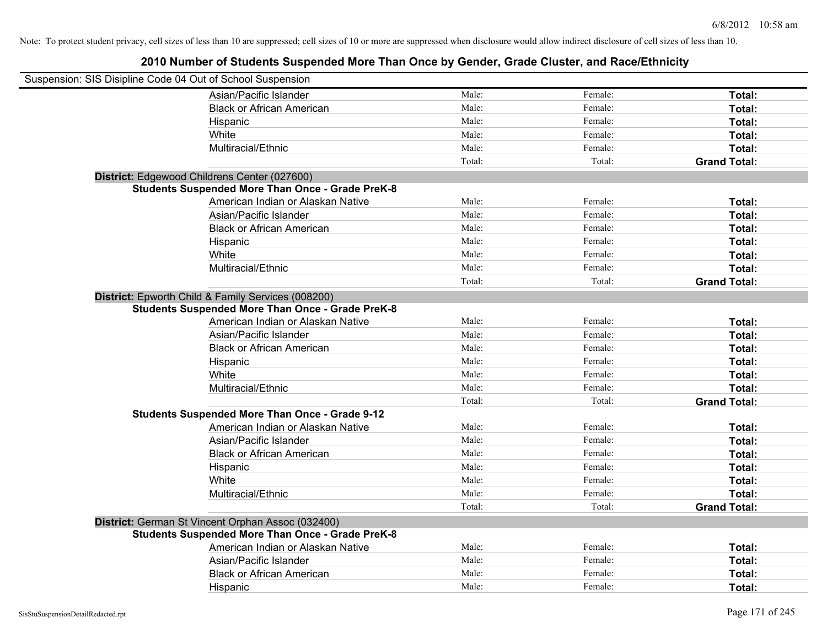| Suspension: SIS Disipline Code 04 Out of School Suspension |                                                                                                               |        |         |                     |
|------------------------------------------------------------|---------------------------------------------------------------------------------------------------------------|--------|---------|---------------------|
|                                                            | Asian/Pacific Islander                                                                                        | Male:  | Female: | Total:              |
|                                                            | <b>Black or African American</b>                                                                              | Male:  | Female: | Total:              |
|                                                            | Hispanic                                                                                                      | Male:  | Female: | Total:              |
|                                                            | White                                                                                                         | Male:  | Female: | Total:              |
|                                                            | Multiracial/Ethnic                                                                                            | Male:  | Female: | Total:              |
|                                                            |                                                                                                               | Total: | Total:  | <b>Grand Total:</b> |
|                                                            | District: Edgewood Childrens Center (027600)                                                                  |        |         |                     |
|                                                            | <b>Students Suspended More Than Once - Grade PreK-8</b>                                                       |        |         |                     |
|                                                            | American Indian or Alaskan Native                                                                             | Male:  | Female: | Total:              |
|                                                            | Asian/Pacific Islander                                                                                        | Male:  | Female: | Total:              |
|                                                            | <b>Black or African American</b>                                                                              | Male:  | Female: | Total:              |
|                                                            | Hispanic                                                                                                      | Male:  | Female: | Total:              |
|                                                            | White                                                                                                         | Male:  | Female: | Total:              |
|                                                            | Multiracial/Ethnic                                                                                            | Male:  | Female: | Total:              |
|                                                            |                                                                                                               | Total: | Total:  | <b>Grand Total:</b> |
|                                                            | District: Epworth Child & Family Services (008200)<br><b>Students Suspended More Than Once - Grade PreK-8</b> |        |         |                     |
|                                                            | American Indian or Alaskan Native                                                                             | Male:  | Female: | Total:              |
|                                                            | Asian/Pacific Islander                                                                                        | Male:  | Female: | Total:              |
|                                                            | <b>Black or African American</b>                                                                              | Male:  | Female: | Total:              |
|                                                            | Hispanic                                                                                                      | Male:  | Female: | Total:              |
|                                                            | White                                                                                                         | Male:  | Female: | Total:              |
|                                                            | Multiracial/Ethnic                                                                                            | Male:  | Female: | Total:              |
|                                                            |                                                                                                               | Total: | Total:  | <b>Grand Total:</b> |
|                                                            | <b>Students Suspended More Than Once - Grade 9-12</b>                                                         |        |         |                     |
|                                                            | American Indian or Alaskan Native                                                                             | Male:  | Female: | Total:              |
|                                                            | Asian/Pacific Islander                                                                                        | Male:  | Female: | Total:              |
|                                                            | <b>Black or African American</b>                                                                              | Male:  | Female: | Total:              |
|                                                            | Hispanic                                                                                                      | Male:  | Female: | Total:              |
|                                                            | White                                                                                                         | Male:  | Female: | Total:              |
|                                                            | Multiracial/Ethnic                                                                                            | Male:  | Female: | Total:              |
|                                                            |                                                                                                               | Total: | Total:  | <b>Grand Total:</b> |
|                                                            | District: German St Vincent Orphan Assoc (032400)                                                             |        |         |                     |
|                                                            | <b>Students Suspended More Than Once - Grade PreK-8</b>                                                       |        |         |                     |
|                                                            | American Indian or Alaskan Native                                                                             | Male:  | Female: | Total:              |
|                                                            | Asian/Pacific Islander                                                                                        | Male:  | Female: | Total:              |
|                                                            | <b>Black or African American</b>                                                                              | Male:  | Female: | Total:              |
|                                                            | Hispanic                                                                                                      | Male:  | Female: | Total:              |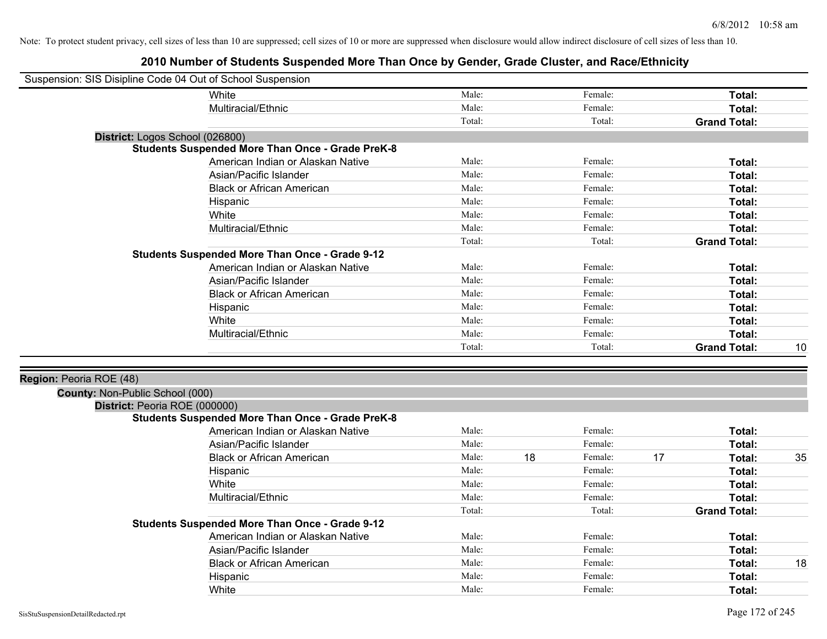| Suspension: SIS Disipline Code 04 Out of School Suspension |                                                         |        |    |         |    |                     |    |
|------------------------------------------------------------|---------------------------------------------------------|--------|----|---------|----|---------------------|----|
|                                                            | White                                                   | Male:  |    | Female: |    | Total:              |    |
|                                                            | Multiracial/Ethnic                                      | Male:  |    | Female: |    | Total:              |    |
|                                                            |                                                         | Total: |    | Total:  |    | <b>Grand Total:</b> |    |
|                                                            | District: Logos School (026800)                         |        |    |         |    |                     |    |
|                                                            | <b>Students Suspended More Than Once - Grade PreK-8</b> |        |    |         |    |                     |    |
|                                                            | American Indian or Alaskan Native                       | Male:  |    | Female: |    | Total:              |    |
|                                                            | Asian/Pacific Islander                                  | Male:  |    | Female: |    | Total:              |    |
|                                                            | <b>Black or African American</b>                        | Male:  |    | Female: |    | Total:              |    |
|                                                            | Hispanic                                                | Male:  |    | Female: |    | Total:              |    |
|                                                            | White                                                   | Male:  |    | Female: |    | Total:              |    |
|                                                            | Multiracial/Ethnic                                      | Male:  |    | Female: |    | Total:              |    |
|                                                            |                                                         | Total: |    | Total:  |    | <b>Grand Total:</b> |    |
|                                                            | <b>Students Suspended More Than Once - Grade 9-12</b>   |        |    |         |    |                     |    |
|                                                            | American Indian or Alaskan Native                       | Male:  |    | Female: |    | Total:              |    |
|                                                            | Asian/Pacific Islander                                  | Male:  |    | Female: |    | Total:              |    |
|                                                            | <b>Black or African American</b>                        | Male:  |    | Female: |    | Total:              |    |
|                                                            | Hispanic                                                | Male:  |    | Female: |    | Total:              |    |
|                                                            | White                                                   | Male:  |    | Female: |    | Total:              |    |
|                                                            | Multiracial/Ethnic                                      | Male:  |    | Female: |    | Total:              |    |
|                                                            |                                                         | Total: |    | Total:  |    | <b>Grand Total:</b> | 10 |
|                                                            |                                                         |        |    |         |    |                     |    |
| Region: Peoria ROE (48)                                    |                                                         |        |    |         |    |                     |    |
| County: Non-Public School (000)                            |                                                         |        |    |         |    |                     |    |
| District: Peoria ROE (000000)                              |                                                         |        |    |         |    |                     |    |
|                                                            | <b>Students Suspended More Than Once - Grade PreK-8</b> |        |    |         |    |                     |    |
|                                                            | American Indian or Alaskan Native                       | Male:  |    | Female: |    | Total:              |    |
|                                                            | Asian/Pacific Islander                                  | Male:  |    | Female: |    | Total:              |    |
|                                                            | <b>Black or African American</b>                        | Male:  | 18 | Female: | 17 | Total:              | 35 |
|                                                            | Hispanic                                                | Male:  |    | Female: |    | Total:              |    |
|                                                            | White                                                   | Male:  |    | Female: |    | Total:              |    |
|                                                            | Multiracial/Ethnic                                      | Male:  |    | Female: |    | Total:              |    |
|                                                            |                                                         | Total: |    | Total:  |    | <b>Grand Total:</b> |    |
|                                                            | <b>Students Suspended More Than Once - Grade 9-12</b>   |        |    |         |    |                     |    |
|                                                            | American Indian or Alaskan Native                       | Male:  |    | Female: |    | Total:              |    |
|                                                            | Asian/Pacific Islander                                  | Male:  |    | Female: |    | Total:              |    |
|                                                            | <b>Black or African American</b>                        | Male:  |    | Female: |    | Total:              | 18 |
|                                                            | Hispanic                                                | Male:  |    | Female: |    | Total:              |    |
|                                                            | White                                                   | Male:  |    | Female: |    | Total:              |    |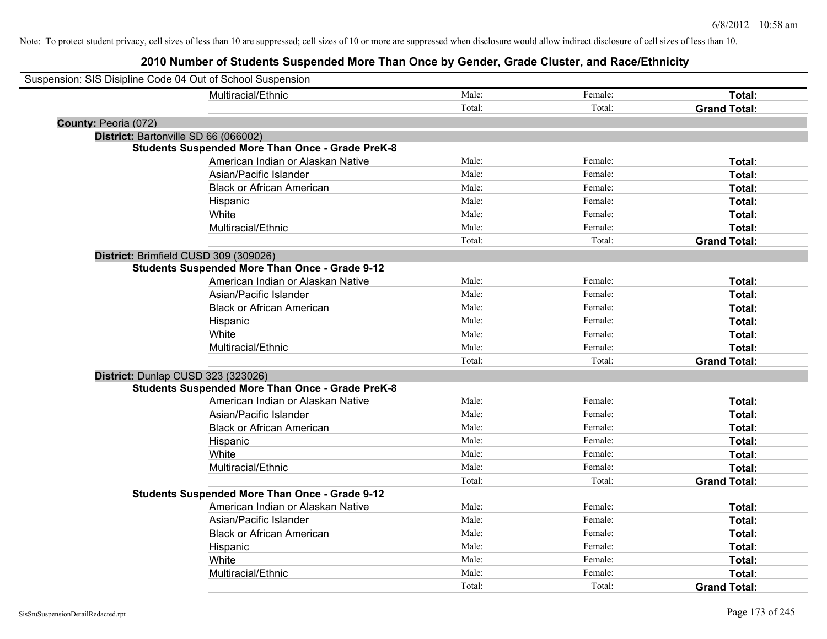| Suspension: SIS Disipline Code 04 Out of School Suspension |                                                         |        |         |                     |
|------------------------------------------------------------|---------------------------------------------------------|--------|---------|---------------------|
|                                                            | Multiracial/Ethnic                                      | Male:  | Female: | Total:              |
|                                                            |                                                         | Total: | Total:  | <b>Grand Total:</b> |
| County: Peoria (072)                                       |                                                         |        |         |                     |
| District: Bartonville SD 66 (066002)                       |                                                         |        |         |                     |
|                                                            | <b>Students Suspended More Than Once - Grade PreK-8</b> |        |         |                     |
|                                                            | American Indian or Alaskan Native                       | Male:  | Female: | Total:              |
|                                                            | Asian/Pacific Islander                                  | Male:  | Female: | Total:              |
|                                                            | <b>Black or African American</b>                        | Male:  | Female: | Total:              |
|                                                            | Hispanic                                                | Male:  | Female: | Total:              |
|                                                            | White                                                   | Male:  | Female: | Total:              |
|                                                            | Multiracial/Ethnic                                      | Male:  | Female: | Total:              |
|                                                            |                                                         | Total: | Total:  | <b>Grand Total:</b> |
| District: Brimfield CUSD 309 (309026)                      |                                                         |        |         |                     |
|                                                            | <b>Students Suspended More Than Once - Grade 9-12</b>   |        |         |                     |
|                                                            | American Indian or Alaskan Native                       | Male:  | Female: | Total:              |
|                                                            | Asian/Pacific Islander                                  | Male:  | Female: | Total:              |
|                                                            | <b>Black or African American</b>                        | Male:  | Female: | Total:              |
|                                                            | Hispanic                                                | Male:  | Female: | Total:              |
|                                                            | White                                                   | Male:  | Female: | Total:              |
|                                                            | Multiracial/Ethnic                                      | Male:  | Female: | Total:              |
|                                                            |                                                         | Total: | Total:  | <b>Grand Total:</b> |
| District: Dunlap CUSD 323 (323026)                         |                                                         |        |         |                     |
|                                                            | <b>Students Suspended More Than Once - Grade PreK-8</b> |        |         |                     |
|                                                            | American Indian or Alaskan Native                       | Male:  | Female: | Total:              |
|                                                            | Asian/Pacific Islander                                  | Male:  | Female: | Total:              |
|                                                            | <b>Black or African American</b>                        | Male:  | Female: | Total:              |
|                                                            | Hispanic                                                | Male:  | Female: | Total:              |
|                                                            | White                                                   | Male:  | Female: | Total:              |
|                                                            | Multiracial/Ethnic                                      | Male:  | Female: | Total:              |
|                                                            |                                                         | Total: | Total:  | <b>Grand Total:</b> |
|                                                            | <b>Students Suspended More Than Once - Grade 9-12</b>   |        |         |                     |
|                                                            | American Indian or Alaskan Native                       | Male:  | Female: | Total:              |
|                                                            | Asian/Pacific Islander                                  | Male:  | Female: | Total:              |
|                                                            | <b>Black or African American</b>                        | Male:  | Female: | Total:              |
|                                                            | Hispanic                                                | Male:  | Female: | Total:              |
|                                                            | White                                                   | Male:  | Female: | Total:              |
|                                                            | Multiracial/Ethnic                                      | Male:  | Female: | Total:              |
|                                                            |                                                         | Total: | Total:  | <b>Grand Total:</b> |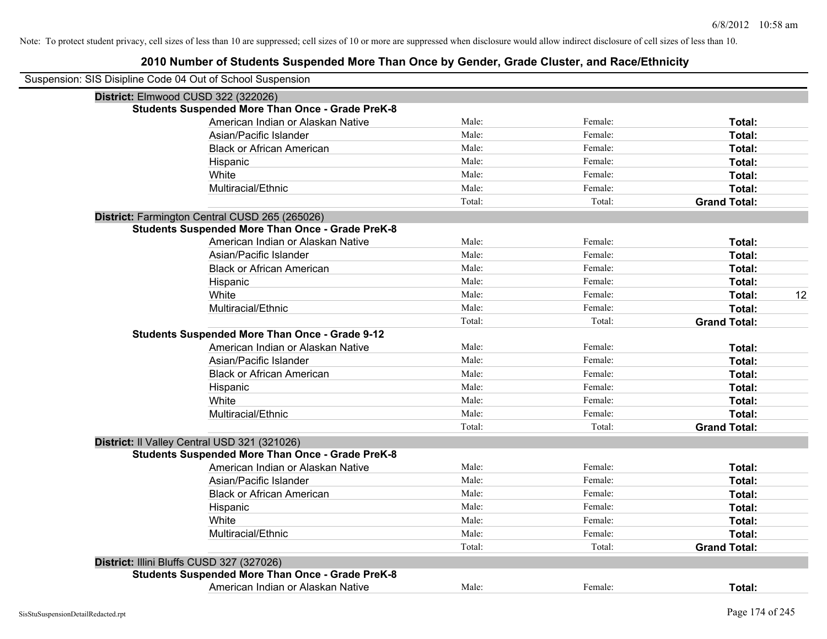| District: Elmwood CUSD 322 (322026)                     |                                                                                                                                                                                                                                                                                                                                                                                                                                                                                                                                                                                        |         |                     |                                                                |
|---------------------------------------------------------|----------------------------------------------------------------------------------------------------------------------------------------------------------------------------------------------------------------------------------------------------------------------------------------------------------------------------------------------------------------------------------------------------------------------------------------------------------------------------------------------------------------------------------------------------------------------------------------|---------|---------------------|----------------------------------------------------------------|
|                                                         |                                                                                                                                                                                                                                                                                                                                                                                                                                                                                                                                                                                        |         |                     |                                                                |
| American Indian or Alaskan Native                       | Male:                                                                                                                                                                                                                                                                                                                                                                                                                                                                                                                                                                                  | Female: | Total:              |                                                                |
| Asian/Pacific Islander                                  | Male:                                                                                                                                                                                                                                                                                                                                                                                                                                                                                                                                                                                  | Female: | Total:              |                                                                |
| <b>Black or African American</b>                        | Male:                                                                                                                                                                                                                                                                                                                                                                                                                                                                                                                                                                                  | Female: | Total:              |                                                                |
| Hispanic                                                | Male:                                                                                                                                                                                                                                                                                                                                                                                                                                                                                                                                                                                  | Female: | Total:              |                                                                |
| White                                                   | Male:                                                                                                                                                                                                                                                                                                                                                                                                                                                                                                                                                                                  | Female: | Total:              |                                                                |
| Multiracial/Ethnic                                      | Male:                                                                                                                                                                                                                                                                                                                                                                                                                                                                                                                                                                                  | Female: | Total:              |                                                                |
|                                                         | Total:                                                                                                                                                                                                                                                                                                                                                                                                                                                                                                                                                                                 | Total:  | <b>Grand Total:</b> |                                                                |
|                                                         |                                                                                                                                                                                                                                                                                                                                                                                                                                                                                                                                                                                        |         |                     |                                                                |
| <b>Students Suspended More Than Once - Grade PreK-8</b> |                                                                                                                                                                                                                                                                                                                                                                                                                                                                                                                                                                                        |         |                     |                                                                |
| American Indian or Alaskan Native                       | Male:                                                                                                                                                                                                                                                                                                                                                                                                                                                                                                                                                                                  | Female: | Total:              |                                                                |
| Asian/Pacific Islander                                  | Male:                                                                                                                                                                                                                                                                                                                                                                                                                                                                                                                                                                                  | Female: | Total:              |                                                                |
|                                                         | Male:                                                                                                                                                                                                                                                                                                                                                                                                                                                                                                                                                                                  | Female: | Total:              |                                                                |
|                                                         | Male:                                                                                                                                                                                                                                                                                                                                                                                                                                                                                                                                                                                  | Female: | Total:              |                                                                |
| White                                                   | Male:                                                                                                                                                                                                                                                                                                                                                                                                                                                                                                                                                                                  | Female: | Total:              | 12                                                             |
| Multiracial/Ethnic                                      | Male:                                                                                                                                                                                                                                                                                                                                                                                                                                                                                                                                                                                  | Female: | Total:              |                                                                |
|                                                         | Total:                                                                                                                                                                                                                                                                                                                                                                                                                                                                                                                                                                                 | Total:  |                     |                                                                |
|                                                         |                                                                                                                                                                                                                                                                                                                                                                                                                                                                                                                                                                                        |         |                     |                                                                |
| American Indian or Alaskan Native                       | Male:                                                                                                                                                                                                                                                                                                                                                                                                                                                                                                                                                                                  | Female: | Total:              |                                                                |
| Asian/Pacific Islander                                  | Male:                                                                                                                                                                                                                                                                                                                                                                                                                                                                                                                                                                                  | Female: | Total:              |                                                                |
| <b>Black or African American</b>                        | Male:                                                                                                                                                                                                                                                                                                                                                                                                                                                                                                                                                                                  | Female: | Total:              |                                                                |
|                                                         | Male:                                                                                                                                                                                                                                                                                                                                                                                                                                                                                                                                                                                  | Female: |                     |                                                                |
| White                                                   | Male:                                                                                                                                                                                                                                                                                                                                                                                                                                                                                                                                                                                  | Female: | Total:              |                                                                |
|                                                         | Male:                                                                                                                                                                                                                                                                                                                                                                                                                                                                                                                                                                                  | Female: | Total:              |                                                                |
|                                                         | Total:                                                                                                                                                                                                                                                                                                                                                                                                                                                                                                                                                                                 | Total:  | <b>Grand Total:</b> |                                                                |
|                                                         |                                                                                                                                                                                                                                                                                                                                                                                                                                                                                                                                                                                        |         |                     |                                                                |
|                                                         |                                                                                                                                                                                                                                                                                                                                                                                                                                                                                                                                                                                        |         |                     |                                                                |
| American Indian or Alaskan Native                       | Male:                                                                                                                                                                                                                                                                                                                                                                                                                                                                                                                                                                                  | Female: | Total:              |                                                                |
| Asian/Pacific Islander                                  | Male:                                                                                                                                                                                                                                                                                                                                                                                                                                                                                                                                                                                  | Female: | Total:              |                                                                |
| <b>Black or African American</b>                        | Male:                                                                                                                                                                                                                                                                                                                                                                                                                                                                                                                                                                                  | Female: | Total:              |                                                                |
|                                                         | Male:                                                                                                                                                                                                                                                                                                                                                                                                                                                                                                                                                                                  | Female: | Total:              |                                                                |
| White                                                   | Male:                                                                                                                                                                                                                                                                                                                                                                                                                                                                                                                                                                                  | Female: | Total:              |                                                                |
| Multiracial/Ethnic                                      | Male:                                                                                                                                                                                                                                                                                                                                                                                                                                                                                                                                                                                  | Female: |                     |                                                                |
|                                                         | Total:                                                                                                                                                                                                                                                                                                                                                                                                                                                                                                                                                                                 | Total:  |                     |                                                                |
|                                                         |                                                                                                                                                                                                                                                                                                                                                                                                                                                                                                                                                                                        |         |                     |                                                                |
|                                                         |                                                                                                                                                                                                                                                                                                                                                                                                                                                                                                                                                                                        |         |                     |                                                                |
|                                                         | Male:                                                                                                                                                                                                                                                                                                                                                                                                                                                                                                                                                                                  | Female: | Total:              |                                                                |
|                                                         | Suspension: SIS Disipline Code 04 Out of School Suspension<br><b>Students Suspended More Than Once - Grade PreK-8</b><br>District: Farmington Central CUSD 265 (265026)<br><b>Black or African American</b><br>Hispanic<br><b>Students Suspended More Than Once - Grade 9-12</b><br>Hispanic<br>Multiracial/Ethnic<br>District: Il Valley Central USD 321 (321026)<br><b>Students Suspended More Than Once - Grade PreK-8</b><br>Hispanic<br>District: Illini Bluffs CUSD 327 (327026)<br><b>Students Suspended More Than Once - Grade PreK-8</b><br>American Indian or Alaskan Native |         |                     | <b>Grand Total:</b><br>Total:<br>Total:<br><b>Grand Total:</b> |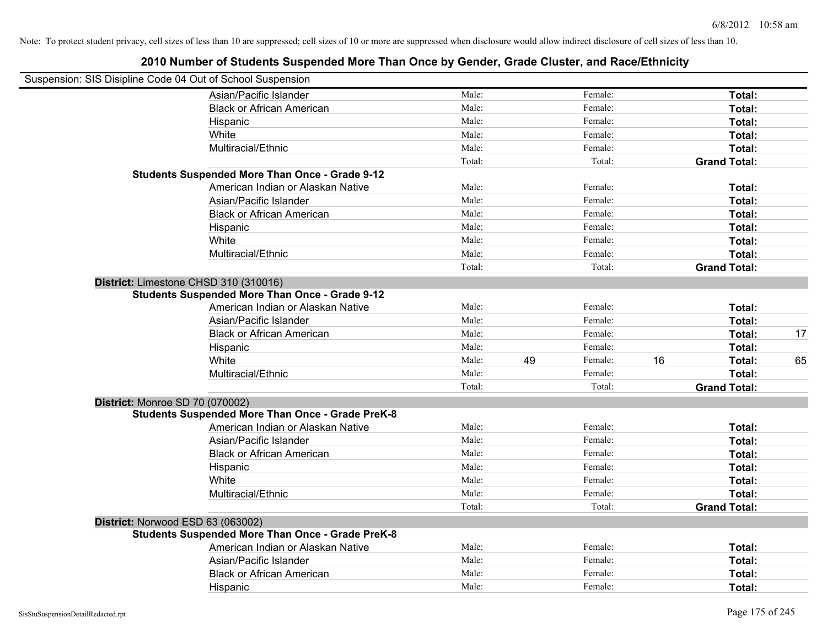| Suspension: SIS Disipline Code 04 Out of School Suspension |        |    |         |    |                     |    |
|------------------------------------------------------------|--------|----|---------|----|---------------------|----|
| Asian/Pacific Islander                                     | Male:  |    | Female: |    | Total:              |    |
| <b>Black or African American</b>                           | Male:  |    | Female: |    | Total:              |    |
| Hispanic                                                   | Male:  |    | Female: |    | Total:              |    |
| White                                                      | Male:  |    | Female: |    | Total:              |    |
| Multiracial/Ethnic                                         | Male:  |    | Female: |    | Total:              |    |
|                                                            | Total: |    | Total:  |    | <b>Grand Total:</b> |    |
| <b>Students Suspended More Than Once - Grade 9-12</b>      |        |    |         |    |                     |    |
| American Indian or Alaskan Native                          | Male:  |    | Female: |    | Total:              |    |
| Asian/Pacific Islander                                     | Male:  |    | Female: |    | Total:              |    |
| <b>Black or African American</b>                           | Male:  |    | Female: |    | Total:              |    |
| Hispanic                                                   | Male:  |    | Female: |    | Total:              |    |
| White                                                      | Male:  |    | Female: |    | Total:              |    |
| Multiracial/Ethnic                                         | Male:  |    | Female: |    | Total:              |    |
|                                                            | Total: |    | Total:  |    | <b>Grand Total:</b> |    |
| District: Limestone CHSD 310 (310016)                      |        |    |         |    |                     |    |
| <b>Students Suspended More Than Once - Grade 9-12</b>      |        |    |         |    |                     |    |
| American Indian or Alaskan Native                          | Male:  |    | Female: |    | Total:              |    |
| Asian/Pacific Islander                                     | Male:  |    | Female: |    | Total:              |    |
| <b>Black or African American</b>                           | Male:  |    | Female: |    | Total:              | 17 |
| Hispanic                                                   | Male:  |    | Female: |    | Total:              |    |
| White                                                      | Male:  | 49 | Female: | 16 | Total:              | 65 |
| Multiracial/Ethnic                                         | Male:  |    | Female: |    | Total:              |    |
|                                                            | Total: |    | Total:  |    | <b>Grand Total:</b> |    |
| District: Monroe SD 70 (070002)                            |        |    |         |    |                     |    |
| <b>Students Suspended More Than Once - Grade PreK-8</b>    |        |    |         |    |                     |    |
| American Indian or Alaskan Native                          | Male:  |    | Female: |    | Total:              |    |
| Asian/Pacific Islander                                     | Male:  |    | Female: |    | Total:              |    |
| <b>Black or African American</b>                           | Male:  |    | Female: |    | Total:              |    |
| Hispanic                                                   | Male:  |    | Female: |    | Total:              |    |
| White                                                      | Male:  |    | Female: |    | Total:              |    |
| Multiracial/Ethnic                                         | Male:  |    | Female: |    | Total:              |    |
|                                                            | Total: |    | Total:  |    | <b>Grand Total:</b> |    |
| District: Norwood ESD 63 (063002)                          |        |    |         |    |                     |    |
| <b>Students Suspended More Than Once - Grade PreK-8</b>    |        |    |         |    |                     |    |
| American Indian or Alaskan Native                          | Male:  |    | Female: |    | Total:              |    |
| Asian/Pacific Islander                                     | Male:  |    | Female: |    | Total:              |    |
| <b>Black or African American</b>                           | Male:  |    | Female: |    | Total:              |    |
| Hispanic                                                   | Male:  |    | Female: |    | Total:              |    |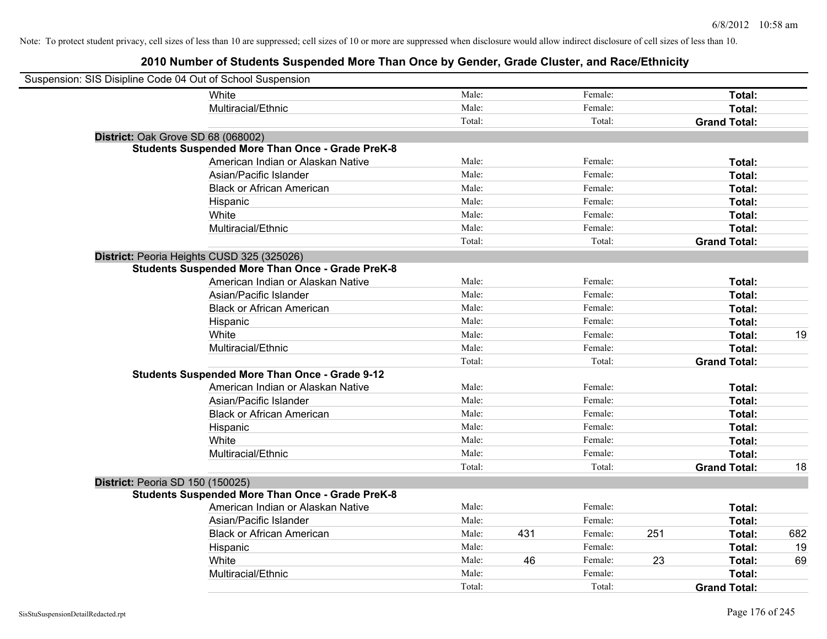| Suspension: SIS Disipline Code 04 Out of School Suspension |                                                         |        |     |         |     |                     |     |
|------------------------------------------------------------|---------------------------------------------------------|--------|-----|---------|-----|---------------------|-----|
|                                                            | <b>White</b>                                            | Male:  |     | Female: |     | Total:              |     |
|                                                            | Multiracial/Ethnic                                      | Male:  |     | Female: |     | Total:              |     |
|                                                            |                                                         | Total: |     | Total:  |     | <b>Grand Total:</b> |     |
| District: Oak Grove SD 68 (068002)                         |                                                         |        |     |         |     |                     |     |
|                                                            | <b>Students Suspended More Than Once - Grade PreK-8</b> |        |     |         |     |                     |     |
|                                                            | American Indian or Alaskan Native                       | Male:  |     | Female: |     | Total:              |     |
|                                                            | Asian/Pacific Islander                                  | Male:  |     | Female: |     | Total:              |     |
|                                                            | <b>Black or African American</b>                        | Male:  |     | Female: |     | Total:              |     |
|                                                            | Hispanic                                                | Male:  |     | Female: |     | Total:              |     |
|                                                            | White                                                   | Male:  |     | Female: |     | Total:              |     |
|                                                            | Multiracial/Ethnic                                      | Male:  |     | Female: |     | Total:              |     |
|                                                            |                                                         | Total: |     | Total:  |     | <b>Grand Total:</b> |     |
|                                                            | District: Peoria Heights CUSD 325 (325026)              |        |     |         |     |                     |     |
|                                                            | <b>Students Suspended More Than Once - Grade PreK-8</b> |        |     |         |     |                     |     |
|                                                            | American Indian or Alaskan Native                       | Male:  |     | Female: |     | Total:              |     |
|                                                            | Asian/Pacific Islander                                  | Male:  |     | Female: |     | Total:              |     |
|                                                            | <b>Black or African American</b>                        | Male:  |     | Female: |     | Total:              |     |
|                                                            | Hispanic                                                | Male:  |     | Female: |     | Total:              |     |
|                                                            | White                                                   | Male:  |     | Female: |     | Total:              | 19  |
|                                                            | Multiracial/Ethnic                                      | Male:  |     | Female: |     | Total:              |     |
|                                                            |                                                         | Total: |     | Total:  |     | <b>Grand Total:</b> |     |
|                                                            | <b>Students Suspended More Than Once - Grade 9-12</b>   |        |     |         |     |                     |     |
|                                                            | American Indian or Alaskan Native                       | Male:  |     | Female: |     | Total:              |     |
|                                                            | Asian/Pacific Islander                                  | Male:  |     | Female: |     | Total:              |     |
|                                                            | <b>Black or African American</b>                        | Male:  |     | Female: |     | Total:              |     |
|                                                            | Hispanic                                                | Male:  |     | Female: |     | Total:              |     |
|                                                            | White                                                   | Male:  |     | Female: |     | Total:              |     |
|                                                            | Multiracial/Ethnic                                      | Male:  |     | Female: |     | Total:              |     |
|                                                            |                                                         | Total: |     | Total:  |     | <b>Grand Total:</b> | 18  |
| <b>District: Peoria SD 150 (150025)</b>                    |                                                         |        |     |         |     |                     |     |
|                                                            | <b>Students Suspended More Than Once - Grade PreK-8</b> |        |     |         |     |                     |     |
|                                                            | American Indian or Alaskan Native                       | Male:  |     | Female: |     | Total:              |     |
|                                                            | Asian/Pacific Islander                                  | Male:  |     | Female: |     | Total:              |     |
|                                                            | <b>Black or African American</b>                        | Male:  | 431 | Female: | 251 | Total:              | 682 |
|                                                            | Hispanic                                                | Male:  |     | Female: |     | Total:              | 19  |
|                                                            | White                                                   | Male:  | 46  | Female: | 23  | Total:              | 69  |
|                                                            | Multiracial/Ethnic                                      | Male:  |     | Female: |     | Total:              |     |
|                                                            |                                                         | Total: |     | Total:  |     | <b>Grand Total:</b> |     |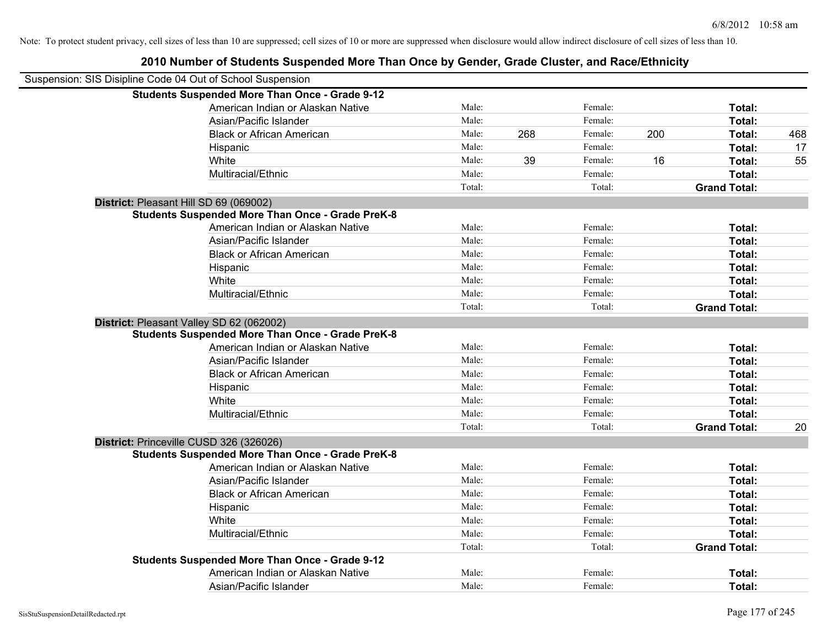| Suspension: SIS Disipline Code 04 Out of School Suspension |                                                         |        |     |         |     |                     |     |
|------------------------------------------------------------|---------------------------------------------------------|--------|-----|---------|-----|---------------------|-----|
|                                                            | <b>Students Suspended More Than Once - Grade 9-12</b>   |        |     |         |     |                     |     |
|                                                            | American Indian or Alaskan Native                       | Male:  |     | Female: |     | Total:              |     |
|                                                            | Asian/Pacific Islander                                  | Male:  |     | Female: |     | <b>Total:</b>       |     |
|                                                            | <b>Black or African American</b>                        | Male:  | 268 | Female: | 200 | Total:              | 468 |
|                                                            | Hispanic                                                | Male:  |     | Female: |     | Total:              | 17  |
|                                                            | White                                                   | Male:  | 39  | Female: | 16  | Total:              | 55  |
|                                                            | Multiracial/Ethnic                                      | Male:  |     | Female: |     | Total:              |     |
|                                                            |                                                         | Total: |     | Total:  |     | <b>Grand Total:</b> |     |
|                                                            | District: Pleasant Hill SD 69 (069002)                  |        |     |         |     |                     |     |
|                                                            | <b>Students Suspended More Than Once - Grade PreK-8</b> |        |     |         |     |                     |     |
|                                                            | American Indian or Alaskan Native                       | Male:  |     | Female: |     | Total:              |     |
|                                                            | Asian/Pacific Islander                                  | Male:  |     | Female: |     | Total:              |     |
|                                                            | <b>Black or African American</b>                        | Male:  |     | Female: |     | Total:              |     |
|                                                            | Hispanic                                                | Male:  |     | Female: |     | Total:              |     |
|                                                            | White                                                   | Male:  |     | Female: |     | Total:              |     |
|                                                            | Multiracial/Ethnic                                      | Male:  |     | Female: |     | Total:              |     |
|                                                            |                                                         | Total: |     | Total:  |     | <b>Grand Total:</b> |     |
|                                                            | District: Pleasant Valley SD 62 (062002)                |        |     |         |     |                     |     |
|                                                            | <b>Students Suspended More Than Once - Grade PreK-8</b> |        |     |         |     |                     |     |
|                                                            | American Indian or Alaskan Native                       | Male:  |     | Female: |     | Total:              |     |
|                                                            | Asian/Pacific Islander                                  | Male:  |     | Female: |     | Total:              |     |
|                                                            | <b>Black or African American</b>                        | Male:  |     | Female: |     | Total:              |     |
|                                                            | Hispanic                                                | Male:  |     | Female: |     | Total:              |     |
|                                                            | White                                                   | Male:  |     | Female: |     | Total:              |     |
|                                                            | Multiracial/Ethnic                                      | Male:  |     | Female: |     | Total:              |     |
|                                                            |                                                         | Total: |     | Total:  |     | <b>Grand Total:</b> | 20  |
|                                                            | District: Princeville CUSD 326 (326026)                 |        |     |         |     |                     |     |
|                                                            | <b>Students Suspended More Than Once - Grade PreK-8</b> |        |     |         |     |                     |     |
|                                                            | American Indian or Alaskan Native                       | Male:  |     | Female: |     | Total:              |     |
|                                                            | Asian/Pacific Islander                                  | Male:  |     | Female: |     | Total:              |     |
|                                                            | <b>Black or African American</b>                        | Male:  |     | Female: |     | Total:              |     |
|                                                            | Hispanic                                                | Male:  |     | Female: |     | Total:              |     |
|                                                            | White                                                   | Male:  |     | Female: |     | Total:              |     |
|                                                            | Multiracial/Ethnic                                      | Male:  |     | Female: |     | Total:              |     |
|                                                            |                                                         | Total: |     | Total:  |     | <b>Grand Total:</b> |     |
|                                                            | <b>Students Suspended More Than Once - Grade 9-12</b>   |        |     |         |     |                     |     |
|                                                            | American Indian or Alaskan Native                       | Male:  |     | Female: |     | <b>Total:</b>       |     |
|                                                            | Asian/Pacific Islander                                  | Male:  |     | Female: |     | Total:              |     |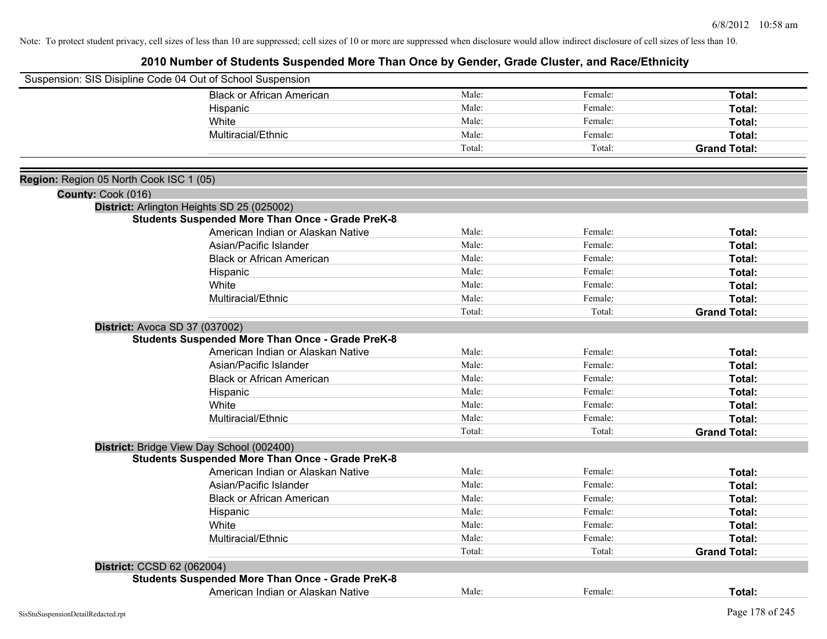| Suspension: SIS Disipline Code 04 Out of School Suspension |                                                         |        |         |                     |
|------------------------------------------------------------|---------------------------------------------------------|--------|---------|---------------------|
|                                                            | <b>Black or African American</b>                        | Male:  | Female: | Total:              |
|                                                            | Hispanic                                                | Male:  | Female: | Total:              |
|                                                            | White                                                   | Male:  | Female: | Total:              |
|                                                            | Multiracial/Ethnic                                      | Male:  | Female: | Total:              |
|                                                            |                                                         | Total: | Total:  | <b>Grand Total:</b> |
|                                                            |                                                         |        |         |                     |
| Region: Region 05 North Cook ISC 1 (05)                    |                                                         |        |         |                     |
| County: Cook (016)                                         |                                                         |        |         |                     |
|                                                            | District: Arlington Heights SD 25 (025002)              |        |         |                     |
|                                                            | <b>Students Suspended More Than Once - Grade PreK-8</b> |        |         |                     |
|                                                            | American Indian or Alaskan Native                       | Male:  | Female: | Total:              |
|                                                            | Asian/Pacific Islander                                  | Male:  | Female: | Total:              |
|                                                            | <b>Black or African American</b>                        | Male:  | Female: | Total:              |
|                                                            | Hispanic                                                | Male:  | Female: | Total:              |
|                                                            | White                                                   | Male:  | Female: | Total:              |
|                                                            | Multiracial/Ethnic                                      | Male:  | Female: | Total:              |
|                                                            |                                                         | Total: | Total:  | <b>Grand Total:</b> |
| District: Avoca SD 37 (037002)                             |                                                         |        |         |                     |
|                                                            | <b>Students Suspended More Than Once - Grade PreK-8</b> |        |         |                     |
|                                                            | American Indian or Alaskan Native                       | Male:  | Female: | Total:              |
|                                                            | Asian/Pacific Islander                                  | Male:  | Female: | Total:              |
|                                                            | <b>Black or African American</b>                        | Male:  | Female: | Total:              |
|                                                            | Hispanic                                                | Male:  | Female: | Total:              |
|                                                            | White                                                   | Male:  | Female: | Total:              |
|                                                            | Multiracial/Ethnic                                      | Male:  | Female: | Total:              |
|                                                            |                                                         | Total: | Total:  | <b>Grand Total:</b> |
|                                                            | District: Bridge View Day School (002400)               |        |         |                     |
|                                                            | <b>Students Suspended More Than Once - Grade PreK-8</b> |        |         |                     |
|                                                            | American Indian or Alaskan Native                       | Male:  | Female: | Total:              |
|                                                            | Asian/Pacific Islander                                  | Male:  | Female: | Total:              |
|                                                            | <b>Black or African American</b>                        | Male:  | Female: | Total:              |
|                                                            | Hispanic                                                | Male:  | Female: | Total:              |
|                                                            | White                                                   | Male:  | Female: | Total:              |
|                                                            | Multiracial/Ethnic                                      | Male:  | Female: | Total:              |
|                                                            |                                                         | Total: | Total:  | <b>Grand Total:</b> |
| District: CCSD 62 (062004)                                 |                                                         |        |         |                     |
|                                                            | <b>Students Suspended More Than Once - Grade PreK-8</b> |        |         |                     |
|                                                            | American Indian or Alaskan Native                       | Male:  | Female: | Total:              |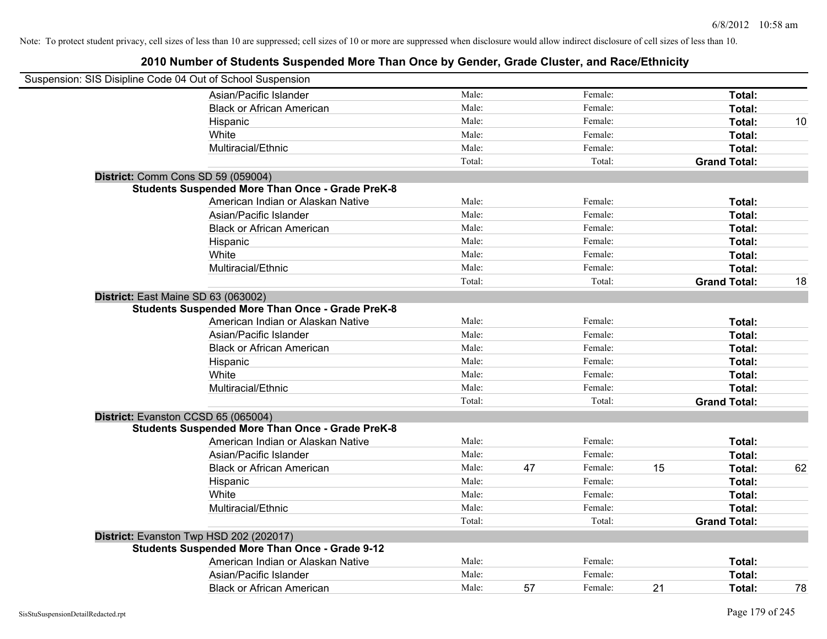| Suspension: SIS Disipline Code 04 Out of School Suspension |                                                         |        |    |         |    |                     |    |
|------------------------------------------------------------|---------------------------------------------------------|--------|----|---------|----|---------------------|----|
|                                                            | Asian/Pacific Islander                                  | Male:  |    | Female: |    | Total:              |    |
|                                                            | <b>Black or African American</b>                        | Male:  |    | Female: |    | Total:              |    |
|                                                            | Hispanic                                                | Male:  |    | Female: |    | Total:              | 10 |
|                                                            | White                                                   | Male:  |    | Female: |    | Total:              |    |
|                                                            | Multiracial/Ethnic                                      | Male:  |    | Female: |    | Total:              |    |
|                                                            |                                                         | Total: |    | Total:  |    | <b>Grand Total:</b> |    |
|                                                            | District: Comm Cons SD 59 (059004)                      |        |    |         |    |                     |    |
|                                                            | <b>Students Suspended More Than Once - Grade PreK-8</b> |        |    |         |    |                     |    |
|                                                            | American Indian or Alaskan Native                       | Male:  |    | Female: |    | Total:              |    |
|                                                            | Asian/Pacific Islander                                  | Male:  |    | Female: |    | Total:              |    |
|                                                            | <b>Black or African American</b>                        | Male:  |    | Female: |    | Total:              |    |
|                                                            | Hispanic                                                | Male:  |    | Female: |    | Total:              |    |
|                                                            | White                                                   | Male:  |    | Female: |    | Total:              |    |
|                                                            | Multiracial/Ethnic                                      | Male:  |    | Female: |    | Total:              |    |
|                                                            |                                                         | Total: |    | Total:  |    | <b>Grand Total:</b> | 18 |
| District: East Maine SD 63 (063002)                        |                                                         |        |    |         |    |                     |    |
|                                                            | <b>Students Suspended More Than Once - Grade PreK-8</b> |        |    |         |    |                     |    |
|                                                            | American Indian or Alaskan Native                       | Male:  |    | Female: |    | Total:              |    |
|                                                            | Asian/Pacific Islander                                  | Male:  |    | Female: |    | Total:              |    |
|                                                            | <b>Black or African American</b>                        | Male:  |    | Female: |    | Total:              |    |
|                                                            | Hispanic                                                | Male:  |    | Female: |    | Total:              |    |
|                                                            | White                                                   | Male:  |    | Female: |    | Total:              |    |
|                                                            | Multiracial/Ethnic                                      | Male:  |    | Female: |    | Total:              |    |
|                                                            |                                                         | Total: |    | Total:  |    | <b>Grand Total:</b> |    |
|                                                            | District: Evanston CCSD 65 (065004)                     |        |    |         |    |                     |    |
|                                                            | <b>Students Suspended More Than Once - Grade PreK-8</b> |        |    |         |    |                     |    |
|                                                            | American Indian or Alaskan Native                       | Male:  |    | Female: |    | Total:              |    |
|                                                            | Asian/Pacific Islander                                  | Male:  |    | Female: |    | Total:              |    |
|                                                            | <b>Black or African American</b>                        | Male:  | 47 | Female: | 15 | Total:              | 62 |
|                                                            | Hispanic                                                | Male:  |    | Female: |    | Total:              |    |
|                                                            | White                                                   | Male:  |    | Female: |    | Total:              |    |
|                                                            | Multiracial/Ethnic                                      | Male:  |    | Female: |    | Total:              |    |
|                                                            |                                                         | Total: |    | Total:  |    | <b>Grand Total:</b> |    |
|                                                            | District: Evanston Twp HSD 202 (202017)                 |        |    |         |    |                     |    |
|                                                            | <b>Students Suspended More Than Once - Grade 9-12</b>   |        |    |         |    |                     |    |
|                                                            | American Indian or Alaskan Native                       | Male:  |    | Female: |    | Total:              |    |
|                                                            | Asian/Pacific Islander                                  | Male:  |    | Female: |    | Total:              |    |
|                                                            | <b>Black or African American</b>                        | Male:  | 57 | Female: | 21 | Total:              | 78 |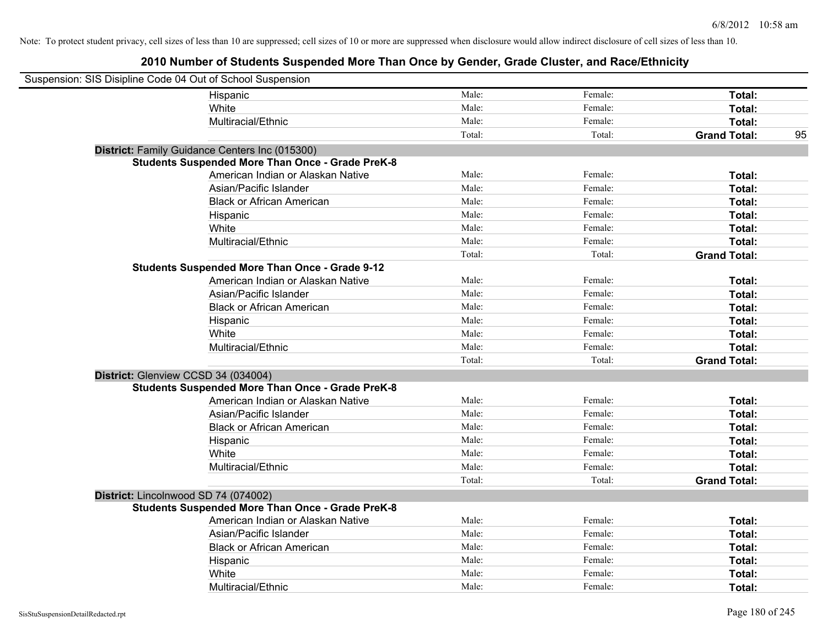| Suspension: SIS Disipline Code 04 Out of School Suspension |                                                         |        |         |                     |    |
|------------------------------------------------------------|---------------------------------------------------------|--------|---------|---------------------|----|
|                                                            | Hispanic                                                | Male:  | Female: | Total:              |    |
|                                                            | White                                                   | Male:  | Female: | Total:              |    |
|                                                            | Multiracial/Ethnic                                      | Male:  | Female: | Total:              |    |
|                                                            |                                                         | Total: | Total:  | <b>Grand Total:</b> | 95 |
|                                                            | District: Family Guidance Centers Inc (015300)          |        |         |                     |    |
|                                                            | <b>Students Suspended More Than Once - Grade PreK-8</b> |        |         |                     |    |
|                                                            | American Indian or Alaskan Native                       | Male:  | Female: | Total:              |    |
|                                                            | Asian/Pacific Islander                                  | Male:  | Female: | Total:              |    |
|                                                            | <b>Black or African American</b>                        | Male:  | Female: | Total:              |    |
|                                                            | Hispanic                                                | Male:  | Female: | Total:              |    |
|                                                            | White                                                   | Male:  | Female: | Total:              |    |
|                                                            | Multiracial/Ethnic                                      | Male:  | Female: | Total:              |    |
|                                                            |                                                         | Total: | Total:  | <b>Grand Total:</b> |    |
|                                                            | <b>Students Suspended More Than Once - Grade 9-12</b>   |        |         |                     |    |
|                                                            | American Indian or Alaskan Native                       | Male:  | Female: | Total:              |    |
|                                                            | Asian/Pacific Islander                                  | Male:  | Female: | Total:              |    |
|                                                            | <b>Black or African American</b>                        | Male:  | Female: | Total:              |    |
|                                                            | Hispanic                                                | Male:  | Female: | Total:              |    |
|                                                            | White                                                   | Male:  | Female: | Total:              |    |
|                                                            | Multiracial/Ethnic                                      | Male:  | Female: | Total:              |    |
|                                                            |                                                         | Total: | Total:  | <b>Grand Total:</b> |    |
| District: Glenview CCSD 34 (034004)                        |                                                         |        |         |                     |    |
|                                                            | <b>Students Suspended More Than Once - Grade PreK-8</b> |        |         |                     |    |
|                                                            | American Indian or Alaskan Native                       | Male:  | Female: | Total:              |    |
|                                                            | Asian/Pacific Islander                                  | Male:  | Female: | Total:              |    |
|                                                            | <b>Black or African American</b>                        | Male:  | Female: | Total:              |    |
|                                                            | Hispanic                                                | Male:  | Female: | Total:              |    |
|                                                            | White                                                   | Male:  | Female: | Total:              |    |
|                                                            | Multiracial/Ethnic                                      | Male:  | Female: | Total:              |    |
|                                                            |                                                         | Total: | Total:  | <b>Grand Total:</b> |    |
| District: Lincolnwood SD 74 (074002)                       |                                                         |        |         |                     |    |
|                                                            | <b>Students Suspended More Than Once - Grade PreK-8</b> |        |         |                     |    |
|                                                            | American Indian or Alaskan Native                       | Male:  | Female: | Total:              |    |
|                                                            | Asian/Pacific Islander                                  | Male:  | Female: | Total:              |    |
|                                                            | <b>Black or African American</b>                        | Male:  | Female: | Total:              |    |
|                                                            | Hispanic                                                | Male:  | Female: | Total:              |    |
|                                                            | White                                                   | Male:  | Female: | Total:              |    |
|                                                            | Multiracial/Ethnic                                      | Male:  | Female: | Total:              |    |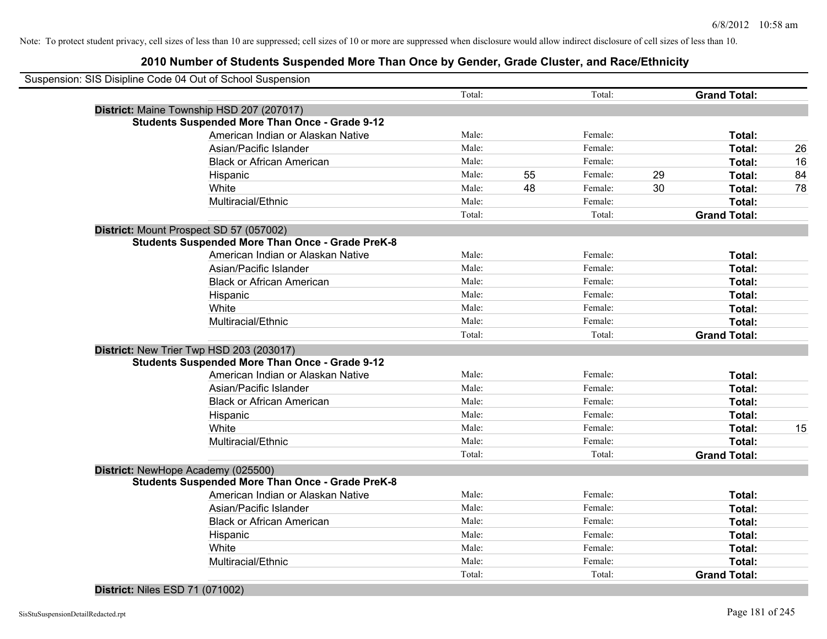# **2010 Number of Students Suspended More Than Once by Gender, Grade Cluster, and Race/Ethnicity**

| Suspension: SIS Disipline Code 04 Out of School Suspension |        |    |         |                     |    |
|------------------------------------------------------------|--------|----|---------|---------------------|----|
|                                                            | Total: |    | Total:  | <b>Grand Total:</b> |    |
| District: Maine Township HSD 207 (207017)                  |        |    |         |                     |    |
| <b>Students Suspended More Than Once - Grade 9-12</b>      |        |    |         |                     |    |
| American Indian or Alaskan Native                          | Male:  |    | Female: | Total:              |    |
| Asian/Pacific Islander                                     | Male:  |    | Female: | Total:              | 26 |
| <b>Black or African American</b>                           | Male:  |    | Female: | Total:              | 16 |
| Hispanic                                                   | Male:  | 55 | Female: | 29<br>Total:        | 84 |
| White                                                      | Male:  | 48 | Female: | 30<br>Total:        | 78 |
| Multiracial/Ethnic                                         | Male:  |    | Female: | Total:              |    |
|                                                            | Total: |    | Total:  | <b>Grand Total:</b> |    |
| District: Mount Prospect SD 57 (057002)                    |        |    |         |                     |    |
| <b>Students Suspended More Than Once - Grade PreK-8</b>    |        |    |         |                     |    |
| American Indian or Alaskan Native                          | Male:  |    | Female: | Total:              |    |
| Asian/Pacific Islander                                     | Male:  |    | Female: | Total:              |    |
| <b>Black or African American</b>                           | Male:  |    | Female: | Total:              |    |
| Hispanic                                                   | Male:  |    | Female: | Total:              |    |
| White                                                      | Male:  |    | Female: | Total:              |    |
| Multiracial/Ethnic                                         | Male:  |    | Female: | Total:              |    |
|                                                            | Total: |    | Total:  | <b>Grand Total:</b> |    |
| District: New Trier Twp HSD 203 (203017)                   |        |    |         |                     |    |
| <b>Students Suspended More Than Once - Grade 9-12</b>      |        |    |         |                     |    |
| American Indian or Alaskan Native                          | Male:  |    | Female: | Total:              |    |
| Asian/Pacific Islander                                     | Male:  |    | Female: | Total:              |    |
| <b>Black or African American</b>                           | Male:  |    | Female: | Total:              |    |
| Hispanic                                                   | Male:  |    | Female: | Total:              |    |
| White                                                      | Male:  |    | Female: | Total:              | 15 |
| Multiracial/Ethnic                                         | Male:  |    | Female: | Total:              |    |
|                                                            | Total: |    | Total:  | <b>Grand Total:</b> |    |
| District: NewHope Academy (025500)                         |        |    |         |                     |    |
| <b>Students Suspended More Than Once - Grade PreK-8</b>    |        |    |         |                     |    |
| American Indian or Alaskan Native                          | Male:  |    | Female: | Total:              |    |
| Asian/Pacific Islander                                     | Male:  |    | Female: | Total:              |    |
| <b>Black or African American</b>                           | Male:  |    | Female: | Total:              |    |
| Hispanic                                                   | Male:  |    | Female: | Total:              |    |
| White                                                      | Male:  |    | Female: | Total:              |    |
| Multiracial/Ethnic                                         | Male:  |    | Female: | Total:              |    |
|                                                            | Total: |    | Total:  | <b>Grand Total:</b> |    |

## **District:** Niles ESD 71 (071002)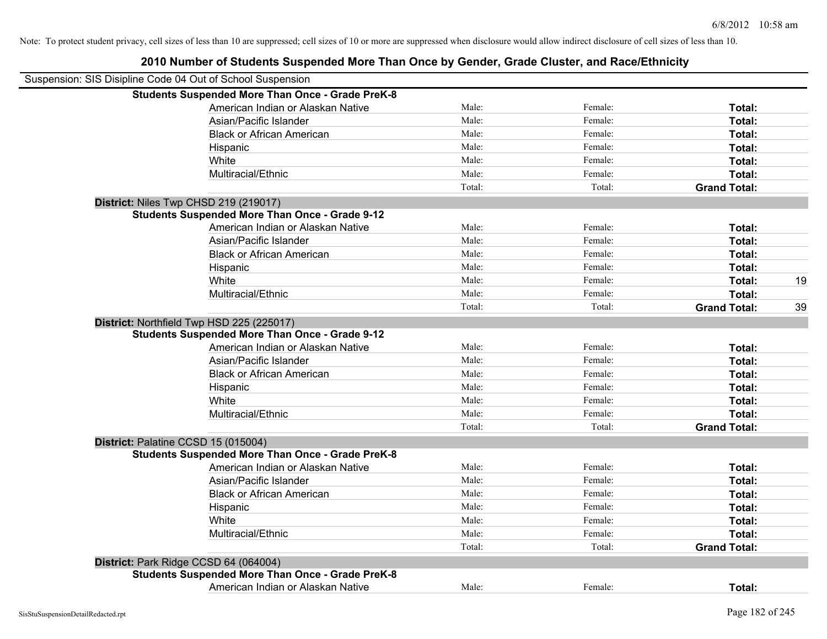| Suspension: SIS Disipline Code 04 Out of School Suspension |        |         |                     |    |
|------------------------------------------------------------|--------|---------|---------------------|----|
| <b>Students Suspended More Than Once - Grade PreK-8</b>    |        |         |                     |    |
| American Indian or Alaskan Native                          | Male:  | Female: | Total:              |    |
| Asian/Pacific Islander                                     | Male:  | Female: | Total:              |    |
| <b>Black or African American</b>                           | Male:  | Female: | Total:              |    |
| Hispanic                                                   | Male:  | Female: | Total:              |    |
| White                                                      | Male:  | Female: | Total:              |    |
| Multiracial/Ethnic                                         | Male:  | Female: | Total:              |    |
|                                                            | Total: | Total:  | <b>Grand Total:</b> |    |
| District: Niles Twp CHSD 219 (219017)                      |        |         |                     |    |
| <b>Students Suspended More Than Once - Grade 9-12</b>      |        |         |                     |    |
| American Indian or Alaskan Native                          | Male:  | Female: | Total:              |    |
| Asian/Pacific Islander                                     | Male:  | Female: | Total:              |    |
| <b>Black or African American</b>                           | Male:  | Female: | Total:              |    |
| Hispanic                                                   | Male:  | Female: | Total:              |    |
| White                                                      | Male:  | Female: | Total:              | 19 |
| Multiracial/Ethnic                                         | Male:  | Female: | Total:              |    |
|                                                            | Total: | Total:  | <b>Grand Total:</b> | 39 |
| District: Northfield Twp HSD 225 (225017)                  |        |         |                     |    |
| <b>Students Suspended More Than Once - Grade 9-12</b>      |        |         |                     |    |
| American Indian or Alaskan Native                          | Male:  | Female: | Total:              |    |
| Asian/Pacific Islander                                     | Male:  | Female: | Total:              |    |
| <b>Black or African American</b>                           | Male:  | Female: | Total:              |    |
| Hispanic                                                   | Male:  | Female: | Total:              |    |
| White                                                      | Male:  | Female: | Total:              |    |
| Multiracial/Ethnic                                         | Male:  | Female: | Total:              |    |
|                                                            | Total: | Total:  | <b>Grand Total:</b> |    |
| District: Palatine CCSD 15 (015004)                        |        |         |                     |    |
| <b>Students Suspended More Than Once - Grade PreK-8</b>    |        |         |                     |    |
| American Indian or Alaskan Native                          | Male:  | Female: | Total:              |    |
| Asian/Pacific Islander                                     | Male:  | Female: | Total:              |    |
| <b>Black or African American</b>                           | Male:  | Female: | Total:              |    |
| Hispanic                                                   | Male:  | Female: | Total:              |    |
| White                                                      | Male:  | Female: | Total:              |    |
| Multiracial/Ethnic                                         | Male:  | Female: | Total:              |    |
|                                                            | Total: | Total:  | <b>Grand Total:</b> |    |
| District: Park Ridge CCSD 64 (064004)                      |        |         |                     |    |
| <b>Students Suspended More Than Once - Grade PreK-8</b>    |        |         |                     |    |
| American Indian or Alaskan Native                          | Male:  | Female: | Total:              |    |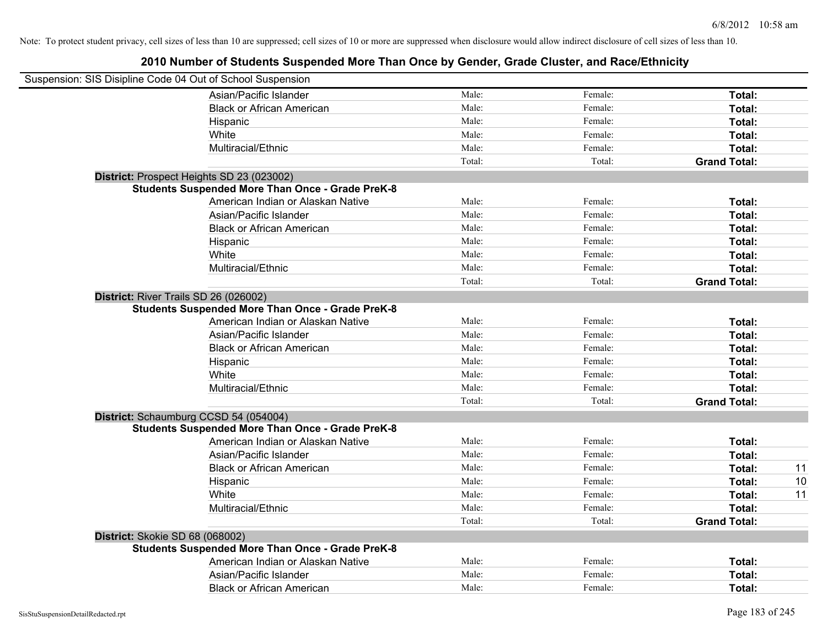| Suspension: SIS Disipline Code 04 Out of School Suspension |                                                         |        |         |                     |    |
|------------------------------------------------------------|---------------------------------------------------------|--------|---------|---------------------|----|
|                                                            | Asian/Pacific Islander                                  | Male:  | Female: | Total:              |    |
|                                                            | <b>Black or African American</b>                        | Male:  | Female: | Total:              |    |
|                                                            | Hispanic                                                | Male:  | Female: | Total:              |    |
|                                                            | White                                                   | Male:  | Female: | Total:              |    |
|                                                            | Multiracial/Ethnic                                      | Male:  | Female: | Total:              |    |
|                                                            |                                                         | Total: | Total:  | <b>Grand Total:</b> |    |
|                                                            | District: Prospect Heights SD 23 (023002)               |        |         |                     |    |
|                                                            | <b>Students Suspended More Than Once - Grade PreK-8</b> |        |         |                     |    |
|                                                            | American Indian or Alaskan Native                       | Male:  | Female: | Total:              |    |
|                                                            | Asian/Pacific Islander                                  | Male:  | Female: | Total:              |    |
|                                                            | <b>Black or African American</b>                        | Male:  | Female: | Total:              |    |
|                                                            | Hispanic                                                | Male:  | Female: | Total:              |    |
|                                                            | White                                                   | Male:  | Female: | Total:              |    |
|                                                            | Multiracial/Ethnic                                      | Male:  | Female: | Total:              |    |
|                                                            |                                                         | Total: | Total:  | <b>Grand Total:</b> |    |
| District: River Trails SD 26 (026002)                      |                                                         |        |         |                     |    |
|                                                            | <b>Students Suspended More Than Once - Grade PreK-8</b> |        |         |                     |    |
|                                                            | American Indian or Alaskan Native                       | Male:  | Female: | Total:              |    |
|                                                            | Asian/Pacific Islander                                  | Male:  | Female: | Total:              |    |
|                                                            | <b>Black or African American</b>                        | Male:  | Female: | Total:              |    |
|                                                            | Hispanic                                                | Male:  | Female: | Total:              |    |
|                                                            | White                                                   | Male:  | Female: | Total:              |    |
|                                                            | Multiracial/Ethnic                                      | Male:  | Female: | Total:              |    |
|                                                            |                                                         | Total: | Total:  | <b>Grand Total:</b> |    |
|                                                            | District: Schaumburg CCSD 54 (054004)                   |        |         |                     |    |
|                                                            | <b>Students Suspended More Than Once - Grade PreK-8</b> |        |         |                     |    |
|                                                            | American Indian or Alaskan Native                       | Male:  | Female: | Total:              |    |
|                                                            | Asian/Pacific Islander                                  | Male:  | Female: | Total:              |    |
|                                                            | <b>Black or African American</b>                        | Male:  | Female: | Total:              | 11 |
|                                                            | Hispanic                                                | Male:  | Female: | Total:              | 10 |
|                                                            | White                                                   | Male:  | Female: | Total:              | 11 |
|                                                            | Multiracial/Ethnic                                      | Male:  | Female: | Total:              |    |
|                                                            |                                                         | Total: | Total:  | <b>Grand Total:</b> |    |
| District: Skokie SD 68 (068002)                            |                                                         |        |         |                     |    |
|                                                            | <b>Students Suspended More Than Once - Grade PreK-8</b> |        |         |                     |    |
|                                                            | American Indian or Alaskan Native                       | Male:  | Female: | Total:              |    |
|                                                            | Asian/Pacific Islander                                  | Male:  | Female: | Total:              |    |
|                                                            | <b>Black or African American</b>                        | Male:  | Female: | Total:              |    |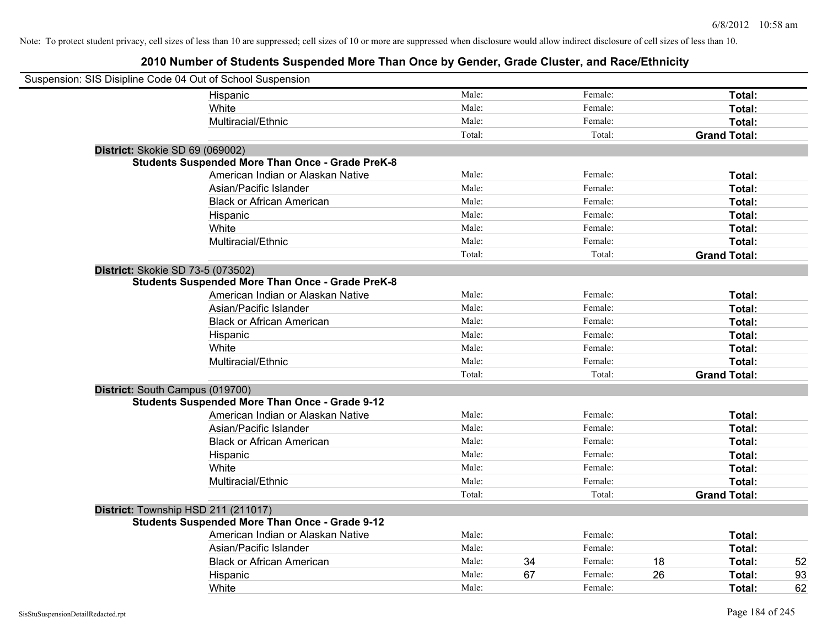| Suspension: SIS Disipline Code 04 Out of School Suspension |                                                         |        |    |         |    |                     |
|------------------------------------------------------------|---------------------------------------------------------|--------|----|---------|----|---------------------|
|                                                            | Hispanic                                                | Male:  |    | Female: |    | Total:              |
|                                                            | White                                                   | Male:  |    | Female: |    | Total:              |
|                                                            | Multiracial/Ethnic                                      | Male:  |    | Female: |    | Total:              |
|                                                            |                                                         | Total: |    | Total:  |    | <b>Grand Total:</b> |
| District: Skokie SD 69 (069002)                            |                                                         |        |    |         |    |                     |
|                                                            | <b>Students Suspended More Than Once - Grade PreK-8</b> |        |    |         |    |                     |
|                                                            | American Indian or Alaskan Native                       | Male:  |    | Female: |    | Total:              |
|                                                            | Asian/Pacific Islander                                  | Male:  |    | Female: |    | Total:              |
|                                                            | <b>Black or African American</b>                        | Male:  |    | Female: |    | Total:              |
|                                                            | Hispanic                                                | Male:  |    | Female: |    | Total:              |
|                                                            | White                                                   | Male:  |    | Female: |    | Total:              |
|                                                            | Multiracial/Ethnic                                      | Male:  |    | Female: |    | Total:              |
|                                                            |                                                         | Total: |    | Total:  |    | <b>Grand Total:</b> |
| District: Skokie SD 73-5 (073502)                          |                                                         |        |    |         |    |                     |
|                                                            | <b>Students Suspended More Than Once - Grade PreK-8</b> |        |    |         |    |                     |
|                                                            | American Indian or Alaskan Native                       | Male:  |    | Female: |    | Total:              |
|                                                            | Asian/Pacific Islander                                  | Male:  |    | Female: |    | Total:              |
|                                                            | <b>Black or African American</b>                        | Male:  |    | Female: |    | Total:              |
|                                                            | Hispanic                                                | Male:  |    | Female: |    | Total:              |
|                                                            | White                                                   | Male:  |    | Female: |    | Total:              |
|                                                            | Multiracial/Ethnic                                      | Male:  |    | Female: |    | Total:              |
|                                                            |                                                         | Total: |    | Total:  |    | <b>Grand Total:</b> |
| District: South Campus (019700)                            |                                                         |        |    |         |    |                     |
|                                                            | <b>Students Suspended More Than Once - Grade 9-12</b>   |        |    |         |    |                     |
|                                                            | American Indian or Alaskan Native                       | Male:  |    | Female: |    | Total:              |
|                                                            | Asian/Pacific Islander                                  | Male:  |    | Female: |    | Total:              |
|                                                            | <b>Black or African American</b>                        | Male:  |    | Female: |    | Total:              |
|                                                            | Hispanic                                                | Male:  |    | Female: |    | Total:              |
|                                                            | White                                                   | Male:  |    | Female: |    | Total:              |
|                                                            | Multiracial/Ethnic                                      | Male:  |    | Female: |    | Total:              |
|                                                            |                                                         | Total: |    | Total:  |    | <b>Grand Total:</b> |
| District: Township HSD 211 (211017)                        |                                                         |        |    |         |    |                     |
|                                                            | <b>Students Suspended More Than Once - Grade 9-12</b>   |        |    |         |    |                     |
|                                                            | American Indian or Alaskan Native                       | Male:  |    | Female: |    | Total:              |
|                                                            | Asian/Pacific Islander                                  | Male:  |    | Female: |    | Total:              |
|                                                            | <b>Black or African American</b>                        | Male:  | 34 | Female: | 18 | Total:<br>52        |
|                                                            | Hispanic                                                | Male:  | 67 | Female: | 26 | Total:<br>93        |
|                                                            | White                                                   | Male:  |    | Female: |    | 62<br>Total:        |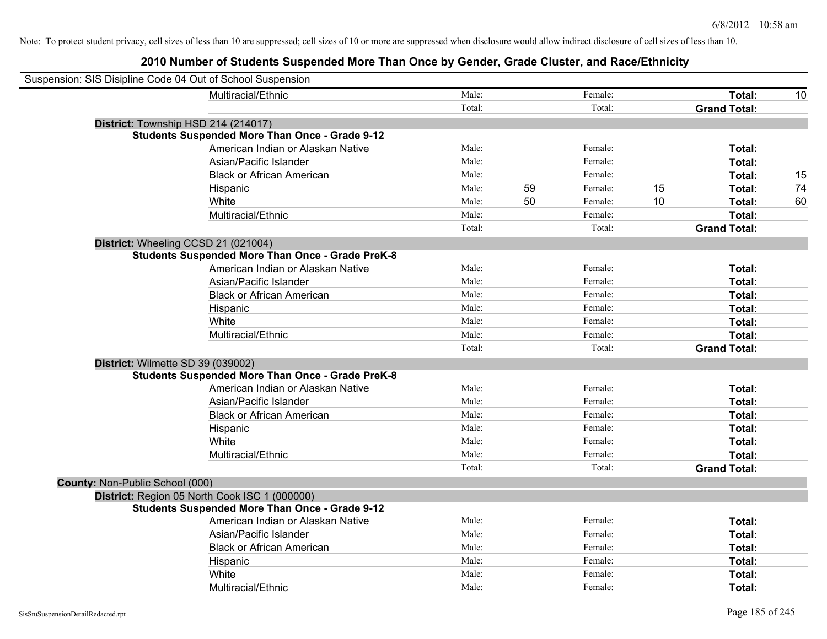|                                 | Suspension: SIS Disipline Code 04 Out of School Suspension |        |    |         |    |                     |    |
|---------------------------------|------------------------------------------------------------|--------|----|---------|----|---------------------|----|
|                                 | Multiracial/Ethnic                                         | Male:  |    | Female: |    | Total:              | 10 |
|                                 |                                                            | Total: |    | Total:  |    | <b>Grand Total:</b> |    |
|                                 | District: Township HSD 214 (214017)                        |        |    |         |    |                     |    |
|                                 | <b>Students Suspended More Than Once - Grade 9-12</b>      |        |    |         |    |                     |    |
|                                 | American Indian or Alaskan Native                          | Male:  |    | Female: |    | Total:              |    |
|                                 | Asian/Pacific Islander                                     | Male:  |    | Female: |    | Total:              |    |
|                                 | <b>Black or African American</b>                           | Male:  |    | Female: |    | Total:              | 15 |
|                                 | Hispanic                                                   | Male:  | 59 | Female: | 15 | Total:              | 74 |
|                                 | White                                                      | Male:  | 50 | Female: | 10 | Total:              | 60 |
|                                 | Multiracial/Ethnic                                         | Male:  |    | Female: |    | Total:              |    |
|                                 |                                                            | Total: |    | Total:  |    | <b>Grand Total:</b> |    |
|                                 | District: Wheeling CCSD 21 (021004)                        |        |    |         |    |                     |    |
|                                 | <b>Students Suspended More Than Once - Grade PreK-8</b>    |        |    |         |    |                     |    |
|                                 | American Indian or Alaskan Native                          | Male:  |    | Female: |    | Total:              |    |
|                                 | Asian/Pacific Islander                                     | Male:  |    | Female: |    | Total:              |    |
|                                 | <b>Black or African American</b>                           | Male:  |    | Female: |    | Total:              |    |
|                                 | Hispanic                                                   | Male:  |    | Female: |    | Total:              |    |
|                                 | White                                                      | Male:  |    | Female: |    | Total:              |    |
|                                 | Multiracial/Ethnic                                         | Male:  |    | Female: |    | Total:              |    |
|                                 |                                                            | Total: |    | Total:  |    | <b>Grand Total:</b> |    |
|                                 | District: Wilmette SD 39 (039002)                          |        |    |         |    |                     |    |
|                                 | <b>Students Suspended More Than Once - Grade PreK-8</b>    |        |    |         |    |                     |    |
|                                 | American Indian or Alaskan Native                          | Male:  |    | Female: |    | Total:              |    |
|                                 | Asian/Pacific Islander                                     | Male:  |    | Female: |    | Total:              |    |
|                                 | <b>Black or African American</b>                           | Male:  |    | Female: |    | Total:              |    |
|                                 | Hispanic                                                   | Male:  |    | Female: |    | Total:              |    |
|                                 | White                                                      | Male:  |    | Female: |    | Total:              |    |
|                                 | Multiracial/Ethnic                                         | Male:  |    | Female: |    | Total:              |    |
|                                 |                                                            | Total: |    | Total:  |    | <b>Grand Total:</b> |    |
| County: Non-Public School (000) |                                                            |        |    |         |    |                     |    |
|                                 | District: Region 05 North Cook ISC 1 (000000)              |        |    |         |    |                     |    |
|                                 | <b>Students Suspended More Than Once - Grade 9-12</b>      |        |    |         |    |                     |    |
|                                 | American Indian or Alaskan Native                          | Male:  |    | Female: |    | Total:              |    |
|                                 | Asian/Pacific Islander                                     | Male:  |    | Female: |    | Total:              |    |
|                                 | <b>Black or African American</b>                           | Male:  |    | Female: |    | Total:              |    |
|                                 | Hispanic                                                   | Male:  |    | Female: |    | Total:              |    |
|                                 | White                                                      | Male:  |    | Female: |    | Total:              |    |
|                                 | Multiracial/Ethnic                                         | Male:  |    | Female: |    | Total:              |    |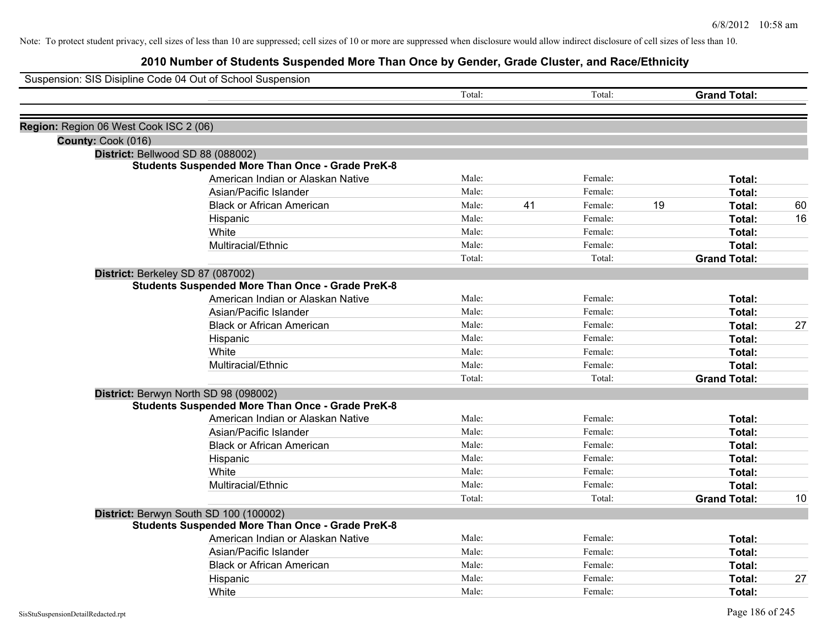|                                        | Suspension: SIS Disipline Code 04 Out of School Suspension |        |    |         |    |                     |    |
|----------------------------------------|------------------------------------------------------------|--------|----|---------|----|---------------------|----|
|                                        |                                                            | Total: |    | Total:  |    | <b>Grand Total:</b> |    |
| Region: Region 06 West Cook ISC 2 (06) |                                                            |        |    |         |    |                     |    |
| County: Cook (016)                     |                                                            |        |    |         |    |                     |    |
|                                        | District: Bellwood SD 88 (088002)                          |        |    |         |    |                     |    |
|                                        | <b>Students Suspended More Than Once - Grade PreK-8</b>    |        |    |         |    |                     |    |
|                                        | American Indian or Alaskan Native                          | Male:  |    | Female: |    | Total:              |    |
|                                        | Asian/Pacific Islander                                     | Male:  |    | Female: |    | Total:              |    |
|                                        | <b>Black or African American</b>                           | Male:  | 41 | Female: | 19 | Total:              | 60 |
|                                        | Hispanic                                                   | Male:  |    | Female: |    | Total:              | 16 |
|                                        | White                                                      | Male:  |    | Female: |    | Total:              |    |
|                                        | Multiracial/Ethnic                                         | Male:  |    | Female: |    | Total:              |    |
|                                        |                                                            | Total: |    | Total:  |    | <b>Grand Total:</b> |    |
|                                        | District: Berkeley SD 87 (087002)                          |        |    |         |    |                     |    |
|                                        | <b>Students Suspended More Than Once - Grade PreK-8</b>    |        |    |         |    |                     |    |
|                                        | American Indian or Alaskan Native                          | Male:  |    | Female: |    | Total:              |    |
|                                        | Asian/Pacific Islander                                     | Male:  |    | Female: |    | Total:              |    |
|                                        | <b>Black or African American</b>                           | Male:  |    | Female: |    | Total:              | 27 |
|                                        | Hispanic                                                   | Male:  |    | Female: |    | Total:              |    |
|                                        | White                                                      | Male:  |    | Female: |    | Total:              |    |
|                                        | Multiracial/Ethnic                                         | Male:  |    | Female: |    | Total:              |    |
|                                        |                                                            | Total: |    | Total:  |    | <b>Grand Total:</b> |    |
|                                        | District: Berwyn North SD 98 (098002)                      |        |    |         |    |                     |    |
|                                        | <b>Students Suspended More Than Once - Grade PreK-8</b>    |        |    |         |    |                     |    |
|                                        | American Indian or Alaskan Native                          | Male:  |    | Female: |    | Total:              |    |
|                                        | Asian/Pacific Islander                                     | Male:  |    | Female: |    | Total:              |    |
|                                        | <b>Black or African American</b>                           | Male:  |    | Female: |    | Total:              |    |
|                                        | Hispanic                                                   | Male:  |    | Female: |    | Total:              |    |
|                                        | White                                                      | Male:  |    | Female: |    | Total:              |    |
|                                        | Multiracial/Ethnic                                         | Male:  |    | Female: |    | Total:              |    |
|                                        |                                                            | Total: |    | Total:  |    | <b>Grand Total:</b> | 10 |
|                                        | District: Berwyn South SD 100 (100002)                     |        |    |         |    |                     |    |
|                                        | <b>Students Suspended More Than Once - Grade PreK-8</b>    |        |    |         |    |                     |    |
|                                        | American Indian or Alaskan Native                          | Male:  |    | Female: |    | Total:              |    |
|                                        | Asian/Pacific Islander                                     | Male:  |    | Female: |    | Total:              |    |
|                                        | <b>Black or African American</b>                           | Male:  |    | Female: |    | Total:              |    |
|                                        | Hispanic                                                   | Male:  |    | Female: |    | Total:              | 27 |
|                                        | White                                                      | Male:  |    | Female: |    | Total:              |    |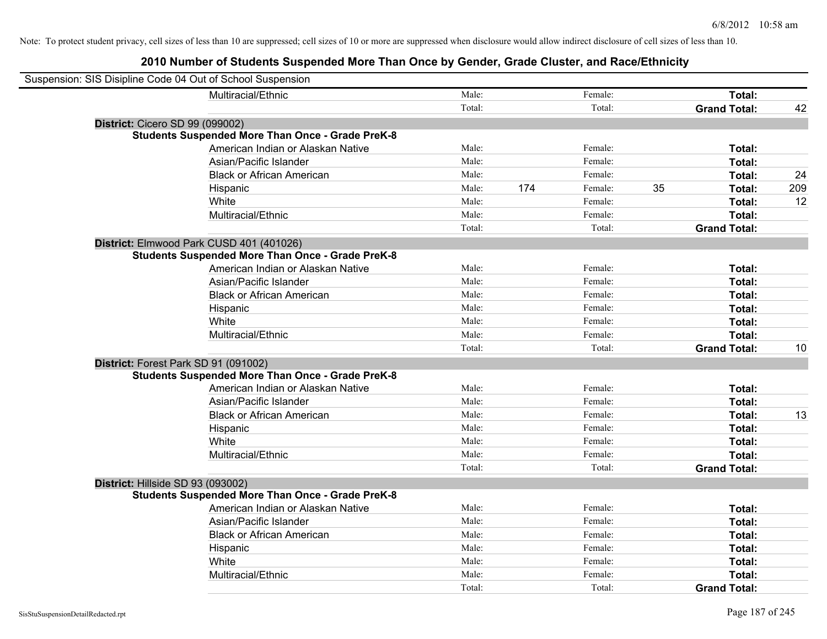| Suspension: SIS Disipline Code 04 Out of School Suspension |                                                         |        |     |         |    |                     |     |
|------------------------------------------------------------|---------------------------------------------------------|--------|-----|---------|----|---------------------|-----|
|                                                            | Multiracial/Ethnic                                      | Male:  |     | Female: |    | Total:              |     |
|                                                            |                                                         | Total: |     | Total:  |    | <b>Grand Total:</b> | 42  |
| <b>District: Cicero SD 99 (099002)</b>                     |                                                         |        |     |         |    |                     |     |
|                                                            | <b>Students Suspended More Than Once - Grade PreK-8</b> |        |     |         |    |                     |     |
|                                                            | American Indian or Alaskan Native                       | Male:  |     | Female: |    | Total:              |     |
|                                                            | Asian/Pacific Islander                                  | Male:  |     | Female: |    | Total:              |     |
|                                                            | <b>Black or African American</b>                        | Male:  |     | Female: |    | Total:              | 24  |
|                                                            | Hispanic                                                | Male:  | 174 | Female: | 35 | Total:              | 209 |
|                                                            | White                                                   | Male:  |     | Female: |    | Total:              | 12  |
|                                                            | Multiracial/Ethnic                                      | Male:  |     | Female: |    | Total:              |     |
|                                                            |                                                         | Total: |     | Total:  |    | <b>Grand Total:</b> |     |
| District: Elmwood Park CUSD 401 (401026)                   |                                                         |        |     |         |    |                     |     |
|                                                            | <b>Students Suspended More Than Once - Grade PreK-8</b> |        |     |         |    |                     |     |
|                                                            | American Indian or Alaskan Native                       | Male:  |     | Female: |    | Total:              |     |
|                                                            | Asian/Pacific Islander                                  | Male:  |     | Female: |    | Total:              |     |
|                                                            | <b>Black or African American</b>                        | Male:  |     | Female: |    | Total:              |     |
|                                                            | Hispanic                                                | Male:  |     | Female: |    | Total:              |     |
|                                                            | White                                                   | Male:  |     | Female: |    | Total:              |     |
|                                                            | Multiracial/Ethnic                                      | Male:  |     | Female: |    | Total:              |     |
|                                                            |                                                         | Total: |     | Total:  |    | <b>Grand Total:</b> | 10  |
| District: Forest Park SD 91 (091002)                       |                                                         |        |     |         |    |                     |     |
|                                                            | <b>Students Suspended More Than Once - Grade PreK-8</b> |        |     |         |    |                     |     |
|                                                            | American Indian or Alaskan Native                       | Male:  |     | Female: |    | Total:              |     |
|                                                            | Asian/Pacific Islander                                  | Male:  |     | Female: |    | Total:              |     |
|                                                            | <b>Black or African American</b>                        | Male:  |     | Female: |    | Total:              | 13  |
|                                                            | Hispanic                                                | Male:  |     | Female: |    | Total:              |     |
|                                                            | White                                                   | Male:  |     | Female: |    | Total:              |     |
|                                                            | Multiracial/Ethnic                                      | Male:  |     | Female: |    | Total:              |     |
|                                                            |                                                         | Total: |     | Total:  |    | <b>Grand Total:</b> |     |
| District: Hillside SD 93 (093002)                          |                                                         |        |     |         |    |                     |     |
|                                                            | <b>Students Suspended More Than Once - Grade PreK-8</b> |        |     |         |    |                     |     |
|                                                            | American Indian or Alaskan Native                       | Male:  |     | Female: |    | Total:              |     |
|                                                            | Asian/Pacific Islander                                  | Male:  |     | Female: |    | Total:              |     |
|                                                            | <b>Black or African American</b>                        | Male:  |     | Female: |    | Total:              |     |
|                                                            | Hispanic                                                | Male:  |     | Female: |    | Total:              |     |
|                                                            | White                                                   | Male:  |     | Female: |    | Total:              |     |
|                                                            | Multiracial/Ethnic                                      | Male:  |     | Female: |    | Total:              |     |
|                                                            |                                                         | Total: |     | Total:  |    | <b>Grand Total:</b> |     |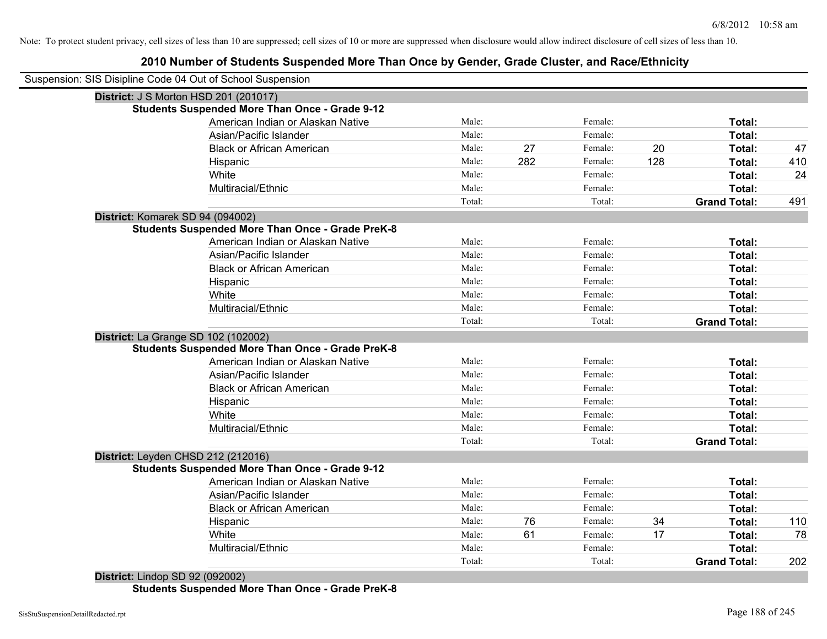# **2010 Number of Students Suspended More Than Once by Gender, Grade Cluster, and Race/Ethnicity**

| <b>District: J S Morton HSD 201 (201017)</b><br><b>Students Suspended More Than Once - Grade 9-12</b><br>American Indian or Alaskan Native<br>Asian/Pacific Islander<br><b>Black or African American</b><br>Hispanic<br>White<br>Multiracial/Ethnic<br>District: Komarek SD 94 (094002)<br><b>Students Suspended More Than Once - Grade PreK-8</b><br>American Indian or Alaskan Native<br>Asian/Pacific Islander<br><b>Black or African American</b><br>Hispanic<br>White<br>Multiracial/Ethnic<br>District: La Grange SD 102 (102002)<br><b>Students Suspended More Than Once - Grade PreK-8</b><br>American Indian or Alaskan Native | Male:<br>Male:<br>Male:<br>Male:<br>Male: | 27<br>282 | Female:<br>Female:<br>Female: |     | Total:              |     |
|-----------------------------------------------------------------------------------------------------------------------------------------------------------------------------------------------------------------------------------------------------------------------------------------------------------------------------------------------------------------------------------------------------------------------------------------------------------------------------------------------------------------------------------------------------------------------------------------------------------------------------------------|-------------------------------------------|-----------|-------------------------------|-----|---------------------|-----|
|                                                                                                                                                                                                                                                                                                                                                                                                                                                                                                                                                                                                                                         |                                           |           |                               |     |                     |     |
|                                                                                                                                                                                                                                                                                                                                                                                                                                                                                                                                                                                                                                         |                                           |           |                               |     |                     |     |
|                                                                                                                                                                                                                                                                                                                                                                                                                                                                                                                                                                                                                                         |                                           |           |                               |     |                     |     |
|                                                                                                                                                                                                                                                                                                                                                                                                                                                                                                                                                                                                                                         |                                           |           |                               |     | Total:              |     |
|                                                                                                                                                                                                                                                                                                                                                                                                                                                                                                                                                                                                                                         |                                           |           |                               | 20  | Total:              | 47  |
|                                                                                                                                                                                                                                                                                                                                                                                                                                                                                                                                                                                                                                         |                                           |           | Female:                       | 128 | Total:              | 410 |
|                                                                                                                                                                                                                                                                                                                                                                                                                                                                                                                                                                                                                                         |                                           |           | Female:                       |     | Total:              | 24  |
|                                                                                                                                                                                                                                                                                                                                                                                                                                                                                                                                                                                                                                         | Male:                                     |           | Female:                       |     | Total:              |     |
|                                                                                                                                                                                                                                                                                                                                                                                                                                                                                                                                                                                                                                         | Total:                                    |           | Total:                        |     | <b>Grand Total:</b> | 491 |
|                                                                                                                                                                                                                                                                                                                                                                                                                                                                                                                                                                                                                                         |                                           |           |                               |     |                     |     |
|                                                                                                                                                                                                                                                                                                                                                                                                                                                                                                                                                                                                                                         |                                           |           |                               |     |                     |     |
|                                                                                                                                                                                                                                                                                                                                                                                                                                                                                                                                                                                                                                         | Male:                                     |           | Female:                       |     | Total:              |     |
|                                                                                                                                                                                                                                                                                                                                                                                                                                                                                                                                                                                                                                         | Male:                                     |           | Female:                       |     | Total:              |     |
|                                                                                                                                                                                                                                                                                                                                                                                                                                                                                                                                                                                                                                         | Male:                                     |           | Female:                       |     | Total:              |     |
|                                                                                                                                                                                                                                                                                                                                                                                                                                                                                                                                                                                                                                         | Male:                                     |           | Female:                       |     | Total:              |     |
|                                                                                                                                                                                                                                                                                                                                                                                                                                                                                                                                                                                                                                         | Male:                                     |           | Female:                       |     | Total:              |     |
|                                                                                                                                                                                                                                                                                                                                                                                                                                                                                                                                                                                                                                         | Male:                                     |           | Female:                       |     | Total:              |     |
|                                                                                                                                                                                                                                                                                                                                                                                                                                                                                                                                                                                                                                         | Total:                                    |           | Total:                        |     | <b>Grand Total:</b> |     |
|                                                                                                                                                                                                                                                                                                                                                                                                                                                                                                                                                                                                                                         |                                           |           |                               |     |                     |     |
|                                                                                                                                                                                                                                                                                                                                                                                                                                                                                                                                                                                                                                         |                                           |           |                               |     |                     |     |
|                                                                                                                                                                                                                                                                                                                                                                                                                                                                                                                                                                                                                                         | Male:                                     |           | Female:                       |     | Total:              |     |
| Asian/Pacific Islander                                                                                                                                                                                                                                                                                                                                                                                                                                                                                                                                                                                                                  | Male:                                     |           | Female:                       |     | Total:              |     |
| <b>Black or African American</b>                                                                                                                                                                                                                                                                                                                                                                                                                                                                                                                                                                                                        | Male:                                     |           | Female:                       |     | Total:              |     |
| Hispanic                                                                                                                                                                                                                                                                                                                                                                                                                                                                                                                                                                                                                                | Male:                                     |           | Female:                       |     | Total:              |     |
| White                                                                                                                                                                                                                                                                                                                                                                                                                                                                                                                                                                                                                                   | Male:                                     |           | Female:                       |     | Total:              |     |
| Multiracial/Ethnic                                                                                                                                                                                                                                                                                                                                                                                                                                                                                                                                                                                                                      | Male:                                     |           | Female:                       |     | Total:              |     |
|                                                                                                                                                                                                                                                                                                                                                                                                                                                                                                                                                                                                                                         | Total:                                    |           | Total:                        |     | <b>Grand Total:</b> |     |
| District: Leyden CHSD 212 (212016)                                                                                                                                                                                                                                                                                                                                                                                                                                                                                                                                                                                                      |                                           |           |                               |     |                     |     |
| <b>Students Suspended More Than Once - Grade 9-12</b>                                                                                                                                                                                                                                                                                                                                                                                                                                                                                                                                                                                   |                                           |           |                               |     |                     |     |
| American Indian or Alaskan Native                                                                                                                                                                                                                                                                                                                                                                                                                                                                                                                                                                                                       | Male:                                     |           | Female:                       |     | Total:              |     |
| Asian/Pacific Islander                                                                                                                                                                                                                                                                                                                                                                                                                                                                                                                                                                                                                  | Male:                                     |           | Female:                       |     | Total:              |     |
| <b>Black or African American</b>                                                                                                                                                                                                                                                                                                                                                                                                                                                                                                                                                                                                        | Male:                                     |           | Female:                       |     | Total:              |     |
| Hispanic                                                                                                                                                                                                                                                                                                                                                                                                                                                                                                                                                                                                                                | Male:                                     | 76        | Female:                       | 34  | Total:              | 110 |
| White                                                                                                                                                                                                                                                                                                                                                                                                                                                                                                                                                                                                                                   | Male:                                     | 61        | Female:                       | 17  | Total:              | 78  |
| Multiracial/Ethnic                                                                                                                                                                                                                                                                                                                                                                                                                                                                                                                                                                                                                      | Male:                                     |           | Female:                       |     | Total:              |     |
|                                                                                                                                                                                                                                                                                                                                                                                                                                                                                                                                                                                                                                         | Total:                                    |           | Total:                        |     | <b>Grand Total:</b> | 202 |

**District:** Lindop SD 92 (092002) **Students Suspended More Than Once - Grade PreK-8**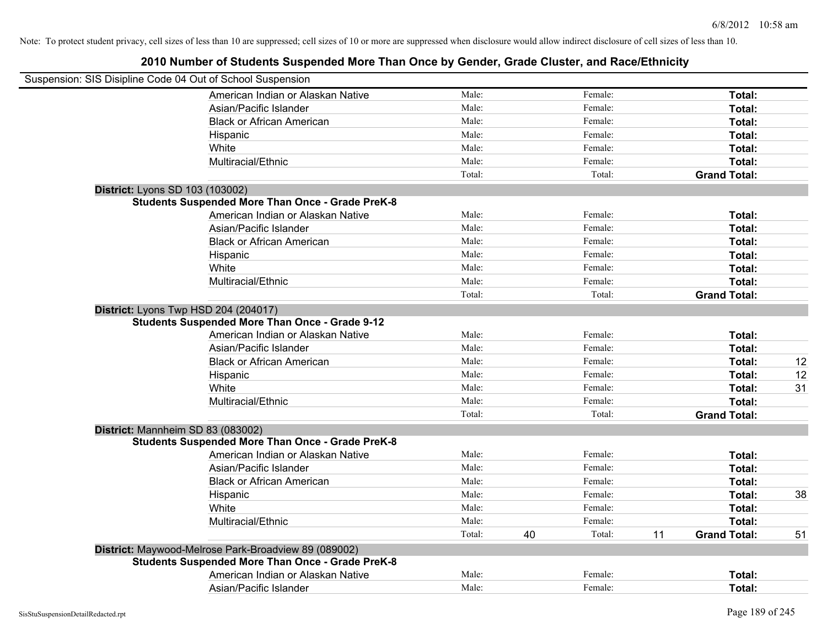| Suspension: SIS Disipline Code 04 Out of School Suspension |                                                         |        |    |         |    |                     |    |
|------------------------------------------------------------|---------------------------------------------------------|--------|----|---------|----|---------------------|----|
|                                                            | American Indian or Alaskan Native                       | Male:  |    | Female: |    | Total:              |    |
|                                                            | Asian/Pacific Islander                                  | Male:  |    | Female: |    | Total:              |    |
|                                                            | <b>Black or African American</b>                        | Male:  |    | Female: |    | Total:              |    |
|                                                            | Hispanic                                                | Male:  |    | Female: |    | Total:              |    |
|                                                            | White                                                   | Male:  |    | Female: |    | Total:              |    |
|                                                            | Multiracial/Ethnic                                      | Male:  |    | Female: |    | Total:              |    |
|                                                            |                                                         | Total: |    | Total:  |    | <b>Grand Total:</b> |    |
| District: Lyons SD 103 (103002)                            |                                                         |        |    |         |    |                     |    |
|                                                            | <b>Students Suspended More Than Once - Grade PreK-8</b> |        |    |         |    |                     |    |
|                                                            | American Indian or Alaskan Native                       | Male:  |    | Female: |    | Total:              |    |
|                                                            | Asian/Pacific Islander                                  | Male:  |    | Female: |    | Total:              |    |
|                                                            | <b>Black or African American</b>                        | Male:  |    | Female: |    | Total:              |    |
|                                                            | Hispanic                                                | Male:  |    | Female: |    | Total:              |    |
|                                                            | White                                                   | Male:  |    | Female: |    | Total:              |    |
|                                                            | Multiracial/Ethnic                                      | Male:  |    | Female: |    | Total:              |    |
|                                                            |                                                         | Total: |    | Total:  |    | <b>Grand Total:</b> |    |
|                                                            | District: Lyons Twp HSD 204 (204017)                    |        |    |         |    |                     |    |
|                                                            | <b>Students Suspended More Than Once - Grade 9-12</b>   |        |    |         |    |                     |    |
|                                                            | American Indian or Alaskan Native                       | Male:  |    | Female: |    | Total:              |    |
|                                                            | Asian/Pacific Islander                                  | Male:  |    | Female: |    | Total:              |    |
|                                                            | <b>Black or African American</b>                        | Male:  |    | Female: |    | Total:              | 12 |
|                                                            | Hispanic                                                | Male:  |    | Female: |    | Total:              | 12 |
|                                                            | White                                                   | Male:  |    | Female: |    | Total:              | 31 |
|                                                            | Multiracial/Ethnic                                      | Male:  |    | Female: |    | Total:              |    |
|                                                            |                                                         | Total: |    | Total:  |    | <b>Grand Total:</b> |    |
| District: Mannheim SD 83 (083002)                          |                                                         |        |    |         |    |                     |    |
|                                                            | <b>Students Suspended More Than Once - Grade PreK-8</b> |        |    |         |    |                     |    |
|                                                            | American Indian or Alaskan Native                       | Male:  |    | Female: |    | Total:              |    |
|                                                            | Asian/Pacific Islander                                  | Male:  |    | Female: |    | Total:              |    |
|                                                            | <b>Black or African American</b>                        | Male:  |    | Female: |    | Total:              |    |
|                                                            | Hispanic                                                | Male:  |    | Female: |    | Total:              | 38 |
|                                                            | White                                                   | Male:  |    | Female: |    | Total:              |    |
|                                                            | Multiracial/Ethnic                                      | Male:  |    | Female: |    | Total:              |    |
|                                                            |                                                         | Total: | 40 | Total:  | 11 | <b>Grand Total:</b> | 51 |
|                                                            | District: Maywood-Melrose Park-Broadview 89 (089002)    |        |    |         |    |                     |    |
|                                                            | <b>Students Suspended More Than Once - Grade PreK-8</b> |        |    |         |    |                     |    |
|                                                            | American Indian or Alaskan Native                       | Male:  |    | Female: |    | Total:              |    |
|                                                            | Asian/Pacific Islander                                  | Male:  |    | Female: |    | Total:              |    |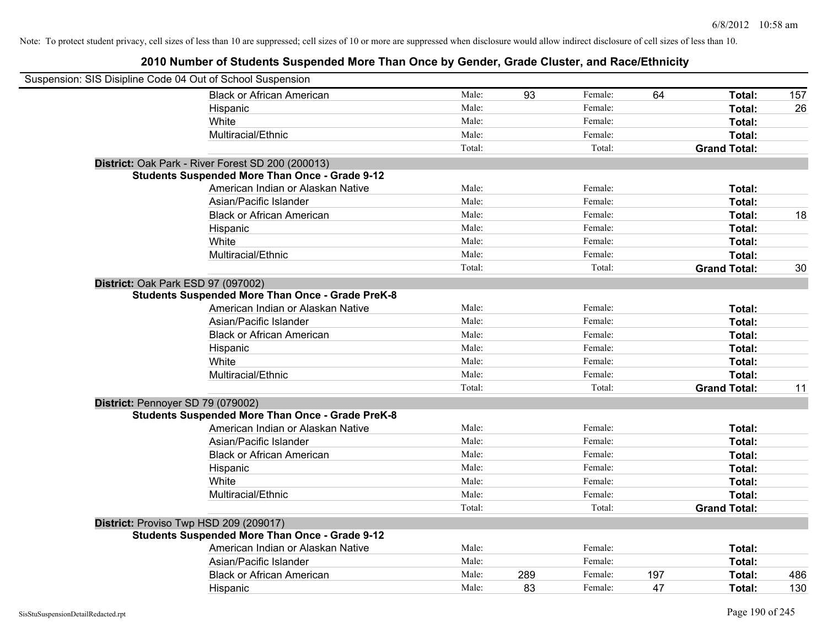| Suspension: SIS Disipline Code 04 Out of School Suspension |        |     |         |     |                     |     |
|------------------------------------------------------------|--------|-----|---------|-----|---------------------|-----|
| <b>Black or African American</b>                           | Male:  | 93  | Female: | 64  | Total:              | 157 |
| Hispanic                                                   | Male:  |     | Female: |     | Total:              | 26  |
| White                                                      | Male:  |     | Female: |     | Total:              |     |
| Multiracial/Ethnic                                         | Male:  |     | Female: |     | Total:              |     |
|                                                            | Total: |     | Total:  |     | <b>Grand Total:</b> |     |
| District: Oak Park - River Forest SD 200 (200013)          |        |     |         |     |                     |     |
| <b>Students Suspended More Than Once - Grade 9-12</b>      |        |     |         |     |                     |     |
| American Indian or Alaskan Native                          | Male:  |     | Female: |     | Total:              |     |
| Asian/Pacific Islander                                     | Male:  |     | Female: |     | Total:              |     |
| <b>Black or African American</b>                           | Male:  |     | Female: |     | Total:              | 18  |
| Hispanic                                                   | Male:  |     | Female: |     | Total:              |     |
| White                                                      | Male:  |     | Female: |     | Total:              |     |
| Multiracial/Ethnic                                         | Male:  |     | Female: |     | Total:              |     |
|                                                            | Total: |     | Total:  |     | <b>Grand Total:</b> | 30  |
| District: Oak Park ESD 97 (097002)                         |        |     |         |     |                     |     |
| <b>Students Suspended More Than Once - Grade PreK-8</b>    |        |     |         |     |                     |     |
| American Indian or Alaskan Native                          | Male:  |     | Female: |     | Total:              |     |
| Asian/Pacific Islander                                     | Male:  |     | Female: |     | Total:              |     |
| <b>Black or African American</b>                           | Male:  |     | Female: |     | Total:              |     |
| Hispanic                                                   | Male:  |     | Female: |     | Total:              |     |
| White                                                      | Male:  |     | Female: |     | Total:              |     |
| Multiracial/Ethnic                                         | Male:  |     | Female: |     | Total:              |     |
|                                                            | Total: |     | Total:  |     | <b>Grand Total:</b> | 11  |
| District: Pennoyer SD 79 (079002)                          |        |     |         |     |                     |     |
| <b>Students Suspended More Than Once - Grade PreK-8</b>    |        |     |         |     |                     |     |
| American Indian or Alaskan Native                          | Male:  |     | Female: |     | Total:              |     |
| Asian/Pacific Islander                                     | Male:  |     | Female: |     | Total:              |     |
| <b>Black or African American</b>                           | Male:  |     | Female: |     | Total:              |     |
| Hispanic                                                   | Male:  |     | Female: |     | Total:              |     |
| White                                                      | Male:  |     | Female: |     | Total:              |     |
| Multiracial/Ethnic                                         | Male:  |     | Female: |     | Total:              |     |
|                                                            | Total: |     | Total:  |     | <b>Grand Total:</b> |     |
| District: Proviso Twp HSD 209 (209017)                     |        |     |         |     |                     |     |
| <b>Students Suspended More Than Once - Grade 9-12</b>      |        |     |         |     |                     |     |
| American Indian or Alaskan Native                          | Male:  |     | Female: |     | Total:              |     |
| Asian/Pacific Islander                                     | Male:  |     | Female: |     | <b>Total:</b>       |     |
| <b>Black or African American</b>                           | Male:  | 289 | Female: | 197 | Total:              | 486 |
| Hispanic                                                   | Male:  | 83  | Female: | 47  | Total:              | 130 |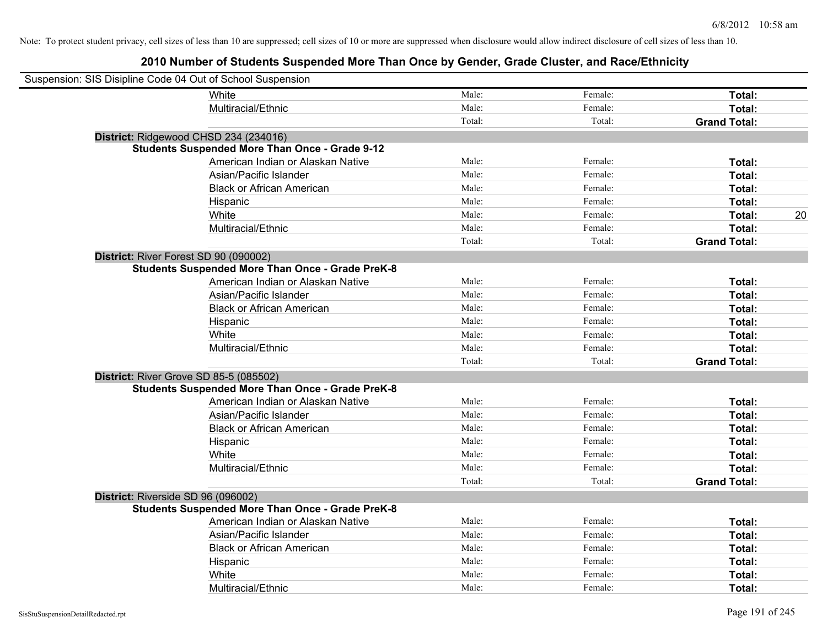| Suspension: SIS Disipline Code 04 Out of School Suspension |                                                         |        |         |                     |
|------------------------------------------------------------|---------------------------------------------------------|--------|---------|---------------------|
|                                                            | <b>White</b>                                            | Male:  | Female: | Total:              |
|                                                            | Multiracial/Ethnic                                      | Male:  | Female: | Total:              |
|                                                            |                                                         | Total: | Total:  | <b>Grand Total:</b> |
| District: Ridgewood CHSD 234 (234016)                      |                                                         |        |         |                     |
|                                                            | <b>Students Suspended More Than Once - Grade 9-12</b>   |        |         |                     |
|                                                            | American Indian or Alaskan Native                       | Male:  | Female: | Total:              |
|                                                            | Asian/Pacific Islander                                  | Male:  | Female: | Total:              |
|                                                            | <b>Black or African American</b>                        | Male:  | Female: | Total:              |
|                                                            | Hispanic                                                | Male:  | Female: | Total:              |
|                                                            | White                                                   | Male:  | Female: | 20<br>Total:        |
|                                                            | Multiracial/Ethnic                                      | Male:  | Female: | Total:              |
|                                                            |                                                         | Total: | Total:  | <b>Grand Total:</b> |
| District: River Forest SD 90 (090002)                      |                                                         |        |         |                     |
|                                                            | <b>Students Suspended More Than Once - Grade PreK-8</b> |        |         |                     |
|                                                            | American Indian or Alaskan Native                       | Male:  | Female: | Total:              |
|                                                            | Asian/Pacific Islander                                  | Male:  | Female: | Total:              |
|                                                            | <b>Black or African American</b>                        | Male:  | Female: | Total:              |
|                                                            | Hispanic                                                | Male:  | Female: | Total:              |
|                                                            | White                                                   | Male:  | Female: | Total:              |
|                                                            | Multiracial/Ethnic                                      | Male:  | Female: | Total:              |
|                                                            |                                                         | Total: | Total:  | <b>Grand Total:</b> |
| District: River Grove SD 85-5 (085502)                     |                                                         |        |         |                     |
|                                                            | <b>Students Suspended More Than Once - Grade PreK-8</b> |        |         |                     |
|                                                            | American Indian or Alaskan Native                       | Male:  | Female: | Total:              |
|                                                            | Asian/Pacific Islander                                  | Male:  | Female: | Total:              |
|                                                            | <b>Black or African American</b>                        | Male:  | Female: | Total:              |
|                                                            | Hispanic                                                | Male:  | Female: | Total:              |
|                                                            | White                                                   | Male:  | Female: | Total:              |
|                                                            | Multiracial/Ethnic                                      | Male:  | Female: | Total:              |
|                                                            |                                                         | Total: | Total:  | <b>Grand Total:</b> |
| District: Riverside SD 96 (096002)                         |                                                         |        |         |                     |
|                                                            | <b>Students Suspended More Than Once - Grade PreK-8</b> |        |         |                     |
|                                                            | American Indian or Alaskan Native                       | Male:  | Female: | Total:              |
|                                                            | Asian/Pacific Islander                                  | Male:  | Female: | Total:              |
|                                                            | <b>Black or African American</b>                        | Male:  | Female: | Total:              |
|                                                            | Hispanic                                                | Male:  | Female: | Total:              |
|                                                            | White                                                   | Male:  | Female: | Total:              |
|                                                            | Multiracial/Ethnic                                      | Male:  | Female: | Total:              |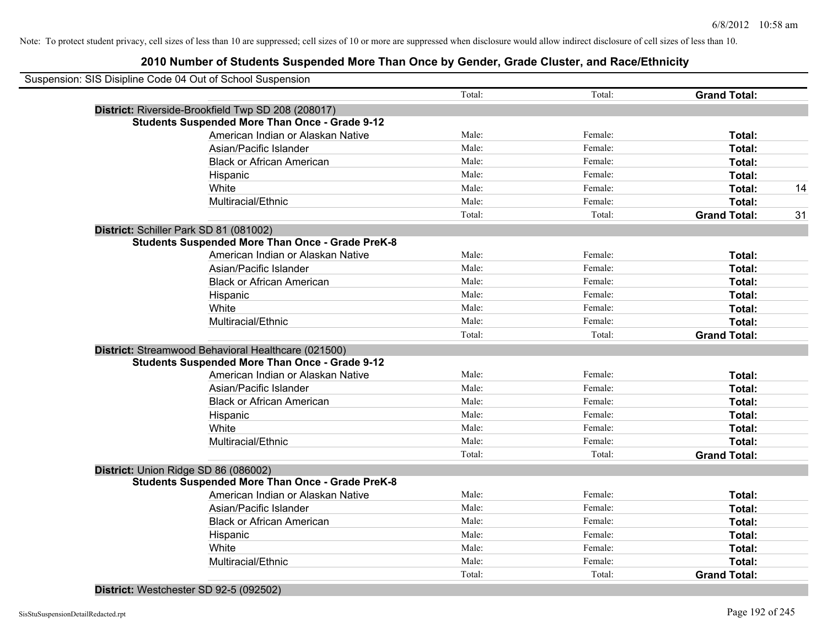| Suspension: SIS Disipline Code 04 Out of School Suspension |        |         |                     |
|------------------------------------------------------------|--------|---------|---------------------|
|                                                            | Total: | Total:  | <b>Grand Total:</b> |
| District: Riverside-Brookfield Twp SD 208 (208017)         |        |         |                     |
| <b>Students Suspended More Than Once - Grade 9-12</b>      |        |         |                     |
| American Indian or Alaskan Native                          | Male:  | Female: | Total:              |
| Asian/Pacific Islander                                     | Male:  | Female: | Total:              |
| <b>Black or African American</b>                           | Male:  | Female: | Total:              |
| Hispanic                                                   | Male:  | Female: | Total:              |
| White                                                      | Male:  | Female: | Total:              |
| Multiracial/Ethnic                                         | Male:  | Female: | Total:              |
|                                                            | Total: | Total:  | <b>Grand Total:</b> |
| District: Schiller Park SD 81 (081002)                     |        |         |                     |
| <b>Students Suspended More Than Once - Grade PreK-8</b>    |        |         |                     |
| American Indian or Alaskan Native                          | Male:  | Female: | Total:              |
| Asian/Pacific Islander                                     | Male:  | Female: | Total:              |
| <b>Black or African American</b>                           | Male:  | Female: | Total:              |
| Hispanic                                                   | Male:  | Female: | Total:              |
| White                                                      | Male:  | Female: | Total:              |
| Multiracial/Ethnic                                         | Male:  | Female: | Total:              |
|                                                            | Total: | Total:  | <b>Grand Total:</b> |
| District: Streamwood Behavioral Healthcare (021500)        |        |         |                     |
| <b>Students Suspended More Than Once - Grade 9-12</b>      |        |         |                     |
| American Indian or Alaskan Native                          | Male:  | Female: | Total:              |
| Asian/Pacific Islander                                     | Male:  | Female: | Total:              |
| <b>Black or African American</b>                           | Male:  | Female: | Total:              |
| Hispanic                                                   | Male:  | Female: | Total:              |
| White                                                      | Male:  | Female: | Total:              |
| Multiracial/Ethnic                                         | Male:  | Female: | Total:              |
|                                                            | Total: | Total:  | <b>Grand Total:</b> |
| District: Union Ridge SD 86 (086002)                       |        |         |                     |
| <b>Students Suspended More Than Once - Grade PreK-8</b>    |        |         |                     |
| American Indian or Alaskan Native                          | Male:  | Female: | Total:              |
| Asian/Pacific Islander                                     | Male:  | Female: | Total:              |
| <b>Black or African American</b>                           | Male:  | Female: | Total:              |
| Hispanic                                                   | Male:  | Female: | Total:              |
| White                                                      | Male:  | Female: | Total:              |
| Multiracial/Ethnic                                         | Male:  | Female: | Total:              |
|                                                            | Total: | Total:  | <b>Grand Total:</b> |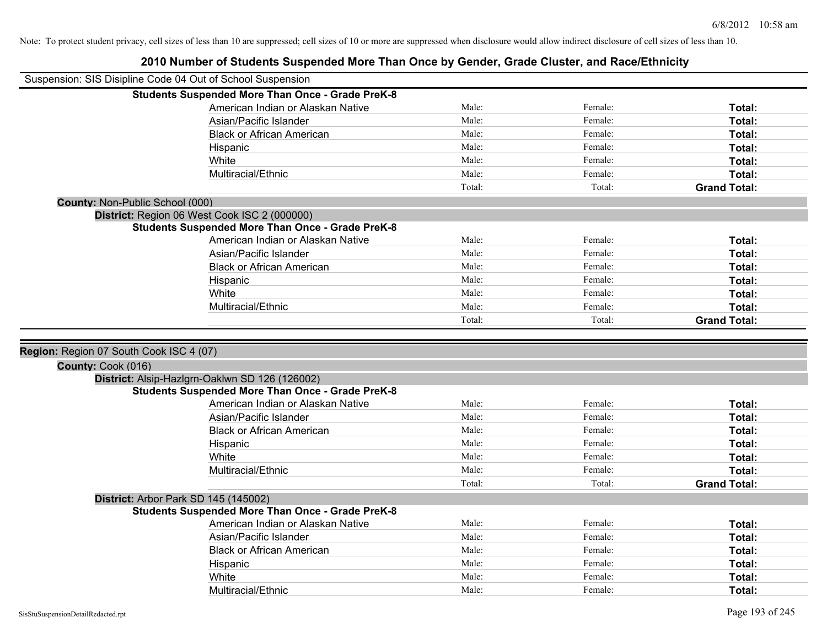|                                         | 2010 Number of Students Suspended More Than Once by Gender, Grade Cluster, and Race/Ethnicity   |        |         |                     |
|-----------------------------------------|-------------------------------------------------------------------------------------------------|--------|---------|---------------------|
|                                         | Suspension: SIS Disipline Code 04 Out of School Suspension                                      |        |         |                     |
|                                         | <b>Students Suspended More Than Once - Grade PreK-8</b>                                         |        |         |                     |
|                                         | American Indian or Alaskan Native                                                               | Male:  | Female: | Total:              |
|                                         | Asian/Pacific Islander                                                                          | Male:  | Female: | <b>Total:</b>       |
|                                         | <b>Black or African American</b>                                                                | Male:  | Female: | Total:              |
|                                         | Hispanic                                                                                        | Male:  | Female: | Total:              |
|                                         | White                                                                                           | Male:  | Female: | Total:              |
|                                         | Multiracial/Ethnic                                                                              | Male:  | Female: | Total:              |
|                                         |                                                                                                 | Total: | Total:  | <b>Grand Total:</b> |
| County: Non-Public School (000)         |                                                                                                 |        |         |                     |
|                                         | District: Region 06 West Cook ISC 2 (000000)                                                    |        |         |                     |
|                                         | <b>Students Suspended More Than Once - Grade PreK-8</b>                                         |        |         |                     |
|                                         | American Indian or Alaskan Native                                                               | Male:  | Female: | Total:              |
|                                         | Asian/Pacific Islander                                                                          | Male:  | Female: | Total:              |
|                                         | <b>Black or African American</b>                                                                | Male:  | Female: | Total:              |
|                                         | Hispanic                                                                                        | Male:  | Female: | Total:              |
|                                         | White                                                                                           | Male:  | Female: | Total:              |
|                                         | Multiracial/Ethnic                                                                              | Male:  | Female: | Total:              |
|                                         |                                                                                                 | Total: | Total:  | <b>Grand Total:</b> |
|                                         |                                                                                                 |        |         |                     |
| Region: Region 07 South Cook ISC 4 (07) |                                                                                                 |        |         |                     |
| County: Cook (016)                      |                                                                                                 |        |         |                     |
|                                         | District: Alsip-Hazlgrn-Oaklwn SD 126 (126002)                                                  |        |         |                     |
|                                         | <b>Students Suspended More Than Once - Grade PreK-8</b>                                         |        |         |                     |
|                                         |                                                                                                 |        |         |                     |
|                                         | American Indian or Alaskan Native                                                               | Male:  | Female: | Total:              |
|                                         | Asian/Pacific Islander                                                                          | Male:  | Female: | Total:              |
|                                         | <b>Black or African American</b>                                                                | Male:  | Female: | Total:              |
|                                         |                                                                                                 | Male:  | Female: | Total:              |
|                                         | Hispanic<br>White                                                                               | Male:  | Female: | Total:              |
|                                         | Multiracial/Ethnic                                                                              | Male:  | Female: | Total:              |
|                                         |                                                                                                 | Total: | Total:  | <b>Grand Total:</b> |
|                                         |                                                                                                 |        |         |                     |
|                                         | District: Arbor Park SD 145 (145002)<br><b>Students Suspended More Than Once - Grade PreK-8</b> |        |         |                     |
|                                         | American Indian or Alaskan Native                                                               | Male:  | Female: | Total:              |
|                                         | Asian/Pacific Islander                                                                          | Male:  | Female: | Total:              |
|                                         | <b>Black or African American</b>                                                                | Male:  | Female: | Total:              |
|                                         | Hispanic                                                                                        | Male:  | Female: | Total:              |
|                                         | White                                                                                           | Male:  | Female: | Total:              |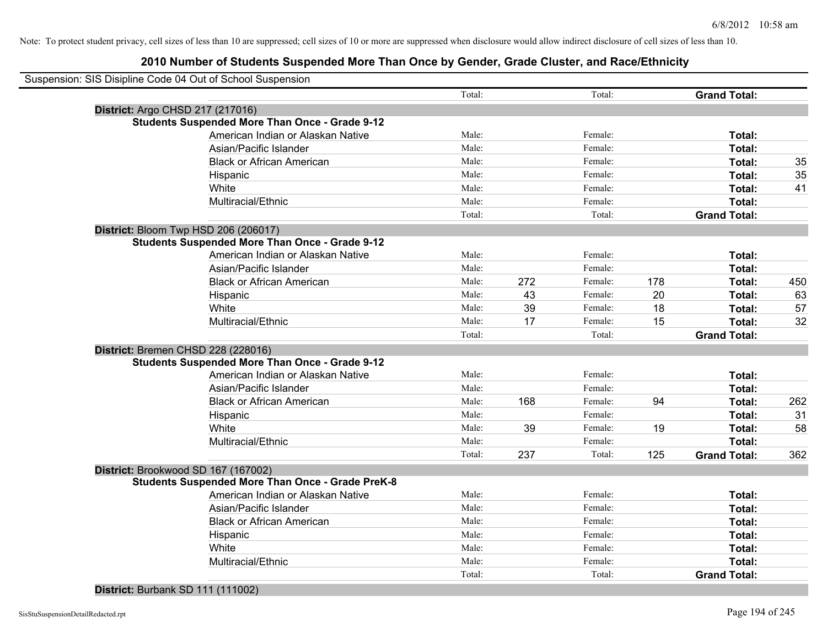|                                  | Suspension: SIS Disipline Code 04 Out of School Suspension |        |     |         |     |                     |     |
|----------------------------------|------------------------------------------------------------|--------|-----|---------|-----|---------------------|-----|
|                                  |                                                            | Total: |     | Total:  |     | <b>Grand Total:</b> |     |
| District: Argo CHSD 217 (217016) |                                                            |        |     |         |     |                     |     |
|                                  | <b>Students Suspended More Than Once - Grade 9-12</b>      |        |     |         |     |                     |     |
|                                  | American Indian or Alaskan Native                          | Male:  |     | Female: |     | Total:              |     |
|                                  | Asian/Pacific Islander                                     | Male:  |     | Female: |     | Total:              |     |
|                                  | <b>Black or African American</b>                           | Male:  |     | Female: |     | Total:              | 35  |
|                                  | Hispanic                                                   | Male:  |     | Female: |     | Total:              | 35  |
|                                  | White                                                      | Male:  |     | Female: |     | Total:              | 41  |
|                                  | Multiracial/Ethnic                                         | Male:  |     | Female: |     | Total:              |     |
|                                  |                                                            | Total: |     | Total:  |     | <b>Grand Total:</b> |     |
|                                  | District: Bloom Twp HSD 206 (206017)                       |        |     |         |     |                     |     |
|                                  | <b>Students Suspended More Than Once - Grade 9-12</b>      |        |     |         |     |                     |     |
|                                  | American Indian or Alaskan Native                          | Male:  |     | Female: |     | Total:              |     |
|                                  | Asian/Pacific Islander                                     | Male:  |     | Female: |     | Total:              |     |
|                                  | <b>Black or African American</b>                           | Male:  | 272 | Female: | 178 | Total:              | 450 |
|                                  | Hispanic                                                   | Male:  | 43  | Female: | 20  | Total:              | 63  |
|                                  | White                                                      | Male:  | 39  | Female: | 18  | Total:              | 57  |
|                                  | Multiracial/Ethnic                                         | Male:  | 17  | Female: | 15  | Total:              | 32  |
|                                  |                                                            | Total: |     | Total:  |     | <b>Grand Total:</b> |     |
|                                  | District: Bremen CHSD 228 (228016)                         |        |     |         |     |                     |     |
|                                  | <b>Students Suspended More Than Once - Grade 9-12</b>      |        |     |         |     |                     |     |
|                                  | American Indian or Alaskan Native                          | Male:  |     | Female: |     | Total:              |     |
|                                  | Asian/Pacific Islander                                     | Male:  |     | Female: |     | Total:              |     |
|                                  | <b>Black or African American</b>                           | Male:  | 168 | Female: | 94  | Total:              | 262 |
|                                  | Hispanic                                                   | Male:  |     | Female: |     | Total:              | 31  |
|                                  | White                                                      | Male:  | 39  | Female: | 19  | Total:              | 58  |
|                                  | Multiracial/Ethnic                                         | Male:  |     | Female: |     | Total:              |     |
|                                  |                                                            | Total: | 237 | Total:  | 125 | <b>Grand Total:</b> | 362 |
|                                  | District: Brookwood SD 167 (167002)                        |        |     |         |     |                     |     |
|                                  | <b>Students Suspended More Than Once - Grade PreK-8</b>    |        |     |         |     |                     |     |
|                                  | American Indian or Alaskan Native                          | Male:  |     | Female: |     | Total:              |     |
|                                  | Asian/Pacific Islander                                     | Male:  |     | Female: |     | Total:              |     |
|                                  | <b>Black or African American</b>                           | Male:  |     | Female: |     | Total:              |     |
|                                  | Hispanic                                                   | Male:  |     | Female: |     | Total:              |     |
|                                  | White                                                      | Male:  |     | Female: |     | Total:              |     |
|                                  | Multiracial/Ethnic                                         | Male:  |     | Female: |     | Total:              |     |
|                                  |                                                            | Total: |     | Total:  |     | <b>Grand Total:</b> |     |
|                                  |                                                            |        |     |         |     |                     |     |

**District:** Burbank SD 111 (111002)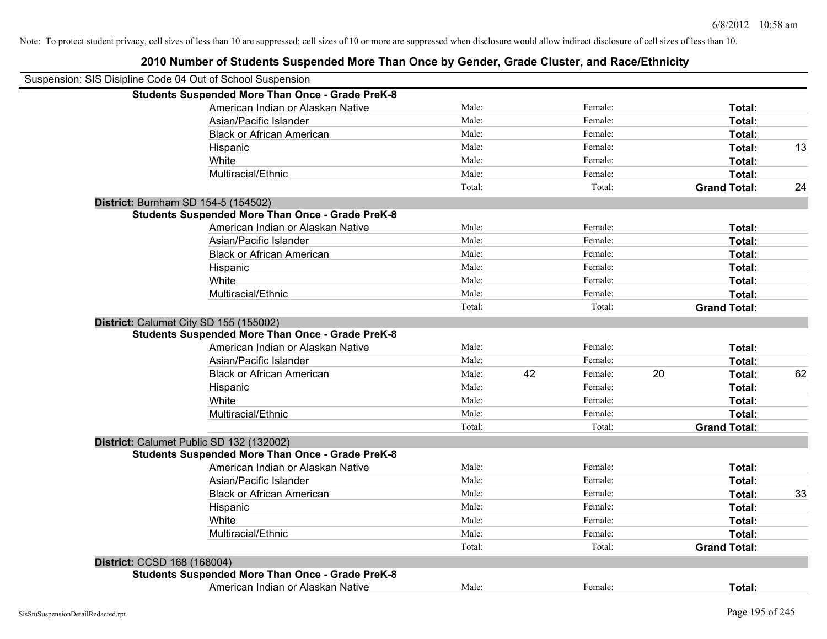|                             | Suspension: SIS Disipline Code 04 Out of School Suspension |        |    |         |    |                     |    |
|-----------------------------|------------------------------------------------------------|--------|----|---------|----|---------------------|----|
|                             | <b>Students Suspended More Than Once - Grade PreK-8</b>    |        |    |         |    |                     |    |
|                             | American Indian or Alaskan Native                          | Male:  |    | Female: |    | Total:              |    |
|                             | Asian/Pacific Islander                                     | Male:  |    | Female: |    | <b>Total:</b>       |    |
|                             | <b>Black or African American</b>                           | Male:  |    | Female: |    | Total:              |    |
|                             | Hispanic                                                   | Male:  |    | Female: |    | Total:              | 13 |
|                             | White                                                      | Male:  |    | Female: |    | Total:              |    |
|                             | Multiracial/Ethnic                                         | Male:  |    | Female: |    | Total:              |    |
|                             |                                                            | Total: |    | Total:  |    | <b>Grand Total:</b> | 24 |
|                             | District: Burnham SD 154-5 (154502)                        |        |    |         |    |                     |    |
|                             | <b>Students Suspended More Than Once - Grade PreK-8</b>    |        |    |         |    |                     |    |
|                             | American Indian or Alaskan Native                          | Male:  |    | Female: |    | Total:              |    |
|                             | Asian/Pacific Islander                                     | Male:  |    | Female: |    | Total:              |    |
|                             | <b>Black or African American</b>                           | Male:  |    | Female: |    | Total:              |    |
|                             | Hispanic                                                   | Male:  |    | Female: |    | Total:              |    |
|                             | White                                                      | Male:  |    | Female: |    | Total:              |    |
|                             | Multiracial/Ethnic                                         | Male:  |    | Female: |    | Total:              |    |
|                             |                                                            | Total: |    | Total:  |    | <b>Grand Total:</b> |    |
|                             | District: Calumet City SD 155 (155002)                     |        |    |         |    |                     |    |
|                             | <b>Students Suspended More Than Once - Grade PreK-8</b>    |        |    |         |    |                     |    |
|                             | American Indian or Alaskan Native                          | Male:  |    | Female: |    | Total:              |    |
|                             | Asian/Pacific Islander                                     | Male:  |    | Female: |    | Total:              |    |
|                             | <b>Black or African American</b>                           | Male:  | 42 | Female: | 20 | Total:              | 62 |
|                             | Hispanic                                                   | Male:  |    | Female: |    | Total:              |    |
|                             | White                                                      | Male:  |    | Female: |    | Total:              |    |
|                             | Multiracial/Ethnic                                         | Male:  |    | Female: |    | Total:              |    |
|                             |                                                            | Total: |    | Total:  |    | <b>Grand Total:</b> |    |
|                             | District: Calumet Public SD 132 (132002)                   |        |    |         |    |                     |    |
|                             | <b>Students Suspended More Than Once - Grade PreK-8</b>    |        |    |         |    |                     |    |
|                             | American Indian or Alaskan Native                          | Male:  |    | Female: |    | Total:              |    |
|                             | Asian/Pacific Islander                                     | Male:  |    | Female: |    | Total:              |    |
|                             | <b>Black or African American</b>                           | Male:  |    | Female: |    | Total:              | 33 |
|                             | Hispanic                                                   | Male:  |    | Female: |    | Total:              |    |
|                             | White                                                      | Male:  |    | Female: |    | Total:              |    |
|                             | Multiracial/Ethnic                                         | Male:  |    | Female: |    | Total:              |    |
|                             |                                                            | Total: |    | Total:  |    | <b>Grand Total:</b> |    |
| District: CCSD 168 (168004) |                                                            |        |    |         |    |                     |    |
|                             | <b>Students Suspended More Than Once - Grade PreK-8</b>    |        |    |         |    |                     |    |
|                             | American Indian or Alaskan Native                          | Male:  |    | Female: |    | Total:              |    |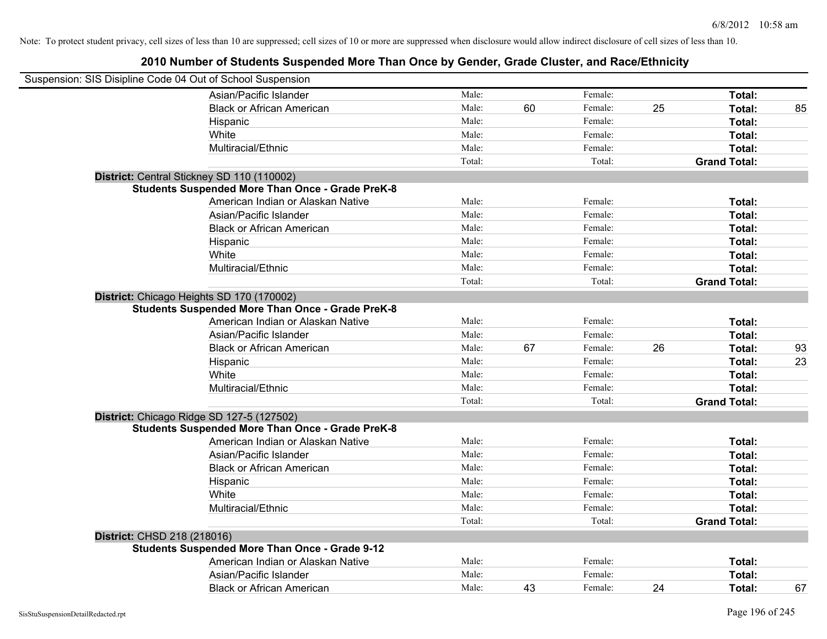| Suspension: SIS Disipline Code 04 Out of School Suspension |                                                         |        |    |         |    |                     |    |
|------------------------------------------------------------|---------------------------------------------------------|--------|----|---------|----|---------------------|----|
|                                                            | Asian/Pacific Islander                                  | Male:  |    | Female: |    | Total:              |    |
|                                                            | <b>Black or African American</b>                        | Male:  | 60 | Female: | 25 | Total:              | 85 |
|                                                            | Hispanic                                                | Male:  |    | Female: |    | Total:              |    |
|                                                            | White                                                   | Male:  |    | Female: |    | Total:              |    |
|                                                            | Multiracial/Ethnic                                      | Male:  |    | Female: |    | Total:              |    |
|                                                            |                                                         | Total: |    | Total:  |    | <b>Grand Total:</b> |    |
|                                                            | District: Central Stickney SD 110 (110002)              |        |    |         |    |                     |    |
|                                                            | <b>Students Suspended More Than Once - Grade PreK-8</b> |        |    |         |    |                     |    |
|                                                            | American Indian or Alaskan Native                       | Male:  |    | Female: |    | Total:              |    |
|                                                            | Asian/Pacific Islander                                  | Male:  |    | Female: |    | Total:              |    |
|                                                            | <b>Black or African American</b>                        | Male:  |    | Female: |    | Total:              |    |
|                                                            | Hispanic                                                | Male:  |    | Female: |    | Total:              |    |
|                                                            | White                                                   | Male:  |    | Female: |    | Total:              |    |
|                                                            | Multiracial/Ethnic                                      | Male:  |    | Female: |    | Total:              |    |
|                                                            |                                                         | Total: |    | Total:  |    | <b>Grand Total:</b> |    |
|                                                            | District: Chicago Heights SD 170 (170002)               |        |    |         |    |                     |    |
|                                                            | <b>Students Suspended More Than Once - Grade PreK-8</b> |        |    |         |    |                     |    |
|                                                            | American Indian or Alaskan Native                       | Male:  |    | Female: |    | Total:              |    |
|                                                            | Asian/Pacific Islander                                  | Male:  |    | Female: |    | Total:              |    |
|                                                            | <b>Black or African American</b>                        | Male:  | 67 | Female: | 26 | Total:              | 93 |
|                                                            | Hispanic                                                | Male:  |    | Female: |    | Total:              | 23 |
|                                                            | White                                                   | Male:  |    | Female: |    | Total:              |    |
|                                                            | Multiracial/Ethnic                                      | Male:  |    | Female: |    | Total:              |    |
|                                                            |                                                         | Total: |    | Total:  |    | <b>Grand Total:</b> |    |
|                                                            | District: Chicago Ridge SD 127-5 (127502)               |        |    |         |    |                     |    |
|                                                            | <b>Students Suspended More Than Once - Grade PreK-8</b> |        |    |         |    |                     |    |
|                                                            | American Indian or Alaskan Native                       | Male:  |    | Female: |    | Total:              |    |
|                                                            | Asian/Pacific Islander                                  | Male:  |    | Female: |    | Total:              |    |
|                                                            | <b>Black or African American</b>                        | Male:  |    | Female: |    | Total:              |    |
|                                                            | Hispanic                                                | Male:  |    | Female: |    | Total:              |    |
|                                                            | White                                                   | Male:  |    | Female: |    | Total:              |    |
|                                                            | Multiracial/Ethnic                                      | Male:  |    | Female: |    | Total:              |    |
|                                                            |                                                         | Total: |    | Total:  |    | <b>Grand Total:</b> |    |
| District: CHSD 218 (218016)                                |                                                         |        |    |         |    |                     |    |
|                                                            | <b>Students Suspended More Than Once - Grade 9-12</b>   |        |    |         |    |                     |    |
|                                                            | American Indian or Alaskan Native                       | Male:  |    | Female: |    | Total:              |    |
|                                                            | Asian/Pacific Islander                                  | Male:  |    | Female: |    | Total:              |    |
|                                                            | <b>Black or African American</b>                        | Male:  | 43 | Female: | 24 | Total:              | 67 |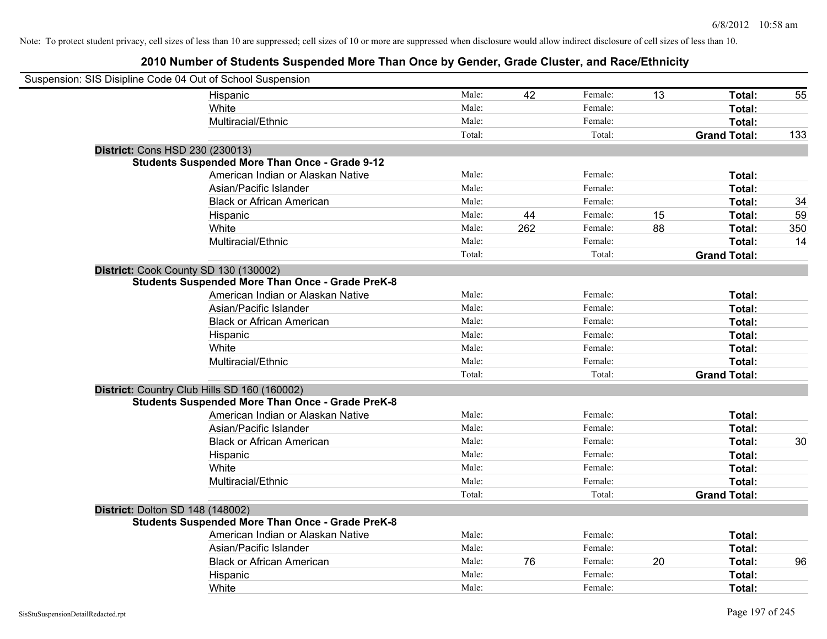| Suspension: SIS Disipline Code 04 Out of School Suspension |                                                         |        |     |         |    |                     |     |
|------------------------------------------------------------|---------------------------------------------------------|--------|-----|---------|----|---------------------|-----|
|                                                            | Hispanic                                                | Male:  | 42  | Female: | 13 | Total:              | 55  |
|                                                            | White                                                   | Male:  |     | Female: |    | <b>Total:</b>       |     |
|                                                            | Multiracial/Ethnic                                      | Male:  |     | Female: |    | Total:              |     |
|                                                            |                                                         | Total: |     | Total:  |    | <b>Grand Total:</b> | 133 |
| District: Cons HSD 230 (230013)                            |                                                         |        |     |         |    |                     |     |
|                                                            | <b>Students Suspended More Than Once - Grade 9-12</b>   |        |     |         |    |                     |     |
|                                                            | American Indian or Alaskan Native                       | Male:  |     | Female: |    | Total:              |     |
|                                                            | Asian/Pacific Islander                                  | Male:  |     | Female: |    | Total:              |     |
|                                                            | <b>Black or African American</b>                        | Male:  |     | Female: |    | Total:              | 34  |
|                                                            | Hispanic                                                | Male:  | 44  | Female: | 15 | Total:              | 59  |
|                                                            | White                                                   | Male:  | 262 | Female: | 88 | Total:              | 350 |
|                                                            | Multiracial/Ethnic                                      | Male:  |     | Female: |    | Total:              | 14  |
|                                                            |                                                         | Total: |     | Total:  |    | <b>Grand Total:</b> |     |
| District: Cook County SD 130 (130002)                      |                                                         |        |     |         |    |                     |     |
|                                                            | <b>Students Suspended More Than Once - Grade PreK-8</b> |        |     |         |    |                     |     |
|                                                            | American Indian or Alaskan Native                       | Male:  |     | Female: |    | Total:              |     |
|                                                            | Asian/Pacific Islander                                  | Male:  |     | Female: |    | Total:              |     |
|                                                            | <b>Black or African American</b>                        | Male:  |     | Female: |    | Total:              |     |
|                                                            | Hispanic                                                | Male:  |     | Female: |    | Total:              |     |
|                                                            | White                                                   | Male:  |     | Female: |    | Total:              |     |
|                                                            | Multiracial/Ethnic                                      | Male:  |     | Female: |    | Total:              |     |
|                                                            |                                                         | Total: |     | Total:  |    | <b>Grand Total:</b> |     |
|                                                            | District: Country Club Hills SD 160 (160002)            |        |     |         |    |                     |     |
|                                                            | <b>Students Suspended More Than Once - Grade PreK-8</b> |        |     |         |    |                     |     |
|                                                            | American Indian or Alaskan Native                       | Male:  |     | Female: |    | Total:              |     |
|                                                            | Asian/Pacific Islander                                  | Male:  |     | Female: |    | Total:              |     |
|                                                            | <b>Black or African American</b>                        | Male:  |     | Female: |    | Total:              | 30  |
|                                                            | Hispanic                                                | Male:  |     | Female: |    | Total:              |     |
|                                                            | White                                                   | Male:  |     | Female: |    | Total:              |     |
|                                                            | Multiracial/Ethnic                                      | Male:  |     | Female: |    | Total:              |     |
|                                                            |                                                         | Total: |     | Total:  |    | <b>Grand Total:</b> |     |
| District: Dolton SD 148 (148002)                           |                                                         |        |     |         |    |                     |     |
|                                                            | <b>Students Suspended More Than Once - Grade PreK-8</b> |        |     |         |    |                     |     |
|                                                            | American Indian or Alaskan Native                       | Male:  |     | Female: |    | Total:              |     |
|                                                            | Asian/Pacific Islander                                  | Male:  |     | Female: |    | Total:              |     |
|                                                            | <b>Black or African American</b>                        | Male:  | 76  | Female: | 20 | Total:              | 96  |
|                                                            | Hispanic                                                | Male:  |     | Female: |    | Total:              |     |
|                                                            | White                                                   | Male:  |     | Female: |    | Total:              |     |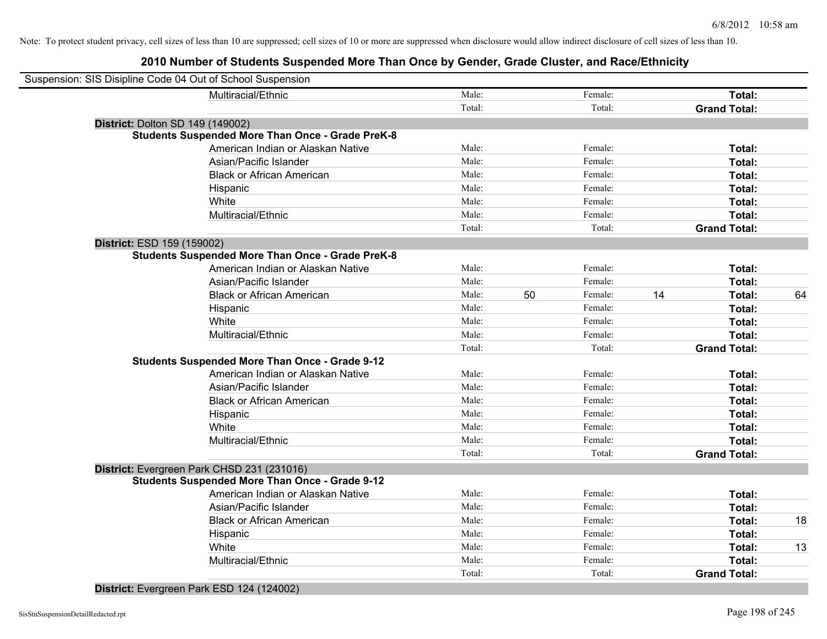# **2010 Number of Students Suspended More Than Once by Gender, Grade Cluster, and Race/Ethnicity**

| Suspension: SIS Disipline Code 04 Out of School Suspension |                                                         |        |    |         |    |                     |    |
|------------------------------------------------------------|---------------------------------------------------------|--------|----|---------|----|---------------------|----|
|                                                            | Multiracial/Ethnic                                      | Male:  |    | Female: |    | Total:              |    |
|                                                            |                                                         | Total: |    | Total:  |    | <b>Grand Total:</b> |    |
| District: Dolton SD 149 (149002)                           |                                                         |        |    |         |    |                     |    |
|                                                            | <b>Students Suspended More Than Once - Grade PreK-8</b> |        |    |         |    |                     |    |
|                                                            | American Indian or Alaskan Native                       | Male:  |    | Female: |    | Total:              |    |
|                                                            | Asian/Pacific Islander                                  | Male:  |    | Female: |    | Total:              |    |
|                                                            | <b>Black or African American</b>                        | Male:  |    | Female: |    | Total:              |    |
|                                                            | Hispanic                                                | Male:  |    | Female: |    | Total:              |    |
|                                                            | White                                                   | Male:  |    | Female: |    | Total:              |    |
|                                                            | Multiracial/Ethnic                                      | Male:  |    | Female: |    | Total:              |    |
|                                                            |                                                         | Total: |    | Total:  |    | <b>Grand Total:</b> |    |
| District: ESD 159 (159002)                                 |                                                         |        |    |         |    |                     |    |
|                                                            | <b>Students Suspended More Than Once - Grade PreK-8</b> |        |    |         |    |                     |    |
|                                                            | American Indian or Alaskan Native                       | Male:  |    | Female: |    | Total:              |    |
|                                                            | Asian/Pacific Islander                                  | Male:  |    | Female: |    | Total:              |    |
|                                                            | <b>Black or African American</b>                        | Male:  | 50 | Female: | 14 | Total:              | 64 |
|                                                            | Hispanic                                                | Male:  |    | Female: |    | Total:              |    |
|                                                            | White                                                   | Male:  |    | Female: |    | Total:              |    |
|                                                            | Multiracial/Ethnic                                      | Male:  |    | Female: |    | Total:              |    |
|                                                            |                                                         | Total: |    | Total:  |    | <b>Grand Total:</b> |    |
|                                                            | <b>Students Suspended More Than Once - Grade 9-12</b>   |        |    |         |    |                     |    |
|                                                            | American Indian or Alaskan Native                       | Male:  |    | Female: |    | Total:              |    |
|                                                            | Asian/Pacific Islander                                  | Male:  |    | Female: |    | Total:              |    |
|                                                            | <b>Black or African American</b>                        | Male:  |    | Female: |    | Total:              |    |
|                                                            | Hispanic                                                | Male:  |    | Female: |    | Total:              |    |
|                                                            | White                                                   | Male:  |    | Female: |    | Total:              |    |
|                                                            | Multiracial/Ethnic                                      | Male:  |    | Female: |    | Total:              |    |
|                                                            |                                                         | Total: |    | Total:  |    | <b>Grand Total:</b> |    |
|                                                            | District: Evergreen Park CHSD 231 (231016)              |        |    |         |    |                     |    |
|                                                            | <b>Students Suspended More Than Once - Grade 9-12</b>   |        |    |         |    |                     |    |
|                                                            | American Indian or Alaskan Native                       | Male:  |    | Female: |    | Total:              |    |
|                                                            | Asian/Pacific Islander                                  | Male:  |    | Female: |    | Total:              |    |
|                                                            | <b>Black or African American</b>                        | Male:  |    | Female: |    | Total:              | 18 |
|                                                            | Hispanic                                                | Male:  |    | Female: |    | Total:              |    |
|                                                            | White                                                   | Male:  |    | Female: |    | Total:              | 13 |
|                                                            | Multiracial/Ethnic                                      | Male:  |    | Female: |    | Total:              |    |
|                                                            |                                                         | Total: |    | Total:  |    | <b>Grand Total:</b> |    |
|                                                            |                                                         |        |    |         |    |                     |    |

**District:** Evergreen Park ESD 124 (124002)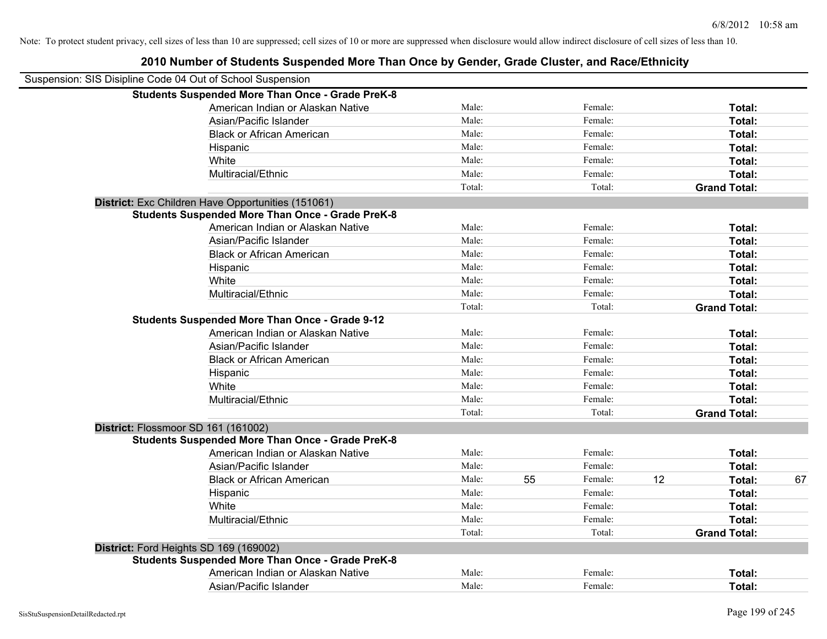| Suspension: SIS Disipline Code 04 Out of School Suspension |                                                         |        |    |         |    |                     |    |
|------------------------------------------------------------|---------------------------------------------------------|--------|----|---------|----|---------------------|----|
|                                                            | <b>Students Suspended More Than Once - Grade PreK-8</b> |        |    |         |    |                     |    |
|                                                            | American Indian or Alaskan Native                       | Male:  |    | Female: |    | Total:              |    |
|                                                            | Asian/Pacific Islander                                  | Male:  |    | Female: |    | Total:              |    |
|                                                            | <b>Black or African American</b>                        | Male:  |    | Female: |    | Total:              |    |
| Hispanic                                                   |                                                         | Male:  |    | Female: |    | Total:              |    |
| White                                                      |                                                         | Male:  |    | Female: |    | Total:              |    |
|                                                            | Multiracial/Ethnic                                      | Male:  |    | Female: |    | Total:              |    |
|                                                            |                                                         | Total: |    | Total:  |    | <b>Grand Total:</b> |    |
| District: Exc Children Have Opportunities (151061)         |                                                         |        |    |         |    |                     |    |
|                                                            | <b>Students Suspended More Than Once - Grade PreK-8</b> |        |    |         |    |                     |    |
|                                                            | American Indian or Alaskan Native                       | Male:  |    | Female: |    | Total:              |    |
|                                                            | Asian/Pacific Islander                                  | Male:  |    | Female: |    | Total:              |    |
|                                                            | <b>Black or African American</b>                        | Male:  |    | Female: |    | Total:              |    |
| Hispanic                                                   |                                                         | Male:  |    | Female: |    | Total:              |    |
| White                                                      |                                                         | Male:  |    | Female: |    | Total:              |    |
|                                                            | Multiracial/Ethnic                                      | Male:  |    | Female: |    | Total:              |    |
|                                                            |                                                         | Total: |    | Total:  |    | <b>Grand Total:</b> |    |
|                                                            | <b>Students Suspended More Than Once - Grade 9-12</b>   |        |    |         |    |                     |    |
|                                                            | American Indian or Alaskan Native                       | Male:  |    | Female: |    | Total:              |    |
|                                                            | Asian/Pacific Islander                                  | Male:  |    | Female: |    | Total:              |    |
|                                                            | <b>Black or African American</b>                        | Male:  |    | Female: |    | Total:              |    |
| Hispanic                                                   |                                                         | Male:  |    | Female: |    | Total:              |    |
| White                                                      |                                                         | Male:  |    | Female: |    | Total:              |    |
|                                                            | Multiracial/Ethnic                                      | Male:  |    | Female: |    | Total:              |    |
|                                                            |                                                         | Total: |    | Total:  |    | <b>Grand Total:</b> |    |
| District: Flossmoor SD 161 (161002)                        |                                                         |        |    |         |    |                     |    |
|                                                            | <b>Students Suspended More Than Once - Grade PreK-8</b> |        |    |         |    |                     |    |
|                                                            | American Indian or Alaskan Native                       | Male:  |    | Female: |    | Total:              |    |
|                                                            | Asian/Pacific Islander                                  | Male:  |    | Female: |    | Total:              |    |
|                                                            | <b>Black or African American</b>                        | Male:  | 55 | Female: | 12 | Total:              | 67 |
| Hispanic                                                   |                                                         | Male:  |    | Female: |    | Total:              |    |
| White                                                      |                                                         | Male:  |    | Female: |    | Total:              |    |
|                                                            | Multiracial/Ethnic                                      | Male:  |    | Female: |    | Total:              |    |
|                                                            |                                                         | Total: |    | Total:  |    | <b>Grand Total:</b> |    |
| District: Ford Heights SD 169 (169002)                     |                                                         |        |    |         |    |                     |    |
|                                                            | <b>Students Suspended More Than Once - Grade PreK-8</b> |        |    |         |    |                     |    |
|                                                            | American Indian or Alaskan Native                       | Male:  |    | Female: |    | <b>Total:</b>       |    |
|                                                            | Asian/Pacific Islander                                  | Male:  |    | Female: |    | Total:              |    |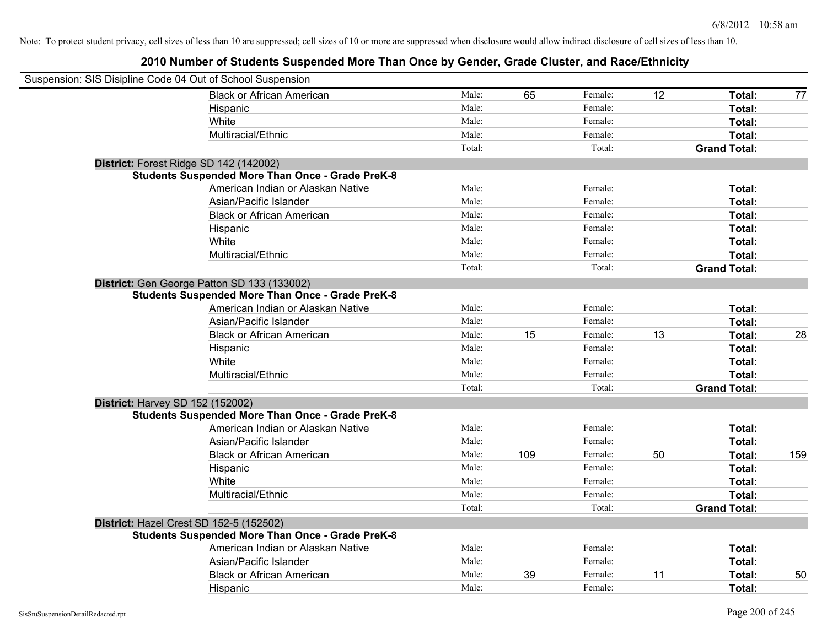| Suspension: SIS Disipline Code 04 Out of School Suspension |        |     |         |    |                     |     |
|------------------------------------------------------------|--------|-----|---------|----|---------------------|-----|
| <b>Black or African American</b>                           | Male:  | 65  | Female: | 12 | Total:              | 77  |
| Hispanic                                                   | Male:  |     | Female: |    | <b>Total:</b>       |     |
| White                                                      | Male:  |     | Female: |    | Total:              |     |
| Multiracial/Ethnic                                         | Male:  |     | Female: |    | Total:              |     |
|                                                            | Total: |     | Total:  |    | <b>Grand Total:</b> |     |
| District: Forest Ridge SD 142 (142002)                     |        |     |         |    |                     |     |
| <b>Students Suspended More Than Once - Grade PreK-8</b>    |        |     |         |    |                     |     |
| American Indian or Alaskan Native                          | Male:  |     | Female: |    | Total:              |     |
| Asian/Pacific Islander                                     | Male:  |     | Female: |    | Total:              |     |
| <b>Black or African American</b>                           | Male:  |     | Female: |    | Total:              |     |
| Hispanic                                                   | Male:  |     | Female: |    | Total:              |     |
| White                                                      | Male:  |     | Female: |    | Total:              |     |
| Multiracial/Ethnic                                         | Male:  |     | Female: |    | Total:              |     |
|                                                            | Total: |     | Total:  |    | <b>Grand Total:</b> |     |
| District: Gen George Patton SD 133 (133002)                |        |     |         |    |                     |     |
| <b>Students Suspended More Than Once - Grade PreK-8</b>    |        |     |         |    |                     |     |
| American Indian or Alaskan Native                          | Male:  |     | Female: |    | Total:              |     |
| Asian/Pacific Islander                                     | Male:  |     | Female: |    | Total:              |     |
| <b>Black or African American</b>                           | Male:  | 15  | Female: | 13 | Total:              | 28  |
| Hispanic                                                   | Male:  |     | Female: |    | Total:              |     |
| White                                                      | Male:  |     | Female: |    | Total:              |     |
| Multiracial/Ethnic                                         | Male:  |     | Female: |    | Total:              |     |
|                                                            | Total: |     | Total:  |    | <b>Grand Total:</b> |     |
| District: Harvey SD 152 (152002)                           |        |     |         |    |                     |     |
| <b>Students Suspended More Than Once - Grade PreK-8</b>    |        |     |         |    |                     |     |
| American Indian or Alaskan Native                          | Male:  |     | Female: |    | Total:              |     |
| Asian/Pacific Islander                                     | Male:  |     | Female: |    | Total:              |     |
| <b>Black or African American</b>                           | Male:  | 109 | Female: | 50 | Total:              | 159 |
| Hispanic                                                   | Male:  |     | Female: |    | Total:              |     |
| White                                                      | Male:  |     | Female: |    | Total:              |     |
| Multiracial/Ethnic                                         | Male:  |     | Female: |    | Total:              |     |
|                                                            | Total: |     | Total:  |    | <b>Grand Total:</b> |     |
| District: Hazel Crest SD 152-5 (152502)                    |        |     |         |    |                     |     |
| <b>Students Suspended More Than Once - Grade PreK-8</b>    |        |     |         |    |                     |     |
| American Indian or Alaskan Native                          | Male:  |     | Female: |    | Total:              |     |
| Asian/Pacific Islander                                     | Male:  |     | Female: |    | Total:              |     |
| <b>Black or African American</b>                           | Male:  | 39  | Female: | 11 | Total:              | 50  |
| Hispanic                                                   | Male:  |     | Female: |    | Total:              |     |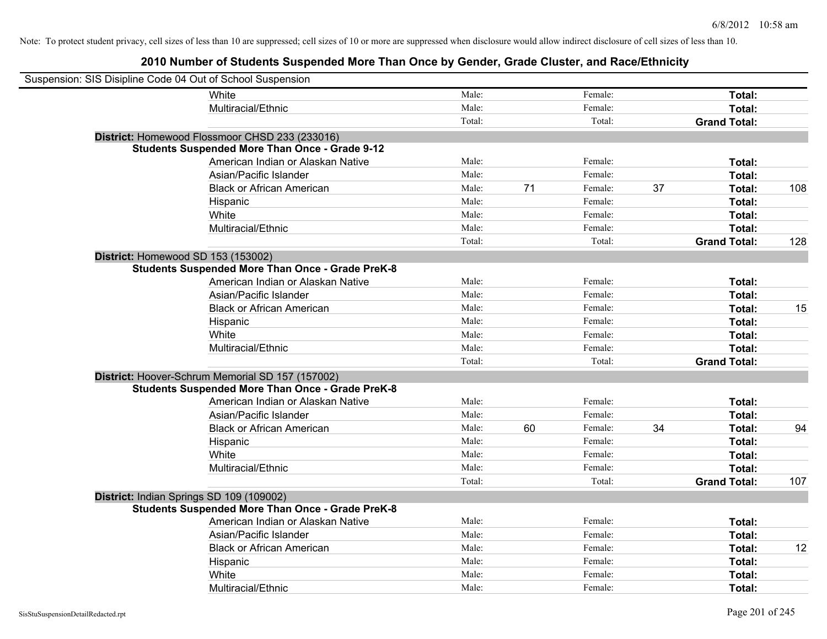| Suspension: SIS Disipline Code 04 Out of School Suspension |                                                         |        |    |         |    |                     |     |
|------------------------------------------------------------|---------------------------------------------------------|--------|----|---------|----|---------------------|-----|
|                                                            | White                                                   | Male:  |    | Female: |    | Total:              |     |
|                                                            | Multiracial/Ethnic                                      | Male:  |    | Female: |    | Total:              |     |
|                                                            |                                                         | Total: |    | Total:  |    | <b>Grand Total:</b> |     |
|                                                            | District: Homewood Flossmoor CHSD 233 (233016)          |        |    |         |    |                     |     |
|                                                            | <b>Students Suspended More Than Once - Grade 9-12</b>   |        |    |         |    |                     |     |
|                                                            | American Indian or Alaskan Native                       | Male:  |    | Female: |    | Total:              |     |
|                                                            | Asian/Pacific Islander                                  | Male:  |    | Female: |    | Total:              |     |
|                                                            | <b>Black or African American</b>                        | Male:  | 71 | Female: | 37 | Total:              | 108 |
|                                                            | Hispanic                                                | Male:  |    | Female: |    | Total:              |     |
|                                                            | White                                                   | Male:  |    | Female: |    | Total:              |     |
|                                                            | Multiracial/Ethnic                                      | Male:  |    | Female: |    | Total:              |     |
|                                                            |                                                         | Total: |    | Total:  |    | <b>Grand Total:</b> | 128 |
| District: Homewood SD 153 (153002)                         |                                                         |        |    |         |    |                     |     |
|                                                            | <b>Students Suspended More Than Once - Grade PreK-8</b> |        |    |         |    |                     |     |
|                                                            | American Indian or Alaskan Native                       | Male:  |    | Female: |    | Total:              |     |
|                                                            | Asian/Pacific Islander                                  | Male:  |    | Female: |    | Total:              |     |
|                                                            | <b>Black or African American</b>                        | Male:  |    | Female: |    | Total:              | 15  |
|                                                            | Hispanic                                                | Male:  |    | Female: |    | Total:              |     |
|                                                            | White                                                   | Male:  |    | Female: |    | Total:              |     |
|                                                            | Multiracial/Ethnic                                      | Male:  |    | Female: |    | Total:              |     |
|                                                            |                                                         | Total: |    | Total:  |    | <b>Grand Total:</b> |     |
|                                                            | District: Hoover-Schrum Memorial SD 157 (157002)        |        |    |         |    |                     |     |
|                                                            | <b>Students Suspended More Than Once - Grade PreK-8</b> |        |    |         |    |                     |     |
|                                                            | American Indian or Alaskan Native                       | Male:  |    | Female: |    | Total:              |     |
|                                                            | Asian/Pacific Islander                                  | Male:  |    | Female: |    | Total:              |     |
|                                                            | <b>Black or African American</b>                        | Male:  | 60 | Female: | 34 | Total:              | 94  |
|                                                            | Hispanic                                                | Male:  |    | Female: |    | Total:              |     |
|                                                            | White                                                   | Male:  |    | Female: |    | Total:              |     |
|                                                            | Multiracial/Ethnic                                      | Male:  |    | Female: |    | Total:              |     |
|                                                            |                                                         | Total: |    | Total:  |    | <b>Grand Total:</b> | 107 |
| District: Indian Springs SD 109 (109002)                   |                                                         |        |    |         |    |                     |     |
|                                                            | <b>Students Suspended More Than Once - Grade PreK-8</b> |        |    |         |    |                     |     |
|                                                            | American Indian or Alaskan Native                       | Male:  |    | Female: |    | Total:              |     |
|                                                            | Asian/Pacific Islander                                  | Male:  |    | Female: |    | Total:              |     |
|                                                            | <b>Black or African American</b>                        | Male:  |    | Female: |    | Total:              | 12  |
|                                                            | Hispanic                                                | Male:  |    | Female: |    | Total:              |     |
|                                                            | White                                                   | Male:  |    | Female: |    | Total:              |     |
|                                                            | Multiracial/Ethnic                                      | Male:  |    | Female: |    | Total:              |     |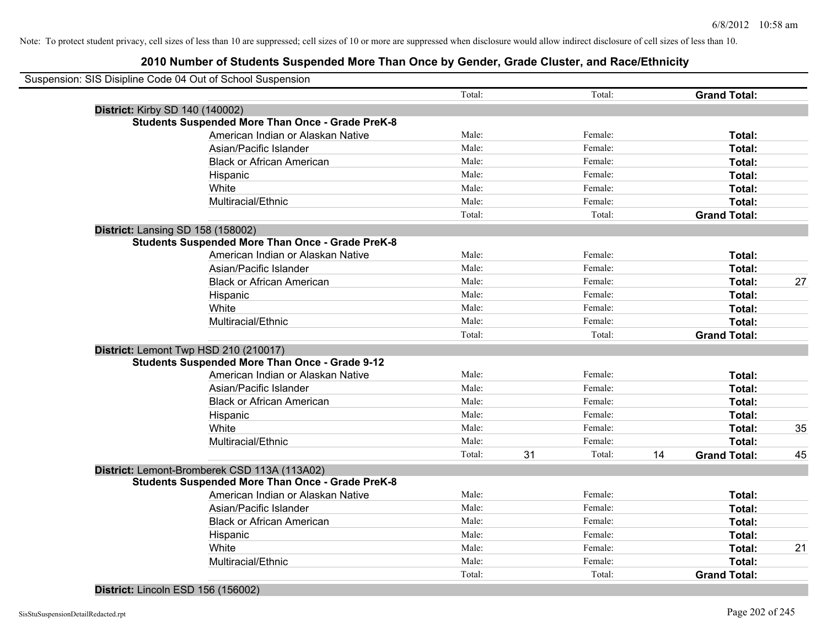|                                          | Suspension: SIS Disipline Code 04 Out of School Suspension |        |    |         |    |                     |    |
|------------------------------------------|------------------------------------------------------------|--------|----|---------|----|---------------------|----|
|                                          |                                                            | Total: |    | Total:  |    | <b>Grand Total:</b> |    |
| District: Kirby SD 140 (140002)          |                                                            |        |    |         |    |                     |    |
|                                          | <b>Students Suspended More Than Once - Grade PreK-8</b>    |        |    |         |    |                     |    |
|                                          | American Indian or Alaskan Native                          | Male:  |    | Female: |    | Total:              |    |
|                                          | Asian/Pacific Islander                                     | Male:  |    | Female: |    | Total:              |    |
|                                          | <b>Black or African American</b>                           | Male:  |    | Female: |    | Total:              |    |
|                                          | Hispanic                                                   | Male:  |    | Female: |    | Total:              |    |
|                                          | White                                                      | Male:  |    | Female: |    | Total:              |    |
|                                          | Multiracial/Ethnic                                         | Male:  |    | Female: |    | Total:              |    |
|                                          |                                                            | Total: |    | Total:  |    | <b>Grand Total:</b> |    |
| <b>District: Lansing SD 158 (158002)</b> |                                                            |        |    |         |    |                     |    |
|                                          | <b>Students Suspended More Than Once - Grade PreK-8</b>    |        |    |         |    |                     |    |
|                                          | American Indian or Alaskan Native                          | Male:  |    | Female: |    | Total:              |    |
|                                          | Asian/Pacific Islander                                     | Male:  |    | Female: |    | Total:              |    |
|                                          | <b>Black or African American</b>                           | Male:  |    | Female: |    | Total:              | 27 |
|                                          | Hispanic                                                   | Male:  |    | Female: |    | Total:              |    |
|                                          | White                                                      | Male:  |    | Female: |    | Total:              |    |
|                                          | Multiracial/Ethnic                                         | Male:  |    | Female: |    | Total:              |    |
|                                          |                                                            | Total: |    | Total:  |    | <b>Grand Total:</b> |    |
|                                          | District: Lemont Twp HSD 210 (210017)                      |        |    |         |    |                     |    |
|                                          | <b>Students Suspended More Than Once - Grade 9-12</b>      |        |    |         |    |                     |    |
|                                          | American Indian or Alaskan Native                          | Male:  |    | Female: |    | Total:              |    |
|                                          | Asian/Pacific Islander                                     | Male:  |    | Female: |    | Total:              |    |
|                                          | <b>Black or African American</b>                           | Male:  |    | Female: |    | Total:              |    |
|                                          | Hispanic                                                   | Male:  |    | Female: |    | Total:              |    |
|                                          | White                                                      | Male:  |    | Female: |    | Total:              | 35 |
|                                          | Multiracial/Ethnic                                         | Male:  |    | Female: |    | Total:              |    |
|                                          |                                                            | Total: | 31 | Total:  | 14 | <b>Grand Total:</b> | 45 |
|                                          | District: Lemont-Bromberek CSD 113A (113A02)               |        |    |         |    |                     |    |
|                                          | <b>Students Suspended More Than Once - Grade PreK-8</b>    |        |    |         |    |                     |    |
|                                          | American Indian or Alaskan Native                          | Male:  |    | Female: |    | Total:              |    |
|                                          | Asian/Pacific Islander                                     | Male:  |    | Female: |    | Total:              |    |
|                                          | <b>Black or African American</b>                           | Male:  |    | Female: |    | Total:              |    |
|                                          | Hispanic                                                   | Male:  |    | Female: |    | Total:              |    |
|                                          | White                                                      | Male:  |    | Female: |    | Total:              | 21 |
|                                          | Multiracial/Ethnic                                         | Male:  |    | Female: |    | Total:              |    |
|                                          |                                                            |        |    |         |    |                     |    |

**District:** Lincoln ESD 156 (156002)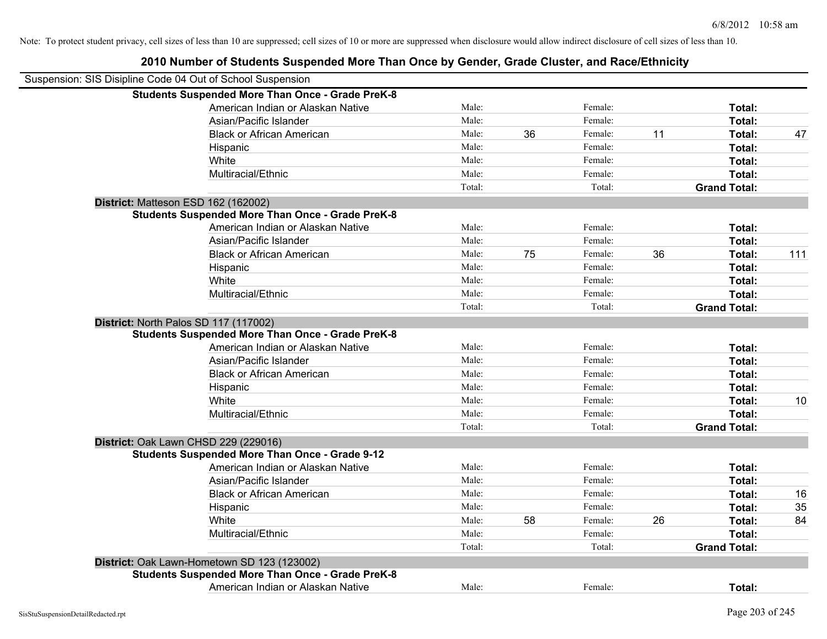| Suspension: SIS Disipline Code 04 Out of School Suspension |        |    |         |    |                     |     |
|------------------------------------------------------------|--------|----|---------|----|---------------------|-----|
| <b>Students Suspended More Than Once - Grade PreK-8</b>    |        |    |         |    |                     |     |
| American Indian or Alaskan Native                          | Male:  |    | Female: |    | Total:              |     |
| Asian/Pacific Islander                                     | Male:  |    | Female: |    | Total:              |     |
| <b>Black or African American</b>                           | Male:  | 36 | Female: | 11 | Total:              | 47  |
| Hispanic                                                   | Male:  |    | Female: |    | Total:              |     |
| White                                                      | Male:  |    | Female: |    | Total:              |     |
| Multiracial/Ethnic                                         | Male:  |    | Female: |    | Total:              |     |
|                                                            | Total: |    | Total:  |    | <b>Grand Total:</b> |     |
| District: Matteson ESD 162 (162002)                        |        |    |         |    |                     |     |
| <b>Students Suspended More Than Once - Grade PreK-8</b>    |        |    |         |    |                     |     |
| American Indian or Alaskan Native                          | Male:  |    | Female: |    | Total:              |     |
| Asian/Pacific Islander                                     | Male:  |    | Female: |    | Total:              |     |
| <b>Black or African American</b>                           | Male:  | 75 | Female: | 36 | Total:              | 111 |
| Hispanic                                                   | Male:  |    | Female: |    | Total:              |     |
| White                                                      | Male:  |    | Female: |    | Total:              |     |
| Multiracial/Ethnic                                         | Male:  |    | Female: |    | Total:              |     |
|                                                            | Total: |    | Total:  |    | <b>Grand Total:</b> |     |
| District: North Palos SD 117 (117002)                      |        |    |         |    |                     |     |
| <b>Students Suspended More Than Once - Grade PreK-8</b>    |        |    |         |    |                     |     |
| American Indian or Alaskan Native                          | Male:  |    | Female: |    | Total:              |     |
| Asian/Pacific Islander                                     | Male:  |    | Female: |    | Total:              |     |
| <b>Black or African American</b>                           | Male:  |    | Female: |    | Total:              |     |
| Hispanic                                                   | Male:  |    | Female: |    | Total:              |     |
| White                                                      | Male:  |    | Female: |    | Total:              | 10  |
| Multiracial/Ethnic                                         | Male:  |    | Female: |    | Total:              |     |
|                                                            | Total: |    | Total:  |    | <b>Grand Total:</b> |     |
| District: Oak Lawn CHSD 229 (229016)                       |        |    |         |    |                     |     |
| <b>Students Suspended More Than Once - Grade 9-12</b>      |        |    |         |    |                     |     |
| American Indian or Alaskan Native                          | Male:  |    | Female: |    | Total:              |     |
| Asian/Pacific Islander                                     | Male:  |    | Female: |    | Total:              |     |
| <b>Black or African American</b>                           | Male:  |    | Female: |    | Total:              | 16  |
| Hispanic                                                   | Male:  |    | Female: |    | Total:              | 35  |
| White                                                      | Male:  | 58 | Female: | 26 | Total:              | 84  |
| Multiracial/Ethnic                                         | Male:  |    | Female: |    | Total:              |     |
|                                                            | Total: |    | Total:  |    | <b>Grand Total:</b> |     |
| District: Oak Lawn-Hometown SD 123 (123002)                |        |    |         |    |                     |     |
| <b>Students Suspended More Than Once - Grade PreK-8</b>    |        |    |         |    |                     |     |
| American Indian or Alaskan Native                          | Male:  |    | Female: |    | Total:              |     |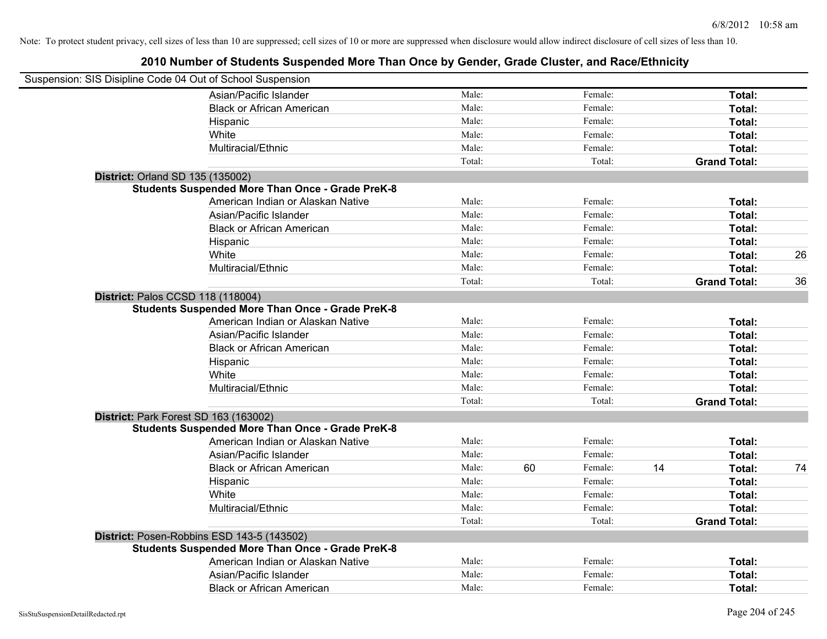| Suspension: SIS Disipline Code 04 Out of School Suspension |                                                         |        |               |                     |        |    |
|------------------------------------------------------------|---------------------------------------------------------|--------|---------------|---------------------|--------|----|
|                                                            | Asian/Pacific Islander                                  | Male:  | Female:       |                     | Total: |    |
|                                                            | <b>Black or African American</b>                        | Male:  | Female:       |                     | Total: |    |
|                                                            | Hispanic                                                | Male:  | Female:       |                     | Total: |    |
|                                                            | White                                                   | Male:  | Female:       |                     | Total: |    |
|                                                            | Multiracial/Ethnic                                      | Male:  | Female:       |                     | Total: |    |
|                                                            |                                                         | Total: | Total:        | <b>Grand Total:</b> |        |    |
| <b>District: Orland SD 135 (135002)</b>                    |                                                         |        |               |                     |        |    |
|                                                            | <b>Students Suspended More Than Once - Grade PreK-8</b> |        |               |                     |        |    |
|                                                            | American Indian or Alaskan Native                       | Male:  | Female:       |                     | Total: |    |
|                                                            | Asian/Pacific Islander                                  | Male:  | Female:       |                     | Total: |    |
|                                                            | <b>Black or African American</b>                        | Male:  | Female:       |                     | Total: |    |
|                                                            | Hispanic                                                | Male:  | Female:       |                     | Total: |    |
|                                                            | White                                                   | Male:  | Female:       |                     | Total: | 26 |
|                                                            | Multiracial/Ethnic                                      | Male:  | Female:       |                     | Total: |    |
|                                                            |                                                         | Total: | Total:        | <b>Grand Total:</b> |        | 36 |
| District: Palos CCSD 118 (118004)                          |                                                         |        |               |                     |        |    |
|                                                            | <b>Students Suspended More Than Once - Grade PreK-8</b> |        |               |                     |        |    |
|                                                            | American Indian or Alaskan Native                       | Male:  | Female:       |                     | Total: |    |
|                                                            | Asian/Pacific Islander                                  | Male:  | Female:       |                     | Total: |    |
|                                                            | <b>Black or African American</b>                        | Male:  | Female:       |                     | Total: |    |
|                                                            | Hispanic                                                | Male:  | Female:       |                     | Total: |    |
|                                                            | White                                                   | Male:  | Female:       |                     | Total: |    |
|                                                            | Multiracial/Ethnic                                      | Male:  | Female:       |                     | Total: |    |
|                                                            |                                                         | Total: | Total:        | <b>Grand Total:</b> |        |    |
| District: Park Forest SD 163 (163002)                      |                                                         |        |               |                     |        |    |
|                                                            | <b>Students Suspended More Than Once - Grade PreK-8</b> |        |               |                     |        |    |
|                                                            | American Indian or Alaskan Native                       | Male:  | Female:       |                     | Total: |    |
|                                                            | Asian/Pacific Islander                                  | Male:  | Female:       |                     | Total: |    |
|                                                            | <b>Black or African American</b>                        | Male:  | 60<br>Female: | 14                  | Total: | 74 |
|                                                            | Hispanic                                                | Male:  | Female:       |                     | Total: |    |
|                                                            | White                                                   | Male:  | Female:       |                     | Total: |    |
|                                                            | Multiracial/Ethnic                                      | Male:  | Female:       |                     | Total: |    |
|                                                            |                                                         | Total: | Total:        | <b>Grand Total:</b> |        |    |
|                                                            | District: Posen-Robbins ESD 143-5 (143502)              |        |               |                     |        |    |
|                                                            | <b>Students Suspended More Than Once - Grade PreK-8</b> |        |               |                     |        |    |
|                                                            | American Indian or Alaskan Native                       | Male:  | Female:       |                     | Total: |    |
|                                                            | Asian/Pacific Islander                                  | Male:  | Female:       |                     | Total: |    |
|                                                            | <b>Black or African American</b>                        | Male:  | Female:       |                     | Total: |    |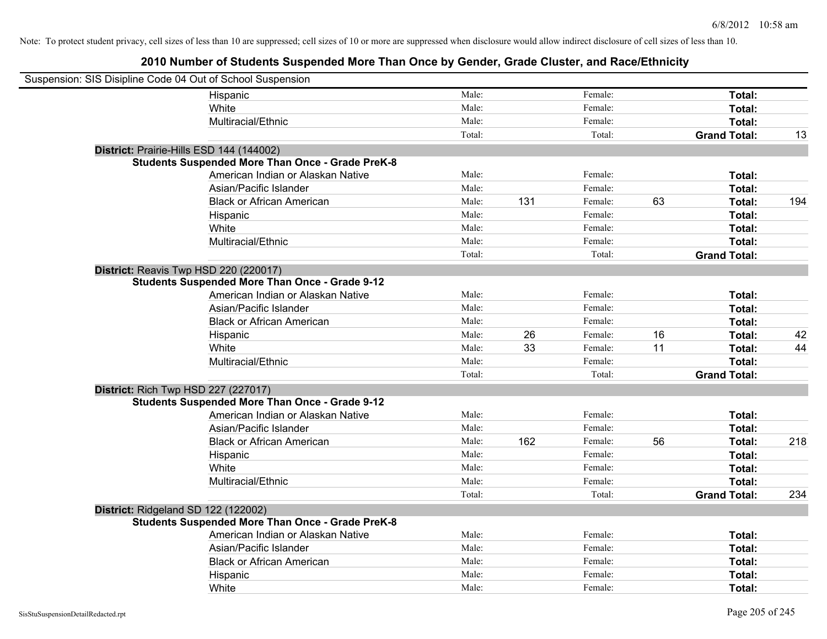| Suspension: SIS Disipline Code 04 Out of School Suspension |                                                         |        |     |         |    |                     |     |
|------------------------------------------------------------|---------------------------------------------------------|--------|-----|---------|----|---------------------|-----|
|                                                            | Hispanic                                                | Male:  |     | Female: |    | Total:              |     |
|                                                            | White                                                   | Male:  |     | Female: |    | Total:              |     |
|                                                            | Multiracial/Ethnic                                      | Male:  |     | Female: |    | Total:              |     |
|                                                            |                                                         | Total: |     | Total:  |    | <b>Grand Total:</b> | 13  |
| District: Prairie-Hills ESD 144 (144002)                   |                                                         |        |     |         |    |                     |     |
|                                                            | <b>Students Suspended More Than Once - Grade PreK-8</b> |        |     |         |    |                     |     |
|                                                            | American Indian or Alaskan Native                       | Male:  |     | Female: |    | Total:              |     |
|                                                            | Asian/Pacific Islander                                  | Male:  |     | Female: |    | Total:              |     |
|                                                            | <b>Black or African American</b>                        | Male:  | 131 | Female: | 63 | Total:              | 194 |
|                                                            | Hispanic                                                | Male:  |     | Female: |    | Total:              |     |
|                                                            | White                                                   | Male:  |     | Female: |    | Total:              |     |
|                                                            | Multiracial/Ethnic                                      | Male:  |     | Female: |    | Total:              |     |
|                                                            |                                                         | Total: |     | Total:  |    | <b>Grand Total:</b> |     |
| District: Reavis Twp HSD 220 (220017)                      |                                                         |        |     |         |    |                     |     |
|                                                            | <b>Students Suspended More Than Once - Grade 9-12</b>   |        |     |         |    |                     |     |
|                                                            | American Indian or Alaskan Native                       | Male:  |     | Female: |    | Total:              |     |
|                                                            | Asian/Pacific Islander                                  | Male:  |     | Female: |    | Total:              |     |
|                                                            | <b>Black or African American</b>                        | Male:  |     | Female: |    | Total:              |     |
|                                                            | Hispanic                                                | Male:  | 26  | Female: | 16 | Total:              | 42  |
|                                                            | White                                                   | Male:  | 33  | Female: | 11 | Total:              | 44  |
|                                                            | Multiracial/Ethnic                                      | Male:  |     | Female: |    | Total:              |     |
|                                                            |                                                         | Total: |     | Total:  |    | <b>Grand Total:</b> |     |
| <b>District: Rich Twp HSD 227 (227017)</b>                 |                                                         |        |     |         |    |                     |     |
|                                                            | <b>Students Suspended More Than Once - Grade 9-12</b>   |        |     |         |    |                     |     |
|                                                            | American Indian or Alaskan Native                       | Male:  |     | Female: |    | Total:              |     |
|                                                            | Asian/Pacific Islander                                  | Male:  |     | Female: |    | Total:              |     |
|                                                            | <b>Black or African American</b>                        | Male:  | 162 | Female: | 56 | Total:              | 218 |
|                                                            | Hispanic                                                | Male:  |     | Female: |    | Total:              |     |
|                                                            | White                                                   | Male:  |     | Female: |    | Total:              |     |
|                                                            | Multiracial/Ethnic                                      | Male:  |     | Female: |    | Total:              |     |
|                                                            |                                                         | Total: |     | Total:  |    | <b>Grand Total:</b> | 234 |
| District: Ridgeland SD 122 (122002)                        |                                                         |        |     |         |    |                     |     |
|                                                            | <b>Students Suspended More Than Once - Grade PreK-8</b> |        |     |         |    |                     |     |
|                                                            | American Indian or Alaskan Native                       | Male:  |     | Female: |    | Total:              |     |
|                                                            | Asian/Pacific Islander                                  | Male:  |     | Female: |    | Total:              |     |
|                                                            | <b>Black or African American</b>                        | Male:  |     | Female: |    | Total:              |     |
|                                                            | Hispanic                                                | Male:  |     | Female: |    | Total:              |     |
|                                                            | White                                                   | Male:  |     | Female: |    | Total:              |     |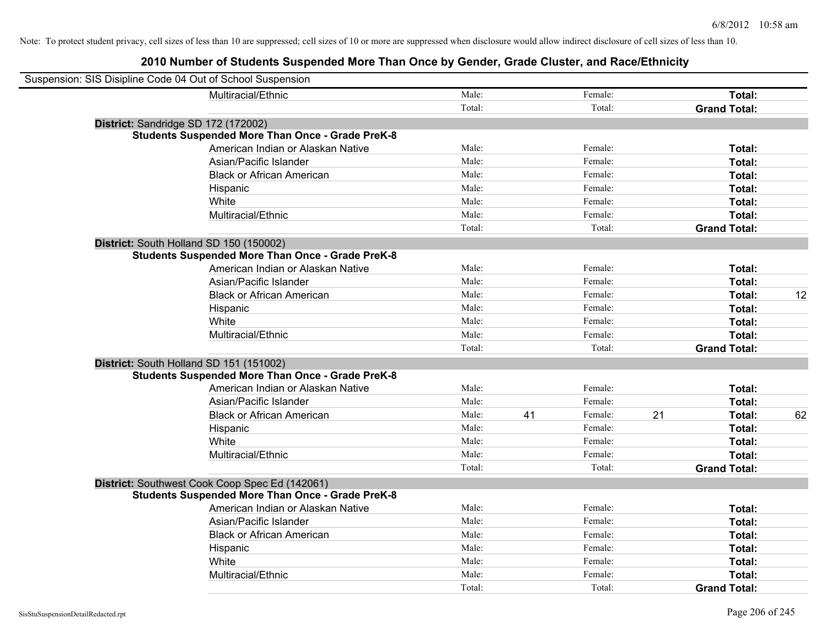| Suspension: SIS Disipline Code 04 Out of School Suspension |                                                         |        |    |         |    |                     |    |
|------------------------------------------------------------|---------------------------------------------------------|--------|----|---------|----|---------------------|----|
|                                                            | Multiracial/Ethnic                                      | Male:  |    | Female: |    | Total:              |    |
|                                                            |                                                         | Total: |    | Total:  |    | <b>Grand Total:</b> |    |
| District: Sandridge SD 172 (172002)                        |                                                         |        |    |         |    |                     |    |
|                                                            | <b>Students Suspended More Than Once - Grade PreK-8</b> |        |    |         |    |                     |    |
|                                                            | American Indian or Alaskan Native                       | Male:  |    | Female: |    | Total:              |    |
|                                                            | Asian/Pacific Islander                                  | Male:  |    | Female: |    | Total:              |    |
|                                                            | <b>Black or African American</b>                        | Male:  |    | Female: |    | Total:              |    |
|                                                            | Hispanic                                                | Male:  |    | Female: |    | Total:              |    |
|                                                            | White                                                   | Male:  |    | Female: |    | Total:              |    |
|                                                            | Multiracial/Ethnic                                      | Male:  |    | Female: |    | Total:              |    |
|                                                            |                                                         | Total: |    | Total:  |    | <b>Grand Total:</b> |    |
| District: South Holland SD 150 (150002)                    |                                                         |        |    |         |    |                     |    |
|                                                            | <b>Students Suspended More Than Once - Grade PreK-8</b> |        |    |         |    |                     |    |
|                                                            | American Indian or Alaskan Native                       | Male:  |    | Female: |    | Total:              |    |
|                                                            | Asian/Pacific Islander                                  | Male:  |    | Female: |    | Total:              |    |
|                                                            | <b>Black or African American</b>                        | Male:  |    | Female: |    | Total:              | 12 |
|                                                            | Hispanic                                                | Male:  |    | Female: |    | Total:              |    |
|                                                            | White                                                   | Male:  |    | Female: |    | Total:              |    |
|                                                            | Multiracial/Ethnic                                      | Male:  |    | Female: |    | Total:              |    |
|                                                            |                                                         | Total: |    | Total:  |    | <b>Grand Total:</b> |    |
| District: South Holland SD 151 (151002)                    |                                                         |        |    |         |    |                     |    |
|                                                            | <b>Students Suspended More Than Once - Grade PreK-8</b> |        |    |         |    |                     |    |
|                                                            | American Indian or Alaskan Native                       | Male:  |    | Female: |    | Total:              |    |
|                                                            | Asian/Pacific Islander                                  | Male:  |    | Female: |    | Total:              |    |
|                                                            | <b>Black or African American</b>                        | Male:  | 41 | Female: | 21 | Total:              | 62 |
|                                                            | Hispanic                                                | Male:  |    | Female: |    | Total:              |    |
|                                                            | White                                                   | Male:  |    | Female: |    | Total:              |    |
|                                                            | Multiracial/Ethnic                                      | Male:  |    | Female: |    | Total:              |    |
|                                                            |                                                         | Total: |    | Total:  |    | <b>Grand Total:</b> |    |
|                                                            | District: Southwest Cook Coop Spec Ed (142061)          |        |    |         |    |                     |    |
|                                                            | <b>Students Suspended More Than Once - Grade PreK-8</b> |        |    |         |    |                     |    |
|                                                            | American Indian or Alaskan Native                       | Male:  |    | Female: |    | Total:              |    |
|                                                            | Asian/Pacific Islander                                  | Male:  |    | Female: |    | Total:              |    |
|                                                            | <b>Black or African American</b>                        | Male:  |    | Female: |    | Total:              |    |
|                                                            | Hispanic                                                | Male:  |    | Female: |    | Total:              |    |
|                                                            | White                                                   | Male:  |    | Female: |    | Total:              |    |
|                                                            | Multiracial/Ethnic                                      | Male:  |    | Female: |    | Total:              |    |
|                                                            |                                                         | Total: |    | Total:  |    | <b>Grand Total:</b> |    |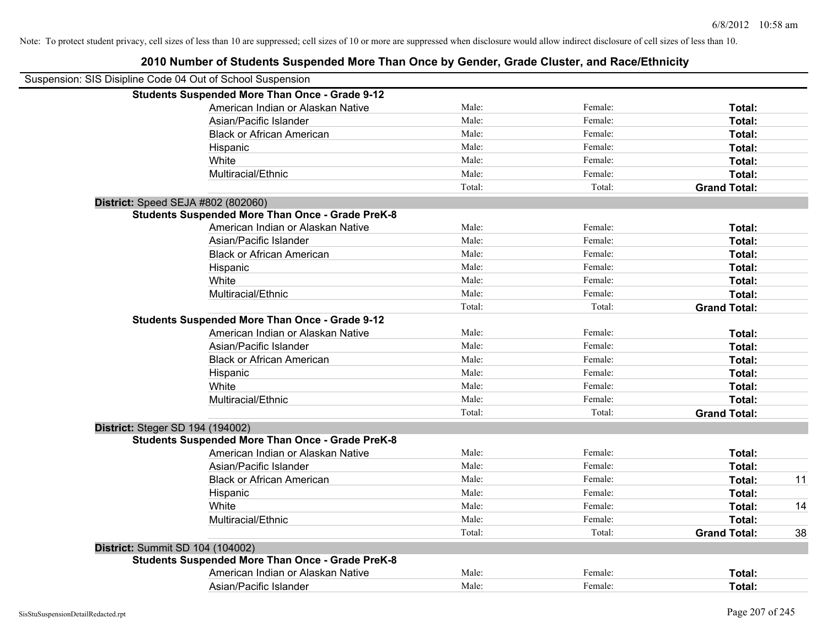| Suspension: SIS Disipline Code 04 Out of School Suspension |        |         |                     |    |
|------------------------------------------------------------|--------|---------|---------------------|----|
| <b>Students Suspended More Than Once - Grade 9-12</b>      |        |         |                     |    |
| American Indian or Alaskan Native                          | Male:  | Female: | Total:              |    |
| Asian/Pacific Islander                                     | Male:  | Female: | Total:              |    |
| <b>Black or African American</b>                           | Male:  | Female: | Total:              |    |
| Hispanic                                                   | Male:  | Female: | Total:              |    |
| White                                                      | Male:  | Female: | Total:              |    |
| Multiracial/Ethnic                                         | Male:  | Female: | Total:              |    |
|                                                            | Total: | Total:  | <b>Grand Total:</b> |    |
| District: Speed SEJA #802 (802060)                         |        |         |                     |    |
| <b>Students Suspended More Than Once - Grade PreK-8</b>    |        |         |                     |    |
| American Indian or Alaskan Native                          | Male:  | Female: | Total:              |    |
| Asian/Pacific Islander                                     | Male:  | Female: | Total:              |    |
| <b>Black or African American</b>                           | Male:  | Female: | Total:              |    |
| Hispanic                                                   | Male:  | Female: | Total:              |    |
| White                                                      | Male:  | Female: | Total:              |    |
| Multiracial/Ethnic                                         | Male:  | Female: | Total:              |    |
|                                                            | Total: | Total:  | <b>Grand Total:</b> |    |
| <b>Students Suspended More Than Once - Grade 9-12</b>      |        |         |                     |    |
| American Indian or Alaskan Native                          | Male:  | Female: | Total:              |    |
| Asian/Pacific Islander                                     | Male:  | Female: | Total:              |    |
| <b>Black or African American</b>                           | Male:  | Female: | Total:              |    |
| Hispanic                                                   | Male:  | Female: | Total:              |    |
| White                                                      | Male:  | Female: | Total:              |    |
| Multiracial/Ethnic                                         | Male:  | Female: | Total:              |    |
|                                                            | Total: | Total:  | <b>Grand Total:</b> |    |
| District: Steger SD 194 (194002)                           |        |         |                     |    |
| <b>Students Suspended More Than Once - Grade PreK-8</b>    |        |         |                     |    |
| American Indian or Alaskan Native                          | Male:  | Female: | Total:              |    |
| Asian/Pacific Islander                                     | Male:  | Female: | Total:              |    |
| <b>Black or African American</b>                           | Male:  | Female: | Total:              | 11 |
| Hispanic                                                   | Male:  | Female: | Total:              |    |
| White                                                      | Male:  | Female: | Total:              | 14 |
| Multiracial/Ethnic                                         | Male:  | Female: | Total:              |    |
|                                                            | Total: | Total:  | <b>Grand Total:</b> | 38 |
| District: Summit SD 104 (104002)                           |        |         |                     |    |
| <b>Students Suspended More Than Once - Grade PreK-8</b>    |        |         |                     |    |
| American Indian or Alaskan Native                          | Male:  | Female: | Total:              |    |
| Asian/Pacific Islander                                     | Male:  | Female: | Total:              |    |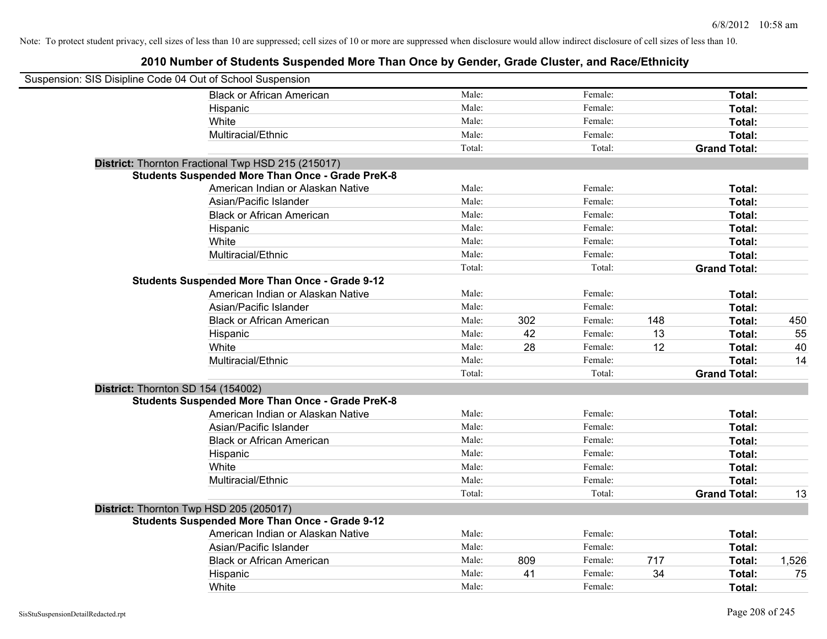| Suspension: SIS Disipline Code 04 Out of School Suspension |                                                         |        |     |         |     |                     |       |
|------------------------------------------------------------|---------------------------------------------------------|--------|-----|---------|-----|---------------------|-------|
|                                                            | <b>Black or African American</b>                        | Male:  |     | Female: |     | Total:              |       |
|                                                            | Hispanic                                                | Male:  |     | Female: |     | Total:              |       |
|                                                            | White                                                   | Male:  |     | Female: |     | Total:              |       |
|                                                            | Multiracial/Ethnic                                      | Male:  |     | Female: |     | Total:              |       |
|                                                            |                                                         | Total: |     | Total:  |     | <b>Grand Total:</b> |       |
|                                                            | District: Thornton Fractional Twp HSD 215 (215017)      |        |     |         |     |                     |       |
|                                                            | <b>Students Suspended More Than Once - Grade PreK-8</b> |        |     |         |     |                     |       |
|                                                            | American Indian or Alaskan Native                       | Male:  |     | Female: |     | Total:              |       |
|                                                            | Asian/Pacific Islander                                  | Male:  |     | Female: |     | Total:              |       |
|                                                            | <b>Black or African American</b>                        | Male:  |     | Female: |     | Total:              |       |
|                                                            | Hispanic                                                | Male:  |     | Female: |     | Total:              |       |
|                                                            | White                                                   | Male:  |     | Female: |     | Total:              |       |
|                                                            | Multiracial/Ethnic                                      | Male:  |     | Female: |     | Total:              |       |
|                                                            |                                                         | Total: |     | Total:  |     | <b>Grand Total:</b> |       |
|                                                            | <b>Students Suspended More Than Once - Grade 9-12</b>   |        |     |         |     |                     |       |
|                                                            | American Indian or Alaskan Native                       | Male:  |     | Female: |     | Total:              |       |
|                                                            | Asian/Pacific Islander                                  | Male:  |     | Female: |     | Total:              |       |
|                                                            | <b>Black or African American</b>                        | Male:  | 302 | Female: | 148 | Total:              | 450   |
|                                                            | Hispanic                                                | Male:  | 42  | Female: | 13  | Total:              | 55    |
|                                                            | White                                                   | Male:  | 28  | Female: | 12  | Total:              | 40    |
|                                                            | Multiracial/Ethnic                                      | Male:  |     | Female: |     | Total:              | 14    |
|                                                            |                                                         | Total: |     | Total:  |     | <b>Grand Total:</b> |       |
| District: Thornton SD 154 (154002)                         |                                                         |        |     |         |     |                     |       |
|                                                            | <b>Students Suspended More Than Once - Grade PreK-8</b> |        |     |         |     |                     |       |
|                                                            | American Indian or Alaskan Native                       | Male:  |     | Female: |     | Total:              |       |
|                                                            | Asian/Pacific Islander                                  | Male:  |     | Female: |     | Total:              |       |
|                                                            | <b>Black or African American</b>                        | Male:  |     | Female: |     | Total:              |       |
|                                                            | Hispanic                                                | Male:  |     | Female: |     | Total:              |       |
|                                                            | White                                                   | Male:  |     | Female: |     | Total:              |       |
|                                                            | Multiracial/Ethnic                                      | Male:  |     | Female: |     | Total:              |       |
|                                                            |                                                         | Total: |     | Total:  |     | <b>Grand Total:</b> | 13    |
| District: Thornton Twp HSD 205 (205017)                    |                                                         |        |     |         |     |                     |       |
|                                                            | <b>Students Suspended More Than Once - Grade 9-12</b>   |        |     |         |     |                     |       |
|                                                            | American Indian or Alaskan Native                       | Male:  |     | Female: |     | Total:              |       |
|                                                            | Asian/Pacific Islander                                  | Male:  |     | Female: |     | Total:              |       |
|                                                            | <b>Black or African American</b>                        | Male:  | 809 | Female: | 717 | Total:              | 1,526 |
|                                                            | Hispanic                                                | Male:  | 41  | Female: | 34  | Total:              | 75    |
|                                                            | White                                                   | Male:  |     | Female: |     | Total:              |       |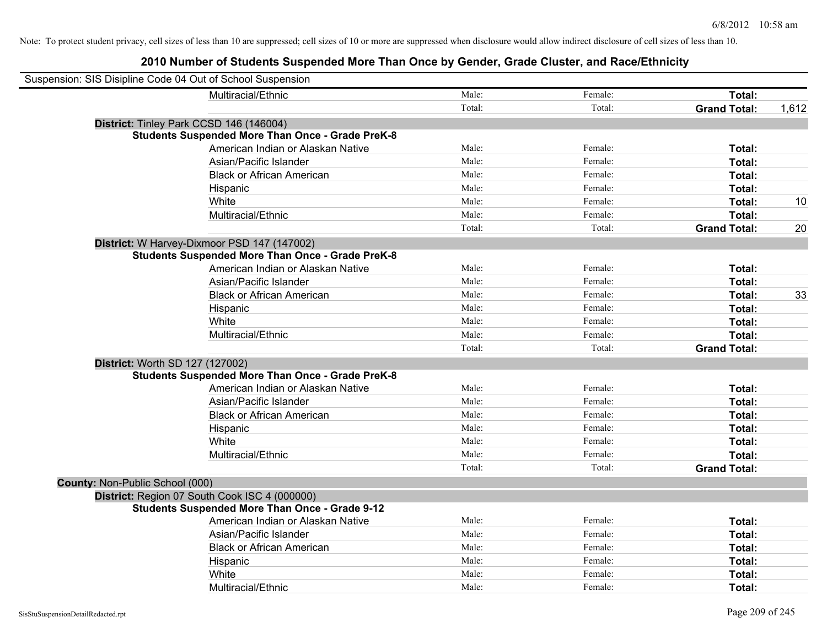| Suspension: SIS Disipline Code 04 Out of School Suspension |                                                         |        |         |                     |       |
|------------------------------------------------------------|---------------------------------------------------------|--------|---------|---------------------|-------|
|                                                            | Multiracial/Ethnic                                      | Male:  | Female: | Total:              |       |
|                                                            |                                                         | Total: | Total:  | <b>Grand Total:</b> | 1,612 |
|                                                            | District: Tinley Park CCSD 146 (146004)                 |        |         |                     |       |
|                                                            | <b>Students Suspended More Than Once - Grade PreK-8</b> |        |         |                     |       |
|                                                            | American Indian or Alaskan Native                       | Male:  | Female: | Total:              |       |
|                                                            | Asian/Pacific Islander                                  | Male:  | Female: | Total:              |       |
|                                                            | <b>Black or African American</b>                        | Male:  | Female: | Total:              |       |
|                                                            | Hispanic                                                | Male:  | Female: | Total:              |       |
|                                                            | White                                                   | Male:  | Female: | Total:              | 10    |
|                                                            | Multiracial/Ethnic                                      | Male:  | Female: | Total:              |       |
|                                                            |                                                         | Total: | Total:  | <b>Grand Total:</b> | 20    |
|                                                            | District: W Harvey-Dixmoor PSD 147 (147002)             |        |         |                     |       |
|                                                            | <b>Students Suspended More Than Once - Grade PreK-8</b> |        |         |                     |       |
|                                                            | American Indian or Alaskan Native                       | Male:  | Female: | Total:              |       |
|                                                            | Asian/Pacific Islander                                  | Male:  | Female: | Total:              |       |
|                                                            | <b>Black or African American</b>                        | Male:  | Female: | Total:              | 33    |
|                                                            | Hispanic                                                | Male:  | Female: | Total:              |       |
|                                                            | White                                                   | Male:  | Female: | Total:              |       |
|                                                            | Multiracial/Ethnic                                      | Male:  | Female: | Total:              |       |
|                                                            |                                                         | Total: | Total:  | <b>Grand Total:</b> |       |
| District: Worth SD 127 (127002)                            |                                                         |        |         |                     |       |
|                                                            | <b>Students Suspended More Than Once - Grade PreK-8</b> |        |         |                     |       |
|                                                            | American Indian or Alaskan Native                       | Male:  | Female: | Total:              |       |
|                                                            | Asian/Pacific Islander                                  | Male:  | Female: | Total:              |       |
|                                                            | <b>Black or African American</b>                        | Male:  | Female: | Total:              |       |
|                                                            | Hispanic                                                | Male:  | Female: | Total:              |       |
|                                                            | White                                                   | Male:  | Female: | Total:              |       |
|                                                            | Multiracial/Ethnic                                      | Male:  | Female: | Total:              |       |
|                                                            |                                                         | Total: | Total:  | <b>Grand Total:</b> |       |
| County: Non-Public School (000)                            |                                                         |        |         |                     |       |
|                                                            | District: Region 07 South Cook ISC 4 (000000)           |        |         |                     |       |
|                                                            | <b>Students Suspended More Than Once - Grade 9-12</b>   |        |         |                     |       |
|                                                            | American Indian or Alaskan Native                       | Male:  | Female: | Total:              |       |
|                                                            | Asian/Pacific Islander                                  | Male:  | Female: | Total:              |       |
|                                                            | <b>Black or African American</b>                        | Male:  | Female: | Total:              |       |
|                                                            | Hispanic                                                | Male:  | Female: | Total:              |       |
|                                                            | White                                                   | Male:  | Female: | Total:              |       |
|                                                            | Multiracial/Ethnic                                      | Male:  | Female: | Total:              |       |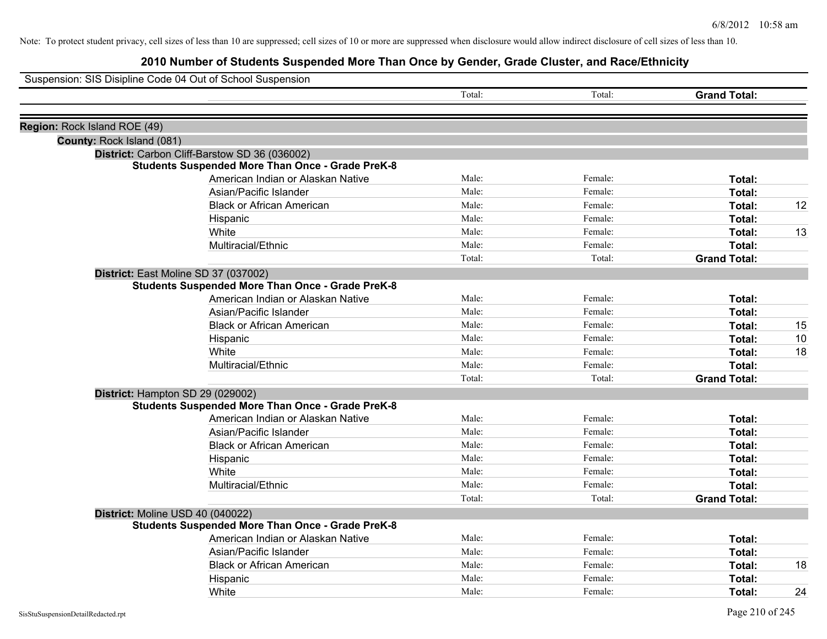|                              | Suspension: SIS Disipline Code 04 Out of School Suspension |        |         |                     |    |
|------------------------------|------------------------------------------------------------|--------|---------|---------------------|----|
|                              |                                                            | Total: | Total:  | <b>Grand Total:</b> |    |
|                              |                                                            |        |         |                     |    |
| Region: Rock Island ROE (49) |                                                            |        |         |                     |    |
| County: Rock Island (081)    |                                                            |        |         |                     |    |
|                              | District: Carbon Cliff-Barstow SD 36 (036002)              |        |         |                     |    |
|                              | <b>Students Suspended More Than Once - Grade PreK-8</b>    |        |         |                     |    |
|                              | American Indian or Alaskan Native                          | Male:  | Female: | Total:              |    |
|                              | Asian/Pacific Islander                                     | Male:  | Female: | Total:              |    |
|                              | <b>Black or African American</b>                           | Male:  | Female: | Total:              | 12 |
|                              | Hispanic                                                   | Male:  | Female: | Total:              |    |
|                              | White                                                      | Male:  | Female: | Total:              | 13 |
|                              | Multiracial/Ethnic                                         | Male:  | Female: | Total:              |    |
|                              |                                                            | Total: | Total:  | <b>Grand Total:</b> |    |
|                              | District: East Moline SD 37 (037002)                       |        |         |                     |    |
|                              | <b>Students Suspended More Than Once - Grade PreK-8</b>    |        |         |                     |    |
|                              | American Indian or Alaskan Native                          | Male:  | Female: | Total:              |    |
|                              | Asian/Pacific Islander                                     | Male:  | Female: | Total:              |    |
|                              | <b>Black or African American</b>                           | Male:  | Female: | Total:              | 15 |
|                              | Hispanic                                                   | Male:  | Female: | Total:              | 10 |
|                              | White                                                      | Male:  | Female: | Total:              | 18 |
|                              | Multiracial/Ethnic                                         | Male:  | Female: | Total:              |    |
|                              |                                                            | Total: | Total:  | <b>Grand Total:</b> |    |
|                              | District: Hampton SD 29 (029002)                           |        |         |                     |    |
|                              | <b>Students Suspended More Than Once - Grade PreK-8</b>    |        |         |                     |    |
|                              | American Indian or Alaskan Native                          | Male:  | Female: | Total:              |    |
|                              | Asian/Pacific Islander                                     | Male:  | Female: | Total:              |    |
|                              | <b>Black or African American</b>                           | Male:  | Female: | Total:              |    |
|                              | Hispanic                                                   | Male:  | Female: | Total:              |    |
|                              | White                                                      | Male:  | Female: | Total:              |    |
|                              | Multiracial/Ethnic                                         | Male:  | Female: | Total:              |    |
|                              |                                                            | Total: | Total:  | <b>Grand Total:</b> |    |
|                              | District: Moline USD 40 (040022)                           |        |         |                     |    |
|                              | <b>Students Suspended More Than Once - Grade PreK-8</b>    |        |         |                     |    |
|                              | American Indian or Alaskan Native                          | Male:  | Female: | Total:              |    |
|                              | Asian/Pacific Islander                                     | Male:  | Female: | Total:              |    |
|                              | <b>Black or African American</b>                           | Male:  | Female: | Total:              | 18 |
|                              | Hispanic                                                   | Male:  | Female: | Total:              |    |
|                              | White                                                      | Male:  | Female: | Total:              | 24 |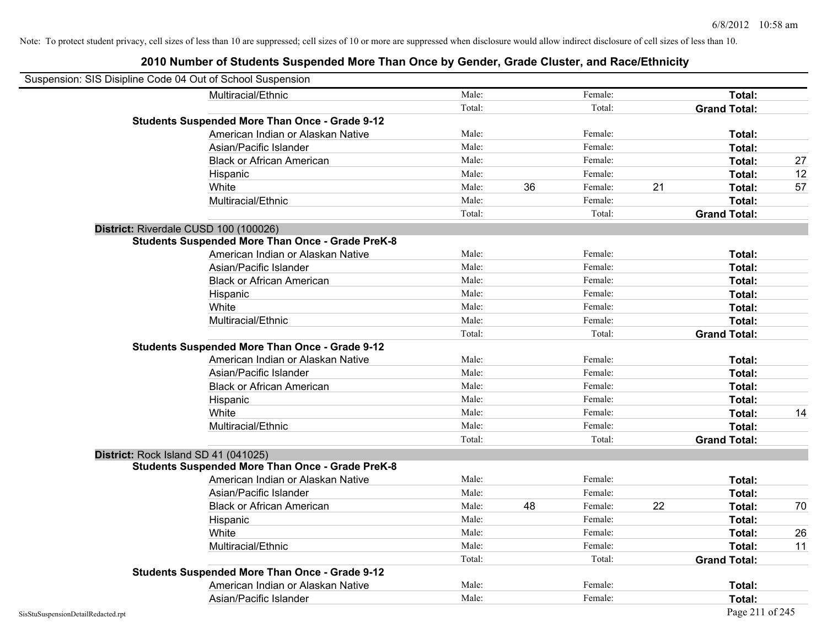| Suspension: SIS Disipline Code 04 Out of School Suspension |                                                         |        |    |         |    |                     |    |
|------------------------------------------------------------|---------------------------------------------------------|--------|----|---------|----|---------------------|----|
|                                                            | Multiracial/Ethnic                                      | Male:  |    | Female: |    | Total:              |    |
|                                                            |                                                         | Total: |    | Total:  |    | <b>Grand Total:</b> |    |
|                                                            | <b>Students Suspended More Than Once - Grade 9-12</b>   |        |    |         |    |                     |    |
|                                                            | American Indian or Alaskan Native                       | Male:  |    | Female: |    | Total:              |    |
|                                                            | Asian/Pacific Islander                                  | Male:  |    | Female: |    | Total:              |    |
|                                                            | <b>Black or African American</b>                        | Male:  |    | Female: |    | Total:              | 27 |
|                                                            | Hispanic                                                | Male:  |    | Female: |    | Total:              | 12 |
|                                                            | White                                                   | Male:  | 36 | Female: | 21 | Total:              | 57 |
|                                                            | Multiracial/Ethnic                                      | Male:  |    | Female: |    | Total:              |    |
|                                                            |                                                         | Total: |    | Total:  |    | <b>Grand Total:</b> |    |
| District: Riverdale CUSD 100 (100026)                      |                                                         |        |    |         |    |                     |    |
|                                                            | <b>Students Suspended More Than Once - Grade PreK-8</b> |        |    |         |    |                     |    |
|                                                            | American Indian or Alaskan Native                       | Male:  |    | Female: |    | Total:              |    |
|                                                            | Asian/Pacific Islander                                  | Male:  |    | Female: |    | Total:              |    |
|                                                            | <b>Black or African American</b>                        | Male:  |    | Female: |    | Total:              |    |
|                                                            | Hispanic                                                | Male:  |    | Female: |    | Total:              |    |
|                                                            | White                                                   | Male:  |    | Female: |    | Total:              |    |
|                                                            | Multiracial/Ethnic                                      | Male:  |    | Female: |    | Total:              |    |
|                                                            |                                                         | Total: |    | Total:  |    | <b>Grand Total:</b> |    |
|                                                            | <b>Students Suspended More Than Once - Grade 9-12</b>   |        |    |         |    |                     |    |
|                                                            | American Indian or Alaskan Native                       | Male:  |    | Female: |    | Total:              |    |
|                                                            | Asian/Pacific Islander                                  | Male:  |    | Female: |    | Total:              |    |
|                                                            | <b>Black or African American</b>                        | Male:  |    | Female: |    | Total:              |    |
|                                                            | Hispanic                                                | Male:  |    | Female: |    | Total:              |    |
|                                                            | White                                                   | Male:  |    | Female: |    | Total:              | 14 |
|                                                            | Multiracial/Ethnic                                      | Male:  |    | Female: |    | Total:              |    |
|                                                            |                                                         | Total: |    | Total:  |    | <b>Grand Total:</b> |    |
| District: Rock Island SD 41 (041025)                       |                                                         |        |    |         |    |                     |    |
|                                                            | <b>Students Suspended More Than Once - Grade PreK-8</b> |        |    |         |    |                     |    |
|                                                            | American Indian or Alaskan Native                       | Male:  |    | Female: |    | Total:              |    |
|                                                            | Asian/Pacific Islander                                  | Male:  |    | Female: |    | Total:              |    |
|                                                            | <b>Black or African American</b>                        | Male:  | 48 | Female: | 22 | Total:              | 70 |
|                                                            | Hispanic                                                | Male:  |    | Female: |    | Total:              |    |
|                                                            | White                                                   | Male:  |    | Female: |    | Total:              | 26 |
|                                                            | Multiracial/Ethnic                                      | Male:  |    | Female: |    | Total:              | 11 |
|                                                            |                                                         | Total: |    | Total:  |    | <b>Grand Total:</b> |    |
|                                                            | <b>Students Suspended More Than Once - Grade 9-12</b>   |        |    |         |    |                     |    |
|                                                            | American Indian or Alaskan Native                       | Male:  |    | Female: |    | Total:              |    |
|                                                            | Asian/Pacific Islander                                  | Male:  |    | Female: |    | Total:              |    |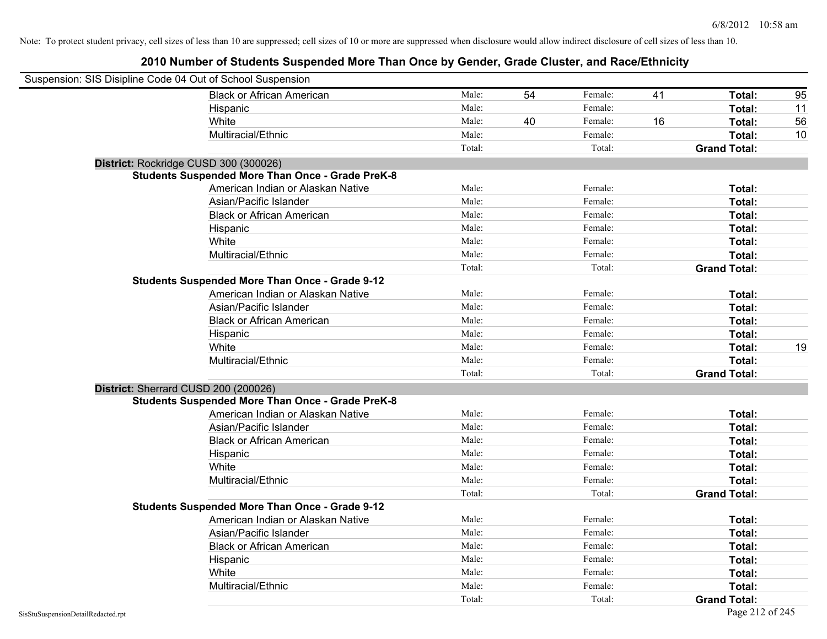| Suspension: SIS Disipline Code 04 Out of School Suspension |                                                         |        |    |         |    |                     |    |
|------------------------------------------------------------|---------------------------------------------------------|--------|----|---------|----|---------------------|----|
|                                                            | <b>Black or African American</b>                        | Male:  | 54 | Female: | 41 | Total:              | 95 |
|                                                            | Hispanic                                                | Male:  |    | Female: |    | Total:              | 11 |
|                                                            | White                                                   | Male:  | 40 | Female: | 16 | Total:              | 56 |
|                                                            | Multiracial/Ethnic                                      | Male:  |    | Female: |    | Total:              | 10 |
|                                                            |                                                         | Total: |    | Total:  |    | <b>Grand Total:</b> |    |
| District: Rockridge CUSD 300 (300026)                      |                                                         |        |    |         |    |                     |    |
|                                                            | <b>Students Suspended More Than Once - Grade PreK-8</b> |        |    |         |    |                     |    |
|                                                            | American Indian or Alaskan Native                       | Male:  |    | Female: |    | Total:              |    |
|                                                            | Asian/Pacific Islander                                  | Male:  |    | Female: |    | Total:              |    |
|                                                            | <b>Black or African American</b>                        | Male:  |    | Female: |    | Total:              |    |
|                                                            | Hispanic                                                | Male:  |    | Female: |    | Total:              |    |
|                                                            | White                                                   | Male:  |    | Female: |    | Total:              |    |
|                                                            | Multiracial/Ethnic                                      | Male:  |    | Female: |    | Total:              |    |
|                                                            |                                                         | Total: |    | Total:  |    | <b>Grand Total:</b> |    |
|                                                            | <b>Students Suspended More Than Once - Grade 9-12</b>   |        |    |         |    |                     |    |
|                                                            | American Indian or Alaskan Native                       | Male:  |    | Female: |    | Total:              |    |
|                                                            | Asian/Pacific Islander                                  | Male:  |    | Female: |    | Total:              |    |
|                                                            | <b>Black or African American</b>                        | Male:  |    | Female: |    | Total:              |    |
|                                                            | Hispanic                                                | Male:  |    | Female: |    | Total:              |    |
|                                                            | White                                                   | Male:  |    | Female: |    | Total:              | 19 |
|                                                            | Multiracial/Ethnic                                      | Male:  |    | Female: |    | Total:              |    |
|                                                            |                                                         | Total: |    | Total:  |    | <b>Grand Total:</b> |    |
| District: Sherrard CUSD 200 (200026)                       |                                                         |        |    |         |    |                     |    |
|                                                            | <b>Students Suspended More Than Once - Grade PreK-8</b> |        |    |         |    |                     |    |
|                                                            | American Indian or Alaskan Native                       | Male:  |    | Female: |    | Total:              |    |
|                                                            | Asian/Pacific Islander                                  | Male:  |    | Female: |    | Total:              |    |
|                                                            | <b>Black or African American</b>                        | Male:  |    | Female: |    | Total:              |    |
|                                                            | Hispanic                                                | Male:  |    | Female: |    | Total:              |    |
|                                                            | White                                                   | Male:  |    | Female: |    | Total:              |    |
|                                                            | Multiracial/Ethnic                                      | Male:  |    | Female: |    | Total:              |    |
|                                                            |                                                         | Total: |    | Total:  |    | <b>Grand Total:</b> |    |
|                                                            | <b>Students Suspended More Than Once - Grade 9-12</b>   |        |    |         |    |                     |    |
|                                                            | American Indian or Alaskan Native                       | Male:  |    | Female: |    | Total:              |    |
|                                                            | Asian/Pacific Islander                                  | Male:  |    | Female: |    | Total:              |    |
|                                                            | <b>Black or African American</b>                        | Male:  |    | Female: |    | Total:              |    |
|                                                            | Hispanic                                                | Male:  |    | Female: |    | Total:              |    |
|                                                            | White                                                   | Male:  |    | Female: |    | Total:              |    |
|                                                            | Multiracial/Ethnic                                      | Male:  |    | Female: |    | Total:              |    |
|                                                            |                                                         | Total: |    | Total:  |    | <b>Grand Total:</b> |    |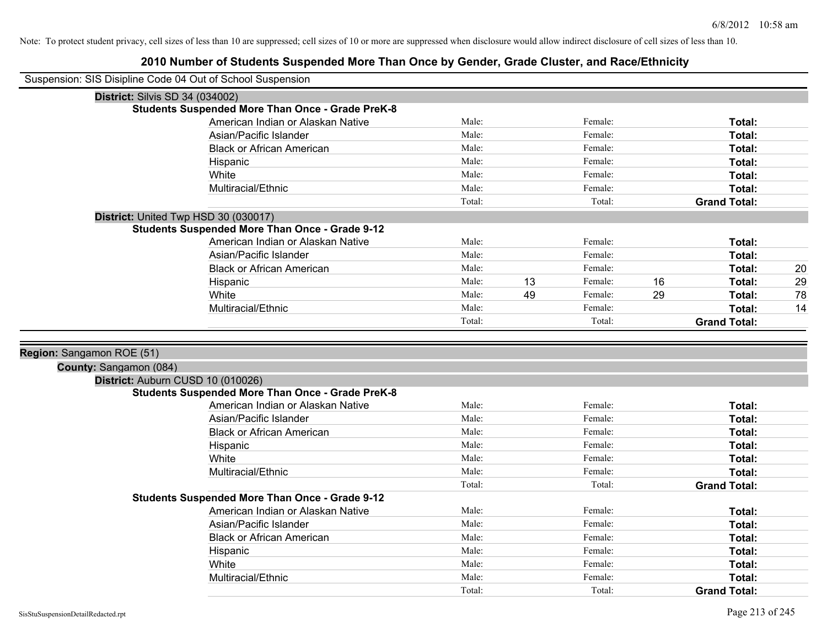| Suspension: SIS Disipline Code 04 Out of School Suspension |                                                         |        |    |         |    |                     |    |
|------------------------------------------------------------|---------------------------------------------------------|--------|----|---------|----|---------------------|----|
| District: Silvis SD 34 (034002)                            |                                                         |        |    |         |    |                     |    |
|                                                            | <b>Students Suspended More Than Once - Grade PreK-8</b> |        |    |         |    |                     |    |
|                                                            | American Indian or Alaskan Native                       | Male:  |    | Female: |    | Total:              |    |
|                                                            | Asian/Pacific Islander                                  | Male:  |    | Female: |    | Total:              |    |
|                                                            | <b>Black or African American</b>                        | Male:  |    | Female: |    | Total:              |    |
|                                                            | Hispanic                                                | Male:  |    | Female: |    | Total:              |    |
|                                                            | White                                                   | Male:  |    | Female: |    | Total:              |    |
|                                                            | Multiracial/Ethnic                                      | Male:  |    | Female: |    | Total:              |    |
|                                                            |                                                         | Total: |    | Total:  |    | <b>Grand Total:</b> |    |
|                                                            | District: United Twp HSD 30 (030017)                    |        |    |         |    |                     |    |
|                                                            | <b>Students Suspended More Than Once - Grade 9-12</b>   |        |    |         |    |                     |    |
|                                                            | American Indian or Alaskan Native                       | Male:  |    | Female: |    | Total:              |    |
|                                                            | Asian/Pacific Islander                                  | Male:  |    | Female: |    | Total:              |    |
|                                                            | <b>Black or African American</b>                        | Male:  |    | Female: |    | Total:              | 20 |
|                                                            | Hispanic                                                | Male:  | 13 | Female: | 16 | Total:              | 29 |
|                                                            | White                                                   | Male:  | 49 | Female: | 29 | <b>Total:</b>       | 78 |
|                                                            | Multiracial/Ethnic                                      | Male:  |    | Female: |    | Total:              | 14 |
|                                                            |                                                         | Total: |    | Total:  |    | <b>Grand Total:</b> |    |
|                                                            |                                                         |        |    |         |    |                     |    |
| Region: Sangamon ROE (51)                                  |                                                         |        |    |         |    |                     |    |
| County: Sangamon (084)                                     |                                                         |        |    |         |    |                     |    |
|                                                            | District: Auburn CUSD 10 (010026)                       |        |    |         |    |                     |    |
|                                                            | <b>Students Suspended More Than Once - Grade PreK-8</b> |        |    |         |    |                     |    |
|                                                            | American Indian or Alaskan Native                       | Male:  |    | Female: |    | Total:              |    |
|                                                            | Asian/Pacific Islander                                  | Male:  |    | Female: |    | Total:              |    |
|                                                            | <b>Black or African American</b>                        | Male:  |    | Female: |    | Total:              |    |
|                                                            | Hispanic                                                | Male:  |    | Female: |    | Total:              |    |
|                                                            | White                                                   | Male:  |    | Female: |    | Total:              |    |
|                                                            | Multiracial/Ethnic                                      | Male:  |    | Female: |    | Total:              |    |
|                                                            |                                                         | Total: |    | Total:  |    | <b>Grand Total:</b> |    |
|                                                            | <b>Students Suspended More Than Once - Grade 9-12</b>   |        |    |         |    |                     |    |
|                                                            | American Indian or Alaskan Native                       | Male:  |    | Female: |    | Total:              |    |
|                                                            | Asian/Pacific Islander                                  | Male:  |    | Female: |    | Total:              |    |
|                                                            | <b>Black or African American</b>                        | Male:  |    | Female: |    | Total:              |    |
|                                                            | Hispanic                                                | Male:  |    | Female: |    | Total:              |    |
|                                                            | White                                                   | Male:  |    | Female: |    | Total:              |    |
|                                                            | Multiracial/Ethnic                                      | Male:  |    | Female: |    | Total:              |    |
|                                                            |                                                         | Total: |    | Total:  |    | <b>Grand Total:</b> |    |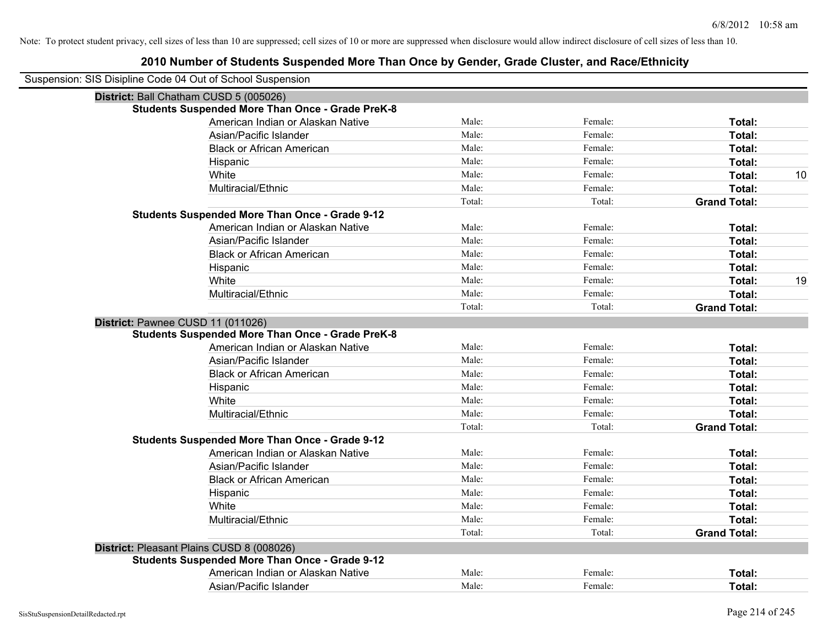| Suspension: SIS Disipline Code 04 Out of School Suspension |        |         |                     |
|------------------------------------------------------------|--------|---------|---------------------|
| District: Ball Chatham CUSD 5 (005026)                     |        |         |                     |
| <b>Students Suspended More Than Once - Grade PreK-8</b>    |        |         |                     |
| American Indian or Alaskan Native                          | Male:  | Female: | Total:              |
| Asian/Pacific Islander                                     | Male:  | Female: | Total:              |
| <b>Black or African American</b>                           | Male:  | Female: | Total:              |
| Hispanic                                                   | Male:  | Female: | Total:              |
| White                                                      | Male:  | Female: | Total:<br>10        |
| Multiracial/Ethnic                                         | Male:  | Female: | Total:              |
|                                                            | Total: | Total:  | <b>Grand Total:</b> |
| <b>Students Suspended More Than Once - Grade 9-12</b>      |        |         |                     |
| American Indian or Alaskan Native                          | Male:  | Female: | Total:              |
| Asian/Pacific Islander                                     | Male:  | Female: | Total:              |
| <b>Black or African American</b>                           | Male:  | Female: | Total:              |
| Hispanic                                                   | Male:  | Female: | <b>Total:</b>       |
| White                                                      | Male:  | Female: | 19<br><b>Total:</b> |
| Multiracial/Ethnic                                         | Male:  | Female: | Total:              |
|                                                            | Total: | Total:  | <b>Grand Total:</b> |
| District: Pawnee CUSD 11 (011026)                          |        |         |                     |
| <b>Students Suspended More Than Once - Grade PreK-8</b>    |        |         |                     |
| American Indian or Alaskan Native                          | Male:  | Female: | Total:              |
| Asian/Pacific Islander                                     | Male:  | Female: | Total:              |
| <b>Black or African American</b>                           | Male:  | Female: | Total:              |
| Hispanic                                                   | Male:  | Female: | Total:              |
| White                                                      | Male:  | Female: | Total:              |
| Multiracial/Ethnic                                         | Male:  | Female: | Total:              |
|                                                            | Total: | Total:  | <b>Grand Total:</b> |
| <b>Students Suspended More Than Once - Grade 9-12</b>      |        |         |                     |
| American Indian or Alaskan Native                          | Male:  | Female: | Total:              |
| Asian/Pacific Islander                                     | Male:  | Female: | Total:              |
| <b>Black or African American</b>                           | Male:  | Female: | Total:              |
| Hispanic                                                   | Male:  | Female: | Total:              |
| White                                                      | Male:  | Female: | Total:              |
| Multiracial/Ethnic                                         | Male:  | Female: | Total:              |
|                                                            | Total: | Total:  | <b>Grand Total:</b> |
| District: Pleasant Plains CUSD 8 (008026)                  |        |         |                     |
| <b>Students Suspended More Than Once - Grade 9-12</b>      |        |         |                     |
| American Indian or Alaskan Native                          | Male:  | Female: | Total:              |
| Asian/Pacific Islander                                     | Male:  | Female: | Total:              |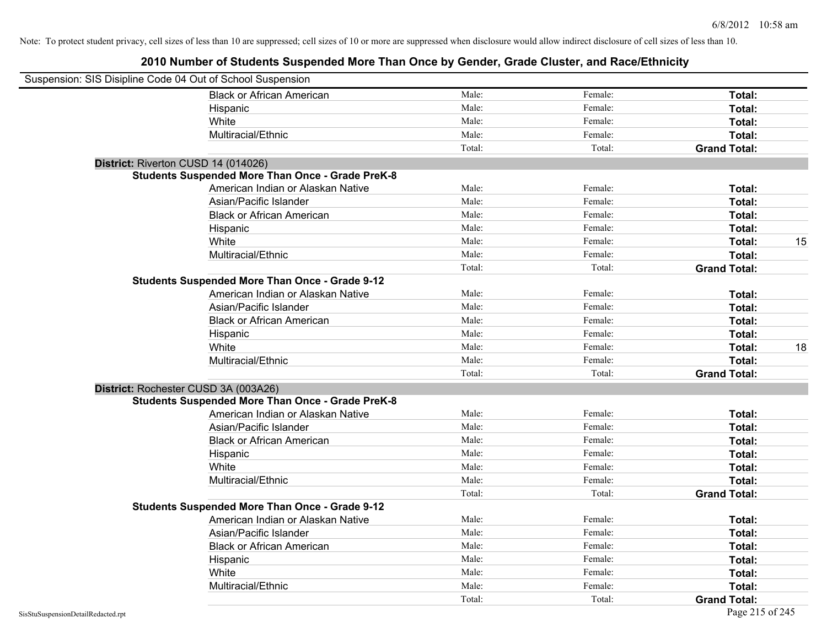| Suspension: SIS Disipline Code 04 Out of School Suspension |                                                         |        |         |                     |    |
|------------------------------------------------------------|---------------------------------------------------------|--------|---------|---------------------|----|
|                                                            | <b>Black or African American</b>                        | Male:  | Female: | Total:              |    |
|                                                            | Hispanic                                                | Male:  | Female: | Total:              |    |
|                                                            | White                                                   | Male:  | Female: | Total:              |    |
|                                                            | Multiracial/Ethnic                                      | Male:  | Female: | Total:              |    |
|                                                            |                                                         | Total: | Total:  | <b>Grand Total:</b> |    |
| District: Riverton CUSD 14 (014026)                        |                                                         |        |         |                     |    |
|                                                            | <b>Students Suspended More Than Once - Grade PreK-8</b> |        |         |                     |    |
|                                                            | American Indian or Alaskan Native                       | Male:  | Female: | Total:              |    |
|                                                            | Asian/Pacific Islander                                  | Male:  | Female: | Total:              |    |
|                                                            | <b>Black or African American</b>                        | Male:  | Female: | Total:              |    |
|                                                            | Hispanic                                                | Male:  | Female: | Total:              |    |
|                                                            | White                                                   | Male:  | Female: | Total:              | 15 |
|                                                            | Multiracial/Ethnic                                      | Male:  | Female: | Total:              |    |
|                                                            |                                                         | Total: | Total:  | <b>Grand Total:</b> |    |
|                                                            | <b>Students Suspended More Than Once - Grade 9-12</b>   |        |         |                     |    |
|                                                            | American Indian or Alaskan Native                       | Male:  | Female: | Total:              |    |
|                                                            | Asian/Pacific Islander                                  | Male:  | Female: | Total:              |    |
|                                                            | <b>Black or African American</b>                        | Male:  | Female: | Total:              |    |
|                                                            | Hispanic                                                | Male:  | Female: | Total:              |    |
|                                                            | White                                                   | Male:  | Female: | Total:              | 18 |
|                                                            | Multiracial/Ethnic                                      | Male:  | Female: | Total:              |    |
|                                                            |                                                         | Total: | Total:  | <b>Grand Total:</b> |    |
| District: Rochester CUSD 3A (003A26)                       |                                                         |        |         |                     |    |
|                                                            | <b>Students Suspended More Than Once - Grade PreK-8</b> |        |         |                     |    |
|                                                            | American Indian or Alaskan Native                       | Male:  | Female: | Total:              |    |
|                                                            | Asian/Pacific Islander                                  | Male:  | Female: | Total:              |    |
|                                                            | <b>Black or African American</b>                        | Male:  | Female: | Total:              |    |
|                                                            | Hispanic                                                | Male:  | Female: | Total:              |    |
|                                                            | White                                                   | Male:  | Female: | Total:              |    |
|                                                            | Multiracial/Ethnic                                      | Male:  | Female: | Total:              |    |
|                                                            |                                                         | Total: | Total:  | <b>Grand Total:</b> |    |
|                                                            | <b>Students Suspended More Than Once - Grade 9-12</b>   |        |         |                     |    |
|                                                            | American Indian or Alaskan Native                       | Male:  | Female: | Total:              |    |
|                                                            | Asian/Pacific Islander                                  | Male:  | Female: | Total:              |    |
|                                                            | <b>Black or African American</b>                        | Male:  | Female: | Total:              |    |
|                                                            | Hispanic                                                | Male:  | Female: | Total:              |    |
|                                                            | White                                                   | Male:  | Female: | Total:              |    |
|                                                            | Multiracial/Ethnic                                      | Male:  | Female: | <b>Total:</b>       |    |
|                                                            |                                                         | Total: | Total:  | <b>Grand Total:</b> |    |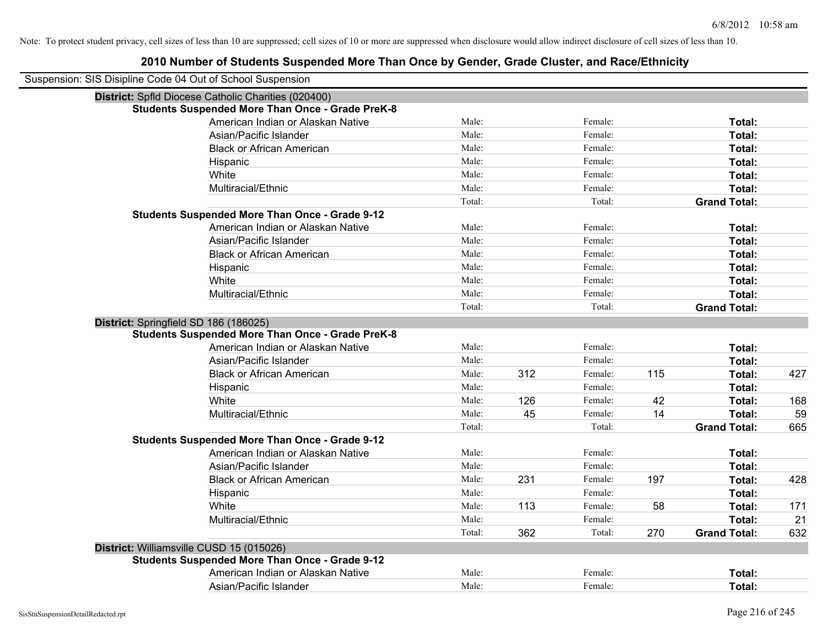| Suspension: SIS Disipline Code 04 Out of School Suspension |        |     |         |     |                     |     |
|------------------------------------------------------------|--------|-----|---------|-----|---------------------|-----|
| District: Spfld Diocese Catholic Charities (020400)        |        |     |         |     |                     |     |
| <b>Students Suspended More Than Once - Grade PreK-8</b>    |        |     |         |     |                     |     |
| American Indian or Alaskan Native                          | Male:  |     | Female: |     | Total:              |     |
| Asian/Pacific Islander                                     | Male:  |     | Female: |     | Total:              |     |
| <b>Black or African American</b>                           | Male:  |     | Female: |     | Total:              |     |
| Hispanic                                                   | Male:  |     | Female: |     | Total:              |     |
| White                                                      | Male:  |     | Female: |     | Total:              |     |
| Multiracial/Ethnic                                         | Male:  |     | Female: |     | Total:              |     |
|                                                            | Total: |     | Total:  |     | <b>Grand Total:</b> |     |
| <b>Students Suspended More Than Once - Grade 9-12</b>      |        |     |         |     |                     |     |
| American Indian or Alaskan Native                          | Male:  |     | Female: |     | Total:              |     |
| Asian/Pacific Islander                                     | Male:  |     | Female: |     | Total:              |     |
| <b>Black or African American</b>                           | Male:  |     | Female: |     | Total:              |     |
| Hispanic                                                   | Male:  |     | Female: |     | Total:              |     |
| White                                                      | Male:  |     | Female: |     | Total:              |     |
| Multiracial/Ethnic                                         | Male:  |     | Female: |     | Total:              |     |
|                                                            | Total: |     | Total:  |     | <b>Grand Total:</b> |     |
| District: Springfield SD 186 (186025)                      |        |     |         |     |                     |     |
| <b>Students Suspended More Than Once - Grade PreK-8</b>    |        |     |         |     |                     |     |
| American Indian or Alaskan Native                          | Male:  |     | Female: |     | Total:              |     |
| Asian/Pacific Islander                                     | Male:  |     | Female: |     | Total:              |     |
| <b>Black or African American</b>                           | Male:  | 312 | Female: | 115 | Total:              | 427 |
| Hispanic                                                   | Male:  |     | Female: |     | Total:              |     |
| White                                                      | Male:  | 126 | Female: | 42  | Total:              | 168 |
| Multiracial/Ethnic                                         | Male:  | 45  | Female: | 14  | Total:              | 59  |
|                                                            | Total: |     | Total:  |     | <b>Grand Total:</b> | 665 |
| <b>Students Suspended More Than Once - Grade 9-12</b>      |        |     |         |     |                     |     |
| American Indian or Alaskan Native                          | Male:  |     | Female: |     | Total:              |     |
| Asian/Pacific Islander                                     | Male:  |     | Female: |     | Total:              |     |
| <b>Black or African American</b>                           | Male:  | 231 | Female: | 197 | Total:              | 428 |
| Hispanic                                                   | Male:  |     | Female: |     | Total:              |     |
| White                                                      | Male:  | 113 | Female: | 58  | Total:              | 171 |
| Multiracial/Ethnic                                         | Male:  |     | Female: |     | Total:              | 21  |
|                                                            | Total: | 362 | Total:  | 270 | <b>Grand Total:</b> | 632 |
| District: Williamsville CUSD 15 (015026)                   |        |     |         |     |                     |     |
| <b>Students Suspended More Than Once - Grade 9-12</b>      |        |     |         |     |                     |     |
| American Indian or Alaskan Native                          | Male:  |     | Female: |     | <b>Total:</b>       |     |
| Asian/Pacific Islander                                     | Male:  |     | Female: |     | Total:              |     |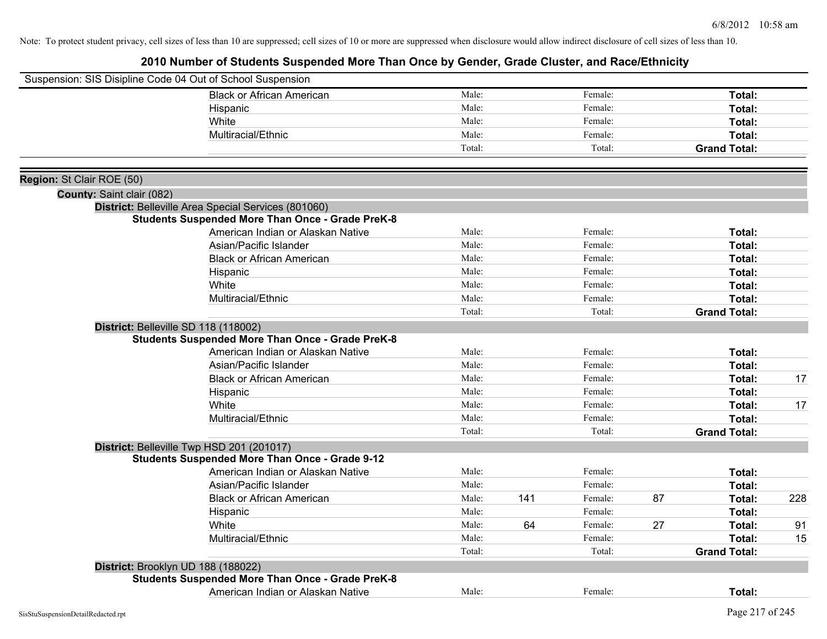|                           | Suspension: SIS Disipline Code 04 Out of School Suspension |        |     |         |    |                     |     |
|---------------------------|------------------------------------------------------------|--------|-----|---------|----|---------------------|-----|
|                           | <b>Black or African American</b>                           | Male:  |     | Female: |    | Total:              |     |
|                           | Hispanic                                                   | Male:  |     | Female: |    | Total:              |     |
|                           | White                                                      | Male:  |     | Female: |    | Total:              |     |
|                           | Multiracial/Ethnic                                         | Male:  |     | Female: |    | Total:              |     |
|                           |                                                            | Total: |     | Total:  |    | <b>Grand Total:</b> |     |
| Region: St Clair ROE (50) |                                                            |        |     |         |    |                     |     |
| County: Saint clair (082) |                                                            |        |     |         |    |                     |     |
|                           | District: Belleville Area Special Services (801060)        |        |     |         |    |                     |     |
|                           | <b>Students Suspended More Than Once - Grade PreK-8</b>    |        |     |         |    |                     |     |
|                           | American Indian or Alaskan Native                          | Male:  |     | Female: |    | Total:              |     |
|                           | Asian/Pacific Islander                                     | Male:  |     | Female: |    | Total:              |     |
|                           | <b>Black or African American</b>                           | Male:  |     | Female: |    | Total:              |     |
|                           | Hispanic                                                   | Male:  |     | Female: |    | Total:              |     |
|                           | White                                                      | Male:  |     | Female: |    | <b>Total:</b>       |     |
|                           | Multiracial/Ethnic                                         | Male:  |     | Female: |    | Total:              |     |
|                           |                                                            | Total: |     | Total:  |    | <b>Grand Total:</b> |     |
|                           | District: Belleville SD 118 (118002)                       |        |     |         |    |                     |     |
|                           | <b>Students Suspended More Than Once - Grade PreK-8</b>    |        |     |         |    |                     |     |
|                           | American Indian or Alaskan Native                          | Male:  |     | Female: |    | Total:              |     |
|                           | Asian/Pacific Islander                                     | Male:  |     | Female: |    | Total:              |     |
|                           | <b>Black or African American</b>                           | Male:  |     | Female: |    | Total:              | 17  |
|                           | Hispanic                                                   | Male:  |     | Female: |    | <b>Total:</b>       |     |
|                           | White                                                      | Male:  |     | Female: |    | Total:              | 17  |
|                           | Multiracial/Ethnic                                         | Male:  |     | Female: |    | Total:              |     |
|                           |                                                            | Total: |     | Total:  |    | <b>Grand Total:</b> |     |
|                           | District: Belleville Twp HSD 201 (201017)                  |        |     |         |    |                     |     |
|                           | <b>Students Suspended More Than Once - Grade 9-12</b>      |        |     |         |    |                     |     |
|                           | American Indian or Alaskan Native                          | Male:  |     | Female: |    | <b>Total:</b>       |     |
|                           | Asian/Pacific Islander                                     | Male:  |     | Female: |    | Total:              |     |
|                           | <b>Black or African American</b>                           | Male:  | 141 | Female: | 87 | Total:              | 228 |
|                           | Hispanic                                                   | Male:  |     | Female: |    | Total:              |     |
|                           | White                                                      | Male:  | 64  | Female: | 27 | Total:              | 91  |
|                           | Multiracial/Ethnic                                         | Male:  |     | Female: |    | <b>Total:</b>       | 15  |
|                           |                                                            | Total: |     | Total:  |    | <b>Grand Total:</b> |     |
|                           | District: Brooklyn UD 188 (188022)                         |        |     |         |    |                     |     |
|                           | <b>Students Suspended More Than Once - Grade PreK-8</b>    |        |     |         |    |                     |     |
|                           | American Indian or Alaskan Native                          | Male:  |     | Female: |    | <b>Total:</b>       |     |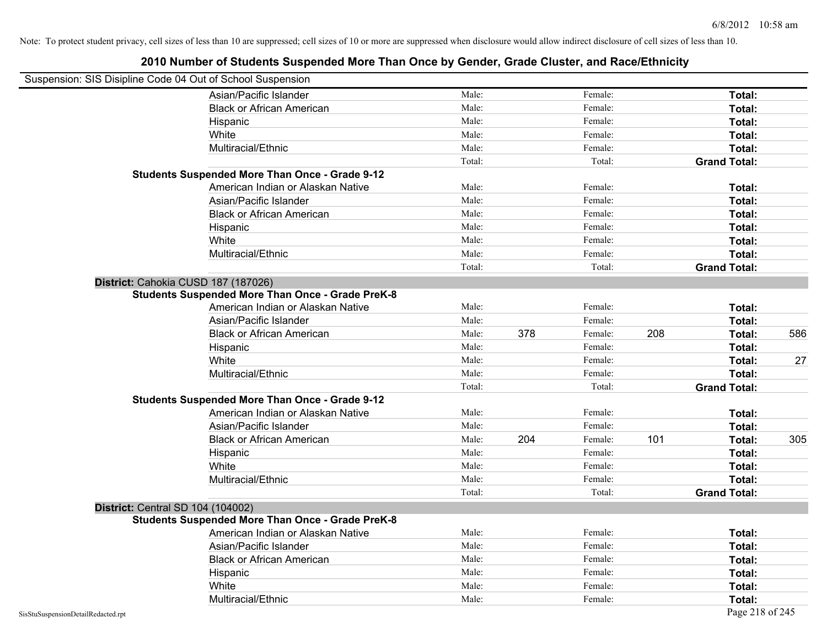|                                    | Suspension: SIS Disipline Code 04 Out of School Suspension |        |     |         |     |                     |     |
|------------------------------------|------------------------------------------------------------|--------|-----|---------|-----|---------------------|-----|
|                                    | Asian/Pacific Islander                                     | Male:  |     | Female: |     | Total:              |     |
|                                    | <b>Black or African American</b>                           | Male:  |     | Female: |     | Total:              |     |
|                                    | Hispanic                                                   | Male:  |     | Female: |     | Total:              |     |
|                                    | White                                                      | Male:  |     | Female: |     | Total:              |     |
|                                    | Multiracial/Ethnic                                         | Male:  |     | Female: |     | <b>Total:</b>       |     |
|                                    |                                                            | Total: |     | Total:  |     | <b>Grand Total:</b> |     |
|                                    | <b>Students Suspended More Than Once - Grade 9-12</b>      |        |     |         |     |                     |     |
|                                    | American Indian or Alaskan Native                          | Male:  |     | Female: |     | Total:              |     |
|                                    | Asian/Pacific Islander                                     | Male:  |     | Female: |     | Total:              |     |
|                                    | <b>Black or African American</b>                           | Male:  |     | Female: |     | Total:              |     |
|                                    | Hispanic                                                   | Male:  |     | Female: |     | Total:              |     |
|                                    | White                                                      | Male:  |     | Female: |     | Total:              |     |
|                                    | Multiracial/Ethnic                                         | Male:  |     | Female: |     | Total:              |     |
|                                    |                                                            | Total: |     | Total:  |     | <b>Grand Total:</b> |     |
|                                    | District: Cahokia CUSD 187 (187026)                        |        |     |         |     |                     |     |
|                                    | <b>Students Suspended More Than Once - Grade PreK-8</b>    |        |     |         |     |                     |     |
|                                    | American Indian or Alaskan Native                          | Male:  |     | Female: |     | Total:              |     |
|                                    | Asian/Pacific Islander                                     | Male:  |     | Female: |     | <b>Total:</b>       |     |
|                                    | <b>Black or African American</b>                           | Male:  | 378 | Female: | 208 | Total:              | 586 |
|                                    | Hispanic                                                   | Male:  |     | Female: |     | Total:              |     |
|                                    | White                                                      | Male:  |     | Female: |     | Total:              | 27  |
|                                    | Multiracial/Ethnic                                         | Male:  |     | Female: |     | Total:              |     |
|                                    |                                                            | Total: |     | Total:  |     | <b>Grand Total:</b> |     |
|                                    | <b>Students Suspended More Than Once - Grade 9-12</b>      |        |     |         |     |                     |     |
|                                    | American Indian or Alaskan Native                          | Male:  |     | Female: |     | Total:              |     |
|                                    | Asian/Pacific Islander                                     | Male:  |     | Female: |     | Total:              |     |
|                                    | <b>Black or African American</b>                           | Male:  | 204 | Female: | 101 | Total:              | 305 |
|                                    | Hispanic                                                   | Male:  |     | Female: |     | <b>Total:</b>       |     |
|                                    | White                                                      | Male:  |     | Female: |     | Total:              |     |
|                                    | Multiracial/Ethnic                                         | Male:  |     | Female: |     | Total:              |     |
|                                    |                                                            | Total: |     | Total:  |     | <b>Grand Total:</b> |     |
|                                    | District: Central SD 104 (104002)                          |        |     |         |     |                     |     |
|                                    | <b>Students Suspended More Than Once - Grade PreK-8</b>    |        |     |         |     |                     |     |
|                                    | American Indian or Alaskan Native                          | Male:  |     | Female: |     | <b>Total:</b>       |     |
|                                    | Asian/Pacific Islander                                     | Male:  |     | Female: |     | Total:              |     |
|                                    | <b>Black or African American</b>                           | Male:  |     | Female: |     | Total:              |     |
|                                    | Hispanic                                                   | Male:  |     | Female: |     | Total:              |     |
|                                    | White                                                      | Male:  |     | Female: |     | <b>Total:</b>       |     |
|                                    | Multiracial/Ethnic                                         | Male:  |     | Female: |     | <b>Total:</b>       |     |
| SisStuSuspensionDetailRedacted.rpt |                                                            |        |     |         |     | Page 218 of 245     |     |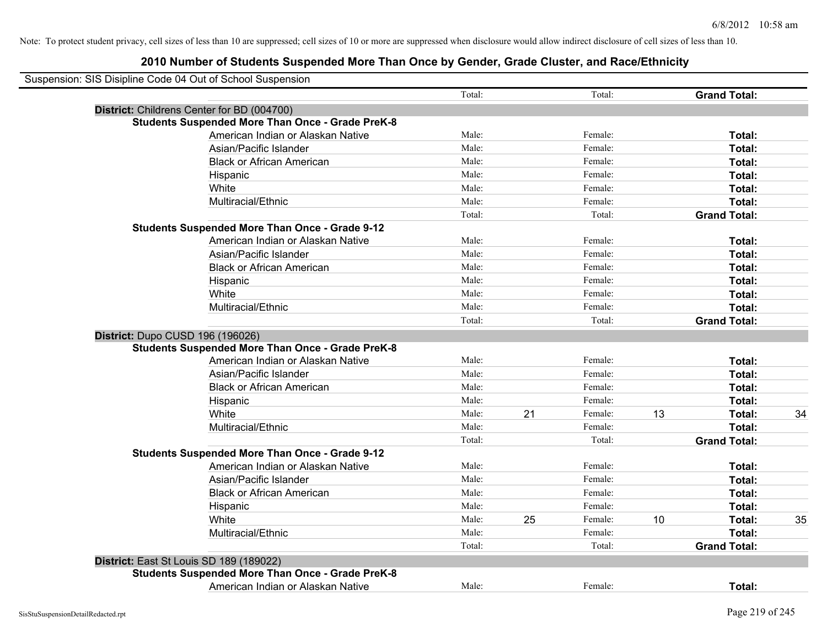| Suspension: SIS Disipline Code 04 Out of School Suspension |        |    |         |    |                     |    |
|------------------------------------------------------------|--------|----|---------|----|---------------------|----|
|                                                            | Total: |    | Total:  |    | <b>Grand Total:</b> |    |
| District: Childrens Center for BD (004700)                 |        |    |         |    |                     |    |
| <b>Students Suspended More Than Once - Grade PreK-8</b>    |        |    |         |    |                     |    |
| American Indian or Alaskan Native                          | Male:  |    | Female: |    | Total:              |    |
| Asian/Pacific Islander                                     | Male:  |    | Female: |    | Total:              |    |
| <b>Black or African American</b>                           | Male:  |    | Female: |    | Total:              |    |
| Hispanic                                                   | Male:  |    | Female: |    | Total:              |    |
| White                                                      | Male:  |    | Female: |    | Total:              |    |
| Multiracial/Ethnic                                         | Male:  |    | Female: |    | Total:              |    |
|                                                            | Total: |    | Total:  |    | <b>Grand Total:</b> |    |
| <b>Students Suspended More Than Once - Grade 9-12</b>      |        |    |         |    |                     |    |
| American Indian or Alaskan Native                          | Male:  |    | Female: |    | Total:              |    |
| Asian/Pacific Islander                                     | Male:  |    | Female: |    | Total:              |    |
| <b>Black or African American</b>                           | Male:  |    | Female: |    | Total:              |    |
| Hispanic                                                   | Male:  |    | Female: |    | Total:              |    |
| White                                                      | Male:  |    | Female: |    | Total:              |    |
| Multiracial/Ethnic                                         | Male:  |    | Female: |    | Total:              |    |
|                                                            | Total: |    | Total:  |    | <b>Grand Total:</b> |    |
| District: Dupo CUSD 196 (196026)                           |        |    |         |    |                     |    |
| <b>Students Suspended More Than Once - Grade PreK-8</b>    |        |    |         |    |                     |    |
| American Indian or Alaskan Native                          | Male:  |    | Female: |    | Total:              |    |
| Asian/Pacific Islander                                     | Male:  |    | Female: |    | Total:              |    |
| <b>Black or African American</b>                           | Male:  |    | Female: |    | Total:              |    |
| Hispanic                                                   | Male:  |    | Female: |    | Total:              |    |
| White                                                      | Male:  | 21 | Female: | 13 | Total:              | 34 |
| Multiracial/Ethnic                                         | Male:  |    | Female: |    | Total:              |    |
|                                                            | Total: |    | Total:  |    | <b>Grand Total:</b> |    |
| <b>Students Suspended More Than Once - Grade 9-12</b>      |        |    |         |    |                     |    |
| American Indian or Alaskan Native                          | Male:  |    | Female: |    | Total:              |    |
| Asian/Pacific Islander                                     | Male:  |    | Female: |    | Total:              |    |
| <b>Black or African American</b>                           | Male:  |    | Female: |    | Total:              |    |
| Hispanic                                                   | Male:  |    | Female: |    | Total:              |    |
| White                                                      | Male:  | 25 | Female: | 10 | Total:              | 35 |
| Multiracial/Ethnic                                         | Male:  |    | Female: |    | Total:              |    |
|                                                            | Total: |    | Total:  |    | <b>Grand Total:</b> |    |
| District: East St Louis SD 189 (189022)                    |        |    |         |    |                     |    |
| <b>Students Suspended More Than Once - Grade PreK-8</b>    |        |    |         |    |                     |    |
| American Indian or Alaskan Native                          | Male:  |    | Female: |    | Total:              |    |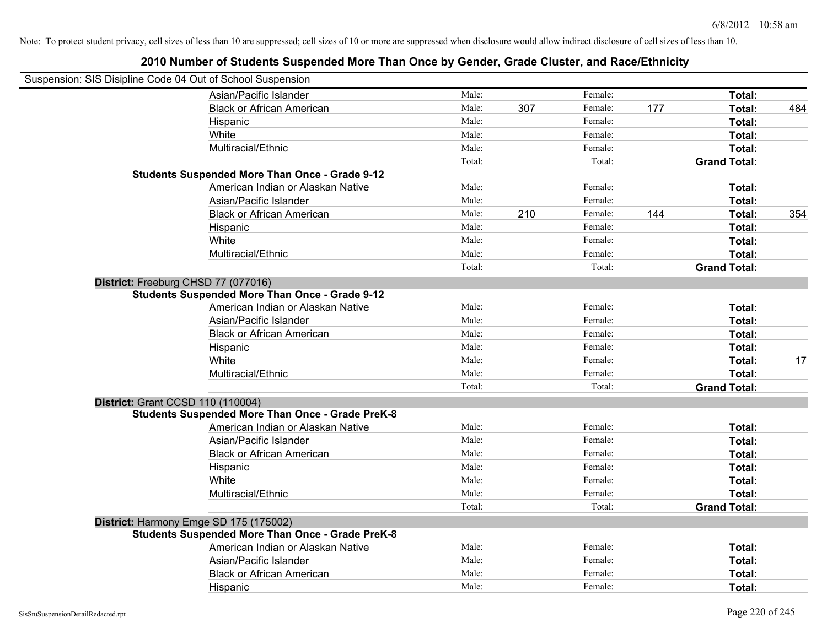| Suspension: SIS Disipline Code 04 Out of School Suspension |                                                         |        |     |         |     |                     |     |
|------------------------------------------------------------|---------------------------------------------------------|--------|-----|---------|-----|---------------------|-----|
|                                                            | Asian/Pacific Islander                                  | Male:  |     | Female: |     | Total:              |     |
|                                                            | <b>Black or African American</b>                        | Male:  | 307 | Female: | 177 | Total:              | 484 |
|                                                            | Hispanic                                                | Male:  |     | Female: |     | <b>Total:</b>       |     |
|                                                            | White                                                   | Male:  |     | Female: |     | Total:              |     |
|                                                            | Multiracial/Ethnic                                      | Male:  |     | Female: |     | Total:              |     |
|                                                            |                                                         | Total: |     | Total:  |     | <b>Grand Total:</b> |     |
|                                                            | <b>Students Suspended More Than Once - Grade 9-12</b>   |        |     |         |     |                     |     |
|                                                            | American Indian or Alaskan Native                       | Male:  |     | Female: |     | Total:              |     |
|                                                            | Asian/Pacific Islander                                  | Male:  |     | Female: |     | Total:              |     |
|                                                            | <b>Black or African American</b>                        | Male:  | 210 | Female: | 144 | Total:              | 354 |
|                                                            | Hispanic                                                | Male:  |     | Female: |     | Total:              |     |
|                                                            | White                                                   | Male:  |     | Female: |     | Total:              |     |
|                                                            | Multiracial/Ethnic                                      | Male:  |     | Female: |     | Total:              |     |
|                                                            |                                                         | Total: |     | Total:  |     | <b>Grand Total:</b> |     |
|                                                            | District: Freeburg CHSD 77 (077016)                     |        |     |         |     |                     |     |
|                                                            | <b>Students Suspended More Than Once - Grade 9-12</b>   |        |     |         |     |                     |     |
|                                                            | American Indian or Alaskan Native                       | Male:  |     | Female: |     | Total:              |     |
|                                                            | Asian/Pacific Islander                                  | Male:  |     | Female: |     | Total:              |     |
|                                                            | <b>Black or African American</b>                        | Male:  |     | Female: |     | Total:              |     |
|                                                            | Hispanic                                                | Male:  |     | Female: |     | Total:              |     |
|                                                            | White                                                   | Male:  |     | Female: |     | Total:              | 17  |
|                                                            | Multiracial/Ethnic                                      | Male:  |     | Female: |     | Total:              |     |
|                                                            |                                                         | Total: |     | Total:  |     | <b>Grand Total:</b> |     |
| <b>District: Grant CCSD 110 (110004)</b>                   |                                                         |        |     |         |     |                     |     |
|                                                            | <b>Students Suspended More Than Once - Grade PreK-8</b> |        |     |         |     |                     |     |
|                                                            | American Indian or Alaskan Native                       | Male:  |     | Female: |     | Total:              |     |
|                                                            | Asian/Pacific Islander                                  | Male:  |     | Female: |     | Total:              |     |
|                                                            | <b>Black or African American</b>                        | Male:  |     | Female: |     | Total:              |     |
|                                                            | Hispanic                                                | Male:  |     | Female: |     | Total:              |     |
|                                                            | White                                                   | Male:  |     | Female: |     | Total:              |     |
|                                                            | Multiracial/Ethnic                                      | Male:  |     | Female: |     | Total:              |     |
|                                                            |                                                         | Total: |     | Total:  |     | <b>Grand Total:</b> |     |
|                                                            | District: Harmony Emge SD 175 (175002)                  |        |     |         |     |                     |     |
|                                                            | <b>Students Suspended More Than Once - Grade PreK-8</b> |        |     |         |     |                     |     |
|                                                            | American Indian or Alaskan Native                       | Male:  |     | Female: |     | Total:              |     |
|                                                            | Asian/Pacific Islander                                  | Male:  |     | Female: |     | Total:              |     |
|                                                            | <b>Black or African American</b>                        | Male:  |     | Female: |     | Total:              |     |
|                                                            | Hispanic                                                | Male:  |     | Female: |     | Total:              |     |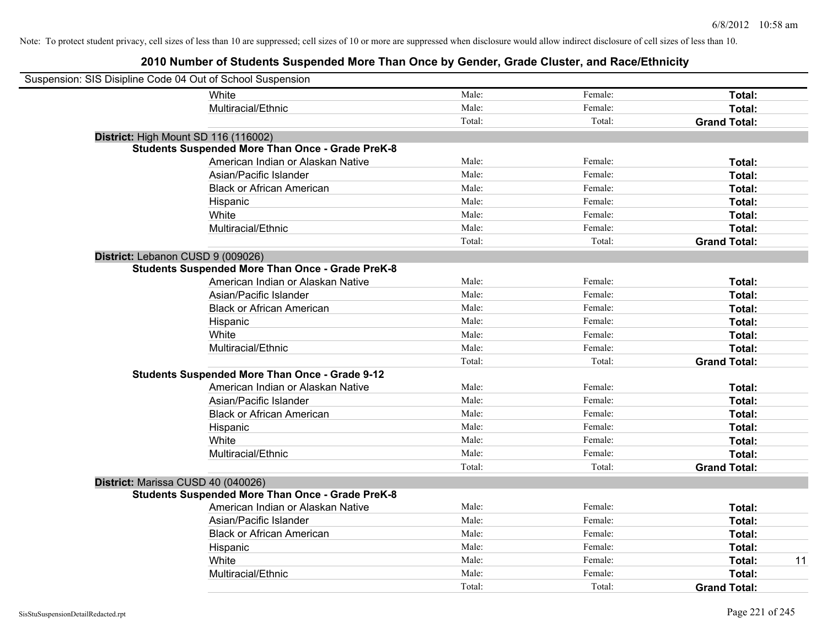| Suspension: SIS Disipline Code 04 Out of School Suspension |                                                         |        |         |                     |
|------------------------------------------------------------|---------------------------------------------------------|--------|---------|---------------------|
|                                                            | White                                                   | Male:  | Female: | Total:              |
|                                                            | Multiracial/Ethnic                                      | Male:  | Female: | Total:              |
|                                                            |                                                         | Total: | Total:  | <b>Grand Total:</b> |
| District: High Mount SD 116 (116002)                       |                                                         |        |         |                     |
|                                                            | <b>Students Suspended More Than Once - Grade PreK-8</b> |        |         |                     |
|                                                            | American Indian or Alaskan Native                       | Male:  | Female: | Total:              |
|                                                            | Asian/Pacific Islander                                  | Male:  | Female: | Total:              |
|                                                            | <b>Black or African American</b>                        | Male:  | Female: | Total:              |
|                                                            | Hispanic                                                | Male:  | Female: | Total:              |
|                                                            | White                                                   | Male:  | Female: | Total:              |
|                                                            | Multiracial/Ethnic                                      | Male:  | Female: | Total:              |
|                                                            |                                                         | Total: | Total:  | <b>Grand Total:</b> |
| District: Lebanon CUSD 9 (009026)                          |                                                         |        |         |                     |
|                                                            | <b>Students Suspended More Than Once - Grade PreK-8</b> |        |         |                     |
|                                                            | American Indian or Alaskan Native                       | Male:  | Female: | Total:              |
|                                                            | Asian/Pacific Islander                                  | Male:  | Female: | Total:              |
|                                                            | <b>Black or African American</b>                        | Male:  | Female: | Total:              |
|                                                            | Hispanic                                                | Male:  | Female: | Total:              |
|                                                            | White                                                   | Male:  | Female: | Total:              |
|                                                            | Multiracial/Ethnic                                      | Male:  | Female: | Total:              |
|                                                            |                                                         | Total: | Total:  | <b>Grand Total:</b> |
|                                                            | <b>Students Suspended More Than Once - Grade 9-12</b>   |        |         |                     |
|                                                            | American Indian or Alaskan Native                       | Male:  | Female: | Total:              |
|                                                            | Asian/Pacific Islander                                  | Male:  | Female: | Total:              |
|                                                            | <b>Black or African American</b>                        | Male:  | Female: | Total:              |
|                                                            | Hispanic                                                | Male:  | Female: | Total:              |
|                                                            | White                                                   | Male:  | Female: | Total:              |
|                                                            | Multiracial/Ethnic                                      | Male:  | Female: | Total:              |
|                                                            |                                                         | Total: | Total:  | <b>Grand Total:</b> |
| District: Marissa CUSD 40 (040026)                         |                                                         |        |         |                     |
|                                                            | <b>Students Suspended More Than Once - Grade PreK-8</b> |        |         |                     |
|                                                            | American Indian or Alaskan Native                       | Male:  | Female: | Total:              |
|                                                            | Asian/Pacific Islander                                  | Male:  | Female: | Total:              |
|                                                            | <b>Black or African American</b>                        | Male:  | Female: | Total:              |
|                                                            | Hispanic                                                | Male:  | Female: | Total:              |
|                                                            | White                                                   | Male:  | Female: | 11<br>Total:        |
|                                                            | Multiracial/Ethnic                                      | Male:  | Female: | Total:              |
|                                                            |                                                         | Total: | Total:  | <b>Grand Total:</b> |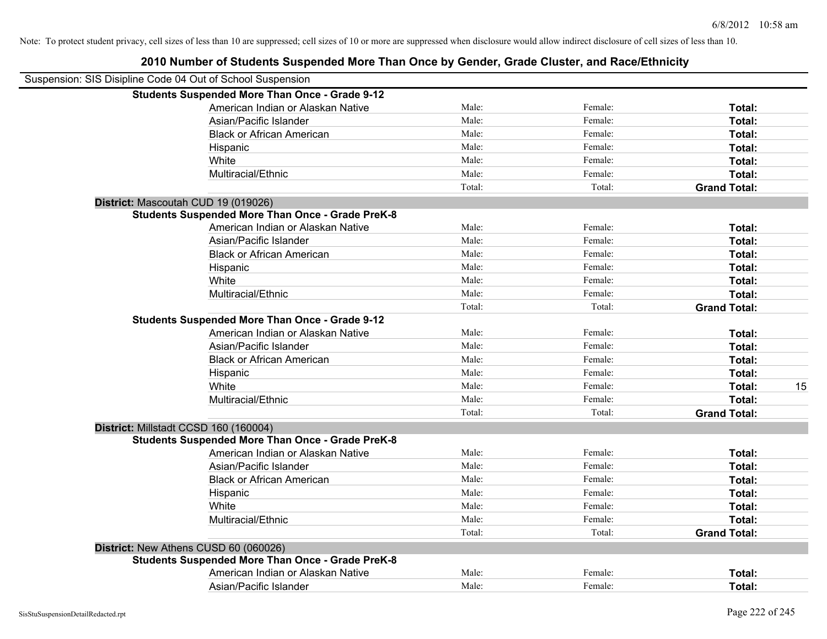| Suspension: SIS Disipline Code 04 Out of School Suspension |        |         |                     |    |
|------------------------------------------------------------|--------|---------|---------------------|----|
| <b>Students Suspended More Than Once - Grade 9-12</b>      |        |         |                     |    |
| American Indian or Alaskan Native                          | Male:  | Female: | Total:              |    |
| Asian/Pacific Islander                                     | Male:  | Female: | Total:              |    |
| <b>Black or African American</b>                           | Male:  | Female: | Total:              |    |
| Hispanic                                                   | Male:  | Female: | Total:              |    |
| White                                                      | Male:  | Female: | Total:              |    |
| Multiracial/Ethnic                                         | Male:  | Female: | Total:              |    |
|                                                            | Total: | Total:  | <b>Grand Total:</b> |    |
| District: Mascoutah CUD 19 (019026)                        |        |         |                     |    |
| <b>Students Suspended More Than Once - Grade PreK-8</b>    |        |         |                     |    |
| American Indian or Alaskan Native                          | Male:  | Female: | Total:              |    |
| Asian/Pacific Islander                                     | Male:  | Female: | Total:              |    |
| <b>Black or African American</b>                           | Male:  | Female: | Total:              |    |
| Hispanic                                                   | Male:  | Female: | Total:              |    |
| White                                                      | Male:  | Female: | Total:              |    |
| Multiracial/Ethnic                                         | Male:  | Female: | Total:              |    |
|                                                            | Total: | Total:  | <b>Grand Total:</b> |    |
| <b>Students Suspended More Than Once - Grade 9-12</b>      |        |         |                     |    |
| American Indian or Alaskan Native                          | Male:  | Female: | Total:              |    |
| Asian/Pacific Islander                                     | Male:  | Female: | Total:              |    |
| <b>Black or African American</b>                           | Male:  | Female: | Total:              |    |
| Hispanic                                                   | Male:  | Female: | Total:              |    |
| White                                                      | Male:  | Female: | Total:              | 15 |
| Multiracial/Ethnic                                         | Male:  | Female: | Total:              |    |
|                                                            | Total: | Total:  | <b>Grand Total:</b> |    |
| District: Millstadt CCSD 160 (160004)                      |        |         |                     |    |
| <b>Students Suspended More Than Once - Grade PreK-8</b>    |        |         |                     |    |
| American Indian or Alaskan Native                          | Male:  | Female: | Total:              |    |
| Asian/Pacific Islander                                     | Male:  | Female: | Total:              |    |
| <b>Black or African American</b>                           | Male:  | Female: | Total:              |    |
| Hispanic                                                   | Male:  | Female: | Total:              |    |
| White                                                      | Male:  | Female: | Total:              |    |
| Multiracial/Ethnic                                         | Male:  | Female: | Total:              |    |
|                                                            | Total: | Total:  | <b>Grand Total:</b> |    |
| District: New Athens CUSD 60 (060026)                      |        |         |                     |    |
| <b>Students Suspended More Than Once - Grade PreK-8</b>    |        |         |                     |    |
| American Indian or Alaskan Native                          | Male:  | Female: | Total:              |    |
| Asian/Pacific Islander                                     | Male:  | Female: | Total:              |    |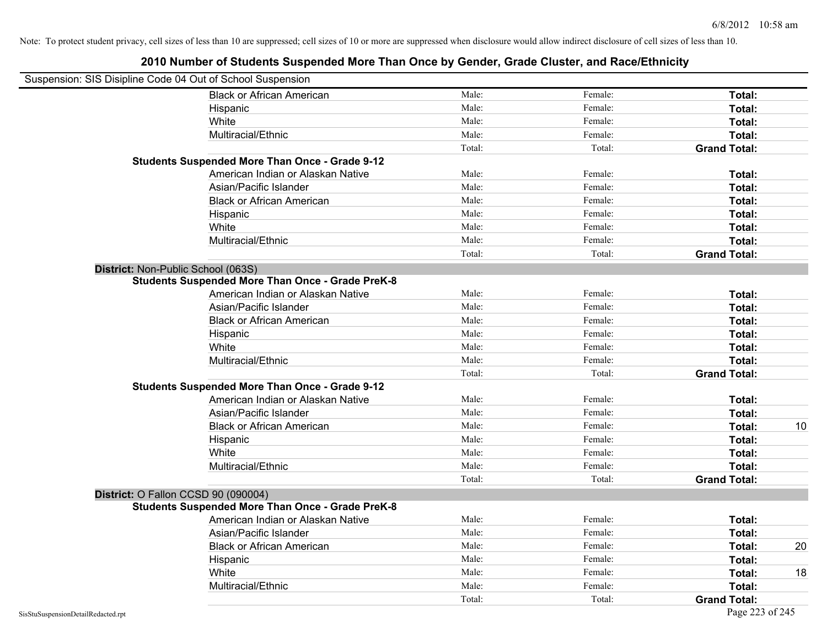| Suspension: SIS Disipline Code 04 Out of School Suspension |                                                         |        |         |                     |    |
|------------------------------------------------------------|---------------------------------------------------------|--------|---------|---------------------|----|
|                                                            | <b>Black or African American</b>                        | Male:  | Female: | Total:              |    |
|                                                            | Hispanic                                                | Male:  | Female: | Total:              |    |
|                                                            | White                                                   | Male:  | Female: | Total:              |    |
|                                                            | Multiracial/Ethnic                                      | Male:  | Female: | Total:              |    |
|                                                            |                                                         | Total: | Total:  | <b>Grand Total:</b> |    |
|                                                            | <b>Students Suspended More Than Once - Grade 9-12</b>   |        |         |                     |    |
|                                                            | American Indian or Alaskan Native                       | Male:  | Female: | Total:              |    |
|                                                            | Asian/Pacific Islander                                  | Male:  | Female: | Total:              |    |
|                                                            | <b>Black or African American</b>                        | Male:  | Female: | Total:              |    |
|                                                            | Hispanic                                                | Male:  | Female: | Total:              |    |
|                                                            | White                                                   | Male:  | Female: | <b>Total:</b>       |    |
|                                                            | Multiracial/Ethnic                                      | Male:  | Female: | Total:              |    |
|                                                            |                                                         | Total: | Total:  | <b>Grand Total:</b> |    |
| District: Non-Public School (063S)                         |                                                         |        |         |                     |    |
|                                                            | <b>Students Suspended More Than Once - Grade PreK-8</b> |        |         |                     |    |
|                                                            | American Indian or Alaskan Native                       | Male:  | Female: | Total:              |    |
|                                                            | Asian/Pacific Islander                                  | Male:  | Female: | Total:              |    |
|                                                            | <b>Black or African American</b>                        | Male:  | Female: | <b>Total:</b>       |    |
|                                                            | Hispanic                                                | Male:  | Female: | Total:              |    |
|                                                            | White                                                   | Male:  | Female: | Total:              |    |
|                                                            | Multiracial/Ethnic                                      | Male:  | Female: | Total:              |    |
|                                                            |                                                         | Total: | Total:  | <b>Grand Total:</b> |    |
|                                                            | <b>Students Suspended More Than Once - Grade 9-12</b>   |        |         |                     |    |
|                                                            | American Indian or Alaskan Native                       | Male:  | Female: | <b>Total:</b>       |    |
|                                                            | Asian/Pacific Islander                                  | Male:  | Female: | Total:              |    |
|                                                            | <b>Black or African American</b>                        | Male:  | Female: | Total:              | 10 |
|                                                            | Hispanic                                                | Male:  | Female: | Total:              |    |
|                                                            | White                                                   | Male:  | Female: | <b>Total:</b>       |    |
|                                                            | Multiracial/Ethnic                                      | Male:  | Female: | Total:              |    |
|                                                            |                                                         | Total: | Total:  | <b>Grand Total:</b> |    |
|                                                            | District: O Fallon CCSD 90 (090004)                     |        |         |                     |    |
|                                                            | <b>Students Suspended More Than Once - Grade PreK-8</b> |        |         |                     |    |
|                                                            | American Indian or Alaskan Native                       | Male:  | Female: | <b>Total:</b>       |    |
|                                                            | Asian/Pacific Islander                                  | Male:  | Female: | <b>Total:</b>       |    |
|                                                            | <b>Black or African American</b>                        | Male:  | Female: | Total:              | 20 |
|                                                            | Hispanic                                                | Male:  | Female: | Total:              |    |
|                                                            | White                                                   | Male:  | Female: | Total:              | 18 |
|                                                            | Multiracial/Ethnic                                      | Male:  | Female: | Total:              |    |
|                                                            |                                                         | Total: | Total:  | <b>Grand Total:</b> |    |
| SisStuSuspensionDetailRedacted.rpt                         |                                                         |        |         | Page 223 of 245     |    |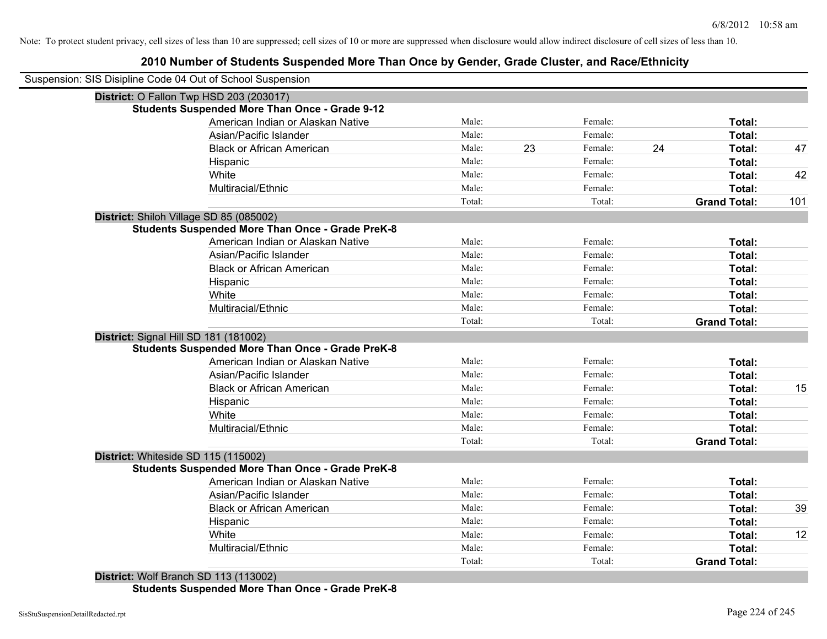# **2010 Number of Students Suspended More Than Once by Gender, Grade Cluster, and Race/Ethnicity**

| Suspension: SIS Disipline Code 04 Out of School Suspension |        |    |         |    |                     |
|------------------------------------------------------------|--------|----|---------|----|---------------------|
| District: O Fallon Twp HSD 203 (203017)                    |        |    |         |    |                     |
| <b>Students Suspended More Than Once - Grade 9-12</b>      |        |    |         |    |                     |
| American Indian or Alaskan Native                          | Male:  |    | Female: |    | Total:              |
| Asian/Pacific Islander                                     | Male:  |    | Female: |    | Total:              |
| <b>Black or African American</b>                           | Male:  | 23 | Female: | 24 | Total:              |
| Hispanic                                                   | Male:  |    | Female: |    | Total:              |
| White                                                      | Male:  |    | Female: |    | Total:              |
| Multiracial/Ethnic                                         | Male:  |    | Female: |    | Total:              |
|                                                            | Total: |    | Total:  |    | <b>Grand Total:</b> |
| District: Shiloh Village SD 85 (085002)                    |        |    |         |    |                     |
| <b>Students Suspended More Than Once - Grade PreK-8</b>    |        |    |         |    |                     |
| American Indian or Alaskan Native                          | Male:  |    | Female: |    | Total:              |
| Asian/Pacific Islander                                     | Male:  |    | Female: |    | Total:              |
| <b>Black or African American</b>                           | Male:  |    | Female: |    | Total:              |
| Hispanic                                                   | Male:  |    | Female: |    | Total:              |
| White                                                      | Male:  |    | Female: |    | Total:              |
| Multiracial/Ethnic                                         | Male:  |    | Female: |    | Total:              |
|                                                            | Total: |    | Total:  |    | <b>Grand Total:</b> |
| District: Signal Hill SD 181 (181002)                      |        |    |         |    |                     |
| <b>Students Suspended More Than Once - Grade PreK-8</b>    |        |    |         |    |                     |
| American Indian or Alaskan Native                          | Male:  |    | Female: |    | Total:              |
| Asian/Pacific Islander                                     | Male:  |    | Female: |    | Total:              |
| <b>Black or African American</b>                           | Male:  |    | Female: |    | Total:              |
| Hispanic                                                   | Male:  |    | Female: |    | Total:              |
| White                                                      | Male:  |    | Female: |    | Total:              |
| Multiracial/Ethnic                                         | Male:  |    | Female: |    | Total:              |
|                                                            | Total: |    | Total:  |    | <b>Grand Total:</b> |
| District: Whiteside SD 115 (115002)                        |        |    |         |    |                     |
| <b>Students Suspended More Than Once - Grade PreK-8</b>    |        |    |         |    |                     |
| American Indian or Alaskan Native                          | Male:  |    | Female: |    | Total:              |
| Asian/Pacific Islander                                     | Male:  |    | Female: |    | Total:              |
| <b>Black or African American</b>                           | Male:  |    | Female: |    | Total:              |
| Hispanic                                                   | Male:  |    | Female: |    | Total:              |
| White                                                      | Male:  |    | Female: |    | Total:              |
| Multiracial/Ethnic                                         | Male:  |    | Female: |    | Total:              |
|                                                            | Total: |    | Total:  |    | <b>Grand Total:</b> |

**Students Suspended More Than Once - Grade PreK-8**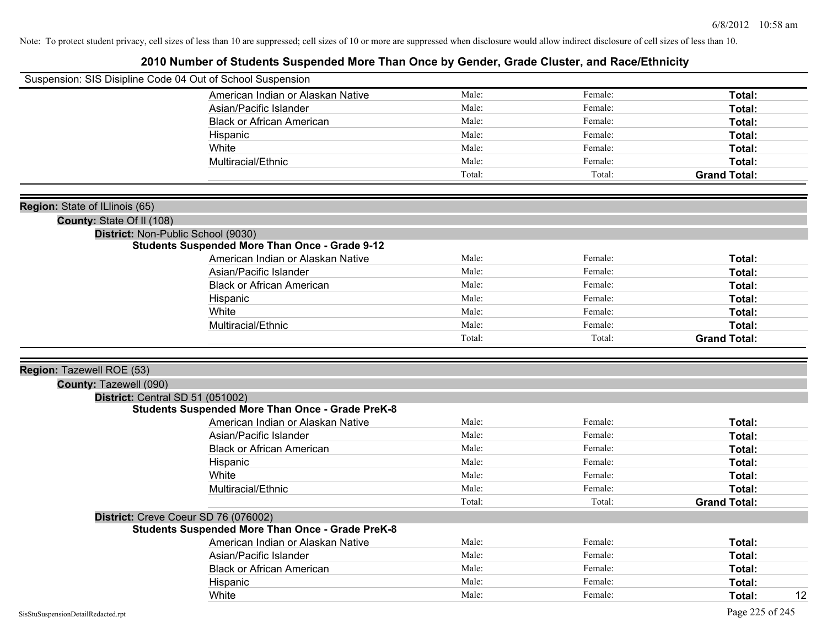| Suspension: SIS Disipline Code 04 Out of School Suspension |                                                         |        |         |                     |
|------------------------------------------------------------|---------------------------------------------------------|--------|---------|---------------------|
|                                                            | American Indian or Alaskan Native                       | Male:  | Female: | Total:              |
|                                                            | Asian/Pacific Islander                                  | Male:  | Female: | Total:              |
|                                                            | <b>Black or African American</b>                        | Male:  | Female: | Total:              |
|                                                            | Hispanic                                                | Male:  | Female: | Total:              |
|                                                            | White                                                   | Male:  | Female: | Total:              |
|                                                            | Multiracial/Ethnic                                      | Male:  | Female: | Total:              |
|                                                            |                                                         | Total: | Total:  | <b>Grand Total:</b> |
|                                                            |                                                         |        |         |                     |
| Region: State of ILlinois (65)                             |                                                         |        |         |                     |
| County: State Of II (108)                                  |                                                         |        |         |                     |
|                                                            | District: Non-Public School (9030)                      |        |         |                     |
|                                                            | <b>Students Suspended More Than Once - Grade 9-12</b>   |        |         |                     |
|                                                            | American Indian or Alaskan Native                       | Male:  | Female: | Total:              |
|                                                            | Asian/Pacific Islander                                  | Male:  | Female: | Total:              |
|                                                            | <b>Black or African American</b>                        | Male:  | Female: | Total:              |
|                                                            | Hispanic                                                | Male:  | Female: | Total:              |
|                                                            | White                                                   | Male:  | Female: | Total:              |
|                                                            | Multiracial/Ethnic                                      | Male:  | Female: | Total:              |
|                                                            |                                                         | Total: | Total:  | <b>Grand Total:</b> |
|                                                            |                                                         |        |         |                     |
| Region: Tazewell ROE (53)                                  |                                                         |        |         |                     |
| County: Tazewell (090)                                     |                                                         |        |         |                     |
| District: Central SD 51 (051002)                           |                                                         |        |         |                     |
|                                                            | <b>Students Suspended More Than Once - Grade PreK-8</b> |        |         |                     |
|                                                            | American Indian or Alaskan Native                       | Male:  | Female: | Total:              |
|                                                            | Asian/Pacific Islander                                  | Male:  | Female: | Total:              |
|                                                            | <b>Black or African American</b>                        | Male:  | Female: | Total:              |
|                                                            | Hispanic                                                | Male:  | Female: | Total:              |
|                                                            | White                                                   | Male:  | Female: | Total:              |
|                                                            | Multiracial/Ethnic                                      | Male:  | Female: | Total:              |
|                                                            |                                                         | Total: | Total:  | <b>Grand Total:</b> |
|                                                            | District: Creve Coeur SD 76 (076002)                    |        |         |                     |
|                                                            | <b>Students Suspended More Than Once - Grade PreK-8</b> |        |         |                     |
|                                                            | American Indian or Alaskan Native                       | Male:  | Female: | Total:              |
|                                                            | Asian/Pacific Islander                                  | Male:  | Female: | Total:              |
|                                                            | <b>Black or African American</b>                        | Male:  | Female: | Total:              |
|                                                            | Hispanic                                                | Male:  | Female: | <b>Total:</b>       |
|                                                            | White                                                   | Male:  | Female: | 12<br>Total:        |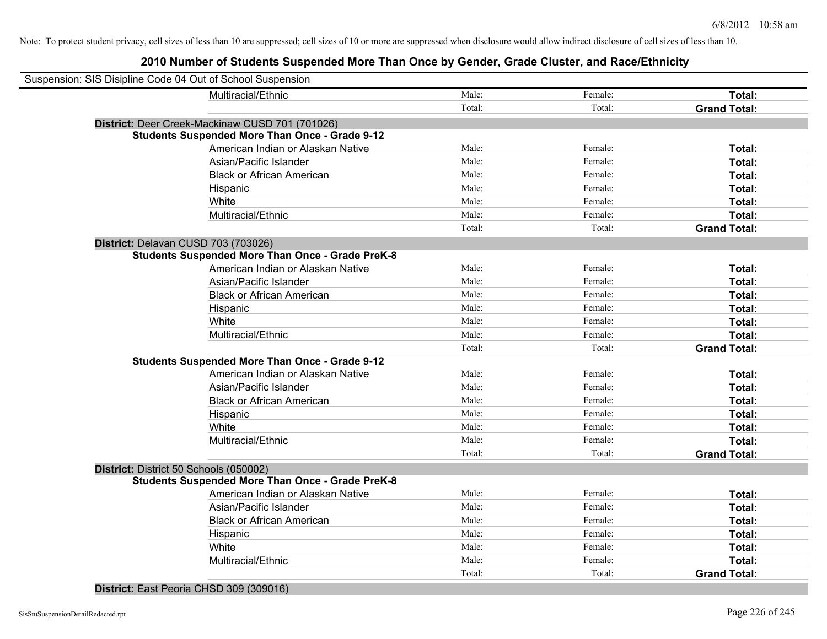# **2010 Number of Students Suspended More Than Once by Gender, Grade Cluster, and Race/Ethnicity**

| Suspension: SIS Disipline Code 04 Out of School Suspension |                                                         |        |         |                     |
|------------------------------------------------------------|---------------------------------------------------------|--------|---------|---------------------|
|                                                            | Multiracial/Ethnic                                      | Male:  | Female: | Total:              |
|                                                            |                                                         | Total: | Total:  | <b>Grand Total:</b> |
| District: Deer Creek-Mackinaw CUSD 701 (701026)            |                                                         |        |         |                     |
|                                                            | <b>Students Suspended More Than Once - Grade 9-12</b>   |        |         |                     |
|                                                            | American Indian or Alaskan Native                       | Male:  | Female: | Total:              |
|                                                            | Asian/Pacific Islander                                  | Male:  | Female: | Total:              |
|                                                            | <b>Black or African American</b>                        | Male:  | Female: | Total:              |
| Hispanic                                                   |                                                         | Male:  | Female: | Total:              |
| White                                                      |                                                         | Male:  | Female: | Total:              |
|                                                            | Multiracial/Ethnic                                      | Male:  | Female: | Total:              |
|                                                            |                                                         | Total: | Total:  | <b>Grand Total:</b> |
| District: Delavan CUSD 703 (703026)                        |                                                         |        |         |                     |
|                                                            | <b>Students Suspended More Than Once - Grade PreK-8</b> |        |         |                     |
|                                                            | American Indian or Alaskan Native                       | Male:  | Female: | Total:              |
|                                                            | Asian/Pacific Islander                                  | Male:  | Female: | Total:              |
|                                                            | <b>Black or African American</b>                        | Male:  | Female: | Total:              |
| Hispanic                                                   |                                                         | Male:  | Female: | Total:              |
| White                                                      |                                                         | Male:  | Female: | Total:              |
|                                                            | Multiracial/Ethnic                                      | Male:  | Female: | Total:              |
|                                                            |                                                         | Total: | Total:  | <b>Grand Total:</b> |
|                                                            | <b>Students Suspended More Than Once - Grade 9-12</b>   |        |         |                     |
|                                                            | American Indian or Alaskan Native                       | Male:  | Female: | Total:              |
|                                                            | Asian/Pacific Islander                                  | Male:  | Female: | Total:              |
|                                                            | <b>Black or African American</b>                        | Male:  | Female: | Total:              |
| Hispanic                                                   |                                                         | Male:  | Female: | Total:              |
| White                                                      |                                                         | Male:  | Female: | Total:              |
|                                                            | Multiracial/Ethnic                                      | Male:  | Female: | Total:              |
|                                                            |                                                         | Total: | Total:  | <b>Grand Total:</b> |
| District: District 50 Schools (050002)                     |                                                         |        |         |                     |
|                                                            | <b>Students Suspended More Than Once - Grade PreK-8</b> |        |         |                     |
|                                                            | American Indian or Alaskan Native                       | Male:  | Female: | Total:              |
|                                                            | Asian/Pacific Islander                                  | Male:  | Female: | Total:              |
|                                                            | <b>Black or African American</b>                        | Male:  | Female: | Total:              |
| Hispanic                                                   |                                                         | Male:  | Female: | Total:              |
| White                                                      |                                                         | Male:  | Female: | Total:              |
|                                                            | Multiracial/Ethnic                                      | Male:  | Female: | Total:              |
|                                                            |                                                         | Total: | Total:  | <b>Grand Total:</b> |

**District:** East Peoria CHSD 309 (309016)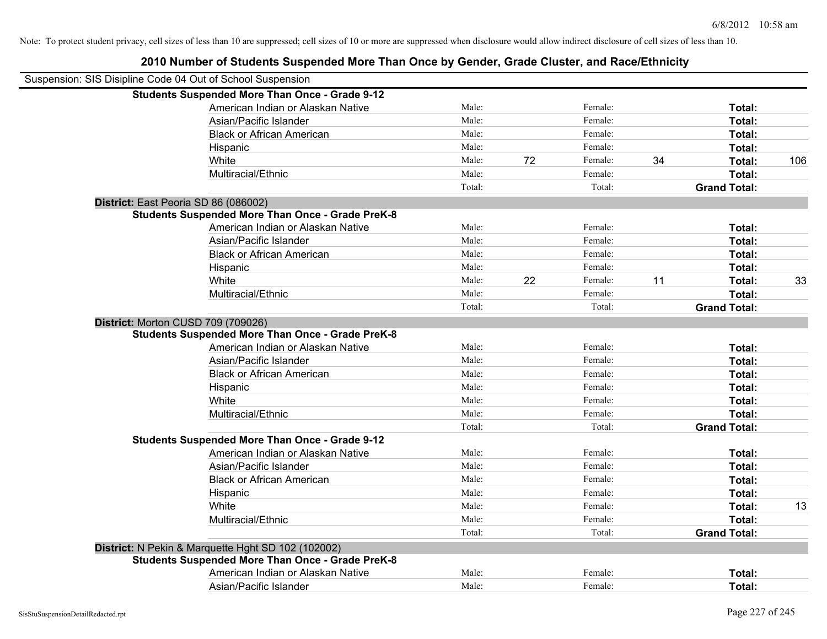| Suspension: SIS Disipline Code 04 Out of School Suspension |        |    |         |    |                     |     |
|------------------------------------------------------------|--------|----|---------|----|---------------------|-----|
| <b>Students Suspended More Than Once - Grade 9-12</b>      |        |    |         |    |                     |     |
| American Indian or Alaskan Native                          | Male:  |    | Female: |    | Total:              |     |
| Asian/Pacific Islander                                     | Male:  |    | Female: |    | Total:              |     |
| <b>Black or African American</b>                           | Male:  |    | Female: |    | Total:              |     |
| Hispanic                                                   | Male:  |    | Female: |    | Total:              |     |
| White                                                      | Male:  | 72 | Female: | 34 | Total:              | 106 |
| Multiracial/Ethnic                                         | Male:  |    | Female: |    | Total:              |     |
|                                                            | Total: |    | Total:  |    | <b>Grand Total:</b> |     |
| District: East Peoria SD 86 (086002)                       |        |    |         |    |                     |     |
| <b>Students Suspended More Than Once - Grade PreK-8</b>    |        |    |         |    |                     |     |
| American Indian or Alaskan Native                          | Male:  |    | Female: |    | Total:              |     |
| Asian/Pacific Islander                                     | Male:  |    | Female: |    | Total:              |     |
| <b>Black or African American</b>                           | Male:  |    | Female: |    | Total:              |     |
| Hispanic                                                   | Male:  |    | Female: |    | Total:              |     |
| White                                                      | Male:  | 22 | Female: | 11 | Total:              | 33  |
| Multiracial/Ethnic                                         | Male:  |    | Female: |    | Total:              |     |
|                                                            | Total: |    | Total:  |    | <b>Grand Total:</b> |     |
| District: Morton CUSD 709 (709026)                         |        |    |         |    |                     |     |
| <b>Students Suspended More Than Once - Grade PreK-8</b>    |        |    |         |    |                     |     |
| American Indian or Alaskan Native                          | Male:  |    | Female: |    | Total:              |     |
| Asian/Pacific Islander                                     | Male:  |    | Female: |    | Total:              |     |
| <b>Black or African American</b>                           | Male:  |    | Female: |    | Total:              |     |
| Hispanic                                                   | Male:  |    | Female: |    | Total:              |     |
| White                                                      | Male:  |    | Female: |    | Total:              |     |
| Multiracial/Ethnic                                         | Male:  |    | Female: |    | Total:              |     |
|                                                            | Total: |    | Total:  |    | <b>Grand Total:</b> |     |
| <b>Students Suspended More Than Once - Grade 9-12</b>      |        |    |         |    |                     |     |
| American Indian or Alaskan Native                          | Male:  |    | Female: |    | Total:              |     |
| Asian/Pacific Islander                                     | Male:  |    | Female: |    | Total:              |     |
| <b>Black or African American</b>                           | Male:  |    | Female: |    | Total:              |     |
| Hispanic                                                   | Male:  |    | Female: |    | Total:              |     |
| White                                                      | Male:  |    | Female: |    | Total:              | 13  |
| Multiracial/Ethnic                                         | Male:  |    | Female: |    | Total:              |     |
|                                                            | Total: |    | Total:  |    | <b>Grand Total:</b> |     |
| District: N Pekin & Marquette Hght SD 102 (102002)         |        |    |         |    |                     |     |
| <b>Students Suspended More Than Once - Grade PreK-8</b>    |        |    |         |    |                     |     |
| American Indian or Alaskan Native                          | Male:  |    | Female: |    | Total:              |     |
| Asian/Pacific Islander                                     | Male:  |    | Female: |    | Total:              |     |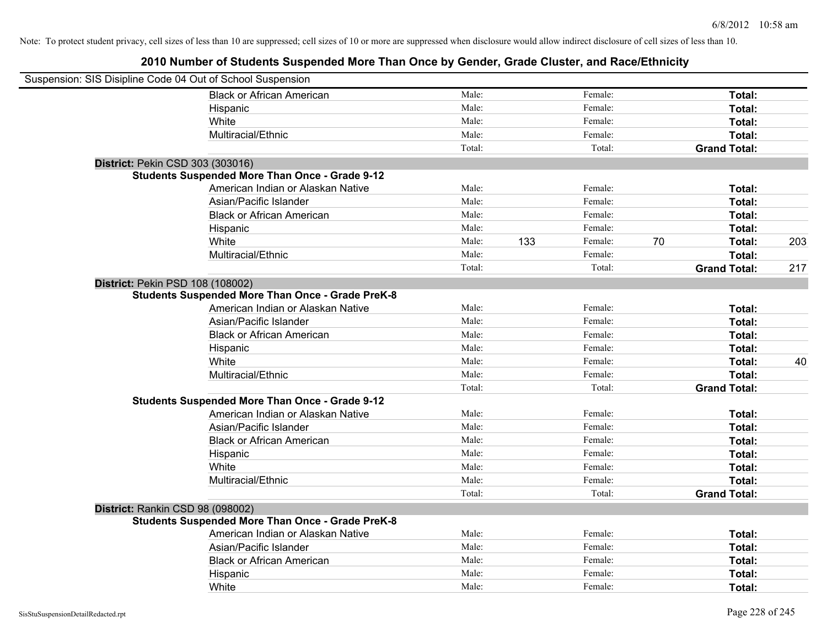| Suspension: SIS Disipline Code 04 Out of School Suspension |                                                         |        |     |         |    |                     |     |
|------------------------------------------------------------|---------------------------------------------------------|--------|-----|---------|----|---------------------|-----|
|                                                            | <b>Black or African American</b>                        | Male:  |     | Female: |    | Total:              |     |
|                                                            | Hispanic                                                | Male:  |     | Female: |    | Total:              |     |
|                                                            | White                                                   | Male:  |     | Female: |    | Total:              |     |
|                                                            | Multiracial/Ethnic                                      | Male:  |     | Female: |    | Total:              |     |
|                                                            |                                                         | Total: |     | Total:  |    | <b>Grand Total:</b> |     |
| District: Pekin CSD 303 (303016)                           |                                                         |        |     |         |    |                     |     |
|                                                            | <b>Students Suspended More Than Once - Grade 9-12</b>   |        |     |         |    |                     |     |
|                                                            | American Indian or Alaskan Native                       | Male:  |     | Female: |    | Total:              |     |
|                                                            | Asian/Pacific Islander                                  | Male:  |     | Female: |    | Total:              |     |
|                                                            | <b>Black or African American</b>                        | Male:  |     | Female: |    | Total:              |     |
|                                                            | Hispanic                                                | Male:  |     | Female: |    | Total:              |     |
|                                                            | White                                                   | Male:  | 133 | Female: | 70 | Total:              | 203 |
|                                                            | Multiracial/Ethnic                                      | Male:  |     | Female: |    | Total:              |     |
|                                                            |                                                         | Total: |     | Total:  |    | <b>Grand Total:</b> | 217 |
| District: Pekin PSD 108 (108002)                           |                                                         |        |     |         |    |                     |     |
|                                                            | <b>Students Suspended More Than Once - Grade PreK-8</b> |        |     |         |    |                     |     |
|                                                            | American Indian or Alaskan Native                       | Male:  |     | Female: |    | Total:              |     |
|                                                            | Asian/Pacific Islander                                  | Male:  |     | Female: |    | Total:              |     |
|                                                            | <b>Black or African American</b>                        | Male:  |     | Female: |    | Total:              |     |
|                                                            | Hispanic                                                | Male:  |     | Female: |    | Total:              |     |
|                                                            | White                                                   | Male:  |     | Female: |    | Total:              | 40  |
|                                                            | Multiracial/Ethnic                                      | Male:  |     | Female: |    | <b>Total:</b>       |     |
|                                                            |                                                         | Total: |     | Total:  |    | <b>Grand Total:</b> |     |
|                                                            | <b>Students Suspended More Than Once - Grade 9-12</b>   |        |     |         |    |                     |     |
|                                                            | American Indian or Alaskan Native                       | Male:  |     | Female: |    | Total:              |     |
|                                                            | Asian/Pacific Islander                                  | Male:  |     | Female: |    | Total:              |     |
|                                                            | <b>Black or African American</b>                        | Male:  |     | Female: |    | Total:              |     |
|                                                            | Hispanic                                                | Male:  |     | Female: |    | Total:              |     |
|                                                            | White                                                   | Male:  |     | Female: |    | Total:              |     |
|                                                            | Multiracial/Ethnic                                      | Male:  |     | Female: |    | Total:              |     |
|                                                            |                                                         | Total: |     | Total:  |    | <b>Grand Total:</b> |     |
| District: Rankin CSD 98 (098002)                           |                                                         |        |     |         |    |                     |     |
|                                                            | <b>Students Suspended More Than Once - Grade PreK-8</b> |        |     |         |    |                     |     |
|                                                            | American Indian or Alaskan Native                       | Male:  |     | Female: |    | Total:              |     |
|                                                            | Asian/Pacific Islander                                  | Male:  |     | Female: |    | Total:              |     |
|                                                            | <b>Black or African American</b>                        | Male:  |     | Female: |    | Total:              |     |
|                                                            | Hispanic                                                | Male:  |     | Female: |    | Total:              |     |
|                                                            | White                                                   | Male:  |     | Female: |    | Total:              |     |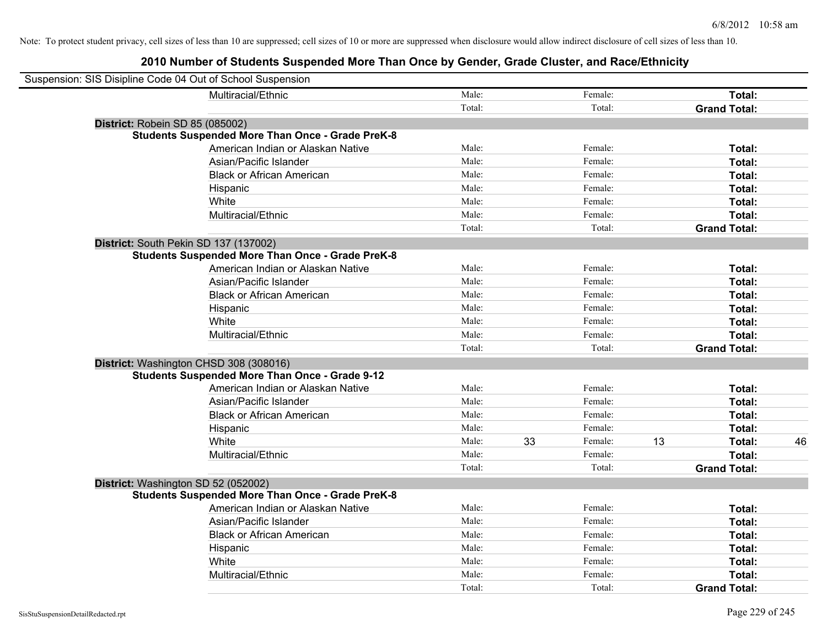| Suspension: SIS Disipline Code 04 Out of School Suspension |                                                         |        |    |         |    |                     |    |
|------------------------------------------------------------|---------------------------------------------------------|--------|----|---------|----|---------------------|----|
|                                                            | Multiracial/Ethnic                                      | Male:  |    | Female: |    | Total:              |    |
|                                                            |                                                         | Total: |    | Total:  |    | <b>Grand Total:</b> |    |
| District: Robein SD 85 (085002)                            |                                                         |        |    |         |    |                     |    |
|                                                            | <b>Students Suspended More Than Once - Grade PreK-8</b> |        |    |         |    |                     |    |
|                                                            | American Indian or Alaskan Native                       | Male:  |    | Female: |    | Total:              |    |
|                                                            | Asian/Pacific Islander                                  | Male:  |    | Female: |    | Total:              |    |
|                                                            | <b>Black or African American</b>                        | Male:  |    | Female: |    | Total:              |    |
|                                                            | Hispanic                                                | Male:  |    | Female: |    | Total:              |    |
|                                                            | White                                                   | Male:  |    | Female: |    | Total:              |    |
|                                                            | Multiracial/Ethnic                                      | Male:  |    | Female: |    | Total:              |    |
|                                                            |                                                         | Total: |    | Total:  |    | <b>Grand Total:</b> |    |
| District: South Pekin SD 137 (137002)                      |                                                         |        |    |         |    |                     |    |
|                                                            | <b>Students Suspended More Than Once - Grade PreK-8</b> |        |    |         |    |                     |    |
|                                                            | American Indian or Alaskan Native                       | Male:  |    | Female: |    | Total:              |    |
|                                                            | Asian/Pacific Islander                                  | Male:  |    | Female: |    | Total:              |    |
|                                                            | <b>Black or African American</b>                        | Male:  |    | Female: |    | Total:              |    |
|                                                            | Hispanic                                                | Male:  |    | Female: |    | Total:              |    |
|                                                            | White                                                   | Male:  |    | Female: |    | Total:              |    |
|                                                            | Multiracial/Ethnic                                      | Male:  |    | Female: |    | Total:              |    |
|                                                            |                                                         | Total: |    | Total:  |    | <b>Grand Total:</b> |    |
| District: Washington CHSD 308 (308016)                     |                                                         |        |    |         |    |                     |    |
|                                                            | <b>Students Suspended More Than Once - Grade 9-12</b>   |        |    |         |    |                     |    |
|                                                            | American Indian or Alaskan Native                       | Male:  |    | Female: |    | Total:              |    |
|                                                            | Asian/Pacific Islander                                  | Male:  |    | Female: |    | Total:              |    |
|                                                            | <b>Black or African American</b>                        | Male:  |    | Female: |    | Total:              |    |
|                                                            | Hispanic                                                | Male:  |    | Female: |    | Total:              |    |
|                                                            | White                                                   | Male:  | 33 | Female: | 13 | Total:              | 46 |
|                                                            | Multiracial/Ethnic                                      | Male:  |    | Female: |    | Total:              |    |
|                                                            |                                                         | Total: |    | Total:  |    | <b>Grand Total:</b> |    |
| District: Washington SD 52 (052002)                        |                                                         |        |    |         |    |                     |    |
|                                                            | <b>Students Suspended More Than Once - Grade PreK-8</b> |        |    |         |    |                     |    |
|                                                            | American Indian or Alaskan Native                       | Male:  |    | Female: |    | Total:              |    |
|                                                            | Asian/Pacific Islander                                  | Male:  |    | Female: |    | Total:              |    |
|                                                            | <b>Black or African American</b>                        | Male:  |    | Female: |    | Total:              |    |
|                                                            | Hispanic                                                | Male:  |    | Female: |    | Total:              |    |
|                                                            | White                                                   | Male:  |    | Female: |    | Total:              |    |
|                                                            | Multiracial/Ethnic                                      | Male:  |    | Female: |    | Total:              |    |
|                                                            |                                                         | Total: |    | Total:  |    | <b>Grand Total:</b> |    |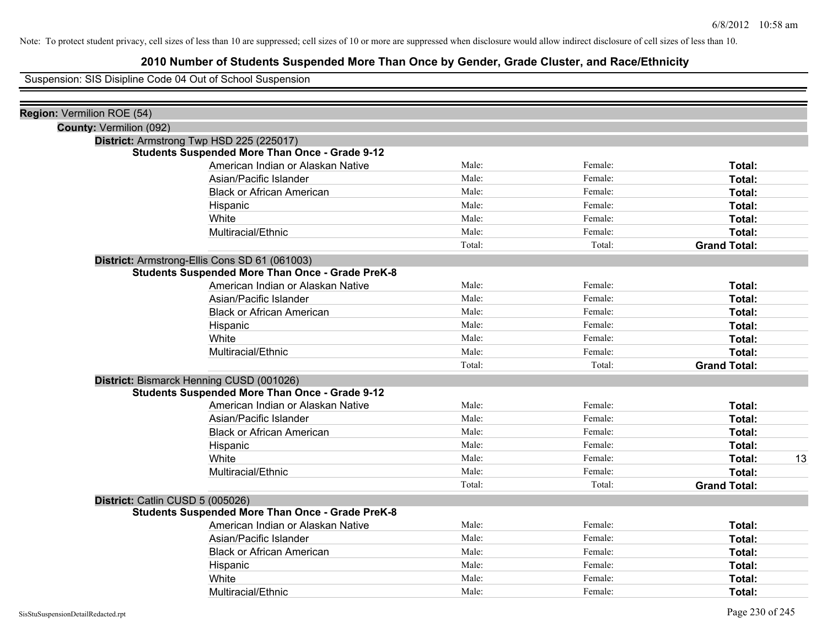# **2010 Number of Students Suspended More Than Once by Gender, Grade Cluster, and Race/Ethnicity**

Suspension: SIS Disipline Code 04 Out of School Suspension

| Region: Vermilion ROE (54)     |                                                         |        |         |                     |    |
|--------------------------------|---------------------------------------------------------|--------|---------|---------------------|----|
| <b>County: Vermilion (092)</b> |                                                         |        |         |                     |    |
|                                | District: Armstrong Twp HSD 225 (225017)                |        |         |                     |    |
|                                | <b>Students Suspended More Than Once - Grade 9-12</b>   |        |         |                     |    |
|                                | American Indian or Alaskan Native                       | Male:  | Female: | Total:              |    |
|                                | Asian/Pacific Islander                                  | Male:  | Female: | Total:              |    |
|                                | <b>Black or African American</b>                        | Male:  | Female: | Total:              |    |
|                                | Hispanic                                                | Male:  | Female: | Total:              |    |
|                                | White                                                   | Male:  | Female: | Total:              |    |
|                                | Multiracial/Ethnic                                      | Male:  | Female: | Total:              |    |
|                                |                                                         | Total: | Total:  | <b>Grand Total:</b> |    |
|                                | District: Armstrong-Ellis Cons SD 61 (061003)           |        |         |                     |    |
|                                | <b>Students Suspended More Than Once - Grade PreK-8</b> |        |         |                     |    |
|                                | American Indian or Alaskan Native                       | Male:  | Female: | Total:              |    |
|                                | Asian/Pacific Islander                                  | Male:  | Female: | Total:              |    |
|                                | <b>Black or African American</b>                        | Male:  | Female: | Total:              |    |
|                                | Hispanic                                                | Male:  | Female: | Total:              |    |
|                                | White                                                   | Male:  | Female: | Total:              |    |
|                                | Multiracial/Ethnic                                      | Male:  | Female: | Total:              |    |
|                                |                                                         | Total: | Total:  | <b>Grand Total:</b> |    |
|                                | District: Bismarck Henning CUSD (001026)                |        |         |                     |    |
|                                | <b>Students Suspended More Than Once - Grade 9-12</b>   |        |         |                     |    |
|                                | American Indian or Alaskan Native                       | Male:  | Female: | Total:              |    |
|                                | Asian/Pacific Islander                                  | Male:  | Female: | Total:              |    |
|                                | <b>Black or African American</b>                        | Male:  | Female: | Total:              |    |
|                                | Hispanic                                                | Male:  | Female: | Total:              |    |
|                                | White                                                   | Male:  | Female: | Total:              | 13 |
|                                | Multiracial/Ethnic                                      | Male:  | Female: | Total:              |    |
|                                |                                                         | Total: | Total:  | <b>Grand Total:</b> |    |
|                                | District: Catlin CUSD 5 (005026)                        |        |         |                     |    |
|                                | <b>Students Suspended More Than Once - Grade PreK-8</b> |        |         |                     |    |
|                                | American Indian or Alaskan Native                       | Male:  | Female: | Total:              |    |
|                                | Asian/Pacific Islander                                  | Male:  | Female: | Total:              |    |
|                                | <b>Black or African American</b>                        | Male:  | Female: | Total:              |    |
|                                | Hispanic                                                | Male:  | Female: | Total:              |    |
|                                | White                                                   | Male:  | Female: | Total:              |    |
|                                | Multiracial/Ethnic                                      | Male:  | Female: | Total:              |    |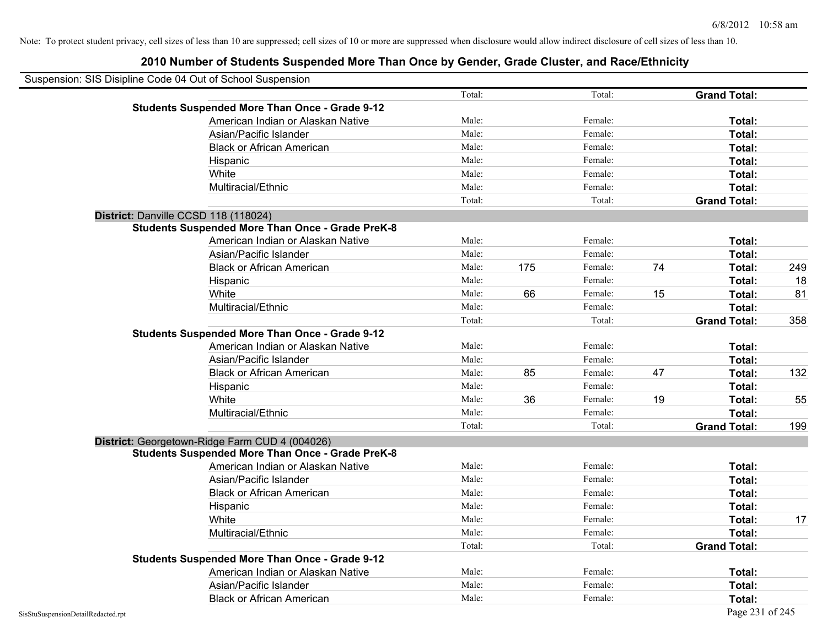| Suspension: SIS Disipline Code 04 Out of School Suspension |                                                         |        |     |         |    |                     |     |
|------------------------------------------------------------|---------------------------------------------------------|--------|-----|---------|----|---------------------|-----|
|                                                            |                                                         | Total: |     | Total:  |    | <b>Grand Total:</b> |     |
|                                                            | <b>Students Suspended More Than Once - Grade 9-12</b>   |        |     |         |    |                     |     |
|                                                            | American Indian or Alaskan Native                       | Male:  |     | Female: |    | Total:              |     |
|                                                            | Asian/Pacific Islander                                  | Male:  |     | Female: |    | Total:              |     |
|                                                            | <b>Black or African American</b>                        | Male:  |     | Female: |    | Total:              |     |
|                                                            | Hispanic                                                | Male:  |     | Female: |    | Total:              |     |
|                                                            | White                                                   | Male:  |     | Female: |    | Total:              |     |
|                                                            | Multiracial/Ethnic                                      | Male:  |     | Female: |    | Total:              |     |
|                                                            |                                                         | Total: |     | Total:  |    | <b>Grand Total:</b> |     |
|                                                            | District: Danville CCSD 118 (118024)                    |        |     |         |    |                     |     |
|                                                            | <b>Students Suspended More Than Once - Grade PreK-8</b> |        |     |         |    |                     |     |
|                                                            | American Indian or Alaskan Native                       | Male:  |     | Female: |    | Total:              |     |
|                                                            | Asian/Pacific Islander                                  | Male:  |     | Female: |    | Total:              |     |
|                                                            | <b>Black or African American</b>                        | Male:  | 175 | Female: | 74 | Total:              | 249 |
|                                                            | Hispanic                                                | Male:  |     | Female: |    | Total:              | 18  |
|                                                            | White                                                   | Male:  | 66  | Female: | 15 | Total:              | 81  |
|                                                            | Multiracial/Ethnic                                      | Male:  |     | Female: |    | Total:              |     |
|                                                            |                                                         | Total: |     | Total:  |    | <b>Grand Total:</b> | 358 |
|                                                            | <b>Students Suspended More Than Once - Grade 9-12</b>   |        |     |         |    |                     |     |
|                                                            | American Indian or Alaskan Native                       | Male:  |     | Female: |    | Total:              |     |
|                                                            | Asian/Pacific Islander                                  | Male:  |     | Female: |    | Total:              |     |
|                                                            | <b>Black or African American</b>                        | Male:  | 85  | Female: | 47 | Total:              | 132 |
|                                                            | Hispanic                                                | Male:  |     | Female: |    | Total:              |     |
|                                                            | White                                                   | Male:  | 36  | Female: | 19 | Total:              | 55  |
|                                                            | Multiracial/Ethnic                                      | Male:  |     | Female: |    | Total:              |     |
|                                                            |                                                         | Total: |     | Total:  |    | <b>Grand Total:</b> | 199 |
|                                                            | District: Georgetown-Ridge Farm CUD 4 (004026)          |        |     |         |    |                     |     |
|                                                            | <b>Students Suspended More Than Once - Grade PreK-8</b> |        |     |         |    |                     |     |
|                                                            | American Indian or Alaskan Native                       | Male:  |     | Female: |    | Total:              |     |
|                                                            | Asian/Pacific Islander                                  | Male:  |     | Female: |    | Total:              |     |
|                                                            | <b>Black or African American</b>                        | Male:  |     | Female: |    | Total:              |     |
|                                                            | Hispanic                                                | Male:  |     | Female: |    | Total:              |     |
|                                                            | White                                                   | Male:  |     | Female: |    | Total:              | 17  |
|                                                            | Multiracial/Ethnic                                      | Male:  |     | Female: |    | Total:              |     |
|                                                            |                                                         | Total: |     | Total:  |    | <b>Grand Total:</b> |     |
|                                                            | <b>Students Suspended More Than Once - Grade 9-12</b>   |        |     |         |    |                     |     |
|                                                            | American Indian or Alaskan Native                       | Male:  |     | Female: |    | Total:              |     |
|                                                            | Asian/Pacific Islander                                  | Male:  |     | Female: |    | Total:              |     |
|                                                            | <b>Black or African American</b>                        | Male:  |     | Female: |    | Total:              |     |
| SisStuSuspensionDetailRedacted.rpt                         |                                                         |        |     |         |    | Page 231 of 245     |     |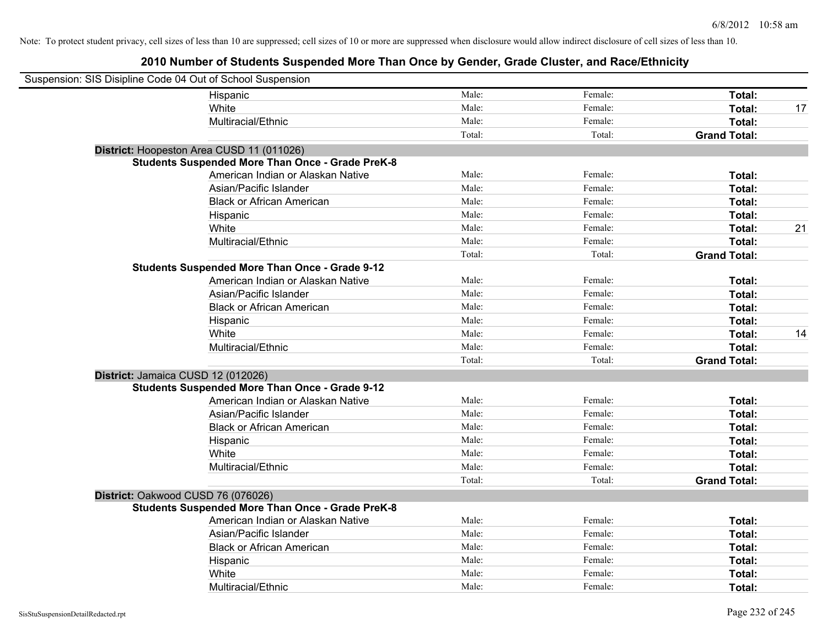| Suspension: SIS Disipline Code 04 Out of School Suspension |                                                         |        |         |                     |    |
|------------------------------------------------------------|---------------------------------------------------------|--------|---------|---------------------|----|
|                                                            | Hispanic                                                | Male:  | Female: | Total:              |    |
|                                                            | White                                                   | Male:  | Female: | Total:              | 17 |
|                                                            | Multiracial/Ethnic                                      | Male:  | Female: | Total:              |    |
|                                                            |                                                         | Total: | Total:  | <b>Grand Total:</b> |    |
|                                                            | District: Hoopeston Area CUSD 11 (011026)               |        |         |                     |    |
|                                                            | <b>Students Suspended More Than Once - Grade PreK-8</b> |        |         |                     |    |
|                                                            | American Indian or Alaskan Native                       | Male:  | Female: | Total:              |    |
|                                                            | Asian/Pacific Islander                                  | Male:  | Female: | Total:              |    |
|                                                            | <b>Black or African American</b>                        | Male:  | Female: | Total:              |    |
|                                                            | Hispanic                                                | Male:  | Female: | Total:              |    |
|                                                            | White                                                   | Male:  | Female: | Total:              | 21 |
|                                                            | Multiracial/Ethnic                                      | Male:  | Female: | Total:              |    |
|                                                            |                                                         | Total: | Total:  | <b>Grand Total:</b> |    |
|                                                            | <b>Students Suspended More Than Once - Grade 9-12</b>   |        |         |                     |    |
|                                                            | American Indian or Alaskan Native                       | Male:  | Female: | Total:              |    |
|                                                            | Asian/Pacific Islander                                  | Male:  | Female: | Total:              |    |
|                                                            | <b>Black or African American</b>                        | Male:  | Female: | Total:              |    |
|                                                            | Hispanic                                                | Male:  | Female: | Total:              |    |
|                                                            | White                                                   | Male:  | Female: | Total:              | 14 |
|                                                            | Multiracial/Ethnic                                      | Male:  | Female: | Total:              |    |
|                                                            |                                                         | Total: | Total:  | <b>Grand Total:</b> |    |
| District: Jamaica CUSD 12 (012026)                         |                                                         |        |         |                     |    |
|                                                            | <b>Students Suspended More Than Once - Grade 9-12</b>   |        |         |                     |    |
|                                                            | American Indian or Alaskan Native                       | Male:  | Female: | Total:              |    |
|                                                            | Asian/Pacific Islander                                  | Male:  | Female: | Total:              |    |
|                                                            | <b>Black or African American</b>                        | Male:  | Female: | Total:              |    |
|                                                            | Hispanic                                                | Male:  | Female: | Total:              |    |
|                                                            | White                                                   | Male:  | Female: | Total:              |    |
|                                                            | Multiracial/Ethnic                                      | Male:  | Female: | Total:              |    |
|                                                            |                                                         | Total: | Total:  | <b>Grand Total:</b> |    |
| District: Oakwood CUSD 76 (076026)                         |                                                         |        |         |                     |    |
|                                                            | <b>Students Suspended More Than Once - Grade PreK-8</b> |        |         |                     |    |
|                                                            | American Indian or Alaskan Native                       | Male:  | Female: | Total:              |    |
|                                                            | Asian/Pacific Islander                                  | Male:  | Female: | Total:              |    |
|                                                            | <b>Black or African American</b>                        | Male:  | Female: | Total:              |    |
|                                                            | Hispanic                                                | Male:  | Female: | Total:              |    |
|                                                            | White                                                   | Male:  | Female: | Total:              |    |
|                                                            | Multiracial/Ethnic                                      | Male:  | Female: | Total:              |    |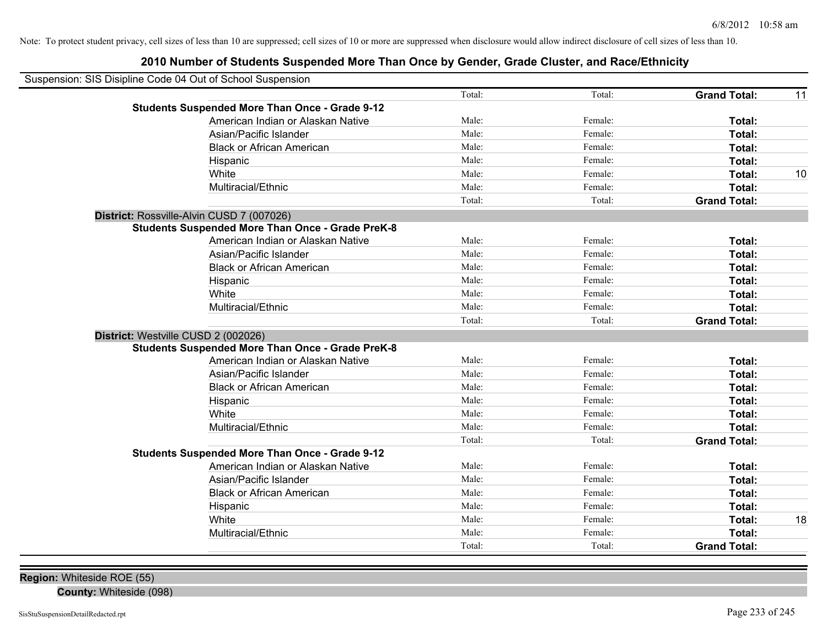# **2010 Number of Students Suspended More Than Once by Gender, Grade Cluster, and Race/Ethnicity**

| Suspension: SIS Disipline Code 04 Out of School Suspension |        |         |                     |    |
|------------------------------------------------------------|--------|---------|---------------------|----|
|                                                            | Total: | Total:  | <b>Grand Total:</b> | 11 |
| <b>Students Suspended More Than Once - Grade 9-12</b>      |        |         |                     |    |
| American Indian or Alaskan Native                          | Male:  | Female: | Total:              |    |
| Asian/Pacific Islander                                     | Male:  | Female: | Total:              |    |
| <b>Black or African American</b>                           | Male:  | Female: | Total:              |    |
| Hispanic                                                   | Male:  | Female: | Total:              |    |
| White                                                      | Male:  | Female: | Total:              | 10 |
| Multiracial/Ethnic                                         | Male:  | Female: | Total:              |    |
|                                                            | Total: | Total:  | <b>Grand Total:</b> |    |
| District: Rossville-Alvin CUSD 7 (007026)                  |        |         |                     |    |
| <b>Students Suspended More Than Once - Grade PreK-8</b>    |        |         |                     |    |
| American Indian or Alaskan Native                          | Male:  | Female: | Total:              |    |
| Asian/Pacific Islander                                     | Male:  | Female: | Total:              |    |
| <b>Black or African American</b>                           | Male:  | Female: | Total:              |    |
| Hispanic                                                   | Male:  | Female: | Total:              |    |
| White                                                      | Male:  | Female: | Total:              |    |
| Multiracial/Ethnic                                         | Male:  | Female: | Total:              |    |
|                                                            | Total: | Total:  | <b>Grand Total:</b> |    |
| District: Westville CUSD 2 (002026)                        |        |         |                     |    |
| <b>Students Suspended More Than Once - Grade PreK-8</b>    |        |         |                     |    |
| American Indian or Alaskan Native                          | Male:  | Female: | Total:              |    |
| Asian/Pacific Islander                                     | Male:  | Female: | Total:              |    |
| <b>Black or African American</b>                           | Male:  | Female: | Total:              |    |
| Hispanic                                                   | Male:  | Female: | Total:              |    |
| White                                                      | Male:  | Female: | Total:              |    |
| Multiracial/Ethnic                                         | Male:  | Female: | Total:              |    |
|                                                            | Total: | Total:  | <b>Grand Total:</b> |    |
| <b>Students Suspended More Than Once - Grade 9-12</b>      |        |         |                     |    |
| American Indian or Alaskan Native                          | Male:  | Female: | Total:              |    |
| Asian/Pacific Islander                                     | Male:  | Female: | Total:              |    |
| <b>Black or African American</b>                           | Male:  | Female: | Total:              |    |
| Hispanic                                                   | Male:  | Female: | Total:              |    |
| White                                                      | Male:  | Female: | Total:              | 18 |
| Multiracial/Ethnic                                         | Male:  | Female: | <b>Total:</b>       |    |
|                                                            | Total: | Total:  | <b>Grand Total:</b> |    |

**Region:** Whiteside ROE (55)

**County:** Whiteside (098)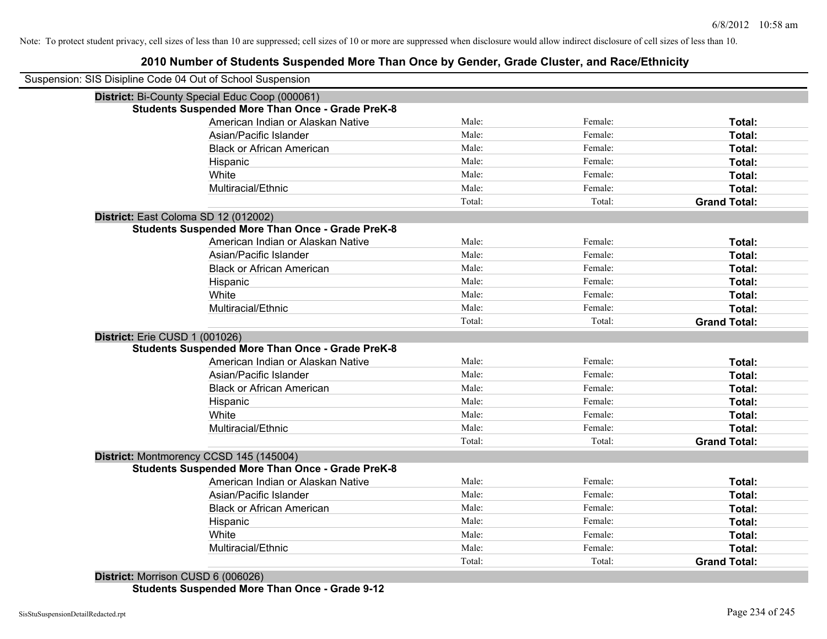# **2010 Number of Students Suspended More Than Once by Gender, Grade Cluster, and Race/Ethnicity**

|                                | Suspension: SIS Disipline Code 04 Out of School Suspension |        |         |                     |
|--------------------------------|------------------------------------------------------------|--------|---------|---------------------|
|                                | District: Bi-County Special Educ Coop (000061)             |        |         |                     |
|                                | <b>Students Suspended More Than Once - Grade PreK-8</b>    |        |         |                     |
|                                | American Indian or Alaskan Native                          | Male:  | Female: | Total:              |
|                                | Asian/Pacific Islander                                     | Male:  | Female: | Total:              |
|                                | <b>Black or African American</b>                           | Male:  | Female: | Total:              |
|                                | Hispanic                                                   | Male:  | Female: | Total:              |
|                                | White                                                      | Male:  | Female: | Total:              |
|                                | Multiracial/Ethnic                                         | Male:  | Female: | Total:              |
|                                |                                                            | Total: | Total:  | <b>Grand Total:</b> |
|                                | District: East Coloma SD 12 (012002)                       |        |         |                     |
|                                | <b>Students Suspended More Than Once - Grade PreK-8</b>    |        |         |                     |
|                                | American Indian or Alaskan Native                          | Male:  | Female: | Total:              |
|                                | Asian/Pacific Islander                                     | Male:  | Female: | Total:              |
|                                | <b>Black or African American</b>                           | Male:  | Female: | Total:              |
|                                | Hispanic                                                   | Male:  | Female: | Total:              |
|                                | White                                                      | Male:  | Female: | Total:              |
|                                | Multiracial/Ethnic                                         | Male:  | Female: | Total:              |
|                                |                                                            | Total: | Total:  | <b>Grand Total:</b> |
| District: Erie CUSD 1 (001026) |                                                            |        |         |                     |
|                                | <b>Students Suspended More Than Once - Grade PreK-8</b>    |        |         |                     |
|                                | American Indian or Alaskan Native                          | Male:  | Female: | Total:              |
|                                | Asian/Pacific Islander                                     | Male:  | Female: | Total:              |
|                                | <b>Black or African American</b>                           | Male:  | Female: | Total:              |
|                                | Hispanic                                                   | Male:  | Female: | Total:              |
|                                | White                                                      | Male:  | Female: | Total:              |
|                                | Multiracial/Ethnic                                         | Male:  | Female: | Total:              |
|                                |                                                            | Total: | Total:  | <b>Grand Total:</b> |
|                                | District: Montmorency CCSD 145 (145004)                    |        |         |                     |
|                                | <b>Students Suspended More Than Once - Grade PreK-8</b>    |        |         |                     |
|                                | American Indian or Alaskan Native                          | Male:  | Female: | Total:              |
|                                | Asian/Pacific Islander                                     | Male:  | Female: | Total:              |
|                                | <b>Black or African American</b>                           | Male:  | Female: | Total:              |
|                                | Hispanic                                                   | Male:  | Female: | Total:              |
|                                | White                                                      | Male:  | Female: | Total:              |
|                                | Multiracial/Ethnic                                         | Male:  | Female: | Total:              |
|                                |                                                            | Total: | Total:  | <b>Grand Total:</b> |

**Students Suspended More Than Once - Grade 9-12**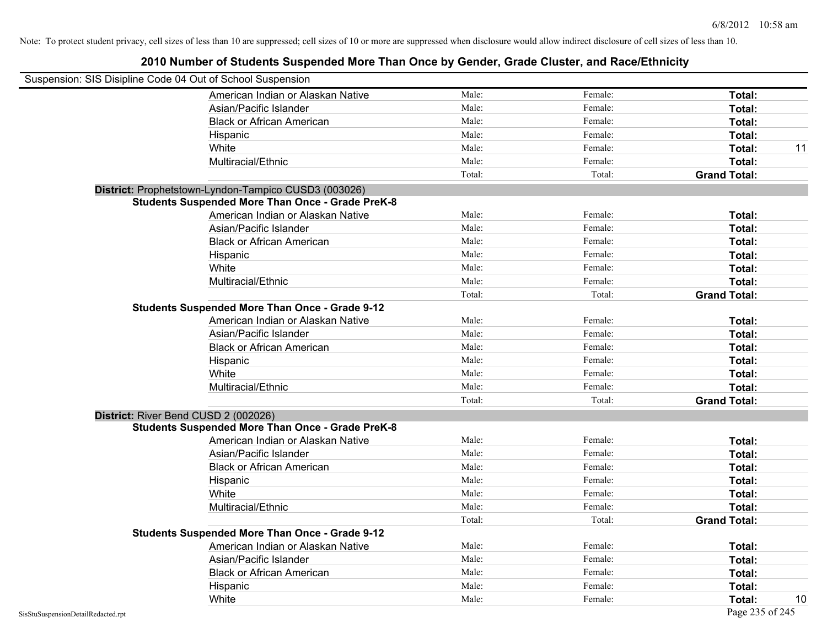|                                                            | 2010 Number of Students Suspended More Than Once by Gender, Grade Cluster, and Race/Ethnicity |        |         |                     |    |
|------------------------------------------------------------|-----------------------------------------------------------------------------------------------|--------|---------|---------------------|----|
| Suspension: SIS Disipline Code 04 Out of School Suspension |                                                                                               |        |         |                     |    |
|                                                            | American Indian or Alaskan Native                                                             | Male:  | Female: | <b>Total:</b>       |    |
|                                                            | Asian/Pacific Islander                                                                        | Male:  | Female: | Total:              |    |
|                                                            | <b>Black or African American</b>                                                              | Male:  | Female: | Total:              |    |
|                                                            | Hispanic                                                                                      | Male:  | Female: | Total:              |    |
|                                                            | White                                                                                         | Male:  | Female: | Total:              | 11 |
|                                                            | Multiracial/Ethnic                                                                            | Male:  | Female: | <b>Total:</b>       |    |
|                                                            |                                                                                               | Total: | Total:  | <b>Grand Total:</b> |    |
|                                                            | District: Prophetstown-Lyndon-Tampico CUSD3 (003026)                                          |        |         |                     |    |
|                                                            | <b>Students Suspended More Than Once - Grade PreK-8</b>                                       |        |         |                     |    |
|                                                            | American Indian or Alaskan Native                                                             | Male:  | Female: | Total:              |    |
|                                                            | Asian/Pacific Islander                                                                        | Male:  | Female: | Total:              |    |
|                                                            | <b>Black or African American</b>                                                              | Male:  | Female: | Total:              |    |
|                                                            | Hispanic                                                                                      | Male:  | Female: | Total:              |    |
|                                                            | White                                                                                         | Male:  | Female: | Total:              |    |
|                                                            | Multiracial/Ethnic                                                                            | Male:  | Female: | Total:              |    |
|                                                            |                                                                                               | Total: | Total:  | <b>Grand Total:</b> |    |
|                                                            | <b>Students Suspended More Than Once - Grade 9-12</b>                                         |        |         |                     |    |
|                                                            | American Indian or Alaskan Native                                                             | Male:  | Female: | Total:              |    |
|                                                            | Asian/Pacific Islander                                                                        | Male:  | Female: | Total:              |    |
|                                                            | <b>Black or African American</b>                                                              | Male:  | Female: | Total:              |    |
|                                                            | Hispanic                                                                                      | Male:  | Female: | Total:              |    |
|                                                            | White                                                                                         | Male:  | Female: | Total:              |    |
|                                                            | Multiracial/Ethnic                                                                            | Male:  | Female: | Total:              |    |
|                                                            |                                                                                               | Total: | Total:  | <b>Grand Total:</b> |    |
|                                                            | District: River Bend CUSD 2 (002026)                                                          |        |         |                     |    |
|                                                            | <b>Students Suspended More Than Once - Grade PreK-8</b>                                       |        |         |                     |    |
|                                                            | American Indian or Alaskan Native                                                             | Male:  | Female: | Total:              |    |
|                                                            | Asian/Pacific Islander                                                                        | Male:  | Female: | Total:              |    |
|                                                            | <b>Black or African American</b>                                                              | Male:  | Female: | Total:              |    |
|                                                            | Hispanic                                                                                      | Male:  | Female: | Total:              |    |
|                                                            | White                                                                                         | Male:  | Female: | Total:              |    |
|                                                            | Multiracial/Ethnic                                                                            | Male:  | Female: | Total:              |    |
|                                                            |                                                                                               | Total: | Total:  | <b>Grand Total:</b> |    |
|                                                            | <b>Students Suspended More Than Once - Grade 9-12</b>                                         |        |         |                     |    |
|                                                            | American Indian or Alaskan Native                                                             | Male:  | Female: | Total:              |    |
|                                                            | Asian/Pacific Islander                                                                        | Male:  | Female: | Total:              |    |
|                                                            | <b>Black or African American</b>                                                              | Male:  | Female: | Total:              |    |
|                                                            | Hispanic                                                                                      | Male:  | Female: | Total:              |    |
|                                                            | White                                                                                         | Male:  | Female: | Total:              | 10 |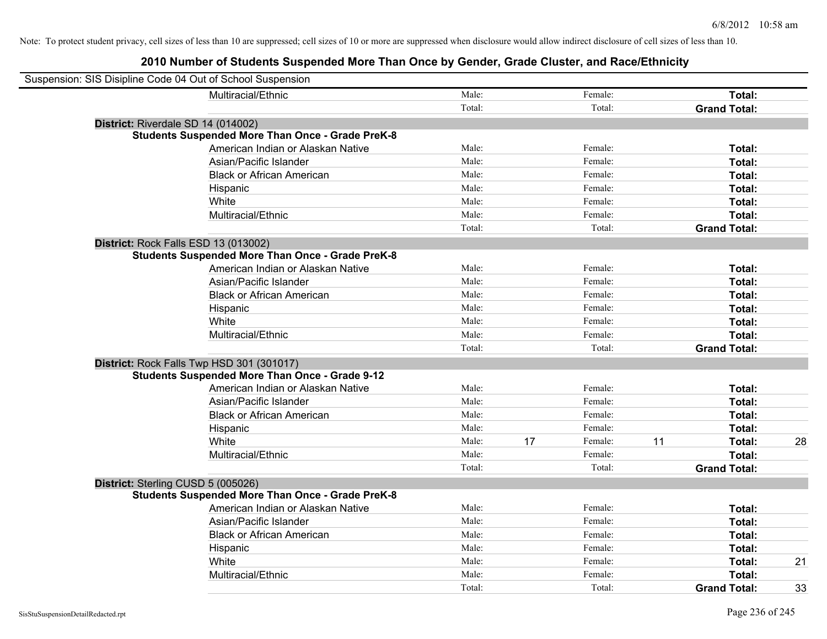| Suspension: SIS Disipline Code 04 Out of School Suspension |                                                         |        |    |         |    |                     |    |
|------------------------------------------------------------|---------------------------------------------------------|--------|----|---------|----|---------------------|----|
|                                                            | Multiracial/Ethnic                                      | Male:  |    | Female: |    | Total:              |    |
|                                                            |                                                         | Total: |    | Total:  |    | <b>Grand Total:</b> |    |
| District: Riverdale SD 14 (014002)                         |                                                         |        |    |         |    |                     |    |
|                                                            | <b>Students Suspended More Than Once - Grade PreK-8</b> |        |    |         |    |                     |    |
|                                                            | American Indian or Alaskan Native                       | Male:  |    | Female: |    | Total:              |    |
|                                                            | Asian/Pacific Islander                                  | Male:  |    | Female: |    | Total:              |    |
|                                                            | <b>Black or African American</b>                        | Male:  |    | Female: |    | Total:              |    |
|                                                            | Hispanic                                                | Male:  |    | Female: |    | Total:              |    |
|                                                            | White                                                   | Male:  |    | Female: |    | Total:              |    |
|                                                            | Multiracial/Ethnic                                      | Male:  |    | Female: |    | Total:              |    |
|                                                            |                                                         | Total: |    | Total:  |    | <b>Grand Total:</b> |    |
| District: Rock Falls ESD 13 (013002)                       |                                                         |        |    |         |    |                     |    |
|                                                            | <b>Students Suspended More Than Once - Grade PreK-8</b> |        |    |         |    |                     |    |
|                                                            | American Indian or Alaskan Native                       | Male:  |    | Female: |    | Total:              |    |
|                                                            | Asian/Pacific Islander                                  | Male:  |    | Female: |    | Total:              |    |
|                                                            | <b>Black or African American</b>                        | Male:  |    | Female: |    | Total:              |    |
|                                                            | Hispanic                                                | Male:  |    | Female: |    | Total:              |    |
|                                                            | White                                                   | Male:  |    | Female: |    | Total:              |    |
|                                                            | Multiracial/Ethnic                                      | Male:  |    | Female: |    | Total:              |    |
|                                                            |                                                         | Total: |    | Total:  |    | <b>Grand Total:</b> |    |
| District: Rock Falls Twp HSD 301 (301017)                  |                                                         |        |    |         |    |                     |    |
|                                                            | <b>Students Suspended More Than Once - Grade 9-12</b>   |        |    |         |    |                     |    |
|                                                            | American Indian or Alaskan Native                       | Male:  |    | Female: |    | Total:              |    |
|                                                            | Asian/Pacific Islander                                  | Male:  |    | Female: |    | Total:              |    |
|                                                            | <b>Black or African American</b>                        | Male:  |    | Female: |    | Total:              |    |
|                                                            | Hispanic                                                | Male:  |    | Female: |    | Total:              |    |
|                                                            | White                                                   | Male:  | 17 | Female: | 11 | Total:              | 28 |
|                                                            | Multiracial/Ethnic                                      | Male:  |    | Female: |    | Total:              |    |
|                                                            |                                                         | Total: |    | Total:  |    | <b>Grand Total:</b> |    |
| District: Sterling CUSD 5 (005026)                         |                                                         |        |    |         |    |                     |    |
|                                                            | <b>Students Suspended More Than Once - Grade PreK-8</b> |        |    |         |    |                     |    |
|                                                            | American Indian or Alaskan Native                       | Male:  |    | Female: |    | Total:              |    |
|                                                            | Asian/Pacific Islander                                  | Male:  |    | Female: |    | Total:              |    |
|                                                            | <b>Black or African American</b>                        | Male:  |    | Female: |    | Total:              |    |
|                                                            | Hispanic                                                | Male:  |    | Female: |    | Total:              |    |
|                                                            | White                                                   | Male:  |    | Female: |    | Total:              | 21 |
|                                                            | Multiracial/Ethnic                                      | Male:  |    | Female: |    | Total:              |    |
|                                                            |                                                         | Total: |    | Total:  |    | <b>Grand Total:</b> | 33 |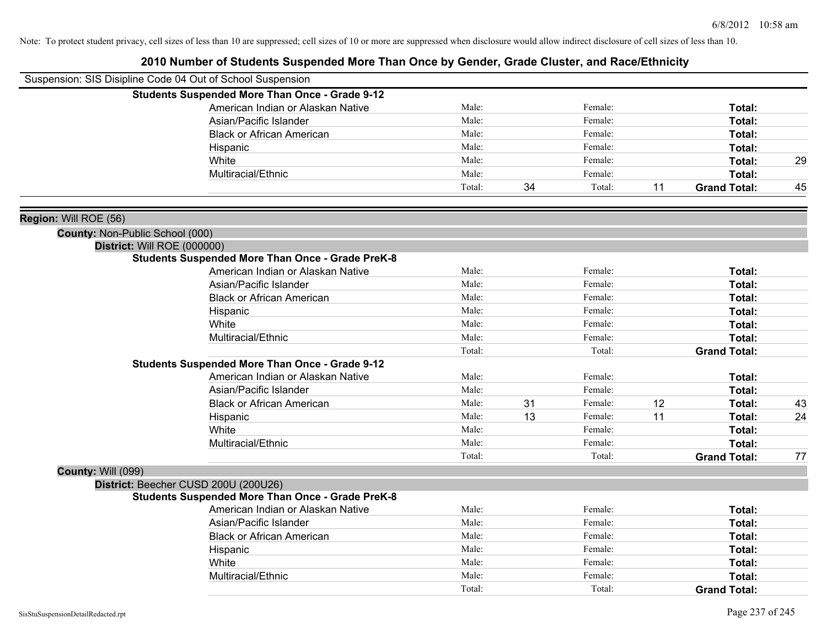|                                        | Suspension: SIS Disipline Code 04 Out of School Suspension |        |    |         |    |                     |    |
|----------------------------------------|------------------------------------------------------------|--------|----|---------|----|---------------------|----|
|                                        | <b>Students Suspended More Than Once - Grade 9-12</b>      |        |    |         |    |                     |    |
|                                        | American Indian or Alaskan Native                          | Male:  |    | Female: |    | Total:              |    |
|                                        | Asian/Pacific Islander                                     | Male:  |    | Female: |    | Total:              |    |
|                                        | <b>Black or African American</b>                           | Male:  |    | Female: |    | <b>Total:</b>       |    |
|                                        | Hispanic                                                   | Male:  |    | Female: |    | <b>Total:</b>       |    |
|                                        | White                                                      | Male:  |    | Female: |    | Total:              | 29 |
|                                        | Multiracial/Ethnic                                         | Male:  |    | Female: |    | Total:              |    |
|                                        |                                                            | Total: | 34 | Total:  | 11 | <b>Grand Total:</b> | 45 |
| Region: Will ROE (56)                  |                                                            |        |    |         |    |                     |    |
| <b>County: Non-Public School (000)</b> |                                                            |        |    |         |    |                     |    |
|                                        | District: Will ROE (000000)                                |        |    |         |    |                     |    |
|                                        | <b>Students Suspended More Than Once - Grade PreK-8</b>    |        |    |         |    |                     |    |
|                                        | American Indian or Alaskan Native                          | Male:  |    | Female: |    | Total:              |    |
|                                        | Asian/Pacific Islander                                     | Male:  |    | Female: |    | Total:              |    |
|                                        | <b>Black or African American</b>                           | Male:  |    | Female: |    | Total:              |    |
|                                        | Hispanic                                                   | Male:  |    | Female: |    | <b>Total:</b>       |    |
|                                        | White                                                      | Male:  |    | Female: |    | <b>Total:</b>       |    |
|                                        | Multiracial/Ethnic                                         | Male:  |    | Female: |    | Total:              |    |
|                                        |                                                            | Total: |    | Total:  |    | <b>Grand Total:</b> |    |
|                                        | <b>Students Suspended More Than Once - Grade 9-12</b>      |        |    |         |    |                     |    |
|                                        | American Indian or Alaskan Native                          | Male:  |    | Female: |    | Total:              |    |
|                                        | Asian/Pacific Islander                                     | Male:  |    | Female: |    | Total:              |    |
|                                        | <b>Black or African American</b>                           | Male:  | 31 | Female: | 12 | Total:              | 43 |
|                                        | Hispanic                                                   | Male:  | 13 | Female: | 11 | Total:              | 24 |
|                                        | White                                                      | Male:  |    | Female: |    | <b>Total:</b>       |    |
|                                        | Multiracial/Ethnic                                         | Male:  |    | Female: |    | Total:              |    |
|                                        |                                                            | Total: |    | Total:  |    | <b>Grand Total:</b> | 77 |
| <b>County: Will (099)</b>              |                                                            |        |    |         |    |                     |    |
|                                        | District: Beecher CUSD 200U (200U26)                       |        |    |         |    |                     |    |
|                                        | <b>Students Suspended More Than Once - Grade PreK-8</b>    |        |    |         |    |                     |    |
|                                        | American Indian or Alaskan Native                          | Male:  |    | Female: |    | Total:              |    |
|                                        | Asian/Pacific Islander                                     | Male:  |    | Female: |    | Total:              |    |
|                                        | <b>Black or African American</b>                           | Male:  |    | Female: |    | Total:              |    |
|                                        | Hispanic                                                   | Male:  |    | Female: |    | Total:              |    |
|                                        | White                                                      | Male:  |    | Female: |    | <b>Total:</b>       |    |
|                                        | Multiracial/Ethnic                                         | Male:  |    | Female: |    | Total:              |    |
|                                        |                                                            | Total: |    | Total:  |    | <b>Grand Total:</b> |    |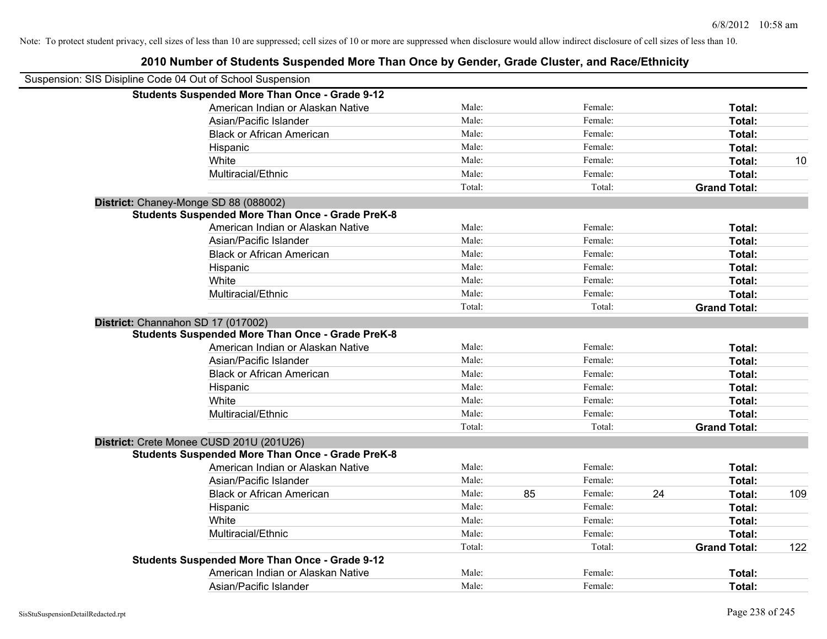| Suspension: SIS Disipline Code 04 Out of School Suspension |                                                         |        |    |         |    |                     |     |
|------------------------------------------------------------|---------------------------------------------------------|--------|----|---------|----|---------------------|-----|
|                                                            | <b>Students Suspended More Than Once - Grade 9-12</b>   |        |    |         |    |                     |     |
|                                                            | American Indian or Alaskan Native                       | Male:  |    | Female: |    | Total:              |     |
|                                                            | Asian/Pacific Islander                                  | Male:  |    | Female: |    | Total:              |     |
|                                                            | <b>Black or African American</b>                        | Male:  |    | Female: |    | Total:              |     |
|                                                            | Hispanic                                                | Male:  |    | Female: |    | Total:              |     |
|                                                            | White                                                   | Male:  |    | Female: |    | Total:              | 10  |
|                                                            | Multiracial/Ethnic                                      | Male:  |    | Female: |    | Total:              |     |
|                                                            |                                                         | Total: |    | Total:  |    | <b>Grand Total:</b> |     |
|                                                            | District: Chaney-Monge SD 88 (088002)                   |        |    |         |    |                     |     |
|                                                            | <b>Students Suspended More Than Once - Grade PreK-8</b> |        |    |         |    |                     |     |
|                                                            | American Indian or Alaskan Native                       | Male:  |    | Female: |    | Total:              |     |
|                                                            | Asian/Pacific Islander                                  | Male:  |    | Female: |    | Total:              |     |
|                                                            | <b>Black or African American</b>                        | Male:  |    | Female: |    | Total:              |     |
|                                                            | Hispanic                                                | Male:  |    | Female: |    | Total:              |     |
|                                                            | White                                                   | Male:  |    | Female: |    | Total:              |     |
|                                                            | Multiracial/Ethnic                                      | Male:  |    | Female: |    | Total:              |     |
|                                                            |                                                         | Total: |    | Total:  |    | <b>Grand Total:</b> |     |
| District: Channahon SD 17 (017002)                         |                                                         |        |    |         |    |                     |     |
|                                                            | <b>Students Suspended More Than Once - Grade PreK-8</b> |        |    |         |    |                     |     |
|                                                            | American Indian or Alaskan Native                       | Male:  |    | Female: |    | Total:              |     |
|                                                            | Asian/Pacific Islander                                  | Male:  |    | Female: |    | Total:              |     |
|                                                            | <b>Black or African American</b>                        | Male:  |    | Female: |    | Total:              |     |
|                                                            | Hispanic                                                | Male:  |    | Female: |    | Total:              |     |
|                                                            | White                                                   | Male:  |    | Female: |    | Total:              |     |
|                                                            | Multiracial/Ethnic                                      | Male:  |    | Female: |    | Total:              |     |
|                                                            |                                                         | Total: |    | Total:  |    | <b>Grand Total:</b> |     |
|                                                            | District: Crete Monee CUSD 201U (201U26)                |        |    |         |    |                     |     |
|                                                            | <b>Students Suspended More Than Once - Grade PreK-8</b> |        |    |         |    |                     |     |
|                                                            | American Indian or Alaskan Native                       | Male:  |    | Female: |    | Total:              |     |
|                                                            | Asian/Pacific Islander                                  | Male:  |    | Female: |    | Total:              |     |
|                                                            | <b>Black or African American</b>                        | Male:  | 85 | Female: | 24 | Total:              | 109 |
|                                                            | Hispanic                                                | Male:  |    | Female: |    | Total:              |     |
|                                                            | White                                                   | Male:  |    | Female: |    | Total:              |     |
|                                                            | Multiracial/Ethnic                                      | Male:  |    | Female: |    | <b>Total:</b>       |     |
|                                                            |                                                         | Total: |    | Total:  |    | <b>Grand Total:</b> | 122 |
|                                                            | <b>Students Suspended More Than Once - Grade 9-12</b>   |        |    |         |    |                     |     |
|                                                            | American Indian or Alaskan Native                       | Male:  |    | Female: |    | <b>Total:</b>       |     |
|                                                            | Asian/Pacific Islander                                  | Male:  |    | Female: |    | Total:              |     |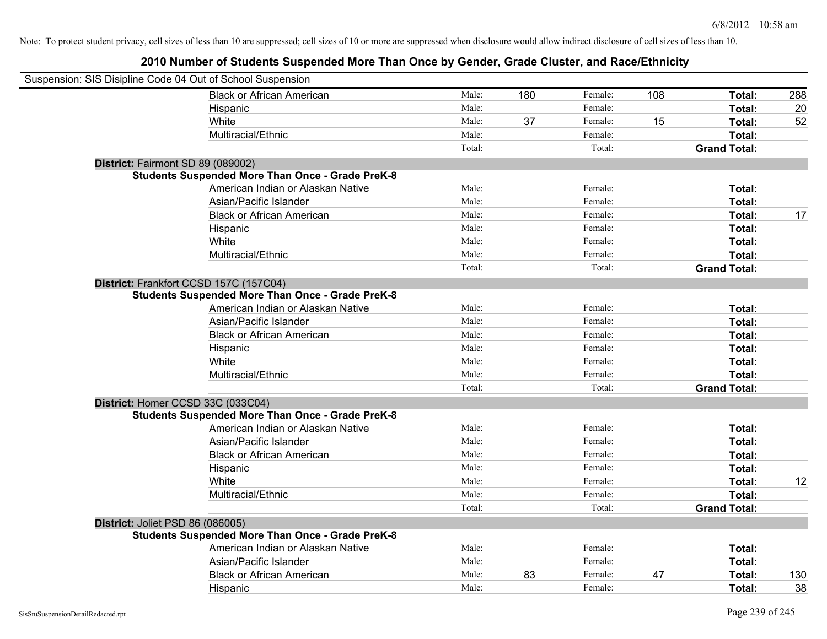| Suspension: SIS Disipline Code 04 Out of School Suspension |        |     |         |     |                     |     |
|------------------------------------------------------------|--------|-----|---------|-----|---------------------|-----|
| <b>Black or African American</b>                           | Male:  | 180 | Female: | 108 | Total:              | 288 |
| Hispanic                                                   | Male:  |     | Female: |     | Total:              | 20  |
| White                                                      | Male:  | 37  | Female: | 15  | Total:              | 52  |
| Multiracial/Ethnic                                         | Male:  |     | Female: |     | Total:              |     |
|                                                            | Total: |     | Total:  |     | <b>Grand Total:</b> |     |
| District: Fairmont SD 89 (089002)                          |        |     |         |     |                     |     |
| <b>Students Suspended More Than Once - Grade PreK-8</b>    |        |     |         |     |                     |     |
| American Indian or Alaskan Native                          | Male:  |     | Female: |     | Total:              |     |
| Asian/Pacific Islander                                     | Male:  |     | Female: |     | Total:              |     |
| <b>Black or African American</b>                           | Male:  |     | Female: |     | Total:              | 17  |
| Hispanic                                                   | Male:  |     | Female: |     | Total:              |     |
| White                                                      | Male:  |     | Female: |     | Total:              |     |
| Multiracial/Ethnic                                         | Male:  |     | Female: |     | Total:              |     |
|                                                            | Total: |     | Total:  |     | <b>Grand Total:</b> |     |
| District: Frankfort CCSD 157C (157C04)                     |        |     |         |     |                     |     |
| <b>Students Suspended More Than Once - Grade PreK-8</b>    |        |     |         |     |                     |     |
| American Indian or Alaskan Native                          | Male:  |     | Female: |     | Total:              |     |
| Asian/Pacific Islander                                     | Male:  |     | Female: |     | Total:              |     |
| <b>Black or African American</b>                           | Male:  |     | Female: |     | Total:              |     |
| Hispanic                                                   | Male:  |     | Female: |     | Total:              |     |
| White                                                      | Male:  |     | Female: |     | Total:              |     |
| Multiracial/Ethnic                                         | Male:  |     | Female: |     | Total:              |     |
|                                                            | Total: |     | Total:  |     | <b>Grand Total:</b> |     |
| District: Homer CCSD 33C (033C04)                          |        |     |         |     |                     |     |
| <b>Students Suspended More Than Once - Grade PreK-8</b>    |        |     |         |     |                     |     |
| American Indian or Alaskan Native                          | Male:  |     | Female: |     | Total:              |     |
| Asian/Pacific Islander                                     | Male:  |     | Female: |     | Total:              |     |
| <b>Black or African American</b>                           | Male:  |     | Female: |     | Total:              |     |
| Hispanic                                                   | Male:  |     | Female: |     | Total:              |     |
| White                                                      | Male:  |     | Female: |     | Total:              | 12  |
| Multiracial/Ethnic                                         | Male:  |     | Female: |     | Total:              |     |
|                                                            | Total: |     | Total:  |     | <b>Grand Total:</b> |     |
| District: Joliet PSD 86 (086005)                           |        |     |         |     |                     |     |
| <b>Students Suspended More Than Once - Grade PreK-8</b>    |        |     |         |     |                     |     |
| American Indian or Alaskan Native                          | Male:  |     | Female: |     | Total:              |     |
| Asian/Pacific Islander                                     | Male:  |     | Female: |     | Total:              |     |
| <b>Black or African American</b>                           | Male:  | 83  | Female: | 47  | Total:              | 130 |
| Hispanic                                                   | Male:  |     | Female: |     | Total:              | 38  |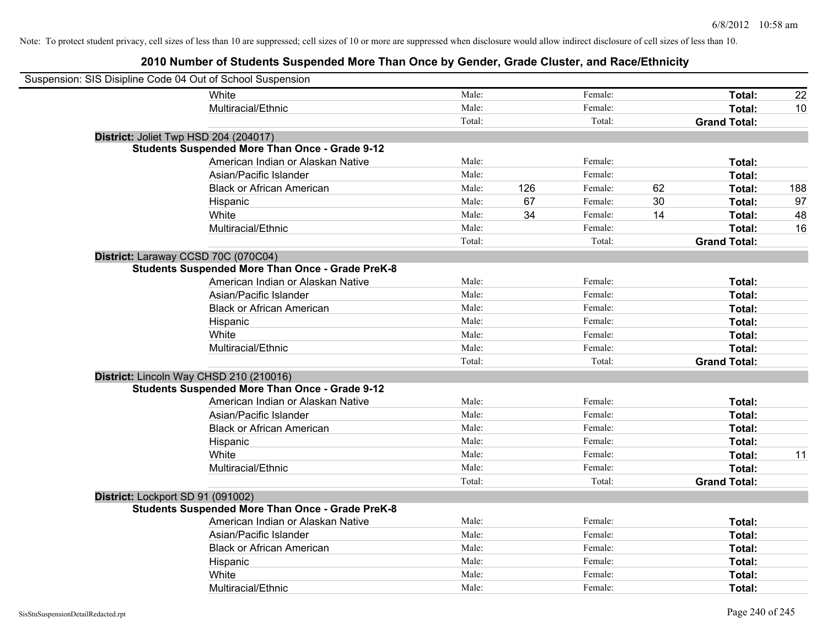| Suspension: SIS Disipline Code 04 Out of School Suspension |                                                         |        |     |         |    |                     |     |
|------------------------------------------------------------|---------------------------------------------------------|--------|-----|---------|----|---------------------|-----|
|                                                            | White                                                   | Male:  |     | Female: |    | <b>Total:</b>       | 22  |
|                                                            | Multiracial/Ethnic                                      | Male:  |     | Female: |    | Total:              | 10  |
|                                                            |                                                         | Total: |     | Total:  |    | <b>Grand Total:</b> |     |
| District: Joliet Twp HSD 204 (204017)                      |                                                         |        |     |         |    |                     |     |
|                                                            | <b>Students Suspended More Than Once - Grade 9-12</b>   |        |     |         |    |                     |     |
|                                                            | American Indian or Alaskan Native                       | Male:  |     | Female: |    | Total:              |     |
|                                                            | Asian/Pacific Islander                                  | Male:  |     | Female: |    | Total:              |     |
|                                                            | <b>Black or African American</b>                        | Male:  | 126 | Female: | 62 | Total:              | 188 |
|                                                            | Hispanic                                                | Male:  | 67  | Female: | 30 | Total:              | 97  |
|                                                            | White                                                   | Male:  | 34  | Female: | 14 | Total:              | 48  |
|                                                            | Multiracial/Ethnic                                      | Male:  |     | Female: |    | Total:              | 16  |
|                                                            |                                                         | Total: |     | Total:  |    | <b>Grand Total:</b> |     |
| District: Laraway CCSD 70C (070C04)                        |                                                         |        |     |         |    |                     |     |
|                                                            | <b>Students Suspended More Than Once - Grade PreK-8</b> |        |     |         |    |                     |     |
|                                                            | American Indian or Alaskan Native                       | Male:  |     | Female: |    | Total:              |     |
|                                                            | Asian/Pacific Islander                                  | Male:  |     | Female: |    | Total:              |     |
|                                                            | <b>Black or African American</b>                        | Male:  |     | Female: |    | Total:              |     |
|                                                            | Hispanic                                                | Male:  |     | Female: |    | Total:              |     |
|                                                            | White                                                   | Male:  |     | Female: |    | Total:              |     |
|                                                            | Multiracial/Ethnic                                      | Male:  |     | Female: |    | Total:              |     |
|                                                            |                                                         | Total: |     | Total:  |    | <b>Grand Total:</b> |     |
|                                                            | District: Lincoln Way CHSD 210 (210016)                 |        |     |         |    |                     |     |
|                                                            | <b>Students Suspended More Than Once - Grade 9-12</b>   |        |     |         |    |                     |     |
|                                                            | American Indian or Alaskan Native                       | Male:  |     | Female: |    | Total:              |     |
|                                                            | Asian/Pacific Islander                                  | Male:  |     | Female: |    | Total:              |     |
|                                                            | <b>Black or African American</b>                        | Male:  |     | Female: |    | Total:              |     |
|                                                            | Hispanic                                                | Male:  |     | Female: |    | Total:              |     |
|                                                            | White                                                   | Male:  |     | Female: |    | Total:              | 11  |
|                                                            | Multiracial/Ethnic                                      | Male:  |     | Female: |    | Total:              |     |
|                                                            |                                                         | Total: |     | Total:  |    | <b>Grand Total:</b> |     |
| District: Lockport SD 91 (091002)                          |                                                         |        |     |         |    |                     |     |
|                                                            | <b>Students Suspended More Than Once - Grade PreK-8</b> |        |     |         |    |                     |     |
|                                                            | American Indian or Alaskan Native                       | Male:  |     | Female: |    | Total:              |     |
|                                                            | Asian/Pacific Islander                                  | Male:  |     | Female: |    | Total:              |     |
|                                                            | <b>Black or African American</b>                        | Male:  |     | Female: |    | Total:              |     |
|                                                            | Hispanic                                                | Male:  |     | Female: |    | Total:              |     |
|                                                            | White                                                   | Male:  |     | Female: |    | Total:              |     |
|                                                            | Multiracial/Ethnic                                      | Male:  |     | Female: |    | Total:              |     |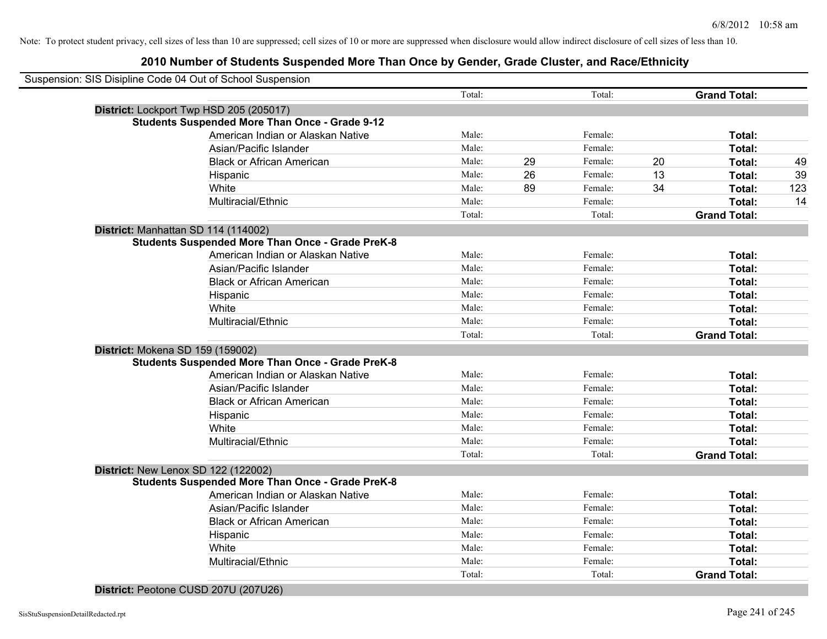| Suspension: SIS Disipline Code 04 Out of School Suspension |        |    |         |    |                     |     |
|------------------------------------------------------------|--------|----|---------|----|---------------------|-----|
|                                                            | Total: |    | Total:  |    | <b>Grand Total:</b> |     |
| District: Lockport Twp HSD 205 (205017)                    |        |    |         |    |                     |     |
| <b>Students Suspended More Than Once - Grade 9-12</b>      |        |    |         |    |                     |     |
| American Indian or Alaskan Native                          | Male:  |    | Female: |    | Total:              |     |
| Asian/Pacific Islander                                     | Male:  |    | Female: |    | Total:              |     |
| <b>Black or African American</b>                           | Male:  | 29 | Female: | 20 | Total:              | 49  |
| Hispanic                                                   | Male:  | 26 | Female: | 13 | Total:              | 39  |
| White                                                      | Male:  | 89 | Female: | 34 | Total:              | 123 |
| Multiracial/Ethnic                                         | Male:  |    | Female: |    | Total:              | 14  |
|                                                            | Total: |    | Total:  |    | <b>Grand Total:</b> |     |
| District: Manhattan SD 114 (114002)                        |        |    |         |    |                     |     |
| <b>Students Suspended More Than Once - Grade PreK-8</b>    |        |    |         |    |                     |     |
| American Indian or Alaskan Native                          | Male:  |    | Female: |    | Total:              |     |
| Asian/Pacific Islander                                     | Male:  |    | Female: |    | Total:              |     |
| <b>Black or African American</b>                           | Male:  |    | Female: |    | Total:              |     |
| Hispanic                                                   | Male:  |    | Female: |    | Total:              |     |
| White                                                      | Male:  |    | Female: |    | Total:              |     |
| Multiracial/Ethnic                                         | Male:  |    | Female: |    | Total:              |     |
|                                                            | Total: |    | Total:  |    | <b>Grand Total:</b> |     |
| District: Mokena SD 159 (159002)                           |        |    |         |    |                     |     |
| <b>Students Suspended More Than Once - Grade PreK-8</b>    |        |    |         |    |                     |     |
| American Indian or Alaskan Native                          | Male:  |    | Female: |    | Total:              |     |
| Asian/Pacific Islander                                     | Male:  |    | Female: |    | Total:              |     |
| <b>Black or African American</b>                           | Male:  |    | Female: |    | Total:              |     |
| Hispanic                                                   | Male:  |    | Female: |    | Total:              |     |
| White                                                      | Male:  |    | Female: |    | Total:              |     |
| Multiracial/Ethnic                                         | Male:  |    | Female: |    | Total:              |     |
|                                                            | Total: |    | Total:  |    | <b>Grand Total:</b> |     |
| District: New Lenox SD 122 (122002)                        |        |    |         |    |                     |     |
| <b>Students Suspended More Than Once - Grade PreK-8</b>    |        |    |         |    |                     |     |
| American Indian or Alaskan Native                          | Male:  |    | Female: |    | Total:              |     |
| Asian/Pacific Islander                                     | Male:  |    | Female: |    | Total:              |     |
| <b>Black or African American</b>                           | Male:  |    | Female: |    | Total:              |     |
| Hispanic                                                   | Male:  |    | Female: |    | Total:              |     |
| White                                                      | Male:  |    | Female: |    | Total:              |     |
| Multiracial/Ethnic                                         | Male:  |    | Female: |    | Total:              |     |
|                                                            | Total: |    | Total:  |    | <b>Grand Total:</b> |     |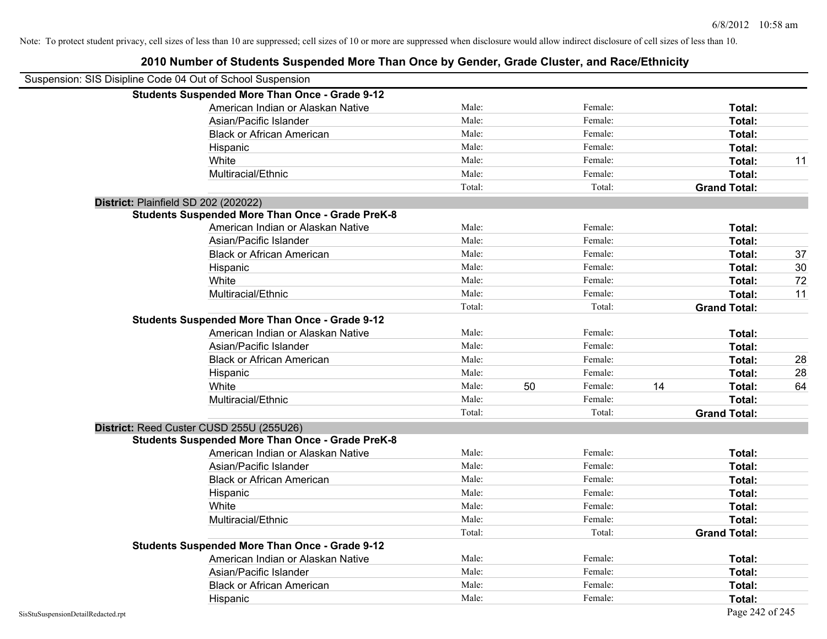| Suspension: SIS Disipline Code 04 Out of School Suspension |        |    |         |    |                     |    |
|------------------------------------------------------------|--------|----|---------|----|---------------------|----|
| <b>Students Suspended More Than Once - Grade 9-12</b>      |        |    |         |    |                     |    |
| American Indian or Alaskan Native                          | Male:  |    | Female: |    | Total:              |    |
| Asian/Pacific Islander                                     | Male:  |    | Female: |    | Total:              |    |
| <b>Black or African American</b>                           | Male:  |    | Female: |    | Total:              |    |
| Hispanic                                                   | Male:  |    | Female: |    | Total:              |    |
| White                                                      | Male:  |    | Female: |    | Total:              | 11 |
| Multiracial/Ethnic                                         | Male:  |    | Female: |    | Total:              |    |
|                                                            | Total: |    | Total:  |    | <b>Grand Total:</b> |    |
| District: Plainfield SD 202 (202022)                       |        |    |         |    |                     |    |
| <b>Students Suspended More Than Once - Grade PreK-8</b>    |        |    |         |    |                     |    |
| American Indian or Alaskan Native                          | Male:  |    | Female: |    | Total:              |    |
| Asian/Pacific Islander                                     | Male:  |    | Female: |    | Total:              |    |
| <b>Black or African American</b>                           | Male:  |    | Female: |    | Total:              | 37 |
| Hispanic                                                   | Male:  |    | Female: |    | Total:              | 30 |
| White                                                      | Male:  |    | Female: |    | Total:              | 72 |
| Multiracial/Ethnic                                         | Male:  |    | Female: |    | Total:              | 11 |
|                                                            | Total: |    | Total:  |    | <b>Grand Total:</b> |    |
| <b>Students Suspended More Than Once - Grade 9-12</b>      |        |    |         |    |                     |    |
| American Indian or Alaskan Native                          | Male:  |    | Female: |    | Total:              |    |
| Asian/Pacific Islander                                     | Male:  |    | Female: |    | Total:              |    |
| <b>Black or African American</b>                           | Male:  |    | Female: |    | Total:              | 28 |
| Hispanic                                                   | Male:  |    | Female: |    | Total:              | 28 |
| White                                                      | Male:  | 50 | Female: | 14 | Total:              | 64 |
| Multiracial/Ethnic                                         | Male:  |    | Female: |    | Total:              |    |
|                                                            | Total: |    | Total:  |    | <b>Grand Total:</b> |    |
| District: Reed Custer CUSD 255U (255U26)                   |        |    |         |    |                     |    |
| <b>Students Suspended More Than Once - Grade PreK-8</b>    |        |    |         |    |                     |    |
| American Indian or Alaskan Native                          | Male:  |    | Female: |    | Total:              |    |
| Asian/Pacific Islander                                     | Male:  |    | Female: |    | Total:              |    |
| <b>Black or African American</b>                           | Male:  |    | Female: |    | Total:              |    |
| Hispanic                                                   | Male:  |    | Female: |    | Total:              |    |
| White                                                      | Male:  |    | Female: |    | Total:              |    |
| Multiracial/Ethnic                                         | Male:  |    | Female: |    | Total:              |    |
|                                                            | Total: |    | Total:  |    | <b>Grand Total:</b> |    |
| <b>Students Suspended More Than Once - Grade 9-12</b>      |        |    |         |    |                     |    |
| American Indian or Alaskan Native                          | Male:  |    | Female: |    | Total:              |    |
| Asian/Pacific Islander                                     | Male:  |    | Female: |    | Total:              |    |
| <b>Black or African American</b>                           | Male:  |    | Female: |    | Total:              |    |
| Hispanic                                                   | Male:  |    | Female: |    | Total:              |    |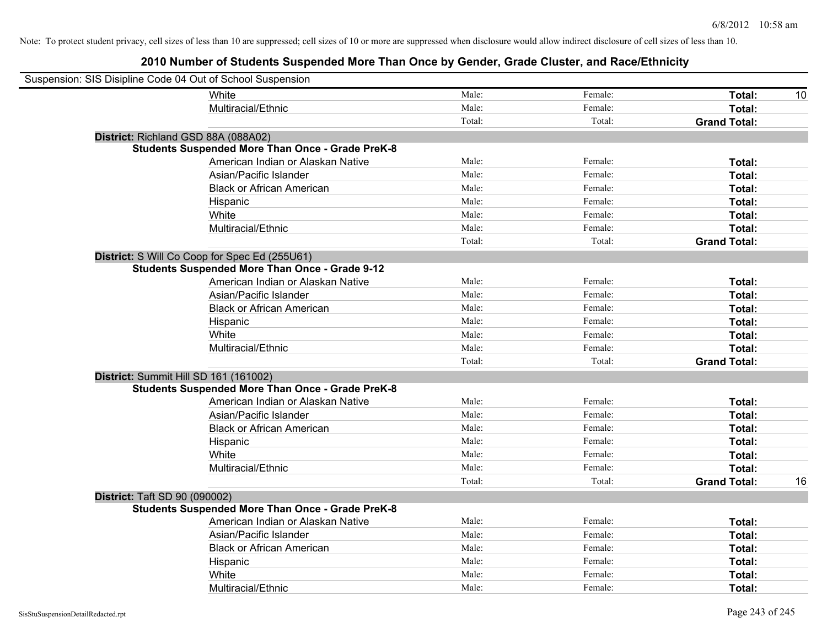| Suspension: SIS Disipline Code 04 Out of School Suspension |                                                         |        |         |                     |    |
|------------------------------------------------------------|---------------------------------------------------------|--------|---------|---------------------|----|
|                                                            | <b>White</b>                                            | Male:  | Female: | Total:              | 10 |
|                                                            | Multiracial/Ethnic                                      | Male:  | Female: | Total:              |    |
|                                                            |                                                         | Total: | Total:  | <b>Grand Total:</b> |    |
| District: Richland GSD 88A (088A02)                        |                                                         |        |         |                     |    |
|                                                            | <b>Students Suspended More Than Once - Grade PreK-8</b> |        |         |                     |    |
|                                                            | American Indian or Alaskan Native                       | Male:  | Female: | Total:              |    |
|                                                            | Asian/Pacific Islander                                  | Male:  | Female: | Total:              |    |
|                                                            | <b>Black or African American</b>                        | Male:  | Female: | Total:              |    |
|                                                            | Hispanic                                                | Male:  | Female: | Total:              |    |
|                                                            | White                                                   | Male:  | Female: | Total:              |    |
|                                                            | Multiracial/Ethnic                                      | Male:  | Female: | Total:              |    |
|                                                            |                                                         | Total: | Total:  | <b>Grand Total:</b> |    |
|                                                            | District: S Will Co Coop for Spec Ed (255U61)           |        |         |                     |    |
|                                                            | <b>Students Suspended More Than Once - Grade 9-12</b>   |        |         |                     |    |
|                                                            | American Indian or Alaskan Native                       | Male:  | Female: | Total:              |    |
|                                                            | Asian/Pacific Islander                                  | Male:  | Female: | Total:              |    |
|                                                            | <b>Black or African American</b>                        | Male:  | Female: | Total:              |    |
|                                                            | Hispanic                                                | Male:  | Female: | Total:              |    |
|                                                            | White                                                   | Male:  | Female: | Total:              |    |
|                                                            | Multiracial/Ethnic                                      | Male:  | Female: | Total:              |    |
|                                                            |                                                         | Total: | Total:  | <b>Grand Total:</b> |    |
| District: Summit Hill SD 161 (161002)                      |                                                         |        |         |                     |    |
|                                                            | <b>Students Suspended More Than Once - Grade PreK-8</b> |        |         |                     |    |
|                                                            | American Indian or Alaskan Native                       | Male:  | Female: | Total:              |    |
|                                                            | Asian/Pacific Islander                                  | Male:  | Female: | Total:              |    |
|                                                            | <b>Black or African American</b>                        | Male:  | Female: | Total:              |    |
|                                                            | Hispanic                                                | Male:  | Female: | Total:              |    |
|                                                            | White                                                   | Male:  | Female: | Total:              |    |
|                                                            | Multiracial/Ethnic                                      | Male:  | Female: | Total:              |    |
|                                                            |                                                         | Total: | Total:  | <b>Grand Total:</b> | 16 |
| <b>District: Taft SD 90 (090002)</b>                       |                                                         |        |         |                     |    |
|                                                            | <b>Students Suspended More Than Once - Grade PreK-8</b> |        |         |                     |    |
|                                                            | American Indian or Alaskan Native                       | Male:  | Female: | Total:              |    |
|                                                            | Asian/Pacific Islander                                  | Male:  | Female: | Total:              |    |
|                                                            | <b>Black or African American</b>                        | Male:  | Female: | Total:              |    |
|                                                            | Hispanic                                                | Male:  | Female: | Total:              |    |
|                                                            | White                                                   | Male:  | Female: | Total:              |    |
|                                                            | Multiracial/Ethnic                                      | Male:  | Female: | Total:              |    |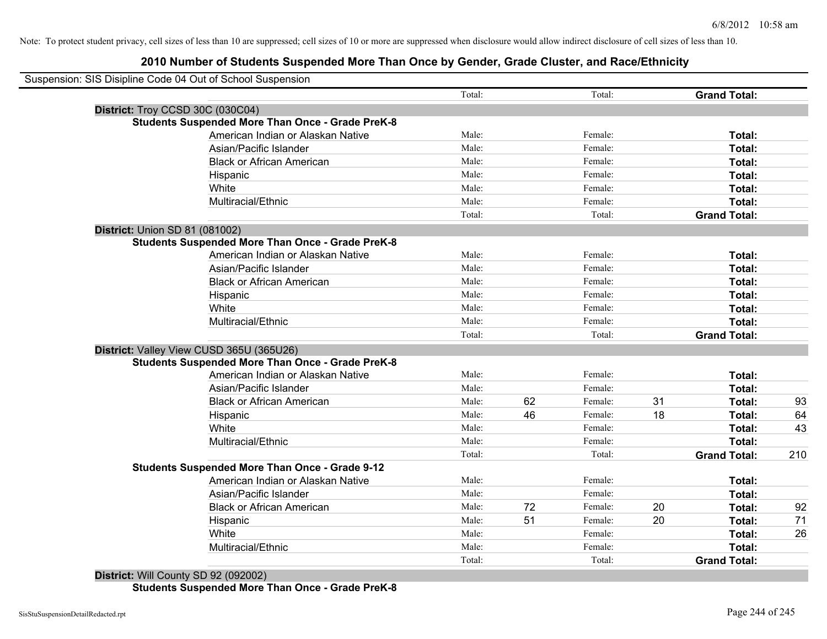# **2010 Number of Students Suspended More Than Once by Gender, Grade Cluster, and Race/Ethnicity**

| Suspension: SIS Disipline Code 04 Out of School Suspension |                                                         |        |    |         |    |                     |     |
|------------------------------------------------------------|---------------------------------------------------------|--------|----|---------|----|---------------------|-----|
|                                                            |                                                         | Total: |    | Total:  |    | <b>Grand Total:</b> |     |
|                                                            | District: Troy CCSD 30C (030C04)                        |        |    |         |    |                     |     |
|                                                            | <b>Students Suspended More Than Once - Grade PreK-8</b> |        |    |         |    |                     |     |
|                                                            | American Indian or Alaskan Native                       | Male:  |    | Female: |    | Total:              |     |
|                                                            | Asian/Pacific Islander                                  | Male:  |    | Female: |    | <b>Total:</b>       |     |
|                                                            | <b>Black or African American</b>                        | Male:  |    | Female: |    | <b>Total:</b>       |     |
|                                                            | Hispanic                                                | Male:  |    | Female: |    | <b>Total:</b>       |     |
|                                                            | White                                                   | Male:  |    | Female: |    | Total:              |     |
|                                                            | Multiracial/Ethnic                                      | Male:  |    | Female: |    | Total:              |     |
|                                                            |                                                         | Total: |    | Total:  |    | <b>Grand Total:</b> |     |
| <b>District: Union SD 81 (081002)</b>                      |                                                         |        |    |         |    |                     |     |
|                                                            | <b>Students Suspended More Than Once - Grade PreK-8</b> |        |    |         |    |                     |     |
|                                                            | American Indian or Alaskan Native                       | Male:  |    | Female: |    | Total:              |     |
|                                                            | Asian/Pacific Islander                                  | Male:  |    | Female: |    | Total:              |     |
|                                                            | <b>Black or African American</b>                        | Male:  |    | Female: |    | Total:              |     |
|                                                            | Hispanic                                                | Male:  |    | Female: |    | Total:              |     |
|                                                            | White                                                   | Male:  |    | Female: |    | Total:              |     |
|                                                            | Multiracial/Ethnic                                      | Male:  |    | Female: |    | Total:              |     |
|                                                            |                                                         | Total: |    | Total:  |    | <b>Grand Total:</b> |     |
|                                                            | District: Valley View CUSD 365U (365U26)                |        |    |         |    |                     |     |
|                                                            | <b>Students Suspended More Than Once - Grade PreK-8</b> |        |    |         |    |                     |     |
|                                                            | American Indian or Alaskan Native                       | Male:  |    | Female: |    | Total:              |     |
|                                                            | Asian/Pacific Islander                                  | Male:  |    | Female: |    | Total:              |     |
|                                                            | <b>Black or African American</b>                        | Male:  | 62 | Female: | 31 | Total:              | 93  |
|                                                            | Hispanic                                                | Male:  | 46 | Female: | 18 | Total:              | 64  |
|                                                            | White                                                   | Male:  |    | Female: |    | Total:              | 43  |
|                                                            | Multiracial/Ethnic                                      | Male:  |    | Female: |    | Total:              |     |
|                                                            |                                                         | Total: |    | Total:  |    | <b>Grand Total:</b> | 210 |
|                                                            | <b>Students Suspended More Than Once - Grade 9-12</b>   |        |    |         |    |                     |     |
|                                                            | American Indian or Alaskan Native                       | Male:  |    | Female: |    | Total:              |     |
|                                                            | Asian/Pacific Islander                                  | Male:  |    | Female: |    | Total:              |     |
|                                                            | <b>Black or African American</b>                        | Male:  | 72 | Female: | 20 | Total:              | 92  |
|                                                            | Hispanic                                                | Male:  | 51 | Female: | 20 | Total:              | 71  |
|                                                            | White                                                   | Male:  |    | Female: |    | Total:              | 26  |
|                                                            | Multiracial/Ethnic                                      | Male:  |    | Female: |    | Total:              |     |
|                                                            |                                                         | Total: |    | Total:  |    | <b>Grand Total:</b> |     |

**District:** Will County SD 92 (092002) **Students Suspended More Than Once - Grade PreK-8**